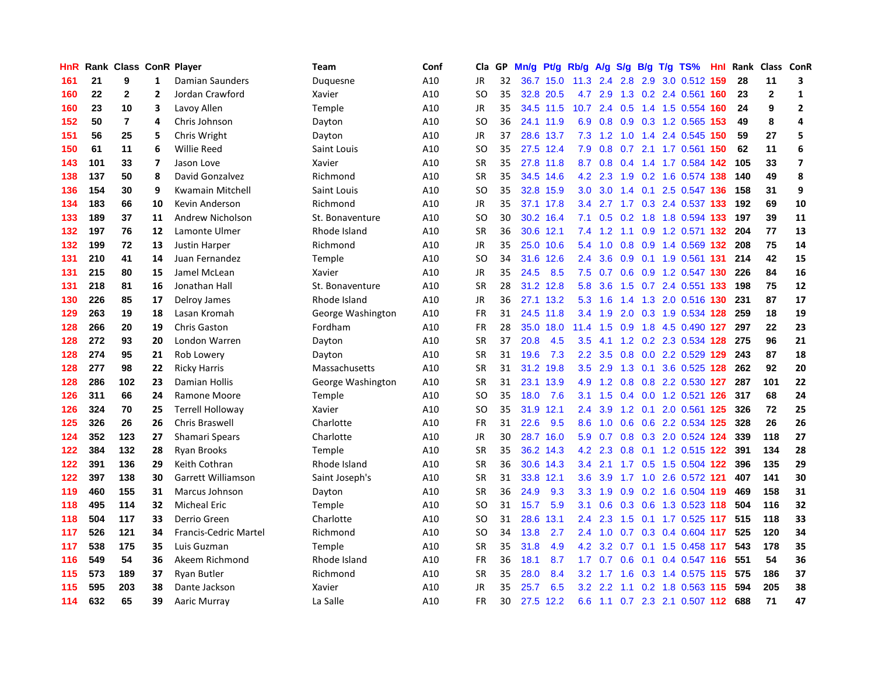| HnR |     | Rank Class ConR Player |                         |                              | <b>Team</b>       | Conf | Cla       | GP. | Mn/g | Pt/g Rb/g |                  | A/g            |                  |     | S/g B/g T/g TS%                      | Hnl | Rank |                | Class ConR              |
|-----|-----|------------------------|-------------------------|------------------------------|-------------------|------|-----------|-----|------|-----------|------------------|----------------|------------------|-----|--------------------------------------|-----|------|----------------|-------------------------|
| 161 | 21  | 9                      | 1                       | Damian Saunders              | Duquesne          | A10  | JR        | 32  |      | 36.7 15.0 | 11.3             | 2.4            |                  |     | 2.8 2.9 3.0 0.512 159                |     | 28   | 11             | 3                       |
| 160 | 22  | $\mathbf{2}$           | 2                       | Jordan Crawford              | Xavier            | A10  | <b>SO</b> | 35  |      | 32.8 20.5 |                  |                |                  |     | 4.7 2.9 1.3 0.2 2.4 0.561 160        |     | 23   | $\overline{2}$ | $\mathbf{1}$            |
| 160 | 23  | 10                     | 3                       | Lavoy Allen                  | Temple            | A10  | JR        | 35  |      | 34.5 11.5 |                  |                |                  |     | 10.7 2.4 0.5 1.4 1.5 0.554 160       |     | 24   | 9              | $\overline{2}$          |
| 152 | 50  | $\overline{7}$         | 4                       | Chris Johnson                | Dayton            | A10  | <b>SO</b> | 36  |      | 24.1 11.9 | 6.9              | 0.8            |                  |     | 0.9 0.3 1.2 0.565 153                |     | 49   | 8              | 4                       |
| 151 | 56  | 25                     | 5                       | Chris Wright                 | Dayton            | A10  | <b>JR</b> | 37  |      | 28.6 13.7 | 7.3              | 1.2            | 1.0              |     | 1.4 2.4 0.545 150                    |     | 59   | 27             | 5                       |
| 150 | 61  | 11                     | 6                       | <b>Willie Reed</b>           | Saint Louis       | A10  | <b>SO</b> | 35  |      | 27.5 12.4 | 7.9              | 0.8            |                  |     | 0.7 2.1 1.7 0.561 150                |     | 62   | 11             | 6                       |
| 143 | 101 | 33                     | $\overline{\mathbf{z}}$ | Jason Love                   | Xavier            | A10  | <b>SR</b> | 35  |      | 27.8 11.8 | 8.7              | 0.8            |                  |     | 0.4 1.4 1.7 0.584 142                |     | 105  | 33             | $\overline{\mathbf{z}}$ |
| 138 | 137 | 50                     | 8                       | David Gonzalvez              | Richmond          | A10  | <b>SR</b> | 35  | 34.5 | 14.6      | 4.2              | 2.3            | 1.9              |     | 0.2 1.6 0.574 138                    |     | 140  | 49             | 8                       |
| 136 | 154 | 30                     | 9                       | <b>Kwamain Mitchell</b>      | Saint Louis       | A10  | <b>SO</b> | 35  | 32.8 | 15.9      | 3.0              | 3.0            |                  |     | 1.4 0.1 2.5 0.547 136                |     | 158  | 31             | 9                       |
| 134 | 183 | 66                     | 10                      | Kevin Anderson               | Richmond          | A10  | JR        | 35  |      | 37.1 17.8 | 3.4              |                |                  |     | 2.7 1.7 0.3 2.4 0.537 133            |     | 192  | 69             | 10                      |
| 133 | 189 | 37                     | 11                      | Andrew Nicholson             | St. Bonaventure   | A10  | <b>SO</b> | 30  |      | 30.2 16.4 | 7.1              |                |                  |     | 0.5 0.2 1.8 1.8 0.594 133            |     | 197  | 39             | 11                      |
| 132 | 197 | 76                     | 12                      | Lamonte Ulmer                | Rhode Island      | A10  | <b>SR</b> | 36  |      | 30.6 12.1 | 7.4              |                |                  |     | 1.2 1.1 0.9 1.2 0.571 <b>132 204</b> |     |      | 77             | 13                      |
| 132 | 199 | 72                     | 13                      | Justin Harper                | Richmond          | A10  | <b>JR</b> | 35  | 25.0 | 10.6      | 5.4              | 1.0            | 0.8              |     | 0.9 1.4 0.569 132                    |     | 208  | 75             | 14                      |
| 131 | 210 | 41                     | 14                      | Juan Fernandez               | Temple            | A10  | <b>SO</b> | 34  | 31.6 | 12.6      | 2.4              | 3.6            |                  |     | 0.9 0.1 1.9 0.561 131                |     | 214  | 42             | 15                      |
| 131 | 215 | 80                     | 15                      | Jamel McLean                 | Xavier            | A10  | JR        | 35  | 24.5 | 8.5       | 7.5              | 0.7            | 0.6              |     | 0.9 1.2 0.547 130                    |     | 226  | 84             | 16                      |
| 131 | 218 | 81                     | 16                      | Jonathan Hall                | St. Bonaventure   | A10  | <b>SR</b> | 28  |      | 31.2 12.8 | 5.8              | 3.6            | 1.5              |     | 0.7 2.4 0.551 133                    |     | 198  | 75             | 12                      |
| 130 | 226 | 85                     | 17                      | Delroy James                 | Rhode Island      | A10  | <b>JR</b> | 36  |      | 27.1 13.2 | 5.3              | 1.6            | 1.4              |     | 1.3 2.0 0.516 130                    |     | 231  | 87             | 17                      |
| 129 | 263 | 19                     | 18                      | Lasan Kromah                 | George Washington | A10  | <b>FR</b> | 31  |      | 24.5 11.8 | 3.4              | 1.9            | 2.0              |     | 0.3 1.9 0.534 128 259                |     |      | 18             | 19                      |
| 128 | 266 | 20                     | 19                      | <b>Chris Gaston</b>          | Fordham           | A10  | <b>FR</b> | 28  |      | 35.0 18.0 | 11.4             | 1.5            |                  |     | 0.9 1.8 4.5 0.490 127                |     | 297  | 22             | 23                      |
| 128 | 272 | 93                     | 20                      | London Warren                | Dayton            | A10  | <b>SR</b> | 37  | 20.8 | 4.5       | 3.5              | 4.1            |                  |     | 1.2 0.2 2.3 0.534 128 275            |     |      | 96             | 21                      |
| 128 | 274 | 95                     | 21                      | Rob Lowery                   | Dayton            | A10  | <b>SR</b> | 31  | 19.6 | 7.3       | $2.2\phantom{0}$ | 3.5            | 0.8              |     | 0.0 2.2 0.529 129 243                |     |      | 87             | 18                      |
| 128 | 277 | 98                     | 22                      | <b>Ricky Harris</b>          | Massachusetts     | A10  | <b>SR</b> | 31  | 31.2 | 19.8      | 3.5              | 2.9            | 1.3              |     | 0.1 3.6 0.525 128                    |     | 262  | 92             | 20                      |
| 128 | 286 | 102                    | 23                      | Damian Hollis                | George Washington | A10  | <b>SR</b> | 31  | 23.1 | 13.9      | 4.9              | 1.2            |                  |     | 0.8 0.8 2.2 0.530 127                |     | 287  | 101            | 22                      |
| 126 | 311 | 66                     | 24                      | Ramone Moore                 | Temple            | A10  | <b>SO</b> | 35  | 18.0 | 7.6       | 3.1              | 1.5            | 0.4              |     | 0.0 1.2 0.521 126                    |     | 317  | 68             | 24                      |
| 126 | 324 | 70                     | 25                      | <b>Terrell Holloway</b>      | Xavier            | A10  | <b>SO</b> | 35  | 31.9 | 12.1      | 2.4              | 3.9            | 1.2              | 0.1 | 2.0 0.561 125                        |     | 326  | 72             | 25                      |
| 125 | 326 | 26                     | 26                      | Chris Braswell               | Charlotte         | A10  | <b>FR</b> | 31  | 22.6 | 9.5       | 8.6              | 1.0            |                  |     | 0.6 0.6 2.2 0.534 125                |     | 328  | 26             | 26                      |
| 124 | 352 | 123                    | 27                      | Shamari Spears               | Charlotte         | A10  | <b>JR</b> | 30  |      | 28.7 16.0 |                  | $5.9\quad 0.7$ |                  |     | 0.8 0.3 2.0 0.524 124                |     | 339  | 118            | 27                      |
| 122 | 384 | 132                    | 28                      | <b>Ryan Brooks</b>           | Temple            | A10  | <b>SR</b> | 35  |      | 36.2 14.3 | 4.2              | 2.3            |                  |     | 0.8 0.1 1.2 0.515 122                |     | 391  | 134            | 28                      |
| 122 | 391 | 136                    | 29                      | Keith Cothran                | Rhode Island      | A10  | <b>SR</b> | 36  |      | 30.6 14.3 | 3.4              | 2.1            |                  |     | 1.7 0.5 1.5 0.504 <b>122</b>         |     | 396  | 135            | 29                      |
| 122 | 397 | 138                    | 30                      | Garrett Williamson           | Saint Joseph's    | A10  | <b>SR</b> | 31  | 33.8 | 12.1      | 3.6              | 3.9            | 1.7 <sub>z</sub> |     | 1.0 2.6 0.572 121                    |     | 407  | 141            | 30                      |
| 119 | 460 | 155                    | 31                      | Marcus Johnson               | Dayton            | A10  | <b>SR</b> | 36  | 24.9 | 9.3       | 3.3              | 1.9            | 0.9              |     | 0.2 1.6 0.504 119                    |     | 469  | 158            | 31                      |
| 118 | 495 | 114                    | 32                      | <b>Micheal Eric</b>          | Temple            | A10  | <b>SO</b> | 31  | 15.7 | 5.9       | 3.1              | 0.6            | 0.3              |     | 0.6 1.3 0.523 118                    |     | 504  | 116            | 32                      |
| 118 | 504 | 117                    | 33                      | Derrio Green                 | Charlotte         | A10  | SO        | 31  | 28.6 | 13.1      | 2.4              | 2.3            | 1.5              |     | 0.1 1.7 0.525 117                    |     | 515  | 118            | 33                      |
| 117 | 526 | 121                    | 34                      | <b>Francis-Cedric Martel</b> | Richmond          | A10  | SO        | 34  | 13.8 | 2.7       | 2.4              | 1.0            |                  |     | 0.7 0.3 0.4 0.604 117                |     | 525  | 120            | 34                      |
| 117 | 538 | 175                    | 35                      | Luis Guzman                  | Temple            | A10  | <b>SR</b> | 35  | 31.8 | 4.9       |                  |                |                  |     | 4.2 3.2 0.7 0.1 1.5 0.458 117        |     | 543  | 178            | 35                      |
| 116 | 549 | 54                     | 36                      | Akeem Richmond               | Rhode Island      | A10  | FR        | 36  | 18.1 | 8.7       |                  |                |                  |     | 1.7 0.7 0.6 0.1 0.4 0.547 116        |     | 551  | 54             | 36                      |
| 115 | 573 | 189                    | 37                      | <b>Ryan Butler</b>           | Richmond          | A10  | SR        | 35  | 28.0 | 8.4       | 3.2 <sub>2</sub> |                |                  |     | 1.7 1.6 0.3 1.4 0.575 115            |     | 575  | 186            | 37                      |
| 115 | 595 | 203                    | 38                      | Dante Jackson                | Xavier            | A10  | <b>JR</b> | 35  | 25.7 | 6.5       | 3.2              | 2.2            | 1.1              |     | 0.2 1.8 0.563 115                    |     | 594  | 205            | 38                      |
| 114 | 632 | 65                     | 39                      | Aaric Murray                 | La Salle          | A10  | FR        | 30  | 27.5 | 12.2      | 6.6              |                |                  |     | 1.1 0.7 2.3 2.1 0.507 112            |     | 688  | 71             | 47                      |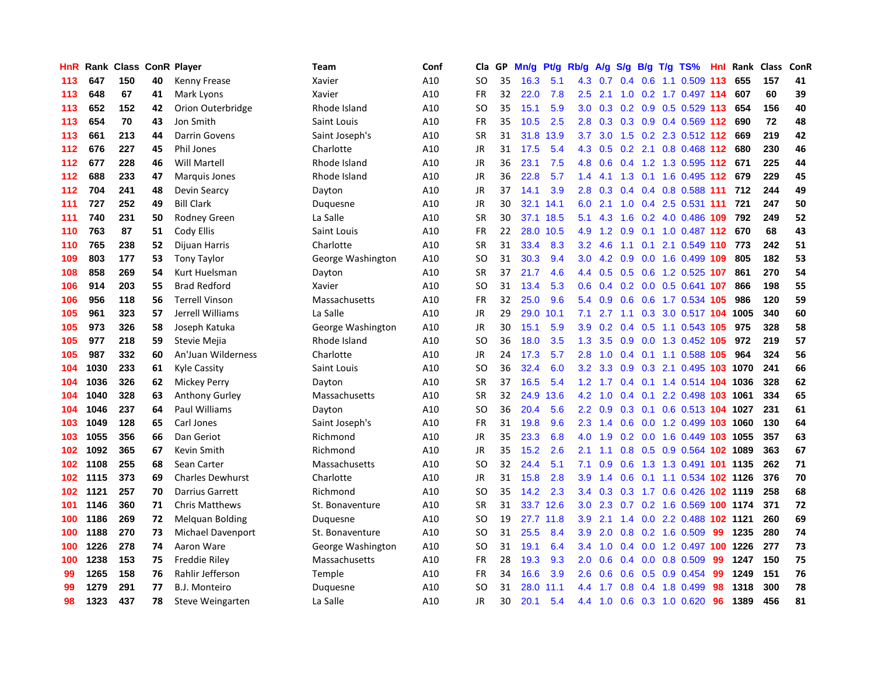| HnR | Rank | <b>Class</b> |    | <b>ConR Player</b>      | Team              | Conf | Cla       | <b>GP</b> | Mn/g | Pt/g | Rb/g             | A/g | S/g              | B/g | T/g TS%                      | Hnl | Rank | <b>Class</b> | <b>ConR</b> |
|-----|------|--------------|----|-------------------------|-------------------|------|-----------|-----------|------|------|------------------|-----|------------------|-----|------------------------------|-----|------|--------------|-------------|
| 113 | 647  | 150          | 40 | Kenny Frease            | Xavier            | A10  | SO.       | 35        | 16.3 | 5.1  | 4.3              | 0.7 | 0.4              |     | 0.6 1.1 0.509 113            |     | 655  | 157          | 41          |
| 113 | 648  | 67           | 41 | Mark Lyons              | Xavier            | A10  | <b>FR</b> | 32        | 22.0 | 7.8  | $2.5^{\circ}$    | 2.1 |                  |     | 1.0 0.2 1.7 0.497 114        |     | 607  | 60           | 39          |
| 113 | 652  | 152          | 42 | Orion Outerbridge       | Rhode Island      | A10  | SO        | 35        | 15.1 | 5.9  | 3.0 <sub>2</sub> | 0.3 |                  |     | $0.2$ 0.9 0.5 0.529 113      |     | 654  | 156          | 40          |
| 113 | 654  | 70           | 43 | Jon Smith               | Saint Louis       | A10  | FR        | 35        | 10.5 | 2.5  | 2.8              | 0.3 |                  |     | $0.3$ 0.9 0.4 0.569 112      |     | 690  | 72           | 48          |
| 113 | 661  | 213          | 44 | <b>Darrin Govens</b>    | Saint Joseph's    | A10  | <b>SR</b> | 31        | 31.8 | 13.9 | 3.7              | 3.0 | 1.5              |     | 0.2 2.3 0.512 112            |     | 669  | 219          | 42          |
| 112 | 676  | 227          | 45 | Phil Jones              | Charlotte         | A10  | JR        | 31        | 17.5 | 5.4  | 4.3              | 0.5 |                  |     | $0.2$ 2.1 0.8 0.468 112      |     | 680  | 230          | 46          |
| 112 | 677  | 228          | 46 | <b>Will Martell</b>     | Rhode Island      | A10  | JR        | 36        | 23.1 | 7.5  | 4.8              | 0.6 | $0.4^{\circ}$    |     | 1.2 1.3 0.595 112            |     | 671  | 225          | 44          |
| 112 | 688  | 233          | 47 | <b>Marquis Jones</b>    | Rhode Island      | A10  | <b>JR</b> | 36        | 22.8 | 5.7  | 1.4              | 4.1 | 1.3              |     | $0.1$ 1.6 0.495 112          |     | 679  | 229          | 45          |
| 112 | 704  | 241          | 48 | Devin Searcy            | Dayton            | A10  | <b>JR</b> | 37        | 14.1 | 3.9  | 2.8              | 0.3 | 0.4              |     | 0.4 0.8 0.588 111            |     | 712  | 244          | 49          |
| 111 | 727  | 252          | 49 | <b>Bill Clark</b>       | Duquesne          | A10  | JR        | 30        | 32.1 | 14.1 | 6.0              | 2.1 |                  |     | 1.0 0.4 2.5 0.531 111        |     | 721  | 247          | 50          |
| 111 | 740  | 231          | 50 | <b>Rodney Green</b>     | La Salle          | A10  | <b>SR</b> | 30        | 37.1 | 18.5 | 5.1              |     |                  |     | 4.3 1.6 0.2 4.0 0.486 109    |     | 792  | 249          | 52          |
| 110 | 763  | 87           | 51 | Cody Ellis              | Saint Louis       | A10  | FR        | 22        | 28.0 | 10.5 | 4.9              | 1.2 | 0.9              |     | 0.1 1.0 0.487 112 670        |     |      | 68           | 43          |
| 110 | 765  | 238          | 52 | Dijuan Harris           | Charlotte         | A10  | <b>SR</b> | 31        | 33.4 | 8.3  | 3.2              | 4.6 | 1.1              |     | 0.1 2.1 0.549 110 773        |     |      | 242          | 51          |
| 109 | 803  | 177          | 53 | <b>Tony Taylor</b>      | George Washington | A10  | <b>SO</b> | 31        | 30.3 | 9.4  | 3.0              | 4.2 | 0.9              |     | 0.0 1.6 0.499 109            |     | 805  | 182          | 53          |
| 108 | 858  | 269          | 54 | Kurt Huelsman           | Dayton            | A10  | <b>SR</b> | 37        | 21.7 | 4.6  | 4.4              | 0.5 | 0.5              |     | 0.6 1.2 0.525 107            |     | 861  | 270          | 54          |
| 106 | 914  | 203          | 55 | <b>Brad Redford</b>     | Xavier            | A10  | SO        | 31        | 13.4 | 5.3  | 0.6              | 0.4 |                  |     | $0.2$ 0.0 0.5 0.641 107      |     | 866  | 198          | 55          |
| 106 | 956  | 118          | 56 | <b>Terrell Vinson</b>   | Massachusetts     | A10  | <b>FR</b> | 32        | 25.0 | 9.6  | 5.4              | 0.9 | 0.6              |     | 0.6 1.7 0.534 105            |     | 986  | 120          | 59          |
| 105 | 961  | 323          | 57 | Jerrell Williams        | La Salle          | A10  | <b>JR</b> | 29        | 29.0 | 10.1 | 7.1              | 2.7 | 1.1              |     | 0.3 3.0 0.517 104 1005       |     |      | 340          | 60          |
| 105 | 973  | 326          | 58 | Joseph Katuka           | George Washington | A10  | <b>JR</b> | 30        | 15.1 | 5.9  | 3.9 <sup>°</sup> | 0.2 |                  |     | 0.4 0.5 1.1 0.543 105 975    |     |      | 328          | 58          |
| 105 | 977  | 218          | 59 | Stevie Mejia            | Rhode Island      | A10  | <b>SO</b> | 36        | 18.0 | 3.5  | 1.3              | 3.5 |                  |     | 0.9 0.0 1.3 0.452 105 972    |     |      | 219          | 57          |
| 105 | 987  | 332          | 60 | An'Juan Wilderness      | Charlotte         | A10  | JR        | 24        | 17.3 | 5.7  | 2.8              | 1.0 |                  |     | 0.4 0.1 1.1 0.588 105        |     | 964  | 324          | 56          |
| 104 | 1030 | 233          | 61 | Kyle Cassity            | Saint Louis       | A10  | <b>SO</b> | 36        | 32.4 | 6.0  | 3.2              | 3.3 | 0.9 <sub>0</sub> |     | 0.3 2.1 0.495 103 1070       |     |      | 241          | 66          |
| 104 | 1036 | 326          | 62 | Mickey Perry            | Dayton            | A10  | <b>SR</b> | 37        | 16.5 | 5.4  | 1.2              | 1.7 |                  |     | $0.4$ 0.1 1.4 0.514 104 1036 |     |      | 328          | 62          |
| 104 | 1040 | 328          | 63 | Anthony Gurley          | Massachusetts     | A10  | <b>SR</b> | 32        | 24.9 | 13.6 | 4.2              | 1.0 | $0.4^{\circ}$    |     | $0.1$ 2.2 0.498 103          |     | 1061 | 334          | 65          |
| 104 | 1046 | 237          | 64 | <b>Paul Williams</b>    | Dayton            | A10  | <b>SO</b> | 36        | 20.4 | 5.6  | 2.2              | 0.9 | 0.3              |     | 0.1 0.6 0.513 104 1027       |     |      | 231          | 61          |
| 103 | 1049 | 128          | 65 | Carl Jones              | Saint Joseph's    | A10  | <b>FR</b> | 31        | 19.8 | 9.6  | 2.3              | 1.4 | 0.6              |     | 0.0 1.2 0.499 103 1060       |     |      | 130          | 64          |
| 103 | 1055 | 356          | 66 | Dan Geriot              | Richmond          | A10  | JR        | 35        | 23.3 | 6.8  | 4.0              | 1.9 |                  |     | 0.2 0.0 1.6 0.449 103 1055   |     |      | 357          | 63          |
| 102 | 1092 | 365          | 67 | Kevin Smith             | Richmond          | A10  | JR        | 35        | 15.2 | 2.6  | 2.1              | 1.1 |                  |     | 0.8 0.5 0.9 0.564 102 1089   |     |      | 363          | 67          |
| 102 | 1108 | 255          | 68 | Sean Carter             | Massachusetts     | A10  | SO        | 32        | 24.4 | 5.1  | 7.1              | 0.9 |                  |     | 0.6 1.3 1.3 0.491 101 1135   |     |      | 262          | 71          |
| 102 | 1115 | 373          | 69 | <b>Charles Dewhurst</b> | Charlotte         | A10  | JR        | 31        | 15.8 | 2.8  | 3.9              | 1.4 | 0.6              |     | 0.1 1.1 0.534 102 1126       |     |      | 376          | 70          |
| 102 | 1121 | 257          | 70 | Darrius Garrett         | Richmond          | A10  | <b>SO</b> | 35        | 14.2 | 2.3  | $3.4^{\circ}$    | 0.3 | 0.3              |     | 1.7 0.6 0.426 102 1119       |     |      | 258          | 68          |
| 101 | 1146 | 360          | 71 | <b>Chris Matthews</b>   | St. Bonaventure   | A10  | <b>SR</b> | 31        | 33.7 | 12.6 | 3.0              | 2.3 |                  |     | 0.7 0.2 1.6 0.569 100 1174   |     |      | 371          | 72          |
| 100 | 1186 | 269          | 72 | <b>Melquan Bolding</b>  | Duquesne          | A10  | SO        | 19        | 27.7 | 11.8 | 3.9              | 2.1 | 1.4              |     | 0.0 2.2 0.488 102 1121       |     |      | 260          | 69          |
| 100 | 1188 | 270          | 73 | Michael Davenport       | St. Bonaventure   | A10  | SO        | 31        | 25.5 | 8.4  | 3.9 <sup>°</sup> | 2.0 | 0.8              |     | 0.2 1.6 0.509                | -99 | 1235 | 280          | 74          |
| 100 | 1226 | 278          | 74 | Aaron Ware              | George Washington | A10  | SO        | 31        | 19.1 | 6.4  | $3.4^{\circ}$    | 1.0 | 0.4              |     | 0.0 1.2 0.497 100 1226       |     |      | 277          | 73          |
| 100 | 1238 | 153          | 75 | <b>Freddie Riley</b>    | Massachusetts     | A10  | <b>FR</b> | 28        | 19.3 | 9.3  | 2.0 <sub>2</sub> | 0.6 |                  |     | $0.4$ 0.0 0.8 0.509          | -99 | 1247 | 150          | 75          |
| 99  | 1265 | 158          | 76 | Rahlir Jefferson        | Temple            | A10  | <b>FR</b> | 34        | 16.6 | 3.9  | 2.6              | 0.6 |                  |     | $0.6$ $0.5$ $0.9$ $0.454$    | -99 | 1249 | 151          | 76          |
| 99  | 1279 | 291          | 77 | <b>B.J. Monteiro</b>    | Duguesne          | A10  | SO        | 31        | 28.0 | 11.1 | 4.4              | 1.7 | 0.8              |     | 0.4 1.8 0.499                | 98  | 1318 | 300          | 78          |
| 98  | 1323 | 437          | 78 | Steve Weingarten        | La Salle          | A10  | <b>JR</b> | 30        | 20.1 | 5.4  | 4.4              | 1.0 |                  |     | 0.6 0.3 1.0 0.620            | 96  | 1389 | 456          | 81          |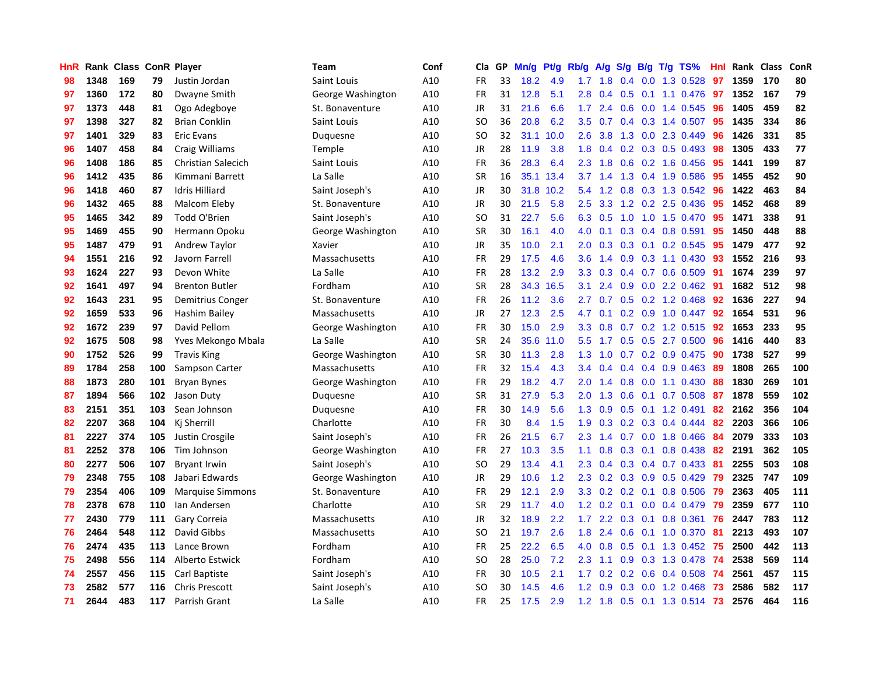| HnR |      | Rank Class ConR Player |     |                           | <b>Team</b>       | Conf | Cla           | GP | Mn/g | <b>Pt/g</b> | Rb/g             | A/g | S/g              |     | B/g T/g TS%               | Hnl | Rank | <b>Class</b> | ConR |
|-----|------|------------------------|-----|---------------------------|-------------------|------|---------------|----|------|-------------|------------------|-----|------------------|-----|---------------------------|-----|------|--------------|------|
| 98  | 1348 | 169                    | 79  | Justin Jordan             | Saint Louis       | A10  | <b>FR</b>     | 33 | 18.2 | 4.9         | 1.7              | 1.8 |                  |     | $0.4$ 0.0 1.3 0.528       | 97  | 1359 | 170          | 80   |
| 97  | 1360 | 172                    | 80  | Dwayne Smith              | George Washington | A10  | <b>FR</b>     | 31 | 12.8 | 5.1         | 2.8              | 0.4 |                  |     | 0.5 0.1 1.1 0.476 97      |     | 1352 | 167          | 79   |
| 97  | 1373 | 448                    | 81  | Ogo Adegboye              | St. Bonaventure   | A10  | JR            | 31 | 21.6 | 6.6         | 1.7              | 2.4 |                  |     | $0.6$ $0.0$ 1.4 $0.545$   | 96  | 1405 | 459          | 82   |
| 97  | 1398 | 327                    | 82  | <b>Brian Conklin</b>      | Saint Louis       | A10  | <sub>SO</sub> | 36 | 20.8 | 6.2         | 3.5              | 0.7 |                  |     | $0.4$ 0.3 1.4 0.507       | 95  | 1435 | 334          | 86   |
| 97  | 1401 | 329                    | 83  | <b>Eric Evans</b>         | Duquesne          | A10  | <b>SO</b>     | 32 | 31.1 | 10.0        | 2.6              | 3.8 | 1.3              |     | $0.0$ 2.3 $0.449$         | 96  | 1426 | 331          | 85   |
| 96  | 1407 | 458                    | 84  | <b>Craig Williams</b>     | Temple            | A10  | JR            | 28 | 11.9 | 3.8         | 1.8              | 0.4 |                  |     | $0.2$ 0.3 0.5 0.493       | 98  | 1305 | 433          | 77   |
| 96  | 1408 | 186                    | 85  | <b>Christian Salecich</b> | Saint Louis       | A10  | <b>FR</b>     | 36 | 28.3 | 6.4         | 2.3              | 1.8 | 0.6              |     | 0.2 1.6 0.456             | 95  | 1441 | 199          | 87   |
| 96  | 1412 | 435                    | 86  | Kimmani Barrett           | La Salle          | A10  | <b>SR</b>     | 16 | 35.1 | 13.4        | 3.7              | 1.4 | 1.3              |     | 0.4 1.9 0.586             | 95  | 1455 | 452          | 90   |
| 96  | 1418 | 460                    | 87  | <b>Idris Hilliard</b>     | Saint Joseph's    | A10  | <b>JR</b>     | 30 | 31.8 | 10.2        | 5.4              | 1.2 | 0.8              |     | 0.3 1.3 0.542             | 96  | 1422 | 463          | 84   |
| 96  | 1432 | 465                    | 88  | Malcom Eleby              | St. Bonaventure   | A10  | JR            | 30 | 21.5 | 5.8         | 2.5              |     |                  |     | 3.3 1.2 0.2 2.5 0.436     | 95  | 1452 | 468          | 89   |
| 95  | 1465 | 342                    | 89  | Todd O'Brien              | Saint Joseph's    | A10  | <b>SO</b>     | 31 | 22.7 | 5.6         | 6.3              | 0.5 |                  |     | 1.0 1.0 1.5 0.470 95      |     | 1471 | 338          | 91   |
| 95  | 1469 | 455                    | 90  | Hermann Opoku             | George Washington | A10  | <b>SR</b>     | 30 | 16.1 | 4.0         | 4.0              | 0.1 |                  |     | $0.3$ 0.4 0.8 0.591       | 95  | 1450 | 448          | 88   |
| 95  | 1487 | 479                    | 91  | Andrew Taylor             | Xavier            | A10  | JR            | 35 | 10.0 | 2.1         | 2.0              | 0.3 | 0.3              |     | 0.1 0.2 0.545             | 95  | 1479 | 477          | 92   |
| 94  | 1551 | 216                    | 92  | Javorn Farrell            | Massachusetts     | A10  | FR            | 29 | 17.5 | 4.6         | 3.6              | 1.4 | 0.9 <sup>°</sup> |     | 0.3 1.1 0.430             | 93  | 1552 | 216          | 93   |
| 93  | 1624 | 227                    | 93  | Devon White               | La Salle          | A10  | <b>FR</b>     | 28 | 13.2 | 2.9         | 3.3              | 0.3 |                  |     | 0.4 0.7 0.6 0.509         | -91 | 1674 | 239          | 97   |
| 92  | 1641 | 497                    | 94  | <b>Brenton Butler</b>     | Fordham           | A10  | <b>SR</b>     | 28 | 34.3 | 16.5        | 3.1              | 2.4 | 0.9              |     | $0.0$ 2.2 $0.462$         | 91  | 1682 | 512          | 98   |
| 92  | 1643 | 231                    | 95  | Demitrius Conger          | St. Bonaventure   | A10  | <b>FR</b>     | 26 | 11.2 | 3.6         | $2.7^{\circ}$    | 0.7 | 0.5              |     | $0.2$ 1.2 0.468           | 92  | 1636 | 227          | 94   |
| 92  | 1659 | 533                    | 96  | Hashim Bailey             | Massachusetts     | A10  | JR            | 27 | 12.3 | 2.5         | 4.7              | 0.1 |                  |     | $0.2$ 0.9 1.0 0.447       | 92  | 1654 | 531          | 96   |
| 92  | 1672 | 239                    | 97  | David Pellom              | George Washington | A10  | <b>FR</b>     | 30 | 15.0 | 2.9         | 3.3 <sub>2</sub> | 0.8 |                  |     | 0.7 0.2 1.2 0.515 92      |     | 1653 | 233          | 95   |
| 92  | 1675 | 508                    | 98  | Yves Mekongo Mbala        | La Salle          | A10  | <b>SR</b>     | 24 | 35.6 | 11.0        | 5.5              | 1.7 |                  |     | $0.5$ $0.5$ 2.7 $0.500$   | 96  | 1416 | 440          | 83   |
| 90  | 1752 | 526                    | 99  | <b>Travis King</b>        | George Washington | A10  | <b>SR</b>     | 30 | 11.3 | 2.8         | 1.3              | 1.0 |                  |     | $0.7$ $0.2$ $0.9$ $0.475$ | 90  | 1738 | 527          | 99   |
| 89  | 1784 | 258                    | 100 | Sampson Carter            | Massachusetts     | A10  | <b>FR</b>     | 32 | 15.4 | 4.3         | 3.4              | 0.4 | $0.4^{\circ}$    |     | $0.4$ 0.9 0.463           | 89  | 1808 | 265          | 100  |
| 88  | 1873 | 280                    | 101 | <b>Bryan Bynes</b>        | George Washington | A10  | FR            | 29 | 18.2 | 4.7         | 2.0 <sub>2</sub> | 1.4 | 0.8              |     | $0.0$ 1.1 0.430           | 88  | 1830 | 269          | 101  |
| 87  | 1894 | 566                    | 102 | Jason Duty                | Duquesne          | A10  | <b>SR</b>     | 31 | 27.9 | 5.3         | 2.0              | 1.3 | 0.6              |     | $0.1$ 0.7 0.508           | 87  | 1878 | 559          | 102  |
| 83  | 2151 | 351                    | 103 | Sean Johnson              | Duquesne          | A10  | <b>FR</b>     | 30 | 14.9 | 5.6         | 1.3              | 0.9 | 0.5              |     | $0.1$ 1.2 0.491           | 82  | 2162 | 356          | 104  |
| 82  | 2207 | 368                    | 104 | Kj Sherrill               | Charlotte         | A10  | <b>FR</b>     | 30 | 8.4  | 1.5         | 1.9              | 0.3 |                  |     | $0.2$ 0.3 0.4 0.444       | 82  | 2203 | 366          | 106  |
| 81  | 2227 | 374                    | 105 | Justin Crosgile           | Saint Joseph's    | A10  | <b>FR</b>     | 26 | 21.5 | 6.7         | 2.3              | 1.4 |                  |     | 0.7 0.0 1.8 0.466         | -84 | 2079 | 333          | 103  |
| 81  | 2252 | 378                    | 106 | Tim Johnson               | George Washington | A10  | <b>FR</b>     | 27 | 10.3 | 3.5         | 1.1              | 0.8 |                  |     | 0.3 0.1 0.8 0.438 82      |     | 2191 | 362          | 105  |
| 80  | 2277 | 506                    | 107 | <b>Bryant Irwin</b>       | Saint Joseph's    | A10  | SO            | 29 | 13.4 | 4.1         | 2.3              | 0.4 |                  |     | $0.3$ 0.4 0.7 0.433       | -81 | 2255 | 503          | 108  |
| 79  | 2348 | 755                    | 108 | Jabari Edwards            | George Washington | A10  | JR            | 29 | 10.6 | 1.2         | 2.3              | 0.2 |                  |     | $0.3$ 0.9 0.5 0.429       | 79  | 2325 | 747          | 109  |
| 79  | 2354 | 406                    | 109 | <b>Marquise Simmons</b>   | St. Bonaventure   | A10  | <b>FR</b>     | 29 | 12.1 | 2.9         | 3.3              | 0.2 | 0.2              | 0.1 | 0.8 0.506                 | 79  | 2363 | 405          | 111  |
| 78  | 2378 | 678                    | 110 | Ian Andersen              | Charlotte         | A10  | <b>SR</b>     | 29 | 11.7 | 4.0         | 1.2              | 0.2 |                  |     | $0.1$ 0.0 0.4 0.479       | 79  | 2359 | 677          | 110  |
| 77  | 2430 | 779                    | 111 | Gary Correia              | Massachusetts     | A10  | JR            | 32 | 18.9 | 2.2         | 1.7              | 2.2 | 0.3              | 0.1 | 0.8 0.361                 | 76  | 2447 | 783          | 112  |
| 76  | 2464 | 548                    | 112 | David Gibbs               | Massachusetts     | A10  | <b>SO</b>     | 21 | 19.7 | 2.6         | 1.8              | 2.4 | 0.6              |     | $0.1$ 1.0 0.370           | 81  | 2213 | 493          | 107  |
| 76  | 2474 | 435                    | 113 | Lance Brown               | Fordham           | A10  | <b>FR</b>     | 25 | 22.2 | 6.5         | 4.0              | 0.8 | 0.5              |     | $0.1$ 1.3 0.452           | -75 | 2500 | 442          | 113  |
| 75  | 2498 | 556                    | 114 | Alberto Estwick           | Fordham           | A10  | SO            | 28 | 25.0 | 7.2         | 2.3              | 1.1 |                  |     | 0.9 0.3 1.3 0.478         | -74 | 2538 | 569          | 114  |
| 74  | 2557 | 456                    | 115 | Carl Baptiste             | Saint Joseph's    | A10  | <b>FR</b>     | 30 | 10.5 | 2.1         | 1.7 <sub>z</sub> | 0.2 |                  |     | $0.2$ 0.6 0.4 0.508       | -74 | 2561 | 457          | 115  |
| 73  | 2582 | 577                    | 116 | <b>Chris Prescott</b>     | Saint Joseph's    | A10  | SO            | 30 | 14.5 | 4.6         | 1.2 <sub>2</sub> | 0.9 | 0.3              |     | $0.0$ 1.2 0.468           | 73  | 2586 | 582          | 117  |
| 71  | 2644 | 483                    | 117 | Parrish Grant             | La Salle          | A10  | <b>FR</b>     | 25 | 17.5 | 2.9         | 1.2              | 1.8 |                  |     | 0.5 0.1 1.3 0.514         | 73  | 2576 | 464          | 116  |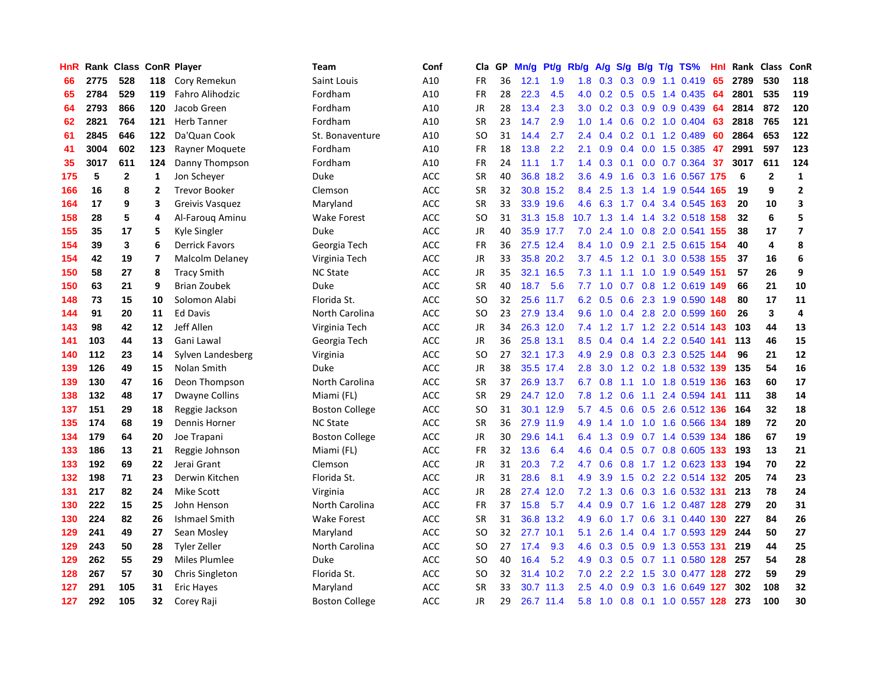| HnR |      | Rank Class   |                         | <b>ConR Player</b>     | <b>Team</b>           | Conf       | Cla       | <b>GP</b> | Mn/g | <b>Pt/g</b> | Rb/g             | A/g | S/g           |  | B/g T/g TS%                    | Hnl | Rank | Class                   | <b>ConR</b>             |
|-----|------|--------------|-------------------------|------------------------|-----------------------|------------|-----------|-----------|------|-------------|------------------|-----|---------------|--|--------------------------------|-----|------|-------------------------|-------------------------|
| 66  | 2775 | 528          | 118                     | Cory Remekun           | Saint Louis           | A10        | <b>FR</b> | 36        | 12.1 | 1.9         | 1.8              | 0.3 |               |  | $0.3$ 0.9 1.1 0.419            | 65  | 2789 | 530                     | 118                     |
| 65  | 2784 | 529          | 119                     | Fahro Alihodzic        | Fordham               | A10        | <b>FR</b> | 28        | 22.3 | 4.5         | 4.0              |     |               |  | $0.2$ $0.5$ $0.5$ 1.4 $0.435$  | -64 | 2801 | 535                     | 119                     |
| 64  | 2793 | 866          | 120                     | Jacob Green            | Fordham               | A10        | JR        | 28        | 13.4 | 2.3         | 3.0 <sub>2</sub> | 0.2 |               |  | $0.3$ 0.9 0.9 0.439            | 64  | 2814 | 872                     | 120                     |
| 62  | 2821 | 764          | 121                     | <b>Herb Tanner</b>     | Fordham               | A10        | <b>SR</b> | 23        | 14.7 | 2.9         | 1.0              | 1.4 |               |  | $0.6$ $0.2$ $1.0$ $0.404$      | 63  | 2818 | 765                     | 121                     |
| 61  | 2845 | 646          | 122                     | Da'Quan Cook           | St. Bonaventure       | A10        | <b>SO</b> | 31        | 14.4 | 2.7         | 2.4              | 0.4 | 0.2           |  | $0.1$ 1.2 0.489                | 60  | 2864 | 653                     | 122                     |
| 41  | 3004 | 602          | 123                     | Rayner Moquete         | Fordham               | A10        | FR        | 18        | 13.8 | 2.2         | 2.1              | 0.9 |               |  | $0.4$ 0.0 1.5 0.385            | 47  | 2991 | 597                     | 123                     |
| 35  | 3017 | 611          | 124                     | Danny Thompson         | Fordham               | A10        | <b>FR</b> | 24        | 11.1 | 1.7         | 1.4              | 0.3 |               |  | $0.1$ 0.0 0.7 0.364            | 37  | 3017 | 611                     | 124                     |
| 175 | 5    | $\mathbf{2}$ | 1                       | Jon Schever            | Duke                  | <b>ACC</b> | <b>SR</b> | 40        | 36.8 | 18.2        | 3.6              | 4.9 | 1.6           |  | 0.3 1.6 0.567 175              |     | 6    | $\mathbf{2}$            | $\mathbf{1}$            |
| 166 | 16   | 8            | $\overline{2}$          | <b>Trevor Booker</b>   | Clemson               | <b>ACC</b> | <b>SR</b> | 32        | 30.8 | 15.2        | 8.4              | 2.5 |               |  | 1.3 1.4 1.9 0.544 165          |     | 19   | 9                       | $\overline{2}$          |
| 164 | 17   | 9            | 3                       | Greivis Vasquez        | Maryland              | <b>ACC</b> | <b>SR</b> | 33        |      | 33.9 19.6   | 4.6              |     |               |  | 6.3 1.7 0.4 3.4 0.545 163      |     | 20   | 10                      | 3                       |
| 158 | 28   | 5            | 4                       | Al-Faroug Aminu        | Wake Forest           | <b>ACC</b> | <b>SO</b> | 31        |      | 31.3 15.8   |                  |     |               |  | 10.7 1.3 1.4 1.4 3.2 0.518 158 |     | 32   | 6                       | 5                       |
| 155 | 35   | 17           | 5                       | Kyle Singler           | Duke                  | <b>ACC</b> | JR        | 40        |      | 35.9 17.7   | 7.0              | 2.4 |               |  | 1.0 0.8 2.0 0.541 155          |     | 38   | 17                      | $\overline{\mathbf{z}}$ |
| 154 | 39   | 3            | 6                       | <b>Derrick Favors</b>  | Georgia Tech          | <b>ACC</b> | FR        | 36        |      | 27.5 12.4   | 8.4              | 1.0 | 0.9           |  | 2.1 2.5 0.615 154              |     | 40   | $\overline{\mathbf{A}}$ | 8                       |
| 154 | 42   | 19           | $\overline{\mathbf{z}}$ | <b>Malcolm Delaney</b> | Virginia Tech         | <b>ACC</b> | JR        | 33        |      | 35.8 20.2   | 3.7              | 4.5 |               |  | 1.2 0.1 3.0 0.538 155          |     | 37   | 16                      | $\bf 6$                 |
| 150 | 58   | 27           | 8                       | <b>Tracy Smith</b>     | <b>NC State</b>       | <b>ACC</b> | JR        | 35        | 32.1 | 16.5        | 7.3              | 1.1 |               |  | 1.1 1.0 1.9 0.549              | 151 | 57   | 26                      | 9                       |
| 150 | 63   | 21           | 9                       | <b>Brian Zoubek</b>    | Duke                  | <b>ACC</b> | <b>SR</b> | 40        | 18.7 | 5.6         | 7.7              | 1.0 |               |  | $0.7$ $0.8$ 1.2 $0.619$        | 149 | 66   | 21                      | 10                      |
| 148 | 73   | 15           | 10                      | Solomon Alabi          | Florida St.           | <b>ACC</b> | <b>SO</b> | 32        | 25.6 | 11.7        | 6.2              | 0.5 | 0.6           |  | 2.3 1.9 0.590                  | 148 | 80   | 17                      | 11                      |
| 144 | 91   | 20           | 11                      | <b>Ed Davis</b>        | North Carolina        | <b>ACC</b> | <b>SO</b> | 23        |      | 27.9 13.4   | 9.6              | 1.0 |               |  | 0.4 2.8 2.0 0.599 160          |     | 26   | 3                       | $\overline{4}$          |
| 143 | 98   | 42           | 12                      | Jeff Allen             | Virginia Tech         | <b>ACC</b> | JR        | 34        |      | 26.3 12.0   | 7.4              |     |               |  | 1.2 1.7 1.2 2.2 0.514 143      |     | 103  | 44                      | 13                      |
| 141 | 103  | 44           | 13                      | Gani Lawal             | Georgia Tech          | ACC        | JR        | 36        |      | 25.8 13.1   | 8.5              | 0.4 |               |  | $0.4$ 1.4 2.2 0.540 141        |     | 113  | 46                      | 15                      |
| 140 | 112  | 23           | 14                      | Sylven Landesberg      | Virginia              | ACC        | SO        | 27        |      | 32.1 17.3   | 4.9              | 2.9 |               |  | 0.8 0.3 2.3 0.525 144          |     | 96   | 21                      | 12                      |
| 139 | 126  | 49           | 15                      | Nolan Smith            | Duke                  | ACC        | JR        | 38        |      | 35.5 17.4   | 2.8              | 3.0 |               |  | 1.2 0.2 1.8 0.532 139          |     | 135  | 54                      | 16                      |
| 139 | 130  | 47           | 16                      | Deon Thompson          | North Carolina        | <b>ACC</b> | SR        | 37        |      | 26.9 13.7   | 6.7              | 0.8 |               |  | 1.1 1.0 1.8 0.519 136          |     | 163  | 60                      | 17                      |
| 138 | 132  | 48           | 17                      | <b>Dwayne Collins</b>  | Miami (FL)            | <b>ACC</b> | <b>SR</b> | 29        | 24.7 | 12.0        | 7.8              | 1.2 | 0.6           |  | 1.1 2.4 0.594 141              |     | 111  | 38                      | 14                      |
| 137 | 151  | 29           | 18                      | Reggie Jackson         | <b>Boston College</b> | <b>ACC</b> | <b>SO</b> | 31        | 30.1 | 12.9        | 5.7              | 4.5 | 0.6           |  | 0.5 2.6 0.512 136              |     | 164  | 32                      | 18                      |
| 135 | 174  | 68           | 19                      | Dennis Horner          | <b>NC State</b>       | <b>ACC</b> | <b>SR</b> | 36        | 27.9 | 11.9        | 4.9              | 1.4 | 1.0           |  | 1.0 1.6 0.566 134              |     | 189  | 72                      | 20                      |
| 134 | 179  | 64           | 20                      | Joe Trapani            | <b>Boston College</b> | <b>ACC</b> | JR        | 30        |      | 29.6 14.1   | 6.4              | 1.3 |               |  | 0.9 0.7 1.4 0.539 134          |     | 186  | 67                      | 19                      |
| 133 | 186  | 13           | 21                      | Reggie Johnson         | Miami (FL)            | <b>ACC</b> | FR        | 32        | 13.6 | 6.4         | 4.6              | 0.4 |               |  | 0.5 0.7 0.8 0.605 133          |     | 193  | 13                      | 21                      |
| 133 | 192  | 69           | 22                      | Jerai Grant            | Clemson               | <b>ACC</b> | JR        | 31        | 20.3 | 7.2         | 4.7              | 0.6 |               |  | 0.8 1.7 1.2 0.623 133          |     | 194  | 70                      | 22                      |
| 132 | 198  | 71           | 23                      | Derwin Kitchen         | Florida St.           | ACC        | <b>JR</b> | 31        | 28.6 | 8.1         | 4.9              | 3.9 |               |  | 1.5 0.2 2.2 0.514 132          |     | 205  | 74                      | 23                      |
| 131 | 217  | 82           | 24                      | <b>Mike Scott</b>      | Virginia              | <b>ACC</b> | JR        | 28        | 27.4 | 12.0        | 7.2              | 1.3 | 0.6           |  | 0.3 1.6 0.532 131              |     | 213  | 78                      | 24                      |
| 130 | 222  | 15           | 25                      | John Henson            | North Carolina        | <b>ACC</b> | FR        | 37        | 15.8 | 5.7         | 4.4              | 0.9 | 0.7           |  | 1.6 1.2 0.487 128              |     | 279  | 20                      | 31                      |
| 130 | 224  | 82           | 26                      | Ishmael Smith          | <b>Wake Forest</b>    | <b>ACC</b> | <b>SR</b> | 31        | 36.8 | 13.2        | 4.9              | 6.0 | 1.7           |  | 0.6 3.1 0.440                  | 130 | 227  | 84                      | 26                      |
| 129 | 241  | 49           | 27                      | Sean Mosley            | Maryland              | <b>ACC</b> | SO        | 32        | 27.7 | 10.1        | 5.1              | 2.6 | $1.4^{\circ}$ |  | 0.4 1.7 0.593 129              |     | 244  | 50                      | 27                      |
| 129 | 243  | 50           | 28                      | <b>Tyler Zeller</b>    | North Carolina        | <b>ACC</b> | <b>SO</b> | 27        | 17.4 | 9.3         | 4.6              | 0.3 | 0.5           |  | 0.9 1.3 0.553 131              |     | 219  | 44                      | 25                      |
| 129 | 262  | 55           | 29                      | Miles Plumlee          | Duke                  | <b>ACC</b> | SO        | 40        | 16.4 | 5.2         | 4.9              | 0.3 |               |  | 0.5 0.7 1.1 0.580 128 257      |     |      | 54                      | 28                      |
| 128 | 267  | 57           | 30                      | Chris Singleton        | Florida St.           | ACC        | SO        | 32        |      | 31.4 10.2   | 7.0              | 2.2 |               |  | 2.2 1.5 3.0 0.477 128 272      |     |      | 59                      | 29                      |
| 127 | 291  | 105          | 31                      | <b>Eric Hayes</b>      | Maryland              | ACC        | <b>SR</b> | 33        |      | 30.7 11.3   | $2.5^{\circ}$    | 4.0 | 0.9           |  | 0.3 1.6 0.649 127              |     | 302  | 108                     | 32                      |
| 127 | 292  | 105          | 32                      | Corey Raji             | <b>Boston College</b> | <b>ACC</b> | <b>JR</b> | 29        |      | 26.7 11.4   | 5.8              |     |               |  | 1.0 0.8 0.1 1.0 0.557 128      |     | 273  | 100                     | 30                      |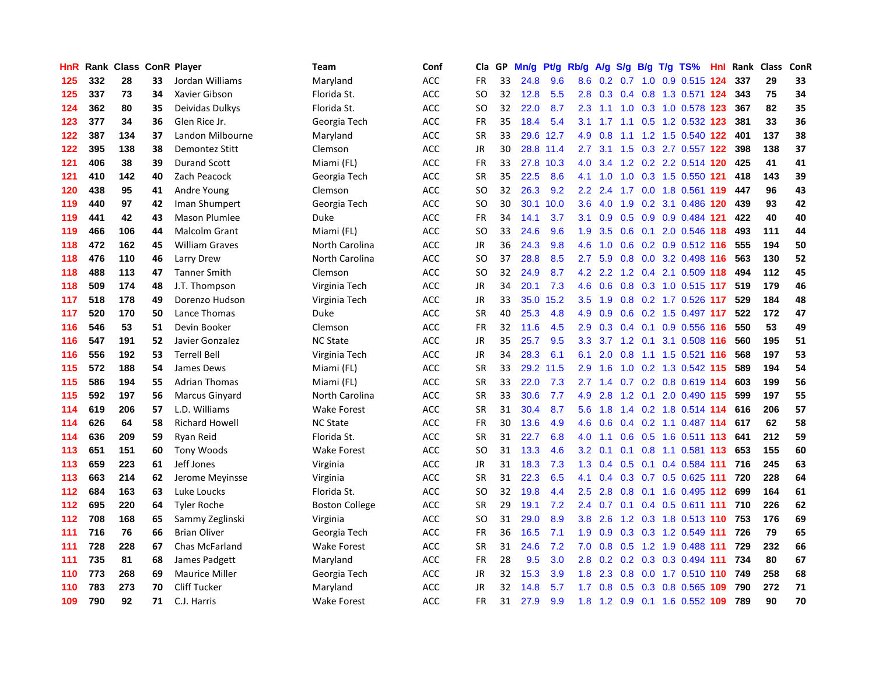| HnR | Rank | <b>Class ConR Player</b> |    |                       | <b>Team</b>           | Conf       | Cla       | GP | Mn/g | <b>Pt/g</b> | Rb/g             | A/g | S/g |  | $B/g$ T/g TS%               | Hnl Rank | Class | ConR |
|-----|------|--------------------------|----|-----------------------|-----------------------|------------|-----------|----|------|-------------|------------------|-----|-----|--|-----------------------------|----------|-------|------|
| 125 | 332  | 28                       | 33 | Jordan Williams       | Maryland              | <b>ACC</b> | <b>FR</b> | 33 | 24.8 | 9.6         | 8.6              |     |     |  | 0.2 0.7 1.0 0.9 0.515 124   | 337      | 29    | 33   |
| 125 | 337  | 73                       | 34 | Xavier Gibson         | Florida St.           | <b>ACC</b> | SO        | 32 | 12.8 | 5.5         | 2.8              |     |     |  | 0.3 0.4 0.8 1.3 0.571 124   | 343      | 75    | 34   |
| 124 | 362  | 80                       | 35 | Deividas Dulkys       | Florida St.           | <b>ACC</b> | SO        | 32 | 22.0 | 8.7         | 2.3              |     |     |  | 1.1 1.0 0.3 1.0 0.578 123   | 367      | 82    | 35   |
| 123 | 377  | 34                       | 36 | Glen Rice Jr.         | Georgia Tech          | ACC        | <b>FR</b> | 35 | 18.4 | 5.4         | 3.1              | 1.7 |     |  | 1.1 0.5 1.2 0.532 123       | 381      | 33    | 36   |
| 122 | 387  | 134                      | 37 | Landon Milbourne      | Maryland              | ACC        | <b>SR</b> | 33 | 29.6 | 12.7        | 4.9              | 0.8 | 1.1 |  | 1.2 1.5 0.540 122           | 401      | 137   | 38   |
| 122 | 395  | 138                      | 38 | Demontez Stitt        | Clemson               | ACC        | JR        | 30 |      | 28.8 11.4   | 2.7              | 3.1 | 1.5 |  | 0.3 2.7 0.557 122           | 398      | 138   | 37   |
| 121 | 406  | 38                       | 39 | <b>Durand Scott</b>   | Miami (FL)            | ACC        | <b>FR</b> | 33 | 27.8 | 10.3        | 4.0              | 3.4 |     |  | 1.2 0.2 2.2 0.514 120       | 425      | 41    | 41   |
| 121 | 410  | 142                      | 40 | Zach Peacock          | Georgia Tech          | ACC        | SR        | 35 | 22.5 | 8.6         | 4.1              | 1.0 | 1.0 |  | 0.3 1.5 0.550 121           | 418      | 143   | 39   |
| 120 | 438  | 95                       | 41 | Andre Young           | Clemson               | ACC        | SO        | 32 | 26.3 | 9.2         | $2.2^{\circ}$    | 2.4 | 1.7 |  | 0.0 1.8 0.561 119           | 447      | 96    | 43   |
| 119 | 440  | 97                       | 42 | Iman Shumpert         | Georgia Tech          | <b>ACC</b> | SO        | 30 | 30.1 | 10.0        | 3.6 <sup>°</sup> |     |     |  | 4.0 1.9 0.2 3.1 0.486 120   | 439      | 93    | 42   |
| 119 | 441  | 42                       | 43 | <b>Mason Plumlee</b>  | <b>Duke</b>           | ACC        | <b>FR</b> | 34 | 14.1 | 3.7         | 3.1              |     |     |  | 0.9 0.5 0.9 0.9 0.484 121   | 422      | 40    | 40   |
| 119 | 466  | 106                      | 44 | Malcolm Grant         | Miami (FL)            | <b>ACC</b> | SO        | 33 | 24.6 | 9.6         | 1.9              | 3.5 |     |  | 0.6 0.1 2.0 0.546 118       | 493      | 111   | 44   |
| 118 | 472  | 162                      | 45 | <b>William Graves</b> | North Carolina        | ACC        | JR        | 36 | 24.3 | 9.8         | 4.6              | 1.0 | 0.6 |  | 0.2 0.9 0.512 116           | 555      | 194   | 50   |
| 118 | 476  | 110                      | 46 | Larry Drew            | North Carolina        | <b>ACC</b> | SO        | 37 | 28.8 | 8.5         | 2.7              | 5.9 |     |  | 0.8 0.0 3.2 0.498 116       | 563      | 130   | 52   |
| 118 | 488  | 113                      | 47 | <b>Tanner Smith</b>   | Clemson               | <b>ACC</b> | SO        | 32 | 24.9 | 8.7         | 4.2              | 2.2 |     |  | 1.2 0.4 2.1 0.509 118       | 494      | 112   | 45   |
| 118 | 509  | 174                      | 48 | J.T. Thompson         | Virginia Tech         | <b>ACC</b> | JR        | 34 | 20.1 | 7.3         | 4.6              | 0.6 | 0.8 |  | 0.3 1.0 0.515 117           | 519      | 179   | 46   |
| 117 | 518  | 178                      | 49 | Dorenzo Hudson        | Virginia Tech         | ACC        | <b>JR</b> | 33 | 35.0 | 15.2        | 3.5              | 1.9 | 0.8 |  | 0.2 1.7 0.526 117           | 529      | 184   | 48   |
| 117 | 520  | 170                      | 50 | Lance Thomas          | Duke                  | <b>ACC</b> | <b>SR</b> | 40 | 25.3 | 4.8         | 4.9              | 0.9 |     |  | $0.6$ $0.2$ 1.5 $0.497$ 117 | 522      | 172   | 47   |
| 116 | 546  | 53                       | 51 | Devin Booker          | Clemson               | <b>ACC</b> | FR        | 32 | 11.6 | 4.5         | 2.9              |     |     |  | 0.3 0.4 0.1 0.9 0.556 116   | 550      | 53    | 49   |
| 116 | 547  | 191                      | 52 | Javier Gonzalez       | <b>NC State</b>       | <b>ACC</b> | JR        | 35 | 25.7 | 9.5         | 3.3              |     |     |  | 3.7 1.2 0.1 3.1 0.508 116   | 560      | 195   | 51   |
| 116 | 556  | 192                      | 53 | <b>Terrell Bell</b>   | Virginia Tech         | ACC        | <b>JR</b> | 34 | 28.3 | 6.1         | 6.1              | 2.0 |     |  | 0.8 1.1 1.5 0.521 116       | 568      | 197   | 53   |
| 115 | 572  | 188                      | 54 | James Dews            | Miami (FL)            | <b>ACC</b> | <b>SR</b> | 33 | 29.2 | 11.5        | 2.9              | 1.6 | 1.0 |  | 0.2 1.3 0.542 115           | 589      | 194   | 54   |
| 115 | 586  | 194                      | 55 | <b>Adrian Thomas</b>  | Miami (FL)            | <b>ACC</b> | SR        | 33 | 22.0 | 7.3         | 2.7              | 1.4 |     |  | 0.7 0.2 0.8 0.619 114       | 603      | 199   | 56   |
| 115 | 592  | 197                      | 56 | Marcus Ginyard        | North Carolina        | ACC        | SR        | 33 | 30.6 | 7.7         | 4.9              | 2.8 | 1.2 |  | 0.1 2.0 0.490 115           | 599      | 197   | 55   |
| 114 | 619  | 206                      | 57 | L.D. Williams         | <b>Wake Forest</b>    | <b>ACC</b> | SR        | 31 | 30.4 | 8.7         | 5.6              | 1.8 | 1.4 |  | 0.2 1.8 0.514 114           | 616      | 206   | 57   |
| 114 | 626  | 64                       | 58 | <b>Richard Howell</b> | <b>NC State</b>       | <b>ACC</b> | <b>FR</b> | 30 | 13.6 | 4.9         | 4.6              | 0.6 |     |  | 0.4 0.2 1.1 0.487 114 617   |          | 62    | 58   |
| 114 | 636  | 209                      | 59 | Ryan Reid             | Florida St.           | <b>ACC</b> | <b>SR</b> | 31 | 22.7 | 6.8         | 4.0              | 1.1 |     |  | 0.6 0.5 1.6 0.511 113 641   |          | 212   | 59   |
| 113 | 651  | 151                      | 60 | <b>Tony Woods</b>     | Wake Forest           | <b>ACC</b> | SO        | 31 | 13.3 | 4.6         | 3.2 <sub>2</sub> | 0.1 |     |  | 0.1 0.8 1.1 0.581 113 653   |          | 155   | 60   |
| 113 | 659  | 223                      | 61 | Jeff Jones            | Virginia              | <b>ACC</b> | JR        | 31 | 18.3 | 7.3         | 1.3              | 0.4 |     |  | $0.5$ 0.1 0.4 0.584 111     | 716      | 245   | 63   |
| 113 | 663  | 214                      | 62 | Jerome Meyinsse       | Virginia              | ACC        | <b>SR</b> | 31 | 22.3 | 6.5         | 4.1              | 0.4 |     |  | $0.3$ 0.7 0.5 0.625 111     | 720      | 228   | 64   |
| 112 | 684  | 163                      | 63 | Luke Loucks           | Florida St.           | ACC        | SO        | 32 | 19.8 | 4.4         | 2.5              | 2.8 | 0.8 |  | 0.1 1.6 0.495 112           | 699      | 164   | 61   |
| 112 | 695  | 220                      | 64 | <b>Tyler Roche</b>    | <b>Boston College</b> | ACC        | <b>SR</b> | 29 | 19.1 | 7.2         | 2.4              | 0.7 |     |  | 0.1 0.4 0.5 0.611 111       | 710      | 226   | 62   |
| 112 | 708  | 168                      | 65 | Sammy Zeglinski       | Virginia              | <b>ACC</b> | SO        | 31 | 29.0 | 8.9         | 3.8 <sub>2</sub> | 2.6 |     |  | 1.2 0.3 1.8 0.513 110       | 753      | 176   | 69   |
| 111 | 716  | 76                       | 66 | <b>Brian Oliver</b>   | Georgia Tech          | ACC        | FR        | 36 | 16.5 | 7.1         | 1.9              | 0.9 | 0.3 |  | 0.3 1.2 0.549 111           | 726      | 79    | 65   |
| 111 | 728  | 228                      | 67 | <b>Chas McFarland</b> | <b>Wake Forest</b>    | ACC        | <b>SR</b> | 31 | 24.6 | 7.2         | 7.0              | 0.8 |     |  | $0.5$ 1.2 1.9 0.488 111     | 729      | 232   | 66   |
| 111 | 735  | 81                       | 68 | James Padgett         | Maryland              | ACC        | <b>FR</b> | 28 | 9.5  | 3.0         | 2.8              |     |     |  | $0.2$ 0.2 0.3 0.3 0.494 111 | 734      | 80    | 67   |
| 110 | 773  | 268                      | 69 | <b>Maurice Miller</b> | Georgia Tech          | <b>ACC</b> | JR        | 32 | 15.3 | 3.9         | 1.8              | 2.3 |     |  | 0.8 0.0 1.7 0.510 110 749   |          | 258   | 68   |
| 110 | 783  | 273                      | 70 | <b>Cliff Tucker</b>   | Maryland              | ACC        | <b>JR</b> | 32 | 14.8 | 5.7         | 1.7              | 0.8 | 0.5 |  | 0.3 0.8 0.565 109           | 790      | 272   | 71   |
| 109 | 790  | 92                       | 71 | C.J. Harris           | <b>Wake Forest</b>    | <b>ACC</b> | FR        | 31 | 27.9 | 9.9         | 1.8              |     |     |  | 1.2 0.9 0.1 1.6 0.552 109   | 789      | 90    | 70   |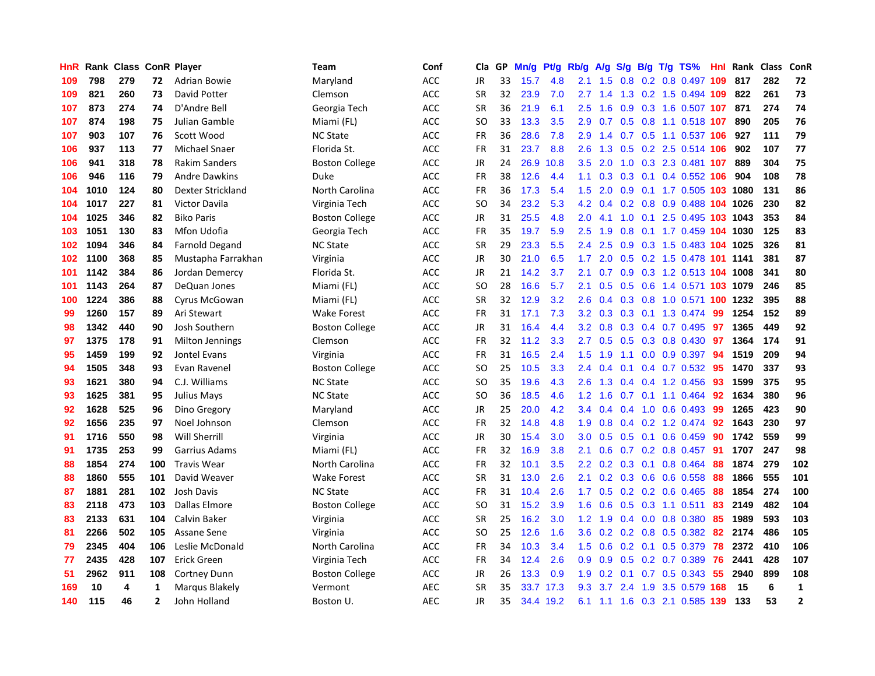| HnR | Rank | <b>Class</b> |                | <b>ConR Player</b>    | Team                  | Conf       | Cla           | <b>GP</b> | Mn/g | <b>Pt/g</b> | Rb/g             | A/g             | S/g              |  | B/g T/g TS%                | Hnl | Rank | <b>Class</b> | ConR           |
|-----|------|--------------|----------------|-----------------------|-----------------------|------------|---------------|-----------|------|-------------|------------------|-----------------|------------------|--|----------------------------|-----|------|--------------|----------------|
| 109 | 798  | 279          | 72             | <b>Adrian Bowie</b>   | Maryland              | <b>ACC</b> | <b>JR</b>     | 33        | 15.7 | 4.8         | 2.1              | 1.5             | 0.8              |  | 0.2 0.8 0.497 109          |     | 817  | 282          | 72             |
| 109 | 821  | 260          | 73             | David Potter          | Clemson               | ACC        | <b>SR</b>     | 32        | 23.9 | 7.0         | $2.7^{\circ}$    | 1.4             |                  |  | 1.3 0.2 1.5 0.494 109      |     | 822  | 261          | 73             |
| 107 | 873  | 274          | 74             | D'Andre Bell          | Georgia Tech          | <b>ACC</b> | <b>SR</b>     | 36        | 21.9 | 6.1         | $2.5^{\circ}$    | 1.6             |                  |  | 0.9 0.3 1.6 0.507 107      |     | 871  | 274          | 74             |
| 107 | 874  | 198          | 75             | Julian Gamble         | Miami (FL)            | ACC        | SO            | 33        | 13.3 | 3.5         | 2.9              | 0.7             |                  |  | 0.5 0.8 1.1 0.518 107      |     | 890  | 205          | 76             |
| 107 | 903  | 107          | 76             | Scott Wood            | <b>NC State</b>       | ACC        | <b>FR</b>     | 36        | 28.6 | 7.8         | 2.9              | 1.4             |                  |  | 0.7 0.5 1.1 0.537 106      |     | 927  | 111          | 79             |
| 106 | 937  | 113          | 77             | <b>Michael Snaer</b>  | Florida St.           | ACC        | FR            | 31        | 23.7 | 8.8         | 2.6              | 1.3             |                  |  | $0.5$ 0.2 2.5 0.514 106    |     | 902  | 107          | 77             |
| 106 | 941  | 318          | 78             | <b>Rakim Sanders</b>  | <b>Boston College</b> | ACC        | JR            | 24        | 26.9 | 10.8        | 3.5              | 2.0             | 1.0              |  | 0.3 2.3 0.481 107          |     | 889  | 304          | 75             |
| 106 | 946  | 116          | 79             | <b>Andre Dawkins</b>  | Duke                  | <b>ACC</b> | FR            | 38        | 12.6 | 4.4         | 1.1              | 0.3             | 0.3              |  | 0.1 0.4 0.552 106          |     | 904  | 108          | 78             |
| 104 | 1010 | 124          | 80             | Dexter Strickland     | North Carolina        | ACC        | FR            | 36        | 17.3 | 5.4         | 1.5              | 2.0             | 0.9 <sub>0</sub> |  | 0.1 1.7 0.505 103 1080     |     |      | 131          | 86             |
| 104 | 1017 | 227          | 81             | Victor Davila         | Virginia Tech         | <b>ACC</b> | <sub>SO</sub> | 34        | 23.2 | 5.3         | 4.2              | 0.4             |                  |  | 0.2 0.8 0.9 0.488 104 1026 |     |      | 230          | 82             |
| 104 | 1025 | 346          | 82             | <b>Biko Paris</b>     | <b>Boston College</b> | ACC        | JR            | 31        | 25.5 | 4.8         | 2.0              | 4.1             |                  |  | 1.0 0.1 2.5 0.495 103 1043 |     |      | 353          | 84             |
| 103 | 1051 | 130          | 83             | Mfon Udofia           | Georgia Tech          | <b>ACC</b> | FR            | 35        | 19.7 | 5.9         | $2.5\,$          | 1.9             |                  |  | 0.8 0.1 1.7 0.459 104 1030 |     |      | 125          | 83             |
| 102 | 1094 | 346          | 84             | <b>Farnold Degand</b> | <b>NC State</b>       | <b>ACC</b> | <b>SR</b>     | 29        | 23.3 | 5.5         | 2.4              | 2.5             | 0.9              |  | 0.3 1.5 0.483 104 1025     |     |      | 326          | 81             |
| 102 | 1100 | 368          | 85             | Mustapha Farrakhan    | Virginia              | <b>ACC</b> | JR            | 30        | 21.0 | 6.5         | 1.7              | 2.0             |                  |  | 0.5 0.2 1.5 0.478 101 1141 |     |      | 381          | 87             |
| 101 | 1142 | 384          | 86             | Jordan Demercy        | Florida St.           | ACC        | JR            | 21        | 14.2 | 3.7         | 2.1              | 0.7             |                  |  | 0.9 0.3 1.2 0.513 104      |     | 1008 | 341          | 80             |
| 101 | 1143 | 264          | 87             | DeQuan Jones          | Miami (FL)            | <b>ACC</b> | SO.           | 28        | 16.6 | 5.7         | 2.1              | 0.5             |                  |  | 0.5 0.6 1.4 0.571 103 1079 |     |      | 246          | 85             |
| 100 | 1224 | 386          | 88             | Cyrus McGowan         | Miami (FL)            | <b>ACC</b> | <b>SR</b>     | 32        | 12.9 | 3.2         | 2.6              | 0.4             | 0.3              |  | 0.8 1.0 0.571 100 1232     |     |      | 395          | 88             |
| 99  | 1260 | 157          | 89             | Ari Stewart           | <b>Wake Forest</b>    | <b>ACC</b> | <b>FR</b>     | 31        | 17.1 | 7.3         | 3.2              | 0.3             | 0.3              |  | 0.1 1.3 0.474              | -99 | 1254 | 152          | 89             |
| 98  | 1342 | 440          | 90             | Josh Southern         | <b>Boston College</b> | ACC        | JR            | 31        | 16.4 | 4.4         |                  | $3.2 \quad 0.8$ |                  |  | 0.3 0.4 0.7 0.495 97       |     | 1365 | 449          | 92             |
| 97  | 1375 | 178          | 91             | Milton Jennings       | Clemson               | ACC        | <b>FR</b>     | 32        | 11.2 | 3.3         | $2.7^{\circ}$    | 0.5             |                  |  | $0.5$ 0.3 0.8 0.430        | -97 | 1364 | 174          | 91             |
| 95  | 1459 | 199          | 92             | Jontel Evans          | Virginia              | ACC        | <b>FR</b>     | 31        | 16.5 | 2.4         | 1.5              | 1.9             |                  |  | 1.1 0.0 0.9 0.397          | -94 | 1519 | 209          | 94             |
| 94  | 1505 | 348          | 93             | Evan Ravenel          | <b>Boston College</b> | ACC        | <b>SO</b>     | 25        | 10.5 | 3.3         | 2.4              | 0.4             | 0.1              |  | $0.4$ 0.7 0.532            | -95 | 1470 | 337          | 93             |
| 93  | 1621 | 380          | 94             | C.J. Williams         | <b>NC State</b>       | <b>ACC</b> | SO            | 35        | 19.6 | 4.3         | 2.6              | 1.3             |                  |  | 0.4 0.4 1.2 0.456          | -93 | 1599 | 375          | 95             |
| 93  | 1625 | 381          | 95             | Julius Mays           | <b>NC State</b>       | ACC        | <b>SO</b>     | 36        | 18.5 | 4.6         | 1.2              | 1.6             |                  |  | $0.7$ 0.1 1.1 0.464        | 92  | 1634 | 380          | 96             |
| 92  | 1628 | 525          | 96             | Dino Gregory          | Maryland              | <b>ACC</b> | JR            | 25        | 20.0 | 4.2         | 3.4              | 0.4             |                  |  | 0.4 1.0 0.6 0.493          | 99  | 1265 | 423          | 90             |
| 92  | 1656 | 235          | 97             | Noel Johnson          | Clemson               | ACC        | <b>FR</b>     | 32        | 14.8 | 4.8         | 1.9              | 0.8             |                  |  | $0.4$ 0.2 1.2 0.474        | 92  | 1643 | 230          | 97             |
| 91  | 1716 | 550          | 98             | Will Sherrill         | Virginia              | <b>ACC</b> | JR            | 30        | 15.4 | 3.0         | 3.0 <sub>2</sub> | 0.5             |                  |  | $0.5$ 0.1 0.6 0.459        | 90  | 1742 | 559          | 99             |
| 91  | 1735 | 253          | 99             | Garrius Adams         | Miami (FL)            | ACC        | <b>FR</b>     | 32        | 16.9 | 3.8         | 2.1              | 0.6             |                  |  | 0.7 0.2 0.8 0.457 91       |     | 1707 | 247          | 98             |
| 88  | 1854 | 274          | 100            | <b>Travis Wear</b>    | North Carolina        | <b>ACC</b> | FR            | 32        | 10.1 | 3.5         | $2.2\phantom{0}$ | 0.2             |                  |  | 0.3 0.1 0.8 0.464 88       |     | 1874 | 279          | 102            |
| 88  | 1860 | 555          | 101            | David Weaver          | <b>Wake Forest</b>    | ACC        | <b>SR</b>     | 31        | 13.0 | 2.6         | 2.1              | 0.2             |                  |  | 0.3 0.6 0.6 0.558          | 88  | 1866 | 555          | 101            |
| 87  | 1881 | 281          | 102            | <b>Josh Davis</b>     | <b>NC State</b>       | <b>ACC</b> | FR            | 31        | 10.4 | 2.6         | 1.7              | 0.5             |                  |  | 0.2 0.2 0.6 0.465          | 88  | 1854 | 274          | 100            |
| 83  | 2118 | 473          | 103            | Dallas Elmore         | <b>Boston College</b> | <b>ACC</b> | SO            | 31        | 15.2 | 3.9         | 1.6              | 0.6             |                  |  | $0.5$ 0.3 1.1 0.511        | 83  | 2149 | 482          | 104            |
| 83  | 2133 | 631          | 104            | Calvin Baker          | Virginia              | ACC        | <b>SR</b>     | 25        | 16.2 | 3.0         | 1.2              | 1.9             |                  |  | $0.4$ 0.0 0.8 0.380        | 85  | 1989 | 593          | 103            |
| 81  | 2266 | 502          | 105            | Assane Sene           | Virginia              | ACC        | SO            | 25        | 12.6 | 1.6         | 3.6              | 0.2             |                  |  | 0.2 0.8 0.5 0.382          | 82  | 2174 | 486          | 105            |
| 79  | 2345 | 404          | 106            | Leslie McDonald       | North Carolina        | ACC        | <b>FR</b>     | 34        | 10.3 | 3.4         | $1.5^{\circ}$    | 0.6             |                  |  | $0.2$ 0.1 0.5 0.379        | 78  | 2372 | 410          | 106            |
| 77  | 2435 | 428          | 107            | <b>Erick Green</b>    | Virginia Tech         | <b>ACC</b> | <b>FR</b>     | 34        | 12.4 | 2.6         | 0.9 <sup>°</sup> | 0.9             |                  |  | $0.5$ 0.2 0.7 0.389        | 76  | 2441 | 428          | 107            |
| 51  | 2962 | 911          | 108            | <b>Cortney Dunn</b>   | <b>Boston College</b> | ACC        | JR            | 26        | 13.3 | 0.9         | 1.9              | 0.2             |                  |  | $0.1$ 0.7 0.5 0.343        | -55 | 2940 | 899          | 108            |
| 169 | 10   | 4            | 1              | Margus Blakely        | Vermont               | <b>AEC</b> | SR            | 35        | 33.7 | 17.3        | 9.3              | 3.7             |                  |  | 2.4 1.9 3.5 0.579 168      |     | 15   | 6            | 1              |
| 140 | 115  | 46           | $\overline{2}$ | John Holland          | Boston U              | <b>AEC</b> | <b>JR</b>     | 35        | 34.4 | 19.2        | 6.1              | 1.1             |                  |  | 1.6 0.3 2.1 0.585 139      |     | 133  | 53           | $\overline{2}$ |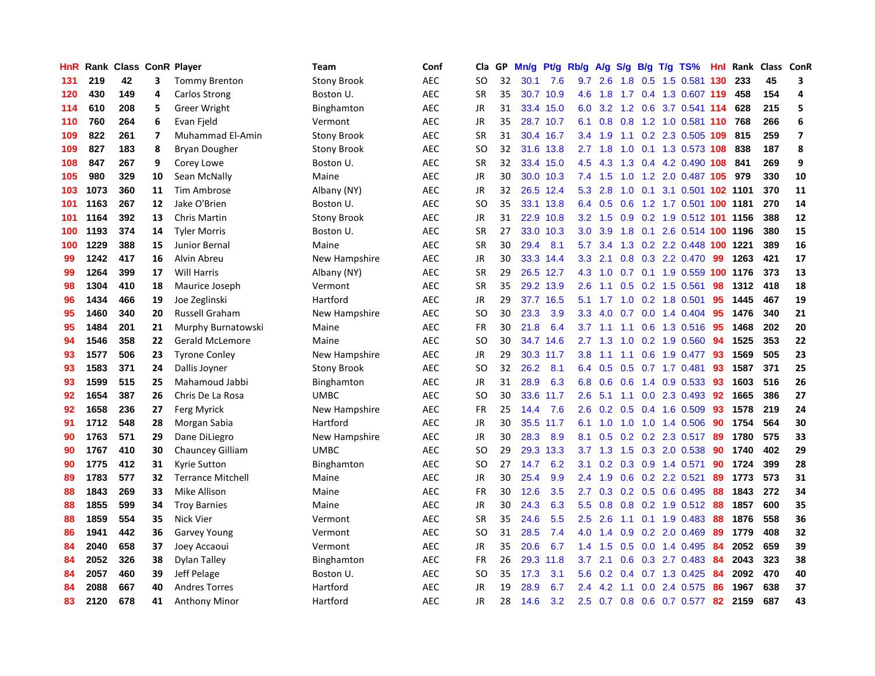| HnR |      | Rank Class ConR Player |                         |                          | Team               | Conf       | Cla           | <b>GP</b> | Mn/g | <b>Pt/g</b> | Rb/g             | A/g       | S/g              |     | B/g T/g TS%                  | Hnl | Rank | Class | <b>ConR</b>    |
|-----|------|------------------------|-------------------------|--------------------------|--------------------|------------|---------------|-----------|------|-------------|------------------|-----------|------------------|-----|------------------------------|-----|------|-------|----------------|
| 131 | 219  | 42                     | 3                       | <b>Tommy Brenton</b>     | <b>Stony Brook</b> | <b>AEC</b> | SO.           | 32        | 30.1 | 7.6         |                  | $9.7$ 2.6 |                  |     | 1.8 0.5 1.5 0.581 130        |     | 233  | 45    | 3              |
| 120 | 430  | 149                    | 4                       | Carlos Strong            | Boston U.          | <b>AEC</b> | <b>SR</b>     | 35        |      | 30.7 10.9   | 4.6              | $-1.8$    |                  |     | 1.7 0.4 1.3 0.607 119        |     | 458  | 154   | 4              |
| 114 | 610  | 208                    | 5                       | <b>Greer Wright</b>      | Binghamton         | <b>AEC</b> | JR            | 31        |      | 33.4 15.0   | 6.0              |           |                  |     | 3.2 1.2 0.6 3.7 0.541 114    |     | 628  | 215   | 5              |
| 110 | 760  | 264                    | 6                       | Evan Fjeld               | Vermont            | <b>AEC</b> | <b>JR</b>     | 35        |      | 28.7 10.7   | 6.1              | 0.8       | 0.8              |     | 1.2 1.0 0.581 110 768        |     |      | 266   | 6              |
| 109 | 822  | 261                    | $\overline{\mathbf{z}}$ | Muhammad El-Amin         | <b>Stony Brook</b> | <b>AEC</b> | <b>SR</b>     | 31        | 30.4 | 16.7        | 3.4              | 1.9       | 1.1              |     | 0.2 2.3 0.505                | 109 | 815  | 259   | $\overline{7}$ |
| 109 | 827  | 183                    | 8                       | Bryan Dougher            | <b>Stony Brook</b> | <b>AEC</b> | SO            | 32        |      | 31.6 13.8   | 2.7              | 1.8       | 1.0              |     | 0.1 1.3 0.573 108            |     | 838  | 187   | 8              |
| 108 | 847  | 267                    | 9                       | Corey Lowe               | Boston U.          | <b>AEC</b> | <b>SR</b>     | 32        | 33.4 | 15.0        | 4.5              | 4.3       | 1.3              |     | 0.4 4.2 0.490                | 108 | 841  | 269   | 9              |
| 105 | 980  | 329                    | 10                      | Sean McNally             | Maine              | <b>AEC</b> | JR            | 30        |      | 30.0 10.3   | 7.4              | 1.5       | 1.0              |     | 1.2 2.0 0.487 105            |     | 979  | 330   | 10             |
| 103 | 1073 | 360                    | 11                      | <b>Tim Ambrose</b>       | Albany (NY)        | <b>AEC</b> | JR            | 32        |      | 26.5 12.4   | 5.3              | 2.8       | 1.0              |     | 0.1 3.1 0.501 102 1101       |     |      | 370   | 11             |
| 101 | 1163 | 267                    | 12                      | Jake O'Brien             | Boston U.          | <b>AEC</b> | SO            | 35        |      | 33.1 13.8   | 6.4              | 0.5       |                  |     | 0.6 1.2 1.7 0.501 100 1181   |     |      | 270   | 14             |
| 101 | 1164 | 392                    | 13                      | <b>Chris Martin</b>      | <b>Stony Brook</b> | <b>AEC</b> | JR            | 31        |      | 22.9 10.8   | 3.2              | 1.5       |                  |     | 0.9 0.2 1.9 0.512 101 1156   |     |      | 388   | 12             |
| 100 | 1193 | 374                    | 14                      | <b>Tyler Morris</b>      | Boston U.          | <b>AEC</b> | <b>SR</b>     | 27        |      | 33.0 10.3   | 3.0 <sub>2</sub> | 3.9       | 1.8              |     | 0.1 2.6 0.514 100 1196       |     |      | 380   | 15             |
| 100 | 1229 | 388                    | 15                      | Junior Bernal            | Maine              | <b>AEC</b> | <b>SR</b>     | 30        | 29.4 | 8.1         | 5.7              | 3.4       |                  |     | 1.3 0.2 2.2 0.448 100 1221   |     |      | 389   | 16             |
| 99  | 1242 | 417                    | 16                      | Alvin Abreu              | New Hampshire      | <b>AEC</b> | JR            | 30        |      | 33.3 14.4   | 3.3              | 2.1       |                  |     | 0.8 0.3 2.2 0.470            | -99 | 1263 | 421   | 17             |
| 99  | 1264 | 399                    | 17                      | <b>Will Harris</b>       | Albany (NY)        | <b>AEC</b> | <b>SR</b>     | 29        |      | 26.5 12.7   | 4.3              | 1.0       | 0.7              |     | $0.1$ 1.9 0.559 100          |     | 1176 | 373   | 13             |
| 98  | 1304 | 410                    | 18                      | Maurice Joseph           | Vermont            | <b>AEC</b> | <b>SR</b>     | 35        |      | 29.2 13.9   | $2.6^{\circ}$    | 1.1       | 0.5              |     | 0.2 1.5 0.561                | 98  | 1312 | 418   | 18             |
| 96  | 1434 | 466                    | 19                      | Joe Zeglinski            | Hartford           | <b>AEC</b> | <b>JR</b>     | 29        |      | 37.7 16.5   | 5.1              | 1.7       | 1.0              |     | 0.2 1.8 0.501                | 95  | 1445 | 467   | 19             |
| 95  | 1460 | 340                    | 20                      | <b>Russell Graham</b>    | New Hampshire      | <b>AEC</b> | <sub>SO</sub> | 30        | 23.3 | 3.9         | 3.3 <sub>2</sub> | 4.0       |                  |     | $0.7$ $0.0$ 1.4 $0.404$      | -95 | 1476 | 340   | 21             |
| 95  | 1484 | 201                    | 21                      | Murphy Burnatowski       | Maine              | <b>AEC</b> | <b>FR</b>     | 30        | 21.8 | 6.4         |                  |           |                  |     | 3.7 1.1 1.1 0.6 1.3 0.516 95 |     | 1468 | 202   | 20             |
| 94  | 1546 | 358                    | 22                      | <b>Gerald McLemore</b>   | Maine              | <b>AEC</b> | SO            | 30        |      | 34.7 14.6   | $2.7^{\circ}$    | 1.3       |                  |     | 1.0 0.2 1.9 0.560            | 94  | 1525 | 353   | 22             |
| 93  | 1577 | 506                    | 23                      | <b>Tyrone Conley</b>     | New Hampshire      | <b>AEC</b> | JR            | 29        | 30.3 | 11.7        | 3.8 <sub>2</sub> | 1.1       |                  |     | 1.1 0.6 1.9 0.477            | 93  | 1569 | 505   | 23             |
| 93  | 1583 | 371                    | 24                      | Dallis Joyner            | <b>Stony Brook</b> | <b>AEC</b> | SO            | 32        | 26.2 | 8.1         | 6.4              | 0.5       | 0.5              |     | $0.7$ 1.7 0.481              | 93  | 1587 | 371   | 25             |
| 93  | 1599 | 515                    | 25                      | Mahamoud Jabbi           | Binghamton         | <b>AEC</b> | JR            | 31        | 28.9 | 6.3         | 6.8              | 0.6       | 0.6              |     | 1.4 0.9 0.533                | -93 | 1603 | 516   | 26             |
| 92  | 1654 | 387                    | 26                      | Chris De La Rosa         | <b>UMBC</b>        | <b>AEC</b> | SO            | 30        | 33.6 | 11.7        | 2.6              | 5.1       |                  |     | 1.1 0.0 2.3 0.493            | 92  | 1665 | 386   | 27             |
| 92  | 1658 | 236                    | 27                      | Ferg Myrick              | New Hampshire      | <b>AEC</b> | FR            | 25        | 14.4 | 7.6         | 2.6              | 0.2       | 0.5              |     | 0.4 1.6 0.509                | 93  | 1578 | 219   | 24             |
| 91  | 1712 | 548                    | 28                      | Morgan Sabia             | Hartford           | <b>AEC</b> | JR            | 30        | 35.5 | 11.7        | 6.1              | 1.0       |                  |     | 1.0 1.0 1.4 0.506            | -90 | 1754 | 564   | 30             |
| 90  | 1763 | 571                    | 29                      | Dane DiLiegro            | New Hampshire      | <b>AEC</b> | <b>JR</b>     | 30        | 28.3 | 8.9         | 8.1              | 0.5       |                  |     | 0.2 0.2 2.3 0.517 89         |     | 1780 | 575   | 33             |
| 90  | 1767 | 410                    | 30                      | <b>Chauncey Gilliam</b>  | <b>UMBC</b>        | <b>AEC</b> | <sub>SO</sub> | 29        | 29.3 | 13.3        | 3.7              | 1.3       |                  |     | 1.5 0.3 2.0 0.538            | 90  | 1740 | 402   | 29             |
| 90  | 1775 | 412                    | 31                      | Kyrie Sutton             | Binghamton         | <b>AEC</b> | <sub>SO</sub> | 27        | 14.7 | 6.2         | 3.1              | 0.2       |                  |     | 0.3 0.9 1.4 0.571            | 90  | 1724 | 399   | 28             |
| 89  | 1783 | 577                    | 32                      | <b>Terrance Mitchell</b> | Maine              | <b>AEC</b> | <b>JR</b>     | 30        | 25.4 | 9.9         | 2.4              | 1.9       | 0.6              |     | 0.2 2.2 0.521                | 89  | 1773 | 573   | 31             |
| 88  | 1843 | 269                    | 33                      | <b>Mike Allison</b>      | Maine              | <b>AEC</b> | FR            | 30        | 12.6 | 3.5         | 2.7              | 0.3       |                  |     | 0.2 0.5 0.6 0.495            | 88  | 1843 | 272   | 34             |
| 88  | 1855 | 599                    | 34                      | <b>Troy Barnies</b>      | Maine              | <b>AEC</b> | <b>JR</b>     | 30        | 24.3 | 6.3         | 5.5              | 0.8       | 0.8              |     | 0.2 1.9 0.512                | 88  | 1857 | 600   | 35             |
| 88  | 1859 | 554                    | 35                      | <b>Nick Vier</b>         | Vermont            | <b>AEC</b> | <b>SR</b>     | 35        | 24.6 | 5.5         | 2.5              | 2.6       |                  |     | 1.1 0.1 1.9 0.483            | 88  | 1876 | 558   | 36             |
| 86  | 1941 | 442                    | 36                      | <b>Garvey Young</b>      | Vermont            | <b>AEC</b> | <sub>SO</sub> | 31        | 28.5 | 7.4         | 4.0              | 1.4       | 0.9 <sub>0</sub> |     | $0.2$ 2.0 $0.469$            | 89  | 1779 | 408   | 32             |
| 84  | 2040 | 658                    | 37                      | Joey Accaoui             | Vermont            | <b>AEC</b> | JR            | 35        | 20.6 | 6.7         | 1.4              | 1.5       |                  |     | 0.5 0.0 1.4 0.495            | -84 | 2052 | 659   | 39             |
| 84  | 2052 | 326                    | 38                      | Dylan Talley             | Binghamton         | <b>AEC</b> | <b>FR</b>     | 26        | 29.3 | 11.8        | 3.7              | 2.1       |                  |     | 0.6 0.3 2.7 0.483 84         |     | 2043 | 323   | 38             |
| 84  | 2057 | 460                    | 39                      | Jeff Pelage              | Boston U.          | <b>AEC</b> | SO            | 35        | 17.3 | 3.1         | 5.6              | 0.2       |                  |     | $0.4$ 0.7 1.3 0.425          | -84 | 2092 | 470   | 40             |
| 84  | 2088 | 667                    | 40                      | <b>Andres Torres</b>     | Hartford           | <b>AEC</b> | <b>JR</b>     | 19        | 28.9 | 6.7         | 2.4              | 4.2       | 1.1              | 0.0 | 2.4 0.575                    | 86  | 1967 | 638   | 37             |
| 83  | 2120 | 678                    | 41                      | <b>Anthony Minor</b>     | Hartford           | <b>AEC</b> | JR            | 28        | 14.6 | 3.2         | 2.5              |           |                  |     | 0.7 0.8 0.6 0.7 0.577        | 82  | 2159 | 687   | 43             |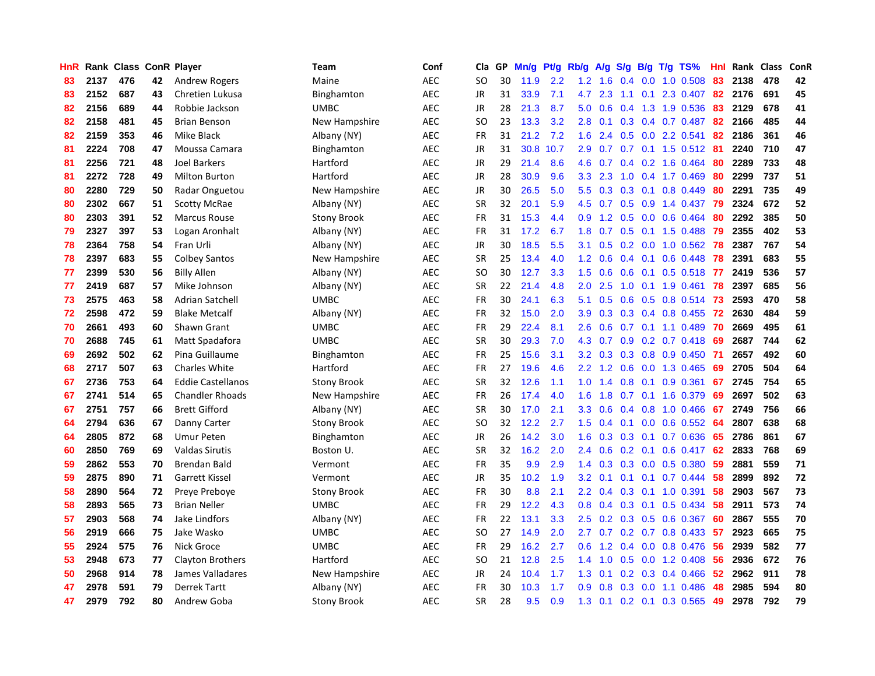| HnR |      | Rank Class ConR Player |    |                          | Team               | Conf       | Cla           | <b>GP</b> | Mn/g | <b>Pt/g</b> | Rb/g             | A/g | S/g |     | B/g T/g TS%              | Hnl | Rank | Class | <b>ConR</b> |
|-----|------|------------------------|----|--------------------------|--------------------|------------|---------------|-----------|------|-------------|------------------|-----|-----|-----|--------------------------|-----|------|-------|-------------|
| 83  | 2137 | 476                    | 42 | <b>Andrew Rogers</b>     | Maine              | <b>AEC</b> | SO            | 30        | 11.9 | 2.2         | 1.2              | 1.6 |     |     | $0.4$ 0.0 1.0 0.508      | 83  | 2138 | 478   | 42          |
| 83  | 2152 | 687                    | 43 | Chretien Lukusa          | Binghamton         | <b>AEC</b> | <b>JR</b>     | 31        | 33.9 | 7.1         | 4.7              | 2.3 |     |     | 1.1 0.1 2.3 0.407        | -82 | 2176 | 691   | 45          |
| 82  | 2156 | 689                    | 44 | Robbie Jackson           | <b>UMBC</b>        | <b>AEC</b> | JR            | 28        | 21.3 | 8.7         | 5.0              | 0.6 |     |     | 0.4 1.3 1.9 0.536        | 83  | 2129 | 678   | 41          |
| 82  | 2158 | 481                    | 45 | <b>Brian Benson</b>      | New Hampshire      | <b>AEC</b> | SO            | 23        | 13.3 | 3.2         | 2.8              | 0.1 |     |     | $0.3$ 0.4 0.7 0.487      | 82  | 2166 | 485   | 44          |
| 82  | 2159 | 353                    | 46 | Mike Black               | Albany (NY)        | <b>AEC</b> | <b>FR</b>     | 31        | 21.2 | 7.2         | 1.6              | 2.4 | 0.5 |     | $0.0$ 2.2 $0.541$        | 82  | 2186 | 361   | 46          |
| 81  | 2224 | 708                    | 47 | Moussa Camara            | Binghamton         | <b>AEC</b> | JR            | 31        | 30.8 | 10.7        | 2.9              | 0.7 |     |     | $0.7$ 0.1 1.5 0.512 81   |     | 2240 | 710   | 47          |
| 81  | 2256 | 721                    | 48 | <b>Joel Barkers</b>      | Hartford           | <b>AEC</b> | JR            | 29        | 21.4 | 8.6         | 4.6              | 0.7 |     |     | $0.4$ 0.2 1.6 0.464      | 80  | 2289 | 733   | 48          |
| 81  | 2272 | 728                    | 49 | <b>Milton Burton</b>     | Hartford           | <b>AEC</b> | JR            | 28        | 30.9 | 9.6         | 3.3 <sub>2</sub> | 2.3 | 1.0 |     | 0.4 1.7 0.469            | 80  | 2299 | 737   | 51          |
| 80  | 2280 | 729                    | 50 | Radar Onguetou           | New Hampshire      | <b>AEC</b> | <b>JR</b>     | 30        | 26.5 | 5.0         | 5.5              | 0.3 | 0.3 | 0.1 | 0.8 0.449                | 80  | 2291 | 735   | 49          |
| 80  | 2302 | 667                    | 51 | <b>Scotty McRae</b>      | Albany (NY)        | <b>AEC</b> | <b>SR</b>     | 32        | 20.1 | 5.9         | 4.5              | 0.7 |     |     | 0.5 0.9 1.4 0.437 79     |     | 2324 | 672   | 52          |
| 80  | 2303 | 391                    | 52 | <b>Marcus Rouse</b>      | <b>Stony Brook</b> | <b>AEC</b> | <b>FR</b>     | 31        | 15.3 | 4.4         | 0.9 <sub>0</sub> |     |     |     | 1.2 0.5 0.0 0.6 0.464 80 |     | 2292 | 385   | 50          |
| 79  | 2327 | 397                    | 53 | Logan Aronhalt           | Albany (NY)        | <b>AEC</b> | FR            | 31        | 17.2 | 6.7         | 1.8              | 0.7 |     |     | $0.5$ 0.1 1.5 0.488      | -79 | 2355 | 402   | 53          |
| 78  | 2364 | 758                    | 54 | Fran Urli                | Albany (NY)        | <b>AEC</b> | JR            | 30        | 18.5 | 5.5         | 3.1              | 0.5 |     |     | 0.2 0.0 1.0 0.562 78     |     | 2387 | 767   | 54          |
| 78  | 2397 | 683                    | 55 | <b>Colbey Santos</b>     | New Hampshire      | <b>AEC</b> | <b>SR</b>     | 25        | 13.4 | 4.0         | 1.2              | 0.6 |     |     | $0.4$ 0.1 0.6 0.448      | 78  | 2391 | 683   | 55          |
| 77  | 2399 | 530                    | 56 | <b>Billy Allen</b>       | Albany (NY)        | <b>AEC</b> | <b>SO</b>     | 30        | 12.7 | 3.3         | 1.5              | 0.6 | 0.6 |     | $0.1$ 0.5 0.518          | -77 | 2419 | 536   | 57          |
| 77  | 2419 | 687                    | 57 | Mike Johnson             | Albany (NY)        | <b>AEC</b> | <b>SR</b>     | 22        | 21.4 | 4.8         | 2.0              | 2.5 | 1.0 |     | $0.1$ 1.9 0.461          | 78  | 2397 | 685   | 56          |
| 73  | 2575 | 463                    | 58 | Adrian Satchell          | <b>UMBC</b>        | <b>AEC</b> | <b>FR</b>     | 30        | 24.1 | 6.3         | 5.1              | 0.5 | 0.6 |     | 0.5 0.8 0.514            | -73 | 2593 | 470   | 58          |
| 72  | 2598 | 472                    | 59 | <b>Blake Metcalf</b>     | Albany (NY)        | <b>AEC</b> | <b>FR</b>     | 32        | 15.0 | 2.0         | 3.9 <sup>°</sup> | 0.3 |     |     | $0.3$ 0.4 0.8 0.455      | -72 | 2630 | 484   | 59          |
| 70  | 2661 | 493                    | 60 | Shawn Grant              | <b>UMBC</b>        | <b>AEC</b> | <b>FR</b>     | 29        | 22.4 | 8.1         | 2.6              | 0.6 |     |     | $0.7$ 0.1 1.1 0.489      | -70 | 2669 | 495   | 61          |
| 70  | 2688 | 745                    | 61 | Matt Spadafora           | <b>UMBC</b>        | <b>AEC</b> | <b>SR</b>     | 30        | 29.3 | 7.0         | 4.3              | 0.7 |     |     | 0.9 0.2 0.7 0.418 69     |     | 2687 | 744   | 62          |
| 69  | 2692 | 502                    | 62 | Pina Guillaume           | Binghamton         | <b>AEC</b> | <b>FR</b>     | 25        | 15.6 | 3.1         | 3.2              | 0.3 |     |     | $0.3$ 0.8 0.9 0.450      | -71 | 2657 | 492   | 60          |
| 68  | 2717 | 507                    | 63 | <b>Charles White</b>     | Hartford           | <b>AEC</b> | <b>FR</b>     | 27        | 19.6 | 4.6         | 2.2              | 1.2 | 0.6 |     | $0.0$ 1.3 0.465          | 69  | 2705 | 504   | 64          |
| 67  | 2736 | 753                    | 64 | <b>Eddie Castellanos</b> | <b>Stony Brook</b> | <b>AEC</b> | <b>SR</b>     | 32        | 12.6 | 1.1         | 1.0              | 1.4 | 0.8 |     | $0.1$ 0.9 0.361          | 67  | 2745 | 754   | 65          |
| 67  | 2741 | 514                    | 65 | <b>Chandler Rhoads</b>   | New Hampshire      | <b>AEC</b> | <b>FR</b>     | 26        | 17.4 | 4.0         | 1.6              | 1.8 | 0.7 |     | 0.1 1.6 0.379            | 69  | 2697 | 502   | 63          |
| 67  | 2751 | 757                    | 66 | <b>Brett Gifford</b>     | Albany (NY)        | <b>AEC</b> | <b>SR</b>     | 30        | 17.0 | 2.1         | 3.3              | 0.6 |     |     | $0.4$ 0.8 1.0 0.466      | 67  | 2749 | 756   | 66          |
| 64  | 2794 | 636                    | 67 | Danny Carter             | <b>Stony Brook</b> | <b>AEC</b> | <sub>SO</sub> | 32        | 12.2 | 2.7         | 1.5              | 0.4 | 0.1 |     | $0.0$ $0.6$ $0.552$      | 64  | 2807 | 638   | 68          |
| 64  | 2805 | 872                    | 68 | <b>Umur Peten</b>        | Binghamton         | <b>AEC</b> | JR            | 26        | 14.2 | 3.0         | 1.6              | 0.3 |     |     | $0.3$ 0.1 0.7 0.636      | 65  | 2786 | 861   | 67          |
| 60  | 2850 | 769                    | 69 | <b>Valdas Sirutis</b>    | Boston U.          | <b>AEC</b> | <b>SR</b>     | 32        | 16.2 | 2.0         | $2.4^{\circ}$    | 0.6 |     |     | 0.2 0.1 0.6 0.417 62     |     | 2833 | 768   | 69          |
| 59  | 2862 | 553                    | 70 | Brendan Bald             | Vermont            | <b>AEC</b> | FR            | 35        | 9.9  | 2.9         | 1.4              | 0.3 |     |     | $0.3$ 0.0 0.5 0.380      | -59 | 2881 | 559   | 71          |
| 59  | 2875 | 890                    | 71 | Garrett Kissel           | Vermont            | <b>AEC</b> | JR            | 35        | 10.2 | 1.9         | 3.2              | 0.1 |     |     | $0.1$ 0.1 0.7 0.444      | -58 | 2899 | 892   | 72          |
| 58  | 2890 | 564                    | 72 | Preye Preboye            | <b>Stony Brook</b> | <b>AEC</b> | FR            | 30        | 8.8  | 2.1         | 2.2              | 0.4 | 0.3 | 0.1 | $1.0$ 0.391              | 58  | 2903 | 567   | 73          |
| 58  | 2893 | 565                    | 73 | <b>Brian Neller</b>      | <b>UMBC</b>        | <b>AEC</b> | FR            | 29        | 12.2 | 4.3         | 0.8              | 0.4 | 0.3 |     | $0.1$ 0.5 0.434          | 58  | 2911 | 573   | 74          |
| 57  | 2903 | 568                    | 74 | Jake Lindfors            | Albany (NY)        | <b>AEC</b> | <b>FR</b>     | 22        | 13.1 | 3.3         | 2.5              | 0.2 | 0.3 |     | $0.5$ 0.6 0.367          | 60  | 2867 | 555   | 70          |
| 56  | 2919 | 666                    | 75 | Jake Wasko               | <b>UMBC</b>        | <b>AEC</b> | SO            | 27        | 14.9 | 2.0         | $2.7^{\circ}$    | 0.7 |     |     | $0.2$ 0.7 0.8 0.433      | -57 | 2923 | 665   | 75          |
| 55  | 2924 | 575                    | 76 | Nick Groce               | <b>UMBC</b>        | <b>AEC</b> | <b>FR</b>     | 29        | 16.2 | 2.7         | 0.6              | 1.2 |     |     | $0.4$ 0.0 0.8 0.476      | -56 | 2939 | 582   | 77          |
| 53  | 2948 | 673                    | 77 | <b>Clayton Brothers</b>  | Hartford           | <b>AEC</b> | SO            | 21        | 12.8 | 2.5         | 1.4              | 1.0 |     |     | 0.5 0.0 1.2 0.408 56     |     | 2936 | 672   | 76          |
| 50  | 2968 | 914                    | 78 | James Valladares         | New Hampshire      | <b>AEC</b> | JR            | 24        | 10.4 | 1.7         | 1.3              | 0.1 |     |     | $0.2$ 0.3 0.4 0.466      | -52 | 2962 | 911   | 78          |
| 47  | 2978 | 591                    | 79 | <b>Derrek Tartt</b>      | Albany (NY)        | <b>AEC</b> | FR            | 30        | 10.3 | 1.7         | 0.9 <sup>°</sup> | 0.8 | 0.3 |     | $0.0$ 1.1 0.486          | 48  | 2985 | 594   | 80          |
| 47  | 2979 | 792                    | 80 | Andrew Goba              | <b>Stony Brook</b> | <b>AEC</b> | <b>SR</b>     | 28        | 9.5  | 0.9         | 1.3              | 0.1 |     |     | 0.2 0.1 0.3 0.565        | 49  | 2978 | 792   | 79          |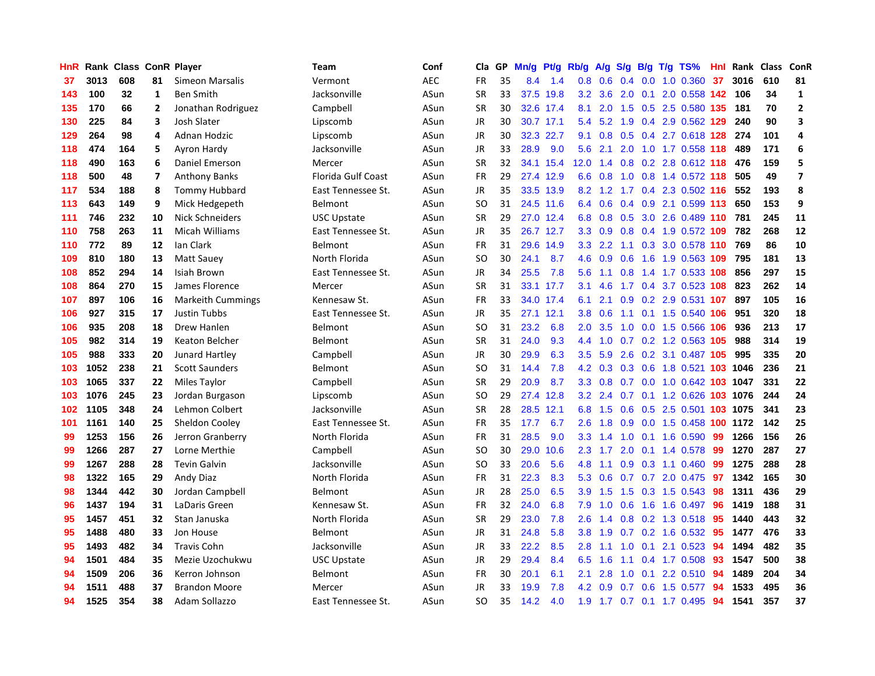| HnR |      | Rank Class ConR Player |                |                          | <b>Team</b>        | Conf       | Cla       | <b>GP</b> | Mn/g | <b>Pt/g</b> | Rb/g             | A/g    |                  |     | $S/g$ B/g T/g TS%           | Hnl | Rank | <b>Class</b> | ConR                    |
|-----|------|------------------------|----------------|--------------------------|--------------------|------------|-----------|-----------|------|-------------|------------------|--------|------------------|-----|-----------------------------|-----|------|--------------|-------------------------|
| 37  | 3013 | 608                    | 81             | Simeon Marsalis          | Vermont            | <b>AEC</b> | <b>FR</b> | 35        | 8.4  | 1.4         | 0.8              | 0.6    | 0.4              |     | $0.0$ 1.0 $0.360$           | 37  | 3016 | 610          | 81                      |
| 143 | 100  | 32                     | 1              | <b>Ben Smith</b>         | Jacksonville       | ASun       | <b>SR</b> | 33        |      | 37.5 19.8   | 3.2              | 3.6    |                  |     | 2.0 0.1 2.0 0.558 142 106   |     |      | 34           | $\mathbf{1}$            |
| 135 | 170  | 66                     | $\overline{2}$ | Jonathan Rodriguez       | Campbell           | ASun       | <b>SR</b> | 30        |      | 32.6 17.4   | 8.1              | 2.0    |                  |     | 1.5 0.5 2.5 0.580 135       |     | 181  | 70           | $\overline{2}$          |
| 130 | 225  | 84                     | 3              | Josh Slater              | Lipscomb           | ASun       | JR        | 30        |      | 30.7 17.1   | 5.4              | 5.2    | 1.9              |     | 0.4 2.9 0.562 129           |     | 240  | 90           | $\overline{\mathbf{3}}$ |
| 129 | 264  | 98                     | 4              | Adnan Hodzic             | Lipscomb           | ASun       | <b>JR</b> | 30        | 32.3 | 22.7        | 9.1              | 0.8    | 0.5              |     | 0.4 2.7 0.618 128           |     | 274  | 101          | $\overline{a}$          |
| 118 | 474  | 164                    | 5              | Ayron Hardy              | Jacksonville       | ASun       | JR        | 33        | 28.9 | 9.0         | 5.6              | 2.1    | 2.0              |     | 1.0 1.7 0.558 118           |     | 489  | 171          | 6                       |
| 118 | 490  | 163                    | 6              | Daniel Emerson           | Mercer             | ASun       | <b>SR</b> | 32        | 34.1 | 15.4        | 12.0             | 1.4    |                  |     | 0.8 0.2 2.8 0.612 118       |     | 476  | 159          | 5                       |
| 118 | 500  | 48                     | $\overline{7}$ | <b>Anthony Banks</b>     | Florida Gulf Coast | ASun       | <b>FR</b> | 29        | 27.4 | 12.9        | 6.6              | 0.8    | 1.0              |     | 0.8 1.4 0.572 118           |     | 505  | 49           | $\overline{\mathbf{z}}$ |
| 117 | 534  | 188                    | 8              | <b>Tommy Hubbard</b>     | East Tennessee St. | ASun       | JR        | 35        |      | 33.5 13.9   | 8.2              | 1.2    |                  |     | 1.7 0.4 2.3 0.502 116       |     | 552  | 193          | 8                       |
| 113 | 643  | 149                    | 9              | Mick Hedgepeth           | <b>Belmont</b>     | ASun       | SO        | 31        |      | 24.5 11.6   | 6.4              | 0.6    |                  |     | $0.4$ $0.9$ 2.1 $0.599$ 113 |     | 650  | 153          | 9                       |
| 111 | 746  | 232                    | 10             | Nick Schneiders          | <b>USC Upstate</b> | ASun       | <b>SR</b> | 29        |      | 27.0 12.4   | 6.8              | 0.8    |                  |     | 0.5 3.0 2.6 0.489 110 781   |     |      | 245          | 11                      |
| 110 | 758  | 263                    | 11             | Micah Williams           | East Tennessee St. | ASun       | JR        | 35        |      | 26.7 12.7   | 3.3 <sub>1</sub> | 0.9    |                  |     | 0.8 0.4 1.9 0.572 109 782   |     |      | 268          | 12                      |
| 110 | 772  | 89                     | 12             | lan Clark                | <b>Belmont</b>     | ASun       | <b>FR</b> | 31        | 29.6 | 14.9        | 3.3              | 2.2    |                  |     | 1.1 0.3 3.0 0.578 110 769   |     |      | 86           | 10                      |
| 109 | 810  | 180                    | 13             | <b>Matt Sauev</b>        | North Florida      | ASun       | <b>SO</b> | 30        | 24.1 | 8.7         | 4.6              | 0.9    | 0.6              |     | 1.6 1.9 0.563 109           |     | 795  | 181          | 13                      |
| 108 | 852  | 294                    | 14             | Isiah Brown              | East Tennessee St. | ASun       | <b>JR</b> | 34        | 25.5 | 7.8         | 5.6              | 1.1    | 0.8              |     | 1.4 1.7 0.533 108           |     | 856  | 297          | 15                      |
| 108 | 864  | 270                    | 15             | James Florence           | Mercer             | ASun       | <b>SR</b> | 31        |      | 33.1 17.7   | 3.1              | 4.6    | 1.7              |     | 0.4 3.7 0.523 108           |     | 823  | 262          | 14                      |
| 107 | 897  | 106                    | 16             | <b>Markeith Cummings</b> | Kennesaw St.       | ASun       | <b>FR</b> | 33        |      | 34.0 17.4   | 6.1              | 2.1    | 0.9 <sub>0</sub> |     | 0.2 2.9 0.531 107           |     | 897  | 105          | 16                      |
| 106 | 927  | 315                    | 17             | <b>Justin Tubbs</b>      | East Tennessee St. | ASun       | <b>JR</b> | 35        | 27.1 | 12.1        | 3.8              | 0.6    | 1.1              |     | 0.1 1.5 0.540 106           |     | 951  | 320          | 18                      |
| 106 | 935  | 208                    | 18             | Drew Hanlen              | Belmont            | ASun       | <b>SO</b> | 31        | 23.2 | 6.8         | 2.0              | 3.5    |                  |     | 1.0 0.0 1.5 0.566 106       |     | 936  | 213          | 17                      |
| 105 | 982  | 314                    | 19             | Keaton Belcher           | Belmont            | ASun       | <b>SR</b> | 31        | 24.0 | 9.3         | 4.4              |        |                  |     | 1.0 0.7 0.2 1.2 0.563 105   |     | 988  | 314          | 19                      |
| 105 | 988  | 333                    | 20             | <b>Junard Hartley</b>    | Campbell           | ASun       | JR        | 30        | 29.9 | 6.3         | 3.5              | 5.9    |                  |     | 2.6 0.2 3.1 0.487 105       |     | 995  | 335          | 20                      |
| 103 | 1052 | 238                    | 21             | <b>Scott Saunders</b>    | Belmont            | ASun       | <b>SO</b> | 31        | 14.4 | 7.8         | 4.2              | 0.3    |                  |     | 0.3 0.6 1.8 0.521 103 1046  |     |      | 236          | 21                      |
| 103 | 1065 | 337                    | 22             | Miles Taylor             | Campbell           | ASun       | <b>SR</b> | 29        | 20.9 | 8.7         | 3.3              | 0.8    |                  |     | 0.7 0.0 1.0 0.642 103 1047  |     |      | 331          | 22                      |
| 103 | 1076 | 245                    | 23             | Jordan Burgason          | Lipscomb           | ASun       | <b>SO</b> | 29        | 27.4 | 12.8        | 3.2              | 2.4    | 0.7              |     | 0.1 1.2 0.626 103           |     | 1076 | 244          | 24                      |
| 102 | 1105 | 348                    | 24             | Lehmon Colbert           | Jacksonville       | ASun       | <b>SR</b> | 28        | 28.5 | 12.1        | 6.8              | 1.5    | 0.6              |     | 0.5 2.5 0.501 103 1075      |     |      | 341          | 23                      |
| 101 | 1161 | 140                    | 25             | Sheldon Cooley           | East Tennessee St. | ASun       | FR        | 35        | 17.7 | 6.7         | 2.6              | 1.8    | 0.9              |     | 0.0 1.5 0.458 100 1172      |     |      | 142          | 25                      |
| 99  | 1253 | 156                    | 26             | Jerron Granberry         | North Florida      | ASun       | FR        | 31        | 28.5 | 9.0         | 3.3              | 1.4    |                  |     | 1.0 0.1 1.6 0.590           | -99 | 1266 | 156          | 26                      |
| 99  | 1266 | 287                    | 27             | Lorne Merthie            | Campbell           | ASun       | <b>SO</b> | 30        | 29.0 | 10.6        | 2.3              | $-1.7$ |                  |     | 2.0 0.1 1.4 0.578 99        |     | 1270 | 287          | 27                      |
| 99  | 1267 | 288                    | 28             | <b>Tevin Galvin</b>      | Jacksonville       | ASun       | SO.       | 33        | 20.6 | 5.6         | 4.8              | 1.1    |                  |     | $0.9$ 0.3 1.1 0.460         | -99 | 1275 | 288          | 28                      |
| 98  | 1322 | 165                    | 29             | Andy Diaz                | North Florida      | ASun       | <b>FR</b> | 31        | 22.3 | 8.3         | 5.3              | 0.6    |                  |     | $0.7$ $0.7$ $2.0$ $0.475$   | -97 | 1342 | 165          | 30                      |
| 98  | 1344 | 442                    | 30             | Jordan Campbell          | <b>Belmont</b>     | ASun       | JR        | 28        | 25.0 | 6.5         | 3.9              | 1.5    | 1.5              |     | 0.3 1.5 0.543               | 98  | 1311 | 436          | 29                      |
| 96  | 1437 | 194                    | 31             | LaDaris Green            | Kennesaw St.       | ASun       | <b>FR</b> | 32        | 24.0 | 6.8         | 7.9              | 1.0    | 0.6              |     | 1.6 1.6 0.497               | -96 | 1419 | 188          | 31                      |
| 95  | 1457 | 451                    | 32             | Stan Januska             | North Florida      | ASun       | <b>SR</b> | 29        | 23.0 | 7.8         | 2.6              | 1.4    | 0.8              |     | $0.2$ 1.3 $0.518$           | -95 | 1440 | 443          | 32                      |
| 95  | 1488 | 480                    | 33             | Jon House                | <b>Belmont</b>     | ASun       | JR        | 31        | 24.8 | 5.8         | 3.8              | 1.9    |                  |     | 0.7 0.2 1.6 0.532           | -95 | 1477 | 476          | 33                      |
| 95  | 1493 | 482                    | 34             | <b>Travis Cohn</b>       | Jacksonville       | ASun       | JR        | 33        | 22.2 | 8.5         | 2.8              | 1.1    | 1.0              | 0.1 | 2.1 0.523                   | 94  | 1494 | 482          | 35                      |
| 94  | 1501 | 484                    | 35             | Mezie Uzochukwu          | <b>USC Upstate</b> | ASun       | JR        | 29        | 29.4 | 8.4         | 6.5              | 1.6    |                  |     | 1.1 0.4 1.7 0.508 93        |     | 1547 | 500          | 38                      |
| 94  | 1509 | 206                    | 36             | Kerron Johnson           | <b>Belmont</b>     | ASun       | <b>FR</b> | 30        | 20.1 | 6.1         | 2.1              | 2.8    | 1.0              |     | $0.1$ 2.2 $0.510$           | -94 | 1489 | 204          | 34                      |
| 94  | 1511 | 488                    | 37             | <b>Brandon Moore</b>     | Mercer             | ASun       | JR        | 33        | 19.9 | 7.8         | 4.2              | 0.9    |                  |     | 0.7 0.6 1.5 0.577           | 94  | 1533 | 495          | 36                      |
| 94  | 1525 | 354                    | 38             | Adam Sollazzo            | East Tennessee St. | ASun       | SO.       | 35        | 14.2 | 4.0         | 1.9              |        |                  |     | 1.7 0.7 0.1 1.7 0.495       | 94  | 1541 | 357          | 37                      |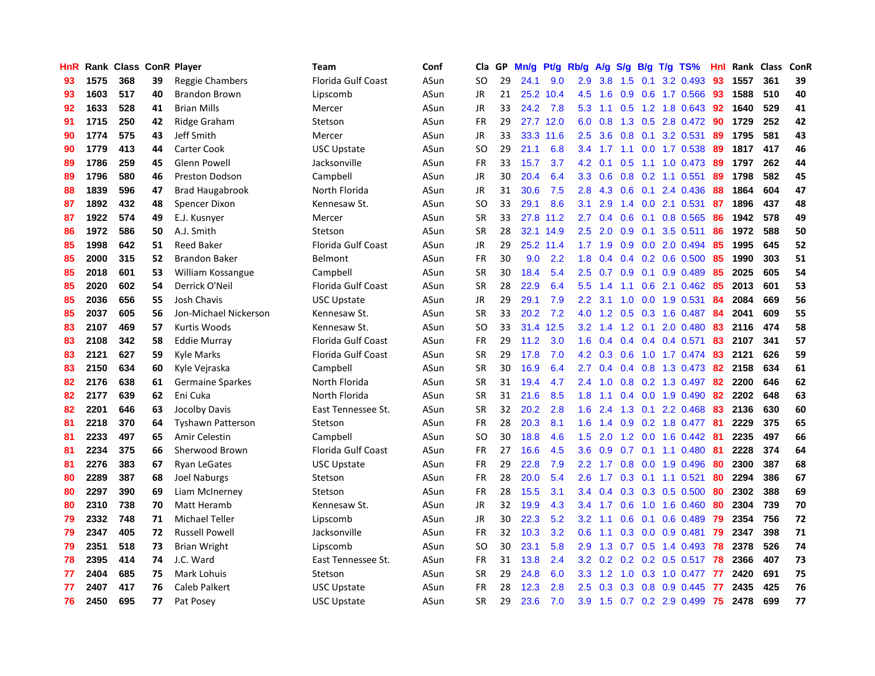| HnR |      | Rank Class ConR Player |    |                         | Team               | Conf | Cla           | <b>GP</b> | Mn/g | <b>Pt/g</b> | Rb/g             | A/g       | S/g              |     | B/g T/g TS%               | Hnl | Rank | Class | <b>ConR</b> |
|-----|------|------------------------|----|-------------------------|--------------------|------|---------------|-----------|------|-------------|------------------|-----------|------------------|-----|---------------------------|-----|------|-------|-------------|
| 93  | 1575 | 368                    | 39 | <b>Reggie Chambers</b>  | Florida Gulf Coast | ASun | <b>SO</b>     | 29        | 24.1 | 9.0         | 2.9              | 3.8       | 1.5              | 0.1 | 3.2 0.493                 | 93  | 1557 | 361   | 39          |
| 93  | 1603 | 517                    | 40 | <b>Brandon Brown</b>    | Lipscomb           | ASun | <b>JR</b>     | 21        |      | 25.2 10.4   | 4.5              | 1.6       |                  |     | 0.9 0.6 1.7 0.566 93      |     | 1588 | 510   | 40          |
| 92  | 1633 | 528                    | 41 | <b>Brian Mills</b>      | Mercer             | ASun | <b>JR</b>     | 33        | 24.2 | 7.8         | 5.3              | 1.1       |                  |     | $0.5$ 1.2 1.8 0.643       | -92 | 1640 | 529   | 41          |
| 91  | 1715 | 250                    | 42 | Ridge Graham            | Stetson            | ASun | FR            | 29        |      | 27.7 12.0   | 6.0              | 0.8       |                  |     | 1.3 0.5 2.8 0.472         | 90  | 1729 | 252   | 42          |
| 90  | 1774 | 575                    | 43 | Jeff Smith              | Mercer             | ASun | JR            | 33        | 33.3 | 11.6        | 2.5              | 3.6       | 0.8              |     | 0.1 3.2 0.531             | 89  | 1795 | 581   | 43          |
| 90  | 1779 | 413                    | 44 | Carter Cook             | USC Upstate        | ASun | SO            | 29        | 21.1 | 6.8         | 3.4              | 1.7       |                  |     | 1.1 0.0 1.7 0.538         | -89 | 1817 | 417   | 46          |
| 89  | 1786 | 259                    | 45 | Glenn Powell            | Jacksonville       | ASun | <b>FR</b>     | 33        | 15.7 | 3.7         | 4.2              | 0.1       | 0.5              |     | 1.1 1.0 0.473             | -89 | 1797 | 262   | 44          |
| 89  | 1796 | 580                    | 46 | <b>Preston Dodson</b>   | Campbell           | ASun | JR            | 30        | 20.4 | 6.4         | 3.3 <sub>2</sub> | 0.6       | 0.8              |     | $0.2$ 1.1 0.551           | 89  | 1798 | 582   | 45          |
| 88  | 1839 | 596                    | 47 | <b>Brad Haugabrook</b>  | North Florida      | ASun | JR            | 31        | 30.6 | 7.5         | 2.8              | 4.3       | 0.6              | 0.1 | 2.4 0.436                 | 88  | 1864 | 604   | 47          |
| 87  | 1892 | 432                    | 48 | Spencer Dixon           | Kennesaw St.       | ASun | SO            | 33        | 29.1 | 8.6         | 3.1              | 2.9       |                  |     | 1.4 0.0 2.1 0.531         | -87 | 1896 | 437   | 48          |
| 87  | 1922 | 574                    | 49 | E.J. Kusnyer            | Mercer             | ASun | <b>SR</b>     | 33        |      | 27.8 11.2   | $2.7^{\circ}$    | 0.4       |                  |     | 0.6 0.1 0.8 0.565 86      |     | 1942 | 578   | 49          |
| 86  | 1972 | 586                    | 50 | A.J. Smith              | Stetson            | ASun | <b>SR</b>     | 28        |      | 32.1 14.9   | $2.5^{\circ}$    | 2.0       |                  |     | $0.9$ 0.1 3.5 0.511       | -86 | 1972 | 588   | 50          |
| 85  | 1998 | 642                    | 51 | <b>Reed Baker</b>       | Florida Gulf Coast | ASun | <b>JR</b>     | 29        |      | 25.2 11.4   |                  | $1.7$ 1.9 |                  |     | $0.9$ 0.0 2.0 0.494       | 85  | 1995 | 645   | 52          |
| 85  | 2000 | 315                    | 52 | <b>Brandon Baker</b>    | Belmont            | ASun | <b>FR</b>     | 30        | 9.0  | 2.2         | 1.8              | 0.4       |                  |     | $0.4$ 0.2 0.6 0.500       | 85  | 1990 | 303   | 51          |
| 85  | 2018 | 601                    | 53 | William Kossangue       | Campbell           | ASun | <b>SR</b>     | 30        | 18.4 | 5.4         | 2.5              | 0.7       | 0.9 <sub>0</sub> |     | $0.1$ 0.9 0.489           | 85  | 2025 | 605   | 54          |
| 85  | 2020 | 602                    | 54 | Derrick O'Neil          | Florida Gulf Coast | ASun | <b>SR</b>     | 28        | 22.9 | 6.4         | 5.5              | 1.4       | 1.1              |     | $0.6$ 2.1 $0.462$         | 85  | 2013 | 601   | 53          |
| 85  | 2036 | 656                    | 55 | <b>Josh Chavis</b>      | <b>USC Upstate</b> | ASun | JR            | 29        | 29.1 | 7.9         | 2.2              | 3.1       | 1.0              |     | $0.0$ 1.9 0.531           | -84 | 2084 | 669   | 56          |
| 85  | 2037 | 605                    | 56 | Jon-Michael Nickerson   | Kennesaw St.       | ASun | <b>SR</b>     | 33        | 20.2 | 7.2         | 4.0              | 1.2       | 0.5              |     | 0.3 1.6 0.487             | 84  | 2041 | 609   | 55          |
| 83  | 2107 | 469                    | 57 | Kurtis Woods            | Kennesaw St.       | ASun | <sub>SO</sub> | 33        | 31.4 | 12.5        | 3.2              | 1.4       |                  |     | 1.2 0.1 2.0 0.480         | 83  | 2116 | 474   | 58          |
| 83  | 2108 | 342                    | 58 | <b>Eddie Murray</b>     | Florida Gulf Coast | ASun | <b>FR</b>     | 29        | 11.2 | 3.0         | 1.6              | 0.4       |                  |     | $0.4$ 0.4 0.4 0.571       | -83 | 2107 | 341   | 57          |
| 83  | 2121 | 627                    | 59 | <b>Kyle Marks</b>       | Florida Gulf Coast | ASun | <b>SR</b>     | 29        | 17.8 | 7.0         | 4.2              | 0.3       |                  |     | 0.6 1.0 1.7 0.474 83      |     | 2121 | 626   | 59          |
| 83  | 2150 | 634                    | 60 | Kyle Vejraska           | Campbell           | ASun | <b>SR</b>     | 30        | 16.9 | 6.4         | $2.7^{\circ}$    | 0.4       |                  |     | 0.4 0.8 1.3 0.473         | 82  | 2158 | 634   | 61          |
| 82  | 2176 | 638                    | 61 | <b>Germaine Sparkes</b> | North Florida      | ASun | <b>SR</b>     | 31        | 19.4 | 4.7         | 2.4              | 1.0       |                  |     | $0.8$ 0.2 1.3 0.497       | 82  | 2200 | 646   | 62          |
| 82  | 2177 | 639                    | 62 | Eni Cuka                | North Florida      | ASun | <b>SR</b>     | 31        | 21.6 | 8.5         | 1.8              | 1.1       |                  |     | 0.4 0.0 1.9 0.490         | 82  | 2202 | 648   | 63          |
| 82  | 2201 | 646                    | 63 | Jocolby Davis           | East Tennessee St. | ASun | <b>SR</b>     | 32        | 20.2 | 2.8         | 1.6              | 2.4       | 1.3              | 0.1 | 2.2 0.468                 | -83 | 2136 | 630   | 60          |
| 81  | 2218 | 370                    | 64 | Tyshawn Patterson       | Stetson            | ASun | FR            | 28        | 20.3 | 8.1         | 1.6              | 1.4       |                  |     | 0.9 0.2 1.8 0.477 81      |     | 2229 | 375   | 65          |
| 81  | 2233 | 497                    | 65 | Amir Celestin           | Campbell           | ASun | SO            | 30        | 18.8 | 4.6         | 1.5              | 2.0       |                  |     | 1.2 0.0 1.6 0.442 81      |     | 2235 | 497   | 66          |
| 81  | 2234 | 375                    | 66 | Sherwood Brown          | Florida Gulf Coast | ASun | <b>FR</b>     | 27        | 16.6 | 4.5         | 3.6              | 0.9       |                  |     | 0.7 0.1 1.1 0.480 81      |     | 2228 | 374   | 64          |
| 81  | 2276 | 383                    | 67 | <b>Ryan LeGates</b>     | USC Upstate        | ASun | <b>FR</b>     | 29        | 22.8 | 7.9         | $2.2^{\circ}$    | 1.7       |                  |     | $0.8$ 0.0 1.9 0.496       | -80 | 2300 | 387   | 68          |
| 80  | 2289 | 387                    | 68 | Joel Naburgs            | Stetson            | ASun | <b>FR</b>     | 28        | 20.0 | 5.4         | 2.6              | 1.7       |                  |     | $0.3$ 0.1 1.1 0.521       | 80  | 2294 | 386   | 67          |
| 80  | 2297 | 390                    | 69 | Liam McInerney          | Stetson            | ASun | <b>FR</b>     | 28        | 15.5 | 3.1         | 3.4              | 0.4       |                  |     | $0.3$ 0.3 0.5 0.500       | -80 | 2302 | 388   | 69          |
| 80  | 2310 | 738                    | 70 | Matt Heramb             | Kennesaw St.       | ASun | JR            | 32        | 19.9 | 4.3         | 3.4              | 1.7       | 0.6              |     | 1.0 1.6 0.460             | 80  | 2304 | 739   | 70          |
| 79  | 2332 | 748                    | 71 | <b>Michael Teller</b>   | Lipscomb           | ASun | <b>JR</b>     | 30        | 22.3 | 5.2         | 3.2              | 1.1       | 0.6              | 0.1 | $0.6$ 0.489               | 79  | 2354 | 756   | 72          |
| 79  | 2347 | 405                    | 72 | <b>Russell Powell</b>   | Jacksonville       | ASun | <b>FR</b>     | 32        | 10.3 | 3.2         | 0.6              | 1.1       | 0.3              |     | $0.0$ 0.9 0.481           | 79  | 2347 | 398   | 71          |
| 79  | 2351 | 518                    | 73 | <b>Brian Wright</b>     | Lipscomb           | ASun | <sub>SO</sub> | 30        | 23.1 | 5.8         | 2.9              | 1.3       | 0.7              |     | $0.5$ 1.4 0.493           | 78  | 2378 | 526   | 74          |
| 78  | 2395 | 414                    | 74 | J.C. Ward               | East Tennessee St. | ASun | <b>FR</b>     | 31        | 13.8 | 2.4         | 3.2              |           |                  |     | 0.2 0.2 0.2 0.5 0.517 78  |     | 2366 | 407   | 73          |
| 77  | 2404 | 685                    | 75 | Mark Lohuis             | Stetson            | ASun | <b>SR</b>     | 29        | 24.8 | 6.0         | 3.3 <sub>2</sub> | 1.2       |                  |     | 1.0 0.3 1.0 0.477         | -77 | 2420 | 691   | 75          |
| 77  | 2407 | 417                    | 76 | Caleb Palkert           | USC Upstate        | ASun | FR            | 28        | 12.3 | 2.8         | $2.5^{\circ}$    | 0.3       |                  |     | 0.3 0.8 0.9 0.445         | 77  | 2435 | 425   | 76          |
| 76  | 2450 | 695                    | 77 | Pat Posey               | <b>USC Upstate</b> | ASun | <b>SR</b>     | 29        | 23.6 | 7.0         | 3.9              | 1.5       |                  |     | $0.7$ $0.2$ $2.9$ $0.499$ | 75  | 2478 | 699   | 77          |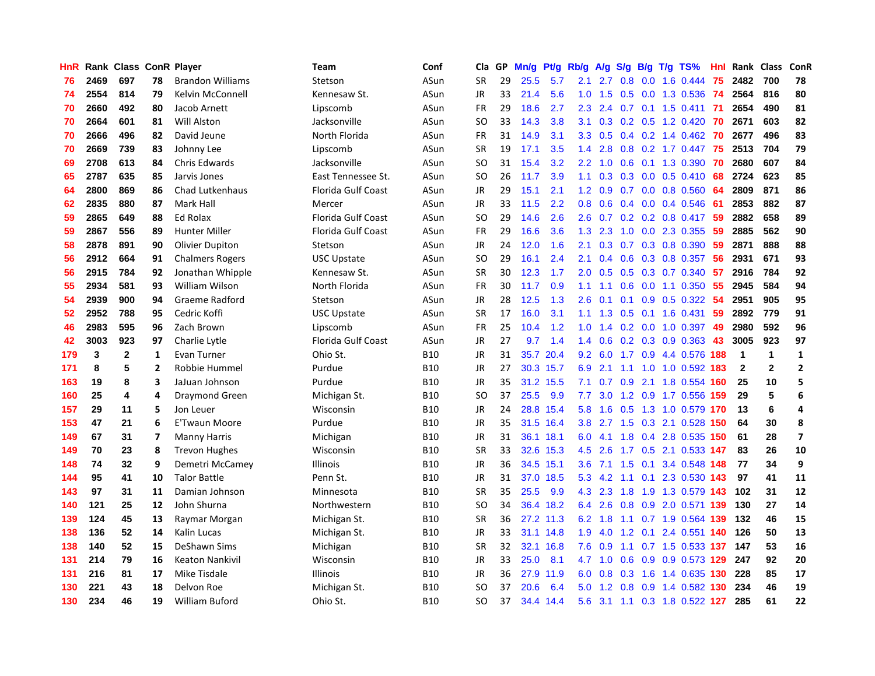| HnR |      | Rank Class ConR Player |                |                         | <b>Team</b>               | Conf       | Cla           | <b>GP</b> | Mn/g | <b>Pt/g</b> | Rb/g | A/g             |     |     | $S/g$ B/g T/g TS%             | Hnl | Rank         | Class          | ConR                    |
|-----|------|------------------------|----------------|-------------------------|---------------------------|------------|---------------|-----------|------|-------------|------|-----------------|-----|-----|-------------------------------|-----|--------------|----------------|-------------------------|
| 76  | 2469 | 697                    | 78             | <b>Brandon Williams</b> | Stetson                   | ASun       | <b>SR</b>     | 29        | 25.5 | 5.7         | 2.1  | 2.7             | 0.8 | 0.0 | 1.6 0.444                     | 75  | 2482         | 700            | 78                      |
| 74  | 2554 | 814                    | 79             | Kelvin McConnell        | Kennesaw St.              | ASun       | JR            | 33        | 21.4 | 5.6         | 1.0  | 1.5             |     |     | 0.5 0.0 1.3 0.536 74          |     | 2564         | 816            | 80                      |
| 70  | 2660 | 492                    | 80             | Jacob Arnett            | Lipscomb                  | ASun       | <b>FR</b>     | 29        | 18.6 | 2.7         | 2.3  | 2.4             |     |     | $0.7$ 0.1 1.5 0.411           | -71 | 2654         | 490            | 81                      |
| 70  | 2664 | 601                    | 81             | <b>Will Alston</b>      | Jacksonville              | ASun       | <sub>SO</sub> | 33        | 14.3 | 3.8         | 3.1  | 0.3             |     |     | $0.2$ $0.5$ 1.2 $0.420$       | -70 | 2671         | 603            | 82                      |
| 70  | 2666 | 496                    | 82             | David Jeune             | North Florida             | ASun       | <b>FR</b>     | 31        | 14.9 | 3.1         | 3.3  | 0.5             |     |     | $0.4$ 0.2 1.4 0.462           | -70 | 2677         | 496            | 83                      |
| 70  | 2669 | 739                    | 83             | Johnny Lee              | Lipscomb                  | ASun       | <b>SR</b>     | 19        | 17.1 | 3.5         | 1.4  | 2.8             |     |     | $0.8$ 0.2 1.7 0.447           | 75  | 2513         | 704            | 79                      |
| 69  | 2708 | 613                    | 84             | Chris Edwards           | Jacksonville              | ASun       | <b>SO</b>     | 31        | 15.4 | 3.2         | 2.2  | 1.0             | 0.6 |     | 0.1 1.3 0.390                 | 70  | 2680         | 607            | 84                      |
| 65  | 2787 | 635                    | 85             | Jarvis Jones            | East Tennessee St.        | ASun       | SO            | 26        | 11.7 | 3.9         | 1.1  | 0.3             | 0.3 |     | $0.0$ 0.5 0.410               | 68  | 2724         | 623            | 85                      |
| 64  | 2800 | 869                    | 86             | Chad Lutkenhaus         | Florida Gulf Coast        | ASun       | JR            | 29        | 15.1 | 2.1         | 1.2  | 0.9             |     |     | 0.7 0.0 0.8 0.560             | 64  | 2809         | 871            | 86                      |
| 62  | 2835 | 880                    | 87             | Mark Hall               | Mercer                    | ASun       | JR            | 33        | 11.5 | 2.2         | 0.8  | 0.6             |     |     | $0.4$ 0.0 0.4 0.546           | -61 | 2853         | 882            | 87                      |
| 59  | 2865 | 649                    | 88             | Ed Rolax                | Florida Gulf Coast        | ASun       | <sub>SO</sub> | 29        | 14.6 | 2.6         | 2.6  |                 |     |     | 0.7 0.2 0.2 0.8 0.417 59      |     | 2882         | 658            | 89                      |
| 59  | 2867 | 556                    | 89             | <b>Hunter Miller</b>    | Florida Gulf Coast        | ASun       | FR            | 29        | 16.6 | 3.6         | 1.3  | 2.3             |     |     | 1.0 0.0 2.3 0.355             | -59 | 2885         | 562            | 90                      |
| 58  | 2878 | 891                    | 90             | <b>Olivier Dupiton</b>  | Stetson                   | ASun       | <b>JR</b>     | 24        | 12.0 | 1.6         | 2.1  | 0.3             |     |     | 0.7 0.3 0.8 0.390             | 59  | 2871         | 888            | 88                      |
| 56  | 2912 | 664                    | 91             | <b>Chalmers Rogers</b>  | <b>USC Upstate</b>        | ASun       | <b>SO</b>     | 29        | 16.1 | 2.4         | 2.1  | 0.4             | 0.6 |     | 0.3 0.8 0.357                 | 56  | 2931         | 671            | 93                      |
| 56  | 2915 | 784                    | 92             | Jonathan Whipple        | Kennesaw St.              | ASun       | <b>SR</b>     | 30        | 12.3 | 1.7         | 2.0  | 0.5             | 0.5 |     | 0.3 0.7 0.340                 | 57  | 2916         | 784            | 92                      |
| 55  | 2934 | 581                    | 93             | William Wilson          | North Florida             | ASun       | FR            | 30        | 11.7 | 0.9         | 1.1  | 1.1             | 0.6 |     | $0.0$ 1.1 $0.350$             | 55  | 2945         | 584            | 94                      |
| 54  | 2939 | 900                    | 94             | Graeme Radford          | Stetson                   | ASun       | <b>JR</b>     | 28        | 12.5 | 1.3         | 2.6  | 0.1             | 0.1 |     | $0.9$ 0.5 0.322               | -54 | 2951         | 905            | 95                      |
| 52  | 2952 | 788                    | 95             | Cedric Koffi            | <b>USC Upstate</b>        | ASun       | <b>SR</b>     | 17        | 16.0 | 3.1         | 1.1  | 1.3             |     |     | 0.5 0.1 1.6 0.431             | 59  | 2892         | 779            | 91                      |
| 46  | 2983 | 595                    | 96             | Zach Brown              | Lipscomb                  | ASun       | FR            | 25        | 10.4 | 1.2         | 1.0  |                 |     |     | 1.4 0.2 0.0 1.0 0.397 49      |     | 2980         | 592            | 96                      |
| 42  | 3003 | 923                    | 97             | Charlie Lytle           | <b>Florida Gulf Coast</b> | ASun       | JR            | 27        | 9.7  | 1.4         | 1.4  | 0.6             |     |     | $0.2$ $0.3$ $0.9$ $0.363$     | 43  | 3005         | 923            | 97                      |
| 179 | 3    | $\mathbf{2}$           | $\mathbf{1}$   | Evan Turner             | Ohio St.                  | <b>B10</b> | JR            | 31        | 35.7 | 20.4        | 9.2  |                 |     |     | 6.0 1.7 0.9 4.4 0.576 188     |     | 1            | 1              | $\mathbf{1}$            |
| 171 | 8    | 5                      | $\overline{2}$ | Robbie Hummel           | Purdue                    | <b>B10</b> | JR            | 27        | 30.3 | 15.7        | 6.9  | 2.1             | 1.1 |     | 1.0 1.0 0.592 183             |     | $\mathbf{2}$ | $\overline{2}$ | $\overline{2}$          |
| 163 | 19   | 8                      | 3              | JaJuan Johnson          | Purdue                    | <b>B10</b> | JR            | 35        |      | 31.2 15.5   | 7.1  | 0.7             | 0.9 |     | 2.1 1.8 0.554                 | 160 | 25           | 10             | 5                       |
| 160 | 25   | 4                      | 4              | Draymond Green          | Michigan St.              | <b>B10</b> | <sub>SO</sub> | 37        | 25.5 | 9.9         | 7.7  | 3.0             |     |     | 1.2 0.9 1.7 0.556             | 159 | 29           | 5              | 6                       |
| 157 | 29   | 11                     | 5              | Jon Leuer               | Wisconsin                 | <b>B10</b> | JR            | 24        | 28.8 | 15.4        | 5.8  | 1.6             |     |     | 0.5 1.3 1.0 0.579 170         |     | 13           | 6              | 4                       |
| 153 | 47   | 21                     | 6              | <b>E'Twaun Moore</b>    | Purdue                    | <b>B10</b> | JR            | 35        |      | 31.5 16.4   | 3.8  | 2.7             |     |     | 1.5 0.3 2.1 0.528 150         |     | 64           | 30             | 8                       |
| 149 | 67   | 31                     | 7              | <b>Manny Harris</b>     | Michigan                  | <b>B10</b> | JR            | 31        |      | 36.1 18.1   |      | $6.0 \quad 4.1$ |     |     | 1.8 0.4 2.8 0.535 150         |     | 61           | 28             | $\overline{\mathbf{z}}$ |
| 149 | 70   | 23                     | 8              | <b>Trevon Hughes</b>    | Wisconsin                 | <b>B10</b> | <b>SR</b>     | 33        |      | 32.6 15.3   | 4.5  | 2.6             |     |     | 1.7 0.5 2.1 0.533 147         |     | 83           | 26             | 10                      |
| 148 | 74   | 32                     | 9              | Demetri McCamey         | Illinois                  | <b>B10</b> | JR            | 36        |      | 34.5 15.1   | 3.6  | 7.1             |     |     | 1.5 0.1 3.4 0.548 148         |     | 77           | 34             | 9                       |
| 144 | 95   | 41                     | 10             | <b>Talor Battle</b>     | Penn St.                  | <b>B10</b> | <b>JR</b>     | 31        | 37.0 | 18.5        | 5.3  | 4.2             | 1.1 |     | 0.1 2.3 0.530                 | 143 | 97           | 41             | 11                      |
| 143 | 97   | 31                     | 11             | Damian Johnson          | Minnesota                 | <b>B10</b> | <b>SR</b>     | 35        | 25.5 | 9.9         | 4.3  | 2.3             | 1.8 |     | 1.9 1.3 0.579 143             |     | 102          | 31             | 12                      |
| 140 | 121  | 25                     | 12             | John Shurna             | Northwestern              | <b>B10</b> | <b>SO</b>     | 34        | 36.4 | 18.2        | 6.4  | 2.6             | 0.8 |     | 0.9 2.0 0.571 139             |     | 130          | 27             | 14                      |
| 139 | 124  | 45                     | 13             | Raymar Morgan           | Michigan St.              | <b>B10</b> | <b>SR</b>     | 36        | 27.2 | 11.3        | 6.2  | 1.8             |     |     | 1.1 0.7 1.9 0.564 139         |     | 132          | 46             | 15                      |
| 138 | 136  | 52                     | 14             | Kalin Lucas             | Michigan St.              | <b>B10</b> | <b>JR</b>     | 33        | 31.1 | 14.8        | 1.9  | 4.0             | 1.2 | 0.1 | 2.4 0.551 140                 |     | 126          | 50             | 13                      |
| 138 | 140  | 52                     | 15             | DeShawn Sims            | Michigan                  | <b>B10</b> | <b>SR</b>     | 32        |      | 32.1 16.8   | 7.6  | 0.9             |     |     | 1.1 0.7 1.5 0.533 137 147     |     |              | 53             | 16                      |
| 131 | 214  | 79                     | 16             | <b>Keaton Nankivil</b>  | Wisconsin                 | <b>B10</b> | JR            | 33        | 25.0 | 8.1         |      | 4.7 1.0         |     |     | $0.6$ $0.9$ $0.9$ $0.573$ 129 |     | 247          | 92             | 20                      |
| 131 | 216  | 81                     | 17             | Mike Tisdale            | Illinois                  | <b>B10</b> | JR            | 36        | 27.9 | 11.9        | 6.0  | 0.8             |     |     | 0.3 1.6 1.4 0.635 130         |     | 228          | 85             | 17                      |
| 130 | 221  | 43                     | 18             | Delvon Roe              | Michigan St.              | <b>B10</b> | <sub>SO</sub> | 37        | 20.6 | 6.4         | 5.0  | 1.2             | 0.8 |     | 0.9 1.4 0.582                 | 130 | 234          | 46             | 19                      |
| 130 | 234  | 46                     | 19             | <b>William Buford</b>   | Ohio St.                  | <b>B10</b> | SO            | 37        |      | 34.4 14.4   | 5.6  |                 |     |     | 3.1 1.1 0.3 1.8 0.522 127     |     | 285          | 61             | 22                      |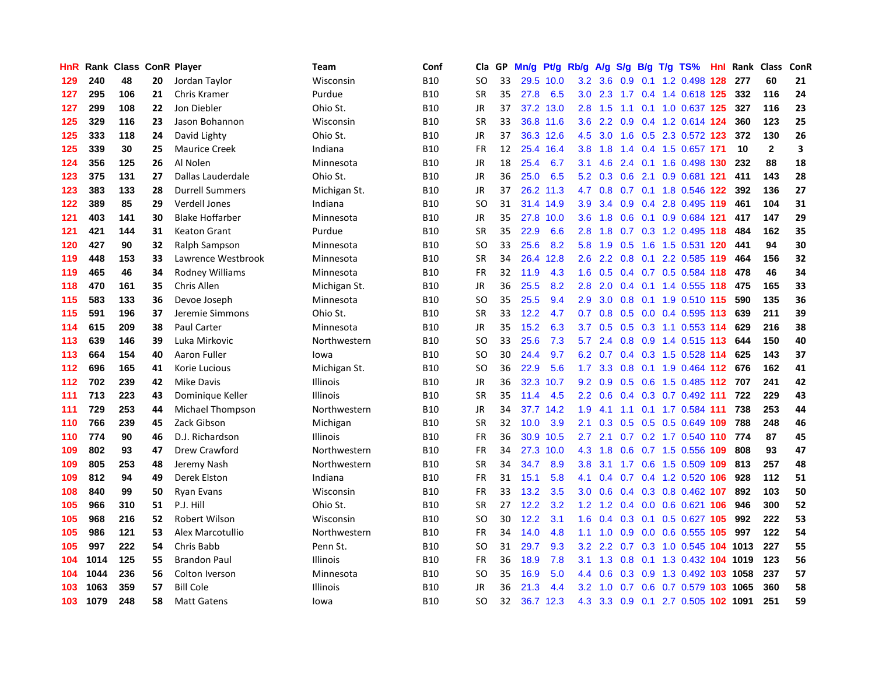| HnR |      | Rank Class ConR Player |    |                        | Team            | Conf       | Cla           | <b>GP</b> | Mn/g | Pt/g      | Rb/g             | A/g           |               |     | S/g B/g T/g TS%                   | Hnl | Rank | Class        | <b>ConR</b>             |
|-----|------|------------------------|----|------------------------|-----------------|------------|---------------|-----------|------|-----------|------------------|---------------|---------------|-----|-----------------------------------|-----|------|--------------|-------------------------|
| 129 | 240  | 48                     | 20 | Jordan Taylor          | Wisconsin       | <b>B10</b> | <b>SO</b>     | 33        | 29.5 | 10.0      | 3.2              | 3.6           | 0.9           |     | 0.1 1.2 0.498 128                 |     | 277  | 60           | 21                      |
| 127 | 295  | 106                    | 21 | Chris Kramer           | Purdue          | <b>B10</b> | <b>SR</b>     | 35        | 27.8 | 6.5       |                  | $3.0$ 2.3     |               |     | 1.7 0.4 1.4 0.618 125             |     | 332  | 116          | 24                      |
| 127 | 299  | 108                    | 22 | Jon Diebler            | Ohio St.        | <b>B10</b> | JR            | 37        | 37.2 | 13.0      | 2.8              | 1.5           |               |     | 1.1 0.1 1.0 0.637 125             |     | 327  | 116          | 23                      |
| 125 | 329  | 116                    | 23 | Jason Bohannon         | Wisconsin       | <b>B10</b> | <b>SR</b>     | 33        |      | 36.8 11.6 | 3.6              | $2.2^{\circ}$ |               |     | 0.9 0.4 1.2 0.614 124             |     | 360  | 123          | 25                      |
| 125 | 333  | 118                    | 24 | David Lighty           | Ohio St.        | <b>B10</b> | JR            | 37        |      | 36.3 12.6 | 4.5              | 3.0           | 1.6           |     | 0.5 2.3 0.572 123                 |     | 372  | 130          | 26                      |
| 125 | 339  | 30                     | 25 | <b>Maurice Creek</b>   | Indiana         | <b>B10</b> | FR            | 12        | 25.4 | 16.4      | 3.8              | 1.8           |               |     | 1.4 0.4 1.5 0.657 171             |     | 10   | $\mathbf{2}$ | $\overline{\mathbf{3}}$ |
| 124 | 356  | 125                    | 26 | Al Nolen               | Minnesota       | <b>B10</b> | JR            | 18        | 25.4 | 6.7       | 3.1              | 4.6           | 2.4           |     | 0.1 1.6 0.498 130                 |     | 232  | 88           | 18                      |
| 123 | 375  | 131                    | 27 | Dallas Lauderdale      | Ohio St.        | <b>B10</b> | JR            | 36        | 25.0 | 6.5       | 5.2              | 0.3           | 0.6           | 2.1 | 0.9 0.681 121                     |     | 411  | 143          | 28                      |
| 123 | 383  | 133                    | 28 | <b>Durrell Summers</b> | Michigan St.    | <b>B10</b> | JR            | 37        | 26.2 | 11.3      | 4.7              | 0.8           | 0.7           |     | 0.1 1.8 0.546 122                 |     | 392  | 136          | 27                      |
| 122 | 389  | 85                     | 29 | <b>Verdell Jones</b>   | Indiana         | <b>B10</b> | SO            | 31        |      | 31.4 14.9 | 3.9 <sup>°</sup> | 3.4           |               |     | 0.9 0.4 2.8 0.495 119             |     | 461  | 104          | 31                      |
| 121 | 403  | 141                    | 30 | <b>Blake Hoffarber</b> | Minnesota       | <b>B10</b> | JR            | 35        | 27.8 | 10.0      | 3.6              | 1.8           |               |     | 0.6 0.1 0.9 0.684 121             |     | 417  | 147          | 29                      |
| 121 | 421  | 144                    | 31 | Keaton Grant           | Purdue          | <b>B10</b> | <b>SR</b>     | 35        | 22.9 | 6.6       | 2.8              | 1.8           |               |     | $0.7$ $0.3$ 1.2 $0.495$ 118       |     | 484  | 162          | 35                      |
| 120 | 427  | 90                     | 32 | Ralph Sampson          | Minnesota       | <b>B10</b> | <b>SO</b>     | 33        | 25.6 | 8.2       | 5.8              | 1.9           | 0.5           |     | 1.6 1.5 0.531 120                 |     | 441  | 94           | 30                      |
| 119 | 448  | 153                    | 33 | Lawrence Westbrook     | Minnesota       | <b>B10</b> | <b>SR</b>     | 34        | 26.4 | 12.8      | 2.6              | 2.2           | 0.8           |     | 0.1 2.2 0.585 119                 |     | 464  | 156          | 32                      |
| 119 | 465  | 46                     | 34 | <b>Rodney Williams</b> | Minnesota       | <b>B10</b> | <b>FR</b>     | 32        | 11.9 | 4.3       | 1.6              | 0.5           |               |     | $0.4$ 0.7 0.5 0.584 118           |     | 478  | 46           | 34                      |
| 118 | 470  | 161                    | 35 | Chris Allen            | Michigan St.    | <b>B10</b> | JR            | 36        | 25.5 | 8.2       | 2.8              | 2.0           |               |     | $0.4$ 0.1 1.4 0.555 118           |     | 475  | 165          | 33                      |
| 115 | 583  | 133                    | 36 | Devoe Joseph           | Minnesota       | <b>B10</b> | <sub>SO</sub> | 35        | 25.5 | 9.4       | 2.9              | 3.0           | 0.8           |     | 0.1 1.9 0.510 115                 |     | 590  | 135          | 36                      |
| 115 | 591  | 196                    | 37 | Jeremie Simmons        | Ohio St.        | <b>B10</b> | <b>SR</b>     | 33        | 12.2 | 4.7       | 0.7              | 0.8           |               |     | $0.5$ 0.0 0.4 0.595 113           |     | 639  | 211          | 39                      |
| 114 | 615  | 209                    | 38 | <b>Paul Carter</b>     | Minnesota       | <b>B10</b> | JR            | 35        | 15.2 | 6.3       | 3.7              |               |               |     | $0.5$ $0.5$ $0.3$ 1.1 $0.553$ 114 |     | 629  | 216          | 38                      |
| 113 | 639  | 146                    | 39 | Luka Mirkovic          | Northwestern    | <b>B10</b> | SO.           | 33        | 25.6 | 7.3       | 5.7              | 2.4           |               |     | 0.8 0.9 1.4 0.515 113             |     | 644  | 150          | 40                      |
| 113 | 664  | 154                    | 40 | Aaron Fuller           | lowa            | <b>B10</b> | SO.           | 30        | 24.4 | 9.7       | 6.2              | 0.7           |               |     | $0.4$ 0.3 1.5 0.528 114           |     | 625  | 143          | 37                      |
| 112 | 696  | 165                    | 41 | Korie Lucious          | Michigan St.    | <b>B10</b> | SO.           | 36        | 22.9 | 5.6       | 1.7              | 3.3           | 0.8           |     | 0.1 1.9 0.464 112                 |     | 676  | 162          | 41                      |
| 112 | 702  | 239                    | 42 | <b>Mike Davis</b>      | <b>Illinois</b> | <b>B10</b> | JR            | 36        | 32.3 | 10.7      | 9.2              | 0.9           | 0.5           |     | 0.6 1.5 0.485 112                 |     | 707  | 241          | 42                      |
| 111 | 713  | 223                    | 43 | Dominique Keller       | <b>Illinois</b> | <b>B10</b> | <b>SR</b>     | 35        | 11.4 | 4.5       | $2.2^{\circ}$    | 0.6           |               |     | $0.4$ 0.3 0.7 0.492 111           |     | 722  | 229          | 43                      |
| 111 | 729  | 253                    | 44 | Michael Thompson       | Northwestern    | <b>B10</b> | <b>JR</b>     | 34        | 37.7 | 14.2      | 1.9              | 4.1           | 1.1           |     | $0.1$ 1.7 0.584 111               |     | 738  | 253          | 44                      |
| 110 | 766  | 239                    | 45 | Zack Gibson            | Michigan        | <b>B10</b> | <b>SR</b>     | 32        | 10.0 | 3.9       | 2.1              | 0.3           |               |     | $0.5$ $0.5$ $0.5$ $0.649$ 109     |     | 788  | 248          | 46                      |
| 110 | 774  | 90                     | 46 | D.J. Richardson        | <b>Illinois</b> | <b>B10</b> | <b>FR</b>     | 36        |      | 30.9 10.5 | $2.7^{\circ}$    | 2.1           |               |     | 0.7 0.2 1.7 0.540 110 774         |     |      | 87           | 45                      |
| 109 | 802  | 93                     | 47 | Drew Crawford          | Northwestern    | <b>B10</b> | <b>FR</b>     | 34        | 27.3 | 10.0      | 4.3              | 1.8           |               |     | 0.6 0.7 1.5 0.556 109             |     | 808  | 93           | 47                      |
| 109 | 805  | 253                    | 48 | Jeremy Nash            | Northwestern    | <b>B10</b> | <b>SR</b>     | 34        | 34.7 | 8.9       | 3.8              | 3.1           |               |     | 1.7 0.6 1.5 0.509 109             |     | 813  | 257          | 48                      |
| 109 | 812  | 94                     | 49 | Derek Elston           | Indiana         | <b>B10</b> | <b>FR</b>     | 31        | 15.1 | 5.8       | 4.1              | 0.4           |               |     | 0.7 0.4 1.2 0.520 106             |     | 928  | 112          | 51                      |
| 108 | 840  | 99                     | 50 | Ryan Evans             | Wisconsin       | <b>B10</b> | <b>FR</b>     | 33        | 13.2 | 3.5       | 3.0 <sub>2</sub> | 0.6           |               |     | 0.4 0.3 0.8 0.462 107             |     | 892  | 103          | 50                      |
| 105 | 966  | 310                    | 51 | P.J. Hill              | Ohio St.        | <b>B10</b> | <b>SR</b>     | 27        | 12.2 | 3.2       | 1.2              | 1.2           | $0.4^{\circ}$ |     | 0.0 0.6 0.621 106                 |     | 946  | 300          | 52                      |
| 105 | 968  | 216                    | 52 | <b>Robert Wilson</b>   | Wisconsin       | <b>B10</b> | <b>SO</b>     | 30        | 12.2 | 3.1       | 1.6              | 0.4           | 0.3           |     | 0.1 0.5 0.627 105                 |     | 992  | 222          | 53                      |
| 105 | 986  | 121                    | 53 | Alex Marcotullio       | Northwestern    | <b>B10</b> | <b>FR</b>     | 34        | 14.0 | 4.8       | 1.1              | 1.0           | 0.9           |     | 0.0 0.6 0.555 105                 |     | 997  | 122          | 54                      |
| 105 | 997  | 222                    | 54 | Chris Babb             | Penn St.        | <b>B10</b> | <b>SO</b>     | 31        | 29.7 | 9.3       | 3.2              | $2.2^{\circ}$ |               |     | 0.7 0.3 1.0 0.545 104 1013        |     |      | 227          | 55                      |
| 104 | 1014 | 125                    | 55 | <b>Brandon Paul</b>    | Illinois        | <b>B10</b> | FR            | 36        | 18.9 | 7.8       | 3.1              |               |               |     | 1.3 0.8 0.1 1.3 0.432 104 1019    |     |      | 123          | 56                      |
| 104 | 1044 | 236                    | 56 | Colton Iverson         | Minnesota       | <b>B10</b> | SO            | 35        | 16.9 | 5.0       | 4.4              | 0.6           |               |     | 0.3 0.9 1.3 0.492 103 1058        |     |      | 237          | 57                      |
| 103 | 1063 | 359                    | 57 | <b>Bill Cole</b>       | Illinois        | <b>B10</b> | <b>JR</b>     | 36        | 21.3 | 4.4       | 3.2              | 1.0           |               |     | 0.7 0.6 0.7 0.579 103 1065        |     |      | 360          | 58                      |
| 103 | 1079 | 248                    | 58 | <b>Matt Gatens</b>     | lowa            | <b>B10</b> | SO            | 32        |      | 36.7 12.3 | 4.3              |               |               |     | 3.3 0.9 0.1 2.7 0.505 102 1091    |     |      | 251          | 59                      |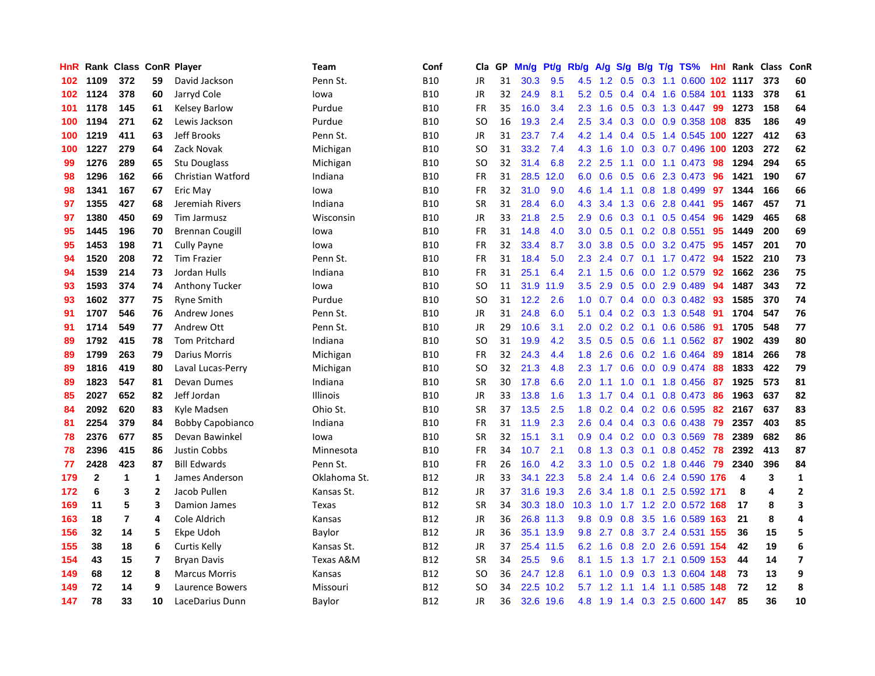| HnR |              | Rank Class ConR Player |                         |                         | Team            | Conf       | Cla.          | <b>GP</b> | Mn/g | <b>Pt/g</b> | Rb/g             | A/g | S/g           |                 | B/g T/g TS%                  |     | <b>Hnl Rank Class</b> |     | ConR                    |
|-----|--------------|------------------------|-------------------------|-------------------------|-----------------|------------|---------------|-----------|------|-------------|------------------|-----|---------------|-----------------|------------------------------|-----|-----------------------|-----|-------------------------|
| 102 | 1109         | 372                    | 59                      | David Jackson           | Penn St.        | <b>B10</b> | <b>JR</b>     | 31        | 30.3 | 9.5         | 4.5              | 1.2 |               |                 | 0.5 0.3 1.1 0.600 102 1117   |     |                       | 373 | 60                      |
| 102 | 1124         | 378                    | 60                      | Jarryd Cole             | lowa            | <b>B10</b> | <b>JR</b>     | 32        | 24.9 | 8.1         | 5.2              | 0.5 |               |                 | 0.4 0.4 1.6 0.584 101 1133   |     |                       | 378 | 61                      |
| 101 | 1178         | 145                    | 61                      | <b>Kelsey Barlow</b>    | Purdue          | <b>B10</b> | <b>FR</b>     | 35        | 16.0 | 3.4         | 2.3              | 1.6 |               |                 | 0.5 0.3 1.3 0.447 99         |     | 1273                  | 158 | 64                      |
| 100 | 1194         | 271                    | 62                      | Lewis Jackson           | Purdue          | <b>B10</b> | <sub>SO</sub> | 16        | 19.3 | 2.4         | 2.5              | 3.4 |               |                 | 0.3 0.0 0.9 0.358 108        |     | 835                   | 186 | 49                      |
| 100 | 1219         | 411                    | 63                      | <b>Jeff Brooks</b>      | Penn St.        | <b>B10</b> | <b>JR</b>     | 31        | 23.7 | 7.4         | 4.2              | 1.4 | $0.4^{\circ}$ |                 | 0.5 1.4 0.545 100 1227       |     |                       | 412 | 63                      |
| 100 | 1227         | 279                    | 64                      | Zack Novak              | Michigan        | <b>B10</b> | SO            | 31        | 33.2 | 7.4         | 4.3              | 1.6 | 1.0           |                 | 0.3 0.7 0.496 100 1203       |     |                       | 272 | 62                      |
| 99  | 1276         | 289                    | 65                      | <b>Stu Douglass</b>     | Michigan        | <b>B10</b> | SO.           | 32        | 31.4 | 6.8         | 2.2              | 2.5 | 1.1           |                 | $0.0$ 1.1 $0.473$            | 98  | 1294                  | 294 | 65                      |
| 98  | 1296         | 162                    | 66                      | Christian Watford       | Indiana         | <b>B10</b> | <b>FR</b>     | 31        | 28.5 | 12.0        | 6.0              | 0.6 | 0.5           |                 | 0.6 2.3 0.473                | -96 | 1421                  | 190 | 67                      |
| 98  | 1341         | 167                    | 67                      | Eric May                | lowa            | <b>B10</b> | <b>FR</b>     | 32        | 31.0 | 9.0         | 4.6              | 1.4 | 1.1           |                 | $0.8$ 1.8 0.499              | 97  | 1344                  | 166 | 66                      |
| 97  | 1355         | 427                    | 68                      | Jeremiah Rivers         | Indiana         | <b>B10</b> | <b>SR</b>     | 31        | 28.4 | 6.0         | 4.3              | 3.4 |               |                 | 1.3 0.6 2.8 0.441            | -95 | 1467                  | 457 | 71                      |
| 97  | 1380         | 450                    | 69                      | Tim Jarmusz             | Wisconsin       | <b>B10</b> | JR            | 33        | 21.8 | 2.5         | 2.9              | 0.6 |               |                 | $0.3$ 0.1 0.5 0.454          | -96 | 1429                  | 465 | 68                      |
| 95  | 1445         | 196                    | 70                      | Brennan Cougill         | lowa            | <b>B10</b> | <b>FR</b>     | 31        | 14.8 | 4.0         | 3.0 <sub>2</sub> | 0.5 |               |                 | $0.1$ 0.2 0.8 0.551          | -95 | 1449                  | 200 | 69                      |
| 95  | 1453         | 198                    | 71                      | Cully Payne             | lowa            | <b>B10</b> | <b>FR</b>     | 32        | 33.4 | 8.7         | 3.0              | 3.8 | 0.5           |                 | 0.0 3.2 0.475                | -95 | 1457                  | 201 | 70                      |
| 94  | 1520         | 208                    | 72                      | <b>Tim Frazier</b>      | Penn St.        | <b>B10</b> | <b>FR</b>     | 31        | 18.4 | 5.0         | 2.3              | 2.4 | 0.7           |                 | 0.1 1.7 0.472 94             |     | 1522                  | 210 | 73                      |
| 94  | 1539         | 214                    | 73                      | Jordan Hulls            | Indiana         | <b>B10</b> | <b>FR</b>     | 31        | 25.1 | 6.4         | 2.1              | 1.5 | 0.6           |                 | 0.0 1.2 0.579                | 92  | 1662                  | 236 | 75                      |
| 93  | 1593         | 374                    | 74                      | <b>Anthony Tucker</b>   | lowa            | <b>B10</b> | SO            | 11        | 31.9 | 11.9        | 3.5              | 2.9 | 0.5           |                 | $0.0$ 2.9 $0.489$            | 94  | 1487                  | 343 | 72                      |
| 93  | 1602         | 377                    | 75                      | <b>Ryne Smith</b>       | Purdue          | <b>B10</b> | <sub>SO</sub> | 31        | 12.2 | 2.6         | 1.0              | 0.7 |               |                 | 0.4 0.0 0.3 0.482 93         |     | 1585                  | 370 | 74                      |
| 91  | 1707         | 546                    | 76                      | Andrew Jones            | Penn St.        | <b>B10</b> | JR            | 31        | 24.8 | 6.0         | 5.1              | 0.4 |               |                 | 0.2 0.3 1.3 0.548            | -91 | 1704                  | 547 | 76                      |
| 91  | 1714         | 549                    | 77                      | Andrew Ott              | Penn St.        | <b>B10</b> | JR            | 29        | 10.6 | 3.1         | 2.0              |     |               |                 | 0.2 0.2 0.1 0.6 0.586 91     |     | 1705                  | 548 | 77                      |
| 89  | 1792         | 415                    | 78                      | <b>Tom Pritchard</b>    | Indiana         | <b>B10</b> | SO            | 31        | 19.9 | 4.2         | 3.5              | 0.5 |               |                 | 0.5 0.6 1.1 0.562 87         |     | 1902                  | 439 | 80                      |
| 89  | 1799         | 263                    | 79                      | Darius Morris           | Michigan        | <b>B10</b> | <b>FR</b>     | 32        | 24.3 | 4.4         | 1.8              | 2.6 |               |                 | $0.6$ 0.2 1.6 0.464          | -89 | 1814                  | 266 | 78                      |
| 89  | 1816         | 419                    | 80                      | Laval Lucas-Perry       | Michigan        | <b>B10</b> | SO.           | 32        | 21.3 | 4.8         | 2.3              | 1.7 |               |                 | $0.6$ $0.0$ $0.9$ $0.474$ 88 |     | 1833                  | 422 | 79                      |
| 89  | 1823         | 547                    | 81                      | Devan Dumes             | Indiana         | <b>B10</b> | <b>SR</b>     | 30        | 17.8 | 6.6         | 2.0              | 1.1 | 1.0           |                 | $0.1$ 1.8 0.456              | 87  | 1925                  | 573 | 81                      |
| 85  | 2027         | 652                    | 82                      | Jeff Jordan             | <b>Illinois</b> | <b>B10</b> | JR            | 33        | 13.8 | 1.6         | 1.3              | 1.7 |               | $0.4 \quad 0.1$ | 0.8 0.473                    | -86 | 1963                  | 637 | 82                      |
| 84  | 2092         | 620                    | 83                      | Kyle Madsen             | Ohio St.        | <b>B10</b> | <b>SR</b>     | 37        | 13.5 | 2.5         | 1.8              | 0.2 |               |                 | $0.4$ 0.2 0.6 0.595          | 82  | 2167                  | 637 | 83                      |
| 81  | 2254         | 379                    | 84                      | <b>Bobby Capobianco</b> | Indiana         | <b>B10</b> | FR            | 31        | 11.9 | 2.3         | 2.6              | 0.4 |               |                 | $0.4$ 0.3 0.6 0.438          | -79 | 2357                  | 403 | 85                      |
| 78  | 2376         | 677                    | 85                      | Devan Bawinkel          | lowa            | <b>B10</b> | <b>SR</b>     | 32        | 15.1 | 3.1         |                  |     |               |                 | 0.9 0.4 0.2 0.0 0.3 0.569 78 |     | 2389                  | 682 | 86                      |
| 78  | 2396         | 415                    | 86                      | <b>Justin Cobbs</b>     | Minnesota       | <b>B10</b> | <b>FR</b>     | 34        | 10.7 | 2.1         | 0.8              | 1.3 |               |                 | 0.3 0.1 0.8 0.452 78         |     | 2392                  | 413 | 87                      |
| 77  | 2428         | 423                    | 87                      | <b>Bill Edwards</b>     | Penn St.        | <b>B10</b> | <b>FR</b>     | 26        | 16.0 | 4.2         | 3.3              | 1.0 |               |                 | 0.5 0.2 1.8 0.446 79         |     | 2340                  | 396 | 84                      |
| 179 | $\mathbf{2}$ | 1                      | 1                       | James Anderson          | Oklahoma St.    | <b>B12</b> | <b>JR</b>     | 33        | 34.1 | 22.3        | 5.8              | 2.4 |               |                 | 1.4 0.6 2.4 0.590            | 176 | 4                     | 3   | $\mathbf{1}$            |
| 172 | 6            | 3                      | $\overline{2}$          | Jacob Pullen            | Kansas St.      | B12        | JR            | 37        |      | 31.6 19.3   | 2.6              | 3.4 | 1.8           |                 | 0.1 2.5 0.592 171            |     | 8                     | 4   | $\overline{2}$          |
| 169 | 11           | 5                      | $\overline{\mathbf{3}}$ | Damion James            | Texas           | <b>B12</b> | <b>SR</b>     | 34        |      | 30.3 18.0   | 10.3             | 1.0 | 1.7           |                 | 1.2 2.0 0.572                | 168 | 17                    | 8   | 3                       |
| 163 | 18           | 7                      | 4                       | Cole Aldrich            | Kansas          | <b>B12</b> | JR            | 36        |      | 26.8 11.3   | 9.8              | 0.9 | 0.8           |                 | 3.5 1.6 0.589 163            |     | 21                    | 8   | 4                       |
| 156 | 32           | 14                     | 5                       | Ekpe Udoh               | Baylor          | <b>B12</b> | <b>JR</b>     | 36        |      | 35.1 13.9   | 9.8              | 2.7 | 0.8           |                 | 3.7 2.4 0.531 155            |     | 36                    | 15  | 5                       |
| 155 | 38           | 18                     | 6                       | Curtis Kelly            | Kansas St.      | <b>B12</b> | JR            | 37        |      | 25.4 11.5   | 6.2              | 1.6 |               |                 | 0.8 2.0 2.6 0.591 154        |     | 42                    | 19  | 6                       |
| 154 | 43           | 15                     | 7                       | <b>Bryan Davis</b>      | Texas A&M       | <b>B12</b> | <b>SR</b>     | 34        | 25.5 | 9.6         | 8.1              | 1.5 |               |                 | 1.3 1.7 2.1 0.509 153        |     | 44                    | 14  | $\overline{\mathbf{z}}$ |
| 149 | 68           | 12                     | 8                       | <b>Marcus Morris</b>    | Kansas          | B12        | SO            | 36        |      | 24.7 12.8   | 6.1              | 1.0 |               |                 | 0.9 0.3 1.3 0.604 148        |     | 73                    | 13  | 9                       |
| 149 | 72           | 14                     | 9                       | Laurence Bowers         | Missouri        | <b>B12</b> | <sub>SO</sub> | 34        |      | 22.5 10.2   | 5.7              | 1.2 | 1.1           |                 | 1.4 1.1 0.585                | 148 | 72                    | 12  | 8                       |
| 147 | 78           | 33                     | 10                      | LaceDarius Dunn         | Baylor          | B12        | <b>JR</b>     | 36        |      | 32.6 19.6   | 4.8              | 1.9 |               |                 | 1.4 0.3 2.5 0.600 147        |     | 85                    | 36  | 10                      |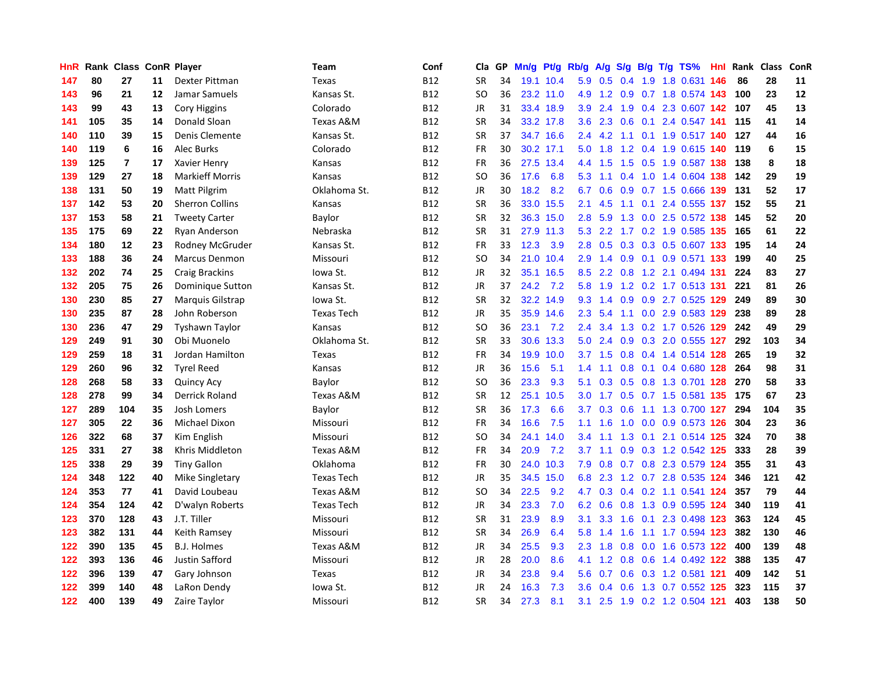| HnR | Rank | <b>Class</b>            |    | <b>ConR Player</b>     | Team              | Conf       | Cla       | <b>GP</b> | Mn/g      | Pt/g Rb/g |                  | A/g       |     |     | S/g B/g T/g TS%               | Hnl | Rank | <b>Class</b> | ConR |
|-----|------|-------------------------|----|------------------------|-------------------|------------|-----------|-----------|-----------|-----------|------------------|-----------|-----|-----|-------------------------------|-----|------|--------------|------|
| 147 | 80   | 27                      | 11 | Dexter Pittman         | Texas             | <b>B12</b> | <b>SR</b> | 34        |           | 19.1 10.4 |                  | 5.9 0.5   |     |     | 0.4 1.9 1.8 0.631 146         |     | 86   | 28           | 11   |
| 143 | 96   | 21                      | 12 | Jamar Samuels          | Kansas St.        | <b>B12</b> | SO.       | 36        |           | 23.2 11.0 | 4.9              |           |     |     | 1.2 0.9 0.7 1.8 0.574 143     |     | 100  | 23           | 12   |
| 143 | 99   | 43                      | 13 | <b>Cory Higgins</b>    | Colorado          | <b>B12</b> | JR        | 31        |           | 33.4 18.9 | 3.9              | 2.4       |     |     | 1.9 0.4 2.3 0.607 142         |     | 107  | 45           | 13   |
| 141 | 105  | 35                      | 14 | Donald Sloan           | Texas A&M         | <b>B12</b> | <b>SR</b> | 34        |           | 33.2 17.8 | 3.6              | 2.3       | 0.6 |     | 0.1 2.4 0.547 141             |     | 115  | 41           | 14   |
| 140 | 110  | 39                      | 15 | Denis Clemente         | Kansas St.        | <b>B12</b> | <b>SR</b> | 37        | 34.7      | 16.6      | 2.4              | 4.2       | 1.1 |     | 0.1 1.9 0.517 140             |     | 127  | 44           | 16   |
| 140 | 119  | 6                       | 16 | Alec Burks             | Colorado          | <b>B12</b> | FR        | 30        | 30.2 17.1 |           | 5.0              | 1.8       |     |     | 1.2 0.4 1.9 0.615 140         |     | 119  | 6            | 15   |
| 139 | 125  | $\overline{\mathbf{r}}$ | 17 | Xavier Henry           | Kansas            | <b>B12</b> | <b>FR</b> | 36        | 27.5      | 13.4      | 4.4              | 1.5       |     |     | 1.5 0.5 1.9 0.587 138         |     | 138  | 8            | 18   |
| 139 | 129  | 27                      | 18 | <b>Markieff Morris</b> | Kansas            | <b>B12</b> | <b>SO</b> | 36        | 17.6      | 6.8       | 5.3              | 1.1       |     |     | 0.4 1.0 1.4 0.604 138         |     | 142  | 29           | 19   |
| 138 | 131  | 50                      | 19 | Matt Pilgrim           | Oklahoma St.      | <b>B12</b> | JR        | 30        | 18.2      | 8.2       | 6.7              | 0.6       |     |     | 0.9 0.7 1.5 0.666 139         |     | 131  | 52           | 17   |
| 137 | 142  | 53                      | 20 | <b>Sherron Collins</b> | Kansas            | <b>B12</b> | <b>SR</b> | 36        |           | 33.0 15.5 | 2.1              | 4.5       |     |     | 1.1 0.1 2.4 0.555 137 152     |     |      | 55           | 21   |
| 137 | 153  | 58                      | 21 | <b>Tweety Carter</b>   | Baylor            | <b>B12</b> | <b>SR</b> | 32        |           | 36.3 15.0 | 2.8              | 5.9       |     |     | 1.3 0.0 2.5 0.572 138 145     |     |      | 52           | 20   |
| 135 | 175  | 69                      | 22 | <b>Ryan Anderson</b>   | Nebraska          | <b>B12</b> | <b>SR</b> | 31        |           | 27.9 11.3 | 5.3              |           |     |     | 2.2 1.7 0.2 1.9 0.585 135     |     | 165  | 61           | 22   |
| 134 | 180  | 12                      | 23 | Rodney McGruder        | Kansas St.        | <b>B12</b> | FR        | 33        | 12.3      | 3.9       | 2.8              | 0.5       |     |     | 0.3 0.3 0.5 0.607 133         |     | 195  | 14           | 24   |
| 133 | 188  | 36                      | 24 | Marcus Denmon          | Missouri          | <b>B12</b> | <b>SO</b> | 34        | 21.0      | 10.4      | 2.9              | 1.4       | 0.9 |     | 0.1 0.9 0.571 133             |     | 199  | 40           | 25   |
| 132 | 202  | 74                      | 25 | <b>Craig Brackins</b>  | Iowa St.          | <b>B12</b> | JR        | 32        | 35.1      | 16.5      | 8.5              | 2.2       | 0.8 |     | 1.2 2.1 0.494 131             |     | 224  | 83           | 27   |
| 132 | 205  | 75                      | 26 | Dominique Sutton       | Kansas St.        | <b>B12</b> | JR        | 37        | 24.2      | 7.2       | 5.8              | 1.9       |     |     | 1.2 0.2 1.7 0.513 131         |     | 221  | 81           | 26   |
| 130 | 230  | 85                      | 27 | Marquis Gilstrap       | Iowa St.          | <b>B12</b> | <b>SR</b> | 32        |           | 32.2 14.9 | 9.3              | 1.4       | 0.9 |     | 0.9 2.7 0.525 129             |     | 249  | 89           | 30   |
| 130 | 235  | 87                      | 28 | John Roberson          | <b>Texas Tech</b> | <b>B12</b> | JR        | 35        |           | 35.9 14.6 | 2.3              | 5.4       |     |     | 1.1 0.0 2.9 0.583 129 238     |     |      | 89           | 28   |
| 130 | 236  | 47                      | 29 | Tyshawn Taylor         | Kansas            | <b>B12</b> | <b>SO</b> | 36        | 23.1      | 7.2       | $2.4^{\circ}$    | 3.4       |     |     | 1.3 0.2 1.7 0.526 129 242     |     |      | 49           | 29   |
| 129 | 249  | 91                      | 30 | Obi Muonelo            | Oklahoma St.      | <b>B12</b> | <b>SR</b> | 33        |           | 30.6 13.3 | 5.0              | 2.4       |     |     | $0.9$ $0.3$ $2.0$ $0.555$ 127 |     | 292  | 103          | 34   |
| 129 | 259  | 18                      | 31 | Jordan Hamilton        | Texas             | <b>B12</b> | <b>FR</b> | 34        | 19.9      | 10.0      |                  | $3.7$ 1.5 | 0.8 |     | 0.4 1.4 0.514 128             |     | 265  | 19           | 32   |
| 129 | 260  | 96                      | 32 | <b>Tyrel Reed</b>      | Kansas            | <b>B12</b> | JR        | 36        | 15.6      | 5.1       | 1.4              | 1.1       | 0.8 |     | 0.1 0.4 0.680 128             |     | 264  | 98           | 31   |
| 128 | 268  | 58                      | 33 | <b>Quincy Acy</b>      | Baylor            | <b>B12</b> | <b>SO</b> | 36        | 23.3      | 9.3       | 5.1              | 0.3       |     |     | 0.5 0.8 1.3 0.701 128         |     | 270  | 58           | 33   |
| 128 | 278  | 99                      | 34 | Derrick Roland         | Texas A&M         | <b>B12</b> | <b>SR</b> | 12        | 25.1      | 10.5      | 3.0 <sub>2</sub> | 1.7       |     |     | 0.5 0.7 1.5 0.581 135         |     | 175  | 67           | 23   |
| 127 | 289  | 104                     | 35 | Josh Lomers            | Baylor            | <b>B12</b> | <b>SR</b> | 36        | 17.3      | 6.6       | 3.7              | 0.3       | 0.6 |     | 1.1 1.3 0.700 127             |     | 294  | 104          | 35   |
| 127 | 305  | 22                      | 36 | Michael Dixon          | Missouri          | <b>B12</b> | FR        | 34        | 16.6      | 7.5       | 1.1              | 1.6       |     |     | 1.0 0.0 0.9 0.573 126         |     | 304  | 23           | 36   |
| 126 | 322  | 68                      | 37 | Kim English            | Missouri          | <b>B12</b> | <b>SO</b> | 34        | 24.1      | 14.0      | $3.4^{\circ}$    |           |     |     | 1.1 1.3 0.1 2.1 0.514 125     |     | 324  | 70           | 38   |
| 125 | 331  | 27                      | 38 | Khris Middleton        | Texas A&M         | <b>B12</b> | FR        | 34        | 20.9      | 7.2       | 3.7              | 1.1       |     |     | 0.9 0.3 1.2 0.542 125         |     | 333  | 28           | 39   |
| 125 | 338  | 29                      | 39 | <b>Tiny Gallon</b>     | Oklahoma          | <b>B12</b> | <b>FR</b> | 30        | 24.0      | 10.3      | 7.9              | 0.8       |     |     | 0.7 0.8 2.3 0.579 124         |     | 355  | 31           | 43   |
| 124 | 348  | 122                     | 40 | Mike Singletary        | <b>Texas Tech</b> | <b>B12</b> | JR        | 35        | 34.5      | 15.0      | 6.8              | 2.3       |     |     | 1.2 0.7 2.8 0.535 124         |     | 346  | 121          | 42   |
| 124 | 353  | 77                      | 41 | David Loubeau          | Texas A&M         | <b>B12</b> | <b>SO</b> | 34        | 22.5      | 9.2       | 4.7              | 0.3       |     |     | 0.4 0.2 1.1 0.541 124         |     | 357  | 79           | 44   |
| 124 | 354  | 124                     | 42 | D'walyn Roberts        | <b>Texas Tech</b> | <b>B12</b> | JR        | 34        | 23.3      | 7.0       | 6.2              | 0.6       | 0.8 |     | 1.3 0.9 0.595 124             |     | 340  | 119          | 41   |
| 123 | 370  | 128                     | 43 | J.T. Tiller            | Missouri          | <b>B12</b> | <b>SR</b> | 31        | 23.9      | 8.9       | 3.1              | 3.3       | 1.6 | 0.1 | 2.3 0.498 123                 |     | 363  | 124          | 45   |
| 123 | 382  | 131                     | 44 | Keith Ramsey           | Missouri          | <b>B12</b> | <b>SR</b> | 34        | 26.9      | 6.4       | 5.8              | 1.4       | 1.6 |     | 1.1 1.7 0.594 123             |     | 382  | 130          | 46   |
| 122 | 390  | 135                     | 45 | <b>B.J. Holmes</b>     | Texas A&M         | <b>B12</b> | JR        | 34        | 25.5      | 9.3       | 2.3              | 1.8       |     |     | 0.8 0.0 1.6 0.573 122         |     | 400  | 139          | 48   |
| 122 | 393  | 136                     | 46 | <b>Justin Safford</b>  | Missouri          | <b>B12</b> | JR        | 28        | 20.0      | 8.6       | 4.1              | 1.2       |     |     | 0.8 0.6 1.4 0.492 122         |     | 388  | 135          | 47   |
| 122 | 396  | 139                     | 47 | Gary Johnson           | Texas             | <b>B12</b> | JR        | 34        | 23.8      | 9.4       | 5.6              | 0.7       |     |     | 0.6 0.3 1.2 0.581 121         |     | 409  | 142          | 51   |
| 122 | 399  | 140                     | 48 | LaRon Dendy            | lowa St.          | <b>B12</b> | JR        | 24        | 16.3      | 7.3       | 3.6              | 0.4       | 0.6 |     | 1.3 0.7 0.552 125             |     | 323  | 115          | 37   |
| 122 | 400  | 139                     | 49 | Zaire Taylor           | Missouri          | <b>B12</b> | SR        | 34        | 27.3      | 8.1       | 3.1              | 2.5       |     |     | 1.9 0.2 1.2 0.504 121         |     | 403  | 138          | 50   |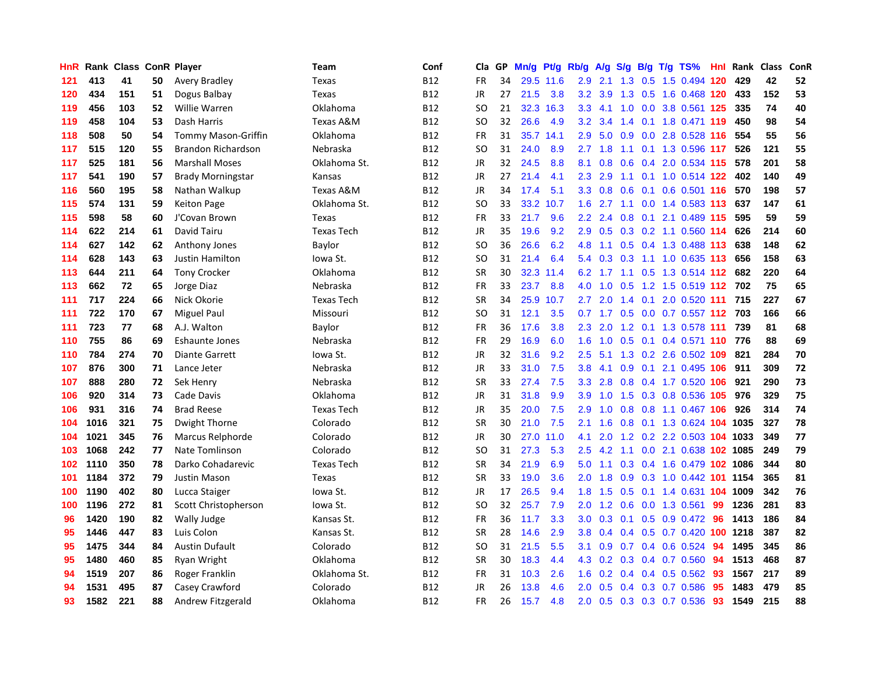| HnR |      | Rank Class ConR Player |    |                            | Team              | Conf       | Cla       | <b>GP</b> | Mn/g | Pt/g      | Rb/g             | A/g             | S/g           |     | B/g T/g TS%                    | Hnl | Rank | <b>Class</b> | ConR |
|-----|------|------------------------|----|----------------------------|-------------------|------------|-----------|-----------|------|-----------|------------------|-----------------|---------------|-----|--------------------------------|-----|------|--------------|------|
| 121 | 413  | 41                     | 50 | Avery Bradley              | <b>Texas</b>      | <b>B12</b> | FR        | 34        |      | 29.5 11.6 | 2.9              | 2.1             |               |     | 1.3 0.5 1.5 0.494 120          |     | 429  | 42           | 52   |
| 120 | 434  | 151                    | 51 | Dogus Balbay               | Texas             | <b>B12</b> | JR        | 27        | 21.5 | 3.8       | 3.2              | 3.9             |               |     | 1.3 0.5 1.6 0.468 120          |     | 433  | 152          | 53   |
| 119 | 456  | 103                    | 52 | Willie Warren              | Oklahoma          | <b>B12</b> | SO        | 21        | 32.3 | 16.3      | 3.3              |                 |               |     | 4.1 1.0 0.0 3.8 0.561 125      |     | 335  | 74           | 40   |
| 119 | 458  | 104                    | 53 | Dash Harris                | Texas A&M         | <b>B12</b> | <b>SO</b> | 32        | 26.6 | 4.9       | 3.2              | 3.4             |               |     | 1.4 0.1 1.8 0.471 119          |     | 450  | 98           | 54   |
| 118 | 508  | 50                     | 54 | <b>Tommy Mason-Griffin</b> | Oklahoma          | <b>B12</b> | FR        | 31        | 35.7 | 14.1      | 2.9              | 5.0             | 0.9           |     | 0.0 2.8 0.528 116              |     | 554  | 55           | 56   |
| 117 | 515  | 120                    | 55 | Brandon Richardson         | Nebraska          | <b>B12</b> | <b>SO</b> | 31        | 24.0 | 8.9       | 2.7              | 1.8             |               |     | 1.1 0.1 1.3 0.596 117          |     | 526  | 121          | 55   |
| 117 | 525  | 181                    | 56 | <b>Marshall Moses</b>      | Oklahoma St.      | <b>B12</b> | JR        | 32        | 24.5 | 8.8       | 8.1              | 0.8             | 0.6           |     | 0.4 2.0 0.534 115              |     | 578  | 201          | 58   |
| 117 | 541  | 190                    | 57 | <b>Brady Morningstar</b>   | Kansas            | <b>B12</b> | JR        | 27        | 21.4 | 4.1       | 2.3              | 2.9             | 1.1           |     | 0.1 1.0 0.514 122              |     | 402  | 140          | 49   |
| 116 | 560  | 195                    | 58 | Nathan Walkup              | Texas A&M         | <b>B12</b> | JR        | 34        | 17.4 | 5.1       | 3.3              | 0.8             | 0.6           |     | 0.1 0.6 0.501 116 570          |     |      | 198          | 57   |
| 115 | 574  | 131                    | 59 | <b>Keiton Page</b>         | Oklahoma St.      | <b>B12</b> | <b>SO</b> | 33        | 33.2 | 10.7      | 1.6              |                 |               |     | 2.7 1.1 0.0 1.4 0.583 113 637  |     |      | 147          | 61   |
| 115 | 598  | 58                     | 60 | J'Covan Brown              | Texas             | <b>B12</b> | <b>FR</b> | 33        | 21.7 | 9.6       | $2.2\phantom{0}$ | 2.4             |               |     | $0.8$ 0.1 2.1 0.489 115        |     | 595  | 59           | 59   |
| 114 | 622  | 214                    | 61 | David Tairu                | <b>Texas Tech</b> | <b>B12</b> | JR        | 35        | 19.6 | 9.2       | 2.9              | 0.5             |               |     | 0.3 0.2 1.1 0.560 114          |     | 626  | 214          | 60   |
| 114 | 627  | 142                    | 62 | Anthony Jones              | Baylor            | <b>B12</b> | <b>SO</b> | 36        | 26.6 | 6.2       | 4.8              | 1.1             | 0.5           |     | 0.4 1.3 0.488 113              |     | 638  | 148          | 62   |
| 114 | 628  | 143                    | 63 | <b>Justin Hamilton</b>     | Iowa St.          | <b>B12</b> | <b>SO</b> | 31        | 21.4 | 6.4       | 5.4              | 0.3             | 0.3           |     | 1.1 1.0 0.635 113 656          |     |      | 158          | 63   |
| 113 | 644  | 211                    | 64 | <b>Tony Crocker</b>        | Oklahoma          | <b>B12</b> | <b>SR</b> | 30        | 32.3 | 11.4      | 6.2              | 1.7             |               |     | 1.1 0.5 1.3 0.514 112          |     | 682  | 220          | 64   |
| 113 | 662  | 72                     | 65 | Jorge Diaz                 | Nebraska          | <b>B12</b> | FR        | 33        | 23.7 | 8.8       | 4.0              | 1.0             | 0.5           |     | 1.2 1.5 0.519 112 702          |     |      | 75           | 65   |
| 111 | 717  | 224                    | 66 | Nick Okorie                | <b>Texas Tech</b> | <b>B12</b> | <b>SR</b> | 34        | 25.9 | 10.7      | $2.7^{\circ}$    | 2.0             | $1.4^{\circ}$ | 0.1 | 2.0 0.520 111                  |     | 715  | 227          | 67   |
| 111 | 722  | 170                    | 67 | <b>Miguel Paul</b>         | Missouri          | <b>B12</b> | <b>SO</b> | 31        | 12.1 | 3.5       |                  | $0.7 \quad 1.7$ |               |     | 0.5 0.0 0.7 0.557 112 703      |     |      | 166          | 66   |
| 111 | 723  | 77                     | 68 | A.J. Walton                | Baylor            | <b>B12</b> | FR        | 36        | 17.6 | 3.8       | 2.3              | 2.0             |               |     | 1.2 0.1 1.3 0.578 111 739      |     |      | 81           | 68   |
| 110 | 755  | 86                     | 69 | <b>Eshaunte Jones</b>      | Nebraska          | <b>B12</b> | FR        | 29        | 16.9 | 6.0       | 1.6              | 1.0             |               |     | 0.5 0.1 0.4 0.571 110 776      |     |      | 88           | 69   |
| 110 | 784  | 274                    | 70 | <b>Diante Garrett</b>      | lowa St.          | <b>B12</b> | <b>JR</b> | 32        | 31.6 | 9.2       | 2.5              | 5.1             |               |     | 1.3 0.2 2.6 0.502 109          |     | 821  | 284          | 70   |
| 107 | 876  | 300                    | 71 | Lance Jeter                | Nebraska          | <b>B12</b> | JR        | 33        | 31.0 | 7.5       | 3.8              | 4.1             | 0.9           |     | 0.1 2.1 0.495 106              |     | 911  | 309          | 72   |
| 107 | 888  | 280                    | 72 | Sek Henry                  | Nebraska          | <b>B12</b> | <b>SR</b> | 33        | 27.4 | 7.5       | 3.3              | 2.8             | 0.8           |     | 0.4 1.7 0.520                  | 106 | 921  | 290          | 73   |
| 106 | 920  | 314                    | 73 | Cade Davis                 | Oklahoma          | <b>B12</b> | JR        | 31        | 31.8 | 9.9       | 3.9              | 1.0             | 1.5           |     | 0.3 0.8 0.536 105              |     | 976  | 329          | 75   |
| 106 | 931  | 316                    | 74 | <b>Brad Reese</b>          | <b>Texas Tech</b> | <b>B12</b> | <b>JR</b> | 35        | 20.0 | 7.5       | 2.9              | 1.0             | 0.8           |     | 0.8 1.1 0.467 106              |     | 926  | 314          | 74   |
| 104 | 1016 | 321                    | 75 | Dwight Thorne              | Colorado          | <b>B12</b> | <b>SR</b> | 30        | 21.0 | 7.5       | 2.1              | 1.6             |               |     | 0.8 0.1 1.3 0.624 104 1035     |     |      | 327          | 78   |
| 104 | 1021 | 345                    | 76 | Marcus Relphorde           | Colorado          | <b>B12</b> | JR        | 30        | 27.0 | 11.0      | 4.1              | 2.0             |               |     | 1.2 0.2 2.2 0.503 104 1033     |     |      | 349          | 77   |
| 103 | 1068 | 242                    | 77 | Nate Tomlinson             | Colorado          | <b>B12</b> | <b>SO</b> | 31        | 27.3 | 5.3       | $2.5\,$          |                 |               |     | 4.2 1.1 0.0 2.1 0.638 102 1085 |     |      | 249          | 79   |
| 102 | 1110 | 350                    | 78 | Darko Cohadarevic          | <b>Texas Tech</b> | <b>B12</b> | <b>SR</b> | 34        | 21.9 | 6.9       | 5.0              | 1.1             |               |     | 0.3 0.4 1.6 0.479 102 1086     |     |      | 344          | 80   |
| 101 | 1184 | 372                    | 79 | Justin Mason               | Texas             | <b>B12</b> | <b>SR</b> | 33        | 19.0 | 3.6       | 2.0              | 1.8             | 0.9           |     | 0.3 1.0 0.442 101 1154         |     |      | 365          | 81   |
| 100 | 1190 | 402                    | 80 | Lucca Staiger              | Iowa St.          | <b>B12</b> | JR        | 17        | 26.5 | 9.4       | 1.8              | 1.5             | 0.5           |     | 0.1 1.4 0.631 104 1009         |     |      | 342          | 76   |
| 100 | 1196 | 272                    | 81 | Scott Christopherson       | lowa St.          | <b>B12</b> | <b>SO</b> | 32        | 25.7 | 7.9       | 2.0              | 1.2             | 0.6           |     | $0.0$ 1.3 0.561                | 99  | 1236 | 281          | 83   |
| 96  | 1420 | 190                    | 82 | <b>Wally Judge</b>         | Kansas St.        | <b>B12</b> | <b>FR</b> | 36        | 11.7 | 3.3       | 3.0 <sub>2</sub> | 0.3             | 0.1           |     | 0.5 0.9 0.472 96               |     | 1413 | 186          | 84   |
| 95  | 1446 | 447                    | 83 | Luis Colon                 | Kansas St.        | <b>B12</b> | <b>SR</b> | 28        | 14.6 | 2.9       | 3.8              | 0.4             |               |     | 0.4 0.5 0.7 0.420 100 1218     |     |      | 387          | 82   |
| 95  | 1475 | 344                    | 84 | <b>Austin Dufault</b>      | Colorado          | <b>B12</b> | <b>SO</b> | 31        | 21.5 | 5.5       | 3.1              | 0.9             |               |     | 0.7 0.4 0.6 0.524 94           |     | 1495 | 345          | 86   |
| 95  | 1480 | 460                    | 85 | Ryan Wright                | Oklahoma          | <b>B12</b> | <b>SR</b> | 30        | 18.3 | 4.4       | 4.3              | 0.2             |               |     | $0.3$ 0.4 0.7 0.560            | 94  | 1513 | 468          | 87   |
| 94  | 1519 | 207                    | 86 | Roger Franklin             | Oklahoma St.      | <b>B12</b> | FR        | 31        | 10.3 | 2.6       | 1.6              | 0.2             |               |     | $0.4$ 0.4 0.5 0.562            | -93 | 1567 | 217          | 89   |
| 94  | 1531 | 495                    | 87 | Casey Crawford             | Colorado          | <b>B12</b> | JR        | 26        | 13.8 | 4.6       | 2.0              | 0.5             | 0.4           |     | 0.3 0.7 0.586                  | 95  | 1483 | 479          | 85   |
| 93  | 1582 | 221                    | 88 | Andrew Fitzgerald          | Oklahoma          | <b>B12</b> | FR        | 26        | 15.7 | 4.8       | 2.0              |                 |               |     | 0.5 0.3 0.3 0.7 0.536          | 93  | 1549 | 215          | 88   |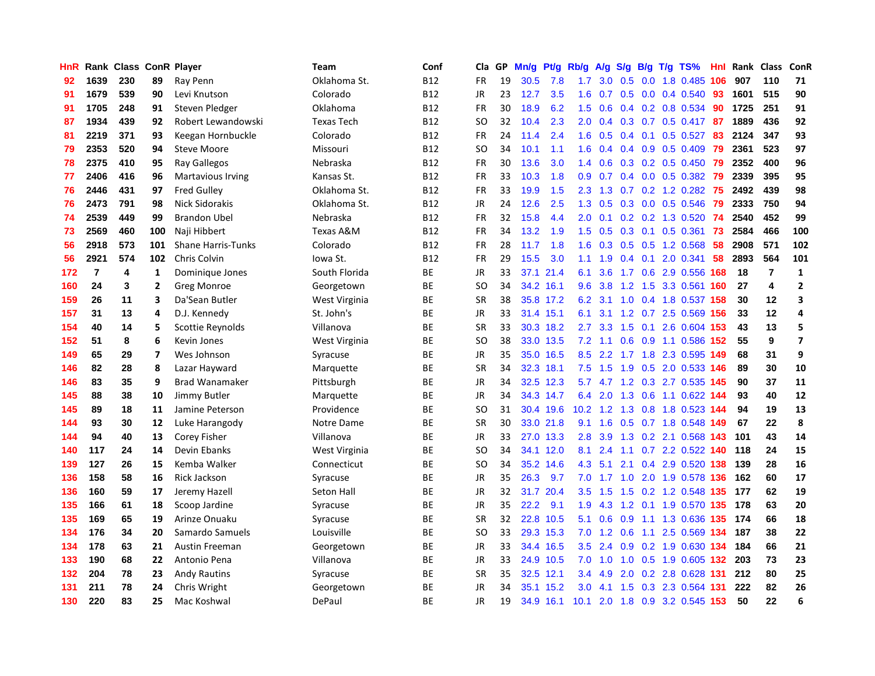| HnR |                         | Rank Class |                | <b>ConR Player</b>        | Team              | Conf       | Cla       | <b>GP</b> | Mn/g | <b>Pt/g</b> | Rb/g             | A/g             | S/g              |     | B/g T/g TS%               | Hnl | Rank | Class          | <b>ConR</b>             |
|-----|-------------------------|------------|----------------|---------------------------|-------------------|------------|-----------|-----------|------|-------------|------------------|-----------------|------------------|-----|---------------------------|-----|------|----------------|-------------------------|
| 92  | 1639                    | 230        | 89             | Ray Penn                  | Oklahoma St.      | <b>B12</b> | <b>FR</b> | 19        | 30.5 | 7.8         | 1.7              | 3.0             | 0.5              |     | $0.0$ 1.8 $0.485$         | 106 | 907  | 110            | 71                      |
| 91  | 1679                    | 539        | 90             | Levi Knutson              | Colorado          | <b>B12</b> | <b>JR</b> | 23        | 12.7 | 3.5         | 1.6              | 0.7             |                  |     | $0.5$ 0.0 0.4 0.540       | 93  | 1601 | 515            | 90                      |
| 91  | 1705                    | 248        | 91             | Steven Pledger            | Oklahoma          | <b>B12</b> | <b>FR</b> | 30        | 18.9 | 6.2         | 1.5              | 0.6             |                  |     | $0.4$ 0.2 0.8 0.534       | 90  | 1725 | 251            | 91                      |
| 87  | 1934                    | 439        | 92             | Robert Lewandowski        | <b>Texas Tech</b> | <b>B12</b> | <b>SO</b> | 32        | 10.4 | 2.3         | 2.0              | 0.4             |                  |     | $0.3$ 0.7 0.5 0.417       | -87 | 1889 | 436            | 92                      |
| 81  | 2219                    | 371        | 93             | Keegan Hornbuckle         | Colorado          | <b>B12</b> | <b>FR</b> | 24        | 11.4 | 2.4         | 1.6              | 0.5             | $0.4^{\circ}$    | 0.1 | $0.5$ 0.527               | 83  | 2124 | 347            | 93                      |
| 79  | 2353                    | 520        | 94             | <b>Steve Moore</b>        | Missouri          | <b>B12</b> | SO        | 34        | 10.1 | 1.1         | 1.6              | 0.4             |                  |     | $0.4$ 0.9 0.5 0.409       | 79  | 2361 | 523            | 97                      |
| 78  | 2375                    | 410        | 95             | <b>Ray Gallegos</b>       | Nebraska          | <b>B12</b> | <b>FR</b> | 30        | 13.6 | 3.0         | 1.4              | 0.6             |                  |     | $0.3$ 0.2 0.5 0.450       | 79  | 2352 | 400            | 96                      |
| 77  | 2406                    | 416        | 96             | <b>Martavious Irving</b>  | Kansas St.        | <b>B12</b> | <b>FR</b> | 33        | 10.3 | 1.8         | 0.9 <sub>0</sub> | 0.7             |                  |     | $0.4$ 0.0 0.5 0.382       | 79  | 2339 | 395            | 95                      |
| 76  | 2446                    | 431        | 97             | <b>Fred Gulley</b>        | Oklahoma St.      | <b>B12</b> | <b>FR</b> | 33        | 19.9 | 1.5         | 2.3              | 1.3             |                  |     | $0.7$ $0.2$ 1.2 $0.282$   | 75  | 2492 | 439            | 98                      |
| 76  | 2473                    | 791        | 98             | Nick Sidorakis            | Oklahoma St.      | <b>B12</b> | JR        | 24        | 12.6 | 2.5         | 1.3              | 0.5             |                  |     | 0.3 0.0 0.5 0.546         | 79  | 2333 | 750            | 94                      |
| 74  | 2539                    | 449        | 99             | <b>Brandon Ubel</b>       | Nebraska          | <b>B12</b> | <b>FR</b> | 32        | 15.8 | 4.4         | 2.0              | 0.1             |                  |     | $0.2$ 0.2 1.3 0.520       | -74 | 2540 | 452            | 99                      |
| 73  | 2569                    | 460        | 100            | Naji Hibbert              | Texas A&M         | <b>B12</b> | FR        | 34        | 13.2 | 1.9         | 1.5              | 0.5             |                  |     | $0.3$ 0.1 0.5 0.361       | -73 | 2584 | 466            | 100                     |
| 56  | 2918                    | 573        | 101            | <b>Shane Harris-Tunks</b> | Colorado          | <b>B12</b> | <b>FR</b> | 28        | 11.7 | 1.8         | 1.6              | 0.3             |                  |     | 0.5 0.5 1.2 0.568         | 58  | 2908 | 571            | 102                     |
| 56  | 2921                    | 574        | 102            | Chris Colvin              | Iowa St.          | <b>B12</b> | FR        | 29        | 15.5 | 3.0         | 1.1              | 1.9             |                  |     | $0.4$ 0.1 2.0 0.341       | 58  | 2893 | 564            | 101                     |
| 172 | $\overline{\mathbf{r}}$ | 4          | 1              | Dominique Jones           | South Florida     | ВE         | JR        | 33        | 37.1 | 21.4        | 6.1              | 3.6             |                  |     | 1.7 0.6 2.9 0.556         | 168 | 18   | $\overline{7}$ | $\mathbf{1}$            |
| 160 | 24                      | 3          | $\mathbf{2}$   | Greg Monroe               | Georgetown        | <b>BE</b>  | <b>SO</b> | 34        | 34.2 | 16.1        | 9.6              | 3.8             |                  |     | 1.2 1.5 3.3 0.561 160     |     | 27   | 4              | $\overline{2}$          |
| 159 | 26                      | 11         | 3              | Da'Sean Butler            | West Virginia     | <b>BE</b>  | <b>SR</b> | 38        |      | 35.8 17.2   | 6.2              | 3.1             | 1.0              |     | 0.4 1.8 0.537             | 158 | 30   | 12             | $\overline{\mathbf{3}}$ |
| 157 | 31                      | 13         | 4              | D.J. Kennedy              | St. John's        | BE         | JR        | 33        |      | 31.4 15.1   | 6.1              | 3.1             |                  |     | 1.2 0.7 2.5 0.569 156     |     | 33   | 12             | 4                       |
| 154 | 40                      | 14         | 5              | Scottie Reynolds          | Villanova         | <b>BE</b>  | <b>SR</b> | 33        |      | 30.3 18.2   | $2.7^{\circ}$    |                 |                  |     | 3.3 1.5 0.1 2.6 0.604 153 |     | 43   | 13             | 5                       |
| 152 | 51                      | 8          | 6              | Kevin Jones               | West Virginia     | <b>BE</b>  | <b>SO</b> | 38        |      | 33.0 13.5   | 7.2              |                 |                  |     | 1.1 0.6 0.9 1.1 0.586 152 |     | 55   | 9              | $\overline{7}$          |
| 149 | 65                      | 29         | $\overline{7}$ | Wes Johnson               | Syracuse          | ВE         | JR        | 35        |      | 35.0 16.5   | 8.5              |                 |                  |     | 2.2 1.7 1.8 2.3 0.595 149 |     | 68   | 31             | 9                       |
| 146 | 82                      | 28         | 8              | Lazar Hayward             | Marquette         | <b>BE</b>  | <b>SR</b> | 34        | 32.3 | 18.1        | 7.5              | 1.5             | 1.9              |     | $0.5$ 2.0 0.533           | 146 | 89   | 30             | 10                      |
| 146 | 83                      | 35         | 9              | <b>Brad Wanamaker</b>     | Pittsburgh        | ВE         | JR        | 34        |      | 32.5 12.3   | 5.7              | 4.7             |                  |     | 1.2 0.3 2.7 0.535         | 145 | 90   | 37             | 11                      |
| 145 | 88                      | 38         | 10             | Jimmy Butler              | Marquette         | <b>BE</b>  | JR        | 34        |      | 34.3 14.7   | 6.4              | 2.0             | 1.3              |     | $0.6$ 1.1 $0.622$         | 144 | 93   | 40             | 12                      |
| 145 | 89                      | 18         | 11             | Jamine Peterson           | Providence        | <b>BE</b>  | <b>SO</b> | 31        |      | 30.4 19.6   | 10.2             | 1.2             | 1.3              |     | 0.8 1.8 0.523             | 144 | 94   | 19             | 13                      |
| 144 | 93                      | 30         | 12             | Luke Harangody            | Notre Dame        | <b>BE</b>  | <b>SR</b> | 30        |      | 33.0 21.8   | 9.1              | 1.6             | 0.5              |     | 0.7 1.8 0.548             | 149 | 67   | 22             | 8                       |
| 144 | 94                      | 40         | 13             | Corey Fisher              | Villanova         | ВE         | JR        | 33        |      | 27.0 13.3   | 2.8              | 3.9             |                  |     | 1.3 0.2 2.1 0.568 143     |     | 101  | 43             | 14                      |
| 140 | 117                     | 24         | 14             | Devin Ebanks              | West Virginia     | <b>BE</b>  | <b>SO</b> | 34        |      | 34.1 12.0   | 8.1              | 2.4             |                  |     | 1.1 0.7 2.2 0.522 140     |     | 118  | 24             | 15                      |
| 139 | 127                     | 26         | 15             | Kemba Walker              | Connecticut       | ВE         | <b>SO</b> | 34        | 35.2 | 14.6        | 4.3              | 5.1             |                  |     | 2.1 0.4 2.9 0.520 138     |     | 139  | 28             | 16                      |
| 136 | 158                     | 58         | 16             | Rick Jackson              | Syracuse          | BE         | JR        | 35        | 26.3 | 9.7         | 7.0              | 1.7             | 1.0              |     | 2.0 1.9 0.578 136         |     | 162  | 60             | 17                      |
| 136 | 160                     | 59         | 17             | Jeremy Hazell             | Seton Hall        | BE         | JR        | 32        | 31.7 | 20.4        | 3.5              | 1.5             | 1.5              |     | 0.2 1.2 0.548 135         |     | 177  | 62             | 19                      |
| 135 | 166                     | 61         | 18             | Scoop Jardine             | Syracuse          | ВE         | JR        | 35        | 22.2 | 9.1         | 1.9              | 4.3             |                  |     | 1.2 0.1 1.9 0.570         | 135 | 178  | 63             | 20                      |
| 135 | 169                     | 65         | 19             | Arinze Onuaku             | Syracuse          | <b>BE</b>  | <b>SR</b> | 32        | 22.8 | 10.5        | 5.1              | 0.6             | 0.9 <sup>°</sup> |     | 1.1 1.3 0.636             | 135 | 174  | 66             | 18                      |
| 134 | 176                     | 34         | 20             | Samardo Samuels           | Louisville        | <b>BE</b>  | <b>SO</b> | 33        | 29.3 | 15.3        | 7.0              | 1.2             | 0.6              | 1.1 | 2.5 0.569 134             |     | 187  | 38             | 22                      |
| 134 | 178                     | 63         | 21             | <b>Austin Freeman</b>     | Georgetown        | ВE         | JR        | 33        | 34.4 | 16.5        | 3.5              | 2.4             | 0.9              |     | 0.2 1.9 0.630 134         |     | 184  | 66             | 21                      |
| 133 | 190                     | 68         | 22             | Antonio Pena              | Villanova         | ВE         | JR        | 33        |      | 24.9 10.5   |                  | $7.0 \quad 1.0$ |                  |     | 1.0 0.5 1.9 0.605 132     |     | -203 | 73             | 23                      |
| 132 | 204                     | 78         | 23             | <b>Andy Rautins</b>       | Syracuse          | ВE         | <b>SR</b> | 35        |      | 32.5 12.1   | $3.4^{\circ}$    | 4.9             | 2.0              |     | 0.2 2.8 0.628 131         |     | 212  | 80             | 25                      |
| 131 | 211                     | 78         | 24             | Chris Wright              | Georgetown        | ВE         | JR        | 34        | 35.1 | 15.2        | 3.0 <sub>2</sub> | 4.1             | 1.5              |     | 0.3 2.3 0.564 131         |     | 222  | 82             | 26                      |
| 130 | 220                     | 83         | 25             | Mac Koshwal               | DePaul            | <b>BE</b>  | <b>JR</b> | 19        | 34.9 | 16.1        | 10.1             |                 |                  |     | 2.0 1.8 0.9 3.2 0.545 153 |     | 50   | 22             | 6                       |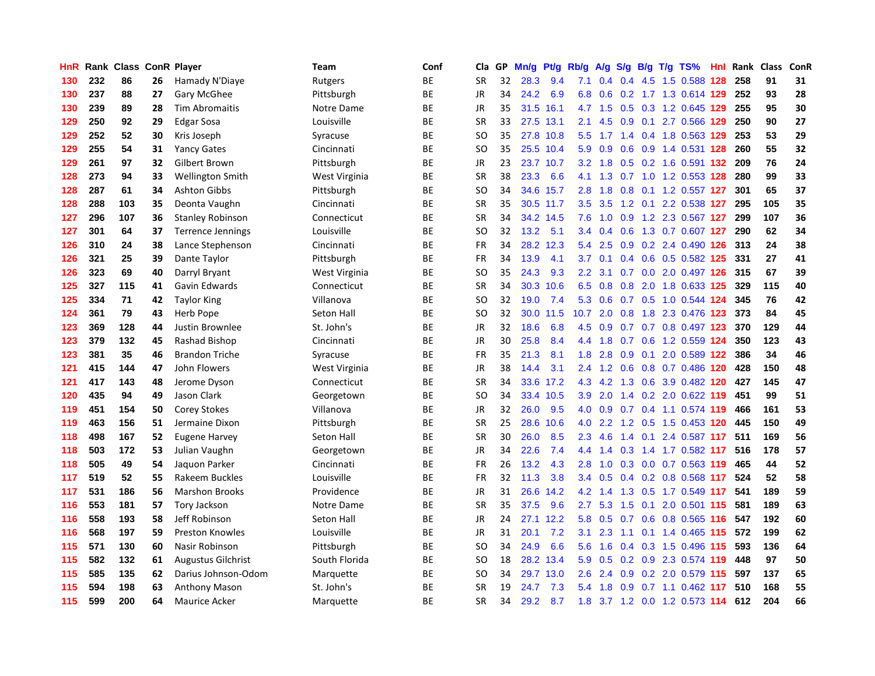| HnR |     | Rank Class |    | <b>ConR Player</b>        | <b>Team</b>   | Conf      | Cla       | <b>GP</b> | Mn/g | Pt/g      | Rb/g             | A/g     |                  |     | S/g B/g T/g TS%             | Hnl | Rank | <b>Class</b> | ConR |
|-----|-----|------------|----|---------------------------|---------------|-----------|-----------|-----------|------|-----------|------------------|---------|------------------|-----|-----------------------------|-----|------|--------------|------|
| 130 | 232 | 86         | 26 | Hamady N'Diaye            | Rutgers       | <b>BE</b> | <b>SR</b> | 32        | 28.3 | 9.4       | 7.1              |         |                  |     | 0.4 0.4 4.5 1.5 0.588 128   |     | 258  | 91           | 31   |
| 130 | 237 | 88         | 27 | Gary McGhee               | Pittsburgh    | <b>BE</b> | <b>JR</b> | 34        | 24.2 | 6.9       | 6.8              | 0.6     |                  |     | 0.2 1.7 1.3 0.614 129       |     | 252  | 93           | 28   |
| 130 | 239 | 89         | 28 | <b>Tim Abromaitis</b>     | Notre Dame    | <b>BE</b> | <b>JR</b> | 35        | 31.5 | 16.1      |                  | 4.7 1.5 |                  |     | $0.5$ $0.3$ 1.2 $0.645$ 129 |     | 255  | 95           | 30   |
| 129 | 250 | 92         | 29 | <b>Edgar Sosa</b>         | Louisville    | <b>BE</b> | <b>SR</b> | 33        | 27.5 | 13.1      | 2.1              | 4.5     | 0.9              |     | 0.1 2.7 0.566 129           |     | 250  | 90           | 27   |
| 129 | 252 | 52         | 30 | Kris Joseph               | Syracuse      | <b>BE</b> | <b>SO</b> | 35        | 27.8 | 10.8      | 5.5              | 1.7     |                  |     | 1.4 0.4 1.8 0.563 129       |     | 253  | 53           | 29   |
| 129 | 255 | 54         | 31 | <b>Yancy Gates</b>        | Cincinnati    | BE        | <b>SO</b> | 35        |      | 25.5 10.4 | 5.9              | 0.9     |                  |     | 0.6 0.9 1.4 0.531 128       |     | 260  | 55           | 32   |
| 129 | 261 | 97         | 32 | Gilbert Brown             | Pittsburgh    | <b>BE</b> | JR        | 23        | 23.7 | 10.7      | 3.2              | 1.8     |                  |     | 0.5 0.2 1.6 0.591 132       |     | 209  | 76           | 24   |
| 128 | 273 | 94         | 33 | <b>Wellington Smith</b>   | West Virginia | ВE        | <b>SR</b> | 38        | 23.3 | 6.6       | 4.1              | 1.3     |                  |     | 0.7 1.0 1.2 0.553 128       |     | 280  | 99           | 33   |
| 128 | 287 | 61         | 34 | <b>Ashton Gibbs</b>       | Pittsburgh    | ВE        | <b>SO</b> | 34        |      | 34.6 15.7 | 2.8              | 1.8     |                  |     | 0.8 0.1 1.2 0.557 127       |     | 301  | 65           | 37   |
| 128 | 288 | 103        | 35 | Deonta Vaughn             | Cincinnati    | ВE        | <b>SR</b> | 35        |      | 30.5 11.7 | 3.5              | 3.5     |                  |     | 1.2 0.1 2.2 0.538 127       |     | 295  | 105          | 35   |
| 127 | 296 | 107        | 36 | <b>Stanley Robinson</b>   | Connecticut   | <b>BE</b> | <b>SR</b> | 34        |      | 34.2 14.5 | 7.6              |         |                  |     | 1.0 0.9 1.2 2.3 0.567 127   |     | 299  | 107          | 36   |
| 127 | 301 | 64         | 37 | Terrence Jennings         | Louisville    | <b>BE</b> | SO        | 32        | 13.2 | 5.1       | $3.4^{\circ}$    | 0.4     |                  |     | 0.6 1.3 0.7 0.607 127       |     | 290  | 62           | 34   |
| 126 | 310 | 24         | 38 | Lance Stephenson          | Cincinnati    | ВE        | <b>FR</b> | 34        | 28.2 | 12.3      | 5.4              | 2.5     | 0.9 <sub>0</sub> |     | 0.2 2.4 0.490 126           |     | 313  | 24           | 38   |
| 126 | 321 | 25         | 39 | Dante Taylor              | Pittsburgh    | ВE        | FR        | 34        | 13.9 | 4.1       | 3.7 <sub>2</sub> | 0.1     |                  |     | 0.4 0.6 0.5 0.582 125       |     | 331  | 27           | 41   |
| 126 | 323 | 69         | 40 | Darryl Bryant             | West Virginia | <b>BE</b> | SO        | 35        | 24.3 | 9.3       | 2.2              | 3.1     | 0.7              |     | 0.0 2.0 0.497 126           |     | 315  | 67           | 39   |
| 125 | 327 | 115        | 41 | Gavin Edwards             | Connecticut   | ВE        | <b>SR</b> | 34        | 30.3 | 10.6      | 6.5              | 0.8     | 0.8              |     | 2.0 1.8 0.633 125           |     | 329  | 115          | 40   |
| 125 | 334 | 71         | 42 | <b>Taylor King</b>        | Villanova     | <b>BE</b> | <b>SO</b> | 32        | 19.0 | 7.4       | 5.3              | 0.6     |                  |     | 0.7 0.5 1.0 0.544 124       |     | 345  | 76           | 42   |
| 124 | 361 | 79         | 43 | <b>Herb Pope</b>          | Seton Hall    | <b>BE</b> | <b>SO</b> | 32        | 30.0 | 11.5      | 10.7             | 2.0     | 0.8              |     | 1.8 2.3 0.476 123           |     | 373  | 84           | 45   |
| 123 | 369 | 128        | 44 | Justin Brownlee           | St. John's    | <b>BE</b> | <b>JR</b> | 32        | 18.6 | 6.8       | 4.5              |         |                  |     | 0.9 0.7 0.7 0.8 0.497 123   |     | 370  | 129          | 44   |
| 123 | 379 | 132        | 45 | Rashad Bishop             | Cincinnati    | <b>BE</b> | JR        | 30        | 25.8 | 8.4       | $4.4^{\circ}$    | 1.8     |                  |     | 0.7 0.6 1.2 0.559 124       |     | 350  | 123          | 43   |
| 123 | 381 | 35         | 46 | <b>Brandon Triche</b>     | Syracuse      | ВE        | FR        | 35        | 21.3 | 8.1       | 1.8              | 2.8     | 0.9              |     | 0.1 2.0 0.589 122           |     | 386  | 34           | 46   |
| 121 | 415 | 144        | 47 | John Flowers              | West Virginia | ВE        | JR        | 38        | 14.4 | 3.1       | 2.4              | 1.2     | 0.6              |     | 0.8 0.7 0.486 120           |     | 428  | 150          | 48   |
| 121 | 417 | 143        | 48 | Jerome Dyson              | Connecticut   | BE        | <b>SR</b> | 34        | 33.6 | 17.2      | 4.3              | 4.2     |                  |     | 1.3 0.6 3.9 0.482 120       |     | 427  | 145          | 47   |
| 120 | 435 | 94         | 49 | Jason Clark               | Georgetown    | <b>BE</b> | SO        | 34        | 33.4 | 10.5      | 3.9              | 2.0     | 1.4              |     | 0.2 2.0 0.622 119           |     | 451  | 99           | 51   |
| 119 | 451 | 154        | 50 | <b>Corey Stokes</b>       | Villanova     | ВE        | JR        | 32        | 26.0 | 9.5       | 4.0              | 0.9     | 0.7              |     | 0.4 1.1 0.574 119           |     | 466  | 161          | 53   |
| 119 | 463 | 156        | 51 | Jermaine Dixon            | Pittsburgh    | ВE        | <b>SR</b> | 25        | 28.6 | 10.6      | 4.0              | 2.2     |                  |     | 1.2 0.5 1.5 0.453 120       |     | 445  | 150          | 49   |
| 118 | 498 | 167        | 52 | <b>Eugene Harvey</b>      | Seton Hall    | <b>BE</b> | <b>SR</b> | 30        | 26.0 | 8.5       | 2.3              | 4.6     |                  |     | 1.4 0.1 2.4 0.587 117       |     | -511 | 169          | 56   |
| 118 | 503 | 172        | 53 | Julian Vaughn             | Georgetown    | <b>BE</b> | JR        | 34        | 22.6 | 7.4       | 4.4              | 1.4     |                  |     | 0.3 1.4 1.7 0.582 117       |     | 516  | 178          | 57   |
| 118 | 505 | 49         | 54 | Jaquon Parker             | Cincinnati    | ВE        | FR        | 26        | 13.2 | 4.3       | 2.8              | 1.0     |                  |     | 0.3 0.0 0.7 0.563 119       |     | 465  | 44           | 52   |
| 117 | 519 | 52         | 55 | Rakeem Buckles            | Louisville    | <b>BE</b> | <b>FR</b> | 32        | 11.3 | 3.8       | 3.4              | 0.5     |                  |     | 0.4 0.2 0.8 0.568 117       |     | 524  | 52           | 58   |
| 117 | 531 | 186        | 56 | <b>Marshon Brooks</b>     | Providence    | ВE        | JR        | 31        | 26.6 | 14.2      | 4.2              | 1.4     | 1.3              |     | 0.5 1.7 0.549 117           |     | 541  | 189          | 59   |
| 116 | 553 | 181        | 57 | <b>Tory Jackson</b>       | Notre Dame    | ВE        | <b>SR</b> | 35        | 37.5 | 9.6       | 2.7              | 5.3     | 1.5              | 0.1 | 2.0 0.501 115               |     | 581  | 189          | 63   |
| 116 | 558 | 193        | 58 | Jeff Robinson             | Seton Hall    | <b>BE</b> | JR        | 24        | 27.1 | 12.2      | 5.8              | 0.5     | 0.7              |     | 0.6 0.8 0.565 116           |     | 547  | 192          | 60   |
| 116 | 568 | 197        | 59 | <b>Preston Knowles</b>    | Louisville    | ВE        | <b>JR</b> | 31        | 20.1 | 7.2       | 3.1              | 2.3     | 1.1              |     | $0.1$ 1.4 0.465 115         |     | 572  | 199          | 62   |
| 115 | 571 | 130        | 60 | Nasir Robinson            | Pittsburgh    | <b>BE</b> | <b>SO</b> | 34        | 24.9 | 6.6       | 5.6              | 1.6     | 0.4              |     | 0.3 1.5 0.496 115           |     | 593  | 136          | 64   |
| 115 | 582 | 132        | 61 | <b>Augustus Gilchrist</b> | South Florida | ВE        | SO        | 18        |      | 28.2 13.4 | 5.9              | 0.5     |                  |     | 0.2 0.9 2.3 0.574 119       |     | 448  | 97           | 50   |
| 115 | 585 | 135        | 62 | Darius Johnson-Odom       | Marquette     | ВE        | SO        | 34        | 29.7 | 13.0      | 2.6              | 2.4     | 0.9              |     | $0.2$ 2.0 0.579 115         |     | 597  | 137          | 65   |
| 115 | 594 | 198        | 63 | <b>Anthony Mason</b>      | St. John's    | ВE        | SR        | 19        | 24.7 | 7.3       | 5.4              | 1.8     | 0.9 <sup>°</sup> |     | $0.7$ 1.1 0.462 117         |     | 510  | 168          | 55   |
| 115 | 599 | 200        | 64 | <b>Maurice Acker</b>      | Marquette     | <b>BE</b> | <b>SR</b> | 34        | 29.2 | 8.7       | 1.8              |         |                  |     | 3.7 1.2 0.0 1.2 0.573 114   |     | 612  | 204          | 66   |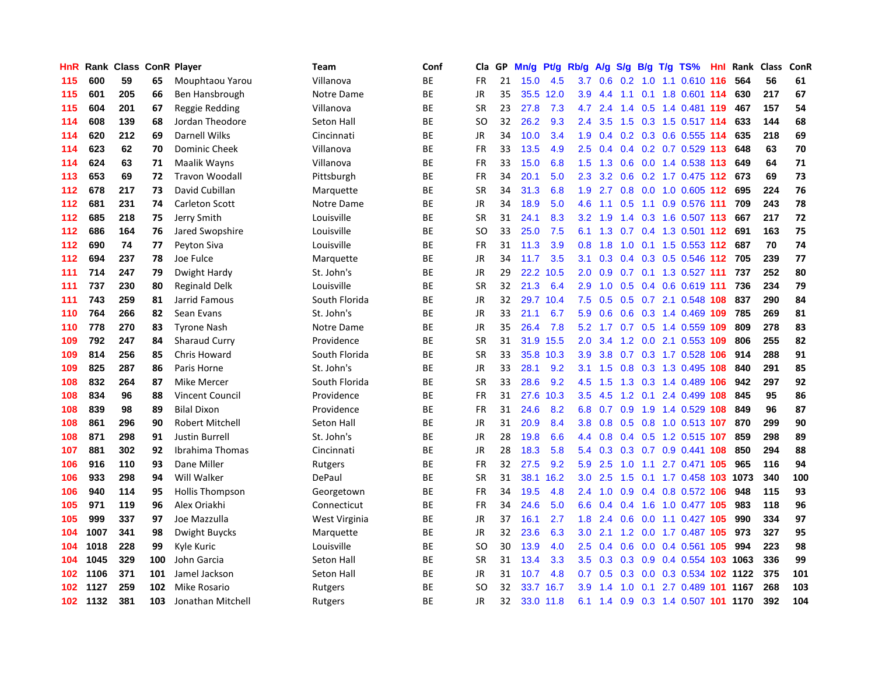| HnR              | Rank | <b>Class ConR Player</b> |     |                        | <b>Team</b>   | Conf      | Cla       | <b>GP</b> | Mn/g | Pt/g      | Rb/g             | A/g | S/g           |  | $B/g$ T/g TS%                  | Hnl | Rank | <b>Class</b> | ConR |
|------------------|------|--------------------------|-----|------------------------|---------------|-----------|-----------|-----------|------|-----------|------------------|-----|---------------|--|--------------------------------|-----|------|--------------|------|
| 115              | 600  | 59                       | 65  | Mouphtaou Yarou        | Villanova     | BE        | FR        | 21        | 15.0 | 4.5       | 3.7 <sub>2</sub> | 0.6 |               |  | 0.2 1.0 1.1 0.610 116          |     | 564  | 56           | 61   |
| 115              | 601  | 205                      | 66  | Ben Hansbrough         | Notre Dame    | <b>BE</b> | <b>JR</b> | 35        |      | 35.5 12.0 | 3.9              | 4.4 | 1.1           |  | 0.1 1.8 0.601 114              |     | 630  | 217          | 67   |
| 115              | 604  | 201                      | 67  | Reggie Redding         | Villanova     | BE        | SR        | 23        | 27.8 | 7.3       | 4.7              | 2.4 | $1.4^{\circ}$ |  | 0.5 1.4 0.481 119              |     | 467  | 157          | 54   |
| 114              | 608  | 139                      | 68  | Jordan Theodore        | Seton Hall    | BE        | SO        | 32        | 26.2 | 9.3       | $2.4^{\circ}$    | 3.5 | 1.5           |  | 0.3 1.5 0.517 114              |     | 633  | 144          | 68   |
| 114              | 620  | 212                      | 69  | Darnell Wilks          | Cincinnati    | BE        | <b>JR</b> | 34        | 10.0 | 3.4       | 1.9              | 0.4 |               |  | $0.2$ 0.3 0.6 0.555 114        |     | 635  | 218          | 69   |
| 114              | 623  | 62                       | 70  | <b>Dominic Cheek</b>   | Villanova     | ВE        | FR        | 33        | 13.5 | 4.9       | 2.5              | 0.4 | 0.4           |  | $0.2$ 0.7 0.529 113            |     | 648  | 63           | 70   |
| 114              | 624  | 63                       | 71  | Maalik Wayns           | Villanova     | <b>BE</b> | FR        | 33        | 15.0 | 6.8       | 1.5              | 1.3 | 0.6           |  | 0.0 1.4 0.538 113              |     | 649  | 64           | 71   |
| 113              | 653  | 69                       | 72  | <b>Travon Woodall</b>  | Pittsburgh    | ВE        | FR        | 34        | 20.1 | 5.0       | 2.3              | 3.2 | 0.6           |  | 0.2 1.7 0.475 112 673          |     |      | 69           | 73   |
| 112              | 678  | 217                      | 73  | David Cubillan         | Marquette     | BE        | SR        | 34        | 31.3 | 6.8       | 1.9              | 2.7 | 0.8           |  | 0.0 1.0 0.605 112 695          |     |      | 224          | 76   |
| 112              | 681  | 231                      | 74  | <b>Carleton Scott</b>  | Notre Dame    | ВE        | JR        | 34        | 18.9 | 5.0       | 4.6              | 1.1 |               |  | $0.5$ 1.1 0.9 0.576 111        |     | 709  | 243          | 78   |
| 112              | 685  | 218                      | 75  | Jerry Smith            | Louisville    | <b>BE</b> | SR        | 31        | 24.1 | 8.3       | 3.2              | 1.9 |               |  | 1.4 0.3 1.6 0.507 113          |     | 667  | 217          | 72   |
| 112              | 686  | 164                      | 76  | Jared Swopshire        | Louisville    | ВE        | SO        | 33        | 25.0 | 7.5       | 6.1              | 1.3 |               |  | 0.7 0.4 1.3 0.501 112          |     | 691  | 163          | 75   |
| 112              | 690  | 74                       | 77  | Peyton Siva            | Louisville    | BE        | FR        | 31        | 11.3 | 3.9       | 0.8              | 1.8 | 1.0           |  | $0.1$ 1.5 0.553 112            |     | 687  | 70           | 74   |
| 112              | 694  | 237                      | 78  | Joe Fulce              | Marquette     | ВE        | JR        | 34        | 11.7 | 3.5       | 3.1              | 0.3 | 0.4           |  | $0.3$ 0.5 0.546 112            |     | 705  | 239          | 77   |
| 111              | 714  | 247                      | 79  | Dwight Hardy           | St. John's    | BE        | JR        | 29        | 22.2 | 10.5      | 2.0              | 0.9 | 0.7           |  | 0.1 1.3 0.527 111              |     | 737  | 252          | 80   |
| 111              | 737  | 230                      | 80  | <b>Reginald Delk</b>   | Louisville    | BE        | <b>SR</b> | 32        | 21.3 | 6.4       | 2.9              | 1.0 | 0.5           |  | $0.4$ 0.6 0.619 111            |     | 736  | 234          | 79   |
| 111              | 743  | 259                      | 81  | Jarrid Famous          | South Florida | BE        | <b>JR</b> | 32        | 29.7 | 10.4      | 7.5              | 0.5 | 0.5           |  | $0.7$ 2.1 0.548 108            |     | 837  | 290          | 84   |
| 110              | 764  | 266                      | 82  | Sean Evans             | St. John's    | BE        | <b>JR</b> | 33        | 21.1 | 6.7       | 5.9              | 0.6 | 0.6           |  | 0.3 1.4 0.469 109 785          |     |      | 269          | 81   |
| 110              | 778  | 270                      | 83  | <b>Tyrone Nash</b>     | Notre Dame    | ВE        | <b>JR</b> | 35        | 26.4 | 7.8       | 5.2              |     |               |  | 1.7 0.7 0.5 1.4 0.559 109      |     | 809  | 278          | 83   |
| 109              | 792  | 247                      | 84  | <b>Sharaud Curry</b>   | Providence    | BE        | <b>SR</b> | 31        | 31.9 | 15.5      | 2.0              | 3.4 |               |  | 1.2 0.0 2.1 0.553 109          |     | 806  | 255          | 82   |
| 109              | 814  | 256                      | 85  | <b>Chris Howard</b>    | South Florida | ВE        | SR        | 33        | 35.8 | 10.3      | 3.9              | 3.8 |               |  | 0.7 0.3 1.7 0.528 106          |     | 914  | 288          | 91   |
| 109              | 825  | 287                      | 86  | Paris Horne            | St. John's    | BE        | JR        | 33        | 28.1 | 9.2       | 3.1              | 1.5 | 0.8           |  | 0.3 1.3 0.495 108              |     | 840  | 291          | 85   |
| 108              | 832  | 264                      | 87  | Mike Mercer            | South Florida | ВE        | SR        | 33        | 28.6 | 9.2       | 4.5              | 1.5 | 1.3           |  | 0.3 1.4 0.489 106              |     | 942  | 297          | 92   |
| 108              | 834  | 96                       | 88  | <b>Vincent Council</b> | Providence    | <b>BE</b> | <b>FR</b> | 31        | 27.6 | 10.3      | 3.5              | 4.5 | 1.2           |  | $0.1$ 2.4 0.499                | 108 | 845  | 95           | 86   |
| 108              | 839  | 98                       | 89  | <b>Bilal Dixon</b>     | Providence    | ВE        | FR        | 31        | 24.6 | 8.2       | 6.8              | 0.7 |               |  | 0.9 1.9 1.4 0.529 108          |     | 849  | 96           | 87   |
| 108              | 861  | 296                      | 90  | <b>Robert Mitchell</b> | Seton Hall    | <b>BE</b> | JR        | 31        | 20.9 | 8.4       | 3.8              | 0.8 | 0.5           |  | 0.8 1.0 0.513 107              |     | 870  | 299          | 90   |
| 108              | 871  | 298                      | 91  | <b>Justin Burrell</b>  | St. John's    | ВE        | JR        | 28        | 19.8 | 6.6       | 4.4              | 0.8 |               |  | 0.4 0.5 1.2 0.515 107          |     | 859  | 298          | 89   |
| 107              | 881  | 302                      | 92  | Ibrahima Thomas        | Cincinnati    | <b>BE</b> | JR        | 28        | 18.3 | 5.8       | 5.4              |     |               |  | 0.3 0.3 0.7 0.9 0.441 108      |     | 850  | 294          | 88   |
| 106              | 916  | 110                      | 93  | Dane Miller            | Rutgers       | ВE        | FR        | 32        | 27.5 | 9.2       | 5.9              | 2.5 |               |  | 1.0 1.1 2.7 0.471 105          |     | 965  | 116          | 94   |
| 106              | 933  | 298                      | 94  | Will Walker            | DePaul        | ВE        | SR        | 31        | 38.1 | 16.2      | 3.0 <sub>2</sub> | 2.5 | 1.5           |  | 0.1 1.7 0.458 103 1073         |     |      | 340          | 100  |
| 106              | 940  | 114                      | 95  | <b>Hollis Thompson</b> | Georgetown    | ВE        | FR        | 34        | 19.5 | 4.8       | 2.4              | 1.0 | 0.9           |  | 0.4 0.8 0.572 106              |     | 948  | 115          | 93   |
| 105              | 971  | 119                      | 96  | Alex Oriakhi           | Connecticut   | ВE        | FR        | 34        | 24.6 | 5.0       | 6.6              | 0.4 | 0.4           |  | 1.6 1.0 0.477 105              |     | 983  | 118          | 96   |
| 105              | 999  | 337                      | 97  | Joe Mazzulla           | West Virginia | BE        | <b>JR</b> | 37        | 16.1 | 2.7       | 1.8              | 2.4 | 0.6           |  | $0.0$ 1.1 $0.427$ 105          |     | 990  | 334          | 97   |
| 104              | 1007 | 341                      | 98  | Dwight Buycks          | Marquette     | ВE        | <b>JR</b> | 32        | 23.6 | 6.3       | 3.0 <sub>2</sub> | 2.1 | 1.2           |  | $0.0$ 1.7 $0.487$ 105          |     | 973  | 327          | 95   |
| 104              | 1018 | 228                      | 99  | Kyle Kuric             | Louisville    | BE        | SO        | 30        | 13.9 | 4.0       | 2.5              | 0.4 | 0.6           |  | $0.0$ 0.4 0.561 105            |     | 994  | 223          | 98   |
| 104              | 1045 | 329                      | 100 | John Garcia            | Seton Hall    | ВE        | SR        | 31        | 13.4 | 3.3       | 3.5              | 0.3 |               |  | 0.3 0.9 0.4 0.554 103 1063     |     |      | 336          | 99   |
| 102              | 1106 | 371                      | 101 | Jamel Jackson          | Seton Hall    | BE        | JR        | 31        | 10.7 | 4.8       | 0.7              |     |               |  | 0.5 0.3 0.0 0.3 0.534 102 1122 |     |      | 375          | 101  |
| 102              | 1127 | 259                      | 102 | Mike Rosario           | Rutgers       | ВE        | SO        | 32        | 33.7 | 16.7      | 3.9              | 1.4 | 1.0           |  | 0.1 2.7 0.489 101 1167         |     |      | 268          | 103  |
| 102 <sub>1</sub> | 1132 | 381                      | 103 | Jonathan Mitchell      | Rutgers       | <b>BE</b> | JR        | 32        | 33.0 | 11.8      | 6.1              |     |               |  | 1.4 0.9 0.3 1.4 0.507 101 1170 |     |      | 392          | 104  |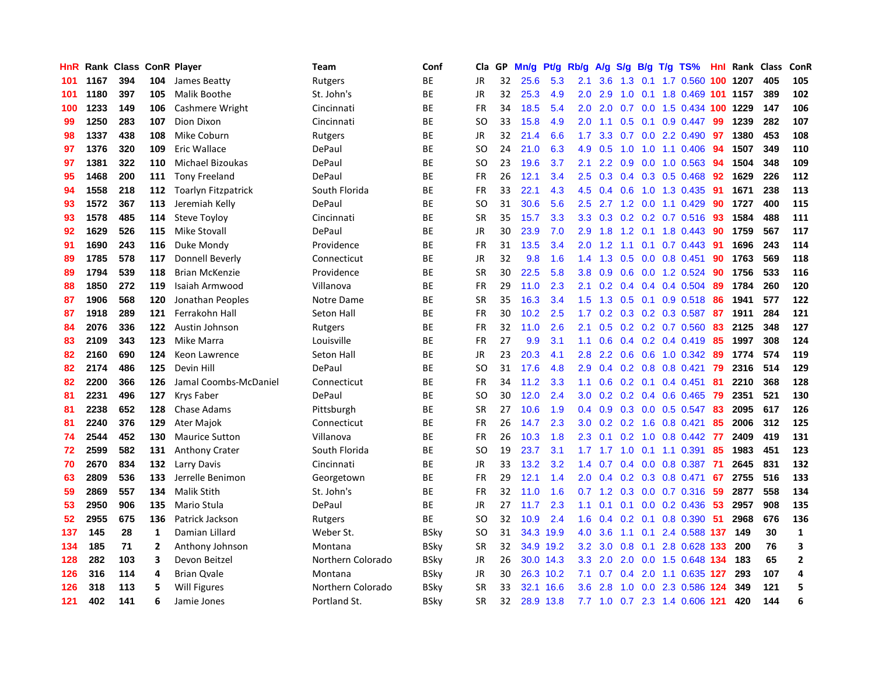| HnR |      | Rank Class ConR Player |              |                            | Team              | Conf        | Cla       | GP | Mn/g | <b>Pt/g</b> | Rb/g             | A/g             | S/g |     | B/g T/g TS%                | Hnl | Rank | <b>Class</b> | <b>ConR</b>  |
|-----|------|------------------------|--------------|----------------------------|-------------------|-------------|-----------|----|------|-------------|------------------|-----------------|-----|-----|----------------------------|-----|------|--------------|--------------|
| 101 | 1167 | 394                    | 104          | James Beatty               | Rutgers           | <b>BE</b>   | JR        | 32 | 25.6 | 5.3         | 2.1              | 3.6             | 1.3 |     | 0.1 1.7 0.560 100 1207     |     |      | 405          | 105          |
| 101 | 1180 | 397                    | 105          | Malik Boothe               | St. John's        | <b>BE</b>   | <b>JR</b> | 32 | 25.3 | 4.9         | 2.0 <sub>1</sub> | 2.9             |     |     | 1.0 0.1 1.8 0.469 101 1157 |     |      | 389          | 102          |
| 100 | 1233 | 149                    | 106          | Cashmere Wright            | Cincinnati        | <b>BE</b>   | <b>FR</b> | 34 | 18.5 | 5.4         | 2.0 <sub>1</sub> | 2.0             |     |     | 0.7 0.0 1.5 0.434 100 1229 |     |      | 147          | 106          |
| 99  | 1250 | 283                    | 107          | Dion Dixon                 | Cincinnati        | <b>BE</b>   | <b>SO</b> | 33 | 15.8 | 4.9         | 2.0              | 1.1             | 0.5 |     | $0.1$ 0.9 0.447            | 99  | 1239 | 282          | 107          |
| 98  | 1337 | 438                    | 108          | Mike Coburn                | Rutgers           | <b>BE</b>   | <b>JR</b> | 32 | 21.4 | 6.6         | 1.7              | 3.3             | 0.7 |     | $0.0$ 2.2 $0.490$          | 97  | 1380 | 453          | 108          |
| 97  | 1376 | 320                    | 109          | Eric Wallace               | DePaul            | ВE          | SO        | 24 | 21.0 | 6.3         | 4.9              | 0.5             | 1.0 |     | 1.0 1.1 0.406              | -94 | 1507 | 349          | 110          |
| 97  | 1381 | 322                    | 110          | Michael Bizoukas           | DePaul            | <b>BE</b>   | SO        | 23 | 19.6 | 3.7         | 2.1              | 2.2             | 0.9 |     | $0.0$ 1.0 0.563            | -94 | 1504 | 348          | 109          |
| 95  | 1468 | 200                    | 111          | <b>Tony Freeland</b>       | DePaul            | <b>BE</b>   | <b>FR</b> | 26 | 12.1 | 3.4         | $2.5\,$          | 0.3             |     |     | $0.4$ 0.3 0.5 0.468        | 92  | 1629 | 226          | 112          |
| 94  | 1558 | 218                    | 112          | <b>Toarlyn Fitzpatrick</b> | South Florida     | <b>BE</b>   | <b>FR</b> | 33 | 22.1 | 4.3         | 4.5              | 0.4             | 0.6 |     | 1.0 1.3 0.435              | 91  | 1671 | 238          | 113          |
| 93  | 1572 | 367                    | 113          | Jeremiah Kelly             | DePaul            | ВE          | <b>SO</b> | 31 | 30.6 | 5.6         | 2.5              | 2.7             |     |     | 1.2 0.0 1.1 0.429          | -90 | 1727 | 400          | 115          |
| 93  | 1578 | 485                    | 114          | <b>Steve Toyloy</b>        | Cincinnati        | <b>BE</b>   | <b>SR</b> | 35 | 15.7 | 3.3         | 3.3 <sub>2</sub> | 0.3             |     |     | 0.2 0.2 0.7 0.516 93       |     | 1584 | 488          | 111          |
| 92  | 1629 | 526                    | 115          | <b>Mike Stovall</b>        | DePaul            | ВE          | JR        | 30 | 23.9 | 7.0         | 2.9              | 1.8             |     |     | 1.2 0.1 1.8 0.443          | -90 | 1759 | 567          | 117          |
| 91  | 1690 | 243                    | 116          | Duke Mondy                 | Providence        | ВE          | <b>FR</b> | 31 | 13.5 | 3.4         | 2.0              | 1.2             | 1.1 |     | $0.1$ 0.7 0.443            | 91  | 1696 | 243          | 114          |
| 89  | 1785 | 578                    | 117          | Donnell Beverly            | Connecticut       | ВE          | JR        | 32 | 9.8  | 1.6         | 1.4              | 1.3             | 0.5 |     | $0.0$ 0.8 0.451            | 90  | 1763 | 569          | 118          |
| 89  | 1794 | 539                    | 118          | <b>Brian McKenzie</b>      | Providence        | ВE          | <b>SR</b> | 30 | 22.5 | 5.8         | 3.8 <sup>°</sup> | 0.9             | 0.6 |     | $0.0$ 1.2 0.524            | 90  | 1756 | 533          | 116          |
| 88  | 1850 | 272                    | 119          | Isaiah Armwood             | Villanova         | ВE          | <b>FR</b> | 29 | 11.0 | 2.3         | 2.1              | 0.2             |     |     | $0.4$ 0.4 0.4 0.504        | -89 | 1784 | 260          | 120          |
| 87  | 1906 | 568                    | 120          | Jonathan Peoples           | Notre Dame        | <b>BE</b>   | <b>SR</b> | 35 | 16.3 | 3.4         | 1.5              | 1.3             | 0.5 |     | $0.1$ 0.9 0.518            | -86 | 1941 | 577          | 122          |
| 87  | 1918 | 289                    | 121          | Ferrakohn Hall             | Seton Hall        | <b>BE</b>   | <b>FR</b> | 30 | 10.2 | 2.5         | 1.7              | 0.2             |     |     | $0.3$ $0.2$ $0.3$ $0.587$  | -87 | 1911 | 284          | 121          |
| 84  | 2076 | 336                    | 122          | Austin Johnson             | Rutgers           | ВE          | <b>FR</b> | 32 | 11.0 | 2.6         | 2.1              | 0.5             |     |     | $0.2$ 0.2 0.7 0.560        | -83 | 2125 | 348          | 127          |
| 83  | 2109 | 343                    | 123          | Mike Marra                 | Louisville        | <b>BE</b>   | <b>FR</b> | 27 | 9.9  | 3.1         | 1.1              | 0.6             |     |     | $0.4$ 0.2 0.4 0.419        | -85 | 1997 | 308          | 124          |
| 82  | 2160 | 690                    | 124          | Keon Lawrence              | Seton Hall        | <b>BE</b>   | <b>JR</b> | 23 | 20.3 | 4.1         | 2.8              | 2.2             |     |     | 0.6 0.6 1.0 0.342          | 89  | 1774 | 574          | 119          |
| 82  | 2174 | 486                    | 125          | Devin Hill                 | DePaul            | ВE          | SO        | 31 | 17.6 | 4.8         | 2.9 <sup>°</sup> | 0.4             |     |     | $0.2$ 0.8 0.8 0.421        | 79  | 2316 | 514          | 129          |
| 82  | 2200 | 366                    | 126          | Jamal Coombs-McDaniel      | Connecticut       | BЕ          | <b>FR</b> | 34 | 11.2 | 3.3         | 1.1              | 0.6             |     |     | $0.2$ 0.1 0.4 0.451        | 81  | 2210 | 368          | 128          |
| 81  | 2231 | 496                    | 127          | Krys Faber                 | DePaul            | <b>BE</b>   | <b>SO</b> | 30 | 12.0 | 2.4         | 3.0 <sub>2</sub> | 0.2             | 0.2 |     | $0.4$ 0.6 0.465            | 79  | 2351 | 521          | 130          |
| 81  | 2238 | 652                    | 128          | Chase Adams                | Pittsburgh        | ВE          | <b>SR</b> | 27 | 10.6 | 1.9         | 0.4              | 0.9             |     |     | 0.3 0.0 0.5 0.547          | -83 | 2095 | 617          | 126          |
| 81  | 2240 | 376                    | 129          | <b>Ater Majok</b>          | Connecticut       | <b>BE</b>   | <b>FR</b> | 26 | 14.7 | 2.3         | 3.0 <sub>2</sub> | 0.2             |     |     | 0.2 1.6 0.8 0.421          | 85  | 2006 | 312          | 125          |
| 74  | 2544 | 452                    | 130          | <b>Maurice Sutton</b>      | Villanova         | <b>BE</b>   | <b>FR</b> | 26 | 10.3 | 1.8         | 2.3              | 0.1             |     |     | 0.2 1.0 0.8 0.442 77       |     | 2409 | 419          | 131          |
| 72  | 2599 | 582                    | 131          | <b>Anthony Crater</b>      | South Florida     | <b>BE</b>   | <b>SO</b> | 19 | 23.7 | 3.1         |                  |                 |     |     | 1.7 1.7 1.0 0.1 1.1 0.391  | -85 | 1983 | 451          | 123          |
| 70  | 2670 | 834                    | 132          | Larry Davis                | Cincinnati        | ВE          | JR        | 33 | 13.2 | 3.2         | $1.4^{\circ}$    | 0.7             |     |     | $0.4$ 0.0 0.8 0.387        | -71 | 2645 | 831          | 132          |
| 63  | 2809 | 536                    | 133          | Jerrelle Benimon           | Georgetown        | BE          | FR        | 29 | 12.1 | 1.4         | 2.0 <sub>1</sub> | 0.4             |     |     | $0.2$ 0.3 0.8 0.471        | 67  | 2755 | 516          | 133          |
| 59  | 2869 | 557                    | 134          | <b>Malik Stith</b>         | St. John's        | BE          | <b>FR</b> | 32 | 11.0 | 1.6         | 0.7              | 1.2             |     |     | $0.3$ 0.0 0.7 0.316        | 59  | 2877 | 558          | 134          |
| 53  | 2950 | 906                    | 135          | Mario Stula                | DePaul            | ВE          | JR        | 27 | 11.7 | 2.3         | 1.1              | 0.1             |     |     | $0.1$ $0.0$ $0.2$ $0.436$  | 53  | 2957 | 908          | 135          |
| 52  | 2955 | 675                    | 136          | Patrick Jackson            | Rutgers           | <b>BE</b>   | <b>SO</b> | 32 | 10.9 | 2.4         | 1.6              | 0.4             | 0.2 |     | $0.1$ 0.8 0.390            | -51 | 2968 | 676          | 136          |
| 137 | 145  | 28                     | 1            | Damian Lillard             | Weber St.         | <b>BSky</b> | SO        | 31 | 34.3 | 19.9        | 4.0              | 3.6             | 1.1 | 0.1 | 2.4 0.588 137              |     | 149  | 30           | $\mathbf{1}$ |
| 134 | 185  | 71                     | $\mathbf{2}$ | Anthony Johnson            | Montana           | BSkv        | <b>SR</b> | 32 |      | 34.9 19.2   | 3.2              | 3.0             | 0.8 | 0.1 | 2.8 0.628 133              |     | 200  | 76           | 3            |
| 128 | 282  | 103                    | 3            | Devon Beitzel              | Northern Colorado | BSkv        | JR        | 26 |      | 30.0 14.3   |                  | $3.3\quad 2.0$  | 2.0 |     | 0.0 1.5 0.648 134          |     | 183  | 65           | $\mathbf{2}$ |
| 126 | 316  | 114                    | 4            | <b>Brian Qvale</b>         | Montana           | <b>BSky</b> | JR        | 30 |      | 26.3 10.2   | 7.1              | 0.7             | 0.4 |     | 2.0 1.1 0.635 127          |     | 293  | 107          | 4            |
| 126 | 318  | 113                    | 5            | Will Figures               | Northern Colorado | BSkv        | <b>SR</b> | 33 | 32.1 | 16.6        | 3.6 <sup>°</sup> | 2.8             | 1.0 |     | 0.0 2.3 0.586 124          |     | 349  | 121          | 5            |
| 121 | 402  | 141                    |              | Jamie Jones                | Portland St.      | <b>BSkv</b> | <b>SR</b> | 32 |      | 28.9 13.8   |                  | $7.7 \quad 1.0$ |     |     | 0.7 2.3 1.4 0.606 121      |     | 420  | 144          | 6            |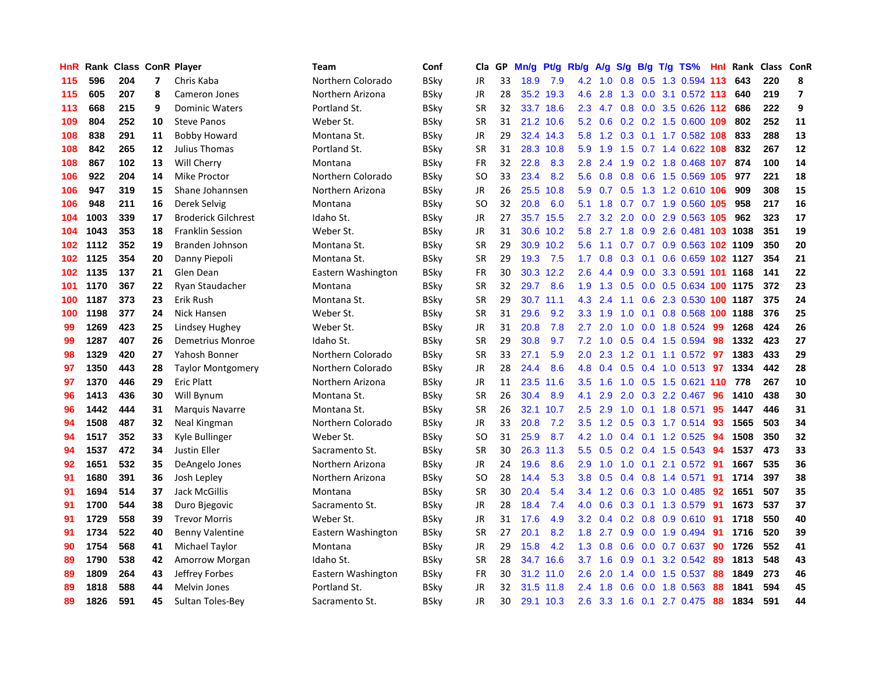| HnR | Rank | <b>Class ConR Player</b> |    |                            | Team               | Conf        | Cla       | <b>GP</b> | Mn/g | <b>Pt/g</b> | Rb/g             | A/g       | S/g |  | B/g T/g TS%                    | Hnl | Rank | <b>Class</b> | <b>ConR</b>    |
|-----|------|--------------------------|----|----------------------------|--------------------|-------------|-----------|-----------|------|-------------|------------------|-----------|-----|--|--------------------------------|-----|------|--------------|----------------|
| 115 | 596  | 204                      | 7  | Chris Kaba                 | Northern Colorado  | BSky        | <b>JR</b> | 33        | 18.9 | 7.9         | 4.2              | 1.0       |     |  | 0.8 0.5 1.3 0.594 113          |     | 643  | 220          | 8              |
| 115 | 605  | 207                      | 8  | Cameron Jones              | Northern Arizona   | <b>BSky</b> | JR        | 28        |      | 35.2 19.3   | 4.6              | 2.8       |     |  | 1.3 0.0 3.1 0.572 113          |     | 640  | 219          | $\overline{7}$ |
| 113 | 668  | 215                      | 9  | <b>Dominic Waters</b>      | Portland St.       | <b>BSky</b> | <b>SR</b> | 32        |      | 33.7 18.6   | $2.3^{\circ}$    | 4.7       |     |  | 0.8 0.0 3.5 0.626 112          |     | 686  | 222          | 9              |
| 109 | 804  | 252                      | 10 | <b>Steve Panos</b>         | Weber St.          | <b>BSky</b> | <b>SR</b> | 31        | 21.2 | 10.6        | 5.2              | 0.6       |     |  | $0.2$ 0.2 1.5 0.600 109        |     | 802  | 252          | 11             |
| 108 | 838  | 291                      | 11 | <b>Bobby Howard</b>        | Montana St.        | BSky        | JR        | 29        | 32.4 | 14.3        | 5.8              | 1.2       | 0.3 |  | 0.1 1.7 0.582 108              |     | 833  | 288          | 13             |
| 108 | 842  | 265                      | 12 | Julius Thomas              | Portland St.       | BSkv        | <b>SR</b> | 31        | 28.3 | 10.8        | 5.9              | 1.9       | 1.5 |  | 0.7 1.4 0.622 108              |     | 832  | 267          | 12             |
| 108 | 867  | 102                      | 13 | Will Cherry                | Montana            | <b>BSky</b> | FR        | 32        | 22.8 | 8.3         | 2.8              | 2.4       | 1.9 |  | 0.2 1.8 0.468 107              |     | 874  | 100          | 14             |
| 106 | 922  | 204                      | 14 | Mike Proctor               | Northern Colorado  | BSky        | <b>SO</b> | 33        | 23.4 | 8.2         | 5.6              | 0.8       | 0.8 |  | 0.6 1.5 0.569 105              |     | 977  | 221          | 18             |
| 106 | 947  | 319                      | 15 | Shane Johannsen            | Northern Arizona   | <b>BSky</b> | JR        | 26        | 25.5 | 10.8        | 5.9              | 0.7       | 0.5 |  | 1.3 1.2 0.610 106              |     | 909  | 308          | 15             |
| 106 | 948  | 211                      | 16 | Derek Selvig               | Montana            | BSky        | SO        | 32        | 20.8 | 6.0         | 5.1              | 1.8       |     |  | 0.7 0.7 1.9 0.560 105          |     | 958  | 217          | 16             |
| 104 | 1003 | 339                      | 17 | <b>Broderick Gilchrest</b> | Idaho St.          | <b>BSky</b> | JR        | 27        |      | 35.7 15.5   | $2.7^{\circ}$    |           |     |  | 3.2 2.0 0.0 2.9 0.563 105      |     | 962  | 323          | 17             |
| 104 | 1043 | 353                      | 18 | <b>Franklin Session</b>    | Weber St.          | BSky        | JR        | 31        |      | 30.6 10.2   | 5.8              |           |     |  | 2.7 1.8 0.9 2.6 0.481 103 1038 |     |      | 351          | 19             |
| 102 | 1112 | 352                      | 19 | Branden Johnson            | Montana St.        | <b>BSky</b> | <b>SR</b> | 29        | 30.9 | 10.2        | 5.6              | 1.1       |     |  | 0.7 0.7 0.9 0.563 102 1109     |     |      | 350          | 20             |
| 102 | 1125 | 354                      | 20 | Danny Piepoli              | Montana St.        | BSky        | <b>SR</b> | 29        | 19.3 | 7.5         | 1.7              | 0.8       | 0.3 |  | 0.1 0.6 0.659 102 1127         |     |      | 354          | 21             |
| 102 | 1135 | 137                      | 21 | Glen Dean                  | Eastern Washington | BSky        | FR        | 30        | 30.3 | 12.2        | 2.6              | 4.4       | 0.9 |  | 0.0 3.3 0.591 101 1168         |     |      | 141          | 22             |
| 101 | 1170 | 367                      | 22 | Ryan Staudacher            | Montana            | BSky        | <b>SR</b> | 32        | 29.7 | 8.6         | 1.9              | 1.3       | 0.5 |  | 0.0 0.5 0.634 100 1175         |     |      | 372          | 23             |
| 100 | 1187 | 373                      | 23 | Erik Rush                  | Montana St.        | BSky        | <b>SR</b> | 29        | 30.7 | 11.1        | 4.3              | 2.4       | 1.1 |  | 0.6 2.3 0.530 100 1187         |     |      | 375          | 24             |
| 100 | 1198 | 377                      | 24 | Nick Hansen                | Weber St.          | BSky        | <b>SR</b> | 31        | 29.6 | 9.2         | 3.3              | 1.9       | 1.0 |  | 0.1 0.8 0.568 100 1188         |     |      | 376          | 25             |
| 99  | 1269 | 423                      | 25 | <b>Lindsey Hughey</b>      | Weber St.          | BSky        | <b>JR</b> | 31        | 20.8 | 7.8         | $2.7^{\circ}$    | 2.0       |     |  | 1.0 0.0 1.8 0.524 99           |     | 1268 | 424          | 26             |
| 99  | 1287 | 407                      | 26 | Demetrius Monroe           | Idaho St.          | BSky        | <b>SR</b> | 29        | 30.8 | 9.7         | 7.2              |           |     |  | 1.0 0.5 0.4 1.5 0.594          | -98 | 1332 | 423          | 27             |
| 98  | 1329 | 420                      | 27 | Yahosh Bonner              | Northern Colorado  | BSkv        | <b>SR</b> | 33        | 27.1 | 5.9         | 2.0 <sub>2</sub> |           |     |  | 2.3 1.2 0.1 1.1 0.572 97       |     | 1383 | 433          | 29             |
| 97  | 1350 | 443                      | 28 | <b>Taylor Montgomery</b>   | Northern Colorado  | BSky        | JR        | 28        | 24.4 | 8.6         | 4.8              | 0.4       | 0.5 |  | $0.4$ 1.0 0.513                | 97  | 1334 | 442          | 28             |
| 97  | 1370 | 446                      | 29 | Eric Platt                 | Northern Arizona   | <b>BSky</b> | JR        | 11        | 23.5 | 11.6        | 3.5              | 1.6       |     |  | 1.0 0.5 1.5 0.621 110          |     | 778  | 267          | 10             |
| 96  | 1413 | 436                      | 30 | Will Bynum                 | Montana St.        | <b>BSky</b> | <b>SR</b> | 26        | 30.4 | 8.9         | 4.1              | 2.9       | 2.0 |  | 0.3 2.2 0.467                  | 96  | 1410 | 438          | 30             |
| 96  | 1442 | 444                      | 31 | <b>Marquis Navarre</b>     | Montana St.        | BSky        | <b>SR</b> | 26        | 32.1 | 10.7        | 2.5              | 2.9       | 1.0 |  | $0.1$ 1.8 0.571                | 95  | 1447 | 446          | 31             |
| 94  | 1508 | 487                      | 32 | Neal Kingman               | Northern Colorado  | <b>BSky</b> | JR        | 33        | 20.8 | 7.2         | 3.5              | 1.2       | 0.5 |  | 0.3 1.7 0.514                  | 93  | 1565 | 503          | 34             |
| 94  | 1517 | 352                      | 33 | Kyle Bullinger             | Weber St.          | BSky        | SO        | 31        | 25.9 | 8.7         | 4.2              |           |     |  | 1.0 0.4 0.1 1.2 0.525 94       |     | 1508 | 350          | 32             |
| 94  | 1537 | 472                      | 34 | Justin Eller               | Sacramento St.     | <b>BSky</b> | <b>SR</b> | 30        |      | 26.3 11.3   | 5.5              | 0.5       |     |  | 0.2 0.4 1.5 0.543 94           |     | 1537 | 473          | 33             |
| 92  | 1651 | 532                      | 35 | DeAngelo Jones             | Northern Arizona   | <b>BSky</b> | JR        | 24        | 19.6 | 8.6         | 2.9              |           |     |  | 1.0 1.0 0.1 2.1 0.572 91       |     | 1667 | 535          | 36             |
| 91  | 1680 | 391                      | 36 | Josh Lepley                | Northern Arizona   | <b>BSky</b> | SO        | 28        | 14.4 | 5.3         | 3.8              | 0.5       |     |  | 0.4 0.8 1.4 0.571              | 91  | 1714 | 397          | 38             |
| 91  | 1694 | 514                      | 37 | Jack McGillis              | Montana            | <b>BSky</b> | <b>SR</b> | 30        | 20.4 | 5.4         | 3.4              | 1.2       | 0.6 |  | 0.3 1.0 0.485                  | 92  | 1651 | 507          | 35             |
| 91  | 1700 | 544                      | 38 | Duro Bjegovic              | Sacramento St.     | BSky        | JR        | 28        | 18.4 | 7.4         | 4.0              | 0.6       |     |  | 0.3 0.1 1.3 0.579              | -91 | 1673 | 537          | 37             |
| 91  | 1729 | 558                      | 39 | <b>Trevor Morris</b>       | Weber St.          | BSky        | JR        | 31        | 17.6 | 4.9         | 3.2              | 0.4       |     |  | $0.2$ 0.8 0.9 0.610            | -91 | 1718 | 550          | 40             |
| 91  | 1734 | 522                      | 40 | <b>Benny Valentine</b>     | Eastern Washington | BSky        | <b>SR</b> | 27        | 20.1 | 8.2         | 1.8              | 2.7       | 0.9 |  | 0.0 1.9 0.494                  | -91 | 1716 | 520          | 39             |
| 90  | 1754 | 568                      | 41 | Michael Taylor             | Montana            | BSky        | JR        | 29        | 15.8 | 4.2         | 1.3              | 0.8       | 0.6 |  | $0.0$ 0.7 0.637                | 90  | 1726 | 552          | 41             |
| 89  | 1790 | 538                      | 42 | <b>Amorrow Morgan</b>      | Idaho St.          | BSky        | <b>SR</b> | 28        | 34.7 | 16.6        |                  | $3.7$ 1.6 |     |  | $0.9$ 0.1 3.2 0.542            | -89 | 1813 | 548          | 43             |
| 89  | 1809 | 264                      | 43 | Jeffrey Forbes             | Eastern Washington | BSky        | FR        | 30        |      | 31.2 11.0   | 2.6              | 2.0       |     |  | 1.4 0.0 1.5 0.537              | -88 | 1849 | 273          | 46             |
| 89  | 1818 | 588                      | 44 | Melvin Jones               | Portland St.       | BSkv        | JR        | 32        | 31.5 | 11.8        | $2.4^{\circ}$    | 1.8       |     |  | $0.6$ 0.0 1.8 0.563            | -88 | 1841 | 594          | 45             |
| 89  | 1826 | 591                      | 45 | Sultan Toles-Bey           | Sacramento St.     | <b>BSkv</b> | <b>JR</b> | 30        |      | 29.1 10.3   | 2.6              |           |     |  | 3.3 1.6 0.1 2.7 0.475          | 88  | 1834 | 591          | 44             |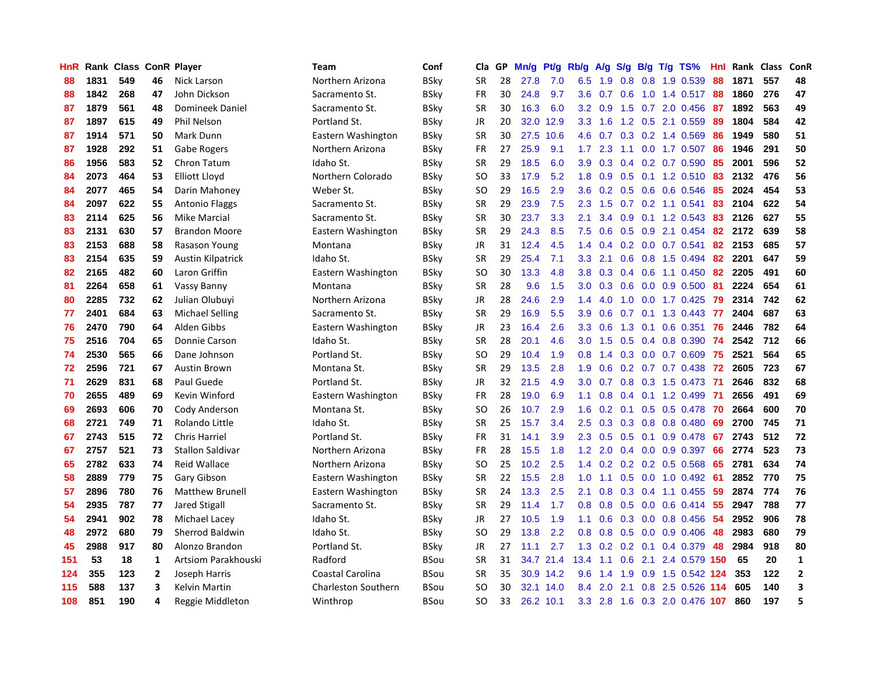| HnR |      | Rank Class ConR Player |              |                          | <b>Team</b>         | Conf        | Cla       | <b>GP</b> | Mn/g | <b>Pt/g</b> | Rb/g             | A/g | S/g |     | B/g T/g TS%               | Hnl | Rank | <b>Class</b> | ConR           |
|-----|------|------------------------|--------------|--------------------------|---------------------|-------------|-----------|-----------|------|-------------|------------------|-----|-----|-----|---------------------------|-----|------|--------------|----------------|
| 88  | 1831 | 549                    | 46           | <b>Nick Larson</b>       | Northern Arizona    | <b>BSky</b> | <b>SR</b> | 28        | 27.8 | 7.0         | 6.5              | 1.9 |     |     | 0.8 0.8 1.9 0.539         | 88  | 1871 | 557          | 48             |
| 88  | 1842 | 268                    | 47           | John Dickson             | Sacramento St.      | BSkv        | <b>FR</b> | 30        | 24.8 | 9.7         | 3.6              | 0.7 |     |     | 0.6 1.0 1.4 0.517 88      |     | 1860 | 276          | 47             |
| 87  | 1879 | 561                    | 48           | Domineek Daniel          | Sacramento St.      | <b>BSky</b> | <b>SR</b> | 30        | 16.3 | 6.0         | 3.2 <sub>2</sub> | 0.9 |     |     | 1.5 0.7 2.0 0.456         | -87 | 1892 | 563          | 49             |
| 87  | 1897 | 615                    | 49           | Phil Nelson              | Portland St.        | <b>BSky</b> | JR        | 20        | 32.0 | 12.9        | 3.3 <sub>2</sub> | 1.6 |     |     | 1.2 0.5 2.1 0.559         | 89  | 1804 | 584          | 42             |
| 87  | 1914 | 571                    | 50           | Mark Dunn                | Eastern Washington  | <b>BSky</b> | <b>SR</b> | 30        | 27.5 | 10.6        | 4.6              | 0.7 |     |     | $0.3$ 0.2 1.4 0.569       | 86  | 1949 | 580          | 51             |
| 87  | 1928 | 292                    | 51           | Gabe Rogers              | Northern Arizona    | <b>BSky</b> | FR        | 27        | 25.9 | 9.1         | 1.7 <sup>2</sup> | 2.3 |     |     | 1.1 0.0 1.7 0.507         | 86  | 1946 | 291          | 50             |
| 86  | 1956 | 583                    | 52           | <b>Chron Tatum</b>       | Idaho St.           | <b>BSky</b> | <b>SR</b> | 29        | 18.5 | 6.0         | 3.9              | 0.3 |     |     | 0.4 0.2 0.7 0.590         | 85  | 2001 | 596          | 52             |
| 84  | 2073 | 464                    | 53           | <b>Elliott Lloyd</b>     | Northern Colorado   | <b>BSky</b> | <b>SO</b> | 33        | 17.9 | 5.2         | 1.8              | 0.9 | 0.5 |     | $0.1$ 1.2 $0.510$         | 83  | 2132 | 476          | 56             |
| 84  | 2077 | 465                    | 54           | Darin Mahoney            | Weber St.           | <b>BSky</b> | <b>SO</b> | 29        | 16.5 | 2.9         | 3.6              | 0.2 | 0.5 |     | 0.6 0.6 0.546             | 85  | 2024 | 454          | 53             |
| 84  | 2097 | 622                    | 55           | <b>Antonio Flaggs</b>    | Sacramento St.      | <b>BSky</b> | <b>SR</b> | 29        | 23.9 | 7.5         | 2.3              | 1.5 |     |     | $0.7$ $0.2$ 1.1 $0.541$   | 83  | 2104 | 622          | 54             |
| 83  | 2114 | 625                    | 56           | <b>Mike Marcial</b>      | Sacramento St.      | <b>BSky</b> | <b>SR</b> | 30        | 23.7 | 3.3         | 2.1              | 3.4 |     |     | 0.9 0.1 1.2 0.543         | -83 | 2126 | 627          | 55             |
| 83  | 2131 | 630                    | 57           | <b>Brandon Moore</b>     | Eastern Washington  | <b>BSky</b> | <b>SR</b> | 29        | 24.3 | 8.5         | 7.5              | 0.6 |     |     | $0.5$ $0.9$ 2.1 $0.454$   | -82 | 2172 | 639          | 58             |
| 83  | 2153 | 688                    | 58           | Rasason Young            | Montana             | <b>BSky</b> | JR        | 31        | 12.4 | 4.5         | 1.4              | 0.4 |     |     | $0.2$ 0.0 0.7 0.541       | 82  | 2153 | 685          | 57             |
| 83  | 2154 | 635                    | 59           | <b>Austin Kilpatrick</b> | Idaho St.           | <b>BSky</b> | <b>SR</b> | 29        | 25.4 | 7.1         | 3.3              | 2.1 | 0.6 |     | 0.8 1.5 0.494             | 82  | 2201 | 647          | 59             |
| 82  | 2165 | 482                    | 60           | Laron Griffin            | Eastern Washington  | <b>BSky</b> | SO        | 30        | 13.3 | 4.8         | 3.8              | 0.3 |     |     | $0.4$ 0.6 1.1 0.450       | 82  | 2205 | 491          | 60             |
| 81  | 2264 | 658                    | 61           | Vassy Banny              | Montana             | <b>BSky</b> | <b>SR</b> | 28        | 9.6  | 1.5         | 3.0 <sub>2</sub> | 0.3 | 0.6 |     | $0.0\quad 0.9\quad 0.500$ | 81  | 2224 | 654          | 61             |
| 80  | 2285 | 732                    | 62           | Julian Olubuyi           | Northern Arizona    | <b>BSky</b> | JR        | 28        | 24.6 | 2.9         | 1.4              | 4.0 | 1.0 |     | $0.0$ 1.7 $0.425$         | 79  | 2314 | 742          | 62             |
| 77  | 2401 | 684                    | 63           | <b>Michael Selling</b>   | Sacramento St.      | <b>BSky</b> | <b>SR</b> | 29        | 16.9 | 5.5         | 3.9 <sup>°</sup> | 0.6 | 0.7 |     | $0.1$ 1.3 0.443           | -77 | 2404 | 687          | 63             |
| 76  | 2470 | 790                    | 64           | Alden Gibbs              | Eastern Washington  | <b>BSky</b> | JR        | 23        | 16.4 | 2.6         | 3.3 <sub>2</sub> | 0.6 |     |     | 1.3 0.1 0.6 0.351         | 76  | 2446 | 782          | 64             |
| 75  | 2516 | 704                    | 65           | Donnie Carson            | Idaho St.           | <b>BSky</b> | <b>SR</b> | 28        | 20.1 | 4.6         | 3.0 <sub>2</sub> | 1.5 |     |     | $0.5$ 0.4 0.8 0.390       | -74 | 2542 | 712          | 66             |
| 74  | 2530 | 565                    | 66           | Dane Johnson             | Portland St.        | BSky        | SO        | 29        | 10.4 | 1.9         | 0.8              | 1.4 |     |     | $0.3$ 0.0 0.7 0.609       | -75 | 2521 | 564          | 65             |
| 72  | 2596 | 721                    | 67           | Austin Brown             | Montana St.         | <b>BSky</b> | <b>SR</b> | 29        | 13.5 | 2.8         | 1.9              | 0.6 |     |     | $0.2$ 0.7 0.7 0.438       | 72  | 2605 | 723          | 67             |
| 71  | 2629 | 831                    | 68           | Paul Guede               | Portland St.        | <b>BSky</b> | JR        | 32        | 21.5 | 4.9         | 3.0 <sub>2</sub> | 0.7 |     |     | 0.8 0.3 1.5 0.473         | -71 | 2646 | 832          | 68             |
| 70  | 2655 | 489                    | 69           | Kevin Winford            | Eastern Washington  | <b>BSky</b> | <b>FR</b> | 28        | 19.0 | 6.9         | 1.1              | 0.8 |     |     | 0.4 0.1 1.2 0.499         | 71  | 2656 | 491          | 69             |
| 69  | 2693 | 606                    | 70           | Cody Anderson            | Montana St.         | <b>BSky</b> | <b>SO</b> | 26        | 10.7 | 2.9         | 1.6              | 0.2 |     |     | $0.1$ $0.5$ $0.5$ $0.478$ | 70  | 2664 | 600          | 70             |
| 68  | 2721 | 749                    | 71           | Rolando Little           | Idaho St.           | <b>BSky</b> | <b>SR</b> | 25        | 15.7 | 3.4         | 2.5              | 0.3 |     |     | 0.3 0.8 0.8 0.480         | 69  | 2700 | 745          | 71             |
| 67  | 2743 | 515                    | 72           | <b>Chris Harriel</b>     | Portland St.        | <b>BSky</b> | FR        | 31        | 14.1 | 3.9         | 2.3              | 0.5 |     |     | $0.5$ 0.1 0.9 0.478       | 67  | 2743 | 512          | 72             |
| 67  | 2757 | 521                    | 73           | <b>Stallon Saldivar</b>  | Northern Arizona    | <b>BSky</b> | FR        | 28        | 15.5 | 1.8         | 1.2              | 2.0 |     |     | $0.4$ 0.0 0.9 0.397       | 66  | 2774 | 523          | 73             |
| 65  | 2782 | 633                    | 74           | <b>Reid Wallace</b>      | Northern Arizona    | <b>BSky</b> | SO        | 25        | 10.2 | 2.5         | $1.4^{\circ}$    | 0.2 |     |     | $0.2$ 0.2 0.5 0.568       | -65 | 2781 | 634          | 74             |
| 58  | 2889 | 779                    | 75           | Gary Gibson              | Eastern Washington  | <b>BSky</b> | <b>SR</b> | 22        | 15.5 | 2.8         | 1.0              | 1.1 |     |     | $0.5$ 0.0 1.0 0.492       | -61 | 2852 | 770          | 75             |
| 57  | 2896 | 780                    | 76           | <b>Matthew Brunell</b>   | Eastern Washington  | <b>BSky</b> | <b>SR</b> | 24        | 13.3 | 2.5         | 2.1              | 0.8 | 0.3 |     | 0.4 1.1 0.455             | 59  | 2874 | 774          | 76             |
| 54  | 2935 | 787                    | 77           | <b>Jared Stigall</b>     | Sacramento St.      | <b>BSky</b> | SR        | 29        | 11.4 | 1.7         | 0.8              | 0.8 | 0.5 |     | $0.0$ 0.6 0.414           | 55  | 2947 | 788          | 77             |
| 54  | 2941 | 902                    | 78           | Michael Lacev            | Idaho St.           | <b>BSky</b> | JR        | 27        | 10.5 | 1.9         | 1.1              | 0.6 | 0.3 |     | $0.0$ 0.8 0.456           | 54  | 2952 | 906          | 78             |
| 48  | 2972 | 680                    | 79           | <b>Sherrod Baldwin</b>   | Idaho St.           | <b>BSky</b> | SO        | 29        | 13.8 | 2.2         | 0.8              | 0.8 | 0.5 |     | $0.0$ $0.9$ $0.406$       | 48  | 2983 | 680          | 79             |
| 45  | 2988 | 917                    | 80           | Alonzo Brandon           | Portland St.        | <b>BSky</b> | JR        | 27        | 11.1 | 2.7         | 1.3              | 0.2 | 0.2 | 0.1 | 0.4 0.379                 | 48  | 2984 | 918          | 80             |
| 151 | 53   | 18                     | 1            | Artsiom Parakhouski      | Radford             | <b>BSou</b> | <b>SR</b> | 31        |      | 34.7 21.4   | 13.4             | 1.1 | 0.6 |     | 2.1 2.4 0.579 150         |     | 65   | 20           | $\mathbf{1}$   |
| 124 | 355  | 123                    | $\mathbf{2}$ | Joseph Harris            | Coastal Carolina    | <b>BSou</b> | <b>SR</b> | 35        |      | 30.9 14.2   | 9.6              | 1.4 | 1.9 |     | 0.9 1.5 0.542 124         |     | 353  | 122          | $\overline{2}$ |
| 115 | 588  | 137                    | 3            | <b>Kelvin Martin</b>     | Charleston Southern | BSou        | SO        | 30        | 32.1 | 14.0        | 8.4              | 2.0 | 2.1 |     | 0.8 2.5 0.526 114         |     | 605  | 140          | 3              |
| 108 | 851  | 190                    | 4            | Reggie Middleton         | Winthrop            | <b>BSou</b> | SO.       | 33        |      | 26.2 10.1   | 3.3              |     |     |     | 2.8 1.6 0.3 2.0 0.476 107 |     | 860  | 197          | 5              |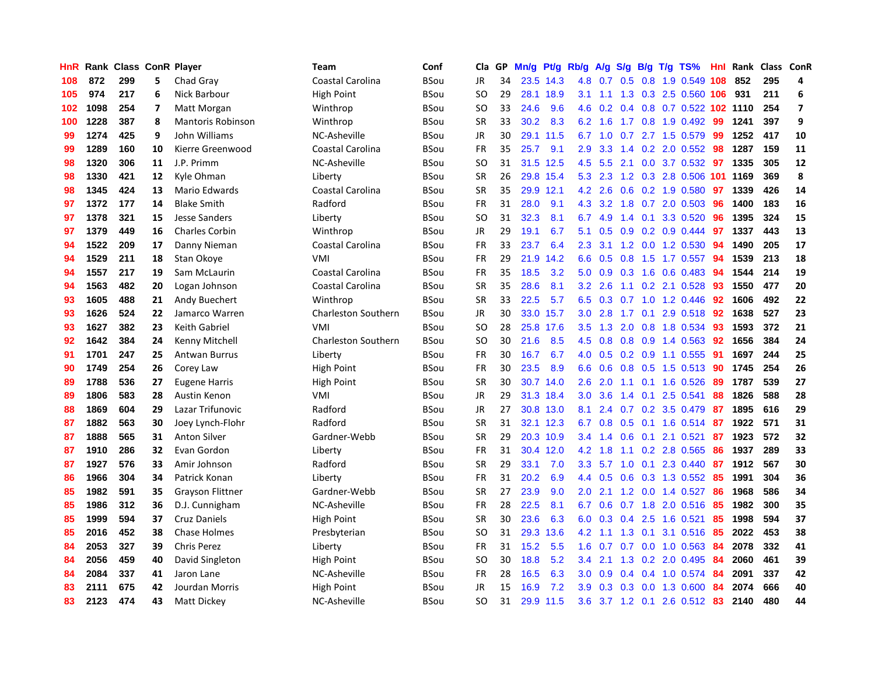| HnR |      | Rank Class ConR Player |    |                          | <b>Team</b>                | Conf        | Cla       | <b>GP</b> | Mn/g | <b>Pt/g</b> | Rb/g             | A/g |     |     | S/g B/g T/g TS%               | Hnl | Rank | Class ConR |                |
|-----|------|------------------------|----|--------------------------|----------------------------|-------------|-----------|-----------|------|-------------|------------------|-----|-----|-----|-------------------------------|-----|------|------------|----------------|
| 108 | 872  | 299                    | 5  | Chad Gray                | Coastal Carolina           | <b>BSou</b> | JR        | 34        |      | 23.5 14.3   | 4.8              | 0.7 | 0.5 |     | 0.8 1.9 0.549 108             |     | 852  | 295        | 4              |
| 105 | 974  | 217                    | 6  | Nick Barbour             | High Point                 | <b>BSou</b> | <b>SO</b> | 29        | 28.1 | 18.9        | 3.1              |     |     |     | 1.1 1.3 0.3 2.5 0.560 106 931 |     |      | 211        | 6              |
| 102 | 1098 | 254                    | 7  | Matt Morgan              | Winthrop                   | <b>BSou</b> | <b>SO</b> | 33        | 24.6 | 9.6         | 4.6              | 0.2 |     |     | 0.4 0.8 0.7 0.522 102 1110    |     |      | 254        | $\overline{7}$ |
| 100 | 1228 | 387                    | 8  | <b>Mantoris Robinson</b> | Winthrop                   | <b>BSou</b> | <b>SR</b> | 33        | 30.2 | 8.3         | 6.2              | 1.6 |     |     | 1.7 0.8 1.9 0.492             | 99  | 1241 | 397        | 9              |
| 99  | 1274 | 425                    | 9  | John Williams            | NC-Asheville               | <b>BSou</b> | <b>JR</b> | 30        | 29.1 | 11.5        | 6.7              | 1.0 | 0.7 |     | 2.7 1.5 0.579                 | 99  | 1252 | 417        | 10             |
| 99  | 1289 | 160                    | 10 | Kierre Greenwood         | Coastal Carolina           | <b>BSou</b> | FR        | 35        | 25.7 | 9.1         | 2.9              | 3.3 |     |     | 1.4 0.2 2.0 0.552             | 98  | 1287 | 159        | 11             |
| 98  | 1320 | 306                    | 11 | J.P. Primm               | NC-Asheville               | BSou        | <b>SO</b> | 31        | 31.5 | 12.5        | 4.5              | 5.5 |     |     | 2.1 0.0 3.7 0.532             | 97  | 1335 | 305        | 12             |
| 98  | 1330 | 421                    | 12 | Kyle Ohman               | Liberty                    | <b>BSou</b> | <b>SR</b> | 26        | 29.8 | 15.4        | 5.3              | 2.3 |     |     | 1.2 0.3 2.8 0.506 101 1169    |     |      | 369        | 8              |
| 98  | 1345 | 424                    | 13 | Mario Edwards            | Coastal Carolina           | <b>BSou</b> | <b>SR</b> | 35        | 29.9 | 12.1        | 4.2              | 2.6 | 0.6 |     | 0.2 1.9 0.580                 | 97  | 1339 | 426        | 14             |
| 97  | 1372 | 177                    | 14 | <b>Blake Smith</b>       | Radford                    | <b>BSou</b> | FR        | 31        | 28.0 | 9.1         | 4.3              |     |     |     | 3.2 1.8 0.7 2.0 0.503 96      |     | 1400 | 183        | 16             |
| 97  | 1378 | 321                    | 15 | <b>Jesse Sanders</b>     | Liberty                    | <b>BSou</b> | <b>SO</b> | 31        | 32.3 | 8.1         | 6.7              | 4.9 |     |     | 1.4 0.1 3.3 0.520             | -96 | 1395 | 324        | 15             |
| 97  | 1379 | 449                    | 16 | <b>Charles Corbin</b>    | Winthrop                   | <b>BSou</b> | JR        | 29        | 19.1 | 6.7         | 5.1              | 0.5 |     |     | $0.9$ 0.2 0.9 0.444           | 97  | 1337 | 443        | 13             |
| 94  | 1522 | 209                    | 17 | Danny Nieman             | Coastal Carolina           | <b>BSou</b> | <b>FR</b> | 33        | 23.7 | 6.4         | 2.3              | 3.1 |     |     | 1.2 0.0 1.2 0.530             | 94  | 1490 | 205        | 17             |
| 94  | 1529 | 211                    | 18 | Stan Okoye               | VMI                        | <b>BSou</b> | FR        | 29        | 21.9 | 14.2        | 6.6              | 0.5 | 0.8 |     | 1.5 1.7 0.557                 | 94  | 1539 | 213        | 18             |
| 94  | 1557 | 217                    | 19 | Sam McLaurin             | Coastal Carolina           | <b>BSou</b> | <b>FR</b> | 35        | 18.5 | 3.2         | 5.0              | 0.9 | 0.3 |     | 1.6 0.6 0.483                 | 94  | 1544 | 214        | 19             |
| 94  | 1563 | 482                    | 20 | Logan Johnson            | Coastal Carolina           | <b>BSou</b> | <b>SR</b> | 35        | 28.6 | 8.1         | 3.2              | 2.6 |     |     | 1.1 0.2 2.1 0.528             | 93  | 1550 | 477        | 20             |
| 93  | 1605 | 488                    | 21 | Andy Buechert            | Winthrop                   | <b>BSou</b> | <b>SR</b> | 33        | 22.5 | 5.7         | 6.5              | 0.3 |     |     | 0.7 1.0 1.2 0.446             | 92  | 1606 | 492        | 22             |
| 93  | 1626 | 524                    | 22 | Jamarco Warren           | <b>Charleston Southern</b> | <b>BSou</b> | <b>JR</b> | 30        |      | 33.0 15.7   | 3.0              | 2.8 | 1.7 |     | 0.1 2.9 0.518 92              |     | 1638 | 527        | 23             |
| 93  | 1627 | 382                    | 23 | Keith Gabriel            | VMI                        | <b>BSou</b> | <b>SO</b> | 28        |      | 25.8 17.6   | 3.5              |     |     |     | 1.3 2.0 0.8 1.8 0.534 93      |     | 1593 | 372        | 21             |
| 92  | 1642 | 384                    | 24 | Kenny Mitchell           | <b>Charleston Southern</b> | <b>BSou</b> | <b>SO</b> | 30        | 21.6 | 8.5         | 4.5              | 0.8 |     |     | $0.8$ 0.9 1.4 0.563           | -92 | 1656 | 384        | 24             |
| 91  | 1701 | 247                    | 25 | <b>Antwan Burrus</b>     | Liberty                    | <b>BSou</b> | FR        | 30        | 16.7 | 6.7         | 4.0              | 0.5 |     |     | $0.2$ 0.9 1.1 0.555           | 91  | 1697 | 244        | 25             |
| 90  | 1749 | 254                    | 26 | Corey Law                | <b>High Point</b>          | <b>BSou</b> | FR        | 30        | 23.5 | 8.9         | 6.6              | 0.6 |     |     | 0.8 0.5 1.5 0.513             | 90  | 1745 | 254        | 26             |
| 89  | 1788 | 536                    | 27 | <b>Eugene Harris</b>     | High Point                 | <b>BSou</b> | <b>SR</b> | 30        | 30.7 | 14.0        | 2.6              | 2.0 |     |     | 1.1 0.1 1.6 0.526             | 89  | 1787 | 539        | 27             |
| 89  | 1806 | 583                    | 28 | Austin Kenon             | VMI                        | <b>BSou</b> | JR        | 29        | 31.3 | 18.4        | 3.0 <sub>2</sub> | 3.6 | 1.4 | 0.1 | 2.5 0.541                     | 88  | 1826 | 588        | 28             |
| 88  | 1869 | 604                    | 29 | Lazar Trifunovic         | Radford                    | <b>BSou</b> | <b>JR</b> | 27        | 30.8 | 13.0        | 8.1              | 2.4 |     |     | 0.7 0.2 3.5 0.479             | -87 | 1895 | 616        | 29             |
| 87  | 1882 | 563                    | 30 | Joey Lynch-Flohr         | Radford                    | <b>BSou</b> | <b>SR</b> | 31        |      | 32.1 12.3   | 6.7              | 0.8 |     |     | 0.5 0.1 1.6 0.514 87          |     | 1922 | 571        | 31             |
| 87  | 1888 | 565                    | 31 | <b>Anton Silver</b>      | Gardner-Webb               | <b>BSou</b> | <b>SR</b> | 29        |      | 20.3 10.9   | $3.4^{\circ}$    |     |     |     | 1.4 0.6 0.1 2.1 0.521         | 87  | 1923 | 572        | 32             |
| 87  | 1910 | 286                    | 32 | Evan Gordon              | Liberty                    | <b>BSou</b> | <b>FR</b> | 31        | 30.4 | 12.0        | 4.2              | 1.8 |     |     | 1.1 0.2 2.8 0.565             | -86 | 1937 | 289        | 33             |
| 87  | 1927 | 576                    | 33 | Amir Johnson             | Radford                    | <b>BSou</b> | <b>SR</b> | 29        | 33.1 | 7.0         | 3.3 <sub>2</sub> |     |     |     | 5.7 1.0 0.1 2.3 0.440         | -87 | 1912 | 567        | 30             |
| 86  | 1966 | 304                    | 34 | Patrick Konan            | Liberty                    | <b>BSou</b> | <b>FR</b> | 31        | 20.2 | 6.9         | 4.4              | 0.5 | 0.6 |     | 0.3 1.3 0.552                 | 85  | 1991 | 304        | 36             |
| 85  | 1982 | 591                    | 35 | <b>Grayson Flittner</b>  | Gardner-Webb               | <b>BSou</b> | <b>SR</b> | 27        | 23.9 | 9.0         | 2.0              | 2.1 |     |     | 1.2 0.0 1.4 0.527             | 86  | 1968 | 586        | 34             |
| 85  | 1986 | 312                    | 36 | D.J. Cunnigham           | NC-Asheville               | <b>BSou</b> | <b>FR</b> | 28        | 22.5 | 8.1         | 6.7              | 0.6 |     |     | 0.7 1.8 2.0 0.516             | 85  | 1982 | 300        | 35             |
| 85  | 1999 | 594                    | 37 | <b>Cruz Daniels</b>      | <b>High Point</b>          | <b>BSou</b> | <b>SR</b> | 30        | 23.6 | 6.3         | 6.0              | 0.3 | 0.4 |     | 2.5 1.6 0.521                 | 85  | 1998 | 594        | 37             |
| 85  | 2016 | 452                    | 38 | <b>Chase Holmes</b>      | Presbyterian               | <b>BSou</b> | <b>SO</b> | 31        | 29.3 | 13.6        | 4.2              | 1.1 | 1.3 | 0.1 | 3.1 0.516                     | 85  | 2022 | 453        | 38             |
| 84  | 2053 | 327                    | 39 | Chris Perez              | Liberty                    | <b>BSou</b> | FR        | 31        | 15.2 | 5.5         | 1.6              | 0.7 |     |     | $0.7$ 0.0 1.0 0.563           | -84 | 2078 | 332        | 41             |
| 84  | 2056 | 459                    | 40 | David Singleton          | <b>High Point</b>          | BSou        | <b>SO</b> | 30        | 18.8 | 5.2         | $3.4^{\circ}$    | 2.1 |     |     | 1.3 0.2 2.0 0.495             | -84 | 2060 | 461        | 39             |
| 84  | 2084 | 337                    | 41 | Jaron Lane               | NC-Asheville               | <b>BSou</b> | FR        | 28        | 16.5 | 6.3         | 3.0 <sub>2</sub> | 0.9 |     |     | $0.4$ 0.4 1.0 0.574           | -84 | 2091 | 337        | 42             |
| 83  | 2111 | 675                    | 42 | Jourdan Morris           | <b>High Point</b>          | <b>BSou</b> | <b>JR</b> | 15        | 16.9 | 7.2         | 3.9              | 0.3 | 0.3 |     | 0.0 1.3 0.600                 | 84  | 2074 | 666        | 40             |
| 83  | 2123 | 474                    | 43 | Matt Dickey              | NC-Asheville               | <b>BSou</b> | SO        | 31        |      | 29.9 11.5   | 3.6              |     |     |     | 3.7 1.2 0.1 2.6 0.512 83      |     | 2140 | 480        | 44             |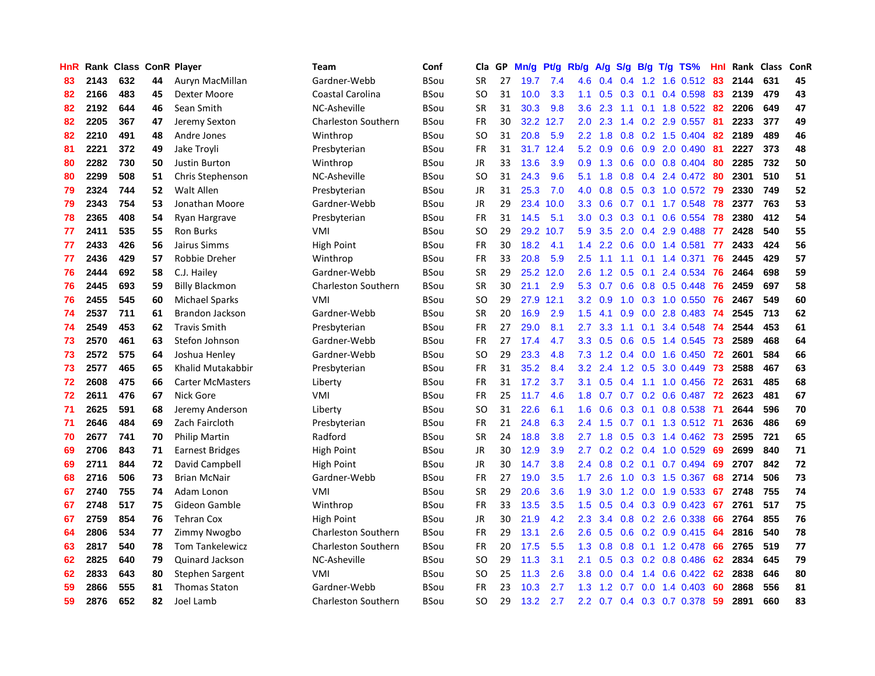| HnR |      | Rank Class ConR Player |    |                         | <b>Team</b>                | Conf        | Cla       | <b>GP</b> | Mn/g | <b>Pt/g</b> | Rb/g             | A/g |                  |     | S/g B/g T/g TS%                 | Hnl | Rank | <b>Class</b> | ConR |
|-----|------|------------------------|----|-------------------------|----------------------------|-------------|-----------|-----------|------|-------------|------------------|-----|------------------|-----|---------------------------------|-----|------|--------------|------|
| 83  | 2143 | 632                    | 44 | Auryn MacMillan         | Gardner-Webb               | <b>BSou</b> | <b>SR</b> | 27        | 19.7 | 7.4         | 4.6              | 0.4 | $0.4^{\circ}$    |     | 1.2 1.6 0.512                   | -83 | 2144 | 631          | 45   |
| 82  | 2166 | 483                    | 45 | Dexter Moore            | Coastal Carolina           | <b>BSou</b> | SO        | 31        | 10.0 | 3.3         | 1.1              | 0.5 |                  |     | $0.3$ 0.1 0.4 0.598             | -83 | 2139 | 479          | 43   |
| 82  | 2192 | 644                    | 46 | Sean Smith              | NC-Asheville               | <b>BSou</b> | <b>SR</b> | 31        | 30.3 | 9.8         | 3.6              | 2.3 |                  |     | 1.1 0.1 1.8 0.522 82            |     | 2206 | 649          | 47   |
| 82  | 2205 | 367                    | 47 | Jeremy Sexton           | <b>Charleston Southern</b> | <b>BSou</b> | <b>FR</b> | 30        | 32.2 | 12.7        | 2.0 <sub>1</sub> | 2.3 |                  |     | 1.4 0.2 2.9 0.557               | -81 | 2233 | 377          | 49   |
| 82  | 2210 | 491                    | 48 | Andre Jones             | Winthrop                   | <b>BSou</b> | <b>SO</b> | 31        | 20.8 | 5.9         | $2.2\phantom{0}$ | 1.8 | 0.8              |     | 0.2 1.5 0.404                   | 82  | 2189 | 489          | 46   |
| 81  | 2221 | 372                    | 49 | Jake Troyli             | Presbyterian               | <b>BSou</b> | <b>FR</b> | 31        | 31.7 | 12.4        | 5.2              | 0.9 | 0.6              |     | $0.9$ 2.0 0.490                 | -81 | 2227 | 373          | 48   |
| 80  | 2282 | 730                    | 50 | <b>Justin Burton</b>    | Winthrop                   | <b>BSou</b> | JR        | 33        | 13.6 | 3.9         | 0.9 <sub>0</sub> | 1.3 | 0.6              |     | $0.0$ 0.8 0.404                 | 80  | 2285 | 732          | 50   |
| 80  | 2299 | 508                    | 51 | Chris Stephenson        | NC-Asheville               | <b>BSou</b> | SO.       | 31        | 24.3 | 9.6         | 5.1              | 1.8 | 0.8 <sub>0</sub> |     | $0.4$ 2.4 0.472                 | -80 | 2301 | 510          | 51   |
| 79  | 2324 | 744                    | 52 | Walt Allen              | Presbyterian               | <b>BSou</b> | JR        | 31        | 25.3 | 7.0         | 4.0              | 0.8 | 0.5              |     | 0.3 1.0 0.572                   | -79 | 2330 | 749          | 52   |
| 79  | 2343 | 754                    | 53 | Jonathan Moore          | Gardner-Webb               | <b>BSou</b> | JR        | 29        | 23.4 | 10.0        | 3.3 <sub>2</sub> | 0.6 |                  |     | $0.7$ 0.1 1.7 0.548             | -78 | 2377 | 763          | 53   |
| 78  | 2365 | 408                    | 54 | Ryan Hargrave           | Presbyterian               | <b>BSou</b> | <b>FR</b> | 31        | 14.5 | 5.1         | 3.0 <sub>2</sub> | 0.3 |                  |     | $0.3$ 0.1 0.6 0.554             | 78  | 2380 | 412          | 54   |
| 77  | 2411 | 535                    | 55 | <b>Ron Burks</b>        | VMI                        | <b>BSou</b> | SO        | 29        | 29.2 | 10.7        | 5.9              | 3.5 |                  |     | 2.0 0.4 2.9 0.488               | -77 | 2428 | 540          | 55   |
| 77  | 2433 | 426                    | 56 | Jairus Simms            | High Point                 | <b>BSou</b> | <b>FR</b> | 30        | 18.2 | 4.1         | 1.4              | 2.2 | 0.6              |     | $0.0$ 1.4 0.581                 | 77  | 2433 | 424          | 56   |
| 77  | 2436 | 429                    | 57 | Robbie Dreher           | Winthrop                   | <b>BSou</b> | <b>FR</b> | 33        | 20.8 | 5.9         | 2.5              | 1.1 | 1.1              |     | $0.1$ 1.4 0.371                 | 76  | 2445 | 429          | 57   |
| 76  | 2444 | 692                    | 58 | C.J. Hailey             | Gardner-Webb               | <b>BSou</b> | <b>SR</b> | 29        | 25.2 | 12.0        | 2.6              | 1.2 | 0.5              |     | 0.1 2.4 0.534                   | 76  | 2464 | 698          | 59   |
| 76  | 2445 | 693                    | 59 | <b>Billy Blackmon</b>   | <b>Charleston Southern</b> | <b>BSou</b> | <b>SR</b> | 30        | 21.1 | 2.9         | 5.3              | 0.7 | 0.6              |     | 0.8 0.5 0.448                   | 76  | 2459 | 697          | 58   |
| 76  | 2455 | 545                    | 60 | <b>Michael Sparks</b>   | <b>VMI</b>                 | <b>BSou</b> | <b>SO</b> | 29        | 27.9 | 12.1        | 3.2              | 0.9 | 1.0              |     | 0.3 1.0 0.550                   | 76  | 2467 | 549          | 60   |
| 74  | 2537 | 711                    | 61 | <b>Brandon Jackson</b>  | Gardner-Webb               | <b>BSou</b> | <b>SR</b> | 20        | 16.9 | 2.9         | 1.5              | 4.1 | 0.9              |     | $0.0$ 2.8 0.483                 | 74  | 2545 | 713          | 62   |
| 74  | 2549 | 453                    | 62 | <b>Travis Smith</b>     | Presbyterian               | <b>BSou</b> | FR        | 27        | 29.0 | 8.1         | 2.7              | 3.3 |                  |     | 1.1 0.1 3.4 0.548               | 74  | 2544 | 453          | 61   |
| 73  | 2570 | 461                    | 63 | Stefon Johnson          | Gardner-Webb               | BSou        | <b>FR</b> | 27        | 17.4 | 4.7         | 3.3 <sub>2</sub> | 0.5 |                  |     | $0.6$ $0.5$ 1.4 $0.545$         | -73 | 2589 | 468          | 64   |
| 73  | 2572 | 575                    | 64 | Joshua Henley           | Gardner-Webb               | <b>BSou</b> | <b>SO</b> | 29        | 23.3 | 4.8         | 7.3              | 1.2 |                  |     | $0.4$ 0.0 1.6 0.450             | 72  | 2601 | 584          | 66   |
| 73  | 2577 | 465                    | 65 | Khalid Mutakabbir       | Presbyterian               | <b>BSou</b> | <b>FR</b> | 31        | 35.2 | 8.4         | 3.2              | 2.4 | 1.2              |     | 0.5 3.0 0.449                   | 73  | 2588 | 467          | 63   |
| 72  | 2608 | 475                    | 66 | <b>Carter McMasters</b> | Liberty                    | <b>BSou</b> | FR        | 31        | 17.2 | 3.7         | 3.1              | 0.5 | 0.4              |     | 1.1 1.0 0.456                   | 72  | 2631 | 485          | 68   |
| 72  | 2611 | 476                    | 67 | Nick Gore               | VMI                        | <b>BSou</b> | <b>FR</b> | 25        | 11.7 | 4.6         | 1.8              | 0.7 |                  |     | 0.7 0.2 0.6 0.487               | 72  | 2623 | 481          | 67   |
| 71  | 2625 | 591                    | 68 | Jeremy Anderson         | Liberty                    | <b>BSou</b> | SO        | 31        | 22.6 | 6.1         | 1.6              | 0.6 | 0.3              | 0.1 | 0.8 0.538                       | 71  | 2644 | 596          | 70   |
| 71  | 2646 | 484                    | 69 | Zach Faircloth          | Presbyterian               | <b>BSou</b> | FR        | 21        | 24.8 | 6.3         | 2.4              | 1.5 |                  |     | 0.7 0.1 1.3 0.512               | -71 | 2636 | 486          | 69   |
| 70  | 2677 | 741                    | 70 | <b>Philip Martin</b>    | Radford                    | <b>BSou</b> | <b>SR</b> | 24        | 18.8 | 3.8         | 2.7              | 1.8 |                  |     | 0.5 0.3 1.4 0.462 73            |     | 2595 | 721          | 65   |
| 69  | 2706 | 843                    | 71 | <b>Earnest Bridges</b>  | High Point                 | BSou        | JR        | 30        | 12.9 | 3.9         | $2.7^{\circ}$    |     |                  |     | $0.2$ $0.2$ $0.4$ $1.0$ $0.529$ | 69  | 2699 | 840          | 71   |
| 69  | 2711 | 844                    | 72 | David Campbell          | <b>High Point</b>          | <b>BSou</b> | JR        | 30        | 14.7 | 3.8         | $2.4^{\circ}$    | 0.8 |                  |     | $0.2$ 0.1 0.7 0.494             | 69  | 2707 | 842          | 72   |
| 68  | 2716 | 506                    | 73 | <b>Brian McNair</b>     | Gardner-Webb               | <b>BSou</b> | <b>FR</b> | 27        | 19.0 | 3.5         | 1.7              | 2.6 |                  |     | 1.0 0.3 1.5 0.367               | 68  | 2714 | 506          | 73   |
| 67  | 2740 | 755                    | 74 | Adam Lonon              | <b>VMI</b>                 | <b>BSou</b> | <b>SR</b> | 29        | 20.6 | 3.6         | 1.9              | 3.0 | 1.2              |     | 0.0 1.9 0.533                   | 67  | 2748 | 755          | 74   |
| 67  | 2748 | 517                    | 75 | Gideon Gamble           | Winthrop                   | <b>BSou</b> | <b>FR</b> | 33        | 13.5 | 3.5         | 1.5              | 0.5 |                  |     | $0.4$ 0.3 0.9 0.423             | 67  | 2761 | 517          | 75   |
| 67  | 2759 | 854                    | 76 | <b>Tehran Cox</b>       | High Point                 | <b>BSou</b> | JR        | 30        | 21.9 | 4.2         | 2.3              | 3.4 | 0.8              |     | 0.2 2.6 0.338                   | 66  | 2764 | 855          | 76   |
| 64  | 2806 | 534                    | 77 | Zimmy Nwogbo            | Charleston Southern        | <b>BSou</b> | <b>FR</b> | 29        | 13.1 | 2.6         | 2.6              | 0.5 | 0.6              |     | 0.2 0.9 0.415                   | 64  | 2816 | 540          | 78   |
| 63  | 2817 | 540                    | 78 | <b>Tom Tankelewicz</b>  | <b>Charleston Southern</b> | <b>BSou</b> | <b>FR</b> | 20        | 17.5 | 5.5         | 1.3              | 0.8 | 0.8              |     | $0.1$ 1.2 0.478                 | 66  | 2765 | 519          | 77   |
| 62  | 2825 | 640                    | 79 | <b>Quinard Jackson</b>  | NC-Asheville               | <b>BSou</b> | SO        | 29        | 11.3 | 3.1         | 2.1              | 0.5 |                  |     | $0.3$ 0.2 0.8 0.486             | -62 | 2834 | 645          | 79   |
| 62  | 2833 | 643                    | 80 | Stephen Sargent         | VMI                        | <b>BSou</b> | SO        | 25        | 11.3 | 2.6         | 3.8              | 0.0 | $0.4^{\circ}$    |     | 1.4 0.6 0.422                   | -62 | 2838 | 646          | 80   |
| 59  | 2866 | 555                    | 81 | <b>Thomas Staton</b>    | Gardner-Webb               | BSou        | FR        | 23        | 10.3 | 2.7         | 1.3              | 1.2 |                  |     | $0.7$ $0.0$ 1.4 $0.403$         | 60  | 2868 | 556          | 81   |
| 59  | 2876 | 652                    | 82 | Joel Lamb               | Charleston Southern        | <b>BSou</b> | SO.       | 29        | 13.2 | 2.7         | 2.2              | 0.7 |                  |     | $0.4$ 0.3 0.7 0.378             | 59  | 2891 | 660          | 83   |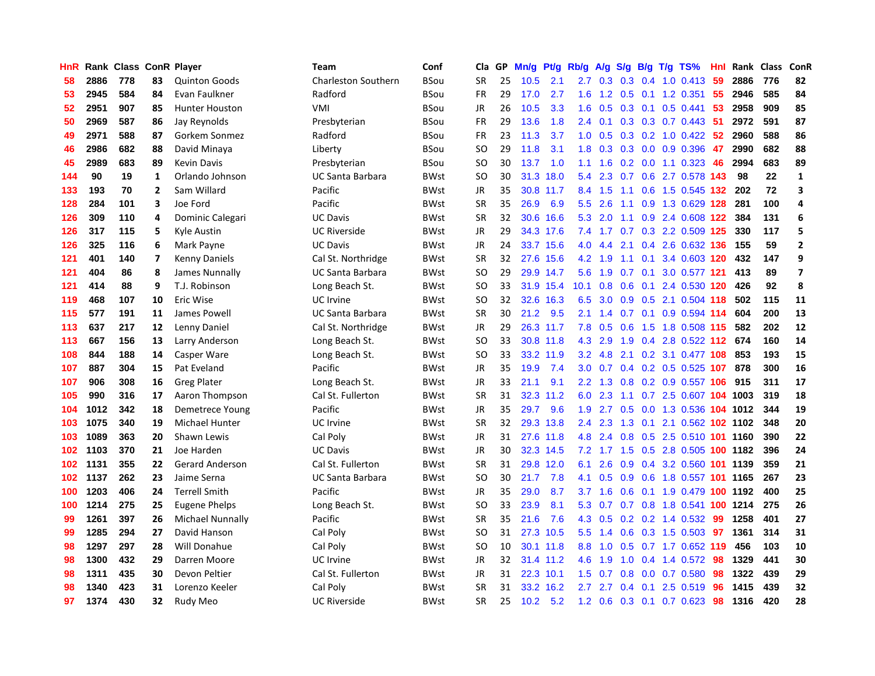| HnR |      | Rank Class ConR Player |                         |                         | Team                       | Conf        | Cla       | <b>GP</b> | Mn/g | Pt/g Rb/g |                  | A/g     |     |     | $S/g$ B/g T/g TS%              | Hnl | Rank | <b>Class</b> | ConR           |
|-----|------|------------------------|-------------------------|-------------------------|----------------------------|-------------|-----------|-----------|------|-----------|------------------|---------|-----|-----|--------------------------------|-----|------|--------------|----------------|
| 58  | 2886 | 778                    | 83                      | <b>Quinton Goods</b>    | <b>Charleston Southern</b> | <b>BSou</b> | <b>SR</b> | 25        | 10.5 | 2.1       | 2.7              | 0.3     | 0.3 |     | $0.4$ 1.0 0.413                | -59 | 2886 | 776          | 82             |
| 53  | 2945 | 584                    | 84                      | Evan Faulkner           | Radford                    | <b>BSou</b> | FR        | 29        | 17.0 | 2.7       | 1.6              |         |     |     | 1.2 0.5 0.1 1.2 0.351          | -55 | 2946 | 585          | 84             |
| 52  | 2951 | 907                    | 85                      | <b>Hunter Houston</b>   | VMI                        | <b>BSou</b> | JR        | 26        | 10.5 | 3.3       | 1.6              | 0.5     |     |     | $0.3$ 0.1 0.5 0.441            | -53 | 2958 | 909          | 85             |
| 50  | 2969 | 587                    | 86                      | Jay Reynolds            | Presbyterian               | BSou        | <b>FR</b> | 29        | 13.6 | 1.8       | $2.4^{\circ}$    | 0.1     |     |     | $0.3$ $0.3$ $0.7$ $0.443$      | -51 | 2972 | 591          | 87             |
| 49  | 2971 | 588                    | 87                      | Gorkem Sonmez           | Radford                    | BSou        | <b>FR</b> | 23        | 11.3 | 3.7       | 1.0              | 0.5     |     |     | 0.3 0.2 1.0 0.422              | 52  | 2960 | 588          | 86             |
| 46  | 2986 | 682                    | 88                      | David Minaya            | Liberty                    | BSou        | <b>SO</b> | 29        | 11.8 | 3.1       | 1.8              | 0.3     |     |     | $0.3$ 0.0 0.9 0.396            | 47  | 2990 | 682          | 88             |
| 45  | 2989 | 683                    | 89                      | <b>Kevin Davis</b>      | Presbyterian               | <b>BSou</b> | <b>SO</b> | 30        | 13.7 | 1.0       | 1.1              | 1.6     |     |     | $0.2$ 0.0 1.1 0.323            | 46  | 2994 | 683          | 89             |
| 144 | 90   | 19                     | 1                       | Orlando Johnson         | <b>UC Santa Barbara</b>    | <b>BWst</b> | SO        | 30        | 31.3 | 18.0      | 5.4              | 2.3     |     |     | 0.7 0.6 2.7 0.578 143          |     | 98   | 22           | $\mathbf 1$    |
| 133 | 193  | 70                     | $\overline{2}$          | Sam Willard             | Pacific                    | <b>BWst</b> | JR        | 35        | 30.8 | 11.7      | 8.4              | 1.5     | 1.1 |     | 0.6 1.5 0.545 132              |     | 202  | 72           | 3              |
| 128 | 284  | 101                    | 3                       | Joe Ford                | Pacific                    | <b>BWst</b> | <b>SR</b> | 35        | 26.9 | 6.9       | 5.5              | 2.6     |     |     | 1.1 0.9 1.3 0.629 128          |     | 281  | 100          | 4              |
| 126 | 309  | 110                    | 4                       | Dominic Calegari        | <b>UC Davis</b>            | <b>BWst</b> | <b>SR</b> | 32        |      | 30.6 16.6 | 5.3              | 2.0     |     |     | 1.1 0.9 2.4 0.608 122          |     | 384  | 131          | 6              |
| 126 | 317  | 115                    | 5                       | Kyle Austin             | <b>UC Riverside</b>        | <b>BWst</b> | JR        | 29        |      | 34.3 17.6 |                  |         |     |     | 7.4 1.7 0.7 0.3 2.2 0.509 125  |     | 330  | 117          | 5              |
| 126 | 325  | 116                    | 6                       | Mark Payne              | <b>UC Davis</b>            | <b>BWst</b> | <b>JR</b> | 24        | 33.7 | 15.6      | 4.0              | 4.4     |     |     | 2.1 0.4 2.6 0.632 136          |     | 155  | 59           | $\overline{2}$ |
| 121 | 401  | 140                    | $\overline{\mathbf{z}}$ | <b>Kenny Daniels</b>    | Cal St. Northridge         | BWst        | <b>SR</b> | 32        | 27.6 | 15.6      | 4.2              | 1.9     |     |     | 1.1 0.1 3.4 0.603 120          |     | 432  | 147          | 9              |
| 121 | 404  | 86                     | 8                       | James Nunnally          | <b>UC Santa Barbara</b>    | BWst        | <b>SO</b> | 29        |      | 29.9 14.7 | 5.6              | 1.9     |     |     | 0.7 0.1 3.0 0.577 121          |     | 413  | 89           | $\overline{7}$ |
| 121 | 414  | 88                     | 9                       | T.J. Robinson           | Long Beach St.             | <b>BWst</b> | SO        | 33        | 31.9 | 15.4      | 10.1             | 0.8     | 0.6 |     | 0.1 2.4 0.530 120              |     | 426  | 92           | 8              |
| 119 | 468  | 107                    | 10                      | Eric Wise               | UC Irvine                  | <b>BWst</b> | SO        | 32        | 32.6 | 16.3      | 6.5              | 3.0     | 0.9 |     | 0.5 2.1 0.504 118              |     | 502  | 115          | 11             |
| 115 | 577  | 191                    | 11                      | James Powell            | <b>UC Santa Barbara</b>    | <b>BWst</b> | <b>SR</b> | 30        | 21.2 | 9.5       | 2.1              | 1.4     | 0.7 |     | $0.1$ 0.9 0.594 114            |     | 604  | 200          | 13             |
| 113 | 637  | 217                    | 12                      | Lenny Daniel            | Cal St. Northridge         | <b>BWst</b> | JR        | 29        |      | 26.3 11.7 | 7.8              | 0.5     |     |     | 0.6 1.5 1.8 0.508 115 582      |     |      | 202          | 12             |
| 113 | 667  | 156                    | 13                      | Larry Anderson          | Long Beach St.             | <b>BWst</b> | <b>SO</b> | 33        |      | 30.8 11.8 | 4.3              | 2.9     |     |     | 1.9 0.4 2.8 0.522 112 674      |     |      | 160          | 14             |
| 108 | 844  | 188                    | 14                      | Casper Ware             | Long Beach St.             | BWst        | SO        | 33        |      | 33.2 11.9 | 3.2 <sub>2</sub> | 4.8     |     |     | 2.1 0.2 3.1 0.477 108 853      |     |      | 193          | 15             |
| 107 | 887  | 304                    | 15                      | Pat Eveland             | Pacific                    | BWst        | JR        | 35        | 19.9 | 7.4       | 3.0 <sub>2</sub> | 0.7     |     |     | 0.4 0.2 0.5 0.525 107          |     | 878  | 300          | 16             |
| 107 | 906  | 308                    | 16                      | <b>Greg Plater</b>      | Long Beach St.             | BWst        | <b>JR</b> | 33        | 21.1 | 9.1       | 2.2              | 1.3     |     |     | 0.8 0.2 0.9 0.557 106          |     | 915  | 311          | 17             |
| 105 | 990  | 316                    | 17                      | Aaron Thompson          | Cal St. Fullerton          | BWst        | <b>SR</b> | 31        |      | 32.3 11.2 | 6.0              | 2.3     |     |     | 1.1 0.7 2.5 0.607 104          |     | 1003 | 319          | 18             |
| 104 | 1012 | 342                    | 18                      | Demetrece Young         | Pacific                    | BWst        | JR        | 35        | 29.7 | 9.6       | 1.9              | 2.7     | 0.5 |     | 0.0 1.3 0.536 104 1012         |     |      | 344          | 19             |
| 103 | 1075 | 340                    | 19                      | <b>Michael Hunter</b>   | UC Irvine                  | <b>BWst</b> | <b>SR</b> | 32        |      | 29.3 13.8 | $2.4^{\circ}$    | 2.3     | 1.3 |     | 0.1 2.1 0.562 102 1102         |     |      | 348          | 20             |
| 103 | 1089 | 363                    | 20                      | Shawn Lewis             | Cal Poly                   | BWst        | JR        | 31        |      | 27.6 11.8 |                  | 4.8 2.4 |     |     | 0.8 0.5 2.5 0.510 101 1160     |     |      | 390          | 22             |
| 102 | 1103 | 370                    | 21                      | Joe Harden              | <b>UC Davis</b>            | <b>BWst</b> | <b>JR</b> | 30        |      | 32.3 14.5 | 7.2              |         |     |     | 1.7 1.5 0.5 2.8 0.505 100 1182 |     |      | 396          | 24             |
| 102 | 1131 | 355                    | 22                      | <b>Gerard Anderson</b>  | Cal St. Fullerton          | BWst        | <b>SR</b> | 31        |      | 29.8 12.0 | 6.1              | 2.6     |     |     | 0.9 0.4 3.2 0.560 101 1139     |     |      | 359          | 21             |
| 102 | 1137 | 262                    | 23                      | Jaime Serna             | UC Santa Barbara           | BWst        | SO        | 30        | 21.7 | 7.8       | 4.1              | 0.5     | 0.9 |     | 0.6 1.8 0.557 101 1165         |     |      | 267          | 23             |
| 100 | 1203 | 406                    | 24                      | <b>Terrell Smith</b>    | Pacific                    | BWst        | JR        | 35        | 29.0 | 8.7       | 3.7 <sub>2</sub> | 1.6     | 0.6 |     | 0.1 1.9 0.479 100 1192         |     |      | 400          | 25             |
| 100 | 1214 | 275                    | 25                      | <b>Eugene Phelps</b>    | Long Beach St.             | BWst        | <b>SO</b> | 33        | 23.9 | 8.1       | 5.3              | 0.7     |     |     | 0.7 0.8 1.8 0.541 100 1214     |     |      | 275          | 26             |
| 99  | 1261 | 397                    | 26                      | <b>Michael Nunnally</b> | Pacific                    | <b>BWst</b> | <b>SR</b> | 35        | 21.6 | 7.6       | 4.3              | 0.5     |     |     | $0.2$ 0.2 1.4 0.532            | -99 | 1258 | 401          | 27             |
| 99  | 1285 | 294                    | 27                      | David Hanson            | Cal Poly                   | BWst        | <b>SO</b> | 31        | 27.3 | 10.5      | 5.5              | 1.4     | 0.6 |     | 0.3 1.5 0.503                  | 97  | 1361 | 314          | 31             |
| 98  | 1297 | 297                    | 28                      | <b>Will Donahue</b>     | Cal Poly                   | <b>BWst</b> | <b>SO</b> | 10        |      | 30.1 11.8 | 8.8              | 1.0     | 0.5 |     | 0.7 1.7 0.652 119              |     | 456  | 103          | 10             |
| 98  | 1300 | 432                    | 29                      | Darren Moore            | UC Irvine                  | BWst        | <b>JR</b> | 32        |      | 31.4 11.2 | 4.6              | 1.9     |     |     | 1.0 0.4 1.4 0.572 98           |     | 1329 | 441          | 30             |
| 98  | 1311 | 435                    | 30                      | Devon Peltier           | Cal St. Fullerton          | <b>BWst</b> | <b>JR</b> | 31        |      | 22.3 10.1 | 1.5              | 0.7     | 0.8 |     | $0.0$ 0.7 0.580                | 98  | 1322 | 439          | 29             |
| 98  | 1340 | 423                    | 31                      | Lorenzo Keeler          | Cal Poly                   | <b>BWst</b> | <b>SR</b> | 31        | 33.2 | 16.2      | $2.7^{\circ}$    | 2.7     | 0.4 | 0.1 | 2.5 0.519                      | 96  | 1415 | 439          | 32             |
| 97  | 1374 | 430                    | 32                      | <b>Rudy Meo</b>         | <b>UC Riverside</b>        | <b>BWst</b> | <b>SR</b> | 25        | 10.2 | 5.2       | 1.2              | 0.6     |     |     | $0.3$ 0.1 0.7 0.623            | 98  | 1316 | 420          | 28             |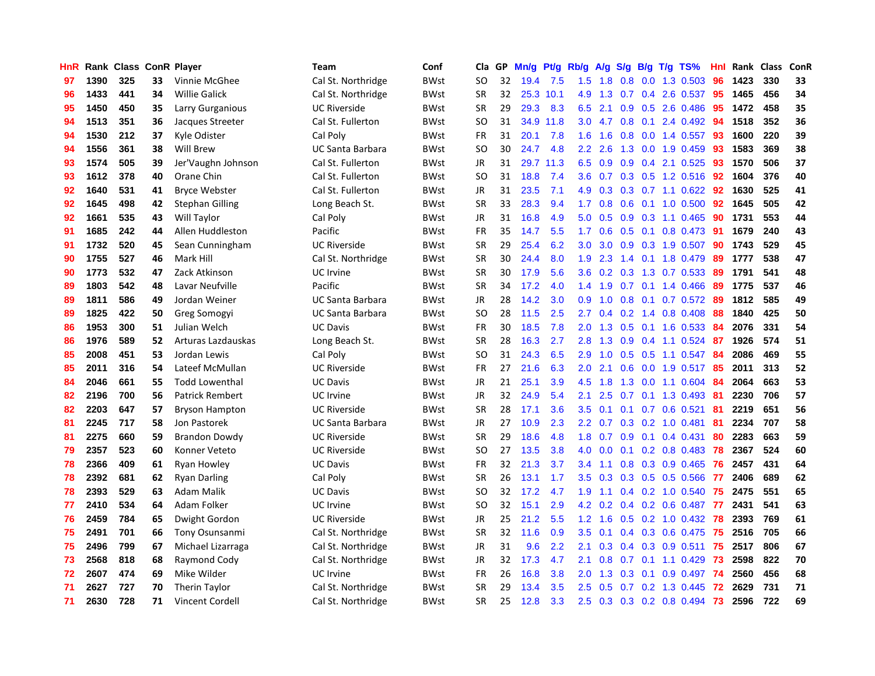| HnR |      | Rank Class ConR Player |    |                        | <b>Team</b>             | Conf        | Cla           | <b>GP</b> | Mn/g | <b>Pt/g</b> | Rb/g             | A/g |               |  | S/g B/g T/g TS%          | Hnl | Rank | <b>Class</b> | <b>ConR</b> |
|-----|------|------------------------|----|------------------------|-------------------------|-------------|---------------|-----------|------|-------------|------------------|-----|---------------|--|--------------------------|-----|------|--------------|-------------|
| 97  | 1390 | 325                    | 33 | Vinnie McGhee          | Cal St. Northridge      | <b>BWst</b> | SO            | 32        | 19.4 | 7.5         | 1.5              | 1.8 | 0.8           |  | $0.0$ 1.3 0.503          | 96  | 1423 | 330          | 33          |
| 96  | 1433 | 441                    | 34 | <b>Willie Galick</b>   | Cal St. Northridge      | <b>BWst</b> | <b>SR</b>     | 32        |      | 25.3 10.1   | 4.9              |     |               |  | 1.3 0.7 0.4 2.6 0.537 95 |     | 1465 | 456          | 34          |
| 95  | 1450 | 450                    | 35 | Larry Gurganious       | <b>UC Riverside</b>     | <b>BWst</b> | <b>SR</b>     | 29        | 29.3 | 8.3         | 6.5              | 2.1 |               |  | $0.9$ $0.5$ 2.6 $0.486$  | -95 | 1472 | 458          | 35          |
| 94  | 1513 | 351                    | 36 | Jacques Streeter       | Cal St. Fullerton       | <b>BWst</b> | SO            | 31        | 34.9 | 11.8        | 3.0 <sub>1</sub> | 4.7 |               |  | $0.8$ 0.1 2.4 0.492      | -94 | 1518 | 352          | 36          |
| 94  | 1530 | 212                    | 37 | Kyle Odister           | Cal Poly                | BWst        | <b>FR</b>     | 31        | 20.1 | 7.8         | 1.6              | 1.6 | 0.8           |  | $0.0$ 1.4 $0.557$        | -93 | 1600 | 220          | 39          |
| 94  | 1556 | 361                    | 38 | Will Brew              | UC Santa Barbara        | BWst        | <b>SO</b>     | 30        | 24.7 | 4.8         | 2.2              | 2.6 |               |  | 1.3 0.0 1.9 0.459        | 93  | 1583 | 369          | 38          |
| 93  | 1574 | 505                    | 39 | Jer'Vaughn Johnson     | Cal St. Fullerton       | <b>BWst</b> | <b>JR</b>     | 31        | 29.7 | 11.3        | 6.5              | 0.9 |               |  | $0.9$ 0.4 2.1 0.525      | 93  | 1570 | 506          | 37          |
| 93  | 1612 | 378                    | 40 | Orane Chin             | Cal St. Fullerton       | BWst        | SO            | 31        | 18.8 | 7.4         | 3.6              | 0.7 |               |  | $0.3$ $0.5$ 1.2 $0.516$  | 92  | 1604 | 376          | 40          |
| 92  | 1640 | 531                    | 41 | <b>Bryce Webster</b>   | Cal St. Fullerton       | <b>BWst</b> | JR            | 31        | 23.5 | 7.1         | 4.9              | 0.3 |               |  | 0.3 0.7 1.1 0.622 92     |     | 1630 | 525          | 41          |
| 92  | 1645 | 498                    | 42 | <b>Stephan Gilling</b> | Long Beach St.          | BWst        | <b>SR</b>     | 33        | 28.3 | 9.4         | 1.7 <sup>2</sup> | 0.8 |               |  | 0.6 0.1 1.0 0.500 92     |     | 1645 | 505          | 42          |
| 92  | 1661 | 535                    | 43 | Will Taylor            | Cal Poly                | <b>BWst</b> | JR            | 31        | 16.8 | 4.9         | 5.0              | 0.5 |               |  | 0.9 0.3 1.1 0.465 90     |     | 1731 | 553          | 44          |
| 91  | 1685 | 242                    | 44 | Allen Huddleston       | Pacific                 | BWst        | <b>FR</b>     | 35        | 14.7 | 5.5         | 1.7 <sup>2</sup> | 0.6 |               |  | $0.5$ 0.1 0.8 0.473      | -91 | 1679 | 240          | 43          |
| 91  | 1732 | 520                    | 45 | Sean Cunningham        | <b>UC Riverside</b>     | BWst        | <b>SR</b>     | 29        | 25.4 | 6.2         | 3.0 <sub>2</sub> | 3.0 |               |  | 0.9 0.3 1.9 0.507 90     |     | 1743 | 529          | 45          |
| 90  | 1755 | 527                    | 46 | Mark Hill              | Cal St. Northridge      | <b>BWst</b> | <b>SR</b>     | 30        | 24.4 | 8.0         | 1.9              | 2.3 |               |  | 1.4 0.1 1.8 0.479        | -89 | 1777 | 538          | 47          |
| 90  | 1773 | 532                    | 47 | Zack Atkinson          | <b>UC</b> Irvine        | <b>BWst</b> | <b>SR</b>     | 30        | 17.9 | 5.6         | 3.6              | 0.2 |               |  | 0.3 1.3 0.7 0.533        | -89 | 1791 | 541          | 48          |
| 89  | 1803 | 542                    | 48 | Lavar Neufville        | Pacific                 | <b>BWst</b> | <b>SR</b>     | 34        | 17.2 | 4.0         | 1.4              | 1.9 |               |  | $0.7$ 0.1 1.4 0.466      | 89  | 1775 | 537          | 46          |
| 89  | 1811 | 586                    | 49 | Jordan Weiner          | <b>UC Santa Barbara</b> | <b>BWst</b> | JR            | 28        | 14.2 | 3.0         | 0.9 <sub>0</sub> | 1.0 | 0.8           |  | $0.1$ 0.7 0.572          | -89 | 1812 | 585          | 49          |
| 89  | 1825 | 422                    | 50 | <b>Greg Somogyi</b>    | <b>UC Santa Barbara</b> | <b>BWst</b> | <sub>SO</sub> | 28        | 11.5 | 2.5         | 2.7              | 0.4 | 0.2           |  | 1.4 0.8 0.408            | 88  | 1840 | 425          | 50          |
| 86  | 1953 | 300                    | 51 | Julian Welch           | <b>UC Davis</b>         | <b>BWst</b> | FR            | 30        | 18.5 | 7.8         | 2.0              | 1.3 |               |  | 0.5 0.1 1.6 0.533 84     |     | 2076 | 331          | 54          |
| 86  | 1976 | 589                    | 52 | Arturas Lazdauskas     | Long Beach St.          | BWst        | <b>SR</b>     | 28        | 16.3 | 2.7         | 2.8              | 1.3 |               |  | 0.9 0.4 1.1 0.524 87     |     | 1926 | 574          | 51          |
| 85  | 2008 | 451                    | 53 | Jordan Lewis           | Cal Poly                | <b>BWst</b> | SO            | 31        | 24.3 | 6.5         | 2.9              | 1.0 |               |  | $0.5$ $0.5$ 1.1 $0.547$  | -84 | 2086 | 469          | 55          |
| 85  | 2011 | 316                    | 54 | Lateef McMullan        | <b>UC Riverside</b>     | <b>BWst</b> | <b>FR</b>     | 27        | 21.6 | 6.3         | 2.0              | 2.1 | 0.6           |  | 0.0 1.9 0.517            | -85 | 2011 | 313          | 52          |
| 84  | 2046 | 661                    | 55 | <b>Todd Lowenthal</b>  | <b>UC Davis</b>         | <b>BWst</b> | JR            | 21        | 25.1 | 3.9         | 4.5              | 1.8 |               |  | 1.3 0.0 1.1 0.604        | -84 | 2064 | 663          | 53          |
| 82  | 2196 | 700                    | 56 | <b>Patrick Rembert</b> | UC Irvine               | BWst        | JR            | 32        | 24.9 | 5.4         | 2.1              | 2.5 | 0.7           |  | $0.1$ 1.3 0.493          | -81 | 2230 | 706          | 57          |
| 82  | 2203 | 647                    | 57 | <b>Bryson Hampton</b>  | <b>UC Riverside</b>     | <b>BWst</b> | SR            | 28        | 17.1 | 3.6         | 3.5              | 0.1 |               |  | $0.1$ 0.7 0.6 0.521      | 81  | 2219 | 651          | 56          |
| 81  | 2245 | 717                    | 58 | Jon Pastorek           | <b>UC Santa Barbara</b> | <b>BWst</b> | JR            | 27        | 10.9 | 2.3         | 2.2              | 0.7 |               |  | $0.3$ 0.2 1.0 0.481      | 81  | 2234 | 707          | 58          |
| 81  | 2275 | 660                    | 59 | <b>Brandon Dowdy</b>   | <b>UC Riverside</b>     | <b>BWst</b> | <b>SR</b>     | 29        | 18.6 | 4.8         | 1.8              | 0.7 |               |  | $0.9$ 0.1 0.4 0.431      | 80  | 2283 | 663          | 59          |
| 79  | 2357 | 523                    | 60 | Konner Veteto          | <b>UC Riverside</b>     | <b>BWst</b> | <b>SO</b>     | 27        | 13.5 | 3.8         | 4.0              | 0.0 |               |  | $0.1$ 0.2 0.8 0.483 78   |     | 2367 | 524          | 60          |
| 78  | 2366 | 409                    | 61 | Ryan Howley            | <b>UC Davis</b>         | <b>BWst</b> | <b>FR</b>     | 32        | 21.3 | 3.7         | $3.4^{\circ}$    | 1.1 |               |  | 0.8 0.3 0.9 0.465 76     |     | 2457 | 431          | 64          |
| 78  | 2392 | 681                    | 62 | <b>Ryan Darling</b>    | Cal Poly                | <b>BWst</b> | <b>SR</b>     | 26        | 13.1 | 1.7         | 3.5              | 0.3 |               |  | 0.3 0.5 0.5 0.566 77     |     | 2406 | 689          | 62          |
| 78  | 2393 | 529                    | 63 | Adam Malik             | <b>UC Davis</b>         | <b>BWst</b> | <b>SO</b>     | 32        | 17.2 | 4.7         | 1.9              | 1.1 |               |  | $0.4$ 0.2 1.0 0.540      | 75  | 2475 | 551          | 65          |
| 77  | 2410 | 534                    | 64 | Adam Folker            | UC Irvine               | <b>BWst</b> | SO            | 32        | 15.1 | 2.9         | 4.2              | 0.2 |               |  | 0.4 0.2 0.6 0.487        | 77  | 2431 | 541          | 63          |
| 76  | 2459 | 784                    | 65 | Dwight Gordon          | <b>UC Riverside</b>     | <b>BWst</b> | <b>JR</b>     | 25        | 21.2 | 5.5         | 1.2              | 1.6 |               |  | $0.5$ $0.2$ 1.0 $0.432$  | 78  | 2393 | 769          | 61          |
| 75  | 2491 | 701                    | 66 | Tony Osunsanmi         | Cal St. Northridge      | BWst        | <b>SR</b>     | 32        | 11.6 | 0.9         | 3.5              | 0.1 |               |  | 0.4 0.3 0.6 0.475        | 75  | 2516 | 705          | 66          |
| 75  | 2496 | 799                    | 67 | Michael Lizarraga      | Cal St. Northridge      | <b>BWst</b> | <b>JR</b>     | 31        | 9.6  | 2.2         | 2.1              | 0.3 | $0.4^{\circ}$ |  | $0.3$ 0.9 0.511          | 75  | 2517 | 806          | 67          |
| 73  | 2568 | 818                    | 68 | Raymond Cody           | Cal St. Northridge      | BWst        | JR            | 32        | 17.3 | 4.7         | 2.1              | 0.8 |               |  | $0.7$ 0.1 1.1 0.429      | -73 | 2598 | 822          | 70          |
| 72  | 2607 | 474                    | 69 | Mike Wilder            | UC Irvine               | BWst        | <b>FR</b>     | 26        | 16.8 | 3.8         | 2.0              | 1.3 |               |  | 0.3 0.1 0.9 0.497 74     |     | 2560 | 456          | 68          |
| 71  | 2627 | 727                    | 70 | <b>Therin Taylor</b>   | Cal St. Northridge      | BWst        | SR            | 29        | 13.4 | 3.5         | $2.5^{\circ}$    | 0.5 |               |  | 0.7 0.2 1.3 0.445        | -72 | 2629 | 731          | 71          |
| 71  | 2630 | 728                    | 71 | Vincent Cordell        | Cal St. Northridge      | <b>BWst</b> | <b>SR</b>     | 25        | 12.8 | 3.3         | 2.5              |     |               |  | 0.3 0.3 0.2 0.8 0.494 73 |     | 2596 | 722          | 69          |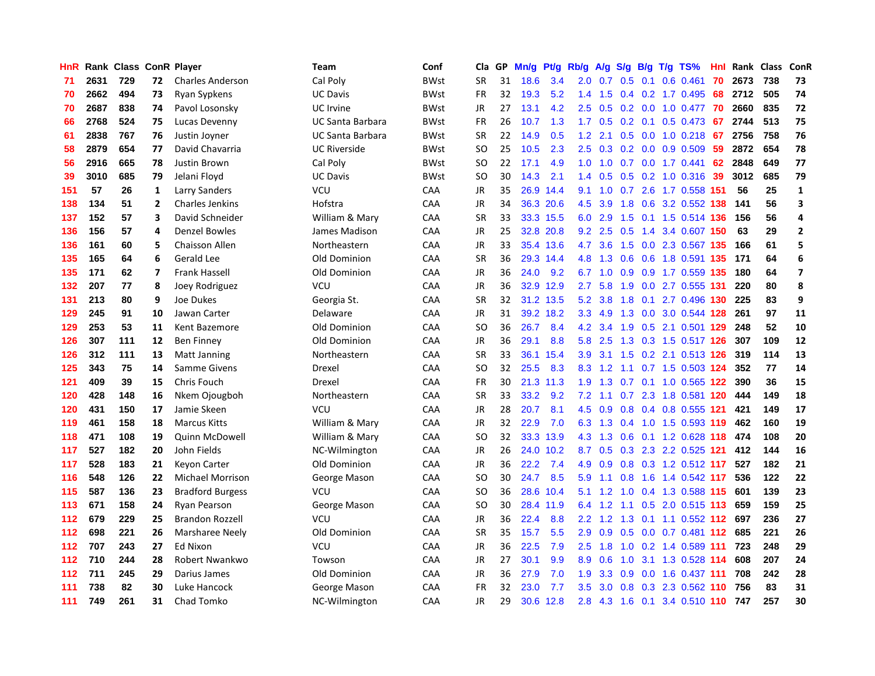| HnR |      | Rank Class ConR Player |                         |                         | Team                    | Conf        | Cla       | GP | Mn/g | Pf/g      | Rb/g | A/g             | S/g |     | $B/g$ T/g TS%               | Hnl |      | Rank Class | ConR                    |
|-----|------|------------------------|-------------------------|-------------------------|-------------------------|-------------|-----------|----|------|-----------|------|-----------------|-----|-----|-----------------------------|-----|------|------------|-------------------------|
| 71  | 2631 | 729                    | 72                      | <b>Charles Anderson</b> | Cal Poly                | <b>BWst</b> | <b>SR</b> | 31 | 18.6 | 3.4       | 2.0  | 0.7             | 0.5 | 0.1 | 0.6 0.461                   | 70  | 2673 | 738        | 73                      |
| 70  | 2662 | 494                    | 73                      | Ryan Sypkens            | <b>UC Davis</b>         | BWst        | FR        | 32 | 19.3 | 5.2       | 1.4  | 1.5             |     |     | $0.4$ 0.2 1.7 0.495         | -68 | 2712 | 505        | 74                      |
| 70  | 2687 | 838                    | 74                      | Pavol Losonsky          | UC Irvine               | BWst        | JR        | 27 | 13.1 | 4.2       | 2.5  | 0.5             |     |     | 0.2 0.0 1.0 0.477 70        |     | 2660 | 835        | 72                      |
| 66  | 2768 | 524                    | 75                      | Lucas Devenny           | <b>UC Santa Barbara</b> | BWst        | FR        | 26 | 10.7 | 1.3       |      | $1.7 \quad 0.5$ |     |     | $0.2$ 0.1 0.5 0.473         | 67  | 2744 | 513        | 75                      |
| 61  | 2838 | 767                    | 76                      | Justin Joyner           | <b>UC Santa Barbara</b> | <b>BWst</b> | <b>SR</b> | 22 | 14.9 | 0.5       | 1.2  | 2.1             |     |     | $0.5$ 0.0 1.0 0.218         | 67  | 2756 | 758        | 76                      |
| 58  | 2879 | 654                    | 77                      | David Chavarria         | <b>UC Riverside</b>     | <b>BWst</b> | <b>SO</b> | 25 | 10.5 | 2.3       | 2.5  | 0.3             |     |     | $0.2$ 0.0 0.9 0.509         | 59  | 2872 | 654        | 78                      |
| 56  | 2916 | 665                    | 78                      | Justin Brown            | Cal Poly                | BWst        | <b>SO</b> | 22 | 17.1 | 4.9       | 1.0  | 1.0             |     |     | 0.7 0.0 1.7 0.441           | 62  | 2848 | 649        | 77                      |
| 39  | 3010 | 685                    | 79                      | Jelani Floyd            | <b>UC Davis</b>         | <b>BWst</b> | <b>SO</b> | 30 | 14.3 | 2.1       | 1.4  | 0.5             | 0.5 |     | $0.2$ 1.0 $0.316$           | 39  | 3012 | 685        | 79                      |
| 151 | 57   | 26                     | 1                       | Larry Sanders           | VCU                     | CAA         | <b>JR</b> | 35 | 26.9 | 14.4      | 9.1  | 1.0             | 0.7 |     | 2.6 1.7 0.558 151           |     | 56   | 25         | $\mathbf 1$             |
| 138 | 134  | 51                     | $\overline{2}$          | Charles Jenkins         | Hofstra                 | CAA         | JR        | 34 |      | 36.3 20.6 | 4.5  | 3.9             | 1.8 |     | 0.6 3.2 0.552 138           |     | 141  | 56         | 3                       |
| 137 | 152  | 57                     | 3                       | David Schneider         | William & Mary          | CAA         | <b>SR</b> | 33 |      | 33.3 15.5 |      | 6.0 2.9         |     |     | 1.5 0.1 1.5 0.514 136 156   |     |      | 56         | 4                       |
| 136 | 156  | 57                     | 4                       | <b>Denzel Bowles</b>    | James Madison           | CAA         | JR        | 25 |      | 32.8 20.8 | 9.2  | 2.5             |     |     | 0.5 1.4 3.4 0.607 150       |     | 63   | 29         | $\overline{2}$          |
| 136 | 161  | 60                     | 5                       | Chaisson Allen          | Northeastern            | CAA         | JR        | 33 |      | 35.4 13.6 |      | 4.7 3.6         |     |     | 1.5 0.0 2.3 0.567 135       |     | 166  | 61         | 5                       |
| 135 | 165  | 64                     | 6                       | <b>Gerald Lee</b>       | Old Dominion            | CAA         | <b>SR</b> | 36 | 29.3 | 14.4      | 4.8  | 1.3             | 0.6 |     | 0.6 1.8 0.591 135           |     | 171  | 64         | $\boldsymbol{6}$        |
| 135 | 171  | 62                     | $\overline{\mathbf{z}}$ | <b>Frank Hassell</b>    | Old Dominion            | CAA         | <b>JR</b> | 36 | 24.0 | 9.2       | 6.7  | 1.0             | 0.9 |     | 0.9 1.7 0.559 135           |     | 180  | 64         | $\overline{\mathbf{z}}$ |
| 132 | 207  | 77                     | 8                       | Joey Rodriguez          | VCU                     | CAA         | JR        | 36 |      | 32.9 12.9 | 2.7  | 5.8             | 1.9 |     | 0.0 2.7 0.555 131           |     | 220  | 80         | 8                       |
| 131 | 213  | 80                     | 9                       | Joe Dukes               | Georgia St.             | CAA         | <b>SR</b> | 32 | 31.2 | 13.5      | 5.2  | 3.8             | 1.8 |     | $0.1$ 2.7 0.496 130         |     | 225  | 83         | 9                       |
| 129 | 245  | 91                     | 10                      | Jawan Carter            | Delaware                | CAA         | <b>JR</b> | 31 | 39.2 | 18.2      | 3.3  | 4.9             | 1.3 |     | 0.0 3.0 0.544 128           |     | 261  | 97         | 11                      |
| 129 | 253  | 53                     | 11                      | Kent Bazemore           | Old Dominion            | CAA         | <b>SO</b> | 36 | 26.7 | 8.4       |      | 4.2 3.4         |     |     | 1.9 0.5 2.1 0.501 129       |     | 248  | 52         | ${\bf 10}$              |
| 126 | 307  | 111                    | 12                      | <b>Ben Finney</b>       | Old Dominion            | CAA         | <b>JR</b> | 36 | 29.1 | 8.8       | 5.8  | 2.5             |     |     | 1.3 0.3 1.5 0.517 126       |     | 307  | 109        | 12                      |
| 126 | 312  | 111                    | 13                      | <b>Matt Janning</b>     | Northeastern            | CAA         | <b>SR</b> | 33 | 36.1 | 15.4      | 3.9  |                 |     |     | 3.1 1.5 0.2 2.1 0.513 126   |     | 319  | 114        | 13                      |
| 125 | 343  | 75                     | 14                      | Samme Givens            | Drexel                  | CAA         | <b>SO</b> | 32 | 25.5 | 8.3       | 8.3  | 1.2             |     |     | 1.1 0.7 1.5 0.503 124       |     | 352  | 77         | 14                      |
| 121 | 409  | 39                     | 15                      | Chris Fouch             | Drexel                  | CAA         | FR        | 30 | 21.3 | 11.3      | 1.9  | 1.3             |     |     | $0.7$ 0.1 1.0 0.565 122     |     | 390  | 36         | 15                      |
| 120 | 428  | 148                    | 16                      | Nkem Ojougboh           | Northeastern            | CAA         | <b>SR</b> | 33 | 33.2 | 9.2       | 7.2  | 1.1             | 0.7 |     | 2.3 1.8 0.581 120           |     | 444  | 149        | 18                      |
| 120 | 431  | 150                    | 17                      | Jamie Skeen             | VCU                     | CAA         | JR        | 28 | 20.7 | 8.1       | 4.5  | 0.9             | 0.8 |     | 0.4 0.8 0.555 121           |     | 421  | 149        | 17                      |
| 119 | 461  | 158                    | 18                      | <b>Marcus Kitts</b>     | William & Mary          | CAA         | <b>JR</b> | 32 | 22.9 | 7.0       | 6.3  | 1.3             |     |     | 0.4 1.0 1.5 0.593 119       |     | 462  | 160        | 19                      |
| 118 | 471  | 108                    | 19                      | Quinn McDowell          | William & Mary          | CAA         | <b>SO</b> | 32 | 33.3 | 13.9      |      | $4.3 \quad 1.3$ |     |     | 0.6 0.1 1.2 0.628 118 474   |     |      | 108        | 20                      |
| 117 | 527  | 182                    | 20                      | John Fields             | NC-Wilmington           | CAA         | JR        | 26 |      | 24.0 10.2 | 8.7  |                 |     |     | 0.5 0.3 2.3 2.2 0.525 121   |     | 412  | 144        | 16                      |
| 117 | 528  | 183                    | 21                      | <b>Keyon Carter</b>     | Old Dominion            | CAA         | JR        | 36 | 22.2 | 7.4       | 4.9  | 0.9             |     |     | $0.8$ $0.3$ 1.2 $0.512$ 117 |     | 527  | 182        | 21                      |
| 116 | 548  | 126                    | 22                      | <b>Michael Morrison</b> | George Mason            | CAA         | <b>SO</b> | 30 | 24.7 | 8.5       | 5.9  | 1.1             | 0.8 |     | 1.6 1.4 0.542 117           |     | 536  | 122        | 22                      |
| 115 | 587  | 136                    | 23                      | <b>Bradford Burgess</b> | VCU                     | CAA         | <b>SO</b> | 36 | 28.6 | 10.4      | 5.1  | 1.2             | 1.0 |     | 0.4 1.3 0.588 115           |     | 601  | 139        | 23                      |
| 113 | 671  | 158                    | 24                      | Ryan Pearson            | George Mason            | CAA         | <b>SO</b> | 30 | 28.4 | 11.9      | 6.4  | 1.2             |     |     | 1.1 0.5 2.0 0.515 113       |     | 659  | 159        | 25                      |
| 112 | 679  | 229                    | 25                      | <b>Brandon Rozzell</b>  | VCU                     | CAA         | JR        | 36 | 22.4 | 8.8       | 2.2  | 1.2             | 1.3 |     | $0.1$ 1.1 0.552 112         |     | 697  | 236        | 27                      |
| 112 | 698  | 221                    | 26                      | Marsharee Neely         | Old Dominion            | CAA         | <b>SR</b> | 35 | 15.7 | 5.5       | 2.9  | 0.9             | 0.5 |     | $0.0$ 0.7 0.481 112         |     | 685  | 221        | 26                      |
| 112 | 707  | 243                    | 27                      | Ed Nixon                | VCU                     | CAA         | <b>JR</b> | 36 | 22.5 | 7.9       | 2.5  | 1.8             | 1.0 |     | 0.2 1.4 0.589 111           |     | 723  | 248        | 29                      |
| 112 | 710  | 244                    | 28                      | Robert Nwankwo          | Towson                  | CAA         | <b>JR</b> | 27 | 30.1 | 9.9       | 8.9  | 0.6             |     |     | 1.0 3.1 1.3 0.528 114       |     | 608  | 207        | 24                      |
| 112 | 711  | 245                    | 29                      | Darius James            | Old Dominion            | CAA         | <b>JR</b> | 36 | 27.9 | 7.0       | 1.9  | 3.3             | 0.9 |     | 0.0 1.6 0.437 111           |     | 708  | 242        | 28                      |
| 111 | 738  | 82                     | 30                      | Luke Hancock            | George Mason            | CAA         | <b>FR</b> | 32 | 23.0 | 7.7       | 3.5  | 3.0             | 0.8 |     | 0.3 2.3 0.562 110 756       |     |      | 83         | 31                      |
| 111 | 749  | 261                    | 31                      | Chad Tomko              | NC-Wilmington           | CAA         | JR        | 29 |      | 30.6 12.8 | 2.8  |                 |     |     | 4.3 1.6 0.1 3.4 0.510 110   |     | 747  | 257        | 30                      |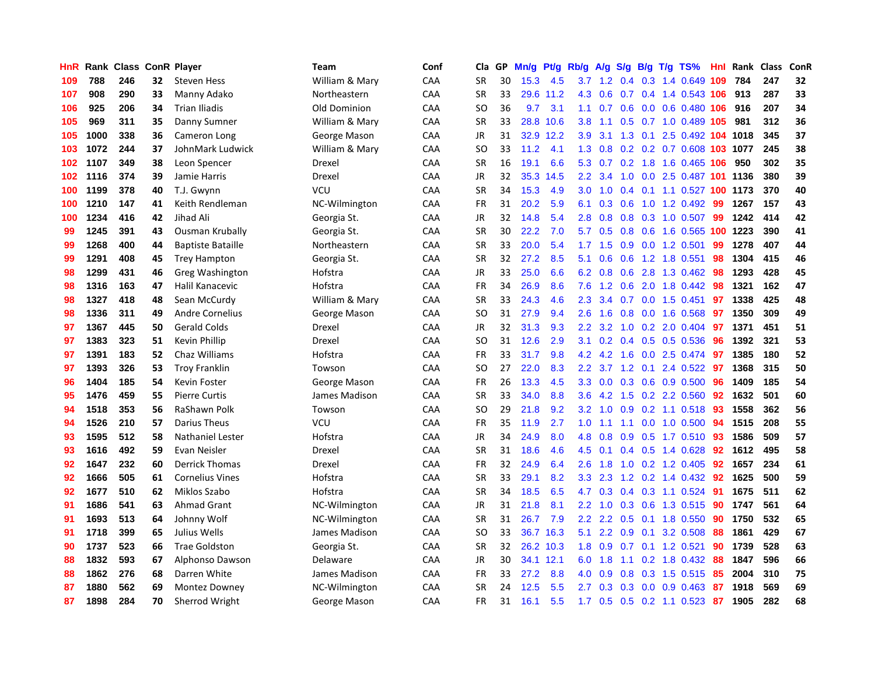| HnR | Rank | <b>Class</b> |    | <b>ConR Player</b>       | Team           | Conf | Cla       | GP | Mn/g | <b>Pt/g</b> | Rb/g             | A/g             | S/g              |     | B/g T/g TS%                | Hnl | Rank | <b>Class</b> | ConR |
|-----|------|--------------|----|--------------------------|----------------|------|-----------|----|------|-------------|------------------|-----------------|------------------|-----|----------------------------|-----|------|--------------|------|
| 109 | 788  | 246          | 32 | <b>Steven Hess</b>       | William & Mary | CAA  | <b>SR</b> | 30 | 15.3 | 4.5         |                  | $3.7 \quad 1.2$ |                  |     | 0.4 0.3 1.4 0.649 109      |     | 784  | 247          | 32   |
| 107 | 908  | 290          | 33 | Manny Adako              | Northeastern   | CAA  | <b>SR</b> | 33 |      | 29.6 11.2   | 4.3              | 0.6             |                  |     | 0.7 0.4 1.4 0.543 106 913  |     |      | 287          | 33   |
| 106 | 925  | 206          | 34 | <b>Trian Iliadis</b>     | Old Dominion   | CAA  | SO        | 36 | 9.7  | 3.1         | 1.1              | 0.7             |                  |     | 0.6 0.0 0.6 0.480 106      |     | 916  | 207          | 34   |
| 105 | 969  | 311          | 35 | Danny Sumner             | William & Mary | CAA  | <b>SR</b> | 33 | 28.8 | 10.6        | 3.8 <sub>2</sub> | 1.1             |                  |     | 0.5 0.7 1.0 0.489 105      |     | 981  | 312          | 36   |
| 105 | 1000 | 338          | 36 | Cameron Long             | George Mason   | CAA  | JR        | 31 | 32.9 | 12.2        | 3.9              | 3.1             | 1.3              | 0.1 | 2.5 0.492 104              |     | 1018 | 345          | 37   |
| 103 | 1072 | 244          | 37 | JohnMark Ludwick         | William & Mary | CAA  | SO        | 33 | 11.2 | 4.1         | 1.3              | 0.8             |                  |     | 0.2 0.2 0.7 0.608 103 1077 |     |      | 245          | 38   |
| 102 | 1107 | 349          | 38 | Leon Spencer             | Drexel         | CAA  | <b>SR</b> | 16 | 19.1 | 6.6         | 5.3              | 0.7             |                  |     | 0.2 1.8 1.6 0.465 106      |     | 950  | 302          | 35   |
| 102 | 1116 | 374          | 39 | Jamie Harris             | Drexel         | CAA  | JR        | 32 | 35.3 | 14.5        | $2.2\phantom{0}$ | 3.4             | 1.0              |     | 0.0 2.5 0.487 101 1136     |     |      | 380          | 39   |
| 100 | 1199 | 378          | 40 | T.J. Gwynn               | VCU            | CAA  | <b>SR</b> | 34 | 15.3 | 4.9         | 3.0              | 1.0             | 0.4              |     | 0.1 1.1 0.527 100 1173     |     |      | 370          | 40   |
| 100 | 1210 | 147          | 41 | Keith Rendleman          | NC-Wilmington  | CAA  | FR        | 31 | 20.2 | 5.9         | 6.1              | 0.3             | 0.6              |     | 1.0 1.2 0.492 99           |     | 1267 | 157          | 43   |
| 100 | 1234 | 416          | 42 | Jihad Ali                | Georgia St.    | CAA  | JR        | 32 | 14.8 | 5.4         | 2.8              | 0.8             |                  |     | 0.8 0.3 1.0 0.507 99       |     | 1242 | 414          | 42   |
| 99  | 1245 | 391          | 43 | <b>Ousman Krubally</b>   | Georgia St.    | CAA  | SR        | 30 | 22.2 | 7.0         | 5.7              | 0.5             |                  |     | 0.8 0.6 1.6 0.565 100 1223 |     |      | 390          | 41   |
| 99  | 1268 | 400          | 44 | <b>Baptiste Bataille</b> | Northeastern   | CAA  | <b>SR</b> | 33 | 20.0 | 5.4         | 1.7 <sub>2</sub> | 1.5             | 0.9 <sub>0</sub> |     | $0.0$ 1.2 0.501            | 99  | 1278 | 407          | 44   |
| 99  | 1291 | 408          | 45 | <b>Trey Hampton</b>      | Georgia St.    | CAA  | <b>SR</b> | 32 | 27.2 | 8.5         | 5.1              | 0.6             | 0.6              |     | 1.2 1.8 0.551              | 98  | 1304 | 415          | 46   |
| 98  | 1299 | 431          | 46 | Greg Washington          | Hofstra        | CAA  | JR        | 33 | 25.0 | 6.6         | 6.2              | 0.8             | 0.6              |     | 2.8 1.3 0.462              | 98  | 1293 | 428          | 45   |
| 98  | 1316 | 163          | 47 | Halil Kanacevic          | Hofstra        | CAA  | <b>FR</b> | 34 | 26.9 | 8.6         | 7.6              | 1.2             | 0.6              |     | 2.0 1.8 0.442              | 98  | 1321 | 162          | 47   |
| 98  | 1327 | 418          | 48 | Sean McCurdy             | William & Mary | CAA  | <b>SR</b> | 33 | 24.3 | 4.6         | $2.3^{\circ}$    | 3.4             |                  |     | 0.7 0.0 1.5 0.451          | 97  | 1338 | 425          | 48   |
| 98  | 1336 | 311          | 49 | <b>Andre Cornelius</b>   | George Mason   | CAA  | <b>SO</b> | 31 | 27.9 | 9.4         | 2.6              | 1.6             | 0.8              |     | $0.0$ 1.6 $0.568$          | 97  | 1350 | 309          | 49   |
| 97  | 1367 | 445          | 50 | <b>Gerald Colds</b>      | Drexel         | CAA  | JR        | 32 | 31.3 | 9.3         | 2.2              |                 |                  |     | 3.2 1.0 0.2 2.0 0.404 97   |     | 1371 | 451          | 51   |
| 97  | 1383 | 323          | 51 | Kevin Phillip            | Drexel         | CAA  | SO        | 31 | 12.6 | 2.9         | 3.1              | 0.2             |                  |     | $0.4$ 0.5 0.5 0.536        | -96 | 1392 | 321          | 53   |
| 97  | 1391 | 183          | 52 | Chaz Williams            | Hofstra        | CAA  | <b>FR</b> | 33 | 31.7 | 9.8         | 4.2              | 4.2             | 1.6              |     | $0.0$ 2.5 $0.474$          | 97  | 1385 | 180          | 52   |
| 97  | 1393 | 326          | 53 | <b>Troy Franklin</b>     | Towson         | CAA  | <b>SO</b> | 27 | 22.0 | 8.3         | 2.2              | 3.7             | 1.2              | 0.1 | 2.4 0.522                  | 97  | 1368 | 315          | 50   |
| 96  | 1404 | 185          | 54 | <b>Kevin Foster</b>      | George Mason   | CAA  | FR        | 26 | 13.3 | 4.5         | 3.3              | 0.0             |                  |     | 0.3 0.6 0.9 0.500          | 96  | 1409 | 185          | 54   |
| 95  | 1476 | 459          | 55 | <b>Pierre Curtis</b>     | James Madison  | CAA  | <b>SR</b> | 33 | 34.0 | 8.8         | 3.6              | 4.2             | 1.5              |     | $0.2$ 2.2 $0.560$          | 92  | 1632 | 501          | 60   |
| 94  | 1518 | 353          | 56 | RaShawn Polk             | Towson         | CAA  | <b>SO</b> | 29 | 21.8 | 9.2         | 3.2              | 1.0             | 0.9 <sub>0</sub> |     | 0.2 1.1 0.518              | 93  | 1558 | 362          | 56   |
| 94  | 1526 | 210          | 57 | <b>Darius Theus</b>      | VCU            | CAA  | FR        | 35 | 11.9 | 2.7         | 1.0              | 1.1             | 1.1              |     | $0.0$ 1.0 $0.500$          | 94  | 1515 | 208          | 55   |
| 93  | 1595 | 512          | 58 | <b>Nathaniel Lester</b>  | Hofstra        | CAA  | JR        | 34 | 24.9 | 8.0         | 4.8              | 0.8             |                  |     | 0.9 0.5 1.7 0.510 93       |     | 1586 | 509          | 57   |
| 93  | 1616 | 492          | 59 | Evan Neisler             | Drexel         | CAA  | <b>SR</b> | 31 | 18.6 | 4.6         | 4.5              | 0.1             |                  |     | 0.4 0.5 1.4 0.628 92       |     | 1612 | 495          | 58   |
| 92  | 1647 | 232          | 60 | <b>Derrick Thomas</b>    | Drexel         | CAA  | FR        | 32 | 24.9 | 6.4         | 2.6              | 1.8             |                  |     | 1.0 0.2 1.2 0.405 92       |     | 1657 | 234          | 61   |
| 92  | 1666 | 505          | 61 | <b>Cornelius Vines</b>   | Hofstra        | CAA  | <b>SR</b> | 33 | 29.1 | 8.2         | 3.3              | 2.3             |                  |     | 1.2 0.2 1.4 0.432 92       |     | 1625 | 500          | 59   |
| 92  | 1677 | 510          | 62 | Miklos Szabo             | Hofstra        | CAA  | <b>SR</b> | 34 | 18.5 | 6.5         | 4.7              | 0.3             | 0.4              |     | $0.3$ 1.1 0.524            | 91  | 1675 | 511          | 62   |
| 91  | 1686 | 541          | 63 | Ahmad Grant              | NC-Wilmington  | CAA  | JR        | 31 | 21.8 | 8.1         | 2.2              | 1.0             | 0.3              |     | 0.6 1.3 0.515              | 90  | 1747 | 561          | 64   |
| 91  | 1693 | 513          | 64 | Johnny Wolf              | NC-Wilmington  | CAA  | <b>SR</b> | 31 | 26.7 | 7.9         | 2.2              | 2.2             | 0.5              |     | $0.1$ 1.8 $0.550$          | 90  | 1750 | 532          | 65   |
| 91  | 1718 | 399          | 65 | Julius Wells             | James Madison  | CAA  | SO        | 33 | 36.7 | 16.3        | 5.1              | 2.2             | 0.9              | 0.1 | 3.2 0.508                  | 88  | 1861 | 429          | 67   |
| 90  | 1737 | 523          | 66 | <b>Trae Goldston</b>     | Georgia St.    | CAA  | <b>SR</b> | 32 | 26.2 | 10.3        | 1.8              | 0.9             | 0.7              |     | $0.1$ 1.2 0.521            | 90  | 1739 | 528          | 63   |
| 88  | 1832 | 593          | 67 | Alphonso Dawson          | Delaware       | CAA  | <b>JR</b> | 30 | 34.1 | 12.1        | 6.0              | 1.8             |                  |     | 1.1 0.2 1.8 0.432          | -88 | 1847 | 596          | 66   |
| 88  | 1862 | 276          | 68 | Darren White             | James Madison  | CAA  | <b>FR</b> | 33 | 27.2 | 8.8         | 4.0              | 0.9             | 0.8              |     | $0.3$ 1.5 0.515            | -85 | 2004 | 310          | 75   |
| 87  | 1880 | 562          | 69 | Montez Downey            | NC-Wilmington  | CAA  | SR        | 24 | 12.5 | 5.5         | $2.7^{\circ}$    | 0.3             | 0.3              |     | $0.0$ 0.9 0.463            | -87 | 1918 | 569          | 69   |
| 87  | 1898 | 284          | 70 | Sherrod Wright           | George Mason   | CAA  | <b>FR</b> | 31 | 16.1 | 5.5         | 1.7              | 0.5             |                  |     | $0.5$ 0.2 1.1 0.523        | 87  | 1905 | 282          | 68   |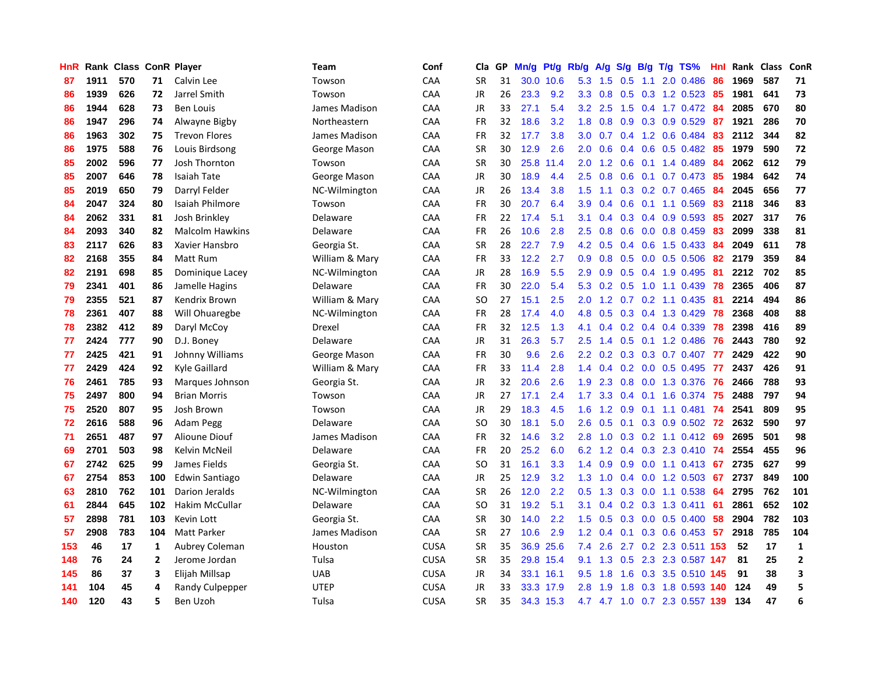| HnR |      | Rank Class ConR Player |              |                        | Team           | Conf        | Cla           | <b>GP</b> | Mn/g | Pt/g      | Rb/g             | A/g |               |     | S/g B/g T/g TS%               | Hnl | Rank | <b>Class</b> | <b>ConR</b>    |
|-----|------|------------------------|--------------|------------------------|----------------|-------------|---------------|-----------|------|-----------|------------------|-----|---------------|-----|-------------------------------|-----|------|--------------|----------------|
| 87  | 1911 | 570                    | 71           | Calvin Lee             | Towson         | CAA         | SR            | 31        |      | 30.0 10.6 | 5.3              | 1.5 | 0.5           | 1.1 | 2.0 0.486                     | 86  | 1969 | 587          | 71             |
| 86  | 1939 | 626                    | 72           | Jarrel Smith           | Towson         | CAA         | JR            | 26        | 23.3 | 9.2       | 3.3              | 0.8 |               |     | 0.5 0.3 1.2 0.523 85          |     | 1981 | 641          | 73             |
| 86  | 1944 | 628                    | 73           | <b>Ben Louis</b>       | James Madison  | CAA         | JR.           | 33        | 27.1 | 5.4       | 3.2              | 2.5 |               |     | 1.5 0.4 1.7 0.472 84          |     | 2085 | 670          | 80             |
| 86  | 1947 | 296                    | 74           | Alwayne Bigby          | Northeastern   | CAA         | <b>FR</b>     | 32        | 18.6 | 3.2       | 1.8              | 0.8 |               |     | 0.9 0.3 0.9 0.529             | 87  | 1921 | 286          | 70             |
| 86  | 1963 | 302                    | 75           | <b>Trevon Flores</b>   | James Madison  | CAA         | <b>FR</b>     | 32        | 17.7 | 3.8       | 3.0 <sub>2</sub> | 0.7 |               |     | 0.4 1.2 0.6 0.484             | 83  | 2112 | 344          | 82             |
| 86  | 1975 | 588                    | 76           | Louis Birdsong         | George Mason   | CAA         | <b>SR</b>     | 30        | 12.9 | 2.6       | 2.0              | 0.6 |               |     | $0.4$ 0.6 0.5 0.482           | -85 | 1979 | 590          | 72             |
| 85  | 2002 | 596                    | 77           | Josh Thornton          | Towson         | CAA         | <b>SR</b>     | 30        | 25.8 | 11.4      | 2.0              | 1.2 | 0.6           |     | $0.1$ 1.4 0.489               | 84  | 2062 | 612          | 79             |
| 85  | 2007 | 646                    | 78           | <b>Isaiah Tate</b>     | George Mason   | CAA         | <b>JR</b>     | 30        | 18.9 | 4.4       | 2.5              | 0.8 | 0.6           |     | $0.1$ 0.7 0.473               | 85  | 1984 | 642          | 74             |
| 85  | 2019 | 650                    | 79           | Darryl Felder          | NC-Wilmington  | CAA         | <b>JR</b>     | 26        | 13.4 | 3.8       | 1.5              | 1.1 |               |     | $0.3$ $0.2$ $0.7$ $0.465$     | 84  | 2045 | 656          | 77             |
| 84  | 2047 | 324                    | 80           | Isaiah Philmore        | Towson         | CAA         | <b>FR</b>     | 30        | 20.7 | 6.4       | 3.9 <sup>°</sup> | 0.4 | 0.6           |     | $0.1$ 1.1 0.569               | 83  | 2118 | 346          | 83             |
| 84  | 2062 | 331                    | 81           | Josh Brinkley          | Delaware       | CAA         | <b>FR</b>     | 22        | 17.4 | 5.1       | 3.1              | 0.4 |               |     | $0.3$ 0.4 0.9 0.593           | -85 | 2027 | 317          | 76             |
| 84  | 2093 | 340                    | 82           | <b>Malcolm Hawkins</b> | Delaware       | CAA         | <b>FR</b>     | 26        | 10.6 | 2.8       | $2.5^{\circ}$    | 0.8 |               |     | $0.6$ 0.0 0.8 0.459           | -83 | 2099 | 338          | 81             |
| 83  | 2117 | 626                    | 83           | Xavier Hansbro         | Georgia St.    | CAA         | <b>SR</b>     | 28        | 22.7 | 7.9       | 4.2              | 0.5 |               |     | $0.4$ 0.6 1.5 0.433           | -84 | 2049 | 611          | 78             |
| 82  | 2168 | 355                    | 84           | Matt Rum               | William & Mary | CAA         | <b>FR</b>     | 33        | 12.2 | 2.7       | 0.9 <sub>0</sub> | 0.8 | 0.5           |     | $0.0$ 0.5 0.506               | 82  | 2179 | 359          | 84             |
| 82  | 2191 | 698                    | 85           | Dominique Lacey        | NC-Wilmington  | CAA         | <b>JR</b>     | 28        | 16.9 | 5.5       | 2.9              | 0.9 |               |     | $0.5$ 0.4 1.9 0.495           | -81 | 2212 | 702          | 85             |
| 79  | 2341 | 401                    | 86           | Jamelle Hagins         | Delaware       | CAA         | <b>FR</b>     | 30        | 22.0 | 5.4       | 5.3              | 0.2 |               |     | $0.5$ 1.0 1.1 0.439           | 78  | 2365 | 406          | 87             |
| 79  | 2355 | 521                    | 87           | Kendrix Brown          | William & Mary | CAA         | SO            | 27        | 15.1 | 2.5       | 2.0              | 1.2 |               |     | $0.7$ $0.2$ 1.1 $0.435$       | -81 | 2214 | 494          | 86             |
| 78  | 2361 | 407                    | 88           | Will Ohuaregbe         | NC-Wilmington  | CAA         | <b>FR</b>     | 28        | 17.4 | 4.0       | 4.8              | 0.5 |               |     | 0.3 0.4 1.3 0.429             | 78  | 2368 | 408          | 88             |
| 78  | 2382 | 412                    | 89           | Daryl McCoy            | Drexel         | CAA         | <b>FR</b>     | 32        | 12.5 | 1.3       | 4.1              | 0.4 |               |     | $0.2$ 0.4 0.4 0.339           | 78  | 2398 | 416          | 89             |
| 77  | 2424 | 777                    | 90           | D.J. Boney             | Delaware       | CAA         | <b>JR</b>     | 31        | 26.3 | 5.7       | 2.5              | 1.4 |               |     | $0.5$ 0.1 1.2 0.486           | -76 | 2443 | 780          | 92             |
| 77  | 2425 | 421                    | 91           | Johnny Williams        | George Mason   | CAA         | FR            | 30        | 9.6  | 2.6       | $2.2^{\circ}$    | 0.2 |               |     | 0.3 0.3 0.7 0.407 77          |     | 2429 | 422          | 90             |
| 77  | 2429 | 424                    | 92           | Kyle Gaillard          | William & Mary | CAA         | <b>FR</b>     | 33        | 11.4 | 2.8       | 1.4              | 0.4 |               |     | $0.2$ 0.0 0.5 0.495           | 77  | 2437 | 426          | 91             |
| 76  | 2461 | 785                    | 93           | Marques Johnson        | Georgia St.    | CAA         | JR            | 32        | 20.6 | 2.6       | 1.9              | 2.3 |               |     | 0.8 0.0 1.3 0.376             | -76 | 2466 | 788          | 93             |
| 75  | 2497 | 800                    | 94           | <b>Brian Morris</b>    | Towson         | CAA         | JR            | 27        | 17.1 | 2.4       | 1.7              | 3.3 | $0.4^{\circ}$ |     | $0.1$ 1.6 0.374               | 75  | 2488 | 797          | 94             |
| 75  | 2520 | 807                    | 95           | Josh Brown             | Towson         | CAA         | <b>JR</b>     | 29        | 18.3 | 4.5       | 1.6              | 1.2 | 0.9           |     | $0.1$ 1.1 0.481               | 74  | 2541 | 809          | 95             |
| 72  | 2616 | 588                    | 96           | Adam Pegg              | Delaware       | CAA         | <sub>SO</sub> | 30        | 18.1 | 5.0       | 2.6              | 0.5 | 0.1           |     | 0.3 0.9 0.502 72              |     | 2632 | 590          | 97             |
| 71  | 2651 | 487                    | 97           | Alioune Diouf          | James Madison  | CAA         | FR            | 32        | 14.6 | 3.2       | 2.8              | 1.0 |               |     | 0.3 0.2 1.1 0.412 69          |     | 2695 | 501          | 98             |
| 69  | 2701 | 503                    | 98           | Kelvin McNeil          | Delaware       | CAA         | <b>FR</b>     | 20        | 25.2 | 6.0       | 6.2              | 1.2 |               |     | 0.4 0.3 2.3 0.410 74          |     | 2554 | 455          | 96             |
| 67  | 2742 | 625                    | 99           | James Fields           | Georgia St.    | CAA         | SO            | 31        | 16.1 | 3.3       | 1.4              | 0.9 |               |     | 0.9 0.0 1.1 0.413 67          |     | 2735 | 627          | 99             |
| 67  | 2754 | 853                    | 100          | Edwin Santiago         | Delaware       | CAA         | JR            | 25        | 12.9 | 3.2       | 1.3              | 1.0 |               |     | $0.4$ 0.0 1.2 0.503           | 67  | 2737 | 849          | 100            |
| 63  | 2810 | 762                    | 101          | Darion Jeralds         | NC-Wilmington  | CAA         | <b>SR</b>     | 26        | 12.0 | 2.2       | 0.5              | 1.3 | 0.3           |     | $0.0$ 1.1 0.538               | 64  | 2795 | 762          | 101            |
| 61  | 2844 | 645                    | 102          | Hakim McCullar         | Delaware       | CAA         | SO.           | 31        | 19.2 | 5.1       | 3.1              | 0.4 |               |     | $0.2$ 0.3 1.3 0.411           | 61  | 2861 | 652          | 102            |
| 57  | 2898 | 781                    | 103          | Kevin Lott             | Georgia St.    | CAA         | <b>SR</b>     | 30        | 14.0 | 2.2       | $1.5^{\circ}$    | 0.5 | 0.3           |     | $0.0$ 0.5 0.400               | 58  | 2904 | 782          | 103            |
| 57  | 2908 | 783                    | 104          | <b>Matt Parker</b>     | James Madison  | CAA         | SR            | 27        | 10.6 | 2.9       | 1.2              | 0.4 |               |     | $0.1$ 0.3 0.6 0.453           | -57 | 2918 | 785          | 104            |
| 153 | 46   | 17                     | 1            | Aubrey Coleman         | Houston        | <b>CUSA</b> | <b>SR</b>     | 35        | 36.9 | 25.6      | 7.4              | 2.6 |               |     | 2.7 0.2 2.3 0.511 153         |     | 52   | 17           | $\mathbf{1}$   |
| 148 | 76   | 24                     | $\mathbf{2}$ | Jerome Jordan          | Tulsa          | <b>CUSA</b> | <b>SR</b>     | 35        |      | 29.8 15.4 | 9.1              |     |               |     | 1.3 0.5 2.3 2.3 0.587 147     |     | 81   | 25           | $\overline{2}$ |
| 145 | 86   | 37                     | 3            | Elijah Millsap         | <b>UAB</b>     | <b>CUSA</b> | <b>JR</b>     | 34        |      | 33.1 16.1 | 9.5              | 1.8 |               |     | 1.6 0.3 3.5 0.510 145         |     | 91   | 38           | 3              |
| 141 | 104  | 45                     | 4            | <b>Randy Culpepper</b> | <b>UTEP</b>    | <b>CUSA</b> | <b>JR</b>     | 33        |      | 33.3 17.9 | 2.8              | 1.9 | 1.8           |     | 0.3 1.8 0.593                 | 140 | 124  | 49           | 5              |
| 140 | 120  | 43                     | 5            | Ben Uzoh               | Tulsa          | <b>CUSA</b> | <b>SR</b>     | 35        |      | 34.3 15.3 |                  |     |               |     | 4.7 4.7 1.0 0.7 2.3 0.557 139 |     | 134  | 47           | 6              |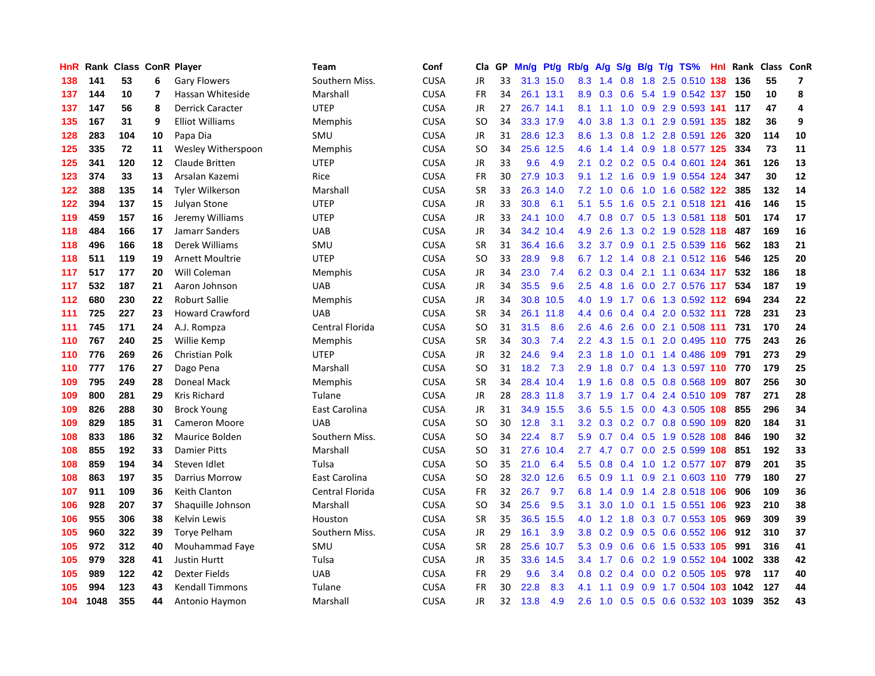| HnR | Rank | <b>Class ConR Player</b> |    |                         | Team            | Conf        | Cla       | GP | Mn/g | Pt/g Rb/g |                  | A/g |     |  | S/g B/g T/g TS%                | Hnl | Rank | Class ConR |                         |
|-----|------|--------------------------|----|-------------------------|-----------------|-------------|-----------|----|------|-----------|------------------|-----|-----|--|--------------------------------|-----|------|------------|-------------------------|
| 138 | 141  | 53                       | 6  | <b>Gary Flowers</b>     | Southern Miss.  | <b>CUSA</b> | JR        | 33 |      | 31.3 15.0 | 8.3              | 1.4 | 0.8 |  | 1.8 2.5 0.510 138              |     | 136  | 55         | $\overline{\mathbf{z}}$ |
| 137 | 144  | 10                       | 7  | Hassan Whiteside        | Marshall        | <b>CUSA</b> | FR        | 34 |      | 26.1 13.1 | 8.9              |     |     |  | 0.3 0.6 5.4 1.9 0.542 137 150  |     |      | 10         | 8                       |
| 137 | 147  | 56                       | 8  | <b>Derrick Caracter</b> | <b>UTEP</b>     | <b>CUSA</b> | JR        | 27 |      | 26.7 14.1 | 8.1              |     |     |  | 1.1 1.0 0.9 2.9 0.593 141      |     | 117  | 47         | 4                       |
| 135 | 167  | 31                       | 9  | <b>Elliot Williams</b>  | <b>Memphis</b>  | <b>CUSA</b> | <b>SO</b> | 34 |      | 33.3 17.9 | 4.0              | 3.8 |     |  | 1.3 0.1 2.9 0.591 135          |     | 182  | 36         | 9                       |
| 128 | 283  | 104                      | 10 | Papa Dia                | SMU             | <b>CUSA</b> | JR        | 31 |      | 28.6 12.3 | 8.6              | 1.3 | 0.8 |  | 1.2 2.8 0.591 126              |     | 320  | 114        | 10                      |
| 125 | 335  | 72                       | 11 | Wesley Witherspoon      | <b>Memphis</b>  | <b>CUSA</b> | <b>SO</b> | 34 |      | 25.6 12.5 | 4.6              | 1.4 |     |  | 1.4 0.9 1.8 0.577 125          |     | 334  | 73         | 11                      |
| 125 | 341  | 120                      | 12 | Claude Britten          | <b>UTEP</b>     | <b>CUSA</b> | JR        | 33 | 9.6  | 4.9       | 2.1              | 0.2 |     |  | 0.2 0.5 0.4 0.601 124          |     | 361  | 126        | 13                      |
| 123 | 374  | 33                       | 13 | Arsalan Kazemi          | Rice            | <b>CUSA</b> | FR        | 30 | 27.9 | 10.3      | 9.1              | 1.2 | 1.6 |  | 0.9 1.9 0.554 124              |     | 347  | 30         | 12                      |
| 122 | 388  | 135                      | 14 | <b>Tyler Wilkerson</b>  | Marshall        | <b>CUSA</b> | <b>SR</b> | 33 | 26.3 | 14.0      | 7.2              | 1.0 | 0.6 |  | 1.0 1.6 0.582 122              |     | 385  | 132        | 14                      |
| 122 | 394  | 137                      | 15 | Julyan Stone            | <b>UTEP</b>     | <b>CUSA</b> | JR        | 33 | 30.8 | 6.1       | 5.1              | 5.5 |     |  | 1.6 0.5 2.1 0.518 121          |     | 416  | 146        | 15                      |
| 119 | 459  | 157                      | 16 | Jeremy Williams         | <b>UTEP</b>     | <b>CUSA</b> | JR        | 33 | 24.1 | 10.0      |                  |     |     |  | 4.7 0.8 0.7 0.5 1.3 0.581 118  |     | 501  | 174        | 17                      |
| 118 | 484  | 166                      | 17 | Jamarr Sanders          | <b>UAB</b>      | <b>CUSA</b> | JR        | 34 | 34.2 | 10.4      | 4.9              | 2.6 |     |  | 1.3 0.2 1.9 0.528 118          |     | 487  | 169        | 16                      |
| 118 | 496  | 166                      | 18 | Derek Williams          | SMU             | <b>CUSA</b> | <b>SR</b> | 31 | 36.4 | 16.6      | 3.2              | 3.7 | 0.9 |  | 0.1 2.5 0.539 116              |     | 562  | 183        | 21                      |
| 118 | 511  | 119                      | 19 | Arnett Moultrie         | <b>UTEP</b>     | <b>CUSA</b> | <b>SO</b> | 33 | 28.9 | 9.8       | 6.7              | 1.2 |     |  | 1.4 0.8 2.1 0.512 116          |     | 546  | 125        | 20                      |
| 117 | 517  | 177                      | 20 | Will Coleman            | <b>Memphis</b>  | <b>CUSA</b> | JR        | 34 | 23.0 | 7.4       | 6.2              | 0.3 | 0.4 |  | 2.1 1.1 0.634 117              |     | 532  | 186        | 18                      |
| 117 | 532  | 187                      | 21 | Aaron Johnson           | <b>UAB</b>      | <b>CUSA</b> | JR        | 34 | 35.5 | 9.6       | 2.5              | 4.8 | 1.6 |  | 0.0 2.7 0.576 117              |     | 534  | 187        | 19                      |
| 112 | 680  | 230                      | 22 | <b>Roburt Sallie</b>    | <b>Memphis</b>  | <b>CUSA</b> | <b>JR</b> | 34 | 30.8 | 10.5      | 4.0              | 1.9 |     |  | 1.7 0.6 1.3 0.592 112 694      |     |      | 234        | 22                      |
| 111 | 725  | 227                      | 23 | <b>Howard Crawford</b>  | <b>UAB</b>      | <b>CUSA</b> | <b>SR</b> | 34 | 26.1 | 11.8      | 4.4              | 0.6 |     |  | $0.4$ 0.4 2.0 0.532 111        |     | 728  | 231        | 23                      |
| 111 | 745  | 171                      | 24 | A.J. Rompza             | Central Florida | <b>CUSA</b> | SO        | 31 | 31.5 | 8.6       | 2.6              |     |     |  | 4.6 2.6 0.0 2.1 0.508 111 731  |     |      | 170        | 24                      |
| 110 | 767  | 240                      | 25 | Willie Kemp             | <b>Memphis</b>  | <b>CUSA</b> | <b>SR</b> | 34 | 30.3 | 7.4       | $2.2\phantom{0}$ |     |     |  | 4.3 1.5 0.1 2.0 0.495 110 775  |     |      | 243        | 26                      |
| 110 | 776  | 269                      | 26 | <b>Christian Polk</b>   | <b>UTEP</b>     | <b>CUSA</b> | <b>JR</b> | 32 | 24.6 | 9.4       | 2.3              | 1.8 | 1.0 |  | 0.1 1.4 0.486 109 791          |     |      | 273        | 29                      |
| 110 | 777  | 176                      | 27 | Dago Pena               | Marshall        | <b>CUSA</b> | <b>SO</b> | 31 | 18.2 | 7.3       | 2.9              | 1.8 |     |  | 0.7 0.4 1.3 0.597 110 770      |     |      | 179        | 25                      |
| 109 | 795  | 249                      | 28 | Doneal Mack             | <b>Memphis</b>  | <b>CUSA</b> | <b>SR</b> | 34 | 28.4 | 10.4      | 1.9              | 1.6 |     |  | 0.8 0.5 0.8 0.568 109          |     | 807  | 256        | 30                      |
| 109 | 800  | 281                      | 29 | <b>Kris Richard</b>     | Tulane          | <b>CUSA</b> | JR        | 28 |      | 28.3 11.8 | 3.7              | 1.9 | 1.7 |  | 0.4 2.4 0.510 109              |     | 787  | 271        | 28                      |
| 109 | 826  | 288                      | 30 | <b>Brock Young</b>      | East Carolina   | <b>CUSA</b> | JR        | 31 | 34.9 | 15.5      | 3.6              | 5.5 | 1.5 |  | 0.0 4.3 0.505 108              |     | 855  | 296        | 34                      |
| 109 | 829  | 185                      | 31 | <b>Cameron Moore</b>    | <b>UAB</b>      | <b>CUSA</b> | <b>SO</b> | 30 | 12.8 | 3.1       | 3.2 <sub>2</sub> | 0.3 |     |  | 0.2 0.7 0.8 0.590 109          |     | 820  | 184        | 31                      |
| 108 | 833  | 186                      | 32 | Maurice Bolden          | Southern Miss.  | <b>CUSA</b> | <b>SO</b> | 34 | 22.4 | 8.7       |                  |     |     |  | 5.9 0.7 0.4 0.5 1.9 0.528 108  |     | 846  | 190        | 32                      |
| 108 | 855  | 192                      | 33 | <b>Damier Pitts</b>     | Marshall        | <b>CUSA</b> | <b>SO</b> | 31 | 27.6 | 10.4      |                  |     |     |  | 2.7 4.7 0.7 0.0 2.5 0.599 108  |     | 851  | 192        | 33                      |
| 108 | 859  | 194                      | 34 | Steven Idlet            | Tulsa           | <b>CUSA</b> | <b>SO</b> | 35 | 21.0 | 6.4       | 5.5              | 0.8 |     |  | 0.4 1.0 1.2 0.577 107          |     | 879  | 201        | 35                      |
| 108 | 863  | 197                      | 35 | <b>Darrius Morrow</b>   | East Carolina   | <b>CUSA</b> | <b>SO</b> | 28 | 32.0 | 12.6      | 6.5              | 0.9 |     |  | 1.1 0.9 2.1 0.603 110 779      |     |      | 180        | 27                      |
| 107 | 911  | 109                      | 36 | Keith Clanton           | Central Florida | <b>CUSA</b> | FR        | 32 | 26.7 | 9.7       | 6.8              | 1.4 | 0.9 |  | 1.4 2.8 0.518 106              |     | 906  | 109        | 36                      |
| 106 | 928  | 207                      | 37 | Shaquille Johnson       | Marshall        | <b>CUSA</b> | SO        | 34 | 25.6 | 9.5       | 3.1              | 3.0 | 1.0 |  | 0.1 1.5 0.551 106              |     | 923  | 210        | 38                      |
| 106 | 955  | 306                      | 38 | Kelvin Lewis            | Houston         | <b>CUSA</b> | <b>SR</b> | 35 | 36.5 | 15.5      | 4.0              | 1.2 | 1.8 |  | 0.3 0.7 0.553 105              |     | 969  | 309        | 39                      |
| 105 | 960  | 322                      | 39 | Torye Pelham            | Southern Miss.  | <b>CUSA</b> | <b>JR</b> | 29 | 16.1 | 3.9       | 3.8              | 0.2 | 0.9 |  | 0.5 0.6 0.552 106              |     | 912  | 310        | 37                      |
| 105 | 972  | 312                      | 40 | Mouhammad Faye          | SMU             | <b>CUSA</b> | <b>SR</b> | 28 | 25.6 | 10.7      | 5.3              | 0.9 |     |  | 0.6 0.6 1.5 0.533 105          |     | 991  | 316        | 41                      |
| 105 | 979  | 328                      | 41 | <b>Justin Hurtt</b>     | Tulsa           | <b>CUSA</b> | JR        | 35 | 33.6 | 14.5      | $3.4^{\circ}$    | 1.7 |     |  | 0.6 0.2 1.9 0.552 104 1002     |     |      | 338        | 42                      |
| 105 | 989  | 122                      | 42 | Dexter Fields           | <b>UAB</b>      | <b>CUSA</b> | FR        | 29 | 9.6  | 3.4       | 0.8              | 0.2 |     |  | 0.4 0.0 0.2 0.505 105 978      |     |      | 117        | 40                      |
| 105 | 994  | 123                      | 43 | <b>Kendall Timmons</b>  | Tulane          | <b>CUSA</b> | <b>FR</b> | 30 | 22.8 | 8.3       | 4.1              | 1.1 | 0.9 |  | 0.9 1.7 0.504 103 1042         |     |      | 127        | 44                      |
| 104 | 1048 | 355                      | 44 | Antonio Haymon          | Marshall        | <b>CUSA</b> | <b>JR</b> | 32 | 13.8 | 4.9       | 2.6              |     |     |  | 1.0 0.5 0.5 0.6 0.532 103 1039 |     |      | 352        | 43                      |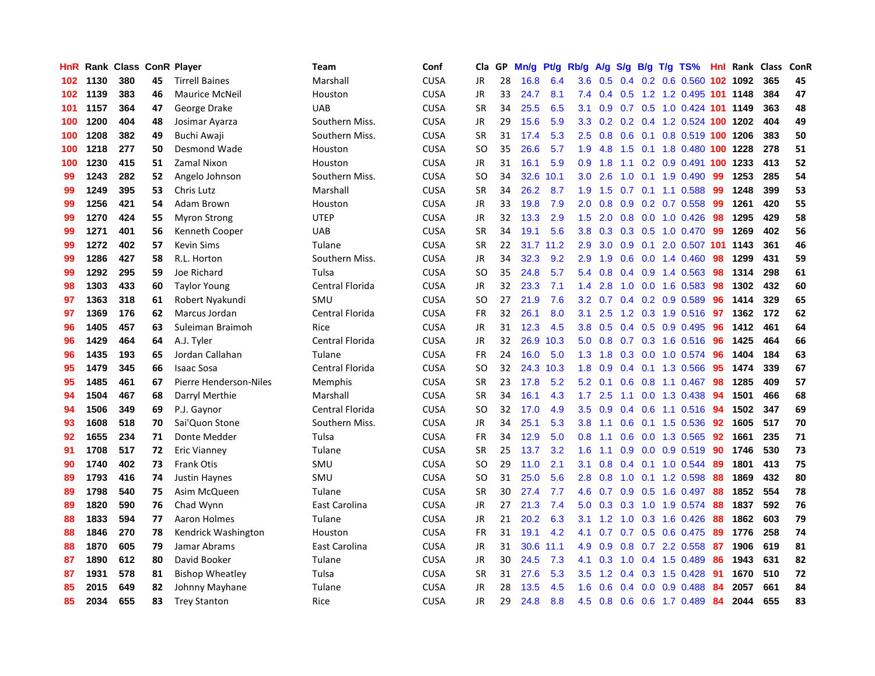| HnR. |      | Rank Class ConR Player |    |                        | <b>Team</b>     | Conf        | Cla       | GP | Mn/g | Pt/g      | Rb/g             | A/g            | S/g |  | $B/g$ T/g TS%                  |     | <b>Hnl Rank Class</b> |     | ConR |
|------|------|------------------------|----|------------------------|-----------------|-------------|-----------|----|------|-----------|------------------|----------------|-----|--|--------------------------------|-----|-----------------------|-----|------|
| 102  | 1130 | 380                    | 45 | <b>Tirrell Baines</b>  | Marshall        | <b>CUSA</b> | <b>JR</b> | 28 | 16.8 | 6.4       | 3.6 <sup>°</sup> | 0.5            | 0.4 |  | $0.2$ 0.6 0.560                |     | 102 1092              | 365 | 45   |
| 102  | 1139 | 383                    | 46 | <b>Maurice McNeil</b>  | Houston         | <b>CUSA</b> | JR        | 33 | 24.7 | 8.1       | 7.4              |                |     |  | 0.4 0.5 1.2 1.2 0.495 101 1148 |     |                       | 384 | 47   |
| 101  | 1157 | 364                    | 47 | George Drake           | <b>UAB</b>      | <b>CUSA</b> | <b>SR</b> | 34 | 25.5 | 6.5       | 3.1              | 0.9            |     |  | 0.7 0.5 1.0 0.424 101 1149     |     |                       | 363 | 48   |
| 100  | 1200 | 404                    | 48 | Josimar Ayarza         | Southern Miss.  | <b>CUSA</b> | JR        | 29 | 15.6 | 5.9       | 3.3 <sub>2</sub> | 0.2            |     |  | 0.2 0.4 1.2 0.524 100 1202     |     |                       | 404 | 49   |
| 100  | 1208 | 382                    | 49 | Buchi Awaji            | Southern Miss.  | CUSA        | <b>SR</b> | 31 | 17.4 | 5.3       | 2.5              | 0.8            | 0.6 |  | 0.1 0.8 0.519 100 1206         |     |                       | 383 | 50   |
| 100  | 1218 | 277                    | 50 | Desmond Wade           | Houston         | <b>CUSA</b> | SO        | 35 | 26.6 | 5.7       | 1.9              | 4.8            | 1.5 |  | 0.1 1.8 0.480 100 1228         |     |                       | 278 | 51   |
| 100  | 1230 | 415                    | 51 | Zamal Nixon            | Houston         | CUSA        | <b>JR</b> | 31 | 16.1 | 5.9       | 0.9 <sup>°</sup> | 1.8            |     |  | 1.1 0.2 0.9 0.491 100 1233     |     |                       | 413 | 52   |
| 99   | 1243 | 282                    | 52 | Angelo Johnson         | Southern Miss.  | <b>CUSA</b> | SO        | 34 | 32.6 | 10.1      | 3.0 <sub>1</sub> | 2.6            | 1.0 |  | $0.1$ 1.9 0.490                | 99  | 1253                  | 285 | 54   |
| 99   | 1249 | 395                    | 53 | Chris Lutz             | Marshall        | CUSA        | <b>SR</b> | 34 | 26.2 | 8.7       | 1.9              | 1.5            |     |  | $0.7$ 0.1 1.1 0.588            | -99 | 1248                  | 399 | 53   |
| 99   | 1256 | 421                    | 54 | Adam Brown             | Houston         | <b>CUSA</b> | <b>JR</b> | 33 | 19.8 | 7.9       | 2.0 <sub>1</sub> | 0.8            |     |  | 0.9 0.2 0.7 0.558 99           |     | 1261                  | 420 | 55   |
| 99   | 1270 | 424                    | 55 | <b>Myron Strong</b>    | <b>UTEP</b>     | <b>CUSA</b> | <b>JR</b> | 32 | 13.3 | 2.9       | 1.5              | 2.0            |     |  | 0.8 0.0 1.0 0.426 98           |     | 1295                  | 429 | 58   |
| 99   | 1271 | 401                    | 56 | Kenneth Cooper         | <b>UAB</b>      | <b>CUSA</b> | <b>SR</b> | 34 | 19.1 | 5.6       | 3.8 <sub>1</sub> | 0.3            |     |  | 0.3 0.5 1.0 0.470 99           |     | 1269                  | 402 | 56   |
| 99   | 1272 | 402                    | 57 | <b>Kevin Sims</b>      | Tulane          | <b>CUSA</b> | <b>SR</b> | 22 | 31.7 | 11.2      | 2.9              | 3.0            | 0.9 |  | 0.1 2.0 0.507 101 1143         |     |                       | 361 | 46   |
| 99   | 1286 | 427                    | 58 | R.L. Horton            | Southern Miss.  | <b>CUSA</b> | <b>JR</b> | 34 | 32.3 | 9.2       | 2.9              | 1.9            | 0.6 |  | $0.0 \quad 1.4 \quad 0.460$    | 98  | 1299                  | 431 | 59   |
| 99   | 1292 | 295                    | 59 | Joe Richard            | Tulsa           | CUSA        | <b>SO</b> | 35 | 24.8 | 5.7       | 5.4              | 0.8            |     |  | $0.4$ 0.9 1.4 0.563            | 98  | 1314                  | 298 | 61   |
| 98   | 1303 | 433                    | 60 | <b>Taylor Young</b>    | Central Florida | <b>CUSA</b> | JR        | 32 | 23.3 | 7.1       | 1.4              | 2.8            | 1.0 |  | $0.0$ 1.6 $0.583$              | 98  | 1302                  | 432 | 60   |
| 97   | 1363 | 318                    | 61 | Robert Nyakundi        | SMU             | CUSA        | <b>SO</b> | 27 | 21.9 | 7.6       | 3.2              | 0.7            | 0.4 |  | 0.2 0.9 0.589                  | 96  | 1414                  | 329 | 65   |
| 97   | 1369 | 176                    | 62 | Marcus Jordan          | Central Florida | <b>CUSA</b> | <b>FR</b> | 32 | 26.1 | 8.0       | 3.1              | 2.5            |     |  | 1.2 0.3 1.9 0.516 97           |     | 1362                  | 172 | 62   |
| 96   | 1405 | 457                    | 63 | Suleiman Braimoh       | Rice            | <b>CUSA</b> | JR        | 31 | 12.3 | 4.5       |                  | $3.8\quad 0.5$ |     |  | $0.4$ 0.5 0.9 0.495            | -96 | 1412                  | 461 | 64   |
| 96   | 1429 | 464                    | 64 | A.J. Tyler             | Central Florida | <b>CUSA</b> | <b>JR</b> | 32 | 26.9 | 10.3      | 5.0              | 0.8            |     |  | 0.7 0.3 1.6 0.516 96           |     | 1425                  | 464 | 66   |
| 96   | 1435 | 193                    | 65 | Jordan Callahan        | Tulane          | CUSA        | <b>FR</b> | 24 | 16.0 | 5.0       | 1.3              | 1.8            |     |  | $0.3$ 0.0 1.0 0.574            | 96  | 1404                  | 184 | 63   |
| 95   | 1479 | 345                    | 66 | <b>Isaac Sosa</b>      | Central Florida | <b>CUSA</b> | <b>SO</b> | 32 | 24.3 | 10.3      | 1.8              | 0.9            |     |  | 0.4 0.1 1.3 0.566              | 95  | 1474                  | 339 | 67   |
| 95   | 1485 | 461                    | 67 | Pierre Henderson-Niles | Memphis         | <b>CUSA</b> | <b>SR</b> | 23 | 17.8 | 5.2       | 5.2              | 0.1            | 0.6 |  | $0.8$ 1.1 0.467                | 98  | 1285                  | 409 | 57   |
| 94   | 1504 | 467                    | 68 | Darryl Merthie         | Marshall        | <b>CUSA</b> | <b>SR</b> | 34 | 16.1 | 4.3       | 1.7 <sub>2</sub> | 2.5            | 1.1 |  | 0.0 1.3 0.438                  | 94  | 1501                  | 466 | 68   |
| 94   | 1506 | 349                    | 69 | P.J. Gaynor            | Central Florida | <b>CUSA</b> | <b>SO</b> | 32 | 17.0 | 4.9       | 3.5              | 0.9            |     |  | 0.4 0.6 1.1 0.516 94           |     | 1502                  | 347 | 69   |
| 93   | 1608 | 518                    | 70 | Sai'Quon Stone         | Southern Miss.  | <b>CUSA</b> | JR        | 34 | 25.1 | 5.3       | 3.8 <sub>1</sub> | $-1.1$         | 0.6 |  | $0.1$ 1.5 0.536                | -92 | 1605                  | 517 | 70   |
| 92   | 1655 | 234                    | 71 | Donte Medder           | Tulsa           | <b>CUSA</b> | <b>FR</b> | 34 | 12.9 | 5.0       | 0.8              | 1.1            |     |  | 0.6 0.0 1.3 0.565 92           |     | 1661                  | 235 | 71   |
| 91   | 1708 | 517                    | 72 | Eric Vianney           | Tulane          | <b>CUSA</b> | <b>SR</b> | 25 | 13.7 | 3.2       | 1.6              | 1.1            |     |  | $0.9$ 0.0 0.9 0.519 90         |     | 1746                  | 530 | 73   |
| 90   | 1740 | 402                    | 73 | <b>Frank Otis</b>      | SMU             | <b>CUSA</b> | <b>SO</b> | 29 | 11.0 | 2.1       | 3.1              | 0.8            |     |  | $0.4$ 0.1 1.0 0.544            | -89 | 1801                  | 413 | 75   |
| 89   | 1793 | 416                    | 74 | <b>Justin Haynes</b>   | SMU             | <b>CUSA</b> | <b>SO</b> | 31 | 25.0 | 5.6       | 2.8              | 0.8            | 1.0 |  | $0.1$ 1.2 0.598                | 88  | 1869                  | 432 | 80   |
| 89   | 1798 | 540                    | 75 | Asim McQueen           | Tulane          | <b>CUSA</b> | <b>SR</b> | 30 | 27.4 | 7.7       | 4.6              | 0.7            | 0.9 |  | 0.5 1.6 0.497                  | -88 | 1852                  | 554 | 78   |
| 89   | 1820 | 590                    | 76 | Chad Wynn              | East Carolina   | CUSA        | <b>JR</b> | 27 | 21.3 | 7.4       | 5.0              | 0.3            | 0.3 |  | 1.0 1.9 0.574                  | 88  | 1837                  | 592 | 76   |
| 88   | 1833 | 594                    | 77 | Aaron Holmes           | Tulane          | CUSA        | JR        | 21 | 20.2 | 6.3       | 3.1              | 1.2            | 1.0 |  | 0.3 1.6 0.426                  | -88 | 1862                  | 603 | 79   |
| 88   | 1846 | 270                    | 78 | Kendrick Washington    | Houston         | <b>CUSA</b> | FR        | 31 | 19.1 | 4.2       | 4.1              | 0.7            |     |  | $0.7$ $0.5$ $0.6$ $0.475$      | -89 | 1776                  | 258 | 74   |
| 88   | 1870 | 605                    | 79 | Jamar Abrams           | East Carolina   | <b>CUSA</b> | JR        | 31 |      | 30.6 11.1 |                  | 4.9 0.9        |     |  | 0.8 0.7 2.2 0.558 87           |     | 1906                  | 619 | 81   |
| 87   | 1890 | 612                    | 80 | David Booker           | Tulane          | <b>CUSA</b> | <b>JR</b> | 30 | 24.5 | 7.3       | 4.1              | 0.3            |     |  | 1.0 0.4 1.5 0.489              | -86 | 1943                  | 631 | 82   |
| 87   | 1931 | 578                    | 81 | <b>Bishop Wheatley</b> | Tulsa           | CUSA        | <b>SR</b> | 31 | 27.6 | 5.3       | 3.5              | 1.2            |     |  | $0.4$ 0.3 1.5 0.428            | -91 | 1670                  | 510 | 72   |
| 85   | 2015 | 649                    | 82 | Johnny Mayhane         | Tulane          | <b>CUSA</b> | JR        | 28 | 13.5 | 4.5       | 1.6              | 0.6            | 0.4 |  | $0.0$ 0.9 0.488                | -84 | 2057                  | 661 | 84   |
| 85   | 2034 | 655                    | 83 | <b>Trey Stanton</b>    | Rice            | <b>CUSA</b> | <b>JR</b> | 29 | 24.8 | 8.8       |                  | $4.5 \t0.8$    |     |  | 0.6 0.6 1.7 0.489              | 84  | 2044                  | 655 | 83   |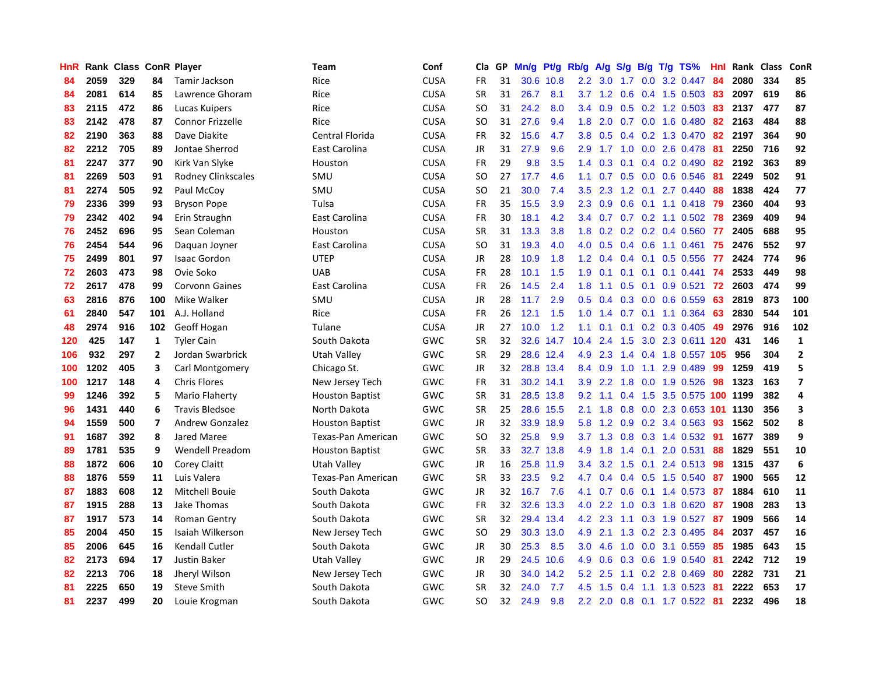| HnR |      | Rank Class ConR Player |                         |                         | Team                   | Conf        | Cla       | <b>GP</b> | Mn/g | Pt/g      | Rb/g             | A/g             |     |     | S/g B/g T/g TS%              | Hnl | Rank | <b>Class</b> | ConR                    |
|-----|------|------------------------|-------------------------|-------------------------|------------------------|-------------|-----------|-----------|------|-----------|------------------|-----------------|-----|-----|------------------------------|-----|------|--------------|-------------------------|
| 84  | 2059 | 329                    | 84                      | Tamir Jackson           | Rice                   | <b>CUSA</b> | FR        | 31        |      | 30.6 10.8 | 2.2              | 3.0             | 1.7 |     | $0.0$ 3.2 $0.447$            | 84  | 2080 | 334          | 85                      |
| 84  | 2081 | 614                    | 85                      | Lawrence Ghoram         | Rice                   | <b>CUSA</b> | <b>SR</b> | 31        | 26.7 | 8.1       |                  |                 |     |     | 3.7 1.2 0.6 0.4 1.5 0.503 83 |     | 2097 | 619          | 86                      |
| 83  | 2115 | 472                    | 86                      | Lucas Kuipers           | Rice                   | <b>CUSA</b> | SO.       | 31        | 24.2 | 8.0       | 3.4              | 0.9             |     |     | $0.5$ 0.2 1.2 0.503          | -83 | 2137 | 477          | 87                      |
| 83  | 2142 | 478                    | 87                      | <b>Connor Frizzelle</b> | Rice                   | <b>CUSA</b> | SO        | 31        | 27.6 | 9.4       | 1.8              | 2.0             |     |     | $0.7$ 0.0 1.6 0.480          | 82  | 2163 | 484          | 88                      |
| 82  | 2190 | 363                    | 88                      | Dave Diakite            | Central Florida        | <b>CUSA</b> | <b>FR</b> | 32        | 15.6 | 4.7       | 3.8 <sub>2</sub> | 0.5             |     |     | 0.4 0.2 1.3 0.470            | 82  | 2197 | 364          | 90                      |
| 82  | 2212 | 705                    | 89                      | Jontae Sherrod          | East Carolina          | <b>CUSA</b> | <b>JR</b> | 31        | 27.9 | 9.6       | 2.9              | 1.7             |     |     | 1.0 0.0 2.6 0.478            | -81 | 2250 | 716          | 92                      |
| 81  | 2247 | 377                    | 90                      | Kirk Van Slyke          | Houston                | <b>CUSA</b> | <b>FR</b> | 29        | 9.8  | 3.5       | 1.4              | 0.3             |     |     | $0.1$ 0.4 0.2 0.490          | 82  | 2192 | 363          | 89                      |
| 81  | 2269 | 503                    | 91                      | Rodney Clinkscales      | SMU                    | <b>CUSA</b> | SO.       | 27        | 17.7 | 4.6       | 1.1              | 0.7             |     |     | $0.5$ 0.0 0.6 0.546          | -81 | 2249 | 502          | 91                      |
| 81  | 2274 | 505                    | 92                      | Paul McCoy              | SMU                    | <b>CUSA</b> | SO        | 21        | 30.0 | 7.4       | 3.5              | 2.3             | 1.2 | 0.1 | 2.7 0.440                    | 88  | 1838 | 424          | 77                      |
| 79  | 2336 | 399                    | 93                      | <b>Bryson Pope</b>      | Tulsa                  | <b>CUSA</b> | <b>FR</b> | 35        | 15.5 | 3.9       | 2.3              | 0.9             |     |     | 0.6 0.1 1.1 0.418 79         |     | 2360 | 404          | 93                      |
| 79  | 2342 | 402                    | 94                      | Erin Straughn           | East Carolina          | <b>CUSA</b> | <b>FR</b> | 30        | 18.1 | 4.2       | 3.4              |                 |     |     | 0.7 0.7 0.2 1.1 0.502 78     |     | 2369 | 409          | 94                      |
| 76  | 2452 | 696                    | 95                      | Sean Coleman            | Houston                | <b>CUSA</b> | <b>SR</b> | 31        | 13.3 | 3.8       | 1.8              | 0.2             |     |     | $0.2$ 0.2 0.4 0.560          | -77 | 2405 | 688          | 95                      |
| 76  | 2454 | 544                    | 96                      | Daguan Joyner           | East Carolina          | <b>CUSA</b> | SO.       | 31        | 19.3 | 4.0       | 4.0              | 0.5             |     |     | 0.4 0.6 1.1 0.461            | 75  | 2476 | 552          | 97                      |
| 75  | 2499 | 801                    | 97                      | <b>Isaac Gordon</b>     | <b>UTEP</b>            | <b>CUSA</b> | <b>JR</b> | 28        | 10.9 | 1.8       | 1.2              | 0.4             | 0.4 |     | $0.1$ 0.5 0.556              | 77  | 2424 | 774          | 96                      |
| 72  | 2603 | 473                    | 98                      | Ovie Soko               | <b>UAB</b>             | <b>CUSA</b> | <b>FR</b> | 28        | 10.1 | 1.5       | 1.9              | 0.1             |     |     | $0.1$ 0.1 0.1 0.441          | -74 | 2533 | 449          | 98                      |
| 72  | 2617 | 478                    | 99                      | <b>Corvonn Gaines</b>   | East Carolina          | <b>CUSA</b> | <b>FR</b> | 26        | 14.5 | 2.4       | 1.8              | 1.1             | 0.5 | 0.1 | $0.9$ 0.521                  | 72  | 2603 | 474          | 99                      |
| 63  | 2816 | 876                    | 100                     | Mike Walker             | SMU                    | <b>CUSA</b> | JR        | 28        | 11.7 | 2.9       | 0.5              | 0.4             | 0.3 |     | $0.0$ 0.6 0.559              | 63  | 2819 | 873          | 100                     |
| 61  | 2840 | 547                    | 101                     | A.J. Holland            | Rice                   | <b>CUSA</b> | <b>FR</b> | 26        | 12.1 | 1.5       | 1.0              | 1.4             |     |     | $0.7$ 0.1 1.1 0.364          | 63  | 2830 | 544          | 101                     |
| 48  | 2974 | 916                    | 102                     | Geoff Hogan             | Tulane                 | CUSA        | JR        | 27        | 10.0 | 1.2       | 1.1              | 0.1             |     |     | $0.1$ 0.2 0.3 0.405          | 49  | 2976 | 916          | 102                     |
| 120 | 425  | 147                    | 1                       | <b>Tyler Cain</b>       | South Dakota           | GWC         | <b>SR</b> | 32        |      | 32.6 14.7 | 10.4             | 2.4             |     |     | 1.5 3.0 2.3 0.611 120 431    |     |      | 146          | $\mathbf{1}$            |
| 106 | 932  | 297                    | $\mathbf{2}$            | Jordan Swarbrick        | Utah Valley            | GWC         | <b>SR</b> | 29        |      | 28.6 12.4 | 4.9              | 2.3             |     |     | 1.4 0.4 1.8 0.557 105        |     | 956  | 304          | $\overline{2}$          |
| 100 | 1202 | 405                    | 3                       | Carl Montgomery         | Chicago St.            | GWC         | <b>JR</b> | 32        |      | 28.8 13.4 | 8.4              | 0.9             | 1.0 | 1.1 | 2.9 0.489                    | 99  | 1259 | 419          | 5                       |
| 100 | 1217 | 148                    | 4                       | <b>Chris Flores</b>     | New Jersey Tech        | GWC         | FR        | 31        |      | 30.2 14.1 | 3.9              | 2.2             | 1.8 |     | $0.0$ 1.9 $0.526$            | 98  | 1323 | 163          | $\overline{\mathbf{z}}$ |
| 99  | 1246 | 392                    | 5                       | Mario Flaherty          | <b>Houston Baptist</b> | GWC         | <b>SR</b> | 31        |      | 28.5 13.8 | 9.2              | 1.1             | 0.4 |     | 1.5 3.5 0.575 100 1199       |     |      | 382          | 4                       |
| 96  | 1431 | 440                    | 6                       | <b>Travis Bledsoe</b>   | North Dakota           | GWC         | <b>SR</b> | 25        | 28.6 | 15.5      | 2.1              | 1.8             | 0.8 |     | 0.0 2.3 0.653 101 1130       |     |      | 356          | 3                       |
| 94  | 1559 | 500                    | $\overline{\mathbf{z}}$ | <b>Andrew Gonzalez</b>  | <b>Houston Baptist</b> | GWC         | JR        | 32        | 33.9 | 18.9      | 5.8              | 1.2             | 0.9 |     | $0.2$ 3.4 $0.563$            | -93 | 1562 | 502          | 8                       |
| 91  | 1687 | 392                    | 8                       | Jared Maree             | Texas-Pan American     | GWC         | SO        | 32        | 25.8 | 9.9       | 3.7              | 1.3             |     |     | 0.8 0.3 1.4 0.532 91         |     | 1677 | 389          | 9                       |
| 89  | 1781 | 535                    | 9                       | <b>Wendell Preadom</b>  | <b>Houston Baptist</b> | GWC         | <b>SR</b> | 33        |      | 32.7 13.8 | 4.9              | 1.8             |     |     | 1.4 0.1 2.0 0.531 88         |     | 1829 | 551          | 10                      |
| 88  | 1872 | 606                    | 10                      | Corey Claitt            | Utah Valley            | GWC         | JR        | 16        | 25.8 | 11.9      | $3.4^{\circ}$    |                 |     |     | 3.2 1.5 0.1 2.4 0.513 98     |     | 1315 | 437          | 6                       |
| 88  | 1876 | 559                    | 11                      | Luis Valera             | Texas-Pan American     | GWC         | <b>SR</b> | 33        | 23.5 | 9.2       | 4.7              | 0.4             |     |     | $0.4$ 0.5 1.5 0.540          | -87 | 1900 | 565          | 12                      |
| 87  | 1883 | 608                    | 12                      | Mitchell Bouie          | South Dakota           | GWC         | JR        | 32        | 16.7 | 7.6       | 4.1              | 0.7             | 0.6 |     | $0.1$ 1.4 0.573              | -87 | 1884 | 610          | 11                      |
| 87  | 1915 | 288                    | 13                      | Jake Thomas             | South Dakota           | <b>GWC</b>  | <b>FR</b> | 32        |      | 32.6 13.3 |                  | $4.0$ 2.2       | 1.0 |     | 0.3 1.8 0.620                | 87  | 1908 | 283          | 13                      |
| 87  | 1917 | 573                    | 14                      | Roman Gentry            | South Dakota           | GWC         | <b>SR</b> | 32        | 29.4 | 13.4      | 4.2              | 2.3             | 1.1 |     | $0.3$ 1.9 0.527              | -87 | 1909 | 566          | 14                      |
| 85  | 2004 | 450                    | 15                      | Isaiah Wilkerson        | New Jersey Tech        | <b>GWC</b>  | SO        | 29        | 30.3 | 13.0      | 4.9              | 2.1             | 1.3 |     | 0.2 2.3 0.495                | 84  | 2037 | 457          | 16                      |
| 85  | 2006 | 645                    | 16                      | <b>Kendall Cutler</b>   | South Dakota           | <b>GWC</b>  | <b>JR</b> | 30        | 25.3 | 8.5       | 3.0 <sub>2</sub> | 4.6             | 1.0 |     | 0.0 3.1 0.559                | -85 | 1985 | 643          | 15                      |
| 82  | 2173 | 694                    | 17                      | <b>Justin Baker</b>     | Utah Valley            | <b>GWC</b>  | JR        | 29        |      | 24.5 10.6 | 4.9              | 0.6             |     |     | 0.3 0.6 1.9 0.540            | -81 | 2242 | 712          | 19                      |
| 82  | 2213 | 706                    | 18                      | Jheryl Wilson           | New Jersey Tech        | <b>GWC</b>  | JR        | 30        |      | 34.0 14.2 | 5.2              | 2.5             |     |     | 1.1 0.2 2.8 0.469            | -80 | 2282 | 731          | 21                      |
| 81  | 2225 | 650                    | 19                      | <b>Steve Smith</b>      | South Dakota           | GWC         | SR        | 32        | 24.0 | 7.7       | 4.5              | 1.5             | 0.4 |     | 1.1 1.3 0.523                | -81 | 2222 | 653          | 17                      |
| 81  | 2237 | 499                    | 20                      | Louie Krogman           | South Dakota           | GWC         | <b>SO</b> | 32        | 24.9 | 9.8       |                  | $2.2 \quad 2.0$ |     |     | $0.8$ 0.1 1.7 0.522          | -81 | 2232 | 496          | 18                      |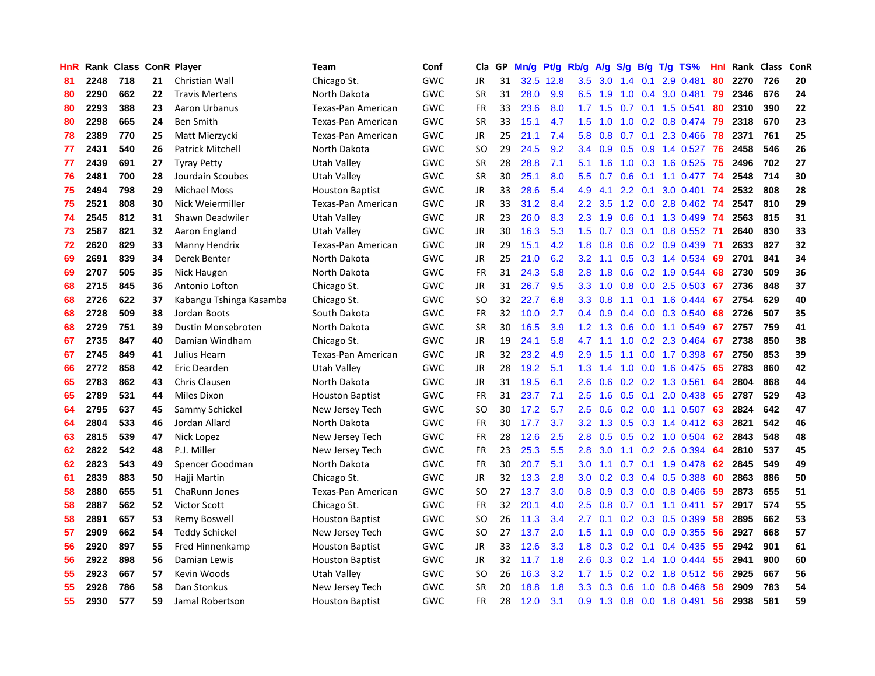| <b>HnR</b> |      | Rank Class ConR Player |    |                         | Team                   | Conf | Cla       | GP | Mn/g | Pt/g      | Rb/g             | A/g             |     |                 | S/g B/g T/g TS%           | Hnl | Rank | Class | ConR |
|------------|------|------------------------|----|-------------------------|------------------------|------|-----------|----|------|-----------|------------------|-----------------|-----|-----------------|---------------------------|-----|------|-------|------|
| 81         | 2248 | 718                    | 21 | Christian Wall          | Chicago St.            | GWC  | JR        | 31 |      | 32.5 12.8 | 3.5              | 3.0             | 1.4 | 0.1             | 2.9 0.481                 | 80  | 2270 | 726   | 20   |
| 80         | 2290 | 662                    | 22 | <b>Travis Mertens</b>   | North Dakota           | GWC  | <b>SR</b> | 31 | 28.0 | 9.9       |                  | $6.5$ 1.9       |     |                 | 1.0 0.4 3.0 0.481         | -79 | 2346 | 676   | 24   |
| 80         | 2293 | 388                    | 23 | Aaron Urbanus           | Texas-Pan American     | GWC  | <b>FR</b> | 33 | 23.6 | 8.0       |                  | $1.7$ $1.5$     |     |                 | $0.7$ 0.1 1.5 0.541       | 80  | 2310 | 390   | 22   |
| 80         | 2298 | 665                    | 24 | <b>Ben Smith</b>        | Texas-Pan American     | GWC  | <b>SR</b> | 33 | 15.1 | 4.7       | 1.5              | 1.0             | 1.0 |                 | $0.2$ 0.8 0.474           | -79 | 2318 | 670   | 23   |
| 78         | 2389 | 770                    | 25 | Matt Mierzycki          | Texas-Pan American     | GWC  | <b>JR</b> | 25 | 21.1 | 7.4       | 5.8              | 0.8             |     |                 | $0.7$ 0.1 2.3 0.466       | 78  | 2371 | 761   | 25   |
| 77         | 2431 | 540                    | 26 | <b>Patrick Mitchell</b> | North Dakota           | GWC  | SO        | 29 | 24.5 | 9.2       | 3.4              | 0.9             |     |                 | $0.5$ 0.9 1.4 0.527       | 76  | 2458 | 546   | 26   |
| 77         | 2439 | 691                    | 27 | <b>Tyray Petty</b>      | Utah Valley            | GWC  | <b>SR</b> | 28 | 28.8 | 7.1       | 5.1              | 1.6             |     |                 | $1.0$ 0.3 1.6 0.525       | 75  | 2496 | 702   | 27   |
| 76         | 2481 | 700                    | 28 | Jourdain Scoubes        | Utah Valley            | GWC  | <b>SR</b> | 30 | 25.1 | 8.0       | 5.5              | 0.7             | 0.6 |                 | $0.1$ 1.1 $0.477$         | -74 | 2548 | 714   | 30   |
| 75         | 2494 | 798                    | 29 | <b>Michael Moss</b>     | <b>Houston Baptist</b> | GWC  | <b>JR</b> | 33 | 28.6 | 5.4       | 4.9              | 4.1             |     | $2.2 \quad 0.1$ | 3.0 0.401                 | -74 | 2532 | 808   | 28   |
| 75         | 2521 | 808                    | 30 | Nick Weiermiller        | Texas-Pan American     | GWC  | JR        | 33 | 31.2 | 8.4       | $2.2^{\circ}$    | 3.5             |     |                 | 1.2 0.0 2.8 0.462 74      |     | 2547 | 810   | 29   |
| 74         | 2545 | 812                    | 31 | Shawn Deadwiler         | Utah Valley            | GWC  | <b>JR</b> | 23 | 26.0 | 8.3       | 2.3              | 1.9             |     |                 | 0.6 0.1 1.3 0.499 74      |     | 2563 | 815   | 31   |
| 73         | 2587 | 821                    | 32 | Aaron England           | Utah Valley            | GWC  | JR        | 30 | 16.3 | 5.3       | 1.5              | 0.7             |     |                 | 0.3 0.1 0.8 0.552 71      |     | 2640 | 830   | 33   |
| 72         | 2620 | 829                    | 33 | Manny Hendrix           | Texas-Pan American     | GWC  | <b>JR</b> | 29 | 15.1 | 4.2       | 1.8              | 0.8             |     |                 | $0.6$ $0.2$ $0.9$ $0.439$ | -71 | 2633 | 827   | 32   |
| 69         | 2691 | 839                    | 34 | Derek Benter            | North Dakota           | GWC  | <b>JR</b> | 25 | 21.0 | 6.2       | 3.2              | 1.1             | 0.5 |                 | 0.3 1.4 0.534             | 69  | 2701 | 841   | 34   |
| 69         | 2707 | 505                    | 35 | Nick Haugen             | North Dakota           | GWC  | <b>FR</b> | 31 | 24.3 | 5.8       | 2.8              | 1.8             | 0.6 |                 | 0.2 1.9 0.544             | 68  | 2730 | 509   | 36   |
| 68         | 2715 | 845                    | 36 | Antonio Lofton          | Chicago St.            | GWC  | <b>JR</b> | 31 | 26.7 | 9.5       | 3.3 <sub>2</sub> | 1.0             | 0.8 |                 | 0.0 2.5 0.503             | 67  | 2736 | 848   | 37   |
| 68         | 2726 | 622                    | 37 | Kabangu Tshinga Kasamba | Chicago St.            | GWC  | <b>SO</b> | 32 | 22.7 | 6.8       | 3.3 <sub>2</sub> | 0.8             | 1.1 |                 | $0.1$ 1.6 0.444           | 67  | 2754 | 629   | 40   |
| 68         | 2728 | 509                    | 38 | Jordan Boots            | South Dakota           | GWC  | <b>FR</b> | 32 | 10.0 | 2.7       | 0.4              | 0.9             | 0.4 |                 | 0.0 0.3 0.540             | 68  | 2726 | 507   | 35   |
| 68         | 2729 | 751                    | 39 | Dustin Monsebroten      | North Dakota           | GWC  | <b>SR</b> | 30 | 16.5 | 3.9       |                  | $1.2 \quad 1.3$ |     |                 | 0.6 0.0 1.1 0.549         | 67  | 2757 | 759   | 41   |
| 67         | 2735 | 847                    | 40 | Damian Windham          | Chicago St.            | GWC  | <b>JR</b> | 19 | 24.1 | 5.8       | 4.7              | 1.1             |     |                 | 1.0 0.2 2.3 0.464         | 67  | 2738 | 850   | 38   |
| 67         | 2745 | 849                    | 41 | Julius Hearn            | Texas-Pan American     | GWC  | JR        | 32 | 23.2 | 4.9       | 2.9              | 1.5             |     |                 | 1.1 0.0 1.7 0.398         | 67  | 2750 | 853   | 39   |
| 66         | 2772 | 858                    | 42 | Eric Dearden            | Utah Valley            | GWC  | <b>JR</b> | 28 | 19.2 | 5.1       | 1.3              | 1.4             | 1.0 |                 | 0.0 1.6 0.475             | 65  | 2783 | 860   | 42   |
| 65         | 2783 | 862                    | 43 | Chris Clausen           | North Dakota           | GWC  | JR        | 31 | 19.5 | 6.1       | 2.6              | 0.6             |     |                 | $0.2$ 0.2 1.3 0.561       | 64  | 2804 | 868   | 44   |
| 65         | 2789 | 531                    | 44 | Miles Dixon             | <b>Houston Baptist</b> | GWC  | FR        | 31 | 23.7 | 7.1       | 2.5              | 1.6             | 0.5 | 0.1             | 2.0 0.438                 | 65  | 2787 | 529   | 43   |
| 64         | 2795 | 637                    | 45 | Sammy Schickel          | New Jersey Tech        | GWC  | SO        | 30 | 17.2 | 5.7       | $2.5\,$          | 0.6             |     |                 | $0.2$ 0.0 1.1 0.507       | 63  | 2824 | 642   | 47   |
| 64         | 2804 | 533                    | 46 | Jordan Allard           | North Dakota           | GWC  | FR        | 30 | 17.7 | 3.7       | 3.2              | 1.3             | 0.5 |                 | 0.3 1.4 0.412 63          |     | 2821 | 542   | 46   |
| 63         | 2815 | 539                    | 47 | Nick Lopez              | New Jersey Tech        | GWC  | FR        | 28 | 12.6 | 2.5       | 2.8              | 0.5             |     |                 | $0.5$ 0.2 1.0 0.504       | -62 | 2843 | 548   | 48   |
| 62         | 2822 | 542                    | 48 | P.J. Miller             | New Jersey Tech        | GWC  | <b>FR</b> | 23 | 25.3 | 5.5       | 2.8              | 3.0             |     |                 | $1.1$ 0.2 2.6 0.394       | 64  | 2810 | 537   | 45   |
| 62         | 2823 | 543                    | 49 | Spencer Goodman         | North Dakota           | GWC  | <b>FR</b> | 30 | 20.7 | 5.1       | 3.0 <sub>1</sub> | 1.1             |     |                 | 0.7 0.1 1.9 0.478 62      |     | 2845 | 549   | 49   |
| 61         | 2839 | 883                    | 50 | Hajji Martin            | Chicago St.            | GWC  | JR        | 32 | 13.3 | 2.8       | 3.0 <sub>1</sub> | 0.2             |     |                 | $0.3$ 0.4 0.5 0.388       | -60 | 2863 | 886   | 50   |
| 58         | 2880 | 655                    | 51 | ChaRunn Jones           | Texas-Pan American     | GWC  | <b>SO</b> | 27 | 13.7 | 3.0       | 0.8              | 0.9             |     |                 | $0.3$ 0.0 0.8 0.466       | 59  | 2873 | 655   | 51   |
| 58         | 2887 | 562                    | 52 | <b>Victor Scott</b>     | Chicago St.            | GWC  | FR.       | 32 | 20.1 | 4.0       | 2.5              | 0.8             |     |                 | $0.7$ 0.1 1.1 0.411       | 57  | 2917 | 574   | 55   |
| 58         | 2891 | 657                    | 53 | Remy Boswell            | <b>Houston Baptist</b> | GWC  | <b>SO</b> | 26 | 11.3 | 3.4       | $2.7^{\circ}$    | 0.1             | 0.2 |                 | $0.3$ 0.5 0.399           | 58  | 2895 | 662   | 53   |
| 57         | 2909 | 662                    | 54 | <b>Teddy Schickel</b>   | New Jersey Tech        | GWC  | SO        | 27 | 13.7 | 2.0       | 1.5              | 1.1             | 0.9 |                 | $0.0$ $0.9$ $0.355$       | 56  | 2927 | 668   | 57   |
| 56         | 2920 | 897                    | 55 | Fred Hinnenkamp         | <b>Houston Baptist</b> | GWC  | <b>JR</b> | 33 | 12.6 | 3.3       | 1.8              | 0.3             | 0.2 | 0.1             | 0.4 0.435                 | 55  | 2942 | 901   | 61   |
| 56         | 2922 | 898                    | 56 | Damian Lewis            | <b>Houston Baptist</b> | GWC  | JR        | 32 | 11.7 | 1.8       |                  | $2.6$ 0.3       |     |                 | $0.2$ 1.4 1.0 0.444       | -55 | 2941 | 900   | 60   |
| 55         | 2923 | 667                    | 57 | Kevin Woods             | Utah Valley            | GWC  | SO        | 26 | 16.3 | 3.2       | 1.7 <sub>z</sub> | 1.5             |     |                 | $0.2$ 0.2 1.8 0.512       | -56 | 2925 | 667   | 56   |
| 55         | 2928 | 786                    | 58 | Dan Stonkus             | New Jersey Tech        | GWC  | <b>SR</b> | 20 | 18.8 | 1.8       | 3.3 <sub>2</sub> | 0.3             | 0.6 |                 | 1.0 0.8 0.468             | 58  | 2909 | 783   | 54   |
| 55         | 2930 | 577                    | 59 | Jamal Robertson         | <b>Houston Baptist</b> | GWC  | <b>FR</b> | 28 | 12.0 | 3.1       | 0.9 <sup>°</sup> | 1.3             |     |                 | 0.8 0.0 1.8 0.491         | 56  | 2938 | 581   | 59   |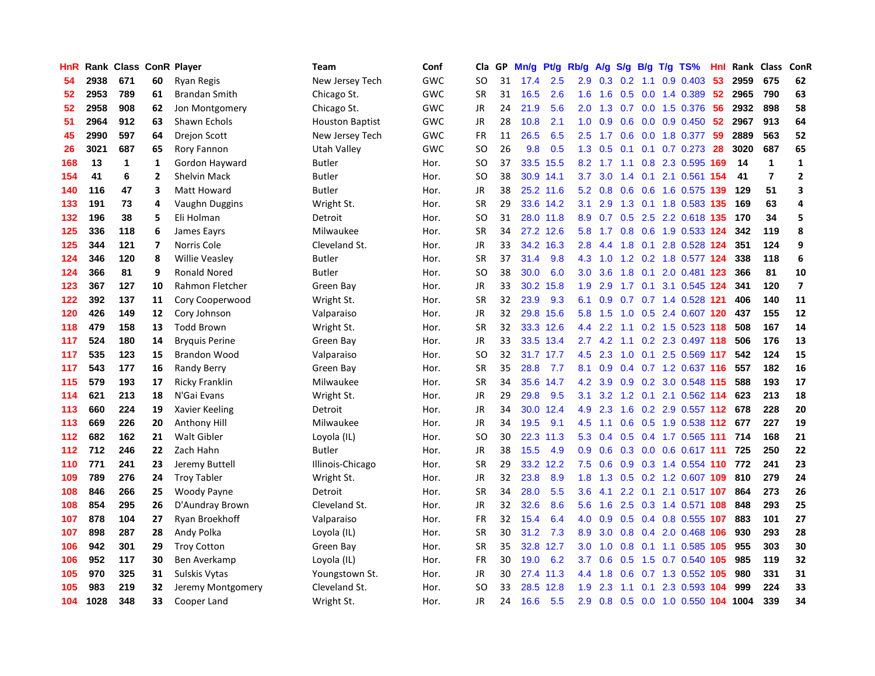| HnR | Rank | Class        |                         | <b>ConR Player</b>    | Team                   | Conf       | Cla       | <b>GP</b> | Mn/g | <b>Pt/g</b> | Rb/g             | A/g           | S/g           | B/g | T/g TS%                       | Hnl | Rank | <b>Class</b>   | ConR             |
|-----|------|--------------|-------------------------|-----------------------|------------------------|------------|-----------|-----------|------|-------------|------------------|---------------|---------------|-----|-------------------------------|-----|------|----------------|------------------|
| 54  | 2938 | 671          | 60                      | Ryan Regis            | New Jersey Tech        | GWC        | SO.       | 31        | 17.4 | 2.5         | 2.9 <sup>°</sup> | 0.3           | 0.2           | 1.1 | $0.9$ 0.403                   | -53 | 2959 | 675            | 62               |
| 52  | 2953 | 789          | 61                      | <b>Brandan Smith</b>  | Chicago St.            | <b>GWC</b> | <b>SR</b> | 31        | 16.5 | 2.6         | 1.6              | 1.6           |               |     | $0.5$ 0.0 1.4 0.389           | -52 | 2965 | 790            | 63               |
| 52  | 2958 | 908          | 62                      | Jon Montgomery        | Chicago St.            | GWC        | <b>JR</b> | 24        | 21.9 | 5.6         | 2.0 <sub>1</sub> | 1.3           |               |     | $0.7$ $0.0$ 1.5 $0.376$       | -56 | 2932 | 898            | 58               |
| 51  | 2964 | 912          | 63                      | Shawn Echols          | <b>Houston Baptist</b> | GWC        | JR        | 28        | 10.8 | 2.1         | 1.0              | 0.9           | 0.6           |     | $0.0$ 0.9 0.450               | 52  | 2967 | 913            | 64               |
| 45  | 2990 | 597          | 64                      | <b>Drejon Scott</b>   | New Jersey Tech        | GWC        | <b>FR</b> | 11        | 26.5 | 6.5         | 2.5              | 1.7           | 0.6           |     | $0.0$ 1.8 $0.377$             | 59  | 2889 | 563            | 52               |
| 26  | 3021 | 687          | 65                      | Rory Fannon           | Utah Valley            | GWC        | SO        | 26        | 9.8  | 0.5         | 1.3              | 0.5           |               |     | $0.1$ 0.1 0.7 0.273           | -28 | 3020 | 687            | 65               |
| 168 | 13   | $\mathbf{1}$ | $\mathbf{1}$            | Gordon Hayward        | <b>Butler</b>          | Hor.       | SO        | 37        | 33.5 | 15.5        | 8.2              | 1.7           |               |     | 1.1 0.8 2.3 0.595             | 169 | 14   | 1              | $\mathbf{1}$     |
| 154 | 41   | 6            | $\overline{2}$          | <b>Shelvin Mack</b>   | <b>Butler</b>          | Hor.       | <b>SO</b> | 38        | 30.9 | 14.1        | 3.7              | 3.0           |               |     | 1.4 0.1 2.1 0.561 154         |     | 41   | $\overline{7}$ | $\overline{2}$   |
| 140 | 116  | 47           | 3                       | <b>Matt Howard</b>    | <b>Butler</b>          | Hor.       | JR        | 38        |      | 25.2 11.6   | 5.2              | 0.8           | 0.6           |     | 0.6 1.6 0.575 139             |     | 129  | 51             | 3                |
| 133 | 191  | 73           | 4                       | Vaughn Duggins        | Wright St.             | Hor.       | <b>SR</b> | 29        |      | 33.6 14.2   | 3.1              | 2.9           |               |     | 1.3 0.1 1.8 0.583 135         |     | 169  | 63             | 4                |
| 132 | 196  | 38           | 5                       | Eli Holman            | Detroit                | Hor.       | <b>SO</b> | 31        |      | 28.0 11.8   | 8.9              |               |               |     | 0.7 0.5 2.5 2.2 0.618 135 170 |     |      | 34             | 5                |
| 125 | 336  | 118          | 6                       | James Eavrs           | Milwaukee              | Hor.       | <b>SR</b> | 34        |      | 27.2 12.6   | 5.8              | 1.7           |               |     | 0.8 0.6 1.9 0.533 124         |     | 342  | 119            | 8                |
| 125 | 344  | 121          | $\overline{\mathbf{z}}$ | Norris Cole           | Cleveland St.          | Hor.       | JR        | 33        | 34.2 | 16.3        | 2.8              | 4.4           | 1.8           |     | 0.1 2.8 0.528 124             |     | 351  | 124            | 9                |
| 124 | 346  | 120          | 8                       | <b>Willie Veasley</b> | <b>Butler</b>          | Hor.       | <b>SR</b> | 37        | 31.4 | 9.8         | 4.3              | 1.0           |               |     | 1.2 0.2 1.8 0.577 124         |     | 338  | 118            | $\boldsymbol{6}$ |
| 124 | 366  | 81           | 9                       | <b>Ronald Nored</b>   | <b>Butler</b>          | Hor.       | <b>SO</b> | 38        | 30.0 | 6.0         | 3.0              | 3.6           | 1.8           |     | 0.1 2.0 0.481 123             |     | 366  | 81             | ${\bf 10}$       |
| 123 | 367  | 127          | 10                      | Rahmon Fletcher       | Green Bay              | Hor.       | <b>JR</b> | 33        | 30.2 | 15.8        | 1.9              | 2.9           | 1.7           |     | 0.1 3.1 0.545 124             |     | 341  | 120            | $\overline{7}$   |
| 122 | 392  | 137          | 11                      | Cory Cooperwood       | Wright St.             | Hor.       | <b>SR</b> | 32        | 23.9 | 9.3         | 6.1              | 0.9           |               |     | 0.7 0.7 1.4 0.528 121         |     | 406  | 140            | 11               |
| 120 | 426  | 149          | 12                      | Cory Johnson          | Valparaiso             | Hor.       | <b>JR</b> | 32        | 29.8 | 15.6        | 5.8              | 1.5           | 1.0           |     | 0.5 2.4 0.607 120             |     | 437  | 155            | 12               |
| 118 | 479  | 158          | 13                      | <b>Todd Brown</b>     | Wright St.             | Hor.       | <b>SR</b> | 32        |      | 33.3 12.6   | 4.4              | $2.2^{\circ}$ |               |     | 1.1 0.2 1.5 0.523 118         |     | 508  | 167            | 14               |
| 117 | 524  | 180          | 14                      | <b>Bryguis Perine</b> | Green Bay              | Hor.       | JR        | 33        |      | 33.5 13.4   | $2.7^{\circ}$    |               |               |     | 4.2 1.1 0.2 2.3 0.497 118     |     | 506  | 176            | 13               |
| 117 | 535  | 123          | 15                      | <b>Brandon Wood</b>   | Valparaiso             | Hor.       | SO        | 32        |      | 31.7 17.7   | 4.5              | 2.3           | 1.0           |     | 0.1 2.5 0.569 117             |     | 542  | 124            | 15               |
| 117 | 543  | 177          | 16                      | <b>Randy Berry</b>    | Green Bay              | Hor.       | <b>SR</b> | 35        | 28.8 | 7.7         | 8.1              | 0.9           | $0.4^{\circ}$ |     | 0.7 1.2 0.637 116             |     | 557  | 182            | 16               |
| 115 | 579  | 193          | 17                      | Ricky Franklin        | Milwaukee              | Hor.       | SR        | 34        | 35.6 | 14.7        | 4.2              | 3.9           | 0.9           |     | 0.2 3.0 0.548 115             |     | 588  | 193            | 17               |
| 114 | 621  | 213          | 18                      | N'Gai Evans           | Wright St.             | Hor.       | JR        | 29        | 29.8 | 9.5         | 3.1              | 3.2           | 1.2           |     | $0.1$ 2.1 0.562 114           |     | 623  | 213            | 18               |
| 113 | 660  | 224          | 19                      | Xavier Keeling        | Detroit                | Hor.       | JR        | 34        | 30.0 | 12.4        | 4.9              | 2.3           | 1.6           |     | 0.2 2.9 0.557 112             |     | 678  | 228            | 20               |
| 113 | 669  | 226          | 20                      | Anthony Hill          | Milwaukee              | Hor.       | JR        | 34        | 19.5 | 9.1         | 4.5              | 1.1           | 0.6           |     | 0.5 1.9 0.538 112             |     | 677  | 227            | 19               |
| 112 | 682  | 162          | 21                      | Walt Gibler           | Loyola (IL)            | Hor.       | <b>SO</b> | 30        | 22.3 | 11.3        | 5.3              | 0.4           |               |     | 0.5 0.4 1.7 0.565 111         |     | 714  | 168            | 21               |
| 112 | 712  | 246          | 22                      | Zach Hahn             | <b>Butler</b>          | Hor.       | JR        | 38        | 15.5 | 4.9         | 0.9              | 0.6           |               |     | 0.3 0.0 0.6 0.617 111         |     | 725  | 250            | 22               |
| 110 | 771  | 241          | 23                      | Jeremy Buttell        | Illinois-Chicago       | Hor.       | <b>SR</b> | 29        | 33.2 | 12.2        | 7.5              | 0.6           |               |     | 0.9 0.3 1.4 0.554 110 772     |     |      | 241            | 23               |
| 109 | 789  | 276          | 24                      | <b>Troy Tabler</b>    | Wright St.             | Hor.       | JR        | 32        | 23.8 | 8.9         | 1.8              | 1.3           |               |     | $0.5$ 0.2 1.2 0.607 109       |     | 810  | 279            | 24               |
| 108 | 846  | 266          | 25                      | Woody Payne           | Detroit                | Hor.       | <b>SR</b> | 34        | 28.0 | 5.5         | 3.6              | 4.1           | 2.2           | 0.1 | 2.1 0.517 107                 |     | 864  | 273            | 26               |
| 108 | 854  | 295          | 26                      | D'Aundray Brown       | Cleveland St.          | Hor.       | JR        | 32        | 32.6 | 8.6         | 5.6              | 1.6           | 2.5           |     | 0.3 1.4 0.571 108             |     | 848  | 293            | 25               |
| 107 | 878  | 104          | 27                      | Ryan Broekhoff        | Valparaiso             | Hor.       | FR        | 32        | 15.4 | 6.4         | 4.0              | 0.9           | 0.5           |     | 0.4 0.8 0.555 107             |     | 883  | 101            | 27               |
| 107 | 898  | 287          | 28                      | Andy Polka            | Loyola (IL)            | Hor.       | <b>SR</b> | 30        | 31.2 | 7.3         | 8.9              | 3.0           | 0.8           |     | 0.4 2.0 0.468 106             |     | 930  | 293            | 28               |
| 106 | 942  | 301          | 29                      | <b>Troy Cotton</b>    | Green Bay              | Hor.       | <b>SR</b> | 35        | 32.8 | 12.7        | 3.0              | 1.0           | 0.8           |     | 0.1 1.1 0.585 105             |     | 955  | 303            | 30               |
| 106 | 952  | 117          | 30                      | Ben Averkamp          | Loyola (IL)            | Hor.       | <b>FR</b> | 30        | 19.0 | 6.2         | 3.7              | 0.6           |               |     | 0.5 1.5 0.7 0.540 105         |     | 985  | 119            | 32               |
| 105 | 970  | 325          | 31                      | Sulskis Vytas         | Youngstown St.         | Hor.       | JR        | 30        |      | 27.4 11.3   | 4.4              | 1.8           | 0.6           |     | 0.7 1.3 0.552 105             |     | 980  | 331            | 31               |
| 105 | 983  | 219          | 32                      | Jeremy Montgomery     | Cleveland St.          | Hor.       | SO        | 33        | 28.5 | 12.8        | 1.9              | 2.3           | 1.1           | 0.1 | 2.3 0.593 104                 |     | 999  | 224            | 33               |
| 104 | 1028 | 348          | 33                      | Cooper Land           | Wright St.             | Hor.       | <b>JR</b> | 24        | 16.6 | 5.5         | 2.9              | 0.8           | 0.5           |     | 0.0 1.0 0.550 104             |     | 1004 | 339            | 34               |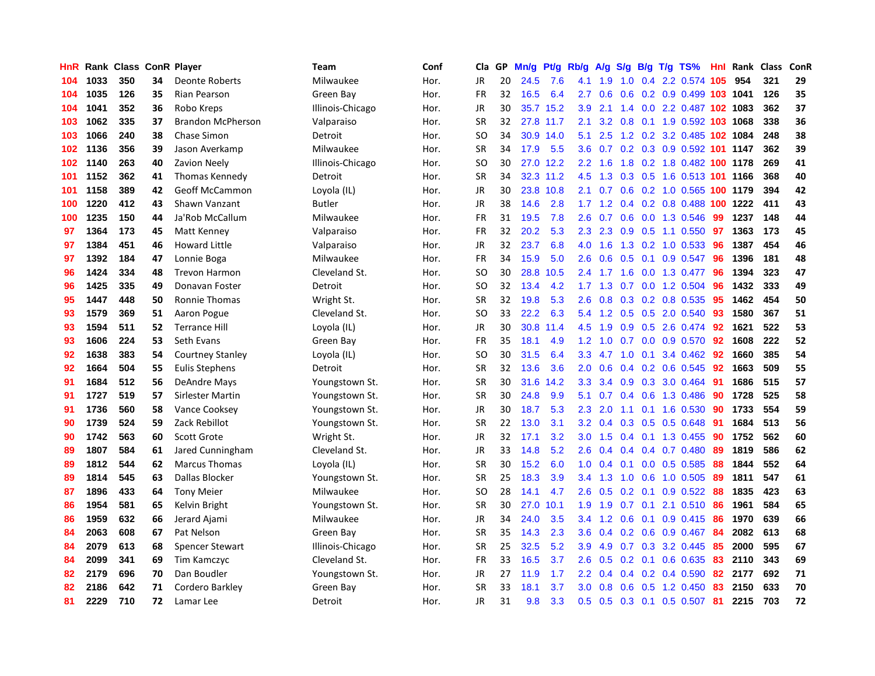| HnR |      | Rank Class |    | <b>ConR Player</b>       | Team             | Conf | Cla           | GP | Mn/g | <b>Pt/g</b> | Rb/g             | A/g     | S/g           |                 | B/g T/g TS%                        | Hnl | Rank     | <b>Class</b> | <b>ConR</b> |
|-----|------|------------|----|--------------------------|------------------|------|---------------|----|------|-------------|------------------|---------|---------------|-----------------|------------------------------------|-----|----------|--------------|-------------|
| 104 | 1033 | 350        | 34 | <b>Deonte Roberts</b>    | Milwaukee        | Hor. | <b>JR</b>     | 20 | 24.5 | 7.6         | 4.1              | 1.9     | 1.0           |                 | 0.4 2.2 0.574 105                  |     | 954      | 321          | 29          |
| 104 | 1035 | 126        | 35 | Rian Pearson             | Green Bay        | Hor. | <b>FR</b>     | 32 | 16.5 | 6.4         | 2.7              | 0.6     |               |                 | 0.6 0.2 0.9 0.499 103 1041         |     |          | 126          | 35          |
| 104 | 1041 | 352        | 36 | Robo Kreps               | Illinois-Chicago | Hor. | JR            | 30 | 35.7 | 15.2        | 3.9              | 2.1     |               |                 | 1.4 0.0 2.2 0.487 102 1083         |     |          | 362          | 37          |
| 103 | 1062 | 335        | 37 | <b>Brandon McPherson</b> | Valparaiso       | Hor. | <b>SR</b>     | 32 | 27.8 | 11.7        | 2.1              | 3.2     | 0.8           |                 | 0.1 1.9 0.592 103 1068             |     |          | 338          | 36          |
| 103 | 1066 | 240        | 38 | Chase Simon              | Detroit          | Hor. | <b>SO</b>     | 34 | 30.9 | 14.0        | 5.1              | 2.5     |               |                 | 1.2 0.2 3.2 0.485                  |     | 102 1084 | 248          | 38          |
| 102 | 1136 | 356        | 39 | Jason Averkamp           | Milwaukee        | Hor. | <b>SR</b>     | 34 | 17.9 | 5.5         | 3.6              | 0.7     |               |                 | 0.2 0.3 0.9 0.592 101 1147         |     |          | 362          | 39          |
| 102 | 1140 | 263        | 40 | Zavion Neely             | Illinois-Chicago | Hor. | SO            | 30 | 27.0 | 12.2        | 2.2              | 1.6     | 1.8           |                 | 0.2 1.8 0.482 100 1178             |     |          | 269          | 41          |
| 101 | 1152 | 362        | 41 | Thomas Kennedy           | Detroit          | Hor. | <b>SR</b>     | 34 | 32.3 | 11.2        | 4.5              | 1.3     | 0.3           |                 | 0.5 1.6 0.513 101 1166             |     |          | 368          | 40          |
| 101 | 1158 | 389        | 42 | <b>Geoff McCammon</b>    | Loyola (IL)      | Hor. | JR            | 30 | 23.8 | 10.8        | 2.1              | 0.7     | 0.6           |                 | 0.2 1.0 0.565 100 1179             |     |          | 394          | 42          |
| 100 | 1220 | 412        | 43 | Shawn Vanzant            | <b>Butler</b>    | Hor. | JR            | 38 | 14.6 | 2.8         |                  |         |               |                 | 1.7 1.2 0.4 0.2 0.8 0.488 100 1222 |     |          | 411          | 43          |
| 100 | 1235 | 150        | 44 | Ja'Rob McCallum          | Milwaukee        | Hor. | <b>FR</b>     | 31 | 19.5 | 7.8         | 2.6              | 0.7     |               |                 | 0.6 0.0 1.3 0.546                  | 99  | 1237     | 148          | 44          |
| 97  | 1364 | 173        | 45 | Matt Kenney              | Valparaiso       | Hor. | <b>FR</b>     | 32 | 20.2 | 5.3         | 2.3              | 2.3     |               |                 | 0.9 0.5 1.1 0.550                  | 97  | 1363     | 173          | 45          |
| 97  | 1384 | 451        | 46 | <b>Howard Little</b>     | Valparaiso       | Hor. | <b>JR</b>     | 32 | 23.7 | 6.8         | 4.0              | 1.6     | 1.3           |                 | $0.2$ 1.0 0.533                    | 96  | 1387     | 454          | 46          |
| 97  | 1392 | 184        | 47 | Lonnie Boga              | Milwaukee        | Hor. | <b>FR</b>     | 34 | 15.9 | 5.0         | 2.6              | 0.6     | 0.5           |                 | $0.1$ 0.9 0.547                    | 96  | 1396     | 181          | 48          |
| 96  | 1424 | 334        | 48 | <b>Trevon Harmon</b>     | Cleveland St.    | Hor. | <b>SO</b>     | 30 | 28.8 | 10.5        | 2.4              | 1.7     | 1.6           |                 | 0.0 1.3 0.477                      | 96  | 1394     | 323          | 47          |
| 96  | 1425 | 335        | 49 | Donavan Foster           | Detroit          | Hor. | <b>SO</b>     | 32 | 13.4 | 4.2         | 1.7              | 1.3     | 0.7           |                 | $0.0$ 1.2 0.504                    | 96  | 1432     | 333          | 49          |
| 95  | 1447 | 448        | 50 | Ronnie Thomas            | Wright St.       | Hor. | <b>SR</b>     | 32 | 19.8 | 5.3         | 2.6              | 0.8     | 0.3           |                 | 0.2 0.8 0.535                      | 95  | 1462     | 454          | 50          |
| 93  | 1579 | 369        | 51 | Aaron Pogue              | Cleveland St.    | Hor. | <sub>SO</sub> | 33 | 22.2 | 6.3         | 5.4              | 1.2     | 0.5           |                 | 0.5 2.0 0.540                      | 93  | 1580     | 367          | 51          |
| 93  | 1594 | 511        | 52 | <b>Terrance Hill</b>     | Loyola (IL)      | Hor. | <b>JR</b>     | 30 | 30.8 | 11.4        | 4.5              | 1.9     |               |                 | 0.9 0.5 2.6 0.474 92               |     | 1621     | 522          | 53          |
| 93  | 1606 | 224        | 53 | Seth Evans               | Green Bay        | Hor. | <b>FR</b>     | 35 | 18.1 | 4.9         | 1.2              | 1.0     |               |                 | 0.7 0.0 0.9 0.570                  | 92  | 1608     | 222          | 52          |
| 92  | 1638 | 383        | 54 | <b>Courtney Stanley</b>  | Loyola (IL)      | Hor. | <b>SO</b>     | 30 | 31.5 | 6.4         | 3.3              | 4.7 1.0 |               |                 | $0.1$ 3.4 $0.462$                  | 92  | 1660     | 385          | 54          |
| 92  | 1664 | 504        | 55 | <b>Eulis Stephens</b>    | Detroit          | Hor. | <b>SR</b>     | 32 | 13.6 | 3.6         | 2.0              | 0.6     | 0.4           |                 | 0.2 0.6 0.545                      | 92  | 1663     | 509          | 55          |
| 91  | 1684 | 512        | 56 | DeAndre Mays             | Youngstown St.   | Hor. | <b>SR</b>     | 30 | 31.6 | 14.2        | 3.3              | 3.4     | 0.9           |                 | 0.3 3.0 0.464                      | -91 | 1686     | 515          | 57          |
| 91  | 1727 | 519        | 57 | Sirlester Martin         | Youngstown St.   | Hor. | <b>SR</b>     | 30 | 24.8 | 9.9         | 5.1              | 0.7     | $0.4^{\circ}$ |                 | 0.6 1.3 0.486                      | 90  | 1728     | 525          | 58          |
| 91  | 1736 | 560        | 58 | Vance Cooksey            | Youngstown St.   | Hor. | JR            | 30 | 18.7 | 5.3         | 2.3              | 2.0     | 1.1           |                 | 0.1 1.6 0.530                      | 90  | 1733     | 554          | 59          |
| 90  | 1739 | 524        | 59 | Zack Rebillot            | Youngstown St.   | Hor. | <b>SR</b>     | 22 | 13.0 | 3.1         | 3.2              | 0.4     |               |                 | $0.3$ $0.5$ $0.5$ $0.648$          | -91 | 1684     | 513          | 56          |
| 90  | 1742 | 563        | 60 | Scott Grote              | Wright St.       | Hor. | JR            | 32 | 17.1 | 3.2         | 3.0 <sub>1</sub> | 1.5     |               |                 | 0.4 0.1 1.3 0.455 90               |     | 1752     | 562          | 60          |
| 89  | 1807 | 584        | 61 | Jared Cunningham         | Cleveland St.    | Hor. | JR            | 33 | 14.8 | 5.2         | 2.6              | 0.4     |               |                 | $0.4$ 0.4 0.7 0.480                | -89 | 1819     | 586          | 62          |
| 89  | 1812 | 544        | 62 | <b>Marcus Thomas</b>     | Loyola (IL)      | Hor. | <b>SR</b>     | 30 | 15.2 | 6.0         | 1.0              | 0.4     |               |                 | $0.1$ 0.0 0.5 0.585                | 88  | 1844     | 552          | 64          |
| 89  | 1814 | 545        | 63 | Dallas Blocker           | Youngstown St.   | Hor. | <b>SR</b>     | 25 | 18.3 | 3.9         | 3.4              | 1.3     | 1.0           |                 | $0.6$ 1.0 $0.505$                  | 89  | 1811     | 547          | 61          |
| 87  | 1896 | 433        | 64 | <b>Tony Meier</b>        | Milwaukee        | Hor. | SO.           | 28 | 14.1 | 4.7         | 2.6              | 0.5     |               |                 | $0.2$ 0.1 0.9 0.522                | -88 | 1835     | 423          | 63          |
| 86  | 1954 | 581        | 65 | Kelvin Bright            | Youngstown St.   | Hor. | <b>SR</b>     | 30 | 27.0 | 10.1        | 1.9              | 1.9     |               | $0.7 \quad 0.1$ | 2.1 0.510                          | 86  | 1961     | 584          | 65          |
| 86  | 1959 | 632        | 66 | Jerard Ajami             | Milwaukee        | Hor. | JR            | 34 | 24.0 | 3.5         | $3.4^{\circ}$    | 1.2     | 0.6           | 0.1             | 0.9 0.415                          | 86  | 1970     | 639          | 66          |
| 84  | 2063 | 608        | 67 | Pat Nelson               | Green Bay        | Hor. | <b>SR</b>     | 35 | 14.3 | 2.3         | 3.6              | 0.4     | 0.2           |                 | 0.6 0.9 0.467                      | 84  | 2082     | 613          | 68          |
| 84  | 2079 | 613        | 68 | <b>Spencer Stewart</b>   | Illinois-Chicago | Hor. | <b>SR</b>     | 25 | 32.5 | 5.2         | 3.9 <sup>°</sup> | 4.9     |               |                 | $0.7$ $0.3$ $3.2$ $0.445$          | 85  | 2000     | 595          | 67          |
| 84  | 2099 | 341        | 69 | Tim Kamczyc              | Cleveland St.    | Hor. | <b>FR</b>     | 33 | 16.5 | 3.7         | 2.6              | 0.5     |               |                 | $0.2$ 0.1 0.6 0.635                | 83  | 2110     | 343          | 69          |
| 82  | 2179 | 696        | 70 | Dan Boudler              | Youngstown St.   | Hor. | JR            | 27 | 11.9 | 1.7         | $2.2^{\circ}$    | 0.4     |               |                 | $0.4$ 0.2 0.4 0.590                | 82  | 2177     | 692          | 71          |
| 82  | 2186 | 642        | 71 | Cordero Barkley          | Green Bay        | Hor. | <b>SR</b>     | 33 | 18.1 | 3.7         | 3.0              | 0.8     | 0.6           |                 | $0.5$ 1.2 0.450                    | 83  | 2150     | 633          | 70          |
| 81  | 2229 | 710        | 72 | Lamar Lee                | Detroit          | Hor. | <b>JR</b>     | 31 | 9.8  | 3.3         | 0.5              | 0.5     |               |                 | $0.3$ 0.1 0.5 0.507                | 81  | 2215     | 703          | 72          |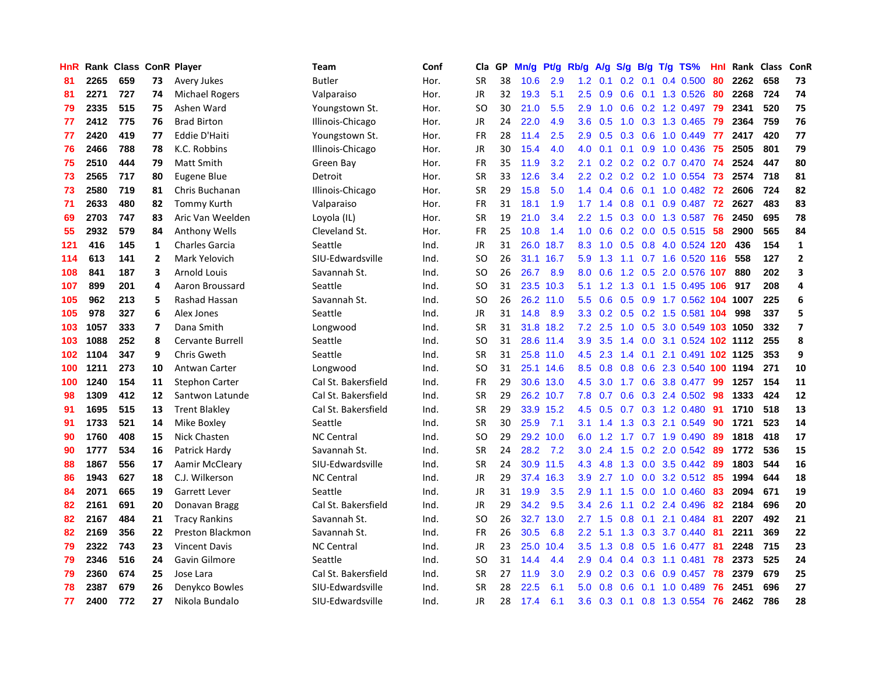| HnR |      | Rank Class ConR Player |                          |                         | Team                | Conf | Cla           | <b>GP</b> | Mn/g | <b>Pt/g</b> | Rb/g             | A/g             |               |                 | S/g B/g T/g TS%            | Hnl | Rank | Class | ConR                    |
|-----|------|------------------------|--------------------------|-------------------------|---------------------|------|---------------|-----------|------|-------------|------------------|-----------------|---------------|-----------------|----------------------------|-----|------|-------|-------------------------|
| 81  | 2265 | 659                    | 73                       | Avery Jukes             | Butler              | Hor. | <b>SR</b>     | 38        | 10.6 | 2.9         | 1.2              | 0.1             |               | $0.2 \quad 0.1$ | 0.4 0.500                  | 80  | 2262 | 658   | 73                      |
| 81  | 2271 | 727                    | 74                       | <b>Michael Rogers</b>   | Valparaiso          | Hor. | <b>JR</b>     | 32        | 19.3 | 5.1         | 2.5              | 0.9             |               |                 | $0.6$ 0.1 1.3 0.526        | -80 | 2268 | 724   | 74                      |
| 79  | 2335 | 515                    | 75                       | Ashen Ward              | Youngstown St.      | Hor. | <b>SO</b>     | 30        | 21.0 | 5.5         | 2.9              | 1.0             |               |                 | 0.6 0.2 1.2 0.497 79       |     | 2341 | 520   | 75                      |
| 77  | 2412 | 775                    | 76                       | <b>Brad Birton</b>      | Illinois-Chicago    | Hor. | JR            | 24        | 22.0 | 4.9         | 3.6              | 0.5             |               |                 | 1.0 0.3 1.3 0.465          | -79 | 2364 | 759   | 76                      |
| 77  | 2420 | 419                    | 77                       | Eddie D'Haiti           | Youngstown St.      | Hor. | <b>FR</b>     | 28        | 11.4 | 2.5         | 2.9              | 0.5             | 0.3           |                 | $0.6$ 1.0 0.449            | 77  | 2417 | 420   | 77                      |
| 76  | 2466 | 788                    | 78                       | K.C. Robbins            | Illinois-Chicago    | Hor. | JR            | 30        | 15.4 | 4.0         | 4.0              | 0.1             |               |                 | $0.1$ 0.9 1.0 0.436        | 75  | 2505 | 801   | 79                      |
| 75  | 2510 | 444                    | 79                       | <b>Matt Smith</b>       | Green Bay           | Hor. | <b>FR</b>     | 35        | 11.9 | 3.2         | 2.1              | 0.2             |               |                 | $0.2$ $0.2$ $0.7$ $0.470$  | 74  | 2524 | 447   | 80                      |
| 73  | 2565 | 717                    | 80                       | Eugene Blue             | Detroit             | Hor. | <b>SR</b>     | 33        | 12.6 | 3.4         | $2.2^{\circ}$    | 0.2             |               |                 | $0.2$ 0.2 1.0 0.554        | 73  | 2574 | 718   | 81                      |
| 73  | 2580 | 719                    | 81                       | Chris Buchanan          | Illinois-Chicago    | Hor. | <b>SR</b>     | 29        | 15.8 | 5.0         | 1.4              | 0.4             | 0.6           |                 | $0.1$ 1.0 0.482            | 72  | 2606 | 724   | 82                      |
| 71  | 2633 | 480                    | 82                       | <b>Tommy Kurth</b>      | Valparaiso          | Hor. | <b>FR</b>     | 31        | 18.1 | 1.9         | $1.7^{\circ}$    | 1.4             |               |                 | 0.8 0.1 0.9 0.487 72       |     | 2627 | 483   | 83                      |
| 69  | 2703 | 747                    | 83                       | Aric Van Weelden        | Loyola (IL)         | Hor. | <b>SR</b>     | 19        | 21.0 | 3.4         | $2.2^{\circ}$    | 1.5             |               |                 | 0.3 0.0 1.3 0.587 76       |     | 2450 | 695   | 78                      |
| 55  | 2932 | 579                    | 84                       | <b>Anthony Wells</b>    | Cleveland St.       | Hor. | <b>FR</b>     | 25        | 10.8 | 1.4         | 1.0              | 0.6             |               |                 | 0.2 0.0 0.5 0.515 58       |     | 2900 | 565   | 84                      |
| 121 | 416  | 145                    | 1                        | <b>Charles Garcia</b>   | Seattle             | Ind. | <b>JR</b>     | 31        | 26.0 | 18.7        | 8.3              | 1.0             |               |                 | 0.5 0.8 4.0 0.524 120      |     | 436  | 154   | $\mathbf{1}$            |
| 114 | 613  | 141                    | $\overline{2}$           | Mark Yelovich           | SIU-Edwardsville    | Ind. | <b>SO</b>     | 26        | 31.1 | 16.7        | 5.9              | 1.3             |               |                 | 1.1 0.7 1.6 0.520 116      |     | 558  | 127   | $\overline{2}$          |
| 108 | 841  | 187                    | 3                        | <b>Arnold Louis</b>     | Savannah St.        | Ind. | <b>SO</b>     | 26        | 26.7 | 8.9         | 8.0              | 0.6             |               |                 | 1.2 0.5 2.0 0.576 107      |     | 880  | 202   | $\overline{\mathbf{3}}$ |
| 107 | 899  | 201                    | 4                        | Aaron Broussard         | Seattle             | Ind. | <b>SO</b>     | 31        | 23.5 | 10.3        | 5.1              | 1.2             | 1.3           |                 | 0.1 1.5 0.495 106          |     | 917  | 208   | 4                       |
| 105 | 962  | 213                    | 5                        | Rashad Hassan           | Savannah St.        | Ind. | SO            | 26        | 26.2 | 11.0        | 5.5              | 0.6             | 0.5           |                 | 0.9 1.7 0.562 104 1007     |     |      | 225   | 6                       |
| 105 | 978  | 327                    | 6                        | Alex Jones              | Seattle             | Ind. | <b>JR</b>     | 31        | 14.8 | 8.9         | 3.3              | 0.2             | 0.5           |                 | 0.2 1.5 0.581 104          |     | 998  | 337   | 5                       |
| 103 | 1057 | 333                    | $\overline{\phantom{a}}$ | Dana Smith              | Longwood            | Ind. | <b>SR</b>     | 31        |      | 31.8 18.2   | 7.2              | 2.5             |               |                 | 1.0 0.5 3.0 0.549 103 1050 |     |      | 332   | $\overline{\mathbf{z}}$ |
| 103 | 1088 | 252                    | 8                        | <b>Cervante Burrell</b> | Seattle             | Ind. | <sub>SO</sub> | 31        |      | 28.6 11.4   | 3.9 <sup>°</sup> | 3.5             |               |                 | 1.4 0.0 3.1 0.524 102 1112 |     |      | 255   | 8                       |
| 102 | 1104 | 347                    | 9                        | Chris Gweth             | Seattle             | Ind. | <b>SR</b>     | 31        |      | 25.8 11.0   | 4.5              | 2.3             |               |                 | 1.4 0.1 2.1 0.491 102 1125 |     |      | 353   | 9                       |
| 100 | 1211 | 273                    | 10                       | Antwan Carter           | Longwood            | Ind. | <sub>SO</sub> | 31        |      | 25.1 14.6   | 8.5              | 0.8             | 0.8           |                 | 0.6 2.3 0.540 100 1194     |     |      | 271   | 10                      |
| 100 | 1240 | 154                    | 11                       | <b>Stephon Carter</b>   | Cal St. Bakersfield | Ind. | <b>FR</b>     | 29        | 30.6 | 13.0        | 4.5              | 3.0             | 1.7           |                 | 0.6 3.8 0.477              | 99  | 1257 | 154   | 11                      |
| 98  | 1309 | 412                    | 12                       | Santwon Latunde         | Cal St. Bakersfield | Ind. | <b>SR</b>     | 29        | 26.2 | 10.7        | 7.8              | 0.7             | 0.6           |                 | 0.3 2.4 0.502              | 98  | 1333 | 424   | 12                      |
| 91  | 1695 | 515                    | 13                       | <b>Trent Blakley</b>    | Cal St. Bakersfield | Ind. | <b>SR</b>     | 29        | 33.9 | 15.2        | 4.5              | 0.5             |               |                 | 0.7 0.3 1.2 0.480          | 91  | 1710 | 518   | 13                      |
| 91  | 1733 | 521                    | 14                       | Mike Boxley             | Seattle             | Ind. | <b>SR</b>     | 30        | 25.9 | 7.1         | 3.1              | 1.4             | 1.3           |                 | 0.3 2.1 0.549              | 90  | 1721 | 523   | 14                      |
| 90  | 1760 | 408                    | 15                       | Nick Chasten            | <b>NC Central</b>   | Ind. | <sub>SO</sub> | 29        | 29.2 | 10.0        | 6.0              | 1.2             |               |                 | 1.7 0.7 1.9 0.490          | -89 | 1818 | 418   | 17                      |
| 90  | 1777 | 534                    | 16                       | Patrick Hardy           | Savannah St.        | Ind. | <b>SR</b>     | 24        | 28.2 | 7.2         | 3.0 <sub>2</sub> | 2.4             |               |                 | 1.5 0.2 2.0 0.542 89       |     | 1772 | 536   | 15                      |
| 88  | 1867 | 556                    | 17                       | Aamir McCleary          | SIU-Edwardsville    | Ind. | <b>SR</b>     | 24        |      | 30.9 11.5   | 4.3              | 4.8             |               |                 | 1.3 0.0 3.5 0.442 89       |     | 1803 | 544   | 16                      |
| 86  | 1943 | 627                    | 18                       | C.J. Wilkerson          | <b>NC Central</b>   | Ind. | <b>JR</b>     | 29        | 37.4 | 16.3        | 3.9 <sup>°</sup> | $2.7 \quad 1.0$ |               |                 | 0.0 3.2 0.512 85           |     | 1994 | 644   | 18                      |
| 84  | 2071 | 665                    | 19                       | <b>Garrett Lever</b>    | Seattle             | Ind. | <b>JR</b>     | 31        | 19.9 | 3.5         | 2.9              | 1.1             | $1.5^{\circ}$ |                 | $0.0$ 1.0 $0.460$          | 83  | 2094 | 671   | 19                      |
| 82  | 2161 | 691                    | 20                       | Donavan Bragg           | Cal St. Bakersfield | Ind. | <b>JR</b>     | 29        | 34.2 | 9.5         | 3.4              | 2.6             | 1.1           |                 | $0.2$ 2.4 0.496            | 82  | 2184 | 696   | 20                      |
| 82  | 2167 | 484                    | 21                       | <b>Tracy Rankins</b>    | Savannah St.        | Ind. | <b>SO</b>     | 26        | 32.7 | 13.0        | 2.7              | 1.5             | 0.8           | 0.1             | 2.1 0.484                  | -81 | 2207 | 492   | 21                      |
| 82  | 2169 | 356                    | 22                       | Preston Blackmon        | Savannah St.        | Ind. | <b>FR</b>     | 26        | 30.5 | 6.8         | $2.2^{\circ}$    | 5.1             | 1.3           |                 | 0.3 3.7 0.440              | 81  | 2211 | 369   | 22                      |
| 79  | 2322 | 743                    | 23                       | <b>Vincent Davis</b>    | <b>NC Central</b>   | Ind. | <b>JR</b>     | 23        | 25.0 | 10.4        | 3.5              | 1.3             | 0.8           |                 | $0.5$ 1.6 0.477            | -81 | 2248 | 715   | 23                      |
| 79  | 2346 | 516                    | 24                       | Gavin Gilmore           | Seattle             | Ind. | SO            | 31        | 14.4 | 4.4         | 2.9              | 0.4             |               |                 | $0.4$ 0.3 1.1 0.481        | 78  | 2373 | 525   | 24                      |
| 79  | 2360 | 674                    | 25                       | Jose Lara               | Cal St. Bakersfield | Ind. | <b>SR</b>     | 27        | 11.9 | 3.0         | 2.9              | 0.2             |               |                 | $0.3$ 0.6 0.9 0.457        | -78 | 2379 | 679   | 25                      |
| 78  | 2387 | 679                    | 26                       | Denykco Bowles          | SIU-Edwardsville    | Ind. | SR            | 28        | 22.5 | 6.1         | 5.0              | 0.8             | 0.6           |                 | $0.1$ 1.0 0.489            | 76  | 2451 | 696   | 27                      |
| 77  | 2400 | 772                    | 27                       | Nikola Bundalo          | SIU-Edwardsville    | Ind. | <b>JR</b>     | 28        | 17.4 | 6.1         | $3.6^{\circ}$    | 0.3             |               |                 | 0.1 0.8 1.3 0.554          | 76  | 2462 | 786   | 28                      |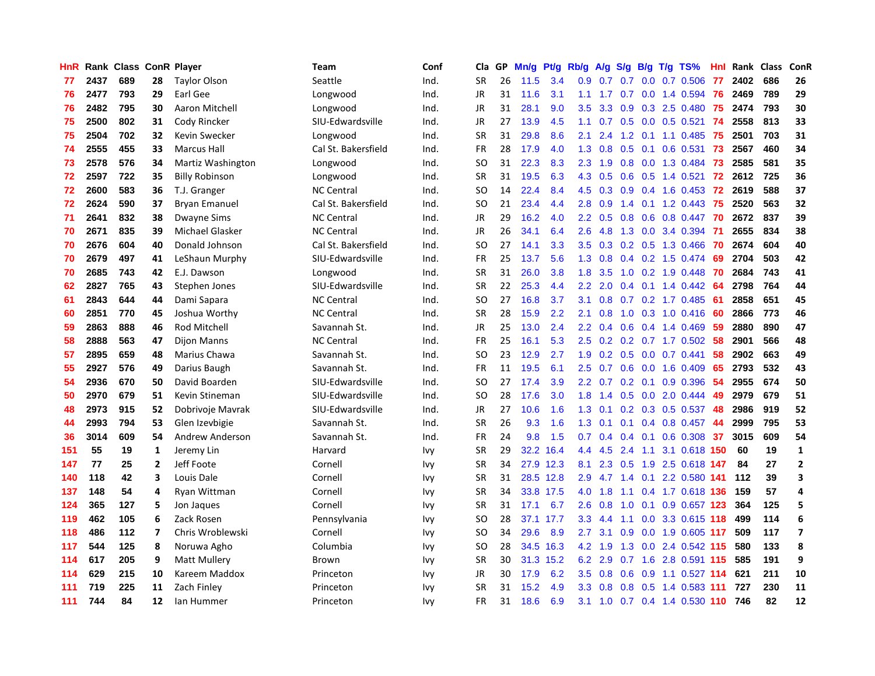| HnR |      | Rank Class ConR Player |                |                        | Team                | Conf | Cla           | <b>GP</b> | Mn/g | <b>Pt/g</b> | Rb/g             | A/g     | S/g              |     | B/g T/g TS%               | Hnl | Rank | <b>Class</b> | <b>ConR</b>    |
|-----|------|------------------------|----------------|------------------------|---------------------|------|---------------|-----------|------|-------------|------------------|---------|------------------|-----|---------------------------|-----|------|--------------|----------------|
| 77  | 2437 | 689                    | 28             | <b>Taylor Olson</b>    | Seattle             | Ind. | <b>SR</b>     | 26        | 11.5 | 3.4         | 0.9 <sub>0</sub> | 0.7     | 0.7              |     | $0.0$ 0.7 0.506           | -77 | 2402 | 686          | 26             |
| 76  | 2477 | 793                    | 29             | Earl Gee               | Longwood            | Ind. | <b>JR</b>     | 31        | 11.6 | 3.1         | 1.1              |         |                  |     | 1.7 0.7 0.0 1.4 0.594     | -76 | 2469 | 789          | 29             |
| 76  | 2482 | 795                    | 30             | Aaron Mitchell         | Longwood            | Ind. | JR            | 31        | 28.1 | 9.0         | 3.5              | 3.3     |                  |     | $0.9$ $0.3$ $2.5$ $0.480$ | 75  | 2474 | 793          | 30             |
| 75  | 2500 | 802                    | 31             | Cody Rincker           | SIU-Edwardsville    | Ind. | <b>JR</b>     | 27        | 13.9 | 4.5         | 1.1              | 0.7     | 0.5              |     | $0.0$ 0.5 0.521           | -74 | 2558 | 813          | 33             |
| 75  | 2504 | 702                    | 32             | Kevin Swecker          | Longwood            | Ind. | <b>SR</b>     | 31        | 29.8 | 8.6         | 2.1              | 2.4     | 1.2              | 0.1 | 1.1 0.485                 | 75  | 2501 | 703          | 31             |
| 74  | 2555 | 455                    | 33             | <b>Marcus Hall</b>     | Cal St. Bakersfield | Ind. | <b>FR</b>     | 28        | 17.9 | 4.0         | 1.3              | 0.8     | 0.5              |     | $0.1$ 0.6 0.531           | 73  | 2567 | 460          | 34             |
| 73  | 2578 | 576                    | 34             | Martiz Washington      | Longwood            | Ind. | SO            | 31        | 22.3 | 8.3         | 2.3              | 1.9     | 0.8              |     | 0.0 1.3 0.484             | 73  | 2585 | 581          | 35             |
| 72  | 2597 | 722                    | 35             | <b>Billy Robinson</b>  | Longwood            | Ind. | <b>SR</b>     | 31        | 19.5 | 6.3         | 4.3              | 0.5     | 0.6              |     | $0.5$ 1.4 $0.521$         | 72  | 2612 | 725          | 36             |
| 72  | 2600 | 583                    | 36             | T.J. Granger           | <b>NC Central</b>   | Ind. | <sub>SO</sub> | 14        | 22.4 | 8.4         | 4.5              | 0.3     | 0.9 <sub>0</sub> |     | 0.4 1.6 0.453             | 72  | 2619 | 588          | 37             |
| 72  | 2624 | 590                    | 37             | <b>Bryan Emanuel</b>   | Cal St. Bakersfield | Ind. | <sub>SO</sub> | 21        | 23.4 | 4.4         | 2.8              | 0.9     |                  |     | 1.4 0.1 1.2 0.443         | -75 | 2520 | 563          | 32             |
| 71  | 2641 | 832                    | 38             | <b>Dwayne Sims</b>     | <b>NC Central</b>   | Ind. | <b>JR</b>     | 29        | 16.2 | 4.0         | 2.2              | 0.5     |                  |     | 0.8 0.6 0.8 0.447 70      |     | 2672 | 837          | 39             |
| 70  | 2671 | 835                    | 39             | Michael Glasker        | <b>NC Central</b>   | Ind. | JR            | 26        | 34.1 | 6.4         | 2.6              | 4.8     |                  |     | 1.3 0.0 3.4 0.394         | -71 | 2655 | 834          | 38             |
| 70  | 2676 | 604                    | 40             | Donald Johnson         | Cal St. Bakersfield | Ind. | <b>SO</b>     | 27        | 14.1 | 3.3         | 3.5              | 0.3     |                  |     | 0.2 0.5 1.3 0.466         | 70  | 2674 | 604          | 40             |
| 70  | 2679 | 497                    | 41             | LeShaun Murphy         | SIU-Edwardsville    | Ind. | FR            | 25        | 13.7 | 5.6         | 1.3              | 0.8     |                  |     | $0.4$ 0.2 1.5 0.474       | -69 | 2704 | 503          | 42             |
| 70  | 2685 | 743                    | 42             | E.J. Dawson            | Longwood            | Ind. | <b>SR</b>     | 31        | 26.0 | 3.8         | 1.8              | 3.5     | 1.0              |     | 0.2 1.9 0.448             | 70  | 2684 | 743          | 41             |
| 62  | 2827 | 765                    | 43             | Stephen Jones          | SIU-Edwardsville    | Ind. | <b>SR</b>     | 22        | 25.3 | 4.4         | 2.2              | 2.0     |                  |     | $0.4$ 0.1 1.4 0.442       | 64  | 2798 | 764          | 44             |
| 61  | 2843 | 644                    | 44             | Dami Sapara            | <b>NC Central</b>   | Ind. | SO            | 27        | 16.8 | 3.7         | 3.1              | 0.8     | 0.7              |     | $0.2$ 1.7 $0.485$         | -61 | 2858 | 651          | 45             |
| 60  | 2851 | 770                    | 45             | Joshua Worthy          | <b>NC Central</b>   | Ind. | <b>SR</b>     | 28        | 15.9 | 2.2         | 2.1              | 0.8     | 1.0              |     | 0.3 1.0 0.416             | -60 | 2866 | 773          | 46             |
| 59  | 2863 | 888                    | 46             | Rod Mitchell           | Savannah St.        | Ind. | <b>JR</b>     | 25        | 13.0 | 2.4         | $2.2^{\circ}$    | 0.4     |                  |     | $0.6$ 0.4 1.4 0.469       | -59 | 2880 | 890          | 47             |
| 58  | 2888 | 563                    | 47             | Dijon Manns            | <b>NC Central</b>   | Ind. | <b>FR</b>     | 25        | 16.1 | 5.3         | 2.5              | 0.2     |                  |     | 0.2 0.7 1.7 0.502 58      |     | 2901 | 566          | 48             |
| 57  | 2895 | 659                    | 48             | Marius Chawa           | Savannah St.        | Ind. | SO            | 23        | 12.9 | 2.7         | 1.9              | 0.2     |                  |     | $0.5$ 0.0 0.7 0.441       | 58  | 2902 | 663          | 49             |
| 55  | 2927 | 576                    | 49             | Darius Baugh           | Savannah St.        | Ind. | <b>FR</b>     | 11        | 19.5 | 6.1         | $2.5^{\circ}$    | 0.7     | 0.6              |     | $0.0$ 1.6 $0.409$         | 65  | 2793 | 532          | 43             |
| 54  | 2936 | 670                    | 50             | David Boarden          | SIU-Edwardsville    | Ind. | SO            | 27        | 17.4 | 3.9         | 2.2              | 0.7     |                  |     | $0.2$ 0.1 0.9 0.396       | -54 | 2955 | 674          | 50             |
| 50  | 2970 | 679                    | 51             | Kevin Stineman         | SIU-Edwardsville    | Ind. | <b>SO</b>     | 28        | 17.6 | 3.0         | 1.8              | 1.4     | 0.5              |     | $0.0$ 2.0 $0.444$         | 49  | 2979 | 679          | 51             |
| 48  | 2973 | 915                    | 52             | Dobrivoje Mavrak       | SIU-Edwardsville    | Ind. | JR            | 27        | 10.6 | 1.6         | 1.3              | 0.1     | 0.2              |     | $0.3$ 0.5 0.537           | -48 | 2986 | 919          | 52             |
| 44  | 2993 | 794                    | 53             | Glen Izevbigie         | Savannah St.        | Ind. | <b>SR</b>     | 26        | 9.3  | 1.6         | 1.3              | 0.1     | 0.1              |     | $0.4$ 0.8 0.457           | 44  | 2999 | 795          | 53             |
| 36  | 3014 | 609                    | 54             | <b>Andrew Anderson</b> | Savannah St.        | Ind. | <b>FR</b>     | 24        | 9.8  | 1.5         | 0.7              | 0.4     |                  |     | 0.4 0.1 0.6 0.308 37      |     | 3015 | 609          | 54             |
| 151 | 55   | 19                     | 1              | Jeremy Lin             | Harvard             | Ivy  | <b>SR</b>     | 29        | 32.2 | 16.4        | 4.4              | 4.5     |                  |     | 2.4 1.1 3.1 0.618 150     |     | 60   | 19           | $\mathbf{1}$   |
| 147 | 77   | 25                     | $\mathbf{2}$   | Jeff Foote             | Cornell             | Ivy  | <b>SR</b>     | 34        |      | 27.9 12.3   | 8.1              | 2.3     |                  |     | 0.5 1.9 2.5 0.618 147     |     | 84   | 27           | $\overline{2}$ |
| 140 | 118  | 42                     | 3              | Louis Dale             | Cornell             | Ivy  | <b>SR</b>     | 31        |      | 28.5 12.8   | 2.9              | 4.7     |                  |     | 1.4 0.1 2.2 0.580 141     |     | 112  | 39           | 3              |
| 137 | 148  | 54                     | 4              | Ryan Wittman           | Cornell             | Ivy  | <b>SR</b>     | 34        | 33.8 | 17.5        | 4.0              | 1.8     | 1.1              |     | 0.4 1.7 0.618 136         |     | 159  | 57           | 4              |
| 124 | 365  | 127                    | 5              | Jon Jaques             | Cornell             | Ivy  | <b>SR</b>     | 31        | 17.1 | 6.7         | 2.6              | 0.8     | 1.0              |     | $0.1$ 0.9 0.657 123       |     | 364  | 125          | 5              |
| 119 | 462  | 105                    | 6              | Zack Rosen             | Pennsylvania        | Ivy  | <b>SO</b>     | 28        | 37.1 | 17.7        | 3.3 <sub>2</sub> | 4.4     | 1.1              |     | 0.0 3.3 0.615 118         |     | 499  | 114          | 6              |
| 118 | 486  | 112                    | $\overline{7}$ | Chris Wroblewski       | Cornell             | Ivy  | SO            | 34        | 29.6 | 8.9         | $2.7^{\circ}$    | 3.1     | 0.9              |     | 0.0 1.9 0.605 117         |     | 509  | 117          | $\overline{7}$ |
| 117 | 544  | 125                    | 8              | Noruwa Agho            | Columbia            | Ivy  | <sub>SO</sub> | 28        | 34.5 | 16.3        | 4.2              | 1.9     | 1.3              |     | 0.0 2.4 0.542 115         |     | 580  | 133          | 8              |
| 114 | 617  | 205                    | 9              | <b>Matt Mullery</b>    | Brown               | Ivy  | <b>SR</b>     | 30        |      | 31.3 15.2   |                  | 6.2 2.9 |                  |     | 0.7 1.6 2.8 0.591 115     |     | 585  | 191          | 9              |
| 114 | 629  | 215                    | 10             | Kareem Maddox          | Princeton           | lvv  | JR            | 30        | 17.9 | 6.2         | 3.5              | 0.8     | 0.6              |     | 0.9 1.1 0.527 114         |     | 621  | 211          | 10             |
| 111 | 719  | 225                    | 11             | Zach Finley            | Princeton           | lvv  | SR            | 31        | 15.2 | 4.9         | 3.3 <sub>2</sub> | 0.8     | 0.8              |     | 0.5 1.4 0.583 111         |     | 727  | 230          | 11             |
| 111 | 744  | 84                     | 12             | lan Hummer             | Princeton           | Ivv  | <b>FR</b>     | 31        | 18.6 | 6.9         | 3.1              | 1.0     |                  |     | 0.7 0.4 1.4 0.530 110     |     | 746  | 82           | 12             |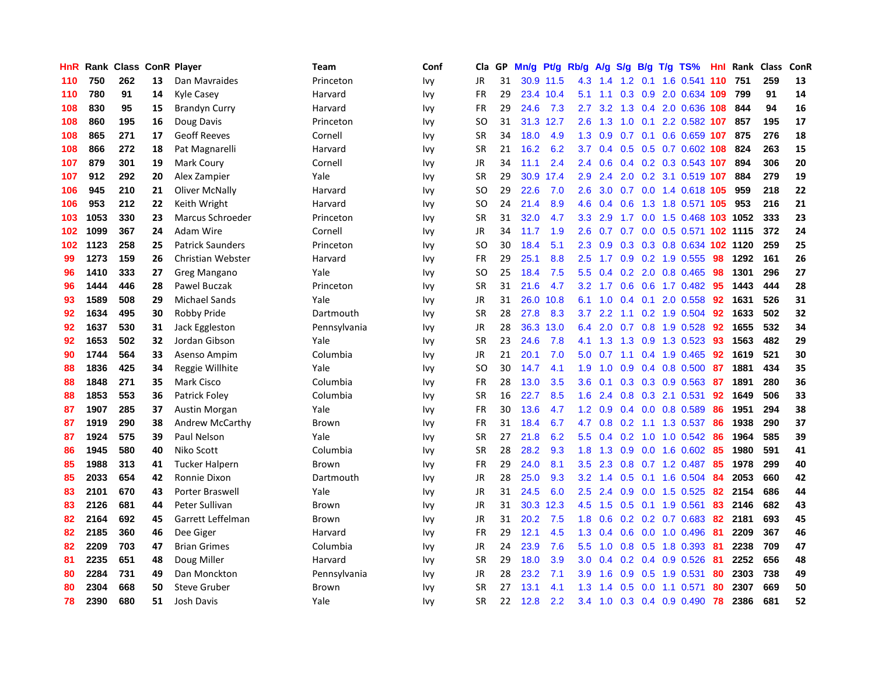| HnR | Rank | <b>Class</b> |    | <b>ConR Player</b>      | Team         | Conf | Cla           | <b>GP</b> | Mn/g | Pt/g      | Rb/g             | A/g             |                  |     | S/g B/g T/g TS%            | Hnl | Rank | <b>Class</b> | ConR |
|-----|------|--------------|----|-------------------------|--------------|------|---------------|-----------|------|-----------|------------------|-----------------|------------------|-----|----------------------------|-----|------|--------------|------|
| 110 | 750  | 262          | 13 | Dan Mavraides           | Princeton    | Ivy  | <b>JR</b>     | 31        |      | 30.9 11.5 | 4.3              | 1.4             |                  |     | 1.2 0.1 1.6 0.541 110      |     | 751  | 259          | 13   |
| 110 | 780  | 91           | 14 | Kyle Casey              | Harvard      | Ivy  | <b>FR</b>     | 29        |      | 23.4 10.4 | 5.1              |                 |                  |     | 1.1 0.3 0.9 2.0 0.634 109  |     | 799  | 91           | 14   |
| 108 | 830  | 95           | 15 | <b>Brandyn Curry</b>    | Harvard      | Ivy  | <b>FR</b>     | 29        | 24.6 | 7.3       | 2.7              | 3.2             |                  |     | 1.3 0.4 2.0 0.636 108      |     | 844  | 94           | 16   |
| 108 | 860  | 195          | 16 | Doug Davis              | Princeton    | Ivy  | SO            | 31        | 31.3 | 12.7      | $2.6^{\circ}$    | 1.3             | 1.0              | 0.1 | 2.2 0.582 107              |     | 857  | 195          | 17   |
| 108 | 865  | 271          | 17 | <b>Geoff Reeves</b>     | Cornell      | Ivy  | <b>SR</b>     | 34        | 18.0 | 4.9       | 1.3              | 0.9             | 0.7              | 0.1 | 0.6 0.659 107              |     | 875  | 276          | 18   |
| 108 | 866  | 272          | 18 | Pat Magnarelli          | Harvard      | Ivy  | <b>SR</b>     | 21        | 16.2 | 6.2       | 3.7              | 0.4             |                  |     | 0.5 0.5 0.7 0.602 108      |     | 824  | 263          | 15   |
| 107 | 879  | 301          | 19 | Mark Coury              | Cornell      | Ivy  | JR            | 34        | 11.1 | 2.4       | $2.4^{\circ}$    | 0.6             |                  |     | 0.4 0.2 0.3 0.543 107      |     | 894  | 306          | 20   |
| 107 | 912  | 292          | 20 | Alex Zampier            | Yale         | Ivy  | <b>SR</b>     | 29        | 30.9 | 17.4      | 2.9              | 2.4             | 2.0              |     | 0.2 3.1 0.519 107          |     | 884  | 279          | 19   |
| 106 | 945  | 210          | 21 | <b>Oliver McNally</b>   | Harvard      | Ivy  | <sub>SO</sub> | 29        | 22.6 | 7.0       | 2.6              | 3.0             |                  |     | 0.7 0.0 1.4 0.618 105      |     | 959  | 218          | 22   |
| 106 | 953  | 212          | 22 | Keith Wright            | Harvard      | Ivy  | <sub>SO</sub> | 24        | 21.4 | 8.9       | 4.6              | 0.4             |                  |     | 0.6 1.3 1.8 0.571 105      |     | 953  | 216          | 21   |
| 103 | 1053 | 330          | 23 | Marcus Schroeder        | Princeton    | Ivy  | <b>SR</b>     | 31        | 32.0 | 4.7       | 3.3 <sub>2</sub> | 2.9             |                  |     | 1.7 0.0 1.5 0.468 103 1052 |     |      | 333          | 23   |
| 102 | 1099 | 367          | 24 | Adam Wire               | Cornell      | Ivy  | JR            | 34        | 11.7 | 1.9       | $2.6^{\circ}$    | 0.7             |                  |     | 0.7 0.0 0.5 0.571 102 1115 |     |      | 372          | 24   |
| 102 | 1123 | 258          | 25 | <b>Patrick Saunders</b> | Princeton    | Ivy  | <sub>SO</sub> | 30        | 18.4 | 5.1       | 2.3              | 0.9             |                  |     | 0.3 0.3 0.8 0.634 102 1120 |     |      | 259          | 25   |
| 99  | 1273 | 159          | 26 | Christian Webster       | Harvard      | Ivy  | FR            | 29        | 25.1 | 8.8       | 2.5              | 1.7             |                  |     | $0.9$ 0.2 1.9 0.555        | 98  | 1292 | 161          | 26   |
| 96  | 1410 | 333          | 27 | Greg Mangano            | Yale         | Ivy  | <sub>SO</sub> | 25        | 18.4 | 7.5       | 5.5              | 0.4             | 0.2              |     | 2.0 0.8 0.465              | 98  | 1301 | 296          | 27   |
| 96  | 1444 | 446          | 28 | Pawel Buczak            | Princeton    | Ivy  | <b>SR</b>     | 31        | 21.6 | 4.7       |                  | $3.2 \quad 1.7$ | 0.6              |     | 0.6 1.7 0.482              | -95 | 1443 | 444          | 28   |
| 93  | 1589 | 508          | 29 | <b>Michael Sands</b>    | Yale         | Ivy  | <b>JR</b>     | 31        | 26.0 | 10.8      | 6.1              | 1.0             | $0.4^{\circ}$    | 0.1 | 2.0 0.558                  | 92  | 1631 | 526          | 31   |
| 92  | 1634 | 495          | 30 | Robby Pride             | Dartmouth    | Ivy  | <b>SR</b>     | 28        | 27.8 | 8.3       | 3.7              | 2.2             | 1.1              |     | $0.2$ 1.9 0.504            | -92 | 1633 | 502          | 32   |
| 92  | 1637 | 530          | 31 | Jack Eggleston          | Pennsylvania | Ivy  | JR            | 28        |      | 36.3 13.0 | 6.4              | 2.0             |                  |     | 0.7 0.8 1.9 0.528 92       |     | 1655 | 532          | 34   |
| 92  | 1653 | 502          | 32 | Jordan Gibson           | Yale         | Ivv  | <b>SR</b>     | 23        | 24.6 | 7.8       | 4.1              | 1.3             |                  |     | 1.3 0.9 1.3 0.523          | -93 | 1563 | 482          | 29   |
| 90  | 1744 | 564          | 33 | Asenso Ampim            | Columbia     | Ivy  | JR            | 21        | 20.1 | 7.0       | 5.0              | 0.7             |                  |     | 1.1 0.4 1.9 0.465          | 92  | 1619 | 521          | 30   |
| 88  | 1836 | 425          | 34 | Reggie Willhite         | Yale         | Ivy  | <sub>SO</sub> | 30        | 14.7 | 4.1       | 1.9              | 1.0             | 0.9              |     | $0.4$ 0.8 0.500            | -87 | 1881 | 434          | 35   |
| 88  | 1848 | 271          | 35 | Mark Cisco              | Columbia     | Ivy  | FR            | 28        | 13.0 | 3.5       | 3.6              | 0.1             |                  |     | $0.3$ 0.3 0.9 0.563        | -87 | 1891 | 280          | 36   |
| 88  | 1853 | 553          | 36 | <b>Patrick Folev</b>    | Columbia     | Ivy  | <b>SR</b>     | 16        | 22.7 | 8.5       | 1.6              | 2.4             | 0.8              |     | 0.3 2.1 0.531              | 92  | 1649 | 506          | 33   |
| 87  | 1907 | 285          | 37 | <b>Austin Morgan</b>    | Yale         | Ivy  | FR            | 30        | 13.6 | 4.7       | 1.2              | 0.9             |                  |     | $0.4$ 0.0 0.8 0.589        | 86  | 1951 | 294          | 38   |
| 87  | 1919 | 290          | 38 | Andrew McCarthy         | Brown        | Ivy  | <b>FR</b>     | 31        | 18.4 | 6.7       | 4.7              | 0.8             | 0.2              |     | 1.1 1.3 0.537              | 86  | 1938 | 290          | 37   |
| 87  | 1924 | 575          | 39 | Paul Nelson             | Yale         | Ivy  | <b>SR</b>     | 27        | 21.8 | 6.2       | 5.5              | 0.4             |                  |     | 0.2 1.0 1.0 0.542 86       |     | 1964 | 585          | 39   |
| 86  | 1945 | 580          | 40 | Niko Scott              | Columbia     | Ivy  | <b>SR</b>     | 28        | 28.2 | 9.3       | 1.8              | 1.3             |                  |     | 0.9 0.0 1.6 0.602 85       |     | 1980 | 591          | 41   |
| 85  | 1988 | 313          | 41 | <b>Tucker Halpern</b>   | Brown        | Ivy  | FR            | 29        | 24.0 | 8.1       | 3.5              | 2.3             |                  |     | 0.8 0.7 1.2 0.487 85       |     | 1978 | 299          | 40   |
| 85  | 2033 | 654          | 42 | Ronnie Dixon            | Dartmouth    | Ivy  | JR            | 28        | 25.0 | 9.3       | 3.2              | 1.4             |                  |     | 0.5 0.1 1.6 0.504          | -84 | 2053 | 660          | 42   |
| 83  | 2101 | 670          | 43 | Porter Braswell         | Yale         | Ivy  | JR            | 31        | 24.5 | 6.0       | $2.5\,$          | 2.4             | 0.9 <sub>0</sub> |     | $0.0$ 1.5 $0.525$          | 82  | 2154 | 686          | 44   |
| 83  | 2126 | 681          | 44 | Peter Sullivan          | Brown        | Ivy  | JR            | 31        | 30.3 | 12.3      | 4.5              | 1.5             |                  |     | 0.5 0.1 1.9 0.561          | 83  | 2146 | 682          | 43   |
| 82  | 2164 | 692          | 45 | Garrett Leffelman       | Brown        | Ivy  | <b>JR</b>     | 31        | 20.2 | 7.5       | 1.8              | 0.6             |                  |     | $0.2$ $0.2$ $0.7$ $0.683$  | 82  | 2181 | 693          | 45   |
| 82  | 2185 | 360          | 46 | Dee Giger               | Harvard      | Ivy  | FR            | 29        | 12.1 | 4.5       | 1.3              | 0.4             | 0.6              |     | $0.0$ 1.0 $0.496$          | -81 | 2209 | 367          | 46   |
| 82  | 2209 | 703          | 47 | <b>Brian Grimes</b>     | Columbia     | Ivy  | <b>JR</b>     | 24        | 23.9 | 7.6       | 5.5              | 1.0             |                  |     | $0.8$ 0.5 1.8 0.393        | -81 | 2238 | 709          | 47   |
| 81  | 2235 | 651          | 48 | Doug Miller             | Harvard      | Ivv  | <b>SR</b>     | 29        | 18.0 | 3.9       | 3.0 <sub>2</sub> |                 |                  |     | $0.4$ 0.2 0.4 0.9 0.526    | -81 | 2252 | 656          | 48   |
| 80  | 2284 | 731          | 49 | Dan Monckton            | Pennsylvania | lvv  | JR            | 28        | 23.2 | 7.1       | 3.9 <sup>°</sup> | 1.6             |                  |     | 0.9 0.5 1.9 0.531          | -80 | 2303 | 738          | 49   |
| 80  | 2304 | 668          | 50 | <b>Steve Gruber</b>     | Brown        | Ivv  | SR            | 27        | 13.1 | 4.1       | 1.3              | 1.4             | 0.5              |     | 0.0 1.1 0.571              | 80  | 2307 | 669          | 50   |
| 78  | 2390 | 680          | 51 | Josh Davis              | Yale         | Ivv  | <b>SR</b>     | 22        | 12.8 | 2.2       | 3.4              | 1.0             |                  |     | 0.3 0.4 0.9 0.490          | 78  | 2386 | 681          | 52   |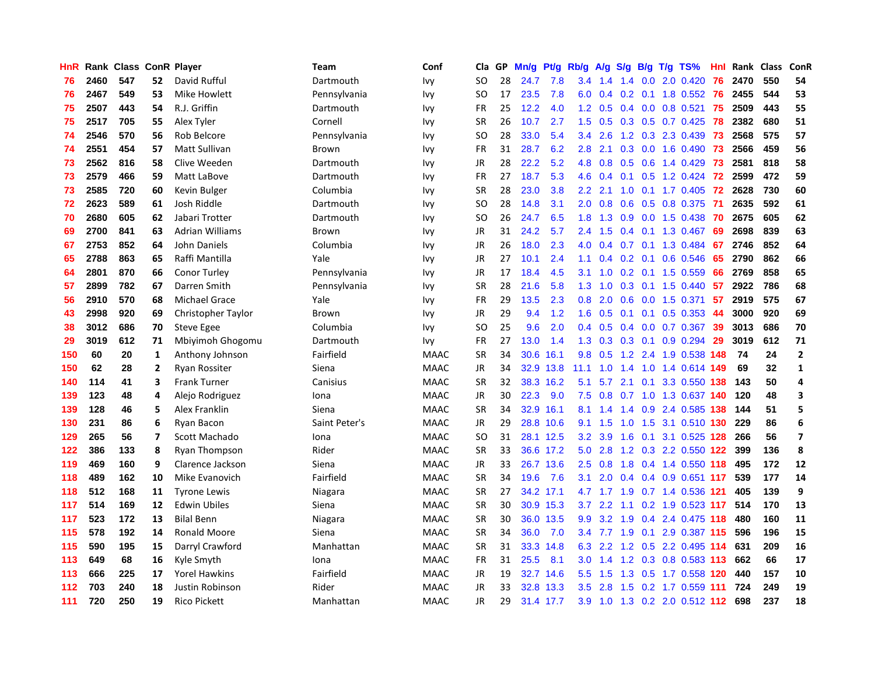| HnR |      | Rank Class ConR Player |                         |                        | Team          | Conf        | Cla           | <b>GP</b> | Mn/g      | Pt/g      | Rb/g             | A/g     | S/g           |                 | B/g T/g TS%               | Hnl | Rank | <b>Class</b> | ConR                    |
|-----|------|------------------------|-------------------------|------------------------|---------------|-------------|---------------|-----------|-----------|-----------|------------------|---------|---------------|-----------------|---------------------------|-----|------|--------------|-------------------------|
| 76  | 2460 | 547                    | 52                      | David Rufful           | Dartmouth     | Ivy         | SO.           | 28        | 24.7      | 7.8       | 3.4              | 1.4     |               |                 | 1.4 0.0 2.0 0.420         | 76  | 2470 | 550          | 54                      |
| 76  | 2467 | 549                    | 53                      | Mike Howlett           | Pennsylvania  | Ivy         | SO            | 17        | 23.5      | 7.8       | 6.0              | 0.4     |               |                 | 0.2 0.1 1.8 0.552 76      |     | 2455 | 544          | 53                      |
| 75  | 2507 | 443                    | 54                      | R.J. Griffin           | Dartmouth     | Ivy         | <b>FR</b>     | 25        | 12.2      | 4.0       | 1.2 <sub>1</sub> | 0.5     |               |                 | $0.4$ 0.0 0.8 0.521       | 75  | 2509 | 443          | 55                      |
| 75  | 2517 | 705                    | 55                      | Alex Tyler             | Cornell       | Ivy         | <b>SR</b>     | 26        | 10.7      | 2.7       | 1.5              | 0.5     |               |                 | $0.3$ $0.5$ $0.7$ $0.425$ | 78  | 2382 | 680          | 51                      |
| 74  | 2546 | 570                    | 56                      | Rob Belcore            | Pennsylvania  | Ivy         | <sub>SO</sub> | 28        | 33.0      | 5.4       | 3.4              | 2.6     | 1.2           |                 | 0.3 2.3 0.439             | 73  | 2568 | 575          | 57                      |
| 74  | 2551 | 454                    | 57                      | <b>Matt Sullivan</b>   | Brown         | Ivy         | FR            | 31        | 28.7      | 6.2       | 2.8              | 2.1     |               |                 | 0.3 0.0 1.6 0.490         | 73  | 2566 | 459          | 56                      |
| 73  | 2562 | 816                    | 58                      | Clive Weeden           | Dartmouth     | Ivy         | <b>JR</b>     | 28        | 22.2      | 5.2       | 4.8              | 0.8     | 0.5           |                 | $0.6$ 1.4 0.429           | 73  | 2581 | 818          | 58                      |
| 73  | 2579 | 466                    | 59                      | Matt LaBove            | Dartmouth     | Ivy         | <b>FR</b>     | 27        | 18.7      | 5.3       | 4.6              | 0.4     | 0.1           |                 | $0.5$ 1.2 0.424           | 72  | 2599 | 472          | 59                      |
| 73  | 2585 | 720                    | 60                      | Kevin Bulger           | Columbia      | Ivy         | <b>SR</b>     | 28        | 23.0      | 3.8       | 2.2              | 2.1     | 1.0           |                 | $0.1$ 1.7 0.405           | 72  | 2628 | 730          | 60                      |
| 72  | 2623 | 589                    | 61                      | Josh Riddle            | Dartmouth     | Ivy         | SO            | 28        | 14.8      | 3.1       | 2.0              | 0.8     |               |                 | 0.6 0.5 0.8 0.375 71      |     | 2635 | 592          | 61                      |
| 70  | 2680 | 605                    | 62                      | Jabari Trotter         | Dartmouth     | Ivy         | SO            | 26        | 24.7      | 6.5       | 1.8              | 1.3     |               |                 | 0.9 0.0 1.5 0.438 70      |     | 2675 | 605          | 62                      |
| 69  | 2700 | 841                    | 63                      | <b>Adrian Williams</b> | Brown         | Ivy         | JR            | 31        | 24.2      | 5.7       | 2.4              | 1.5     |               |                 | $0.4$ 0.1 1.3 0.467       | -69 | 2698 | 839          | 63                      |
| 67  | 2753 | 852                    | 64                      | John Daniels           | Columbia      | Ivy         | <b>JR</b>     | 26        | 18.0      | 2.3       | 4.0              | 0.4     | 0.7           |                 | 0.1 1.3 0.484             | 67  | 2746 | 852          | 64                      |
| 65  | 2788 | 863                    | 65                      | Raffi Mantilla         | Yale          | Ivy         | JR            | 27        | 10.1      | 2.4       | 1.1              | 0.4     |               |                 | $0.2$ 0.1 0.6 0.546       | 65  | 2790 | 862          | 66                      |
| 64  | 2801 | 870                    | 66                      | Conor Turley           | Pennsylvania  | Ivy         | JR            | 17        | 18.4      | 4.5       | 3.1              | 1.0     | 0.2           |                 | $0.1$ 1.5 0.559           | 66  | 2769 | 858          | 65                      |
| 57  | 2899 | 782                    | 67                      | Darren Smith           | Pennsylvania  | Ivy         | SR            | 28        | 21.6      | 5.8       | 1.3              | 1.0     | 0.3           |                 | $0.1$ 1.5 0.440           | 57  | 2922 | 786          | 68                      |
| 56  | 2910 | 570                    | 68                      | <b>Michael Grace</b>   | Yale          | Ivy         | <b>FR</b>     | 29        | 13.5      | 2.3       | 0.8              | 2.0     | 0.6           |                 | $0.0$ 1.5 0.371           | 57  | 2919 | 575          | 67                      |
| 43  | 2998 | 920                    | 69                      | Christopher Taylor     | Brown         | Ivy         | JR            | 29        | 9.4       | 1.2       | 1.6              | 0.5     |               |                 | $0.1$ 0.1 0.5 0.353       | -44 | 3000 | 920          | 69                      |
| 38  | 3012 | 686                    | 70                      | <b>Steve Egee</b>      | Columbia      | Ivy         | <sub>SO</sub> | 25        | 9.6       | 2.0       | 0.4              | 0.5     |               |                 | 0.4 0.0 0.7 0.367 39      |     | 3013 | 686          | 70                      |
| 29  | 3019 | 612                    | 71                      | Mbiyimoh Ghogomu       | Dartmouth     | Ivy         | <b>FR</b>     | 27        | 13.0      | 1.4       | 1.3              | 0.3     |               |                 | $0.3$ 0.1 0.9 0.294       | 29  | 3019 | 612          | 71                      |
| 150 | 60   | 20                     | $\mathbf{1}$            | Anthony Johnson        | Fairfield     | <b>MAAC</b> | SR            | 34        | 30.6      | 16.1      | 9.8              | 0.5     | 1.2           |                 | 2.4 1.9 0.538 148         |     | 74   | 24           | $\overline{2}$          |
| 150 | 62   | 28                     | $\mathbf{2}$            | <b>Ryan Rossiter</b>   | Siena         | <b>MAAC</b> | JR            | 34        | 32.9      | 13.8      | 11.1             | 1.0     | $1.4^{\circ}$ |                 | 1.0 1.4 0.614 149         |     | 69   | 32           | $\mathbf{1}$            |
| 140 | 114  | 41                     | 3                       | <b>Frank Turner</b>    | Canisius      | <b>MAAC</b> | <b>SR</b>     | 32        |           | 38.3 16.2 | 5.1              | 5.7     |               | $2.1 \quad 0.1$ | 3.3 0.550                 | 138 | 143  | 50           | 4                       |
| 139 | 123  | 48                     | 4                       | Alejo Rodriguez        | Iona          | <b>MAAC</b> | <b>JR</b>     | 30        | 22.3      | 9.0       | 7.5              | 0.8     | 0.7           |                 | 1.0 1.3 0.637             | 140 | 120  | 48           | $\overline{\mathbf{3}}$ |
| 139 | 128  | 46                     | 5                       | <b>Alex Franklin</b>   | Siena         | <b>MAAC</b> | <b>SR</b>     | 34        | 32.9      | 16.1      | 8.1              | 1.4     | $1.4^{\circ}$ |                 | 0.9 2.4 0.585             | 138 | 144  | 51           | 5                       |
| 130 | 231  | 86                     | 6                       | Ryan Bacon             | Saint Peter's | <b>MAAC</b> | <b>JR</b>     | 29        |           | 28.8 10.6 | 9.1              | 1.5     | 1.0           |                 | 1.5 3.1 0.510 130         |     | 229  | 86           | $\boldsymbol{6}$        |
| 129 | 265  | 56                     | $\overline{\mathbf{z}}$ | Scott Machado          | Iona          | <b>MAAC</b> | <b>SO</b>     | 31        |           | 28.1 12.5 | 3.2              | 3.9     |               |                 | 1.6 0.1 3.1 0.525 128     |     | 266  | 56           | $\overline{7}$          |
| 122 | 386  | 133                    | 8                       | Ryan Thompson          | Rider         | <b>MAAC</b> | <b>SR</b>     | 33        |           | 36.6 17.2 | 5.0              | 2.8     |               |                 | 1.2 0.3 2.2 0.550 122     |     | 399  | 136          | 8                       |
| 119 | 469  | 160                    | 9                       | Clarence Jackson       | Siena         | <b>MAAC</b> | <b>JR</b>     | 33        |           | 26.7 13.6 | 2.5              | 0.8     | 1.8           |                 | 0.4 1.4 0.550 118         |     | 495  | 172          | 12                      |
| 118 | 489  | 162                    | 10                      | Mike Evanovich         | Fairfield     | <b>MAAC</b> | <b>SR</b>     | 34        | 19.6      | 7.6       | 3.1              | 2.0     | $0.4^{\circ}$ |                 | 0.4 0.9 0.651 117         |     | 539  | 177          | 14                      |
| 118 | 512  | 168                    | 11                      | <b>Tyrone Lewis</b>    | Niagara       | <b>MAAC</b> | SR            | 27        | 34.2 17.1 |           | 4.7              | 1.7     | 1.9           |                 | 0.7 1.4 0.536 121         |     | 405  | 139          | 9                       |
| 117 | 514  | 169                    | 12                      | <b>Edwin Ubiles</b>    | Siena         | <b>MAAC</b> | <b>SR</b>     | 30        |           | 30.9 15.3 | 3.7              | 2.2     | 1.1           |                 | 0.2 1.9 0.523 117         |     | 514  | 170          | 13                      |
| 117 | 523  | 172                    | 13                      | <b>Bilal Benn</b>      | Niagara       | <b>MAAC</b> | <b>SR</b>     | 30        | 36.0      | 13.5      | 9.9              | 3.2     | 1.9           |                 | 0.4 2.4 0.475 118         |     | 480  | 160          | 11                      |
| 115 | 578  | 192                    | 14                      | <b>Ronald Moore</b>    | Siena         | <b>MAAC</b> | <b>SR</b>     | 34        | 36.0      | 7.0       | $3.4^{\circ}$    | 7.7     | 1.9           |                 | 0.1 2.9 0.387 115         |     | 596  | 196          | 15                      |
| 115 | 590  | 195                    | 15                      | Darryl Crawford        | Manhattan     | <b>MAAC</b> | <b>SR</b>     | 31        |           | 33.3 14.8 |                  | 6.3 2.2 |               |                 | 1.2 0.5 2.2 0.495 114     |     | 631  | 209          | 16                      |
| 113 | 649  | 68                     | 16                      | Kyle Smyth             | Iona          | <b>MAAC</b> | <b>FR</b>     | 31        | 25.5      | 8.1       | 3.0 <sub>2</sub> | 1.4     |               |                 | 1.2 0.3 0.8 0.583 113     |     | 662  | 66           | 17                      |
| 113 | 666  | 225                    | 17                      | <b>Yorel Hawkins</b>   | Fairfield     | <b>MAAC</b> | JR            | 19        |           | 32.7 14.6 | 5.5              | 1.5     | 1.3           |                 | 0.5 1.7 0.558 120         |     | 440  | 157          | 10                      |
| 112 | 703  | 240                    | 18                      | <b>Justin Robinson</b> | Rider         | <b>MAAC</b> | <b>JR</b>     | 33        | 32.8      | 13.3      | 3.5              | 2.8     | 1.5           |                 | 0.2 1.7 0.559 111         |     | 724  | 249          | 19                      |
| 111 | 720  | 250                    | 19                      | <b>Rico Pickett</b>    | Manhattan     | <b>MAAC</b> | JR            | 29        | 31.4 17.7 |           | 3.9 <sup>°</sup> | 1.0     |               |                 | 1.3 0.2 2.0 0.512 112     |     | 698  | 237          | 18                      |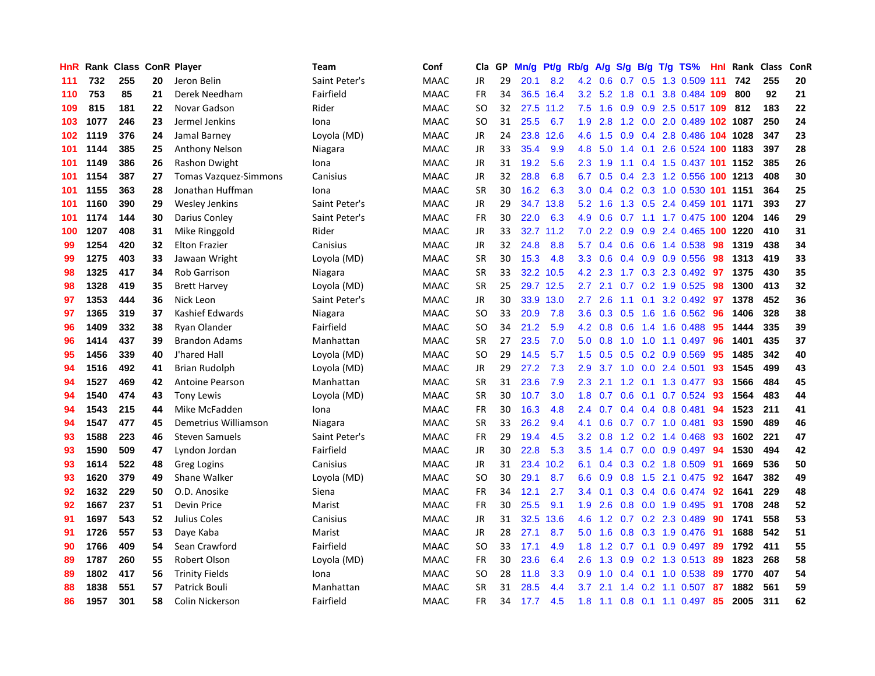| HnR | Rank | <b>Class</b> |    | <b>ConR Player</b>           | Team          | Conf        | Cla.          | <b>GP</b> | Mn/g | <b>Pt/g</b> | Rb/g             | A/g     |                  |     | S/g B/g T/g TS%            | Hnl | Rank | Class | ConR |
|-----|------|--------------|----|------------------------------|---------------|-------------|---------------|-----------|------|-------------|------------------|---------|------------------|-----|----------------------------|-----|------|-------|------|
| 111 | 732  | 255          | 20 | Jeron Belin                  | Saint Peter's | <b>MAAC</b> | <b>JR</b>     | 29        | 20.1 | 8.2         |                  | 4.2 0.6 |                  |     | 0.7 0.5 1.3 0.509 111      |     | 742  | 255   | 20   |
| 110 | 753  | 85           | 21 | Derek Needham                | Fairfield     | <b>MAAC</b> | <b>FR</b>     | 34        |      | 36.5 16.4   | 3.2              | 5.2     |                  |     | 1.8 0.1 3.8 0.484 109      |     | 800  | 92    | 21   |
| 109 | 815  | 181          | 22 | Novar Gadson                 | Rider         | <b>MAAC</b> | SO            | 32        | 27.5 | 11.2        | 7.5              | 1.6     |                  |     | 0.9 0.9 2.5 0.517 109 812  |     |      | 183   | 22   |
| 103 | 1077 | 246          | 23 | Jermel Jenkins               | Iona          | <b>MAAC</b> | <b>SO</b>     | 31        | 25.5 | 6.7         | 1.9              | 2.8     |                  |     | 1.2 0.0 2.0 0.489 102 1087 |     |      | 250   | 24   |
| 102 | 1119 | 376          | 24 | Jamal Barney                 | Loyola (MD)   | <b>MAAC</b> | JR            | 24        | 23.8 | 12.6        | 4.6              | 1.5     | 0.9 <sub>0</sub> |     | 0.4 2.8 0.486 104 1028     |     |      | 347   | 23   |
| 101 | 1144 | 385          | 25 | <b>Anthony Nelson</b>        | Niagara       | <b>MAAC</b> | JR            | 33        | 35.4 | 9.9         | 4.8              | 5.0     |                  |     | 1.4 0.1 2.6 0.524 100 1183 |     |      | 397   | 28   |
| 101 | 1149 | 386          | 26 | Rashon Dwight                | Iona          | <b>MAAC</b> | JR            | 31        | 19.2 | 5.6         | 2.3              | 1.9     | 1.1              |     | 0.4 1.5 0.437 101 1152     |     |      | 385   | 26   |
| 101 | 1154 | 387          | 27 | <b>Tomas Vazquez-Simmons</b> | Canisius      | <b>MAAC</b> | JR            | 32        | 28.8 | 6.8         | 6.7              | 0.5     | 0.4              |     | 2.3 1.2 0.556 100 1213     |     |      | 408   | 30   |
| 101 | 1155 | 363          | 28 | Jonathan Huffman             | Iona          | <b>MAAC</b> | <b>SR</b>     | 30        | 16.2 | 6.3         | 3.0 <sub>2</sub> | 0.4     |                  |     | 0.2 0.3 1.0 0.530 101 1151 |     |      | 364   | 25   |
| 101 | 1160 | 390          | 29 | Wesley Jenkins               | Saint Peter's | <b>MAAC</b> | JR            | 29        | 34.7 | 13.8        | 5.2              | 1.6     |                  |     | 1.3 0.5 2.4 0.459 101 1171 |     |      | 393   | 27   |
| 101 | 1174 | 144          | 30 | Darius Conley                | Saint Peter's | <b>MAAC</b> | <b>FR</b>     | 30        | 22.0 | 6.3         | 4.9              | 0.6     |                  |     | 0.7 1.1 1.7 0.475 100 1204 |     |      | 146   | 29   |
| 100 | 1207 | 408          | 31 | Mike Ringgold                | Rider         | <b>MAAC</b> | JR            | 33        | 32.7 | 11.2        | 7.0              | 2.2     |                  |     | 0.9 0.9 2.4 0.465 100 1220 |     |      | 410   | 31   |
| 99  | 1254 | 420          | 32 | <b>Elton Frazier</b>         | Canisius      | <b>MAAC</b> | JR            | 32        | 24.8 | 8.8         | 5.7              | 0.4     | 0.6              |     | 0.6 1.4 0.538              | 98  | 1319 | 438   | 34   |
| 99  | 1275 | 403          | 33 | Jawaan Wright                | Loyola (MD)   | <b>MAAC</b> | <b>SR</b>     | 30        | 15.3 | 4.8         | 3.3 <sub>2</sub> | 0.6     |                  |     | $0.4$ 0.9 0.9 0.556        | -98 | 1313 | 419   | 33   |
| 98  | 1325 | 417          | 34 | Rob Garrison                 | Niagara       | <b>MAAC</b> | <b>SR</b>     | 33        | 32.2 | 10.5        | 4.2              | 2.3     | 1.7              |     | 0.3 2.3 0.492              | 97  | 1375 | 430   | 35   |
| 98  | 1328 | 419          | 35 | <b>Brett Harvey</b>          | Loyola (MD)   | <b>MAAC</b> | <b>SR</b>     | 25        |      | 29.7 12.5   | $2.7^{\circ}$    | 2.1     | 0.7              |     | 0.2 1.9 0.525              | -98 | 1300 | 413   | 32   |
| 97  | 1353 | 444          | 36 | Nick Leon                    | Saint Peter's | <b>MAAC</b> | JR            | 30        | 33.9 | 13.0        | $2.7^{\circ}$    | 2.6     | 1.1              | 0.1 | 3.2 0.492                  | 97  | 1378 | 452   | 36   |
| 97  | 1365 | 319          | 37 | Kashief Edwards              | Niagara       | <b>MAAC</b> | <sub>SO</sub> | 33        | 20.9 | 7.8         | 3.6              | 0.3     | 0.5              |     | 1.6 1.6 0.562 96           |     | 1406 | 328   | 38   |
| 96  | 1409 | 332          | 38 | Ryan Olander                 | Fairfield     | <b>MAAC</b> | SO.           | 34        | 21.2 | 5.9         | 4.2              | 0.8     |                  |     | 0.6 1.4 1.6 0.488 95       |     | 1444 | 335   | 39   |
| 96  | 1414 | 437          | 39 | <b>Brandon Adams</b>         | Manhattan     | <b>MAAC</b> | <b>SR</b>     | 27        | 23.5 | 7.0         | 5.0              | 0.8     |                  |     | 1.0 1.0 1.1 0.497          | -96 | 1401 | 435   | 37   |
| 95  | 1456 | 339          | 40 | J'hared Hall                 | Loyola (MD)   | <b>MAAC</b> | <b>SO</b>     | 29        | 14.5 | 5.7         | 1.5              | 0.5     |                  |     | $0.5$ 0.2 0.9 0.569        | 95  | 1485 | 342   | 40   |
| 94  | 1516 | 492          | 41 | <b>Brian Rudolph</b>         | Loyola (MD)   | MAAC        | JR            | 29        | 27.2 | 7.3         | 2.9              | 3.7     |                  |     | 1.0 0.0 2.4 0.501          | 93  | 1545 | 499   | 43   |
| 94  | 1527 | 469          | 42 | <b>Antoine Pearson</b>       | Manhattan     | <b>MAAC</b> | <b>SR</b>     | 31        | 23.6 | 7.9         | 2.3              | 2.1     |                  |     | 1.2 0.1 1.3 0.477          | 93  | 1566 | 484   | 45   |
| 94  | 1540 | 474          | 43 | <b>Tony Lewis</b>            | Loyola (MD)   | <b>MAAC</b> | <b>SR</b>     | 30        | 10.7 | 3.0         | 1.8              | 0.7     | 0.6              |     | $0.1$ 0.7 0.524            | 93  | 1564 | 483   | 44   |
| 94  | 1543 | 215          | 44 | Mike McFadden                | Iona          | <b>MAAC</b> | <b>FR</b>     | 30        | 16.3 | 4.8         | $2.4^{\circ}$    | 0.7     |                  |     | 0.4 0.4 0.8 0.481          | 94  | 1523 | 211   | 41   |
| 94  | 1547 | 477          | 45 | Demetrius Williamson         | Niagara       | <b>MAAC</b> | <b>SR</b>     | 33        | 26.2 | 9.4         | 4.1              | 0.6     |                  |     | 0.7 0.7 1.0 0.481          | -93 | 1590 | 489   | 46   |
| 93  | 1588 | 223          | 46 | <b>Steven Samuels</b>        | Saint Peter's | <b>MAAC</b> | <b>FR</b>     | 29        | 19.4 | 4.5         | 3.2              | 0.8     |                  |     | 1.2 0.2 1.4 0.468 93       |     | 1602 | 221   | 47   |
| 93  | 1590 | 509          | 47 | Lyndon Jordan                | Fairfield     | <b>MAAC</b> | <b>JR</b>     | 30        | 22.8 | 5.3         | 3.5              | 1.4     |                  |     | 0.7 0.0 0.9 0.497 94       |     | 1530 | 494   | 42   |
| 93  | 1614 | 522          | 48 | <b>Greg Logins</b>           | Canisius      | <b>MAAC</b> | <b>JR</b>     | 31        | 23.4 | 10.2        | 6.1              | 0.4     |                  |     | $0.3$ 0.2 1.8 0.509        | 91  | 1669 | 536   | 50   |
| 93  | 1620 | 379          | 49 | Shane Walker                 | Loyola (MD)   | <b>MAAC</b> | <b>SO</b>     | 30        | 29.1 | 8.7         | 6.6              | 0.9     | 0.8              |     | 1.5 2.1 0.475              | -92 | 1647 | 382   | 49   |
| 92  | 1632 | 229          | 50 | O.D. Anosike                 | Siena         | MAAC        | <b>FR</b>     | 34        | 12.1 | 2.7         | $3.4^{\circ}$    | 0.1     |                  |     | 0.3 0.4 0.6 0.474          | 92  | 1641 | 229   | 48   |
| 92  | 1667 | 237          | 51 | Devin Price                  | Marist        | <b>MAAC</b> | <b>FR</b>     | 30        | 25.5 | 9.1         | 1.9              | 2.6     | 0.8              |     | 0.0 1.9 0.495              | -91 | 1708 | 248   | 52   |
| 91  | 1697 | 543          | 52 | Julius Coles                 | Canisius      | <b>MAAC</b> | JR            | 31        | 32.5 | 13.6        | 4.6              | 1.2     |                  |     | 0.7 0.2 2.3 0.489          | 90  | 1741 | 558   | 53   |
| 91  | 1726 | 557          | 53 | Daye Kaba                    | Marist        | <b>MAAC</b> | <b>JR</b>     | 28        | 27.1 | 8.7         | 5.0              | 1.6     | 0.8              |     | 0.3 1.9 0.476              | -91 | 1688 | 542   | 51   |
| 90  | 1766 | 409          | 54 | Sean Crawford                | Fairfield     | <b>MAAC</b> | <sub>SO</sub> | 33        | 17.1 | 4.9         | 1.8              |         |                  |     | 1.2 0.7 0.1 0.9 0.497 89   |     | 1792 | 411   | 55   |
| 89  | 1787 | 260          | 55 | Robert Olson                 | Loyola (MD)   | <b>MAAC</b> | <b>FR</b>     | 30        | 23.6 | 6.4         | 2.6              | 1.3     |                  |     | 0.9 0.2 1.3 0.513 89       |     | 1823 | 268   | 58   |
| 89  | 1802 | 417          | 56 | <b>Trinity Fields</b>        | Iona          | <b>MAAC</b> | SO            | 28        | 11.8 | 3.3         | 0.9              | 1.0     |                  |     | $0.4$ 0.1 1.0 0.538        | -89 | 1770 | 407   | 54   |
| 88  | 1838 | 551          | 57 | Patrick Bouli                | Manhattan     | <b>MAAC</b> | <b>SR</b>     | 31        | 28.5 | 4.4         | 3.7              | 2.1     |                  |     | 1.4 0.2 1.1 0.507          | 87  | 1882 | 561   | 59   |
| 86  | 1957 | 301          | 58 | Colin Nickerson              | Fairfield     | <b>MAAC</b> | FR            | 34        | 17.7 | 4.5         | 1.8              | 1.1     |                  |     | $0.8$ 0.1 1.1 0.497        | 85  | 2005 | 311   | 62   |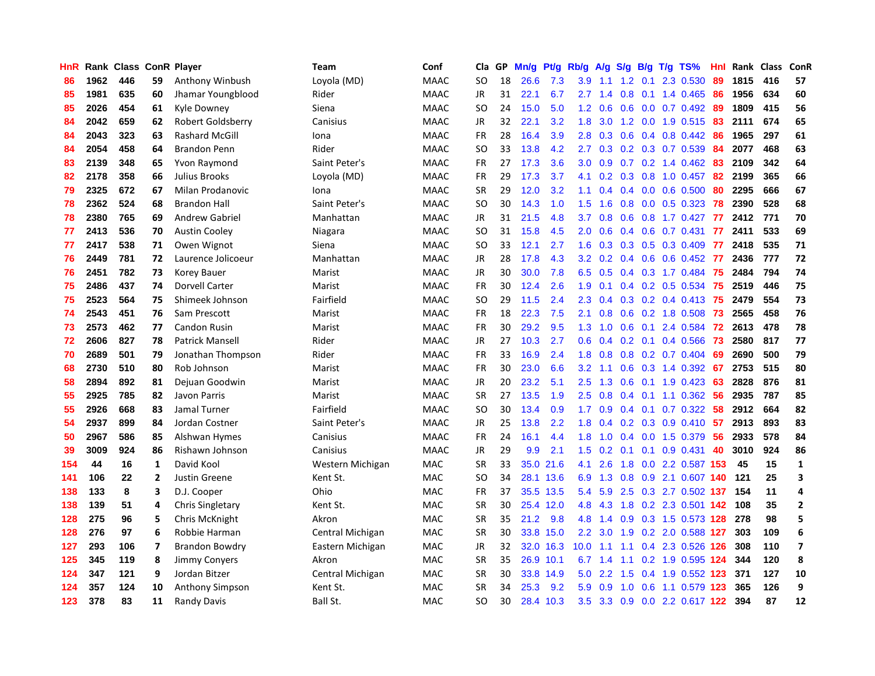| <b>HnR</b> |      | Rank Class ConR Player |                |                        | Team             | Conf        | Cla       | GP | Mn/g | Pt/g      | Rb/g             | A/g             | S/g |     | $B/g$ T/g TS%             | Hnl | Rank Class |     | ConR                    |
|------------|------|------------------------|----------------|------------------------|------------------|-------------|-----------|----|------|-----------|------------------|-----------------|-----|-----|---------------------------|-----|------------|-----|-------------------------|
| 86         | 1962 | 446                    | 59             | Anthony Winbush        | Loyola (MD)      | <b>MAAC</b> | <b>SO</b> | 18 | 26.6 | 7.3       | 3.9              | 1.1             | 1.2 | 0.1 | 2.3 0.530                 | 89  | 1815       | 416 | 57                      |
| 85         | 1981 | 635                    | 60             | Jhamar Youngblood      | Rider            | <b>MAAC</b> | JR        | 31 | 22.1 | 6.7       | $2.7^{\circ}$    | 1.4             |     |     | $0.8$ 0.1 1.4 0.465       | -86 | 1956       | 634 | 60                      |
| 85         | 2026 | 454                    | 61             | Kyle Downey            | Siena            | <b>MAAC</b> | <b>SO</b> | 24 | 15.0 | 5.0       |                  | $1.2 \quad 0.6$ |     |     | 0.6 0.0 0.7 0.492 89      |     | 1809       | 415 | 56                      |
| 84         | 2042 | 659                    | 62             | Robert Goldsberry      | Canisius         | <b>MAAC</b> | JR        | 32 | 22.1 | 3.2       | 1.8              | 3.0             |     |     | 1.2 0.0 1.9 0.515         | -83 | 2111       | 674 | 65                      |
| 84         | 2043 | 323                    | 63             | <b>Rashard McGill</b>  | Iona             | <b>MAAC</b> | <b>FR</b> | 28 | 16.4 | 3.9       | 2.8              | 0.3             | 0.6 |     | $0.4$ 0.8 0.442           | 86  | 1965       | 297 | 61                      |
| 84         | 2054 | 458                    | 64             | <b>Brandon Penn</b>    | Rider            | <b>MAAC</b> | <b>SO</b> | 33 | 13.8 | 4.2       | $2.7^{\circ}$    | 0.3             |     |     | 0.2 0.3 0.7 0.539         | 84  | 2077       | 468 | 63                      |
| 83         | 2139 | 348                    | 65             | Yvon Raymond           | Saint Peter's    | <b>MAAC</b> | <b>FR</b> | 27 | 17.3 | 3.6       | 3.0 <sub>2</sub> | 0.9             |     |     | $0.7$ $0.2$ 1.4 $0.462$   | 83  | 2109       | 342 | 64                      |
| 82         | 2178 | 358                    | 66             | Julius Brooks          | Loyola (MD)      | <b>MAAC</b> | <b>FR</b> | 29 | 17.3 | 3.7       | 4.1              | 0.2             | 0.3 |     | $0.8$ 1.0 0.457           | 82  | 2199       | 365 | 66                      |
| 79         | 2325 | 672                    | 67             | Milan Prodanovic       | Iona             | <b>MAAC</b> | <b>SR</b> | 29 | 12.0 | 3.2       | 1.1              | 0.4             |     |     | $0.4$ 0.0 0.6 0.500       | 80  | 2295       | 666 | 67                      |
| 78         | 2362 | 524                    | 68             | <b>Brandon Hall</b>    | Saint Peter's    | <b>MAAC</b> | <b>SO</b> | 30 | 14.3 | 1.0       | 1.5              | 1.6             | 0.8 |     | $0.0$ $0.5$ $0.323$       | 78  | 2390       | 528 | 68                      |
| 78         | 2380 | 765                    | 69             | <b>Andrew Gabriel</b>  | Manhattan        | <b>MAAC</b> | JR        | 31 | 21.5 | 4.8       | 3.7              | 0.8             |     |     | 0.6 0.8 1.7 0.427 77      |     | 2412       | 771 | 70                      |
| 77         | 2413 | 536                    | 70             | <b>Austin Cooley</b>   | Niagara          | <b>MAAC</b> | <b>SO</b> | 31 | 15.8 | 4.5       | 2.0 <sub>1</sub> | 0.6             |     |     | 0.4 0.6 0.7 0.431 77      |     | 2411       | 533 | 69                      |
| 77         | 2417 | 538                    | 71             | Owen Wignot            | Siena            | <b>MAAC</b> | <b>SO</b> | 33 | 12.1 | 2.7       | 1.6              | 0.3             |     |     | $0.3$ 0.5 0.3 0.409       | -77 | 2418       | 535 | 71                      |
| 76         | 2449 | 781                    | 72             | Laurence Jolicoeur     | Manhattan        | <b>MAAC</b> | JR        | 28 | 17.8 | 4.3       | 3.2              | 0.2             |     |     | $0.4$ 0.6 0.6 0.452       | -77 | 2436       | 777 | 72                      |
| 76         | 2451 | 782                    | 73             | <b>Korey Bauer</b>     | Marist           | <b>MAAC</b> | JR        | 30 | 30.0 | 7.8       | 6.5              | 0.5             |     |     | 0.4 0.3 1.7 0.484         | 75  | 2484       | 794 | 74                      |
| 75         | 2486 | 437                    | 74             | Dorvell Carter         | Marist           | <b>MAAC</b> | <b>FR</b> | 30 | 12.4 | 2.6       | 1.9              | 0.1             |     |     | $0.4$ 0.2 0.5 0.534       | 75  | 2519       | 446 | 75                      |
| 75         | 2523 | 564                    | 75             | Shimeek Johnson        | Fairfield        | <b>MAAC</b> | <b>SO</b> | 29 | 11.5 | 2.4       | 2.3              | 0.4             | 0.3 |     | $0.2$ 0.4 0.413           | 75  | 2479       | 554 | 73                      |
| 74         | 2543 | 451                    | 76             | Sam Prescott           | Marist           | <b>MAAC</b> | <b>FR</b> | 18 | 22.3 | 7.5       | 2.1              | 0.8             | 0.6 |     | 0.2 1.8 0.508             | 73  | 2565       | 458 | 76                      |
| 73         | 2573 | 462                    | 77             | Candon Rusin           | Marist           | <b>MAAC</b> | FR        | 30 | 29.2 | 9.5       | 1.3              | 1.0             |     |     | 0.6 0.1 2.4 0.584         | 72  | 2613       | 478 | 78                      |
| 72         | 2606 | 827                    | 78             | <b>Patrick Mansell</b> | Rider            | <b>MAAC</b> | JR        | 27 | 10.3 | 2.7       | 0.6              | 0.4             |     |     | 0.2 0.1 0.4 0.566 73      |     | 2580       | 817 | 77                      |
| 70         | 2689 | 501                    | 79             | Jonathan Thompson      | Rider            | <b>MAAC</b> | <b>FR</b> | 33 | 16.9 | 2.4       | 1.8              | 0.8             |     |     | $0.8$ 0.2 0.7 0.404       | 69  | 2690       | 500 | 79                      |
| 68         | 2730 | 510                    | 80             | Rob Johnson            | Marist           | <b>MAAC</b> | <b>FR</b> | 30 | 23.0 | 6.6       | 3.2              | 1.1             | 0.6 |     | 0.3 1.4 0.392             | 67  | 2753       | 515 | 80                      |
| 58         | 2894 | 892                    | 81             | Dejuan Goodwin         | Marist           | <b>MAAC</b> | JR        | 20 | 23.2 | 5.1       | 2.5              | 1.3             | 0.6 |     | $0.1$ 1.9 0.423           | 63  | 2828       | 876 | 81                      |
| 55         | 2925 | 785                    | 82             | Javon Parris           | Marist           | <b>MAAC</b> | <b>SR</b> | 27 | 13.5 | 1.9       | 2.5              | 0.8             | 0.4 |     | $0.1$ 1.1 0.362           | 56  | 2935       | 787 | 85                      |
| 55         | 2926 | 668                    | 83             | Jamal Turner           | Fairfield        | <b>MAAC</b> | <b>SO</b> | 30 | 13.4 | 0.9       | 1.7              | 0.9             |     |     | $0.4$ 0.1 0.7 0.322       | 58  | 2912       | 664 | 82                      |
| 54         | 2937 | 899                    | 84             | Jordan Costner         | Saint Peter's    | <b>MAAC</b> | <b>JR</b> | 25 | 13.8 | 2.2       | 1.8              | 0.4             |     |     | $0.2$ 0.3 0.9 0.410       | -57 | 2913       | 893 | 83                      |
| 50         | 2967 | 586                    | 85             | Alshwan Hymes          | Canisius         | <b>MAAC</b> | FR        | 24 | 16.1 | 4.4       | 1.8              | 1.0             |     |     | $0.4$ 0.0 1.5 0.379       | -56 | 2933       | 578 | 84                      |
| 39         | 3009 | 924                    | 86             | Rishawn Johnson        | Canisius         | <b>MAAC</b> | <b>JR</b> | 29 | 9.9  | 2.1       | 1.5              | 0.2             |     |     | $0.1$ 0.1 0.9 0.431       | 40  | 3010       | 924 | 86                      |
| 154        | 44   | 16                     | 1              | David Kool             | Western Michigan | <b>MAC</b>  | <b>SR</b> | 33 | 35.0 | 21.6      | 4.1              | 2.6             |     |     | 1.8 0.0 2.2 0.587 153     |     | 45         | 15  | $\mathbf{1}$            |
| 141        | 106  | 22                     | $\overline{2}$ | Justin Greene          | Kent St.         | MAC         | <b>SO</b> | 34 |      | 28.1 13.6 | 6.9              | 1.3             | 0.8 |     | 0.9 2.1 0.607 140         |     | 121        | 25  | 3                       |
| 138        | 133  | 8                      | 3              | D.J. Cooper            | Ohio             | MAC         | <b>FR</b> | 37 | 35.5 | 13.5      | 5.4              | 5.9             | 2.5 |     | 0.3 2.7 0.502 137         |     | 154        | 11  | 4                       |
| 138        | 139  | 51                     | 4              | Chris Singletary       | Kent St.         | MAC         | <b>SR</b> | 30 | 25.4 | 12.0      | 4.8              | 4.3             | 1.8 |     | 0.2 2.3 0.501 142         |     | 108        | 35  | $\mathbf{2}$            |
| 128        | 275  | 96                     | 5              | Chris McKnight         | Akron            | <b>MAC</b>  | <b>SR</b> | 35 | 21.2 | 9.8       | 4.8              | 1.4             | 0.9 |     | 0.3 1.5 0.573 128         |     | 278        | 98  | 5                       |
| 128        | 276  | 97                     | 6              | Robbie Harman          | Central Michigan | MAC         | <b>SR</b> | 30 |      | 33.8 15.0 | $2.2^{\circ}$    | 3.0             | 1.9 |     | 0.2 2.0 0.588 127         |     | 303        | 109 | 6                       |
| 127        | 293  | 106                    | 7              | <b>Brandon Bowdry</b>  | Eastern Michigan | MAC         | <b>JR</b> | 32 |      | 32.0 16.3 | 10.0             | 1.1             | 1.1 |     | 0.4 2.3 0.526 126         |     | 308        | 110 | $\overline{\mathbf{z}}$ |
| 125        | 345  | 119                    | 8              | <b>Jimmy Conyers</b>   | Akron            | MAC         | <b>SR</b> | 35 |      | 26.9 10.1 | 6.7              | 1.4             |     |     | 1.1 0.2 1.9 0.595 124     |     | 344        | 120 | 8                       |
| 124        | 347  | 121                    | 9              | Jordan Bitzer          | Central Michigan | MAC         | <b>SR</b> | 30 | 33.8 | 14.9      | 5.0              | 2.2             | 1.5 |     | 0.4 1.9 0.552 123         |     | 371        | 127 | 10                      |
| 124        | 357  | 124                    | 10             | <b>Anthony Simpson</b> | Kent St.         | MAC         | <b>SR</b> | 34 | 25.3 | 9.2       | 5.9              | 0.9             | 1.0 |     | 0.6 1.1 0.579 123         |     | 365        | 126 | 9                       |
| 123        | 378  | 83                     | 11             | <b>Randy Davis</b>     | Ball St.         | <b>MAC</b>  | <b>SO</b> | 30 |      | 28.4 10.3 | 3.5              |                 |     |     | 3.3 0.9 0.0 2.2 0.617 122 |     | 394        | 87  | 12                      |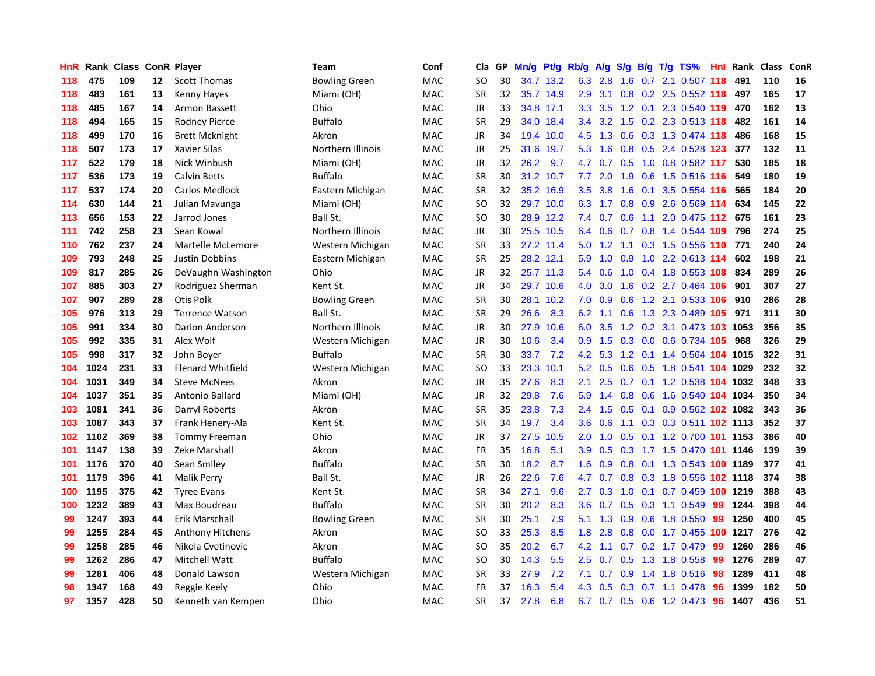| HnR | Rank |     |    | <b>Class ConR Player</b> | Team                 | Conf       | Cla       | GP | Mn/g | <b>Pt/g</b> | Rb/g             | A/g |                  |  | S/g B/g T/g TS%            | <b>Hnl</b> | Rank | <b>Class</b> | ConR |
|-----|------|-----|----|--------------------------|----------------------|------------|-----------|----|------|-------------|------------------|-----|------------------|--|----------------------------|------------|------|--------------|------|
| 118 | 475  | 109 | 12 | <b>Scott Thomas</b>      | <b>Bowling Green</b> | MAC        | <b>SO</b> | 30 | 34.7 | 13.2        | 6.3              | 2.8 | 1.6              |  | 0.7 2.1 0.507 118          |            | 491  | 110          | 16   |
| 118 | 483  | 161 | 13 | Kenny Hayes              | Miami (OH)           | <b>MAC</b> | <b>SR</b> | 32 |      | 35.7 14.9   | 2.9              | 3.1 |                  |  | 0.8 0.2 2.5 0.552 118      |            | 497  | 165          | 17   |
| 118 | 485  | 167 | 14 | Armon Bassett            | Ohio                 | <b>MAC</b> | <b>JR</b> | 33 |      | 34.8 17.1   | 3.3              | 3.5 |                  |  | 1.2 0.1 2.3 0.540 119 470  |            |      | 162          | 13   |
| 118 | 494  | 165 | 15 | Rodney Pierce            | <b>Buffalo</b>       | <b>MAC</b> | <b>SR</b> | 29 |      | 34.0 18.4   | $3.4^{\circ}$    | 3.2 |                  |  | 1.5 0.2 2.3 0.513 118      |            | 482  | 161          | 14   |
| 118 | 499  | 170 | 16 | <b>Brett Mcknight</b>    | Akron                | <b>MAC</b> | JR        | 34 |      | 19.4 10.0   | 4.5              | 1.3 | 0.6              |  | 0.3 1.3 0.474 118          |            | 486  | 168          | 15   |
| 118 | 507  | 173 | 17 | Xavier Silas             | Northern Illinois    | <b>MAC</b> | JR        | 25 | 31.6 | 19.7        | 5.3              | 1.6 | 0.8              |  | 0.5 2.4 0.528 123          |            | 377  | 132          | 11   |
| 117 | 522  | 179 | 18 | Nick Winbush             | Miami (OH)           | <b>MAC</b> | JR        | 32 | 26.2 | 9.7         | 4.7              | 0.7 | 0.5              |  | 1.0 0.8 0.582 117          |            | 530  | 185          | 18   |
| 117 | 536  | 173 | 19 | <b>Calvin Betts</b>      | <b>Buffalo</b>       | <b>MAC</b> | <b>SR</b> | 30 | 31.2 | 10.7        | 7.7              | 2.0 | 1.9              |  | 0.6 1.5 0.516 116          |            | 549  | 180          | 19   |
| 117 | 537  | 174 | 20 | Carlos Medlock           | Eastern Michigan     | <b>MAC</b> | <b>SR</b> | 32 |      | 35.2 16.9   | $3.5^{\circ}$    | 3.8 | 1.6              |  | $0.1$ 3.5 0.554 116        |            | 565  | 184          | 20   |
| 114 | 630  | 144 | 21 | Julian Mavunga           | Miami (OH)           | <b>MAC</b> | SO        | 32 |      | 29.7 10.0   | 6.3              | 1.7 |                  |  | $0.8$ 0.9 2.6 0.569 114    |            | 634  | 145          | 22   |
| 113 | 656  | 153 | 22 | Jarrod Jones             | Ball St.             | <b>MAC</b> | SO        | 30 |      | 28.9 12.2   | 7.4              | 0.7 |                  |  | 0.6 1.1 2.0 0.475 112 675  |            |      | 161          | 23   |
| 111 | 742  | 258 | 23 | Sean Kowal               | Northern Illinois    | <b>MAC</b> | JR        | 30 |      | 25.5 10.5   | 6.4              | 0.6 |                  |  | 0.7 0.8 1.4 0.544 109 796  |            |      | 274          | 25   |
| 110 | 762  | 237 | 24 | Martelle McLemore        | Western Michigan     | MAC        | <b>SR</b> | 33 |      | 27.2 11.4   | 5.0              | 1.2 |                  |  | 1.1 0.3 1.5 0.556 110 771  |            |      | 240          | 24   |
| 109 | 793  | 248 | 25 | <b>Justin Dobbins</b>    | Eastern Michigan     | MAC        | <b>SR</b> | 25 |      | 28.2 12.1   | 5.9              | 1.0 | 0.9              |  | 1.0 2.2 0.613 114          |            | 602  | 198          | 21   |
| 109 | 817  | 285 | 26 | DeVaughn Washington      | Ohio                 | MAC        | JR        | 32 |      | 25.7 11.3   | 5.4              | 0.6 |                  |  | 1.0 0.4 1.8 0.553 108      |            | 834  | 289          | 26   |
| 107 | 885  | 303 | 27 | Rodriguez Sherman        | Kent St.             | <b>MAC</b> | JR        | 34 |      | 29.7 10.6   | 4.0              | 3.0 | 1.6              |  | 0.2 2.7 0.464 106          |            | 901  | 307          | 27   |
| 107 | 907  | 289 | 28 | Otis Polk                | <b>Bowling Green</b> | MAC        | <b>SR</b> | 30 | 28.1 | 10.2        | 7.0              | 0.9 | 0.6              |  | 1.2 2.1 0.533 106          |            | 910  | 286          | 28   |
| 105 | 976  | 313 | 29 | <b>Terrence Watson</b>   | Ball St.             | <b>MAC</b> | <b>SR</b> | 29 | 26.6 | 8.3         | 6.2              | 1.1 | 0.6              |  | 1.3 2.3 0.489 105          |            | 971  | 311          | 30   |
| 105 | 991  | 334 | 30 | Darion Anderson          | Northern Illinois    | MAC        | JR        | 30 | 27.9 | 10.6        | 6.0              | 3.5 |                  |  | 1.2 0.2 3.1 0.473 103 1053 |            |      | 356          | 35   |
| 105 | 992  | 335 | 31 | Alex Wolf                | Western Michigan     | MAC        | JR        | 30 | 10.6 | 3.4         | 0.9              | 1.5 |                  |  | 0.3 0.0 0.6 0.734 105      |            | 968  | 326          | 29   |
| 105 | 998  | 317 | 32 | John Boyer               | <b>Buffalo</b>       | MAC        | <b>SR</b> | 30 | 33.7 | 7.2         | 4.2              | 5.3 |                  |  | 1.2 0.1 1.4 0.564 104 1015 |            |      | 322          | 31   |
| 104 | 1024 | 231 | 33 | <b>Flenard Whitfield</b> | Western Michigan     | MAC        | <b>SO</b> | 33 | 23.3 | 10.1        | 5.2              | 0.5 | 0.6              |  | 0.5 1.8 0.541 104 1029     |            |      | 232          | 32   |
| 104 | 1031 | 349 | 34 | <b>Steve McNees</b>      | Akron                | MAC        | JR        | 35 | 27.6 | 8.3         | 2.1              | 2.5 |                  |  | 0.7 0.1 1.2 0.538 104 1032 |            |      | 348          | 33   |
| 104 | 1037 | 351 | 35 | Antonio Ballard          | Miami (OH)           | MAC        | JR        | 32 | 29.8 | 7.6         | 5.9              | 1.4 | 0.8              |  | 0.6 1.6 0.540              | 104        | 1034 | 350          | 34   |
| 103 | 1081 | 341 | 36 | Darryl Roberts           | Akron                | MAC        | <b>SR</b> | 35 | 23.8 | 7.3         | 2.4              | 1.5 | 0.5              |  | 0.1 0.9 0.562 102 1082     |            |      | 343          | 36   |
| 103 | 1087 | 343 | 37 | Frank Henery-Ala         | Kent St.             | MAC        | <b>SR</b> | 34 | 19.7 | 3.4         | 3.6              | 0.6 | 1.1              |  | 0.3 0.3 0.511 102 1113     |            |      | 352          | 37   |
| 102 | 1102 | 369 | 38 | <b>Tommy Freeman</b>     | Ohio                 | MAC        | JR        | 37 | 27.5 | 10.5        | 2.0              | 1.0 |                  |  | 0.5 0.1 1.2 0.700 101 1153 |            |      | 386          | 40   |
| 101 | 1147 | 138 | 39 | Zeke Marshall            | Akron                | <b>MAC</b> | <b>FR</b> | 35 | 16.8 | 5.1         | 3.9 <sup>°</sup> | 0.5 |                  |  | 0.3 1.7 1.5 0.470 101 1146 |            |      | 139          | 39   |
| 101 | 1176 | 370 | 40 | Sean Smiley              | <b>Buffalo</b>       | <b>MAC</b> | <b>SR</b> | 30 | 18.2 | 8.7         | 1.6              | 0.9 |                  |  | 0.8 0.1 1.3 0.543 100 1189 |            |      | 377          | 41   |
| 101 | 1179 | 396 | 41 | <b>Malik Perry</b>       | Ball St.             | <b>MAC</b> | <b>JR</b> | 26 | 22.6 | 7.6         | 4.7              | 0.7 |                  |  | 0.8 0.3 1.8 0.556 102 1118 |            |      | 374          | 38   |
| 100 | 1195 | 375 | 42 | <b>Tyree Evans</b>       | Kent St.             | <b>MAC</b> | <b>SR</b> | 34 | 27.1 | 9.6         | 2.7              | 0.3 | 1.0              |  | 0.1 0.7 0.459 100 1219     |            |      | 388          | 43   |
| 100 | 1232 | 389 | 43 | Max Boudreau             | <b>Buffalo</b>       | <b>MAC</b> | <b>SR</b> | 30 | 20.2 | 8.3         | 3.6              | 0.7 | 0.5              |  | 0.3 1.1 0.549              | -99        | 1244 | 398          | 44   |
| 99  | 1247 | 393 | 44 | Erik Marschall           | <b>Bowling Green</b> | <b>MAC</b> | <b>SR</b> | 30 | 25.1 | 7.9         | 5.1              | 1.3 | 0.9 <sub>0</sub> |  | 0.6 1.8 0.550              | -99        | 1250 | 400          | 45   |
| 99  | 1255 | 284 | 45 | <b>Anthony Hitchens</b>  | Akron                | <b>MAC</b> | SO        | 33 | 25.3 | 8.5         | 1.8              | 2.8 | 0.8              |  | 0.0 1.7 0.455 100 1217     |            |      | 276          | 42   |
| 99  | 1258 | 285 | 46 | Nikola Cvetinovic        | Akron                | <b>MAC</b> | <b>SO</b> | 35 | 20.2 | 6.7         | 4.2              | 1.1 | 0.7              |  | 0.2 1.7 0.479              | -99        | 1260 | 286          | 46   |
| 99  | 1262 | 286 | 47 | Mitchell Watt            | <b>Buffalo</b>       | <b>MAC</b> | SO        | 30 | 14.3 | 5.5         | $2.5^{\circ}$    | 0.7 | 0.5              |  | 1.3 1.8 0.558 99           |            | 1276 | 289          | 47   |
| 99  | 1281 | 406 | 48 | Donald Lawson            | Western Michigan     | <b>MAC</b> | <b>SR</b> | 33 | 27.9 | 7.2         | 7.1              | 0.7 | 0.9              |  | 1.4 1.8 0.516 98           |            | 1289 | 411          | 48   |
| 98  | 1347 | 168 | 49 | Reggie Keely             | Ohio                 | MAC        | FR        | 37 | 16.3 | 5.4         | 4.3              | 0.5 |                  |  | $0.3$ 0.7 1.1 0.478        | -96        | 1399 | 182          | 50   |
| 97  | 1357 | 428 | 50 | Kenneth van Kempen       | Ohio                 | <b>MAC</b> | <b>SR</b> | 37 | 27.8 | 6.8         | 6.7              |     |                  |  | 0.7 0.5 0.6 1.2 0.473      | 96         | 1407 | 436          | 51   |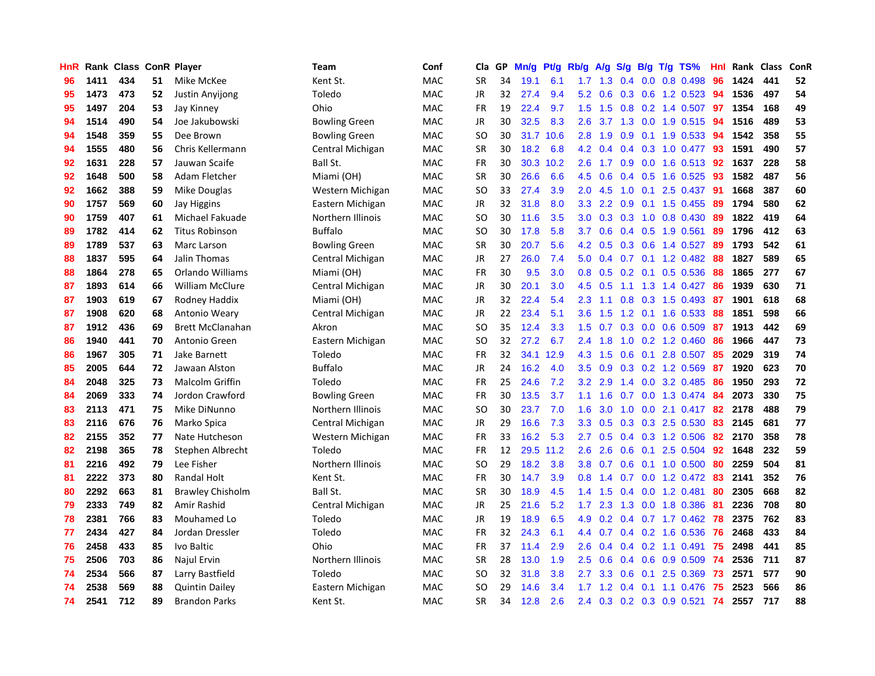| HnR |      | Rank Class |    | <b>ConR Player</b>      | Team                 | Conf       | Cla           | <b>GP</b> | Mn/g | <b>Pt/g</b> | Rb/g             | A/g           | S/g              |     | B/g T/g TS%               | Hnl | Rank    | <b>Class</b> | ConR |
|-----|------|------------|----|-------------------------|----------------------|------------|---------------|-----------|------|-------------|------------------|---------------|------------------|-----|---------------------------|-----|---------|--------------|------|
| 96  | 1411 | 434        | 51 | Mike McKee              | Kent St.             | <b>MAC</b> | <b>SR</b>     | 34        | 19.1 | 6.1         | $1.7^{\circ}$    | $-1.3$        |                  |     | $0.4$ 0.0 0.8 0.498       | 96  | 1424    | 441          | 52   |
| 95  | 1473 | 473        | 52 | <b>Justin Anyijong</b>  | Toledo               | <b>MAC</b> | <b>JR</b>     | 32        | 27.4 | 9.4         | 5.2              | 0.6           |                  |     | 0.3 0.6 1.2 0.523 94      |     | 1536    | 497          | 54   |
| 95  | 1497 | 204        | 53 | Jay Kinney              | Ohio                 | <b>MAC</b> | <b>FR</b>     | 19        | 22.4 | 9.7         | $1.5^{\circ}$    | 1.5           |                  |     | 0.8 0.2 1.4 0.507 97      |     | 1354    | 168          | 49   |
| 94  | 1514 | 490        | 54 | Joe Jakubowski          | <b>Bowling Green</b> | MAC        | JR            | 30        | 32.5 | 8.3         | 2.6              |               |                  |     | 3.7 1.3 0.0 1.9 0.515     | -94 | 1516    | 489          | 53   |
| 94  | 1548 | 359        | 55 | Dee Brown               | <b>Bowling Green</b> | <b>MAC</b> | <sub>SO</sub> | 30        | 31.7 | 10.6        | 2.8              | 1.9           | 0.9 <sub>0</sub> |     | $0.1$ 1.9 0.533           | 94  | 1542    | 358          | 55   |
| 94  | 1555 | 480        | 56 | Chris Kellermann        | Central Michigan     | MAC        | SR            | 30        | 18.2 | 6.8         | 4.2              | 0.4           |                  |     | $0.4$ 0.3 1.0 0.477       | 93  | 1591    | 490          | 57   |
| 92  | 1631 | 228        | 57 | Jauwan Scaife           | Ball St.             | <b>MAC</b> | <b>FR</b>     | 30        | 30.3 | 10.2        | 2.6              | 1.7           | 0.9 <sup>°</sup> |     | $0.0$ 1.6 0.513           | 92  | 1637    | 228          | 58   |
| 92  | 1648 | 500        | 58 | Adam Fletcher           | Miami (OH)           | <b>MAC</b> | <b>SR</b>     | 30        | 26.6 | 6.6         | 4.5              | 0.6           |                  |     | 0.4 0.5 1.6 0.525         | 93  | 1582    | 487          | 56   |
| 92  | 1662 | 388        | 59 | Mike Douglas            | Western Michigan     | <b>MAC</b> | <sub>SO</sub> | 33        | 27.4 | 3.9         | 2.0              | 4.5           | 1.0              | 0.1 | 2.5 0.437                 | 91  | 1668    | 387          | 60   |
| 90  | 1757 | 569        | 60 | <b>Jay Higgins</b>      | Eastern Michigan     | MAC        | JR            | 32        | 31.8 | 8.0         | 3.3              | $2.2^{\circ}$ |                  |     | 0.9 0.1 1.5 0.455 89      |     | 1794    | 580          | 62   |
| 90  | 1759 | 407        | 61 | Michael Fakuade         | Northern Illinois    | <b>MAC</b> | <sub>SO</sub> | 30        | 11.6 | 3.5         | 3.0 <sub>2</sub> |               |                  |     | 0.3 0.3 1.0 0.8 0.430 89  |     | 1822    | 419          | 64   |
| 89  | 1782 | 414        | 62 | <b>Titus Robinson</b>   | Buffalo              | <b>MAC</b> | SO            | 30        | 17.8 | 5.8         | 3.7              | 0.6           |                  |     | $0.4$ 0.5 1.9 0.561       | -89 | 1796    | 412          | 63   |
| 89  | 1789 | 537        | 63 | Marc Larson             | <b>Bowling Green</b> | <b>MAC</b> | <b>SR</b>     | 30        | 20.7 | 5.6         | 4.2              | 0.5           |                  |     | 0.3 0.6 1.4 0.527         | 89  | 1793    | 542          | 61   |
| 88  | 1837 | 595        | 64 | Jalin Thomas            | Central Michigan     | <b>MAC</b> | JR            | 27        | 26.0 | 7.4         | 5.0              | 0.4           |                  |     | $0.7$ $0.1$ $1.2$ $0.482$ | -88 | 1827    | 589          | 65   |
| 88  | 1864 | 278        | 65 | Orlando Williams        | Miami (OH)           | <b>MAC</b> | <b>FR</b>     | 30        | 9.5  | 3.0         | 0.8              | 0.5           |                  |     | $0.2$ 0.1 0.5 0.536       | 88  | 1865    | 277          | 67   |
| 87  | 1893 | 614        | 66 | <b>William McClure</b>  | Central Michigan     | <b>MAC</b> | JR            | 30        | 20.1 | 3.0         | 4.5              | 0.5           |                  |     | $1.1$ $1.3$ $1.4$ $0.427$ | -86 | 1939    | 630          | 71   |
| 87  | 1903 | 619        | 67 | Rodney Haddix           | Miami (OH)           | <b>MAC</b> | JR            | 32        | 22.4 | 5.4         | 2.3              | 1.1           | 0.8              |     | 0.3 1.5 0.493             | -87 | 1901    | 618          | 68   |
| 87  | 1908 | 620        | 68 | Antonio Weary           | Central Michigan     | <b>MAC</b> | JR            | 22        | 23.4 | 5.1         | 3.6              | 1.5           | 1.2              |     | $0.1$ 1.6 0.533           | -88 | 1851    | 598          | 66   |
| 87  | 1912 | 436        | 69 | <b>Brett McClanahan</b> | Akron                | <b>MAC</b> | SO            | 35        | 12.4 | 3.3         | 1.5              | 0.7           |                  |     | $0.3$ 0.0 0.6 0.509       | -87 | 1913    | 442          | 69   |
| 86  | 1940 | 441        | 70 | Antonio Green           | Eastern Michigan     | <b>MAC</b> | <sub>SO</sub> | 32        | 27.2 | 6.7         | 2.4              | 1.8           |                  |     | $1.0$ 0.2 1.2 0.460       | -86 | 1966    | 447          | 73   |
| 86  | 1967 | 305        | 71 | Jake Barnett            | Toledo               | MAC        | <b>FR</b>     | 32        | 34.1 | 12.9        | 4.3              | 1.5           |                  |     | $0.6$ 0.1 2.8 0.507       | -85 | 2029    | 319          | 74   |
| 85  | 2005 | 644        | 72 | Jawaan Alston           | <b>Buffalo</b>       | MAC        | <b>JR</b>     | 24        | 16.2 | 4.0         | 3.5              | 0.9           |                  |     | 0.3 0.2 1.2 0.569         | 87  | 1920    | 623          | 70   |
| 84  | 2048 | 325        | 73 | <b>Malcolm Griffin</b>  | Toledo               | <b>MAC</b> | <b>FR</b>     | 25        | 24.6 | 7.2         | 3.2              | 2.9           |                  |     | 1.4 0.0 3.2 0.485         | 86  | 1950    | 293          | 72   |
| 84  | 2069 | 333        | 74 | Jordon Crawford         | <b>Bowling Green</b> | <b>MAC</b> | <b>FR</b>     | 30        | 13.5 | 3.7         | 1.1              | 1.6           | 0.7              |     | 0.0 1.3 0.474             | -84 | 2073    | 330          | 75   |
| 83  | 2113 | 471        | 75 | Mike DiNunno            | Northern Illinois    | <b>MAC</b> | <sub>SO</sub> | 30        | 23.7 | 7.0         | 1.6              | 3.0           | 1.0              |     | $0.0$ 2.1 $0.417$         | 82  | 2178    | 488          | 79   |
| 83  | 2116 | 676        | 76 | Marko Spica             | Central Michigan     | <b>MAC</b> | JR            | 29        | 16.6 | 7.3         | 3.3              | 0.5           |                  |     | 0.3 0.3 2.5 0.530         | 83  | 2145    | 681          | 77   |
| 82  | 2155 | 352        | 77 | Nate Hutcheson          | Western Michigan     | <b>MAC</b> | <b>FR</b>     | 33        | 16.2 | 5.3         | 2.7              | 0.5           |                  |     | $0.4$ 0.3 1.2 0.506       |     | 82 2170 | 358          | 78   |
| 82  | 2198 | 365        | 78 | Stephen Albrecht        | Toledo               | <b>MAC</b> | <b>FR</b>     | 12        | 29.5 | 11.2        | 2.6              | 2.6           |                  |     | 0.6 0.1 2.5 0.504 92      |     | 1648    | 232          | 59   |
| 81  | 2216 | 492        | 79 | Lee Fisher              | Northern Illinois    | <b>MAC</b> | SO            | 29        | 18.2 | 3.8         | 3.8 <sub>2</sub> | 0.7           |                  |     | $0.6$ 0.1 1.0 0.500       | -80 | 2259    | 504          | 81   |
| 81  | 2222 | 373        | 80 | Randal Holt             | Kent St.             | <b>MAC</b> | FR            | 30        | 14.7 | 3.9         | 0.8              | 1.4           |                  |     | 0.7 0.0 1.2 0.472 83      |     | 2141    | 352          | 76   |
| 80  | 2292 | 663        | 81 | <b>Brawley Chisholm</b> | Ball St.             | <b>MAC</b> | <b>SR</b>     | 30        | 18.9 | 4.5         | 1.4              | 1.5           | 0.4              |     | 0.0 1.2 0.481             | 80  | 2305    | 668          | 82   |
| 79  | 2333 | 749        | 82 | Amir Rashid             | Central Michigan     | <b>MAC</b> | JR            | 25        | 21.6 | 5.2         | 1.7 <sub>z</sub> | 2.3           | 1.3              |     | 0.0 1.8 0.386             | -81 | 2236    | 708          | 80   |
| 78  | 2381 | 766        | 83 | Mouhamed Lo             | Toledo               | <b>MAC</b> | <b>JR</b>     | 19        | 18.9 | 6.5         | 4.9              | 0.2           |                  |     | $0.4$ 0.7 1.7 0.462       | 78  | 2375    | 762          | 83   |
| 77  | 2434 | 427        | 84 | Jordan Dressler         | Toledo               | <b>MAC</b> | <b>FR</b>     | 32        | 24.3 | 6.1         | 4.4              | 0.7           |                  |     | 0.4 0.2 1.6 0.536         | -76 | 2468    | 433          | 84   |
| 76  | 2458 | 433        | 85 | Ivo Baltic              | Ohio                 | <b>MAC</b> | <b>FR</b>     | 37        | 11.4 | 2.9         | 2.6              | 0.4           |                  |     | $0.4$ 0.2 1.1 0.491       | 75  | 2498    | 441          | 85   |
| 75  | 2506 | 703        | 86 | Najul Ervin             | Northern Illinois    | <b>MAC</b> | <b>SR</b>     | 28        | 13.0 | 1.9         | 2.5              | 0.6           |                  |     | $0.4$ 0.6 0.9 0.509       | -74 | 2536    | 711          | 87   |
| 74  | 2534 | 566        | 87 | Larry Bastfield         | Toledo               | <b>MAC</b> | SO            | 32        | 31.8 | 3.8         | 2.7              | 3.3           |                  |     | $0.6$ $0.1$ $2.5$ $0.369$ | -73 | 2571    | 577          | 90   |
| 74  | 2538 | 569        | 88 | <b>Quintin Dailey</b>   | Eastern Michigan     | MAC        | SO            | 29        | 14.6 | 3.4         | 1.7              | 1.2           |                  |     | $0.4$ 0.1 1.1 0.476       | -75 | 2523    | 566          | 86   |
| 74  | 2541 | 712        | 89 | <b>Brandon Parks</b>    | Kent St.             | <b>MAC</b> | <b>SR</b>     | 34        | 12.8 | 2.6         | $2.4^{\circ}$    |               |                  |     | $0.3$ 0.2 0.3 0.9 0.521   | 74  | 2557    | 717          | 88   |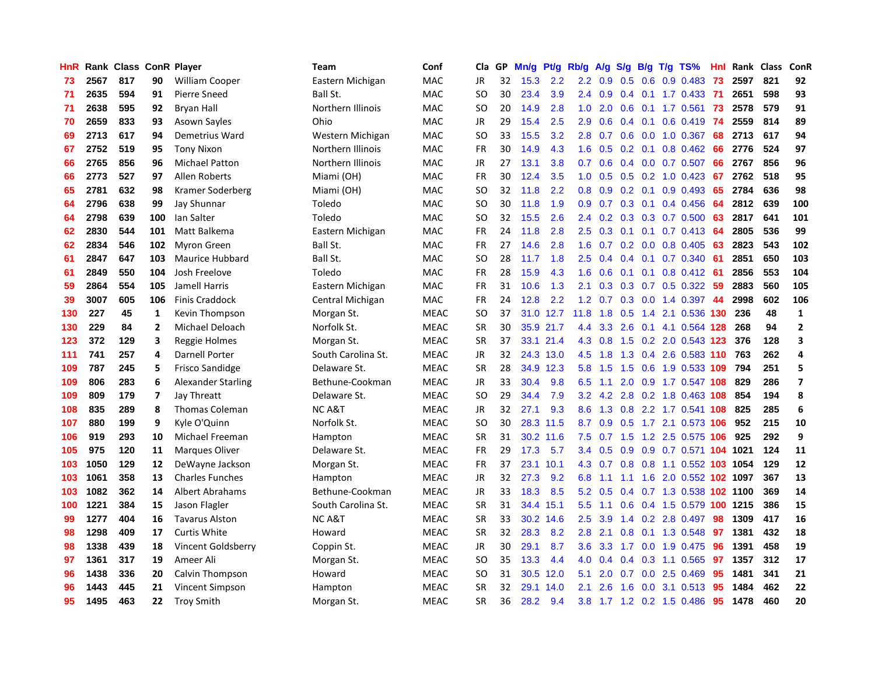| HnR |      | Rank Class ConR Player |                |                        | <b>Team</b>        | Conf        | Cla       | <b>GP</b> | Mn/g | <b>Pt/g</b> | Rb/g             | A/g | S/g |  | B/g T/g TS%                   | Hnl | Rank | Class | ConR                    |
|-----|------|------------------------|----------------|------------------------|--------------------|-------------|-----------|-----------|------|-------------|------------------|-----|-----|--|-------------------------------|-----|------|-------|-------------------------|
| 73  | 2567 | 817                    | 90             | <b>William Cooper</b>  | Eastern Michigan   | <b>MAC</b>  | JR        | 32        | 15.3 | 2.2         | 2.2              | 0.9 | 0.5 |  | $0.6$ 0.9 0.483               | 73  | 2597 | 821   | 92                      |
| 71  | 2635 | 594                    | 91             | Pierre Sneed           | Ball St.           | MAC         | <b>SO</b> | 30        | 23.4 | 3.9         | $2.4^{\circ}$    | 0.9 |     |  | 0.4 0.1 1.7 0.433 71          |     | 2651 | 598   | 93                      |
| 71  | 2638 | 595                    | 92             | <b>Bryan Hall</b>      | Northern Illinois  | MAC         | <b>SO</b> | 20        | 14.9 | 2.8         | 1.0              | 2.0 |     |  | 0.6 0.1 1.7 0.561 73          |     | 2578 | 579   | 91                      |
| 70  | 2659 | 833                    | 93             | Asown Sayles           | Ohio               | MAC         | JR        | 29        | 15.4 | 2.5         | 2.9              | 0.6 |     |  | $0.4$ 0.1 0.6 0.419           | -74 | 2559 | 814   | 89                      |
| 69  | 2713 | 617                    | 94             | Demetrius Ward         | Western Michigan   | MAC         | <b>SO</b> | 33        | 15.5 | 3.2         | 2.8              | 0.7 | 0.6 |  | 0.0 1.0 0.367                 | 68  | 2713 | 617   | 94                      |
| 67  | 2752 | 519                    | 95             | <b>Tony Nixon</b>      | Northern Illinois  | MAC         | FR        | 30        | 14.9 | 4.3         | 1.6              | 0.5 |     |  | $0.2$ 0.1 0.8 0.462           | 66  | 2776 | 524   | 97                      |
| 66  | 2765 | 856                    | 96             | <b>Michael Patton</b>  | Northern Illinois  | MAC         | JR        | 27        | 13.1 | 3.8         | 0.7              | 0.6 |     |  | 0.4 0.0 0.7 0.507             | 66  | 2767 | 856   | 96                      |
| 66  | 2773 | 527                    | 97             | Allen Roberts          | Miami (OH)         | <b>MAC</b>  | FR        | 30        | 12.4 | 3.5         | 1.0              | 0.5 |     |  | 0.5 0.2 1.0 0.423             | 67  | 2762 | 518   | 95                      |
| 65  | 2781 | 632                    | 98             | Kramer Soderberg       | Miami (OH)         | <b>MAC</b>  | <b>SO</b> | 32        | 11.8 | 2.2         | 0.8              | 0.9 |     |  | $0.2$ 0.1 0.9 0.493           | 65  | 2784 | 636   | 98                      |
| 64  | 2796 | 638                    | 99             | Jay Shunnar            | Toledo             | MAC         | <b>SO</b> | 30        | 11.8 | 1.9         | 0.9 <sub>0</sub> | 0.7 |     |  | $0.3$ 0.1 0.4 0.456           | -64 | 2812 | 639   | 100                     |
| 64  | 2798 | 639                    | 100            | Ian Salter             | Toledo             | MAC         | <b>SO</b> | 32        | 15.5 | 2.6         | $2.4^{\circ}$    | 0.2 |     |  | 0.3 0.3 0.7 0.500 63          |     | 2817 | 641   | 101                     |
| 62  | 2830 | 544                    | 101            | Matt Balkema           | Eastern Michigan   | MAC         | FR        | 24        | 11.8 | 2.8         | 2.5              | 0.3 |     |  | $0.1$ 0.1 0.7 0.413           | -64 | 2805 | 536   | 99                      |
| 62  | 2834 | 546                    | 102            | <b>Myron Green</b>     | Ball St.           | MAC         | <b>FR</b> | 27        | 14.6 | 2.8         | 1.6              | 0.7 |     |  | $0.2$ 0.0 0.8 0.405           | 63  | 2823 | 543   | 102                     |
| 61  | 2847 | 647                    | 103            | Maurice Hubbard        | Ball St.           | MAC         | <b>SO</b> | 28        | 11.7 | 1.8         | 2.5              | 0.4 |     |  | $0.4$ 0.1 0.7 0.340           | -61 | 2851 | 650   | 103                     |
| 61  | 2849 | 550                    | 104            | Josh Freelove          | Toledo             | MAC         | <b>FR</b> | 28        | 15.9 | 4.3         | 1.6              | 0.6 |     |  | 0.1 0.1 0.8 0.412 61          |     | 2856 | 553   | 104                     |
| 59  | 2864 | 554                    | 105            | Jamell Harris          | Eastern Michigan   | MAC         | FR        | 31        | 10.6 | 1.3         | 2.1              | 0.3 | 0.3 |  | $0.7$ $0.5$ $0.322$           | -59 | 2883 | 560   | 105                     |
| 39  | 3007 | 605                    | 106            | <b>Finis Craddock</b>  | Central Michigan   | MAC         | <b>FR</b> | 24        | 12.8 | 2.2         | 1.2              | 0.7 | 0.3 |  | 0.0 1.4 0.397                 | 44  | 2998 | 602   | 106                     |
| 130 | 227  | 45                     | 1              | Kevin Thompson         | Morgan St.         | <b>MEAC</b> | <b>SO</b> | 37        |      | 31.0 12.7   | 11.8             | 1.8 | 0.5 |  | 1.4 2.1 0.536 130             |     | 236  | 48    | $\mathbf 1$             |
| 130 | 229  | 84                     | $\overline{2}$ | Michael Deloach        | Norfolk St.        | <b>MEAC</b> | <b>SR</b> | 30        |      | 35.9 21.7   | 4.4              |     |     |  | 3.3 2.6 0.1 4.1 0.564 128     |     | 268  | 94    | $\overline{2}$          |
| 123 | 372  | 129                    | 3              | Reggie Holmes          | Morgan St.         | <b>MEAC</b> | <b>SR</b> | 37        |      | 33.1 21.4   | 4.3              | 0.8 |     |  | 1.5 0.2 2.0 0.543 123         |     | 376  | 128   | $\overline{\mathbf{3}}$ |
| 111 | 741  | 257                    | 4              | <b>Darnell Porter</b>  | South Carolina St. | <b>MEAC</b> | <b>JR</b> | 32        |      | 24.3 13.0   | 4.5              | 1.8 | 1.3 |  | 0.4 2.6 0.583 110 763         |     |      | 262   | $\overline{4}$          |
| 109 | 787  | 245                    | 5              | <b>Frisco Sandidge</b> | Delaware St.       | <b>MEAC</b> | <b>SR</b> | 28        | 34.9 | 12.3        | 5.8              | 1.5 | 1.5 |  | 0.6 1.9 0.533 109             |     | 794  | 251   | 5                       |
| 109 | 806  | 283                    | 6              | Alexander Starling     | Bethune-Cookman    | <b>MEAC</b> | JR        | 33        | 30.4 | 9.8         | 6.5              | 1.1 |     |  | 2.0 0.9 1.7 0.547 108         |     | 829  | 286   | $\overline{\mathbf{z}}$ |
| 109 | 809  | 179                    | $\overline{7}$ | Jay Threatt            | Delaware St.       | <b>MEAC</b> | <b>SO</b> | 29        | 34.4 | 7.9         | 3.2              | 4.2 | 2.8 |  | 0.2 1.8 0.463 108             |     | 854  | 194   | 8                       |
| 108 | 835  | 289                    | 8              | <b>Thomas Coleman</b>  | <b>NCA&amp;T</b>   | <b>MEAC</b> | JR        | 32        | 27.1 | 9.3         | 8.6              | 1.3 | 0.8 |  | 2.2 1.7 0.541 108             |     | 825  | 285   | 6                       |
| 107 | 880  | 199                    | 9              | Kyle O'Quinn           | Norfolk St.        | <b>MEAC</b> | <b>SO</b> | 30        |      | 28.3 11.5   | 8.7              | 0.9 |     |  | 0.5 1.7 2.1 0.573 106         |     | 952  | 215   | 10                      |
| 106 | 919  | 293                    | 10             | Michael Freeman        | Hampton            | <b>MEAC</b> | <b>SR</b> | 31        |      | 30.2 11.6   | 7.5              |     |     |  | 0.7 1.5 1.2 2.5 0.575 106 925 |     |      | 292   | 9                       |
| 105 | 975  | 120                    | 11             | <b>Marques Oliver</b>  | Delaware St.       | <b>MEAC</b> | <b>FR</b> | 29        | 17.3 | 5.7         | $3.4^{\circ}$    | 0.5 |     |  | 0.9 0.9 0.7 0.571 104 1021    |     |      | 124   | 11                      |
| 103 | 1050 | 129                    | 12             | DeWayne Jackson        | Morgan St.         | <b>MEAC</b> | FR        | 37        | 23.1 | 10.1        | 4.3              | 0.7 |     |  | 0.8 0.8 1.1 0.552 103 1054    |     |      | 129   | 12                      |
| 103 | 1061 | 358                    | 13             | <b>Charles Funches</b> | Hampton            | <b>MEAC</b> | <b>JR</b> | 32        | 27.3 | 9.2         | 6.8              | 1.1 | 1.1 |  | 1.6 2.0 0.552 102 1097        |     |      | 367   | 13                      |
| 103 | 1082 | 362                    | 14             | Albert Abrahams        | Bethune-Cookman    | <b>MEAC</b> | JR        | 33        | 18.3 | 8.5         | 5.2              | 0.5 |     |  | 0.4 0.7 1.3 0.538 102 1100    |     |      | 369   | 14                      |
| 100 | 1221 | 384                    | 15             | Jason Flagler          | South Carolina St. | <b>MEAC</b> | <b>SR</b> | 31        | 34.4 | 15.1        | 5.5              | 1.1 | 0.6 |  | 0.4 1.5 0.579 100             |     | 1215 | 386   | 15                      |
| 99  | 1277 | 404                    | 16             | <b>Tavarus Alston</b>  | <b>NCA&amp;T</b>   | <b>MEAC</b> | <b>SR</b> | 33        | 30.2 | 14.6        | 2.5              | 3.9 |     |  | 1.4 0.2 2.8 0.497             | 98  | 1309 | 417   | 16                      |
| 98  | 1298 | 409                    | 17             | <b>Curtis White</b>    | Howard             | <b>MEAC</b> | <b>SR</b> | 32        | 28.3 | 8.2         | 2.8              | 2.1 | 0.8 |  | 0.1 1.3 0.548                 | 97  | 1381 | 432   | 18                      |
| 98  | 1338 | 439                    | 18             | Vincent Goldsberry     | Coppin St.         | <b>MEAC</b> | JR        | 30        | 29.1 | 8.7         | 3.6              | 3.3 |     |  | 1.7 0.0 1.9 0.475             | 96  | 1391 | 458   | 19                      |
| 97  | 1361 | 317                    | 19             | Ameer Ali              | Morgan St.         | <b>MEAC</b> | <b>SO</b> | 35        | 13.3 | 4.4         | 4.0              | 0.4 |     |  | 0.4 0.3 1.1 0.565 97          |     | 1357 | 312   | 17                      |
| 96  | 1438 | 336                    | 20             | Calvin Thompson        | Howard             | <b>MEAC</b> | SO        | 31        | 30.5 | 12.0        | 5.1              | 2.0 |     |  | $0.7$ $0.0$ 2.5 $0.469$       | 95  | 1481 | 341   | 21                      |
| 96  | 1443 | 445                    | 21             | Vincent Simpson        | Hampton            | <b>MEAC</b> | <b>SR</b> | 32        | 29.1 | 14.0        | 2.1              | 2.6 | 1.6 |  | 0.0 3.1 0.513                 | 95  | 1484 | 462   | 22                      |
| 95  | 1495 | 463                    | 22             | <b>Troy Smith</b>      | Morgan St.         | <b>MEAC</b> | SR        | 36        | 28.2 | 9.4         | 3.8              |     |     |  | 1.7 1.2 0.2 1.5 0.486         | -95 | 1478 | 460   | 20                      |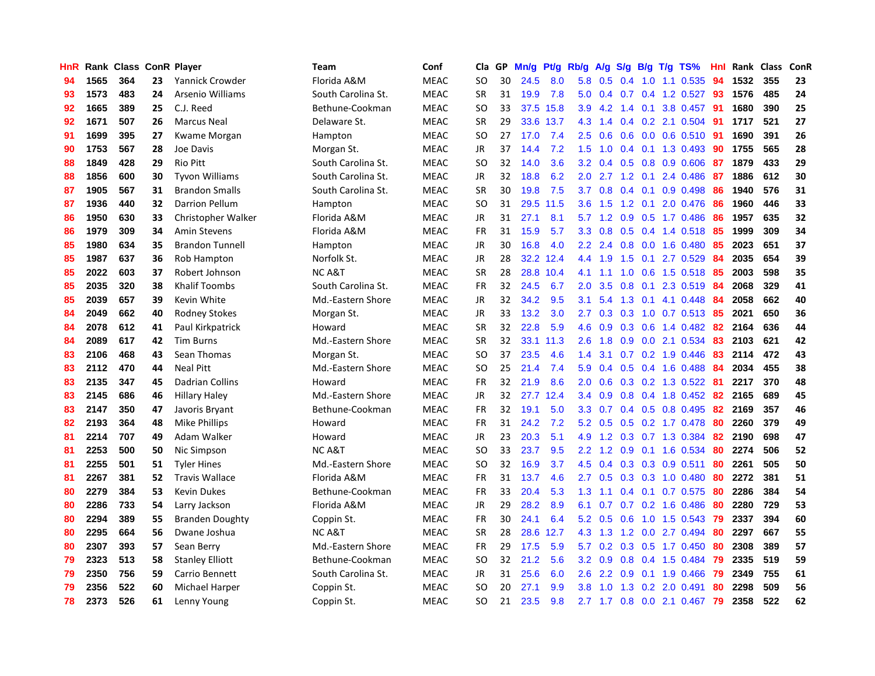| HnR |      | Rank Class ConR Player |    |                        | <b>Team</b>        | Conf        | Cla       | GP | Mn/g | <b>Pt/g</b> | Rb/g             | A/g           |     |               | $S/g$ B/g T/g TS%            | Hnl | Rank | Class | ConR |
|-----|------|------------------------|----|------------------------|--------------------|-------------|-----------|----|------|-------------|------------------|---------------|-----|---------------|------------------------------|-----|------|-------|------|
| 94  | 1565 | 364                    | 23 | Yannick Crowder        | Florida A&M        | <b>MEAC</b> | <b>SO</b> | 30 | 24.5 | 8.0         | 5.8              | 0.5           | 0.4 |               | 1.0 1.1 0.535                | 94  | 1532 | 355   | 23   |
| 93  | 1573 | 483                    | 24 | Arsenio Williams       | South Carolina St. | <b>MEAC</b> | <b>SR</b> | 31 | 19.9 | 7.8         |                  |               |     |               | 5.0 0.4 0.7 0.4 1.2 0.527 93 |     | 1576 | 485   | 24   |
| 92  | 1665 | 389                    | 25 | C.J. Reed              | Bethune-Cookman    | <b>MEAC</b> | <b>SO</b> | 33 |      | 37.5 15.8   | 3.9              |               |     |               | 4.2 1.4 0.1 3.8 0.457 91     |     | 1680 | 390   | 25   |
| 92  | 1671 | 507                    | 26 | <b>Marcus Neal</b>     | Delaware St.       | <b>MEAC</b> | <b>SR</b> | 29 | 33.6 | 13.7        | 4.3              | 1.4           |     |               | $0.4$ 0.2 2.1 0.504          | -91 | 1717 | 521   | 27   |
| 91  | 1699 | 395                    | 27 | Kwame Morgan           | Hampton            | MEAC        | <b>SO</b> | 27 | 17.0 | 7.4         | 2.5              | 0.6           | 0.6 |               | $0.0$ 0.6 0.510              | -91 | 1690 | 391   | 26   |
| 90  | 1753 | 567                    | 28 | Joe Davis              | Morgan St.         | <b>MEAC</b> | JR        | 37 | 14.4 | 7.2         | 1.5              | 1.0           |     |               | 0.4 0.1 1.3 0.493            | 90  | 1755 | 565   | 28   |
| 88  | 1849 | 428                    | 29 | Rio Pitt               | South Carolina St. | <b>MEAC</b> | <b>SO</b> | 32 | 14.0 | 3.6         | 3.2              | 0.4           |     |               | 0.5 0.8 0.9 0.606            | 87  | 1879 | 433   | 29   |
| 88  | 1856 | 600                    | 30 | <b>Tyvon Williams</b>  | South Carolina St. | <b>MEAC</b> | JR        | 32 | 18.8 | 6.2         | 2.0              |               |     | $2.7$ 1.2 0.1 | 2.4 0.486                    | -87 | 1886 | 612   | 30   |
| 87  | 1905 | 567                    | 31 | <b>Brandon Smalls</b>  | South Carolina St. | <b>MEAC</b> | <b>SR</b> | 30 | 19.8 | 7.5         | 3.7              | 0.8           |     |               | $0.4$ 0.1 0.9 0.498          | 86  | 1940 | 576   | 31   |
| 87  | 1936 | 440                    | 32 | <b>Darrion Pellum</b>  | Hampton            | <b>MEAC</b> | <b>SO</b> | 31 | 29.5 | 11.5        | 3.6              | 1.5           |     |               | 1.2 0.1 2.0 0.476 86         |     | 1960 | 446   | 33   |
| 86  | 1950 | 630                    | 33 | Christopher Walker     | Florida A&M        | <b>MEAC</b> | JR        | 31 | 27.1 | 8.1         |                  |               |     |               | 5.7 1.2 0.9 0.5 1.7 0.486 86 |     | 1957 | 635   | 32   |
| 86  | 1979 | 309                    | 34 | Amin Stevens           | Florida A&M        | <b>MEAC</b> | FR        | 31 | 15.9 | 5.7         | 3.3 <sub>2</sub> | 0.8           |     |               | 0.5 0.4 1.4 0.518 85         |     | 1999 | 309   | 34   |
| 85  | 1980 | 634                    | 35 | <b>Brandon Tunnell</b> | Hampton            | <b>MEAC</b> | <b>JR</b> | 30 | 16.8 | 4.0         | $2.2\phantom{0}$ | 2.4           | 0.8 |               | $0.0$ 1.6 $0.480$            | 85  | 2023 | 651   | 37   |
| 85  | 1987 | 637                    | 36 | Rob Hampton            | Norfolk St.        | <b>MEAC</b> | JR        | 28 | 32.2 | 12.4        | 4.4              | 1.9           | 1.5 |               | $0.1$ 2.7 0.529              | 84  | 2035 | 654   | 39   |
| 85  | 2022 | 603                    | 37 | Robert Johnson         | <b>NCA&amp;T</b>   | <b>MEAC</b> | <b>SR</b> | 28 | 28.8 | 10.4        | 4.1              | 1.1           | 1.0 |               | $0.6$ 1.5 $0.518$            | 85  | 2003 | 598   | 35   |
| 85  | 2035 | 320                    | 38 | <b>Khalif Toombs</b>   | South Carolina St. | <b>MEAC</b> | FR        | 32 | 24.5 | 6.7         | 2.0              | 3.5           | 0.8 | 0.1           | 2.3 0.519                    | -84 | 2068 | 329   | 41   |
| 85  | 2039 | 657                    | 39 | Kevin White            | Md.-Eastern Shore  | <b>MEAC</b> | <b>JR</b> | 32 | 34.2 | 9.5         | 3.1              | 5.4           | 1.3 |               | $0.1$ 4.1 $0.448$            | -84 | 2058 | 662   | 40   |
| 84  | 2049 | 662                    | 40 | <b>Rodney Stokes</b>   | Morgan St.         | <b>MEAC</b> | <b>JR</b> | 33 | 13.2 | 3.0         | 2.7              | 0.3           |     |               | 0.3 1.0 0.7 0.513 85         |     | 2021 | 650   | 36   |
| 84  | 2078 | 612                    | 41 | Paul Kirkpatrick       | Howard             | <b>MEAC</b> | <b>SR</b> | 32 | 22.8 | 5.9         | 4.6              | 0.9           |     |               | 0.3 0.6 1.4 0.482 82         |     | 2164 | 636   | 44   |
| 84  | 2089 | 617                    | 42 | <b>Tim Burns</b>       | Md.-Eastern Shore  | <b>MEAC</b> | <b>SR</b> | 32 | 33.1 | 11.3        | 2.6              | 1.8           |     |               | 0.9 0.0 2.1 0.534            | -83 | 2103 | 621   | 42   |
| 83  | 2106 | 468                    | 43 | Sean Thomas            | Morgan St.         | <b>MEAC</b> | <b>SO</b> | 37 | 23.5 | 4.6         | 1.4              | 3.1           |     |               | 0.7 0.2 1.9 0.446            | 83  | 2114 | 472   | 43   |
| 83  | 2112 | 470                    | 44 | <b>Neal Pitt</b>       | Md.-Eastern Shore  | <b>MEAC</b> | <b>SO</b> | 25 | 21.4 | 7.4         | 5.9              | 0.4           | 0.5 |               | 0.4 1.6 0.488                | -84 | 2034 | 455   | 38   |
| 83  | 2135 | 347                    | 45 | Dadrian Collins        | Howard             | <b>MEAC</b> | FR        | 32 | 21.9 | 8.6         | 2.0              | 0.6           |     |               | 0.3 0.2 1.3 0.522            | -81 | 2217 | 370   | 48   |
| 83  | 2145 | 686                    | 46 | <b>Hillary Haley</b>   | Md.-Eastern Shore  | <b>MEAC</b> | JR        | 32 | 27.7 | 12.4        | 3.4              | 0.9           | 0.8 |               | 0.4 1.8 0.452                | 82  | 2165 | 689   | 45   |
| 83  | 2147 | 350                    | 47 | Javoris Bryant         | Bethune-Cookman    | <b>MEAC</b> | FR        | 32 | 19.1 | 5.0         | 3.3              | 0.7           |     |               | 0.4 0.5 0.8 0.495            | 82  | 2169 | 357   | 46   |
| 82  | 2193 | 364                    | 48 | <b>Mike Phillips</b>   | Howard             | <b>MEAC</b> | <b>FR</b> | 31 | 24.2 | 7.2         | 5.2              | 0.5           |     |               | 0.5 0.2 1.7 0.478            | 80  | 2260 | 379   | 49   |
| 81  | 2214 | 707                    | 49 | Adam Walker            | Howard             | <b>MEAC</b> | JR        | 23 | 20.3 | 5.1         |                  |               |     |               | 4.9 1.2 0.3 0.7 1.3 0.384 82 |     | 2190 | 698   | 47   |
| 81  | 2253 | 500                    | 50 | Nic Simpson            | <b>NC A&amp;T</b>  | <b>MEAC</b> | <b>SO</b> | 33 | 23.7 | 9.5         | $2.2^{\circ}$    | 1.2           |     |               | 0.9 0.1 1.6 0.534            | -80 | 2274 | 506   | 52   |
| 81  | 2255 | 501                    | 51 | <b>Tyler Hines</b>     | Md.-Eastern Shore  | <b>MEAC</b> | <b>SO</b> | 32 | 16.9 | 3.7         | 4.5              | 0.4           |     |               | 0.3 0.3 0.9 0.511            | 80  | 2261 | 505   | 50   |
| 81  | 2267 | 381                    | 52 | <b>Travis Wallace</b>  | Florida A&M        | <b>MEAC</b> | <b>FR</b> | 31 | 13.7 | 4.6         | 2.7 <sub>2</sub> | 0.5           |     |               | 0.3 0.3 1.0 0.480            | 80  | 2272 | 381   | 51   |
| 80  | 2279 | 384                    | 53 | <b>Kevin Dukes</b>     | Bethune-Cookman    | <b>MEAC</b> | FR        | 33 | 20.4 | 5.3         | 1.3              | 1.1           |     |               | $0.4$ 0.1 0.7 0.575          | 80  | 2286 | 384   | 54   |
| 80  | 2286 | 733                    | 54 | Larry Jackson          | Florida A&M        | <b>MEAC</b> | JR        | 29 | 28.2 | 8.9         | 6.1              | 0.7           |     |               | 0.7 0.2 1.6 0.486            | 80  | 2280 | 729   | 53   |
| 80  | 2294 | 389                    | 55 | <b>Branden Doughty</b> | Coppin St.         | <b>MEAC</b> | FR        | 30 | 24.1 | 6.4         | 5.2              | 0.5           | 0.6 |               | 1.0 1.5 0.543                | 79  | 2337 | 394   | 60   |
| 80  | 2295 | 664                    | 56 | Dwane Joshua           | <b>NCA&amp;T</b>   | <b>MEAC</b> | <b>SR</b> | 28 | 28.6 | 12.7        | 4.3              | 1.3           | 1.2 |               | $0.0$ 2.7 $0.494$            | 80  | 2297 | 667   | 55   |
| 80  | 2307 | 393                    | 57 | Sean Berry             | Md.-Eastern Shore  | <b>MEAC</b> | <b>FR</b> | 29 | 17.5 | 5.9         | 5.7              | 0.2           |     |               | 0.3 0.5 1.7 0.450            | 80  | 2308 | 389   | 57   |
| 79  | 2323 | 513                    | 58 | <b>Stanley Elliott</b> | Bethune-Cookman    | <b>MEAC</b> | <b>SO</b> | 32 | 21.2 | 5.6         | 3.2              | 0.9           |     |               | $0.8$ 0.4 1.5 0.484          | 79  | 2335 | 519   | 59   |
| 79  | 2350 | 756                    | 59 | Carrio Bennett         | South Carolina St. | <b>MEAC</b> | JR        | 31 | 25.6 | 6.0         | 2.6              | $2.2^{\circ}$ |     |               | $0.9$ 0.1 1.9 0.466          | -79 | 2349 | 755   | 61   |
| 79  | 2356 | 522                    | 60 | Michael Harper         | Coppin St.         | <b>MEAC</b> | <b>SO</b> | 20 | 27.1 | 9.9         | 3.8              | 1.0           | 1.3 |               | $0.2$ 2.0 0.491              | 80  | 2298 | 509   | 56   |
| 78  | 2373 | 526                    | 61 | Lenny Young            | Coppin St.         | <b>MEAC</b> | SO        | 21 | 23.5 | 9.8         |                  |               |     |               | 2.7 1.7 0.8 0.0 2.1 0.467 79 |     | 2358 | 522   | 62   |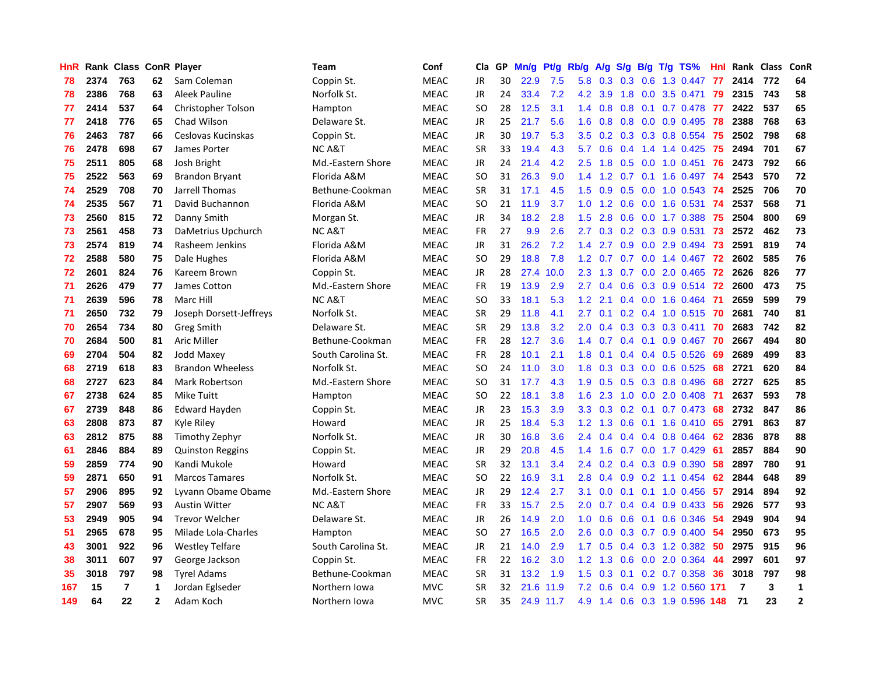| <b>HnR</b> |      | Rank Class ConR Player |                |                         | Team               | Conf        | Cla       | GP | Mn/g | <b>Pt/g</b> | Rb/g             | A/g             |                  |     | $S/g$ B/g T/g TS%           | Hnl | Rank Class |     | <b>ConR</b>    |
|------------|------|------------------------|----------------|-------------------------|--------------------|-------------|-----------|----|------|-------------|------------------|-----------------|------------------|-----|-----------------------------|-----|------------|-----|----------------|
| 78         | 2374 | 763                    | 62             | Sam Coleman             | Coppin St.         | <b>MEAC</b> | JR        | 30 | 22.9 | 7.5         | 5.8              | 0.3             | 0.3              | 0.6 | 1.3 0.447                   | -77 | 2414       | 772 | 64             |
| 78         | 2386 | 768                    | 63             | Aleek Pauline           | Norfolk St.        | <b>MEAC</b> | JR        | 24 | 33.4 | 7.2         |                  | 4.2 3.9         |                  |     | 1.8 0.0 3.5 0.471           | -79 | 2315       | 743 | 58             |
| 77         | 2414 | 537                    | 64             | Christopher Tolson      | Hampton            | <b>MEAC</b> | SO.       | 28 | 12.5 | 3.1         | $1.4^{\circ}$    | 0.8             |                  |     | 0.8 0.1 0.7 0.478 77        |     | 2422       | 537 | 65             |
| 77         | 2418 | 776                    | 65             | Chad Wilson             | Delaware St.       | <b>MEAC</b> | JR        | 25 | 21.7 | 5.6         | 1.6              | 0.8             |                  |     | $0.8$ 0.0 0.9 0.495         | -78 | 2388       | 768 | 63             |
| 76         | 2463 | 787                    | 66             | Ceslovas Kucinskas      | Coppin St.         | <b>MEAC</b> | <b>JR</b> | 30 | 19.7 | 5.3         | 3.5              | 0.2             |                  |     | 0.3 0.3 0.8 0.554           | -75 | 2502       | 798 | 68             |
| 76         | 2478 | 698                    | 67             | James Porter            | NC A&T             | <b>MEAC</b> | <b>SR</b> | 33 | 19.4 | 4.3         | 5.7              | 0.6             |                  |     | $0.4$ 1.4 1.4 0.425         | 75  | 2494       | 701 | 67             |
| 75         | 2511 | 805                    | 68             | Josh Bright             | Md.-Eastern Shore  | <b>MEAC</b> | JR        | 24 | 21.4 | 4.2         | $2.5\,$          | 1.8             | 0.5              |     | $0.0$ 1.0 0.451             | 76  | 2473       | 792 | 66             |
| 75         | 2522 | 563                    | 69             | <b>Brandon Bryant</b>   | Florida A&M        | <b>MEAC</b> | <b>SO</b> | 31 | 26.3 | 9.0         | 1.4              | 1.2             |                  |     | $0.7$ 0.1 1.6 0.497         | -74 | 2543       | 570 | 72             |
| 74         | 2529 | 708                    | 70             | Jarrell Thomas          | Bethune-Cookman    | <b>MEAC</b> | <b>SR</b> | 31 | 17.1 | 4.5         | 1.5              | 0.9             | 0.5              |     | $0.0 \quad 1.0 \quad 0.543$ | -74 | 2525       | 706 | 70             |
| 74         | 2535 | 567                    | 71             | David Buchannon         | Florida A&M        | <b>MEAC</b> | SO        | 21 | 11.9 | 3.7         |                  | $1.0 \t1.2$     |                  |     | $0.6$ $0.0$ 1.6 $0.531$     | 74  | 2537       | 568 | 71             |
| 73         | 2560 | 815                    | 72             | Danny Smith             | Morgan St.         | <b>MEAC</b> | <b>JR</b> | 34 | 18.2 | 2.8         | $1.5^{\circ}$    | 2.8             |                  |     | 0.6 0.0 1.7 0.388 75        |     | 2504       | 800 | 69             |
| 73         | 2561 | 458                    | 73             | DaMetrius Upchurch      | NC A&T             | <b>MEAC</b> | <b>FR</b> | 27 | 9.9  | 2.6         | $2.7^{\circ}$    | 0.3             |                  |     | 0.2 0.3 0.9 0.531 73        |     | 2572       | 462 | 73             |
| 73         | 2574 | 819                    | 74             | Rasheem Jenkins         | Florida A&M        | MEAC        | <b>JR</b> | 31 | 26.2 | 7.2         | $1.4^{\circ}$    | 2.7             |                  |     | $0.9$ $0.0$ $2.9$ $0.494$   | -73 | 2591       | 819 | 74             |
| 72         | 2588 | 580                    | 75             | Dale Hughes             | Florida A&M        | <b>MEAC</b> | <b>SO</b> | 29 | 18.8 | 7.8         | 1.2 <sub>1</sub> | 0.7             |                  |     | $0.7$ 0.0 1.4 0.467         | 72  | 2602       | 585 | 76             |
| 72         | 2601 | 824                    | 76             | Kareem Brown            | Coppin St.         | <b>MEAC</b> | <b>JR</b> | 28 | 27.4 | 10.0        | 2.3              | 1.3             | 0.7              |     | $0.0$ 2.0 $0.465$           | 72  | 2626       | 826 | 77             |
| 71         | 2626 | 479                    | 77             | James Cotton            | Md.-Eastern Shore  | <b>MEAC</b> | <b>FR</b> | 19 | 13.9 | 2.9         | $2.7^{\circ}$    | 0.4             | 0.6              |     | $0.3$ 0.9 0.514             | 72  | 2600       | 473 | 75             |
| 71         | 2639 | 596                    | 78             | Marc Hill               | NC A&T             | <b>MEAC</b> | <b>SO</b> | 33 | 18.1 | 5.3         | 1.2              | 2.1             | $0.4^{\circ}$    |     | $0.0 \quad 1.6 \quad 0.464$ | -71 | 2659       | 599 | 79             |
| 71         | 2650 | 732                    | 79             | Joseph Dorsett-Jeffreys | Norfolk St.        | <b>MEAC</b> | <b>SR</b> | 29 | 11.8 | 4.1         | $2.7^{\circ}$    | 0.1             |                  |     | $0.2$ 0.4 1.0 0.515         | -70 | 2681       | 740 | 81             |
| 70         | 2654 | 734                    | 80             | <b>Greg Smith</b>       | Delaware St.       | <b>MEAC</b> | <b>SR</b> | 29 | 13.8 | 3.2         | 2.0 <sub>1</sub> |                 |                  |     | $0.4$ 0.3 0.3 0.3 0.411     | -70 | 2683       | 742 | 82             |
| 70         | 2684 | 500                    | 81             | Aric Miller             | Bethune-Cookman    | <b>MEAC</b> | <b>FR</b> | 28 | 12.7 | 3.6         | 1.4              | 0.7             |                  |     | 0.4 0.1 0.9 0.467 70        |     | 2667       | 494 | 80             |
| 69         | 2704 | 504                    | 82             | Jodd Maxev              | South Carolina St. | <b>MEAC</b> | <b>FR</b> | 28 | 10.1 | 2.1         | 1.8              | 0.1             |                  |     | $0.4$ 0.4 0.5 0.526         | 69  | 2689       | 499 | 83             |
| 68         | 2719 | 618                    | 83             | <b>Brandon Wheeless</b> | Norfolk St.        | <b>MEAC</b> | <b>SO</b> | 24 | 11.0 | 3.0         | 1.8              | 0.3             |                  |     | $0.3$ 0.0 0.6 0.525         | 68  | 2721       | 620 | 84             |
| 68         | 2727 | 623                    | 84             | <b>Mark Robertson</b>   | Md.-Eastern Shore  | <b>MEAC</b> | SO        | 31 | 17.7 | 4.3         | 1.9 <sup>°</sup> | 0.5             |                  |     | $0.5$ 0.3 0.8 0.496         | 68  | 2727       | 625 | 85             |
| 67         | 2738 | 624                    | 85             | Mike Tuitt              | Hampton            | <b>MEAC</b> | <b>SO</b> | 22 | 18.1 | 3.8         | 1.6              | 2.3             | 1.0              |     | $0.0$ 2.0 $0.408$           | -71 | 2637       | 593 | 78             |
| 67         | 2739 | 848                    | 86             | <b>Edward Hayden</b>    | Coppin St.         | <b>MEAC</b> | JR        | 23 | 15.3 | 3.9         | 3.3 <sub>2</sub> | 0.3             | 0.2 <sub>0</sub> | 0.1 | 0.7 0.473                   | 68  | 2732       | 847 | 86             |
| 63         | 2808 | 873                    | 87             | Kyle Riley              | Howard             | <b>MEAC</b> | JR        | 25 | 18.4 | 5.3         | 1.2 <sub>1</sub> | 1.3             | 0.6              |     | $0.1$ 1.6 0.410             | -65 | 2791       | 863 | 87             |
| 63         | 2812 | 875                    | 88             | Timothy Zephyr          | Norfolk St.        | <b>MEAC</b> | JR        | 30 | 16.8 | 3.6         | 2.4              | $0.4^{\circ}$   |                  |     | $0.4$ 0.4 0.8 0.464 62      |     | 2836       | 878 | 88             |
| 61         | 2846 | 884                    | 89             | <b>Quinston Reggins</b> | Coppin St.         | <b>MEAC</b> | <b>JR</b> | 29 | 20.8 | 4.5         | $1.4^{\circ}$    | 1.6             |                  |     | $0.7$ $0.0$ 1.7 $0.429$     | -61 | 2857       | 884 | 90             |
| 59         | 2859 | 774                    | 90             | Kandi Mukole            | Howard             | <b>MEAC</b> | <b>SR</b> | 32 | 13.1 | 3.4         | $2.4^{\circ}$    | 0.2             |                  |     | $0.4$ 0.3 0.9 0.390         | -58 | 2897       | 780 | 91             |
| 59         | 2871 | 650                    | 91             | <b>Marcos Tamares</b>   | Norfolk St.        | <b>MEAC</b> | <b>SO</b> | 22 | 16.9 | 3.1         | 2.8              | 0.4             | 0.9              |     | $0.2$ 1.1 0.454             | 62  | 2844       | 648 | 89             |
| 57         | 2906 | 895                    | 92             | Lyvann Obame Obame      | Md.-Eastern Shore  | <b>MEAC</b> | JR        | 29 | 12.4 | 2.7         | 3.1              | 0.0             | 0.1              |     | $0.1$ 1.0 0.456             | -57 | 2914       | 894 | 92             |
| 57         | 2907 | 569                    | 93             | <b>Austin Witter</b>    | NC A&T             | <b>MEAC</b> | FR.       | 33 | 15.7 | 2.5         | 2.0 <sub>1</sub> | 0.7             |                  |     | $0.4$ 0.4 0.9 0.433         | -56 | 2926       | 577 | 93             |
| 53         | 2949 | 905                    | 94             | <b>Trevor Welcher</b>   | Delaware St.       | <b>MEAC</b> | JR        | 26 | 14.9 | 2.0         | 1.0              | 0.6             | 0.6              |     | $0.1$ 0.6 0.346             | -54 | 2949       | 904 | 94             |
| 51         | 2965 | 678                    | 95             | Milade Lola-Charles     | Hampton            | <b>MEAC</b> | <b>SO</b> | 27 | 16.5 | 2.0         | 2.6              | 0.0             | 0.3              |     | $0.7$ 0.9 0.400             | 54  | 2950       | 673 | 95             |
| 43         | 3001 | 922                    | 96             | <b>Westley Telfare</b>  | South Carolina St. | <b>MEAC</b> | <b>JR</b> | 21 | 14.0 | 2.9         | 1.7 <sub>z</sub> | 0.5             |                  |     | 0.4 0.3 1.2 0.382           | -50 | 2975       | 915 | 96             |
| 38         | 3011 | 607                    | 97             | George Jackson          | Coppin St.         | <b>MEAC</b> | <b>FR</b> | 22 | 16.2 | 3.0         |                  | $1.2 \quad 1.3$ |                  |     | $0.6$ $0.0$ $2.0$ $0.364$   | 44  | 2997       | 601 | 97             |
| 35         | 3018 | 797                    | 98             | <b>Tyrel Adams</b>      | Bethune-Cookman    | <b>MEAC</b> | <b>SR</b> | 31 | 13.2 | 1.9         | 1.5              | 0.3             |                  |     | $0.1$ $0.2$ $0.7$ $0.358$   | 36  | 3018       | 797 | 98             |
| 167        | 15   | $\overline{7}$         | 1              | Jordan Eglseder         | Northern Iowa      | <b>MVC</b>  | <b>SR</b> | 32 | 21.6 | 11.9        | 7.2              | 0.6             |                  |     | $0.4$ 0.9 1.2 0.560         | 171 | 7          | 3   | $\mathbf{1}$   |
| 149        | 64   | 22                     | $\overline{2}$ | Adam Koch               | Northern Iowa      | <b>MVC</b>  | <b>SR</b> | 35 |      | 24.9 11.7   | 4.9              |                 |                  |     | 1.4 0.6 0.3 1.9 0.596 148   |     | 71         | 23  | $\overline{2}$ |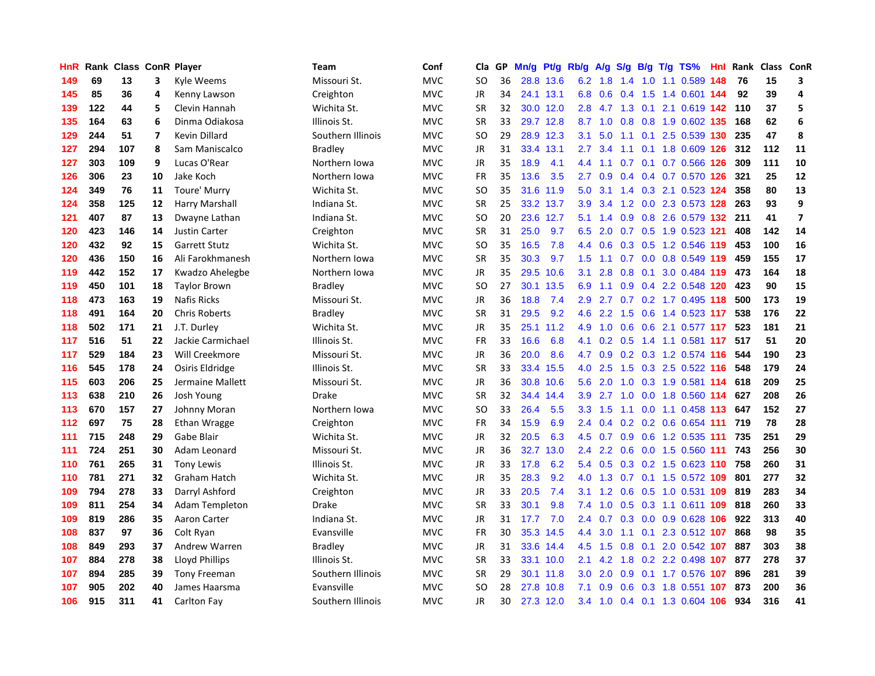| HnR | Rank | <b>Class ConR Player</b> |                         |                       | Team              | Conf       | Cla       | GP | Mn/g | Pt/g Rb/g |                  | A/g           |     |  | $S/g$ B/g T/g TS%                 | Hnl | Rank | Class | ConR                    |
|-----|------|--------------------------|-------------------------|-----------------------|-------------------|------------|-----------|----|------|-----------|------------------|---------------|-----|--|-----------------------------------|-----|------|-------|-------------------------|
| 149 | 69   | 13                       | 3                       | Kyle Weems            | Missouri St.      | <b>MVC</b> | <b>SO</b> | 36 |      | 28.8 13.6 |                  | $6.2$ 1.8     | 1.4 |  | 1.0 1.1 0.589                     | 148 | 76   | 15    | 3                       |
| 145 | 85   | 36                       | 4                       | Kenny Lawson          | Creighton         | <b>MVC</b> | <b>JR</b> | 34 |      | 24.1 13.1 |                  |               |     |  | 6.8 0.6 0.4 1.5 1.4 0.601 144     |     | 92   | 39    | 4                       |
| 139 | 122  | 44                       | 5                       | Clevin Hannah         | Wichita St.       | <b>MVC</b> | <b>SR</b> | 32 |      | 30.0 12.0 | 2.8              |               |     |  | 4.7 1.3 0.1 2.1 0.619 142         |     | 110  | 37    | 5                       |
| 135 | 164  | 63                       | 6                       | Dinma Odiakosa        | Illinois St.      | <b>MVC</b> | <b>SR</b> | 33 |      | 29.7 12.8 |                  |               |     |  | 8.7 1.0 0.8 0.8 1.9 0.602 135     |     | 168  | 62    | 6                       |
| 129 | 244  | 51                       | $\overline{\mathbf{z}}$ | Kevin Dillard         | Southern Illinois | <b>MVC</b> | <b>SO</b> | 29 |      | 28.9 12.3 | 3.1              | 5.0           |     |  | 1.1 0.1 2.5 0.539 130             |     | 235  | 47    | 8                       |
| 127 | 294  | 107                      | 8                       | Sam Maniscalco        | <b>Bradley</b>    | MVC        | JR        | 31 | 33.4 | 13.1      | 2.7              | 3.4           |     |  | 1.1 0.1 1.8 0.609 126             |     | 312  | 112   | 11                      |
| 127 | 303  | 109                      | 9                       | Lucas O'Rear          | Northern Iowa     | <b>MVC</b> | JR        | 35 | 18.9 | 4.1       | 4.4              | 1.1           |     |  | 0.7 0.1 0.7 0.566 126             |     | 309  | 111   | 10                      |
| 126 | 306  | 23                       | 10                      | Jake Koch             | Northern Iowa     | MVC        | FR        | 35 | 13.6 | 3.5       | 2.7              | 0.9           |     |  | $0.4$ 0.4 0.7 0.570 126           |     | 321  | 25    | 12                      |
| 124 | 349  | 76                       | 11                      | Toure' Murry          | Wichita St.       | <b>MVC</b> | <b>SO</b> | 35 | 31.6 | 11.9      | 5.0              | 3.1           |     |  | 1.4 0.3 2.1 0.523 124             |     | 358  | 80    | 13                      |
| 124 | 358  | 125                      | 12                      | Harry Marshall        | Indiana St.       | MVC        | <b>SR</b> | 25 |      | 33.2 13.7 | 3.9 <sub>2</sub> | 3.4           |     |  | 1.2 0.0 2.3 0.573 128 263         |     |      | 93    | 9                       |
| 121 | 407  | 87                       | 13                      | Dwayne Lathan         | Indiana St.       | <b>MVC</b> | <b>SO</b> | 20 |      | 23.6 12.7 | 5.1              |               |     |  | 1.4 0.9 0.8 2.6 0.579 132 211     |     |      | 41    | $\overline{\mathbf{z}}$ |
| 120 | 423  | 146                      | 14                      | Justin Carter         | Creighton         | MVC        | <b>SR</b> | 31 | 25.0 | 9.7       | 6.5              | 2.0           |     |  | 0.7 0.5 1.9 0.523 121             |     | 408  | 142   | 14                      |
| 120 | 432  | 92                       | 15                      | <b>Garrett Stutz</b>  | Wichita St.       | <b>MVC</b> | <b>SO</b> | 35 | 16.5 | 7.8       | 4.4              | 0.6           |     |  | 0.3 0.5 1.2 0.546 119             |     | 453  | 100   | 16                      |
| 120 | 436  | 150                      | 16                      | Ali Farokhmanesh      | Northern Iowa     | <b>MVC</b> | <b>SR</b> | 35 | 30.3 | 9.7       | 1.5              | 1.1           |     |  | $0.7$ 0.0 0.8 0.549 119           |     | 459  | 155   | 17                      |
| 119 | 442  | 152                      | 17                      | Kwadzo Ahelegbe       | Northern Iowa     | <b>MVC</b> | JR        | 35 | 29.5 | 10.6      | 3.1              | 2.8           | 0.8 |  | 0.1 3.0 0.484 119                 |     | 473  | 164   | 18                      |
| 119 | 450  | 101                      | 18                      | <b>Taylor Brown</b>   | <b>Bradley</b>    | MVC        | <b>SO</b> | 27 | 30.1 | 13.5      | 6.9              | 1.1           | 0.9 |  | 0.4 2.2 0.548 120                 |     | 423  | 90    | 15                      |
| 118 | 473  | 163                      | 19                      | <b>Nafis Ricks</b>    | Missouri St.      | <b>MVC</b> | <b>JR</b> | 36 | 18.8 | 7.4       | 2.9              | 2.7           |     |  | 0.7 0.2 1.7 0.495 118             |     | 500  | 173   | 19                      |
| 118 | 491  | 164                      | 20                      | <b>Chris Roberts</b>  | <b>Bradley</b>    | <b>MVC</b> | <b>SR</b> | 31 | 29.5 | 9.2       | 4.6              | 2.2           | 1.5 |  | 0.6 1.4 0.523 117                 |     | 538  | 176   | 22                      |
| 118 | 502  | 171                      | 21                      | J.T. Durley           | Wichita St.       | <b>MVC</b> | <b>JR</b> | 35 |      | 25.1 11.2 | 4.9              |               |     |  | 1.0 0.6 0.6 2.1 0.577 117         |     | 523  | 181   | 21                      |
| 117 | 516  | 51                       | 22                      | Jackie Carmichael     | Illinois St.      | <b>MVC</b> | <b>FR</b> | 33 | 16.6 | 6.8       | 4.1              |               |     |  | 0.2 0.5 1.4 1.1 0.581 117         |     | 517  | 51    | 20                      |
| 117 | 529  | 184                      | 23                      | Will Creekmore        | Missouri St.      | <b>MVC</b> | <b>JR</b> | 36 | 20.0 | 8.6       | 4.7              | 0.9           |     |  | 0.2 0.3 1.2 0.574 116             |     | 544  | 190   | 23                      |
| 116 | 545  | 178                      | 24                      | Osiris Eldridge       | Illinois St.      | <b>MVC</b> | <b>SR</b> | 33 | 33.4 | 15.5      | 4.0              | 2.5           | 1.5 |  | 0.3 2.5 0.522 116                 |     | 548  | 179   | 24                      |
| 115 | 603  | 206                      | 25                      | Jermaine Mallett      | Missouri St.      | <b>MVC</b> | JR        | 36 |      | 30.8 10.6 | 5.6              | 2.0           |     |  | 1.0 0.3 1.9 0.581 114             |     | 618  | 209   | 25                      |
| 113 | 638  | 210                      | 26                      | Josh Young            | <b>Drake</b>      | <b>MVC</b> | <b>SR</b> | 32 | 34.4 | 14.4      | 3.9              | 2.7           | 1.0 |  | 0.0 1.8 0.560 114                 |     | 627  | 208   | 26                      |
| 113 | 670  | 157                      | 27                      | Johnny Moran          | Northern Iowa     | <b>MVC</b> | <b>SO</b> | 33 | 26.4 | 5.5       | 3.3              | 1.5           |     |  | 1.1 0.0 1.1 0.458 113             |     | 647  | 152   | 27                      |
| 112 | 697  | 75                       | 28                      | Ethan Wragge          | Creighton         | <b>MVC</b> | FR        | 34 | 15.9 | 6.9       | $2.4^{\circ}$    | 0.4           |     |  | 0.2 0.2 0.6 0.654 111 719         |     |      | 78    | 28                      |
| 111 | 715  | 248                      | 29                      | Gabe Blair            | Wichita St.       | <b>MVC</b> | JR        | 32 | 20.5 | 6.3       |                  |               |     |  | 4.5 0.7 0.9 0.6 1.2 0.535 111 735 |     |      | 251   | 29                      |
| 111 | 724  | 251                      | 30                      | Adam Leonard          | Missouri St.      | <b>MVC</b> | JR        | 36 | 32.7 | 13.0      | $2.4^{\circ}$    | $2.2^{\circ}$ |     |  | 0.6 0.0 1.5 0.560 111 743         |     |      | 256   | 30                      |
| 110 | 761  | 265                      | 31                      | Tony Lewis            | Illinois St.      | <b>MVC</b> | JR        | 33 | 17.8 | 6.2       | 5.4              | 0.5           |     |  | 0.3 0.2 1.5 0.623 110 758         |     |      | 260   | 31                      |
| 110 | 781  | 271                      | 32                      | Graham Hatch          | Wichita St.       | <b>MVC</b> | <b>JR</b> | 35 | 28.3 | 9.2       | 4.0              | 1.3           |     |  | 0.7 0.1 1.5 0.572 109             |     | 801  | 277   | 32                      |
| 109 | 794  | 278                      | 33                      | Darryl Ashford        | Creighton         | MVC        | JR        | 33 | 20.5 | 7.4       | 3.1              | 1.2           | 0.6 |  | 0.5 1.0 0.531 109                 |     | 819  | 283   | 34                      |
| 109 | 811  | 254                      | 34                      | <b>Adam Templeton</b> | Drake             | <b>MVC</b> | <b>SR</b> | 33 | 30.1 | 9.8       | 7.4              | 1.0           | 0.5 |  | 0.3 1.1 0.611 109                 |     | 818  | 260   | 33                      |
| 109 | 819  | 286                      | 35                      | Aaron Carter          | Indiana St.       | <b>MVC</b> | JR        | 31 | 17.7 | 7.0       | $2.4^{\circ}$    | 0.7           | 0.3 |  | 0.0 0.9 0.628 106                 |     | 922  | 313   | 40                      |
| 108 | 837  | 97                       | 36                      | Colt Ryan             | Evansville        | <b>MVC</b> | <b>FR</b> | 30 | 35.3 | 14.5      | 4.4              | 3.0           | 1.1 |  | 0.1 2.3 0.512 107                 |     | 868  | 98    | 35                      |
| 108 | 849  | 293                      | 37                      | Andrew Warren         | <b>Bradley</b>    | <b>MVC</b> | JR        | 31 |      | 33.6 14.4 | 4.5              | 1.5           |     |  | 0.8 0.1 2.0 0.542 107             |     | 887  | 303   | 38                      |
| 107 | 884  | 278                      | 38                      | Lloyd Phillips        | Illinois St.      | <b>MVC</b> | <b>SR</b> | 33 |      | 33.1 10.0 | 2.1              | 4.2           |     |  | 1.8 0.2 2.2 0.498 107             |     | 877  | 278   | 37                      |
| 107 | 894  | 285                      | 39                      | <b>Tony Freeman</b>   | Southern Illinois | MVC        | SR        | 29 | 30.1 | 11.8      | 3.0 <sub>2</sub> | 2.0           | 0.9 |  | 0.1 1.7 0.576 107                 |     | 896  | 281   | 39                      |
| 107 | 905  | 202                      | 40                      | James Haarsma         | Evansville        | <b>MVC</b> | <b>SO</b> | 28 | 27.8 | 10.8      | 7.1              | 0.9           | 0.6 |  | 0.3 1.8 0.551 107                 |     | 873  | 200   | 36                      |
| 106 | 915  | 311                      | 41                      | <b>Carlton Fay</b>    | Southern Illinois | <b>MVC</b> | JR        | 30 |      | 27.3 12.0 | 3.4              |               |     |  | 1.0 0.4 0.1 1.3 0.604 106         |     | 934  | 316   | 41                      |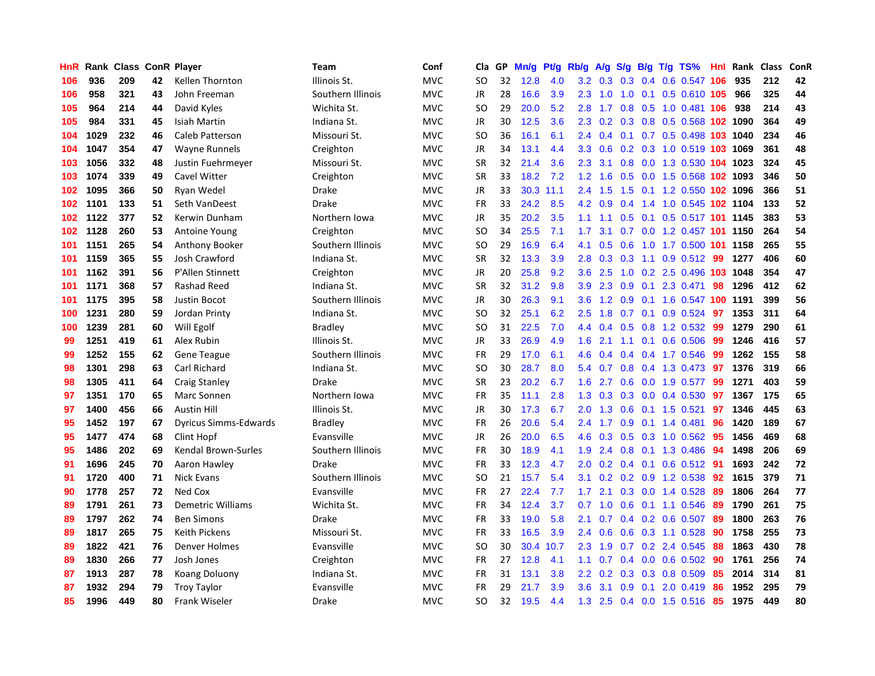| HnR  | Rank | <b>Class</b> |    | <b>ConR Player</b>           | Team              | Conf       | Cla.      | <b>GP</b> | Mn/g | <b>Pt/g</b> | Rb/g             | A/g             | S/g |     | B/g T/g TS%                   | Hnl | Rank | <b>Class</b> | <b>ConR</b> |
|------|------|--------------|----|------------------------------|-------------------|------------|-----------|-----------|------|-------------|------------------|-----------------|-----|-----|-------------------------------|-----|------|--------------|-------------|
| 106  | 936  | 209          | 42 | <b>Kellen Thornton</b>       | Illinois St.      | <b>MVC</b> | SO        | 32        | 12.8 | 4.0         |                  | $3.2 \quad 0.3$ |     |     | 0.3 0.4 0.6 0.547 106         |     | 935  | 212          | 42          |
| 106  | 958  | 321          | 43 | John Freeman                 | Southern Illinois | <b>MVC</b> | <b>JR</b> | 28        | 16.6 | 3.9         | 2.3              | 1.0             |     |     | 1.0 0.1 0.5 0.610 105         |     | 966  | 325          | 44          |
| 105  | 964  | 214          | 44 | David Kyles                  | Wichita St.       | <b>MVC</b> | SO        | 29        | 20.0 | 5.2         | 2.8              | 1.7             |     |     | 0.8 0.5 1.0 0.481 106         |     | 938  | 214          | 43          |
| 105  | 984  | 331          | 45 | Isiah Martin                 | Indiana St.       | <b>MVC</b> | JR        | 30        | 12.5 | 3.6         | 2.3              | 0.2             |     |     | 0.3 0.8 0.5 0.568 102 1090    |     |      | 364          | 49          |
| 104  | 1029 | 232          | 46 | Caleb Patterson              | Missouri St.      | <b>MVC</b> | <b>SO</b> | 36        | 16.1 | 6.1         | 2.4              | 0.4             |     |     | 0.1 0.7 0.5 0.498 103 1040    |     |      | 234          | 46          |
| 104  | 1047 | 354          | 47 | <b>Wayne Runnels</b>         | Creighton         | <b>MVC</b> | JR        | 34        | 13.1 | 4.4         | 3.3 <sub>2</sub> | 0.6             |     |     | 0.2 0.3 1.0 0.519 103 1069    |     |      | 361          | 48          |
| 103  | 1056 | 332          | 48 | Justin Fuehrmeyer            | Missouri St.      | <b>MVC</b> | <b>SR</b> | 32        | 21.4 | 3.6         | 2.3              | 3.1             |     |     | 0.8 0.0 1.3 0.530 104 1023    |     |      | 324          | 45          |
| 103  | 1074 | 339          | 49 | Cavel Witter                 | Creighton         | <b>MVC</b> | <b>SR</b> | 33        | 18.2 | 7.2         | 1.2              | 1.6             |     |     | 0.5 0.0 1.5 0.568 102 1093    |     |      | 346          | 50          |
| 102  | 1095 | 366          | 50 | Ryan Wedel                   | Drake             | <b>MVC</b> | JR        | 33        | 30.3 | 11.1        | 2.4              | 1.5             | 1.5 |     | 0.1 1.2 0.550 102 1096        |     |      | 366          | 51          |
| 102. | 1101 | 133          | 51 | Seth VanDeest                | Drake             | <b>MVC</b> | FR        | 33        | 24.2 | 8.5         | 4.2              | 0.9             |     |     | 0.4 1.4 1.0 0.545 102 1104    |     |      | 133          | 52          |
| 102  | 1122 | 377          | 52 | Kerwin Dunham                | Northern Iowa     | <b>MVC</b> | JR        | 35        | 20.2 | 3.5         | 1.1              | 1.1             |     |     | 0.5 0.1 0.5 0.517 101 1145    |     |      | 383          | 53          |
| 102  | 1128 | 260          | 53 | Antoine Young                | Creighton         | <b>MVC</b> | SO        | 34        | 25.5 | 7.1         | 1.7              | 3.1             |     |     | 0.7 0.0 1.2 0.457 101 1150    |     |      | 264          | 54          |
| 101  | 1151 | 265          | 54 | Anthony Booker               | Southern Illinois | <b>MVC</b> | <b>SO</b> | 29        | 16.9 | 6.4         | 4.1              | 0.5             | 0.6 |     | 1.0 1.7 0.500 101 1158        |     |      | 265          | 55          |
| 101  | 1159 | 365          | 55 | Josh Crawford                | Indiana St.       | <b>MVC</b> | <b>SR</b> | 32        | 13.3 | 3.9         | 2.8              | 0.3             | 0.3 |     | 1.1 0.9 0.512 99              |     | 1277 | 406          | 60          |
| 101  | 1162 | 391          | 56 | P'Allen Stinnett             | Creighton         | <b>MVC</b> | JR        | 20        | 25.8 | 9.2         | 3.6              | 2.5             | 1.0 |     | 0.2 2.5 0.496 103 1048        |     |      | 354          | 47          |
| 101  | 1171 | 368          | 57 | <b>Rashad Reed</b>           | Indiana St.       | <b>MVC</b> | <b>SR</b> | 32        | 31.2 | 9.8         | 3.9 <sup>°</sup> | 2.3             | 0.9 | 0.1 | 2.3 0.471                     | 98  | 1296 | 412          | 62          |
| 101  | 1175 | 395          | 58 | <b>Justin Bocot</b>          | Southern Illinois | <b>MVC</b> | JR        | 30        | 26.3 | 9.1         | 3.6              | 1.2             | 0.9 |     | 0.1 1.6 0.547 100 1191        |     |      | 399          | 56          |
| 100  | 1231 | 280          | 59 | Jordan Printy                | Indiana St.       | <b>MVC</b> | SO        | 32        | 25.1 | 6.2         | $2.5^{\circ}$    | 1.8             |     |     | $0.7$ 0.1 0.9 0.524 <b>97</b> |     | 1353 | 311          | 64          |
| 100  | 1239 | 281          | 60 | Will Egolf                   | <b>Bradley</b>    | <b>MVC</b> | SO        | 31        | 22.5 | 7.0         | 4.4              |                 |     |     | 0.4 0.5 0.8 1.2 0.532 99      |     | 1279 | 290          | 61          |
| 99   | 1251 | 419          | 61 | Alex Rubin                   | Illinois St.      | <b>MVC</b> | JR        | 33        | 26.9 | 4.9         | 1.6              | 2.1             |     |     | 1.1 0.1 0.6 0.506             | -99 | 1246 | 416          | 57          |
| 99   | 1252 | 155          | 62 | <b>Gene Teague</b>           | Southern Illinois | <b>MVC</b> | <b>FR</b> | 29        | 17.0 | 6.1         | 4.6              | 0.4             |     |     | $0.4$ 0.4 1.7 0.546           | -99 | 1262 | 155          | 58          |
| 98   | 1301 | 298          | 63 | Carl Richard                 | Indiana St.       | <b>MVC</b> | SO.       | 30        | 28.7 | 8.0         | 5.4              | 0.7             |     |     | 0.8 0.4 1.3 0.473 97          |     | 1376 | 319          | 66          |
| 98   | 1305 | 411          | 64 | <b>Craig Stanley</b>         | Drake             | <b>MVC</b> | <b>SR</b> | 23        | 20.2 | 6.7         | 1.6              | 2.7             |     |     | $0.6$ 0.0 1.9 0.577           | 99  | 1271 | 403          | 59          |
| 97   | 1351 | 170          | 65 | Marc Sonnen                  | Northern Iowa     | <b>MVC</b> | <b>FR</b> | 35        | 11.1 | 2.8         | 1.3              | 0.3             | 0.3 |     | $0.0$ 0.4 0.530               | 97  | 1367 | 175          | 65          |
| 97   | 1400 | 456          | 66 | <b>Austin Hill</b>           | Illinois St.      | <b>MVC</b> | <b>JR</b> | 30        | 17.3 | 6.7         | 2.0              | 1.3             | 0.6 |     | $0.1$ 1.5 0.521               | 97  | 1346 | 445          | 63          |
| 95   | 1452 | 197          | 67 | <b>Dyricus Simms-Edwards</b> | Bradley           | <b>MVC</b> | FR        | 26        | 20.6 | 5.4         | $2.4^{\circ}$    | 1.7             |     |     | $0.9$ 0.1 1.4 0.481           | 96  | 1420 | 189          | 67          |
| 95   | 1477 | 474          | 68 | Clint Hopf                   | Evansville        | <b>MVC</b> | JR        | 26        | 20.0 | 6.5         | 4.6              |                 |     |     | 0.3 0.5 0.3 1.0 0.562 95      |     | 1456 | 469          | 68          |
| 95   | 1486 | 202          | 69 | Kendal Brown-Surles          | Southern Illinois | <b>MVC</b> | <b>FR</b> | 30        | 18.9 | 4.1         | 1.9              | 2.4             |     |     | 0.8 0.1 1.3 0.486 94          |     | 1498 | 206          | 69          |
| 91   | 1696 | 245          | 70 | Aaron Hawley                 | Drake             | <b>MVC</b> | <b>FR</b> | 33        | 12.3 | 4.7         | $2.0^{\circ}$    | 0.2             |     |     | 0.4 0.1 0.6 0.512 91          |     | 1693 | 242          | 72          |
| 91   | 1720 | 400          | 71 | <b>Nick Evans</b>            | Southern Illinois | <b>MVC</b> | SO.       | 21        | 15.7 | 5.4         | 3.1              | 0.2             |     |     | $0.2$ 0.9 1.2 0.538           | -92 | 1615 | 379          | 71          |
| 90   | 1778 | 257          | 72 | Ned Cox                      | Evansville        | <b>MVC</b> | <b>FR</b> | 27        | 22.4 | 7.7         | 1.7              | 2.1             |     |     | $0.3$ 0.0 1.4 0.528           | -89 | 1806 | 264          | 77          |
| 89   | 1791 | 261          | 73 | <b>Demetric Williams</b>     | Wichita St.       | <b>MVC</b> | <b>FR</b> | 34        | 12.4 | 3.7         | 0.7              | 1.0             | 0.6 |     | $0.1$ 1.1 0.546               | -89 | 1790 | 261          | 75          |
| 89   | 1797 | 262          | 74 | <b>Ben Simons</b>            | Drake             | <b>MVC</b> | <b>FR</b> | 33        | 19.0 | 5.8         | 2.1              | 0.7             |     |     | $0.4$ 0.2 0.6 0.507           | -89 | 1800 | 263          | 76          |
| 89   | 1817 | 265          | 75 | <b>Keith Pickens</b>         | Missouri St.      | <b>MVC</b> | <b>FR</b> | 33        | 16.5 | 3.9         | 2.4              | 0.6             | 0.6 |     | 0.3 1.1 0.528                 | 90  | 1758 | 255          | 73          |
| 89   | 1822 | 421          | 76 | <b>Denver Holmes</b>         | Evansville        | <b>MVC</b> | SO        | 30        | 30.4 | 10.7        | 2.3              | 1.9             |     |     | $0.7$ $0.2$ 2.4 $0.545$       | 88  | 1863 | 430          | 78          |
| 89   | 1830 | 266          | 77 | Josh Jones                   | Creighton         | <b>MVC</b> | <b>FR</b> | 27        | 12.8 | 4.1         | 1.1              | 0.7             |     |     | 0.4 0.0 0.6 0.502 90          |     | 1761 | 256          | 74          |
| 87   | 1913 | 287          | 78 | Koang Doluony                | Indiana St.       | <b>MVC</b> | <b>FR</b> | 31        | 13.1 | 3.8         | $2.2^{\circ}$    | 0.2             |     |     | $0.3$ 0.3 0.8 0.509           | 85  | 2014 | 314          | 81          |
| 87   | 1932 | 294          | 79 | <b>Troy Taylor</b>           | Evansville        | <b>MVC</b> | <b>FR</b> | 29        | 21.7 | 3.9         | 3.6              | 3.1             | 0.9 | 0.1 | 2.0 0.419                     | 86  | 1952 | 295          | 79          |
| 85   | 1996 | 449          | 80 | <b>Frank Wiseler</b>         | Drake             | <b>MVC</b> | SO        | 32        | 19.5 | 4.4         |                  |                 |     |     | 1.3 2.5 0.4 0.0 1.5 0.516 85  |     | 1975 | 449          | 80          |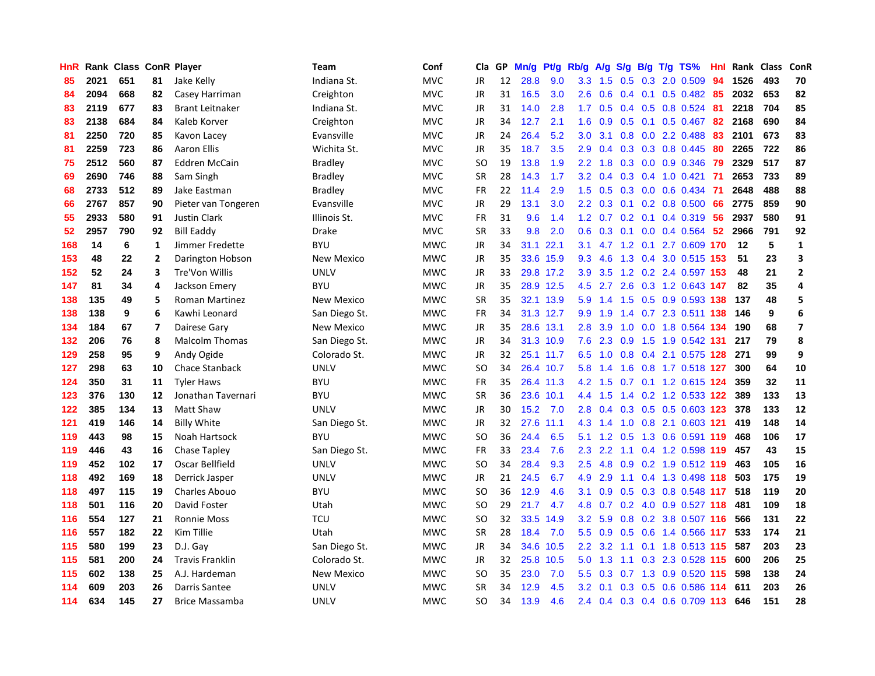| HnR |      | Rank Class ConR Player |                |                        | <b>Team</b>    | Conf       | Cla       | GP. | Mn/g | <b>Pt/g</b> | Rb/g             | A/g             |     |     | S/g B/g T/g TS%               | Hnl | Rank Class |     | ConR                    |
|-----|------|------------------------|----------------|------------------------|----------------|------------|-----------|-----|------|-------------|------------------|-----------------|-----|-----|-------------------------------|-----|------------|-----|-------------------------|
| 85  | 2021 | 651                    | 81             | Jake Kelly             | Indiana St.    | <b>MVC</b> | JR        | 12  | 28.8 | 9.0         | 3.3              | 1.5             | 0.5 |     | 0.3 2.0 0.509                 | 94  | 1526       | 493 | 70                      |
| 84  | 2094 | 668                    | 82             | Casey Harriman         | Creighton      | <b>MVC</b> | JR        | 31  | 16.5 | 3.0         | 2.6              | 0.6             |     |     | 0.4 0.1 0.5 0.482 85          |     | 2032       | 653 | 82                      |
| 83  | 2119 | 677                    | 83             | Brant Leitnaker        | Indiana St.    | <b>MVC</b> | JR        | 31  | 14.0 | 2.8         | 1.7              | 0.5             |     |     | $0.4$ 0.5 0.8 0.524           | -81 | 2218       | 704 | 85                      |
| 83  | 2138 | 684                    | 84             | Kaleb Korver           | Creighton      | <b>MVC</b> | JR        | 34  | 12.7 | 2.1         | 1.6              | 0.9             |     |     | $0.5$ 0.1 0.5 0.467           | -82 | 2168       | 690 | 84                      |
| 81  | 2250 | 720                    | 85             | Kavon Lacey            | Evansville     | <b>MVC</b> | <b>JR</b> | 24  | 26.4 | 5.2         | 3.0              | 3.1             | 0.8 |     | 0.0 2.2 0.488                 | 83  | 2101       | 673 | 83                      |
| 81  | 2259 | 723                    | 86             | <b>Aaron Ellis</b>     | Wichita St.    | <b>MVC</b> | JR        | 35  | 18.7 | 3.5         | 2.9              | 0.4             |     |     | 0.3 0.3 0.8 0.445             | 80  | 2265       | 722 | 86                      |
| 75  | 2512 | 560                    | 87             | <b>Eddren McCain</b>   | <b>Bradley</b> | <b>MVC</b> | <b>SO</b> | 19  | 13.8 | 1.9         | 2.2              | 1.8             |     |     | 0.3 0.0 0.9 0.346             | 79  | 2329       | 517 | 87                      |
| 69  | 2690 | 746                    | 88             | Sam Singh              | <b>Bradley</b> | <b>MVC</b> | <b>SR</b> | 28  | 14.3 | 1.7         | 3.2              | 0.4             |     |     | $0.3$ 0.4 1.0 0.421           | 71  | 2653       | 733 | 89                      |
| 68  | 2733 | 512                    | 89             | Jake Eastman           | <b>Bradley</b> | <b>MVC</b> | <b>FR</b> | 22  | 11.4 | 2.9         | 1.5              | 0.5             |     |     | 0.3 0.0 0.6 0.434             | -71 | 2648       | 488 | 88                      |
| 66  | 2767 | 857                    | 90             | Pieter van Tongeren    | Evansville     | <b>MVC</b> | JR        | 29  | 13.1 | 3.0         | 2.2 <sub>2</sub> | 0.3             |     |     | 0.1 0.2 0.8 0.500 66          |     | 2775       | 859 | 90                      |
| 55  | 2933 | 580                    | 91             | <b>Justin Clark</b>    | Illinois St.   | <b>MVC</b> | <b>FR</b> | 31  | 9.6  | 1.4         |                  |                 |     |     | 1.2 0.7 0.2 0.1 0.4 0.319 56  |     | 2937       | 580 | 91                      |
| 52  | 2957 | 790                    | 92             | <b>Bill Eaddy</b>      | Drake          | <b>MVC</b> | <b>SR</b> | 33  | 9.8  | 2.0         | 0.6              | 0.3             |     |     | $0.1$ 0.0 0.4 0.564 52        |     | 2966       | 791 | 92                      |
| 168 | 14   | 6                      | $\mathbf{1}$   | Jimmer Fredette        | <b>BYU</b>     | <b>MWC</b> | <b>JR</b> | 34  | 31.1 | 22.1        | 3.1              |                 |     |     | 4.7 1.2 0.1 2.7 0.609 170     |     | 12         | 5   | $\mathbf{1}$            |
| 153 | 48   | 22                     | $\overline{2}$ | Darington Hobson       | New Mexico     | <b>MWC</b> | <b>JR</b> | 35  |      | 33.6 15.9   | 9.3              | 4.6             |     |     | 1.3 0.4 3.0 0.515 153         |     | 51         | 23  | 3                       |
| 152 | 52   | 24                     | 3              | Tre'Von Willis         | <b>UNLV</b>    | <b>MWC</b> | <b>JR</b> | 33  |      | 29.8 17.2   | 3.9              | 3.5             |     |     | 1.2 0.2 2.4 0.597 153         |     | 48         | 21  | $\overline{2}$          |
| 147 | 81   | 34                     | 4              | Jackson Emery          | <b>BYU</b>     | <b>MWC</b> | <b>JR</b> | 35  |      | 28.9 12.5   | 4.5              | 2.7             |     |     | 2.6 0.3 1.2 0.643 147         |     | 82         | 35  | 4                       |
| 138 | 135  | 49                     | 5              | <b>Roman Martinez</b>  | New Mexico     | <b>MWC</b> | <b>SR</b> | 35  |      | 32.1 13.9   | 5.9              | 1.4             | 1.5 |     | 0.5 0.9 0.593 138             |     | 137        | 48  | 5                       |
| 138 | 138  | 9                      | 6              | Kawhi Leonard          | San Diego St.  | <b>MWC</b> | <b>FR</b> | 34  |      | 31.3 12.7   | 9.9 <sub>°</sub> | 1.9             |     |     | 1.4 0.7 2.3 0.511 138         |     | - 146      | 9   | $\boldsymbol{6}$        |
| 134 | 184  | 67                     | $\overline{7}$ | Dairese Gary           | New Mexico     | <b>MWC</b> | JR        | 35  |      | 28.6 13.1   | 2.8              | 3.9             |     |     | 1.0 0.0 1.8 0.564 134         |     | 190        | 68  | $\overline{\mathbf{z}}$ |
| 132 | 206  | 76                     | 8              | <b>Malcolm Thomas</b>  | San Diego St.  | <b>MWC</b> | JR        | 34  |      | 31.3 10.9   | 7.6              | 2.3             |     |     | 0.9 1.5 1.9 0.542 131         |     | 217        | 79  | 8                       |
| 129 | 258  | 95                     | 9              | Andy Ogide             | Colorado St.   | <b>MWC</b> | JR        | 32  |      | 25.1 11.7   | 6.5              | $-1.0$          |     |     | 0.8 0.4 2.1 0.575 128 271     |     |            | 99  | 9                       |
| 127 | 298  | 63                     | 10             | <b>Chace Stanback</b>  | <b>UNLV</b>    | <b>MWC</b> | <b>SO</b> | 34  |      | 26.4 10.7   | 5.8              | 1.4             | 1.6 |     | 0.8 1.7 0.518 127             |     | 300        | 64  | 10                      |
| 124 | 350  | 31                     | 11             | <b>Tyler Haws</b>      | <b>BYU</b>     | <b>MWC</b> | <b>FR</b> | 35  |      | 26.4 11.3   | 4.2              | 1.5             |     |     | 0.7 0.1 1.2 0.615 124         |     | 359        | 32  | 11                      |
| 123 | 376  | 130                    | 12             | Jonathan Tavernari     | <b>BYU</b>     | <b>MWC</b> | <b>SR</b> | 36  | 23.6 | 10.1        | 4.4              | 1.5             |     |     | 1.4 0.2 1.2 0.533 122         |     | 389        | 133 | 13                      |
| 122 | 385  | 134                    | 13             | Matt Shaw              | <b>UNLV</b>    | <b>MWC</b> | JR        | 30  | 15.2 | 7.0         | 2.8              | 0.4             |     |     | 0.3 0.5 0.5 0.603 123         |     | 378        | 133 | 12                      |
| 121 | 419  | 146                    | 14             | <b>Billy White</b>     | San Diego St.  | <b>MWC</b> | JR        | 32  | 27.6 | 11.1        |                  | $4.3 \quad 1.4$ |     |     | 1.0 0.8 2.1 0.603 121         |     | 419        | 148 | 14                      |
| 119 | 443  | 98                     | 15             | Noah Hartsock          | <b>BYU</b>     | <b>MWC</b> | <b>SO</b> | 36  | 24.4 | 6.5         | 5.1              |                 |     |     | 1.2 0.5 1.3 0.6 0.591 119 468 |     |            | 106 | 17                      |
| 119 | 446  | 43                     | 16             | Chase Tapley           | San Diego St.  | <b>MWC</b> | <b>FR</b> | 33  | 23.4 | 7.6         | 2.3              |                 |     |     | 2.2 1.1 0.4 1.2 0.598 119     |     | 457        | 43  | 15                      |
| 119 | 452  | 102                    | 17             | Oscar Bellfield        | <b>UNLV</b>    | <b>MWC</b> | <b>SO</b> | 34  | 28.4 | 9.3         | 2.5              | 4.8             |     |     | 0.9 0.2 1.9 0.512 119         |     | 463        | 105 | 16                      |
| 118 | 492  | 169                    | 18             | Derrick Jasper         | <b>UNLV</b>    | <b>MWC</b> | JR        | 21  | 24.5 | 6.7         | 4.9              | 2.9             |     |     | 1.1 0.4 1.3 0.498 118         |     | 503        | 175 | 19                      |
| 118 | 497  | 115                    | 19             | Charles Abouo          | <b>BYU</b>     | <b>MWC</b> | <b>SO</b> | 36  | 12.9 | 4.6         | 3.1              | 0.9             |     |     | 0.5 0.3 0.8 0.548 117         |     | 518        | 119 | 20                      |
| 118 | 501  | 116                    | 20             | David Foster           | Utah           | <b>MWC</b> | <b>SO</b> | 29  | 21.7 | 4.7         | 4.8              | 0.7             |     |     | 0.2 4.0 0.9 0.527 118         |     | 481        | 109 | 18                      |
| 116 | 554  | 127                    | 21             | <b>Ronnie Moss</b>     | <b>TCU</b>     | <b>MWC</b> | <b>SO</b> | 32  | 33.5 | 14.9        | 3.2              | 5.9             | 0.8 |     | 0.2 3.8 0.507 116             |     | 566        | 131 | 22                      |
| 116 | 557  | 182                    | 22             | Kim Tillie             | Utah           | <b>MWC</b> | <b>SR</b> | 28  | 18.4 | 7.0         | 5.5              | 0.9             |     |     | 0.5 0.6 1.4 0.566 117         |     | 533        | 174 | 21                      |
| 115 | 580  | 199                    | 23             | D.J. Gay               | San Diego St.  | <b>MWC</b> | <b>JR</b> | 34  |      | 34.6 10.5   |                  |                 |     |     | 2.2 3.2 1.1 0.1 1.8 0.513 115 |     | 587        | 203 | 23                      |
| 115 | 581  | 200                    | 24             | <b>Travis Franklin</b> | Colorado St.   | <b>MWC</b> | JR        | 32  |      | 25.8 10.5   | 5.0              |                 |     |     | 1.3 1.1 0.3 2.3 0.528 115     |     | 600        | 206 | 25                      |
| 115 | 602  | 138                    | 25             | A.J. Hardeman          | New Mexico     | <b>MWC</b> | <b>SO</b> | 35  | 23.0 | 7.0         | 5.5              | 0.3             |     |     | 0.7 1.3 0.9 0.520 115         |     | 598        | 138 | 24                      |
| 114 | 609  | 203                    | 26             | Darris Santee          | <b>UNLV</b>    | <b>MWC</b> | <b>SR</b> | 34  | 12.9 | 4.5         | 3.2              | 0.1             | 0.3 | 0.5 | $0.6$ 0.586                   | 114 | 611        | 203 | 26                      |
| 114 | 634  | 145                    | 27             | Brice Massamba         | <b>UNLV</b>    | <b>MWC</b> | SO        | 34  | 13.9 | 4.6         | 2.4              |                 |     |     | 0.4 0.3 0.4 0.6 0.709 113     |     | 646        | 151 | 28                      |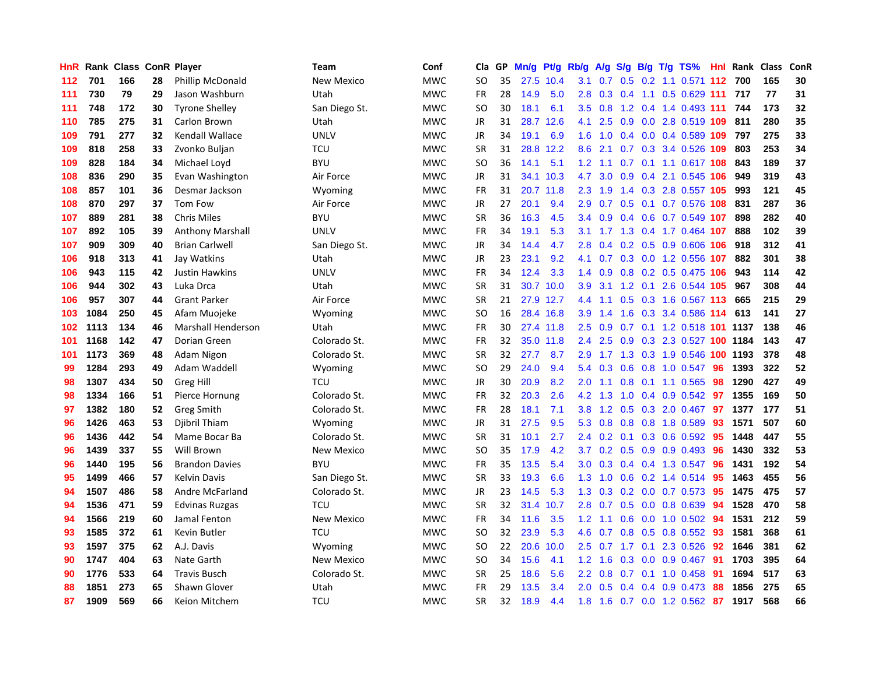| HnR |      | Rank Class ConR Player |    |                           | Team              | Conf       | Cla       | <b>GP</b> | Mn/g | Pt/g Rb/g |                  | A/g    |     |  | S/g B/g T/g TS%                |     | Hnl Rank | <b>Class</b> | ConR |
|-----|------|------------------------|----|---------------------------|-------------------|------------|-----------|-----------|------|-----------|------------------|--------|-----|--|--------------------------------|-----|----------|--------------|------|
| 112 | 701  | 166                    | 28 | Phillip McDonald          | <b>New Mexico</b> | <b>MWC</b> | <b>SO</b> | 35        | 27.5 | 10.4      | 3.1              | 0.7    | 0.5 |  | 0.2 1.1 0.571 112 700          |     |          | 165          | 30   |
| 111 | 730  | 79                     | 29 | Jason Washburn            | Utah              | <b>MWC</b> | FR        | 28        | 14.9 | 5.0       | 2.8              |        |     |  | 0.3 0.4 1.1 0.5 0.629 111 717  |     |          | 77           | 31   |
| 111 | 748  | 172                    | 30 | <b>Tyrone Shelley</b>     | San Diego St.     | <b>MWC</b> | <b>SO</b> | 30        | 18.1 | 6.1       | 3.5              | 0.8    |     |  | 1.2 0.4 1.4 0.493 111 744      |     |          | 173          | 32   |
| 110 | 785  | 275                    | 31 | Carlon Brown              | Utah              | <b>MWC</b> | JR        | 31        | 28.7 | 12.6      | 4.1              | 2.5    |     |  | 0.9 0.0 2.8 0.519 109 811      |     |          | 280          | 35   |
| 109 | 791  | 277                    | 32 | Kendall Wallace           | <b>UNLV</b>       | <b>MWC</b> | <b>JR</b> | 34        | 19.1 | 6.9       | 1.6              | 1.0    |     |  | $0.4$ 0.0 0.4 0.589 109        |     | 797      | 275          | 33   |
| 109 | 818  | 258                    | 33 | Zvonko Buljan             | <b>TCU</b>        | <b>MWC</b> | <b>SR</b> | 31        | 28.8 | 12.2      | 8.6              | 2.1    |     |  | 0.7 0.3 3.4 0.526 109          |     | 803      | 253          | 34   |
| 109 | 828  | 184                    | 34 | Michael Loyd              | <b>BYU</b>        | <b>MWC</b> | <b>SO</b> | 36        | 14.1 | 5.1       | 1.2              | 1.1    |     |  | 0.7 0.1 1.1 0.617 108          |     | 843      | 189          | 37   |
| 108 | 836  | 290                    | 35 | Evan Washington           | Air Force         | <b>MWC</b> | JR        | 31        | 34.1 | 10.3      | 4.7              | 3.0    |     |  | $0.9$ 0.4 2.1 0.545 106        |     | 949      | 319          | 43   |
| 108 | 857  | 101                    | 36 | Desmar Jackson            | Wyoming           | <b>MWC</b> | FR        | 31        | 20.7 | 11.8      | 2.3              | 1.9    |     |  | 1.4 0.3 2.8 0.557 105          |     | 993      | 121          | 45   |
| 108 | 870  | 297                    | 37 | Tom Fow                   | Air Force         | <b>MWC</b> | JR        | 27        | 20.1 | 9.4       | 2.9              | 0.7    |     |  | 0.5 0.1 0.7 0.576 108 831      |     |          | 287          | 36   |
| 107 | 889  | 281                    | 38 | <b>Chris Miles</b>        | <b>BYU</b>        | <b>MWC</b> | <b>SR</b> | 36        | 16.3 | 4.5       | $3.4^{\circ}$    |        |     |  | 0.9 0.4 0.6 0.7 0.549 107      |     | 898      | 282          | 40   |
| 107 | 892  | 105                    | 39 | <b>Anthony Marshall</b>   | <b>UNLV</b>       | <b>MWC</b> | FR        | 34        | 19.1 | 5.3       |                  |        |     |  | 3.1 1.7 1.3 0.4 1.7 0.464 107  |     | 888      | 102          | 39   |
| 107 | 909  | 309                    | 40 | <b>Brian Carlwell</b>     | San Diego St.     | <b>MWC</b> | <b>JR</b> | 34        | 14.4 | 4.7       | 2.8              | 0.4    |     |  | 0.2 0.5 0.9 0.606 106          |     | 918      | 312          | 41   |
| 106 | 918  | 313                    | 41 | Jay Watkins               | Utah              | <b>MWC</b> | JR        | 23        | 23.1 | 9.2       | 4.1              | 0.7    |     |  | 0.3 0.0 1.2 0.556 107          |     | 882      | 301          | 38   |
| 106 | 943  | 115                    | 42 | <b>Justin Hawkins</b>     | <b>UNLV</b>       | <b>MWC</b> | <b>FR</b> | 34        | 12.4 | 3.3       | 1.4              | 0.9    |     |  | 0.8 0.2 0.5 0.475 106          |     | 943      | 114          | 42   |
| 106 | 944  | 302                    | 43 | Luka Drca                 | Utah              | <b>MWC</b> | <b>SR</b> | 31        | 30.7 | 10.0      | 3.9              |        |     |  | 3.1 1.2 0.1 2.6 0.544 105      |     | 967      | 308          | 44   |
| 106 | 957  | 307                    | 44 | <b>Grant Parker</b>       | Air Force         | <b>MWC</b> | <b>SR</b> | 21        | 27.9 | 12.7      | 4.4              | 1.1    |     |  | 0.5 0.3 1.6 0.567 113 665      |     |          | 215          | 29   |
| 103 | 1084 | 250                    | 45 | Afam Muojeke              | Wyoming           | <b>MWC</b> | <b>SO</b> | 16        |      | 28.4 16.8 | 3.9 <sup>°</sup> | 1.4    | 1.6 |  | 0.3 3.4 0.586 114 613          |     |          | 141          | 27   |
| 102 | 1113 | 134                    | 46 | <b>Marshall Henderson</b> | Utah              | <b>MWC</b> | FR        | 30        |      | 27.4 11.8 | 2.5              |        |     |  | 0.9 0.7 0.1 1.2 0.518 101 1137 |     |          | 138          | 46   |
| 101 | 1168 | 142                    | 47 | Dorian Green              | Colorado St.      | <b>MWC</b> | <b>FR</b> | 32        |      | 35.0 11.8 | $2.4^{\circ}$    | 2.5    |     |  | 0.9 0.3 2.3 0.527 100 1184     |     |          | 143          | 47   |
| 101 | 1173 | 369                    | 48 | Adam Nigon                | Colorado St.      | <b>MWC</b> | <b>SR</b> | 32        | 27.7 | 8.7       | 2.9              |        |     |  | 1.7 1.3 0.3 1.9 0.546 100 1193 |     |          | 378          | 48   |
| 99  | 1284 | 293                    | 49 | Adam Waddell              | Wyoming           | <b>MWC</b> | <b>SO</b> | 29        | 24.0 | 9.4       | 5.4              | 0.3    | 0.6 |  | $0.8$ 1.0 0.547                | 96  | 1393     | 322          | 52   |
| 98  | 1307 | 434                    | 50 | Greg Hill                 | <b>TCU</b>        | <b>MWC</b> | JR        | 30        | 20.9 | 8.2       | 2.0              | 1.1    |     |  | $0.8$ 0.1 1.1 0.565            | 98  | 1290     | 427          | 49   |
| 98  | 1334 | 166                    | 51 | Pierce Hornung            | Colorado St.      | <b>MWC</b> | <b>FR</b> | 32        | 20.3 | 2.6       | 4.2              | 1.3    | 1.0 |  | $0.4$ 0.9 0.542                | 97  | 1355     | 169          | 50   |
| 97  | 1382 | 180                    | 52 | Greg Smith                | Colorado St.      | <b>MWC</b> | FR        | 28        | 18.1 | 7.1       | 3.8              | 1.2    |     |  | 0.5 0.3 2.0 0.467 97           |     | 1377     | 177          | 51   |
| 96  | 1426 | 463                    | 53 | Djibril Thiam             | Wyoming           | <b>MWC</b> | JR        | 31        | 27.5 | 9.5       | 5.3              | 0.8    |     |  | 0.8 0.8 1.8 0.589              | 93  | 1571     | 507          | 60   |
| 96  | 1436 | 442                    | 54 | Mame Bocar Ba             | Colorado St.      | <b>MWC</b> | <b>SR</b> | 31        | 10.1 | 2.7       | $2.4^{\circ}$    |        |     |  | 0.2 0.1 0.3 0.6 0.592 95       |     | 1448     | 447          | 55   |
| 96  | 1439 | 337                    | 55 | Will Brown                | New Mexico        | <b>MWC</b> | <b>SO</b> | 35        | 17.9 | 4.2       | 3.7              |        |     |  | $0.2$ 0.5 0.9 0.9 0.493        | 96  | 1430     | 332          | 53   |
| 96  | 1440 | 195                    | 56 | <b>Brandon Davies</b>     | <b>BYU</b>        | <b>MWC</b> | FR        | 35        | 13.5 | 5.4       | 3.0 <sub>2</sub> | 0.3    |     |  | 0.4 0.4 1.3 0.547 96           |     | 1431     | 192          | 54   |
| 95  | 1499 | 466                    | 57 | Kelvin Davis              | San Diego St.     | <b>MWC</b> | <b>SR</b> | 33        | 19.3 | 6.6       | 1.3              | 1.0    | 0.6 |  | 0.2 1.4 0.514 95               |     | 1463     | 455          | 56   |
| 94  | 1507 | 486                    | 58 | Andre McFarland           | Colorado St.      | <b>MWC</b> | JR        | 23        | 14.5 | 5.3       | 1.3              | 0.3    |     |  | $0.2$ 0.0 0.7 0.573            | -95 | 1475     | 475          | 57   |
| 94  | 1536 | 471                    | 59 | <b>Edvinas Ruzgas</b>     | <b>TCU</b>        | <b>MWC</b> | <b>SR</b> | 32        | 31.4 | 10.7      | 2.8              | 0.7    |     |  | 0.5 0.0 0.8 0.639              | 94  | 1528     | 470          | 58   |
| 94  | 1566 | 219                    | 60 | Jamal Fenton              | <b>New Mexico</b> | <b>MWC</b> | FR        | 34        | 11.6 | 3.5       | 1.2              | $-1.1$ |     |  | 0.6 0.0 1.0 0.502              | 94  | 1531     | 212          | 59   |
| 93  | 1585 | 372                    | 61 | Kevin Butler              | <b>TCU</b>        | <b>MWC</b> | <b>SO</b> | 32        | 23.9 | 5.3       | 4.6              | 0.7    | 0.8 |  | $0.5$ 0.8 0.552                | -93 | 1581     | 368          | 61   |
| 93  | 1597 | 375                    | 62 | A.J. Davis                | Wyoming           | <b>MWC</b> | <b>SO</b> | 22        | 20.6 | 10.0      |                  |        |     |  | 2.5 0.7 1.7 0.1 2.3 0.526      | 92  | 1646     | 381          | 62   |
| 90  | 1747 | 404                    | 63 | Nate Garth                | <b>New Mexico</b> | <b>MWC</b> | <b>SO</b> | 34        | 15.6 | 4.1       | 1.2              | 1.6    |     |  | 0.3 0.0 0.9 0.467 91           |     | 1703     | 395          | 64   |
| 90  | 1776 | 533                    | 64 | <b>Travis Busch</b>       | Colorado St.      | <b>MWC</b> | <b>SR</b> | 25        | 18.6 | 5.6       | $2.2^{\circ}$    | 0.8    |     |  | $0.7$ 0.1 1.0 0.458            | -91 | 1694     | 517          | 63   |
| 88  | 1851 | 273                    | 65 | Shawn Glover              | Utah              | <b>MWC</b> | <b>FR</b> | 29        | 13.5 | 3.4       | 2.0              | 0.5    | 0.4 |  | 0.4 0.9 0.473                  | 88  | 1856     | 275          | 65   |
| 87  | 1909 | 569                    | 66 | Keion Mitchem             | TCU               | <b>MWC</b> | SR        | 32        | 18.9 | 4.4       | 1.8              |        |     |  | 1.6 0.7 0.0 1.2 0.562 87       |     | 1917     | 568          | 66   |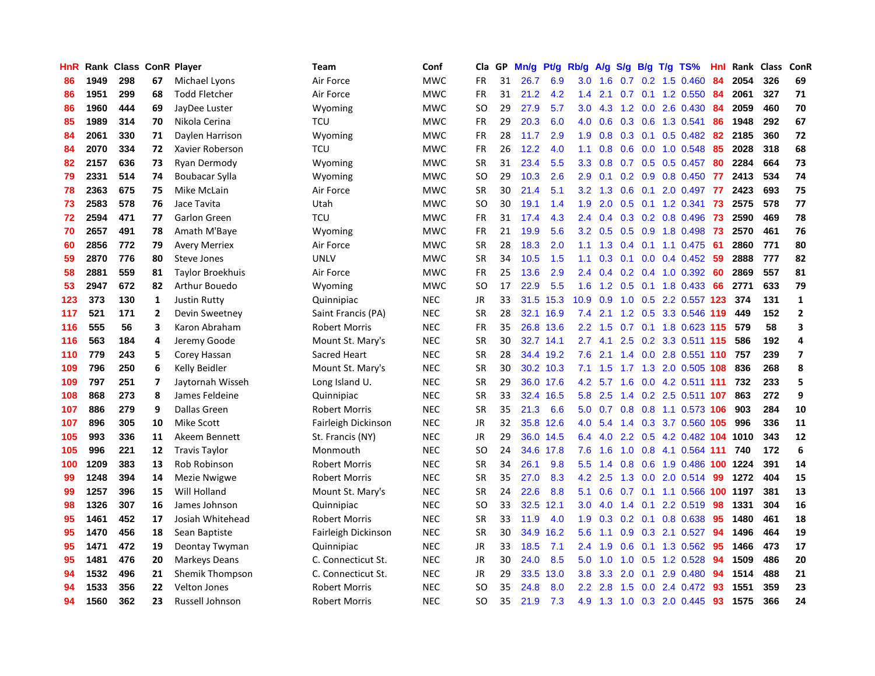| HnR |      | Rank Class ConR Player |                         |                         | Team                 | Conf       | Cla           | <b>GP</b> | Mn/g | <b>Pt/g</b> | Rb/g             | A/g |               |     | $S/g$ B/g T/g TS%          | Hnl | Rank | <b>Class</b> | ConR           |
|-----|------|------------------------|-------------------------|-------------------------|----------------------|------------|---------------|-----------|------|-------------|------------------|-----|---------------|-----|----------------------------|-----|------|--------------|----------------|
| 86  | 1949 | 298                    | 67                      | Michael Lyons           | Air Force            | <b>MWC</b> | <b>FR</b>     | 31        | 26.7 | 6.9         | 3.0              | 1.6 | 0.7           |     | 0.2 1.5 0.460              | 84  | 2054 | 326          | 69             |
| 86  | 1951 | 299                    | 68                      | <b>Todd Fletcher</b>    | Air Force            | <b>MWC</b> | <b>FR</b>     | 31        | 21.2 | 4.2         | 1.4              | 2.1 |               |     | 0.7 0.1 1.2 0.550          | -84 | 2061 | 327          | 71             |
| 86  | 1960 | 444                    | 69                      | JayDee Luster           | Wyoming              | <b>MWC</b> | SO            | 29        | 27.9 | 5.7         | 3.0 <sub>2</sub> | 4.3 |               |     | 1.2 0.0 2.6 0.430          | -84 | 2059 | 460          | 70             |
| 85  | 1989 | 314                    | 70                      | Nikola Cerina           | TCU                  | <b>MWC</b> | <b>FR</b>     | 29        | 20.3 | 6.0         | 4.0              | 0.6 |               |     | 0.3 0.6 1.3 0.541          | 86  | 1948 | 292          | 67             |
| 84  | 2061 | 330                    | 71                      | Daylen Harrison         | Wyoming              | <b>MWC</b> | <b>FR</b>     | 28        | 11.7 | 2.9         | 1.9              | 0.8 | 0.3           |     | $0.1$ 0.5 0.482            | 82  | 2185 | 360          | 72             |
| 84  | 2070 | 334                    | 72                      | Xavier Roberson         | <b>TCU</b>           | <b>MWC</b> | <b>FR</b>     | 26        | 12.2 | 4.0         | 1.1              | 0.8 | 0.6           |     | 0.0 1.0 0.548              | 85  | 2028 | 318          | 68             |
| 82  | 2157 | 636                    | 73                      | Ryan Dermody            | Wyoming              | <b>MWC</b> | <b>SR</b>     | 31        | 23.4 | 5.5         | 3.3 <sub>2</sub> | 0.8 |               |     | $0.7$ $0.5$ $0.5$ $0.457$  | 80  | 2284 | 664          | 73             |
| 79  | 2331 | 514                    | 74                      | Boubacar Sylla          | Wyoming              | <b>MWC</b> | SO            | 29        | 10.3 | 2.6         | 2.9              | 0.1 |               |     | $0.2$ 0.9 0.8 0.450        | 77  | 2413 | 534          | 74             |
| 78  | 2363 | 675                    | 75                      | Mike McLain             | Air Force            | <b>MWC</b> | <b>SR</b>     | 30        | 21.4 | 5.1         | 3.2              | 1.3 | 0.6           | 0.1 | 2.0 0.497                  | 77  | 2423 | 693          | 75             |
| 73  | 2583 | 578                    | 76                      | Jace Tavita             | Utah                 | <b>MWC</b> | SO            | 30        | 19.1 | 1.4         | 1.9              | 2.0 |               |     | $0.5$ 0.1 1.2 0.341        | 73  | 2575 | 578          | 77             |
| 72  | 2594 | 471                    | 77                      | Garlon Green            | <b>TCU</b>           | <b>MWC</b> | <b>FR</b>     | 31        | 17.4 | 4.3         | $2.4^{\circ}$    |     |               |     | 0.4 0.3 0.2 0.8 0.496 73   |     | 2590 | 469          | 78             |
| 70  | 2657 | 491                    | 78                      | Amath M'Baye            | Wyoming              | <b>MWC</b> | <b>FR</b>     | 21        | 19.9 | 5.6         | 3.2              | 0.5 |               |     | 0.5 0.9 1.8 0.498 73       |     | 2570 | 461          | 76             |
| 60  | 2856 | 772                    | 79                      | <b>Avery Merriex</b>    | Air Force            | <b>MWC</b> | <b>SR</b>     | 28        | 18.3 | 2.0         | 1.1              | 1.3 |               |     | $0.4$ 0.1 1.1 0.475        | -61 | 2860 | 771          | 80             |
| 59  | 2870 | 776                    | 80                      | Steve Jones             | <b>UNLV</b>          | <b>MWC</b> | <b>SR</b>     | 34        | 10.5 | 1.5         | 1.1              | 0.3 |               |     | $0.1$ 0.0 0.4 0.452        | -59 | 2888 | 777          | 82             |
| 58  | 2881 | 559                    | 81                      | <b>Taylor Broekhuis</b> | Air Force            | <b>MWC</b> | <b>FR</b>     | 25        | 13.6 | 2.9         | 2.4              | 0.4 |               |     | $0.2$ 0.4 1.0 0.392        | -60 | 2869 | 557          | 81             |
| 53  | 2947 | 672                    | 82                      | Arthur Bouedo           | Wyoming              | <b>MWC</b> | <b>SO</b>     | 17        | 22.9 | 5.5         | 1.6              | 1.2 |               |     | 0.5 0.1 1.8 0.433          | 66  | 2771 | 633          | 79             |
| 123 | 373  | 130                    | $\mathbf{1}$            | <b>Justin Rutty</b>     | Quinnipiac           | <b>NEC</b> | JR            | 33        | 31.5 | 15.3        | 10.9             | 0.9 | 1.0           |     | 0.5 2.2 0.557 123          |     | 374  | 131          | $\mathbf{1}$   |
| 117 | 521  | 171                    | $\mathbf{2}$            | Devin Sweetney          | Saint Francis (PA)   | <b>NEC</b> | <b>SR</b>     | 28        | 32.1 | 16.9        | 7.4              | 2.1 | 1.2           |     | 0.5 3.3 0.546              | 119 | 449  | 152          | $\overline{2}$ |
| 116 | 555  | 56                     | 3                       | Karon Abraham           | <b>Robert Morris</b> | <b>NEC</b> | <b>FR</b>     | 35        |      | 26.8 13.6   | $2.2^{\circ}$    | 1.5 |               |     | 0.7 0.1 1.8 0.623 115      |     | 579  | 58           | 3              |
| 116 | 563  | 184                    | 4                       | Jeremy Goode            | Mount St. Mary's     | <b>NEC</b> | <b>SR</b>     | 30        |      | 32.7 14.1   | $2.7^{\circ}$    |     |               |     | 4.1 2.5 0.2 3.3 0.511 115  |     | 586  | 192          | $\overline{4}$ |
| 110 | 779  | 243                    | 5                       | Corey Hassan            | Sacred Heart         | <b>NEC</b> | <b>SR</b>     | 28        |      | 34.4 19.2   | 7.6              | 2.1 |               |     | 1.4 0.0 2.8 0.551 110      |     | 757  | 239          | $\overline{7}$ |
| 109 | 796  | 250                    | 6                       | Kelly Beidler           | Mount St. Mary's     | <b>NEC</b> | <b>SR</b>     | 30        |      | 30.2 10.3   | 7.1              | 1.5 |               |     | 1.7 1.3 2.0 0.505          | 108 | 836  | 268          | 8              |
| 109 | 797  | 251                    | $\overline{\mathbf{z}}$ | Jaytornah Wisseh        | Long Island U.       | <b>NEC</b> | <b>SR</b>     | 29        |      | 36.0 17.6   | 4.2              | 5.7 | 1.6           |     | 0.0 4.2 0.511 111          |     | 732  | 233          | 5              |
| 108 | 868  | 273                    | 8                       | James Feldeine          | Quinnipiac           | <b>NEC</b> | <b>SR</b>     | 33        | 32.4 | 16.5        | 5.8              | 2.5 |               |     | 1.4 0.2 2.5 0.511 107      |     | 863  | 272          | 9              |
| 107 | 886  | 279                    | 9                       | Dallas Green            | <b>Robert Morris</b> | <b>NEC</b> | <b>SR</b>     | 35        | 21.3 | 6.6         | 5.0              | 0.7 | 0.8           |     | 0.8 1.1 0.573 106          |     | 903  | 284          | 10             |
| 107 | 896  | 305                    | 10                      | <b>Mike Scott</b>       | Fairleigh Dickinson  | <b>NEC</b> | JR            | 32        | 35.8 | 12.6        | 4.0              | 5.4 |               |     | 1.4 0.3 3.7 0.560 105      |     | 996  | 336          | 11             |
| 105 | 993  | 336                    | 11                      | Akeem Bennett           | St. Francis (NY)     | <b>NEC</b> | JR            | 29        |      | 36.0 14.5   | 6.4              | 4.0 |               |     | 2.2 0.5 4.2 0.482 104 1010 |     |      | 343          | 12             |
| 105 | 996  | 221                    | 12                      | <b>Travis Taylor</b>    | Monmouth             | <b>NEC</b> | <sub>SO</sub> | 24        |      | 34.6 17.8   | 7.6              | 1.6 |               |     | 1.0 0.8 4.1 0.564 111      |     | 740  | 172          | 6              |
| 100 | 1209 | 383                    | 13                      | Rob Robinson            | <b>Robert Morris</b> | <b>NEC</b> | <b>SR</b>     | 34        | 26.1 | 9.8         | 5.5 <sub>1</sub> | 1.4 |               |     | 0.8 0.6 1.9 0.486 100 1224 |     |      | 391          | 14             |
| 99  | 1248 | 394                    | 14                      | Mezie Nwigwe            | <b>Robert Morris</b> | <b>NEC</b> | <b>SR</b>     | 35        | 27.0 | 8.3         | 4.2              | 2.5 |               |     | 1.3 0.0 2.0 0.514          | -99 | 1272 | 404          | 15             |
| 99  | 1257 | 396                    | 15                      | Will Holland            | Mount St. Mary's     | <b>NEC</b> | <b>SR</b>     | 24        | 22.6 | 8.8         | 5.1              | 0.6 | 0.7           |     | $0.1$ 1.1 0.566            | 100 | 1197 | 381          | 13             |
| 98  | 1326 | 307                    | 16                      | James Johnson           | Quinnipiac           | <b>NEC</b> | SO            | 33        | 32.5 | 12.1        | 3.0 <sub>2</sub> | 4.0 | $1.4^{\circ}$ | 0.1 | 2.2 0.519                  | 98  | 1331 | 304          | 16             |
| 95  | 1461 | 452                    | 17                      | Josiah Whitehead        | <b>Robert Morris</b> | <b>NEC</b> | <b>SR</b>     | 33        | 11.9 | 4.0         | 1.9              | 0.3 | 0.2           | 0.1 | 0.8 0.638                  | 95  | 1480 | 461          | 18             |
| 95  | 1470 | 456                    | 18                      | Sean Baptiste           | Fairleigh Dickinson  | <b>NEC</b> | <b>SR</b>     | 30        | 34.9 | 16.2        | 5.6              | 1.1 | 0.9           | 0.3 | 2.1 0.527                  | 94  | 1496 | 464          | 19             |
| 95  | 1471 | 472                    | 19                      | Deontay Twyman          | Quinnipiac           | <b>NEC</b> | <b>JR</b>     | 33        | 18.5 | 7.1         | 2.4              | 1.9 | 0.6           |     | $0.1$ 1.3 0.562            | -95 | 1466 | 473          | 17             |
| 95  | 1481 | 476                    | 20                      | Markeys Deans           | C. Connecticut St.   | <b>NEC</b> | <b>JR</b>     | 30        | 24.0 | 8.5         | 5.0              | 1.0 |               |     | 1.0 0.5 1.2 0.528          | -94 | 1509 | 486          | 20             |
| 94  | 1532 | 496                    | 21                      | Shemik Thompson         | C. Connecticut St.   | <b>NEC</b> | JR            | 29        | 33.5 | 13.0        | 3.8 <sub>2</sub> | 3.3 | 2.0           | 0.1 | 2.9 0.480                  | 94  | 1514 | 488          | 21             |
| 94  | 1533 | 356                    | 22                      | <b>Velton Jones</b>     | <b>Robert Morris</b> | <b>NEC</b> | SO            | 35        | 24.8 | 8.0         | $2.2^{\circ}$    | 2.8 | 1.5           |     | $0.0$ 2.4 $0.472$          | 93  | 1551 | 359          | 23             |
| 94  | 1560 | 362                    | 23                      | Russell Johnson         | Robert Morris        | <b>NEC</b> | <b>SO</b>     | 35        | 21.9 | 7.3         | 4.9              | 1.3 |               |     | 1.0 0.3 2.0 0.445          | 93  | 1575 | 366          | 24             |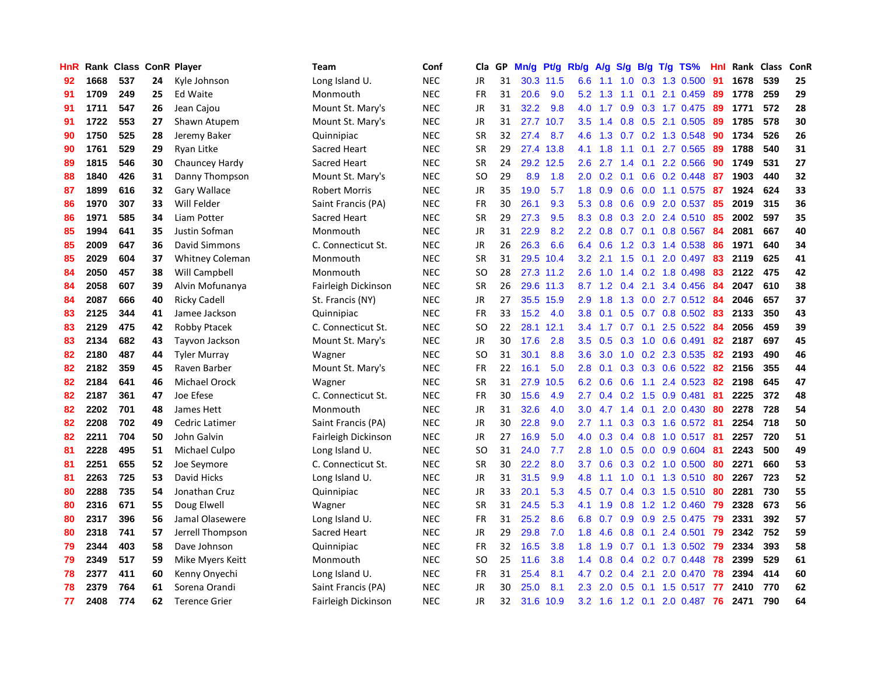| HnR |      | Rank Class |    | <b>ConR Player</b>     | Team                 | Conf       | Cla       | <b>GP</b> | Mn/g | <b>Pt/g</b> | Rb/g             | A/g         |                  |                   | S/g B/g T/g TS%           | Hnl | Rank | <b>Class</b> | ConR |
|-----|------|------------|----|------------------------|----------------------|------------|-----------|-----------|------|-------------|------------------|-------------|------------------|-------------------|---------------------------|-----|------|--------------|------|
| 92  | 1668 | 537        | 24 | Kyle Johnson           | Long Island U.       | <b>NEC</b> | <b>JR</b> | 31        |      | 30.3 11.5   | 6.6              | $-1.1$      |                  |                   | 1.0 0.3 1.3 0.500         | -91 | 1678 | 539          | 25   |
| 91  | 1709 | 249        | 25 | <b>Ed Waite</b>        | Monmouth             | <b>NEC</b> | <b>FR</b> | 31        | 20.6 | 9.0         | 5.2              |             |                  |                   | 1.3 1.1 0.1 2.1 0.459     | 89  | 1778 | 259          | 29   |
| 91  | 1711 | 547        | 26 | Jean Cajou             | Mount St. Mary's     | <b>NEC</b> | JR        | 31        | 32.2 | 9.8         |                  | $4.0 \t1.7$ |                  |                   | $0.9$ $0.3$ 1.7 $0.475$   | 89  | 1771 | 572          | 28   |
| 91  | 1722 | 553        | 27 | Shawn Atupem           | Mount St. Mary's     | <b>NEC</b> | JR        | 31        | 27.7 | 10.7        |                  | $3.5$ 1.4   |                  |                   | $0.8$ 0.5 2.1 0.505       | 89  | 1785 | 578          | 30   |
| 90  | 1750 | 525        | 28 | Jeremy Baker           | Quinnipiac           | <b>NEC</b> | <b>SR</b> | 32        | 27.4 | 8.7         | 4.6              | 1.3         |                  |                   | $0.7$ $0.2$ $1.3$ $0.548$ | 90  | 1734 | 526          | 26   |
| 90  | 1761 | 529        | 29 | Ryan Litke             | Sacred Heart         | <b>NEC</b> | <b>SR</b> | 29        | 27.4 | 13.8        | 4.1              | 1.8         |                  |                   | 1.1 0.1 2.7 0.565         | 89  | 1788 | 540          | 31   |
| 89  | 1815 | 546        | 30 | Chauncey Hardy         | Sacred Heart         | <b>NEC</b> | <b>SR</b> | 24        | 29.2 | 12.5        | 2.6              | 2.7         | $1.4^{\circ}$    |                   | $0.1$ 2.2 0.566           | 90  | 1749 | 531          | 27   |
| 88  | 1840 | 426        | 31 | Danny Thompson         | Mount St. Mary's     | <b>NEC</b> | <b>SO</b> | 29        | 8.9  | 1.8         | 2.0              | 0.2         |                  |                   | 0.1 0.6 0.2 0.448         | 87  | 1903 | 440          | 32   |
| 87  | 1899 | 616        | 32 | Gary Wallace           | <b>Robert Morris</b> | <b>NEC</b> | JR        | 35        | 19.0 | 5.7         | 1.8              | 0.9         | 0.6              |                   | 0.0 1.1 0.575             | 87  | 1924 | 624          | 33   |
| 86  | 1970 | 307        | 33 | Will Felder            | Saint Francis (PA)   | <b>NEC</b> | <b>FR</b> | 30        | 26.1 | 9.3         | 5.3              | 0.8         |                  |                   | $0.6$ $0.9$ $2.0$ $0.537$ | -85 | 2019 | 315          | 36   |
| 86  | 1971 | 585        | 34 | Liam Potter            | Sacred Heart         | <b>NEC</b> | <b>SR</b> | 29        | 27.3 | 9.5         | 8.3              | 0.8         |                  |                   | 0.3 2.0 2.4 0.510 85      |     | 2002 | 597          | 35   |
| 85  | 1994 | 641        | 35 | Justin Sofman          | Monmouth             | <b>NEC</b> | JR        | 31        | 22.9 | 8.2         | $2.2\phantom{0}$ | 0.8         |                  |                   | 0.7 0.1 0.8 0.567 84      |     | 2081 | 667          | 40   |
| 85  | 2009 | 647        | 36 | David Simmons          | C. Connecticut St.   | <b>NEC</b> | <b>JR</b> | 26        | 26.3 | 6.6         | 6.4              | 0.6         |                  |                   | 1.2 0.3 1.4 0.538         | 86  | 1971 | 640          | 34   |
| 85  | 2029 | 604        | 37 | <b>Whitney Coleman</b> | Monmouth             | <b>NEC</b> | <b>SR</b> | 31        | 29.5 | 10.4        | 3.2              | 2.1         | 1.5              |                   | $0.1$ 2.0 0.497           | 83  | 2119 | 625          | 41   |
| 84  | 2050 | 457        | 38 | Will Campbell          | Monmouth             | <b>NEC</b> | <b>SO</b> | 28        |      | 27.3 11.2   | 2.6              | 1.0         |                  |                   | 1.4 0.2 1.8 0.498         | 83  | 2122 | 475          | 42   |
| 84  | 2058 | 607        | 39 | Alvin Mofunanya        | Fairleigh Dickinson  | <b>NEC</b> | <b>SR</b> | 26        | 29.6 | 11.3        |                  | 8.7 1.2     | 0.4              | 2.1               | 3.4 0.456                 | 84  | 2047 | 610          | 38   |
| 84  | 2087 | 666        | 40 | <b>Ricky Cadell</b>    | St. Francis (NY)     | <b>NEC</b> | JR        | 27        | 35.5 | 15.9        | 2.9 <sup>°</sup> | 1.8         | 1.3              |                   | $0.0$ 2.7 $0.512$         | -84 | 2046 | 657          | 37   |
| 83  | 2125 | 344        | 41 | Jamee Jackson          | Quinnipiac           | <b>NEC</b> | <b>FR</b> | 33        | 15.2 | 4.0         | 3.8              | 0.1         | 0.5              |                   | $0.7$ 0.8 0.502           | -83 | 2133 | 350          | 43   |
| 83  | 2129 | 475        | 42 | <b>Robby Ptacek</b>    | C. Connecticut St.   | <b>NEC</b> | SO        | 22        | 28.1 | 12.1        | $3.4^{\circ}$    | 1.7         |                  |                   | 0.7 0.1 2.5 0.522 84      |     | 2056 | 459          | 39   |
| 83  | 2134 | 682        | 43 | Tayvon Jackson         | Mount St. Mary's     | <b>NEC</b> | JR.       | 30        | 17.6 | 2.8         | 3.5              | 0.5         |                  |                   | $0.3$ 1.0 0.6 0.491       | -82 | 2187 | 697          | 45   |
| 82  | 2180 | 487        | 44 | <b>Tyler Murray</b>    | Wagner               | <b>NEC</b> | SO.       | 31        | 30.1 | 8.8         | 3.6              | 3.0         |                  |                   | 1.0 0.2 2.3 0.535         | 82  | 2193 | 490          | 46   |
| 82  | 2182 | 359        | 45 | Raven Barber           | Mount St. Mary's     | <b>NEC</b> | <b>FR</b> | 22        | 16.1 | 5.0         | 2.8              | 0.1         |                  |                   | $0.3$ 0.3 0.6 0.522       | 82  | 2156 | 355          | 44   |
| 82  | 2184 | 641        | 46 | <b>Michael Orock</b>   | Wagner               | <b>NEC</b> | <b>SR</b> | 31        | 27.9 | 10.5        | 6.2              | 0.6         | 0.6              | 1.1               | 2.4 0.523                 | 82  | 2198 | 645          | 47   |
| 82  | 2187 | 361        | 47 | Joe Efese              | C. Connecticut St.   | <b>NEC</b> | <b>FR</b> | 30        | 15.6 | 4.9         | 2.7              | 0.4         |                  |                   | $0.2$ 1.5 0.9 0.481       | 81  | 2225 | 372          | 48   |
| 82  | 2202 | 701        | 48 | James Hett             | Monmouth             | <b>NEC</b> | JR        | 31        | 32.6 | 4.0         | 3.0 <sub>2</sub> |             |                  | $4.7$ $1.4$ $0.1$ | 2.0 0.430                 | 80  | 2278 | 728          | 54   |
| 82  | 2208 | 702        | 49 | Cedric Latimer         | Saint Francis (PA)   | <b>NEC</b> | <b>JR</b> | 30        | 22.8 | 9.0         | 2.7              | 1.1         |                  |                   | 0.3 0.3 1.6 0.572 81      |     | 2254 | 718          | 50   |
| 82  | 2211 | 704        | 50 | John Galvin            | Fairleigh Dickinson  | <b>NEC</b> | JR        | 27        | 16.9 | 5.0         | 4.0              | 0.3         |                  |                   | 0.4 0.8 1.0 0.517 81      |     | 2257 | 720          | 51   |
| 81  | 2228 | 495        | 51 | Michael Culpo          | Long Island U.       | <b>NEC</b> | <b>SO</b> | 31        | 24.0 | 7.7         | 2.8              |             |                  |                   | 1.0 0.5 0.0 0.9 0.604 81  |     | 2243 | 500          | 49   |
| 81  | 2251 | 655        | 52 | Joe Seymore            | C. Connecticut St.   | <b>NEC</b> | <b>SR</b> | 30        | 22.2 | 8.0         | 3.7              | 0.6         |                  |                   | $0.3$ 0.2 1.0 0.500       | 80  | 2271 | 660          | 53   |
| 81  | 2263 | 725        | 53 | David Hicks            | Long Island U.       | <b>NEC</b> | JR        | 31        | 31.5 | 9.9         | 4.8              | 1.1         | 1.0              |                   | $0.1$ 1.3 0.510           | -80 | 2267 | 723          | 52   |
| 80  | 2288 | 735        | 54 | Jonathan Cruz          | Quinnipiac           | <b>NEC</b> | JR        | 33        | 20.1 | 5.3         | 4.5              | 0.7         | 0.4              |                   | 0.3 1.5 0.510             | -80 | 2281 | 730          | 55   |
| 80  | 2316 | 671        | 55 | Doug Elwell            | Wagner               | <b>NEC</b> | SR        | 31        | 24.5 | 5.3         | 4.1              | 1.9         | 0.8              |                   | 1.2 1.2 0.460             | 79  | 2328 | 673          | 56   |
| 80  | 2317 | 396        | 56 | Jamal Olasewere        | Long Island U.       | <b>NEC</b> | <b>FR</b> | 31        | 25.2 | 8.6         | 6.8              | 0.7         | 0.9 <sup>°</sup> |                   | 0.9 2.5 0.475             | 79  | 2331 | 392          | 57   |
| 80  | 2318 | 741        | 57 | Jerrell Thompson       | Sacred Heart         | <b>NEC</b> | JR        | 29        | 29.8 | 7.0         | 1.8              | 4.6         | 0.8              | 0.1               | 2.4 0.501                 | 79  | 2342 | 752          | 59   |
| 79  | 2344 | 403        | 58 | Dave Johnson           | Quinnipiac           | <b>NEC</b> | <b>FR</b> | 32        | 16.5 | 3.8         | 1.8              | 1.9         | 0.7              |                   | $0.1$ 1.3 0.502           | 79  | 2334 | 393          | 58   |
| 79  | 2349 | 517        | 59 | Mike Myers Keitt       | Monmouth             | <b>NEC</b> | SO        | 25        | 11.6 | 3.8         | $1.4^{\circ}$    | 0.8         |                  |                   | $0.4$ 0.2 0.7 0.448       | 78  | 2399 | 529          | 61   |
| 78  | 2377 | 411        | 60 | Kenny Onyechi          | Long Island U.       | <b>NEC</b> | <b>FR</b> | 31        | 25.4 | 8.1         | 4.7              | 0.2         | $0.4^{\circ}$    | 2.1               | 2.0 0.470                 | 78  | 2394 | 414          | 60   |
| 78  | 2379 | 764        | 61 | Sorena Orandi          | Saint Francis (PA)   | <b>NEC</b> | JR        | 30        | 25.0 | 8.1         | $2.3^{\circ}$    | 2.0         | 0.5              |                   | $0.1$ 1.5 0.517           | 77  | 2410 | 770          | 62   |
| 77  | 2408 | 774        | 62 | <b>Terence Grier</b>   | Fairleigh Dickinson  | <b>NEC</b> | <b>JR</b> | 32        | 31.6 | 10.9        | 3.2              | 1.6         |                  |                   | 1.2 0.1 2.0 0.487         | 76  | 2471 | 790          | 64   |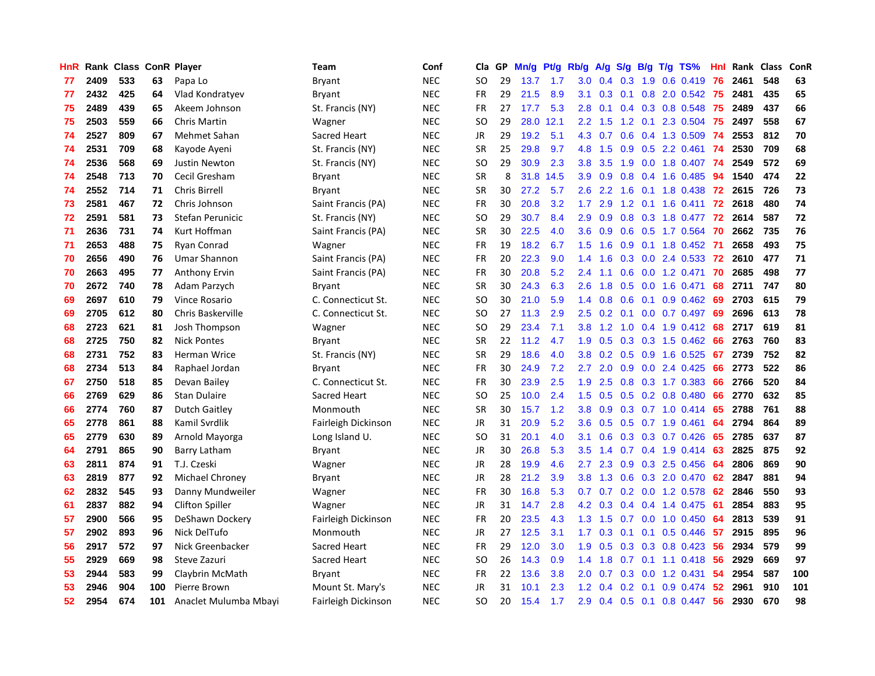| HnR |      | Rank Class ConR Player |     |                        | <b>Team</b>         | Conf       | Cla       | GP | Mn/g | <b>Pt/g</b> | Rb/g             | A/g             | S/g              |                 | B/g T/g TS%             | Hnl | Rank | <b>Class</b> | ConR |
|-----|------|------------------------|-----|------------------------|---------------------|------------|-----------|----|------|-------------|------------------|-----------------|------------------|-----------------|-------------------------|-----|------|--------------|------|
| 77  | 2409 | 533                    | 63  | Papa Lo                | <b>Bryant</b>       | <b>NEC</b> | <b>SO</b> | 29 | 13.7 | 1.7         | 3.0 <sub>1</sub> | $0.4 \quad 0.3$ |                  |                 | 1.9 0.6 0.419           | 76  | 2461 | 548          | 63   |
| 77  | 2432 | 425                    | 64  | Vlad Kondratyev        | Bryant              | <b>NEC</b> | <b>FR</b> | 29 | 21.5 | 8.9         | 3.1              | 0.3             |                  |                 | 0.1 0.8 2.0 0.542 75    |     | 2481 | 435          | 65   |
| 75  | 2489 | 439                    | 65  | Akeem Johnson          | St. Francis (NY)    | <b>NEC</b> | FR.       | 27 | 17.7 | 5.3         | 2.8 <sub>1</sub> | 0.1             |                  |                 | $0.4$ 0.3 0.8 0.548     | -75 | 2489 | 437          | 66   |
| 75  | 2503 | 559                    | 66  | <b>Chris Martin</b>    | Wagner              | <b>NEC</b> | <b>SO</b> | 29 | 28.0 | 12.1        | $2.2^{\circ}$    | 1.5             | 1.2              |                 | $0.1$ 2.3 0.504         | -75 | 2497 | 558          | 67   |
| 74  | 2527 | 809                    | 67  | Mehmet Sahan           | Sacred Heart        | <b>NEC</b> | JR        | 29 | 19.2 | 5.1         | 4.3              | 0.7             | 0.6              |                 | 0.4 1.3 0.509           | -74 | 2553 | 812          | 70   |
| 74  | 2531 | 709                    | 68  | Kayode Ayeni           | St. Francis (NY)    | <b>NEC</b> | <b>SR</b> | 25 | 29.8 | 9.7         | 4.8              | 1.5             | 0.9              |                 | $0.5$ 2.2 0.461         | -74 | 2530 | 709          | 68   |
| 74  | 2536 | 568                    | 69  | Justin Newton          | St. Francis (NY)    | <b>NEC</b> | SO        | 29 | 30.9 | 2.3         | 3.8              | 3.5             | 1.9              |                 | $0.0$ 1.8 $0.407$       | -74 | 2549 | 572          | 69   |
| 74  | 2548 | 713                    | 70  | Cecil Gresham          | Bryant              | <b>NEC</b> | <b>SR</b> | 8  | 31.8 | 14.5        | 3.9 <sup>°</sup> | 0.9             | 0.8              |                 | 0.4 1.6 0.485           | 94  | 1540 | 474          | 22   |
| 74  | 2552 | 714                    | 71  | <b>Chris Birrell</b>   | <b>Bryant</b>       | <b>NEC</b> | <b>SR</b> | 30 | 27.2 | 5.7         | 2.6              | 2.2             | 1.6              |                 | 0.1 1.8 0.438           | 72  | 2615 | 726          | 73   |
| 73  | 2581 | 467                    | 72  | Chris Johnson          | Saint Francis (PA)  | <b>NEC</b> | FR        | 30 | 20.8 | 3.2         | 1.7              | 2.9             |                  |                 | 1.2 0.1 1.6 0.411       | 72  | 2618 | 480          | 74   |
| 72  | 2591 | 581                    | 73  | Stefan Perunicic       | St. Francis (NY)    | <b>NEC</b> | <b>SO</b> | 29 | 30.7 | 8.4         | 2.9 <sup>°</sup> | 0.9             |                  |                 | 0.8 0.3 1.8 0.477 72    |     | 2614 | 587          | 72   |
| 71  | 2636 | 731                    | 74  | Kurt Hoffman           | Saint Francis (PA)  | <b>NEC</b> | <b>SR</b> | 30 | 22.5 | 4.0         | 3.6 <sup>°</sup> | 0.9             |                  |                 | 0.6 0.5 1.7 0.564       | -70 | 2662 | 735          | 76   |
| 71  | 2653 | 488                    | 75  | Ryan Conrad            | Wagner              | <b>NEC</b> | <b>FR</b> | 19 | 18.2 | 6.7         | 1.5              | 1.6             | 0.9 <sub>0</sub> |                 | $0.1$ 1.8 0.452         | -71 | 2658 | 493          | 75   |
| 70  | 2656 | 490                    | 76  | Umar Shannon           | Saint Francis (PA)  | <b>NEC</b> | FR        | 20 | 22.3 | 9.0         | 1.4              | 1.6             | 0.3              |                 | $0.0$ 2.4 0.533         | 72  | 2610 | 477          | 71   |
| 70  | 2663 | 495                    | 77  | Anthony Ervin          | Saint Francis (PA)  | <b>NEC</b> | <b>FR</b> | 30 | 20.8 | 5.2         | 2.4              | 1.1             | 0.6              |                 | $0.0$ 1.2 $0.471$       | 70  | 2685 | 498          | 77   |
| 70  | 2672 | 740                    | 78  | Adam Parzych           | Bryant              | <b>NEC</b> | <b>SR</b> | 30 | 24.3 | 6.3         | 2.6              | 1.8             | 0.5              |                 | $0.0$ 1.6 0.471         | 68  | 2711 | 747          | 80   |
| 69  | 2697 | 610                    | 79  | Vince Rosario          | C. Connecticut St.  | <b>NEC</b> | <b>SO</b> | 30 | 21.0 | 5.9         | $1.4^{\circ}$    | 0.8             | 0.6              | 0.1             | $0.9$ $0.462$           | 69  | 2703 | 615          | 79   |
| 69  | 2705 | 612                    | 80  | Chris Baskerville      | C. Connecticut St.  | <b>NEC</b> | <b>SO</b> | 27 | 11.3 | 2.9         | 2.5              | 0.2             | 0.1              |                 | $0.0$ 0.7 0.497         | 69  | 2696 | 613          | 78   |
| 68  | 2723 | 621                    | 81  | Josh Thompson          | Wagner              | <b>NEC</b> | <b>SO</b> | 29 | 23.4 | 7.1         | 3.8 <sub>1</sub> | 1.2             |                  |                 | 1.0 0.4 1.9 0.412 68    |     | 2717 | 619          | 81   |
| 68  | 2725 | 750                    | 82  | <b>Nick Pontes</b>     | Bryant              | <b>NEC</b> | <b>SR</b> | 22 | 11.2 | 4.7         | 1.9              | 0.5             |                  |                 | $0.3$ $0.3$ 1.5 $0.462$ | 66  | 2763 | 760          | 83   |
| 68  | 2731 | 752                    | 83  | <b>Herman Wrice</b>    | St. Francis (NY)    | <b>NEC</b> | <b>SR</b> | 29 | 18.6 | 4.0         | 3.8 <sub>2</sub> | 0.2             |                  |                 | $0.5$ 0.9 1.6 0.525     | 67  | 2739 | 752          | 82   |
| 68  | 2734 | 513                    | 84  | Raphael Jordan         | Bryant              | <b>NEC</b> | <b>FR</b> | 30 | 24.9 | 7.2         | $2.7^{\circ}$    | 2.0             | 0.9              |                 | $0.0$ 2.4 $0.425$       | 66  | 2773 | 522          | 86   |
| 67  | 2750 | 518                    | 85  | Devan Bailey           | C. Connecticut St.  | <b>NEC</b> | <b>FR</b> | 30 | 23.9 | 2.5         | 1.9              | 2.5             | 0.8              |                 | 0.3 1.7 0.383           | 66  | 2766 | 520          | 84   |
| 66  | 2769 | 629                    | 86  | <b>Stan Dulaire</b>    | Sacred Heart        | <b>NEC</b> | <b>SO</b> | 25 | 10.0 | 2.4         | 1.5              | 0.5             | 0.5              |                 | $0.2$ 0.8 0.480         | 66  | 2770 | 632          | 85   |
| 66  | 2774 | 760                    | 87  | <b>Dutch Gaitley</b>   | Monmouth            | <b>NEC</b> | <b>SR</b> | 30 | 15.7 | 1.2         | 3.8              | 0.9             | 0.3              |                 | $0.7$ 1.0 0.414         | 65  | 2788 | 761          | 88   |
| 65  | 2778 | 861                    | 88  | Kamil Svrdlik          | Fairleigh Dickinson | <b>NEC</b> | <b>JR</b> | 31 | 20.9 | 5.2         | 3.6 <sup>°</sup> | 0.5             |                  |                 | 0.5 0.7 1.9 0.461       | 64  | 2794 | 864          | 89   |
| 65  | 2779 | 630                    | 89  | Arnold Mayorga         | Long Island U.      | <b>NEC</b> | <b>SO</b> | 31 | 20.1 | 4.0         | 3.1              | 0.6             |                  |                 | 0.3 0.3 0.7 0.426       | 65  | 2785 | 637          | 87   |
| 64  | 2791 | 865                    | 90  | <b>Barry Latham</b>    | Bryant              | <b>NEC</b> | JR        | 30 | 26.8 | 5.3         | 3.5              | 1.4             |                  |                 | 0.7 0.4 1.9 0.414       | -63 | 2825 | 875          | 92   |
| 63  | 2811 | 874                    | 91  | T.J. Czeski            | Wagner              | <b>NEC</b> | JR        | 28 | 19.9 | 4.6         | 2.7 <sub>2</sub> | 2.3             |                  |                 | $0.9$ $0.3$ 2.5 $0.456$ | -64 | 2806 | 869          | 90   |
| 63  | 2819 | 877                    | 92  | Michael Chroney        | Bryant              | <b>NEC</b> | <b>JR</b> | 28 | 21.2 | 3.9         | 3.8              | 1.3             |                  |                 | 0.6 0.3 2.0 0.470       | 62  | 2847 | 881          | 94   |
| 62  | 2832 | 545                    | 93  | Danny Mundweiler       | Wagner              | <b>NEC</b> | <b>FR</b> | 30 | 16.8 | 5.3         | 0.7              | 0.7             |                  |                 | 0.2 0.0 1.2 0.578       | 62  | 2846 | 550          | 93   |
| 61  | 2837 | 882                    | 94  | <b>Clifton Spiller</b> | Wagner              | <b>NEC</b> | JR        | 31 | 14.7 | 2.8         | 4.2              | 0.3             |                  |                 | $0.4$ 0.4 1.4 0.475     | -61 | 2854 | 883          | 95   |
| 57  | 2900 | 566                    | 95  | DeShawn Dockery        | Fairleigh Dickinson | <b>NEC</b> | <b>FR</b> | 20 | 23.5 | 4.3         | 1.3              | 1.5             | 0.7              |                 | $0.0$ 1.0 $0.450$       | 64  | 2813 | 539          | 91   |
| 57  | 2902 | 893                    | 96  | Nick DelTufo           | Monmouth            | <b>NEC</b> | JR        | 27 | 12.5 | 3.1         | 1.7 <sub>z</sub> | 0.3             | 0.1              | 0.1             | $0.5$ 0.446             | 57  | 2915 | 895          | 96   |
| 56  | 2917 | 572                    | 97  | Nick Greenbacker       | Sacred Heart        | <b>NEC</b> | <b>FR</b> | 29 | 12.0 | 3.0         | 1.9              | 0.5             | 0.3              |                 | $0.3$ 0.8 0.423         | 56  | 2934 | 579          | 99   |
| 55  | 2929 | 669                    | 98  | Steve Zazuri           | Sacred Heart        | <b>NEC</b> | SO        | 26 | 14.3 | 0.9         | $1.4^{\circ}$    | 1.8             |                  |                 | $0.7$ 0.1 1.1 0.418     | -56 | 2929 | 669          | 97   |
| 53  | 2944 | 583                    | 99  | Claybrin McMath        | Bryant              | <b>NEC</b> | <b>FR</b> | 22 | 13.6 | 3.8         | $2.0^{\circ}$    | 0.7             |                  |                 | $0.3$ 0.0 1.2 0.431     | -54 | 2954 | 587          | 100  |
| 53  | 2946 | 904                    | 100 | Pierre Brown           | Mount St. Mary's    | <b>NEC</b> | JR        | 31 | 10.1 | 2.3         | 1.2              | 0.4             | 0.2              | 0.1             | $0.9$ 0.474             | 52  | 2961 | 910          | 101  |
| 52  | 2954 | 674                    | 101 | Anaclet Mulumba Mbayi  | Fairleigh Dickinson | <b>NEC</b> | <b>SO</b> | 20 | 15.4 | 1.7         | 2.9              | 0.4             |                  | $0.5 \quad 0.1$ | $0.8$ 0.447             | 56  | 2930 | 670          | 98   |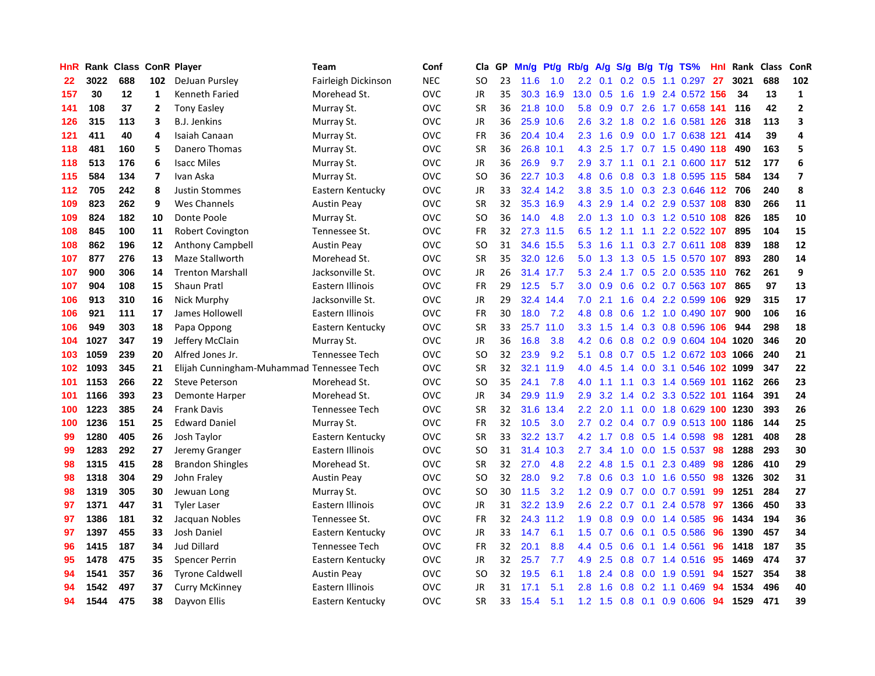| HnR |      | Rank Class ConR Player |                         |                                           | Team                  | Conf       | Cla       | GP | Mn/g | <b>Pt/g</b> | Rb/g             | A/g             |               |                 | S/g B/g T/g TS%            | Hnl | Rank     | <b>Class</b> | ConR                     |
|-----|------|------------------------|-------------------------|-------------------------------------------|-----------------------|------------|-----------|----|------|-------------|------------------|-----------------|---------------|-----------------|----------------------------|-----|----------|--------------|--------------------------|
| 22  | 3022 | 688                    | 102                     | DeJuan Pursley                            | Fairleigh Dickinson   | <b>NEC</b> | <b>SO</b> | 23 | 11.6 | 1.0         | 2.2              | 0.1             |               | $0.2 \quad 0.5$ | 1.1 0.297                  | -27 | 3021     | 688          | 102                      |
| 157 | 30   | 12                     | 1                       | Kenneth Faried                            | Morehead St.          | <b>OVC</b> | JR        | 35 |      | 30.3 16.9   | 13.0 0.5         |                 |               |                 | 1.6 1.9 2.4 0.572 156      |     | 34       | 13           | $\mathbf{1}$             |
| 141 | 108  | 37                     | 2                       | <b>Tony Easley</b>                        | Murray St.            | <b>OVC</b> | <b>SR</b> | 36 |      | 21.8 10.0   | 5.8              | 0.9             |               |                 | 0.7 2.6 1.7 0.658 141      |     | 116      | 42           | $\overline{2}$           |
| 126 | 315  | 113                    | 3                       | <b>B.J. Jenkins</b>                       | Murray St.            | <b>OVC</b> | JR        | 36 |      | 25.9 10.6   | 2.6 <sup>°</sup> |                 |               |                 | 3.2 1.8 0.2 1.6 0.581 126  |     | 318      | 113          | 3                        |
| 121 | 411  | 40                     | 4                       | Isaiah Canaan                             | Murray St.            | <b>OVC</b> | <b>FR</b> | 36 |      | 20.4 10.4   | 2.3              | 1.6             |               |                 | 0.9 0.0 1.7 0.638 121      |     | 414      | 39           | 4                        |
| 118 | 481  | 160                    | 5                       | Danero Thomas                             | Murray St.            | <b>OVC</b> | <b>SR</b> | 36 | 26.8 | 10.1        | 4.3              | 2.5             |               |                 | 1.7 0.7 1.5 0.490 118      |     | 490      | 163          | 5                        |
| 118 | 513  | 176                    | 6                       | <b>Isacc Miles</b>                        | Murray St.            | OVC        | JR        | 36 | 26.9 | 9.7         | 2.9              | 3.7             |               |                 | 1.1 0.1 2.1 0.600 117      |     | 512      | 177          | 6                        |
| 115 | 584  | 134                    | $\overline{\mathbf{z}}$ | Ivan Aska                                 | Murray St.            | <b>OVC</b> | SO        | 36 |      | 22.7 10.3   | 4.8              | 0.6             | 0.8           |                 | 0.3 1.8 0.595 115          |     | 584      | 134          | $\overline{\phantom{a}}$ |
| 112 | 705  | 242                    | 8                       | <b>Justin Stommes</b>                     | Eastern Kentucky      | <b>OVC</b> | JR        | 33 |      | 32.4 14.2   | 3.8 <sub>2</sub> | 3.5             | 1.0           |                 | 0.3 2.3 0.646 112          |     | 706      | 240          | 8                        |
| 109 | 823  | 262                    | 9                       | Wes Channels                              | <b>Austin Peay</b>    | <b>OVC</b> | <b>SR</b> | 32 |      | 35.3 16.9   |                  | 4.3 2.9         |               |                 | 1.4 0.2 2.9 0.537 108      |     | 830      | 266          | 11                       |
| 109 | 824  | 182                    | 10                      | Donte Poole                               | Murray St.            | <b>OVC</b> | <b>SO</b> | 36 | 14.0 | 4.8         |                  | $2.0 \t1.3$     |               |                 | 1.0 0.3 1.2 0.510 108      |     | 826      | 185          | 10                       |
| 108 | 845  | 100                    | 11                      | <b>Robert Covington</b>                   | Tennessee St.         | <b>OVC</b> | <b>FR</b> | 32 | 27.3 | 11.5        | 6.5              | 1.2             |               |                 | 1.1 1.1 2.2 0.522 107      |     | 895      | 104          | 15                       |
| 108 | 862  | 196                    | 12                      | Anthony Campbell                          | <b>Austin Peav</b>    | <b>OVC</b> | <b>SO</b> | 31 |      | 34.6 15.5   | 5.3              | 1.6             | 1.1           |                 | 0.3 2.7 0.611 108          |     | 839      | 188          | 12                       |
| 107 | 877  | 276                    | 13                      | Maze Stallworth                           | Morehead St.          | <b>OVC</b> | <b>SR</b> | 35 |      | 32.0 12.6   | 5.0              | 1.3             |               |                 | 1.3 0.5 1.5 0.570 107      |     | 893      | 280          | 14                       |
| 107 | 900  | 306                    | 14                      | <b>Trenton Marshall</b>                   | Jacksonville St.      | <b>OVC</b> | JR        | 26 | 31.4 | 17.7        | 5.3              | 2.4             |               |                 | 1.7 0.5 2.0 0.535 110      |     | 762      | 261          | 9                        |
| 107 | 904  | 108                    | 15                      | <b>Shaun Pratl</b>                        | Eastern Illinois      | <b>OVC</b> | <b>FR</b> | 29 | 12.5 | 5.7         |                  | $3.0\quad 0.9$  | 0.6           |                 | 0.2 0.7 0.563 107          |     | 865      | 97           | 13                       |
| 106 | 913  | 310                    | 16                      | Nick Murphy                               | Jacksonville St.      | <b>OVC</b> | JR        | 29 | 32.4 | 14.4        | 7.0              | 2.1             | 1.6           |                 | 0.4 2.2 0.599 106          |     | 929      | 315          | 17                       |
| 106 | 921  | 111                    | 17                      | James Hollowell                           | Eastern Illinois      | <b>OVC</b> | <b>FR</b> | 30 | 18.0 | 7.2         | 4.8              | 0.8             | 0.6           |                 | 1.2 1.0 0.490 107          |     | 900      | 106          | 16                       |
| 106 | 949  | 303                    | 18                      | Papa Oppong                               | Eastern Kentucky      | <b>OVC</b> | <b>SR</b> | 33 |      | 25.7 11.0   |                  | $3.3 \quad 1.5$ |               |                 | 1.4 0.3 0.8 0.596 106      |     | 944      | 298          | 18                       |
| 104 | 1027 | 347                    | 19                      | Jeffery McClain                           | Murray St.            | <b>OVC</b> | JR        | 36 | 16.8 | 3.8         | 4.2              | 0.6             |               |                 | 0.8 0.2 0.9 0.604 104 1020 |     |          | 346          | 20                       |
| 103 | 1059 | 239                    | 20                      | Alfred Jones Jr.                          | <b>Tennessee Tech</b> | <b>OVC</b> | <b>SO</b> | 32 | 23.9 | 9.2         | 5.1              | 0.8             |               |                 | 0.7 0.5 1.2 0.672 103 1066 |     |          | 240          | 21                       |
| 102 | 1093 | 345                    | 21                      | Elijah Cunningham-Muhammad Tennessee Tech |                       | <b>OVC</b> | <b>SR</b> | 32 | 32.1 | 11.9        | 4.0              | 4.5             | 1.4           |                 | $0.0$ 3.1 $0.546$          |     | 102 1099 | 347          | 22                       |
| 101 | 1153 | 266                    | 22                      | <b>Steve Peterson</b>                     | Morehead St.          | <b>OVC</b> | SO        | 35 | 24.1 | 7.8         | 4.0              | $-1.1$          | 1.1           |                 | 0.3 1.4 0.569 101 1162     |     |          | 266          | 23                       |
| 101 | 1166 | 393                    | 23                      | Demonte Harper                            | Morehead St.          | <b>OVC</b> | JR        | 34 | 29.9 | 11.9        | 2.9 <sup>°</sup> | 3.2             | $1.4^{\circ}$ |                 | 0.2 3.3 0.522              | 101 | 1164     | 391          | 24                       |
| 100 | 1223 | 385                    | 24                      | <b>Frank Davis</b>                        | Tennessee Tech        | <b>OVC</b> | <b>SR</b> | 32 | 31.6 | 13.4        | $2.2^{\circ}$    | 2.0             | 1.1           |                 | 0.0 1.8 0.629 100 1230     |     |          | 393          | 26                       |
| 100 | 1236 | 151                    | 25                      | <b>Edward Daniel</b>                      | Murray St.            | <b>OVC</b> | <b>FR</b> | 32 | 10.5 | 3.0         | $2.7^{\circ}$    | 0.2             |               |                 | 0.4 0.7 0.9 0.513 100 1186 |     |          | 144          | 25                       |
| 99  | 1280 | 405                    | 26                      | Josh Taylor                               | Eastern Kentucky      | <b>OVC</b> | <b>SR</b> | 33 |      | 32.2 13.7   |                  | $4.2 \quad 1.7$ |               |                 | 0.8 0.5 1.4 0.598 98       |     | 1281     | 408          | 28                       |
| 99  | 1283 | 292                    | 27                      | Jeremy Granger                            | Eastern Illinois      | <b>OVC</b> | <b>SO</b> | 31 |      | 31.4 10.3   | $2.7^{\circ}$    | 3.4             |               |                 | 1.0 0.0 1.5 0.537 98       |     | 1288     | 293          | 30                       |
| 98  | 1315 | 415                    | 28                      | <b>Brandon Shingles</b>                   | Morehead St.          | <b>OVC</b> | SR.       | 32 | 27.0 | 4.8         | $2.2^{\circ}$    | 4.8             |               |                 | 1.5 0.1 2.3 0.489          | -98 | 1286     | 410          | 29                       |
| 98  | 1318 | 304                    | 29                      | John Fraley                               | <b>Austin Peay</b>    | <b>OVC</b> | <b>SO</b> | 32 | 28.0 | 9.2         | 7.8              | 0.6             | 0.3           |                 | 1.0 1.6 0.550              | 98  | 1326     | 302          | 31                       |
| 98  | 1319 | 305                    | 30                      | Jewuan Long                               | Murray St.            | <b>OVC</b> | SO.       | 30 | 11.5 | 3.2         | 1.2              | 0.9             |               |                 | $0.7$ 0.0 0.7 0.591        | 99  | 1251     | 284          | 27                       |
| 97  | 1371 | 447                    | 31                      | <b>Tyler Laser</b>                        | Eastern Illinois      | <b>OVC</b> | JR        | 31 |      | 32.2 13.9   | 2.6              | 2.2             | 0.7           | 0.1             | 2.4 0.578                  | 97  | 1366     | 450          | 33                       |
| 97  | 1386 | 181                    | 32                      | Jacquan Nobles                            | Tennessee St.         | <b>OVC</b> | <b>FR</b> | 32 | 24.3 | 11.2        | 1.9 <sup>°</sup> | 0.8             | 0.9           |                 | $0.0$ 1.4 $0.585$          | 96  | 1434     | 194          | 36                       |
| 97  | 1397 | 455                    | 33                      | Josh Daniel                               | Eastern Kentucky      | <b>OVC</b> | <b>JR</b> | 33 | 14.7 | 6.1         | 1.5              | 0.7             | 0.6           | 0.1             | $0.5$ 0.586                | 96  | 1390     | 457          | 34                       |
| 96  | 1415 | 187                    | 34                      | <b>Jud Dillard</b>                        | <b>Tennessee Tech</b> | <b>OVC</b> | <b>FR</b> | 32 | 20.1 | 8.8         | $4.4^{\circ}$    | 0.5             | 0.6           |                 | $0.1$ 1.4 0.561            | 96  | 1418     | 187          | 35                       |
| 95  | 1478 | 475                    | 35                      | <b>Spencer Perrin</b>                     | Eastern Kentucky      | <b>OVC</b> | JR        | 32 | 25.7 | 7.7         |                  | 4.9 2.5         |               |                 | $0.8$ 0.7 1.4 0.516        | -95 | 1469     | 474          | 37                       |
| 94  | 1541 | 357                    | 36                      | <b>Tyrone Caldwell</b>                    | <b>Austin Peay</b>    | <b>OVC</b> | <b>SO</b> | 32 | 19.5 | 6.1         | 1.8              | 2.4             | 0.8           |                 | $0.0$ 1.9 $0.591$          | 94  | 1527     | 354          | 38                       |
| 94  | 1542 | 497                    | 37                      | <b>Curry McKinney</b>                     | Eastern Illinois      | <b>OVC</b> | <b>JR</b> | 31 | 17.1 | 5.1         | 2.8              | 1.6             | 0.8           |                 | $0.2$ 1.1 $0.469$          | 94  | 1534     | 496          | 40                       |
| 94  | 1544 | 475                    | 38                      | Dayvon Ellis                              | Eastern Kentucky      | <b>OVC</b> | <b>SR</b> | 33 | 15.4 | 5.1         |                  | $1.2 \quad 1.5$ |               |                 | $0.8$ 0.1 0.9 0.606        | 94  | 1529     | 471          | 39                       |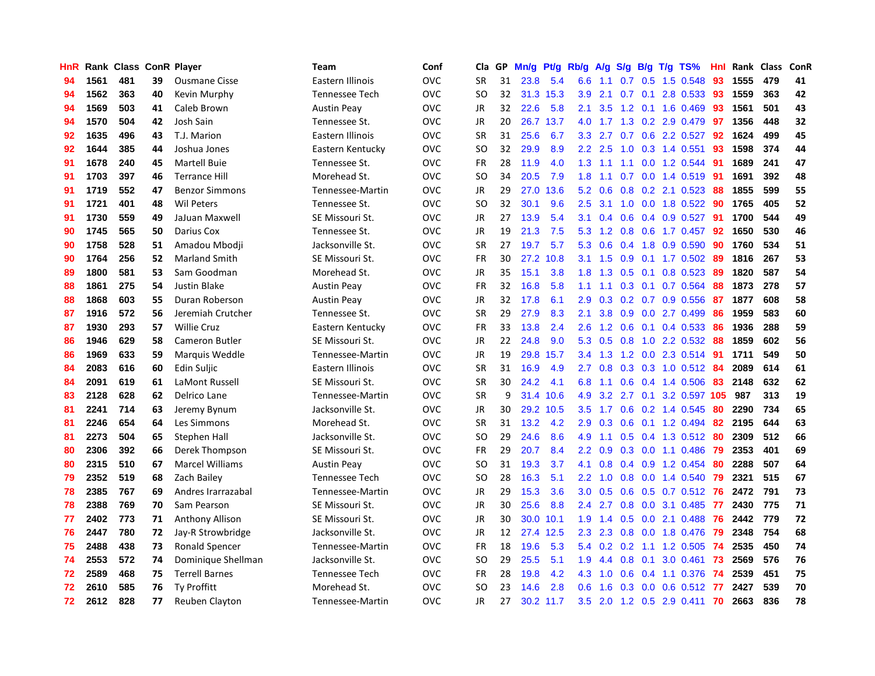| HnR |      | Rank Class ConR Player |    |                        | Team                  | Conf       | Cla.          | <b>GP</b> | Mn/g | <b>Pt/g</b> | Rb/g             | A/g     |     |     | S/g B/g T/g TS%           | Hnl | Rank | <b>Class</b> | ConR       |
|-----|------|------------------------|----|------------------------|-----------------------|------------|---------------|-----------|------|-------------|------------------|---------|-----|-----|---------------------------|-----|------|--------------|------------|
| 94  | 1561 | 481                    | 39 | <b>Ousmane Cisse</b>   | Eastern Illinois      | <b>OVC</b> | <b>SR</b>     | 31        | 23.8 | 5.4         | 6.6              | 1.1     |     |     | $0.7$ $0.5$ 1.5 $0.548$   | -93 | 1555 | 479          | 41         |
| 94  | 1562 | 363                    | 40 | Kevin Murphy           | Tennessee Tech        | <b>OVC</b> | <b>SO</b>     | 32        |      | 31.3 15.3   | 3.9 <sup>°</sup> | 2.1     |     |     | 0.7 0.1 2.8 0.533 93      |     | 1559 | 363          | 42         |
| 94  | 1569 | 503                    | 41 | Caleb Brown            | <b>Austin Peay</b>    | <b>OVC</b> | JR            | 32        | 22.6 | 5.8         | 2.1              | 3.5     |     |     | 1.2 0.1 1.6 0.469         | -93 | 1561 | 501          | 43         |
| 94  | 1570 | 504                    | 42 | Josh Sain              | Tennessee St.         | <b>OVC</b> | JR            | 20        | 26.7 | 13.7        | 4.0              |         |     |     | 1.7 1.3 0.2 2.9 0.479     | 97  | 1356 | 448          | 32         |
| 92  | 1635 | 496                    | 43 | T.J. Marion            | Eastern Illinois      | <b>OVC</b> | <b>SR</b>     | 31        | 25.6 | 6.7         | 3.3 <sub>2</sub> | 2.7     |     |     | 0.7 0.6 2.2 0.527         | 92  | 1624 | 499          | 45         |
| 92  | 1644 | 385                    | 44 | Joshua Jones           | Eastern Kentucky      | <b>OVC</b> | SO.           | 32        | 29.9 | 8.9         | 2.2              | 2.5     |     |     | 1.0 0.3 1.4 0.551         | 93  | 1598 | 374          | 44         |
| 91  | 1678 | 240                    | 45 | <b>Martell Buie</b>    | Tennessee St.         | <b>OVC</b> | <b>FR</b>     | 28        | 11.9 | 4.0         | 1.3              | $-1.1$  |     |     | 1.1 0.0 1.2 0.544         | -91 | 1689 | 241          | 47         |
| 91  | 1703 | 397                    | 46 | <b>Terrance Hill</b>   | Morehead St.          | <b>OVC</b> | <b>SO</b>     | 34        | 20.5 | 7.9         | 1.8              | 1.1     |     |     | 0.7 0.0 1.4 0.519         | 91  | 1691 | 392          | 48         |
| 91  | 1719 | 552                    | 47 | <b>Benzor Simmons</b>  | Tennessee-Martin      | <b>OVC</b> | <b>JR</b>     | 29        | 27.0 | 13.6        | 5.2              | 0.6     | 0.8 |     | $0.2$ 2.1 0.523           | 88  | 1855 | 599          | 55         |
| 91  | 1721 | 401                    | 48 | <b>Wil Peters</b>      | Tennessee St.         | <b>OVC</b> | <sub>SO</sub> | 32        | 30.1 | 9.6         | 2.5              | 3.1     |     |     | 1.0 0.0 1.8 0.522 90      |     | 1765 | 405          | 52         |
| 91  | 1730 | 559                    | 49 | JaJuan Maxwell         | SE Missouri St.       | <b>OVC</b> | JR            | 27        | 13.9 | 5.4         | 3.1              | 0.4     |     |     | 0.6 0.4 0.9 0.527 91      |     | 1700 | 544          | 49         |
| 90  | 1745 | 565                    | 50 | Darius Cox             | Tennessee St.         | <b>OVC</b> | JR            | 19        | 21.3 | 7.5         | 5.3              | 1.2     |     |     | 0.8 0.6 1.7 0.457 92      |     | 1650 | 530          | 46         |
| 90  | 1758 | 528                    | 51 | Amadou Mbodji          | Jacksonville St.      | <b>OVC</b> | <b>SR</b>     | 27        | 19.7 | 5.7         | 5.3              | 0.6     |     |     | 0.4 1.8 0.9 0.590         | 90  | 1760 | 534          | 51         |
| 90  | 1764 | 256                    | 52 | <b>Marland Smith</b>   | SE Missouri St.       | <b>OVC</b> | <b>FR</b>     | 30        | 27.2 | 10.8        | 3.1              | 1.5     | 0.9 |     | 0.1 1.7 0.502 89          |     | 1816 | 267          | 53         |
| 89  | 1800 | 581                    | 53 | Sam Goodman            | Morehead St.          | <b>OVC</b> | JR            | 35        | 15.1 | 3.8         | 1.8              | 1.3     | 0.5 |     | $0.1$ 0.8 0.523           | -89 | 1820 | 587          | 54         |
| 88  | 1861 | 275                    | 54 | <b>Justin Blake</b>    | <b>Austin Peay</b>    | <b>OVC</b> | <b>FR</b>     | 32        | 16.8 | 5.8         | 1.1              | 1.1     | 0.3 |     | $0.1$ 0.7 0.564           | -88 | 1873 | 278          | 57         |
| 88  | 1868 | 603                    | 55 | Duran Roberson         | <b>Austin Peay</b>    | <b>OVC</b> | JR            | 32        | 17.8 | 6.1         | 2.9              | 0.3     | 0.2 |     | $0.7$ 0.9 0.556           | -87 | 1877 | 608          | 58         |
| 87  | 1916 | 572                    | 56 | Jeremiah Crutcher      | Tennessee St.         | <b>OVC</b> | <b>SR</b>     | 29        | 27.9 | 8.3         | 2.1              | 3.8     | 0.9 |     | $0.0$ 2.7 $0.499$         | 86  | 1959 | 583          | 60         |
| 87  | 1930 | 293                    | 57 | <b>Willie Cruz</b>     | Eastern Kentucky      | <b>OVC</b> | FR            | 33        | 13.8 | 2.4         | 2.6              |         |     |     | 1.2 0.6 0.1 0.4 0.533 86  |     | 1936 | 288          | 59         |
| 86  | 1946 | 629                    | 58 | <b>Cameron Butler</b>  | SE Missouri St.       | <b>OVC</b> | JR            | 22        | 24.8 | 9.0         | 5.3              | 0.5     |     |     | 0.8 1.0 2.2 0.532 88      |     | 1859 | 602          | 56         |
| 86  | 1969 | 633                    | 59 | Marquis Weddle         | Tennessee-Martin      | <b>OVC</b> | JR            | 19        | 29.8 | 15.7        | 3.4              | 1.3     |     |     | 1.2 0.0 2.3 0.514 91      |     | 1711 | 549          | 50         |
| 84  | 2083 | 616                    | 60 | Edin Suljic            | Eastern Illinois      | OVC        | <b>SR</b>     | 31        | 16.9 | 4.9         | $2.7^{\circ}$    | 0.8     |     |     | 0.3 0.3 1.0 0.512 84      |     | 2089 | 614          | 61         |
| 84  | 2091 | 619                    | 61 | LaMont Russell         | SE Missouri St.       | <b>OVC</b> | SR            | 30        | 24.2 | 4.1         | 6.8              | 1.1     |     |     | $0.6$ 0.4 1.4 0.506       | 83  | 2148 | 632          | 62         |
| 83  | 2128 | 628                    | 62 | Delrico Lane           | Tennessee-Martin      | <b>OVC</b> | <b>SR</b>     | 9         | 31.4 | 10.6        | 4.9              | 3.2     | 2.7 | 0.1 | 3.2 0.597 105             |     | 987  | 313          | 19         |
| 81  | 2241 | 714                    | 63 | Jeremy Bynum           | Jacksonville St.      | <b>OVC</b> | JR            | 30        | 29.2 | 10.5        | 3.5              | 1.7     | 0.6 |     | 0.2 1.4 0.545             | -80 | 2290 | 734          | 65         |
| 81  | 2246 | 654                    | 64 | Les Simmons            | Morehead St.          | <b>OVC</b> | <b>SR</b>     | 31        | 13.2 | 4.2         | 2.9              | 0.3     | 0.6 |     | $0.1$ 1.2 0.494           | 82  | 2195 | 644          | 63         |
| 81  | 2273 | 504                    | 65 | Stephen Hall           | Jacksonville St.      | <b>OVC</b> | <sub>SO</sub> | 29        | 24.6 | 8.6         | 4.9              | 1.1     |     |     | 0.5 0.4 1.3 0.512 80      |     | 2309 | 512          | 66         |
| 80  | 2306 | 392                    | 66 | Derek Thompson         | SE Missouri St.       | <b>OVC</b> | FR            | 29        | 20.7 | 8.4         | 2.2              | 0.9     |     |     | 0.3 0.0 1.1 0.486 79      |     | 2353 | 401          | 69         |
| 80  | 2315 | 510                    | 67 | <b>Marcel Williams</b> | <b>Austin Peay</b>    | <b>OVC</b> | <b>SO</b>     | 31        | 19.3 | 3.7         | 4.1              | 0.8     |     |     | 0.4 0.9 1.2 0.454 80      |     | 2288 | 507          | 64         |
| 79  | 2352 | 519                    | 68 | Zach Bailey            | <b>Tennessee Tech</b> | <b>OVC</b> | SO            | 28        | 16.3 | 5.1         | $2.2^{\circ}$    | 1.0     | 0.8 |     | $0.0$ 1.4 $0.540$         | -79 | 2321 | 515          | 67         |
| 78  | 2385 | 767                    | 69 | Andres Irarrazabal     | Tennessee-Martin      | <b>OVC</b> | JR            | 29        | 15.3 | 3.6         | 3.0 <sub>2</sub> | 0.5     | 0.6 |     | 0.5 0.7 0.512 76          |     | 2472 | 791          | 73         |
| 78  | 2388 | 769                    | 70 | Sam Pearson            | SE Missouri St.       | <b>OVC</b> | JR            | 30        | 25.6 | 8.8         | 2.4              | 2.7     |     |     | 0.8 0.0 3.1 0.485         | -77 | 2430 | 775          | ${\bf 71}$ |
| 77  | 2402 | 773                    | 71 | <b>Anthony Allison</b> | SE Missouri St.       | <b>OVC</b> | JR            | 30        | 30.0 | 10.1        | 1.9              | 1.4     | 0.5 |     | $0.0$ 2.1 $0.488$         | -76 | 2442 | 779          | 72         |
| 76  | 2447 | 780                    | 72 | Jay-R Strowbridge      | Jacksonville St.      | <b>OVC</b> | JR            | 12        | 27.4 | 12.5        | 2.3              | 2.3     | 0.8 |     | 0.0 1.8 0.476             | -79 | 2348 | 754          | 68         |
| 75  | 2488 | 438                    | 73 | Ronald Spencer         | Tennessee-Martin      | <b>OVC</b> | <b>FR</b>     | 18        | 19.6 | 5.3         | 5.4              | 0.2     | 0.2 |     | 1.1 1.2 0.505 74          |     | 2535 | 450          | 74         |
| 74  | 2553 | 572                    | 74 | Dominique Shellman     | Jacksonville St.      | <b>OVC</b> | SO            | 29        | 25.5 | 5.1         | 1.9 <sup>°</sup> | 4.4     |     |     | 0.8 0.1 3.0 0.461 73      |     | 2569 | 576          | 76         |
| 72  | 2589 | 468                    | 75 | <b>Terrell Barnes</b>  | <b>Tennessee Tech</b> | <b>OVC</b> | <b>FR</b>     | 28        | 19.8 | 4.2         |                  | 4.3 1.0 |     |     | 0.6 0.4 1.1 0.376 74      |     | 2539 | 451          | 75         |
| 72  | 2610 | 585                    | 76 | <b>Ty Proffitt</b>     | Morehead St.          | <b>OVC</b> | SO            | 23        | 14.6 | 2.8         | 0.6              | 1.6     |     |     | 0.3 0.0 0.6 0.512 77      |     | 2427 | 539          | 70         |
| 72  | 2612 | 828                    | 77 | Reuben Clayton         | Tennessee-Martin      | <b>OVC</b> | <b>JR</b>     | 27        |      | 30.2 11.7   |                  |         |     |     | 3.5 2.0 1.2 0.5 2.9 0.411 | 70  | 2663 | 836          | 78         |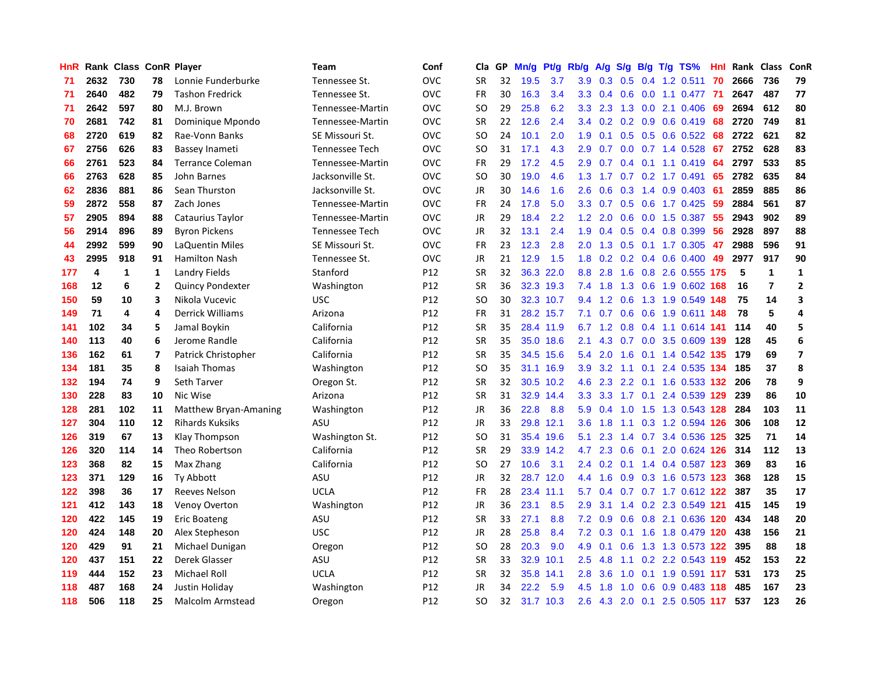| HnR |      | Rank Class ConR Player |              |                         | Team                  | Conf       | Cla           | <b>GP</b> | Mn/g | <b>Pt/g</b> | Rb/g          | A/g     |     |     | S/g B/g T/g TS%               | Hnl | Rank | <b>Class</b>   | ConR                    |
|-----|------|------------------------|--------------|-------------------------|-----------------------|------------|---------------|-----------|------|-------------|---------------|---------|-----|-----|-------------------------------|-----|------|----------------|-------------------------|
| 71  | 2632 | 730                    | 78           | Lonnie Funderburke      | Tennessee St.         | <b>OVC</b> | <b>SR</b>     | 32        | 19.5 | 3.7         | 3.9           | 0.3     | 0.5 |     | $0.4$ 1.2 0.511               | 70  | 2666 | 736            | 79                      |
| 71  | 2640 | 482                    | 79           | <b>Tashon Fredrick</b>  | Tennessee St.         | OVC        | FR            | 30        | 16.3 | 3.4         | 3.3           | 0.4     |     |     | 0.6 0.0 1.1 0.477 71          |     | 2647 | 487            | 77                      |
| 71  | 2642 | 597                    | 80           | M.J. Brown              | Tennessee-Martin      | <b>OVC</b> | <b>SO</b>     | 29        | 25.8 | 6.2         | 3.3           | 2.3     |     |     | 1.3 0.0 2.1 0.406             | -69 | 2694 | 612            | 80                      |
| 70  | 2681 | 742                    | 81           | Dominique Mpondo        | Tennessee-Martin      | <b>OVC</b> | <b>SR</b>     | 22        | 12.6 | 2.4         | 3.4           | 0.2     |     |     | $0.2$ 0.9 0.6 0.419           | 68  | 2720 | 749            | 81                      |
| 68  | 2720 | 619                    | 82           | Rae-Vonn Banks          | SE Missouri St.       | <b>OVC</b> | <b>SO</b>     | 24        | 10.1 | 2.0         | 1.9           | 0.1     |     |     | $0.5$ 0.5 0.6 0.522           | 68  | 2722 | 621            | 82                      |
| 67  | 2756 | 626                    | 83           | Bassey Inameti          | <b>Tennessee Tech</b> | <b>OVC</b> | <b>SO</b>     | 31        | 17.1 | 4.3         | 2.9           | 0.7     |     |     | $0.0$ 0.7 1.4 0.528           | 67  | 2752 | 628            | 83                      |
| 66  | 2761 | 523                    | 84           | <b>Terrance Coleman</b> | Tennessee-Martin      | <b>OVC</b> | <b>FR</b>     | 29        | 17.2 | 4.5         | 2.9           | 0.7     |     |     | $0.4$ 0.1 1.1 0.419           | 64  | 2797 | 533            | 85                      |
| 66  | 2763 | 628                    | 85           | John Barnes             | Jacksonville St.      | <b>OVC</b> | SO.           | 30        | 19.0 | 4.6         | 1.3           | 1.7     |     |     | 0.7 0.2 1.7 0.491             | 65  | 2782 | 635            | 84                      |
| 62  | 2836 | 881                    | 86           | Sean Thurston           | Jacksonville St.      | <b>OVC</b> | JR            | 30        | 14.6 | 1.6         | 2.6           | 0.6     |     |     | $0.3$ 1.4 0.9 0.403           | -61 | 2859 | 885            | 86                      |
| 59  | 2872 | 558                    | 87           | Zach Jones              | Tennessee-Martin      | <b>OVC</b> | <b>FR</b>     | 24        | 17.8 | 5.0         | 3.3           | 0.7     |     |     | $0.5$ $0.6$ 1.7 $0.425$       | -59 | 2884 | 561            | 87                      |
| 57  | 2905 | 894                    | 88           | Cataurius Taylor        | Tennessee-Martin      | <b>OVC</b> | JR            | 29        | 18.4 | 2.2         | 1.2           | 2.0     |     |     | 0.6 0.0 1.5 0.387 55          |     | 2943 | 902            | 89                      |
| 56  | 2914 | 896                    | 89           | <b>Byron Pickens</b>    | <b>Tennessee Tech</b> | <b>OVC</b> | JR            | 32        | 13.1 | 2.4         | 1.9           | 0.4     |     |     | $0.5$ 0.4 0.8 0.399           | 56  | 2928 | 897            | 88                      |
| 44  | 2992 | 599                    | 90           | LaQuentin Miles         | SE Missouri St.       | OVC        | <b>FR</b>     | 23        | 12.3 | 2.8         | 2.0           | 1.3     |     |     | $0.5$ 0.1 1.7 0.305           | 47  | 2988 | 596            | 91                      |
| 43  | 2995 | 918                    | 91           | <b>Hamilton Nash</b>    | Tennessee St.         | <b>OVC</b> | JR            | 21        | 12.9 | 1.5         | 1.8           | 0.2     |     |     | $0.2$ 0.4 0.6 0.400           | 49  | 2977 | 917            | 90                      |
| 177 | 4    | 1                      | 1            | <b>Landry Fields</b>    | Stanford              | P12        | <b>SR</b>     | 32        | 36.3 | 22.0        | 8.8           | 2.8     |     |     | 1.6 0.8 2.6 0.555             | 175 | 5    | 1              | $\mathbf 1$             |
| 168 | 12   | 6                      | $\mathbf{2}$ | <b>Quincy Pondexter</b> | Washington            | P12        | <b>SR</b>     | 36        | 32.3 | 19.3        | 7.4           | 1.8     | 1.3 |     | $0.6$ 1.9 $0.602$             | 168 | 16   | $\overline{7}$ | $\overline{2}$          |
| 150 | 59   | 10                     | 3            | Nikola Vucevic          | <b>USC</b>            | P12        | <sub>SO</sub> | 30        | 32.3 | 10.7        | 9.4           | 1.2     | 0.6 |     | 1.3 1.9 0.549                 | 148 | 75   | 14             | 3                       |
| 149 | 71   | 4                      | 4            | <b>Derrick Williams</b> | Arizona               | P12        | <b>FR</b>     | 31        |      | 28.2 15.7   | 7.1           | 0.7     | 0.6 |     | 0.6 1.9 0.611 148             |     | 78   | 5              | 4                       |
| 141 | 102  | 34                     | 5            | Jamal Boykin            | California            | P12        | <b>SR</b>     | 35        |      | 28.4 11.9   |               |         |     |     | 6.7 1.2 0.8 0.4 1.1 0.614 141 |     | 114  | 40             | 5                       |
| 140 | 113  | 40                     | 6            | Jerome Randle           | California            | P12        | <b>SR</b>     | 35        |      | 35.0 18.6   | 2.1           | 4.3     |     |     | 0.7 0.0 3.5 0.609 139         |     | 128  | 45             | 6                       |
| 136 | 162  | 61                     | 7            | Patrick Christopher     | California            | P12        | <b>SR</b>     | 35        |      | 34.5 15.6   | 5.4           | 2.0     | 1.6 |     | 0.1 1.4 0.542 135             |     | 179  | 69             | $\overline{\mathbf{z}}$ |
| 134 | 181  | 35                     | 8            | <b>Isaiah Thomas</b>    | Washington            | P12        | <b>SO</b>     | 35        | 31.1 | 16.9        | 3.9           | 3.2     | 1.1 |     | $0.1$ 2.4 0.535               | 134 | 185  | 37             | 8                       |
| 132 | 194  | 74                     | 9            | <b>Seth Tarver</b>      | Oregon St.            | P12        | <b>SR</b>     | 32        | 30.5 | 10.2        |               | 4.6 2.3 |     |     | 2.2 0.1 1.6 0.533 132         |     | 206  | 78             | 9                       |
| 130 | 228  | 83                     | 10           | Nic Wise                | Arizona               | P12        | <b>SR</b>     | 31        | 32.9 | 14.4        | 3.3           | 3.3     | 1.7 | 0.1 | 2.4 0.539                     | 129 | 239  | 86             | 10                      |
| 128 | 281  | 102                    | 11           | Matthew Bryan-Amaning   | Washington            | P12        | JR            | 36        | 22.8 | 8.8         | 5.9           | 0.4     | 1.0 |     | 1.5 1.3 0.543 128             |     | 284  | 103            | ${\bf 11}$              |
| 127 | 304  | 110                    | 12           | <b>Rihards Kuksiks</b>  | ASU                   | P12        | <b>JR</b>     | 33        |      | 29.8 12.1   | 3.6           | 1.8     | 1.1 |     | 0.3 1.2 0.594 126             |     | 306  | 108            | 12                      |
| 126 | 319  | 67                     | 13           | Klay Thompson           | Washington St.        | P12        | <sub>SO</sub> | 31        |      | 35.4 19.6   | 5.1           | 2.3     |     |     | 1.4 0.7 3.4 0.536 125         |     | 325  | 71             | 14                      |
| 126 | 320  | 114                    | 14           | Theo Robertson          | California            | P12        | <b>SR</b>     | 29        |      | 33.9 14.2   | 4.7           | 2.3     |     |     | 0.6 0.1 2.0 0.624 126         |     | 314  | 112            | 13                      |
| 123 | 368  | 82                     | 15           | Max Zhang               | California            | P12        | <b>SO</b>     | 27        | 10.6 | 3.1         | $2.4^{\circ}$ | 0.2     |     |     | 0.1 1.4 0.4 0.587 123         |     | 369  | 83             | 16                      |
| 123 | 371  | 129                    | 16           | <b>Ty Abbott</b>        | ASU                   | P12        | <b>JR</b>     | 32        | 28.7 | 12.0        | 4.4           | 1.6     |     |     | 0.9 0.3 1.6 0.573 123         |     | 368  | 128            | 15                      |
| 122 | 398  | 36                     | 17           | <b>Reeves Nelson</b>    | <b>UCLA</b>           | P12        | <b>FR</b>     | 28        | 23.4 | 11.1        | 5.7           | 0.4     |     |     | 0.7 0.7 1.7 0.612 122         |     | 387  | 35             | 17                      |
| 121 | 412  | 143                    | 18           | Venoy Overton           | Washington            | P12        | <b>JR</b>     | 36        | 23.1 | 8.5         | 2.9           | 3.1     |     |     | 1.4 0.2 2.3 0.549             | 121 | 415  | 145            | 19                      |
| 120 | 422  | 145                    | 19           | <b>Eric Boateng</b>     | ASU                   | P12        | <b>SR</b>     | 33        | 27.1 | 8.8         | 7.2           | 0.9     | 0.6 |     | 0.8 2.1 0.636 120             |     | 434  | 148            | 20                      |
| 120 | 424  | 148                    | 20           | Alex Stepheson          | <b>USC</b>            | P12        | <b>JR</b>     | 28        | 25.8 | 8.4         | 7.2           | 0.3     | 0.1 |     | 1.6 1.8 0.479 120             |     | 438  | 156            | 21                      |
| 120 | 429  | 91                     | 21           | Michael Dunigan         | Oregon                | P12        | <sub>SO</sub> | 28        | 20.3 | 9.0         | 4.9           | 0.1     | 0.6 |     | 1.3 1.3 0.573 122             |     | 395  | 88             | 18                      |
| 120 | 437  | 151                    | 22           | Derek Glasser           | ASU                   | P12        | <b>SR</b>     | 33        | 32.9 | 10.1        | 2.5           | 4.8     |     |     | 1.1 0.2 2.2 0.543 119 452     |     |      | 153            | 22                      |
| 119 | 444  | 152                    | 23           | <b>Michael Roll</b>     | <b>UCLA</b>           | P12        | <b>SR</b>     | 32        | 35.8 | 14.1        | 2.8           | 3.6     | 1.0 |     | $0.1$ 1.9 0.591 117           |     | 531  | 173            | 25                      |
| 118 | 487  | 168                    | 24           | Justin Holiday          | Washington            | P12        | <b>JR</b>     | 34        | 22.2 | 5.9         | 4.5           | 1.8     | 1.0 |     | 0.6 0.9 0.483 118             |     | 485  | 167            | 23                      |
| 118 | 506  | 118                    | 25           | Malcolm Armstead        | Oregon                | P12        | SO            | 32        |      | 31.7 10.3   | 2.6           |         |     |     | 4.3 2.0 0.1 2.5 0.505 117     |     | 537  | 123            | 26                      |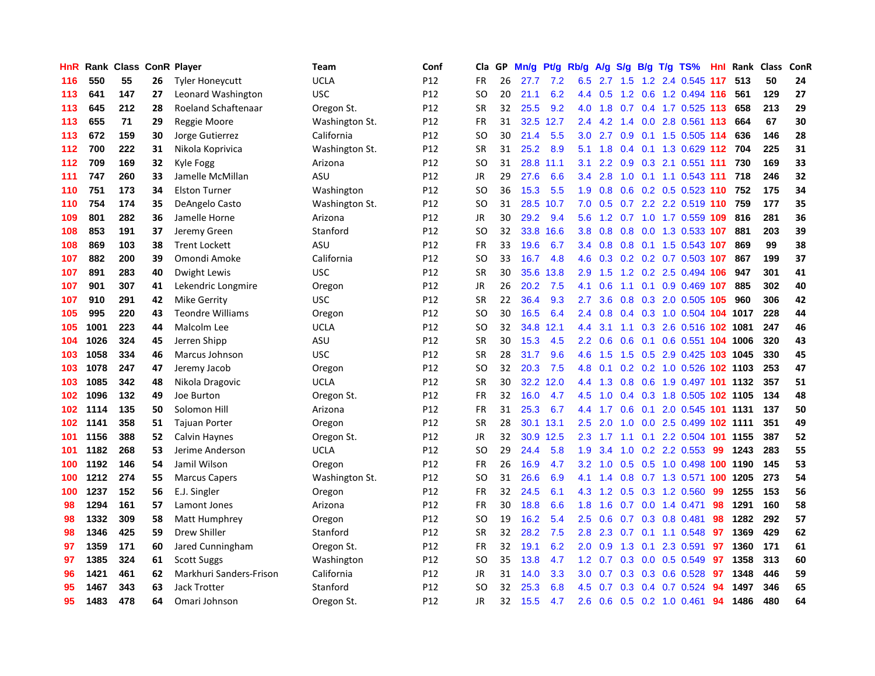| HnR |      | Rank Class ConR Player |    |                            | <b>Team</b>    | Conf            | Cla       | <b>GP</b> | Mn/g | <b>Pt/g</b> | Rb/g             | A/g |                  |     | S/g B/g T/g TS%               | Hnl | Rank | <b>Class</b> | ConR |
|-----|------|------------------------|----|----------------------------|----------------|-----------------|-----------|-----------|------|-------------|------------------|-----|------------------|-----|-------------------------------|-----|------|--------------|------|
| 116 | 550  | 55                     | 26 | <b>Tyler Honeycutt</b>     | UCLA           | P12             | <b>FR</b> | 26        | 27.7 | 7.2         | 6.5              | 2.7 | 1.5              |     | 1.2 2.4 0.545 117             |     | 513  | 50           | 24   |
| 113 | 641  | 147                    | 27 | Leonard Washington         | <b>USC</b>     | P <sub>12</sub> | SO.       | 20        | 21.1 | 6.2         | 4.4              | 0.5 |                  |     | 1.2 0.6 1.2 0.494 116         |     | 561  | 129          | 27   |
| 113 | 645  | 212                    | 28 | <b>Roeland Schaftenaar</b> | Oregon St.     | P <sub>12</sub> | <b>SR</b> | 32        | 25.5 | 9.2         | 4.0              | 1.8 |                  |     | $0.7$ 0.4 1.7 0.525 113       |     | 658  | 213          | 29   |
| 113 | 655  | 71                     | 29 | Reggie Moore               | Washington St. | P12             | <b>FR</b> | 31        | 32.5 | 12.7        | $2.4^{\circ}$    | 4.2 |                  |     | 1.4 0.0 2.8 0.561 113         |     | 664  | 67           | 30   |
| 113 | 672  | 159                    | 30 | Jorge Gutierrez            | California     | P12             | <b>SO</b> | 30        | 21.4 | 5.5         | 3.0              | 2.7 | 0.9              |     | $0.1$ 1.5 0.505               | 114 | 636  | 146          | 28   |
| 112 | 700  | 222                    | 31 | Nikola Koprivica           | Washington St. | P <sub>12</sub> | <b>SR</b> | 31        | 25.2 | 8.9         | 5.1              | 1.8 |                  |     | 0.4 0.1 1.3 0.629 112         |     | 704  | 225          | 31   |
| 112 | 709  | 169                    | 32 | Kyle Fogg                  | Arizona        | P12             | SO        | 31        | 28.8 | 11.1        | 3.1              | 2.2 | 0.9              |     | 0.3 2.1 0.551 111             |     | 730  | 169          | 33   |
| 111 | 747  | 260                    | 33 | Jamelle McMillan           | ASU            | P12             | JR        | 29        | 27.6 | 6.6         | $3.4^{\circ}$    | 2.8 | 1.0              |     | $0.1$ 1.1 0.543 111           |     | 718  | 246          | 32   |
| 110 | 751  | 173                    | 34 | <b>Elston Turner</b>       | Washington     | P <sub>12</sub> | <b>SO</b> | 36        | 15.3 | 5.5         | 1.9              | 0.8 |                  |     | 0.6 0.2 0.5 0.523 110 752     |     |      | 175          | 34   |
| 110 | 754  | 174                    | 35 | DeAngelo Casto             | Washington St. | P12             | SO        | 31        | 28.5 | 10.7        | 7.0              | 0.5 |                  |     | 0.7 2.2 2.2 0.519 110 759     |     |      | 177          | 35   |
| 109 | 801  | 282                    | 36 | Jamelle Horne              | Arizona        | P12             | JR        | 30        | 29.2 | 9.4         | 5.6              |     |                  |     | 1.2 0.7 1.0 1.7 0.559 109 816 |     |      | 281          | 36   |
| 108 | 853  | 191                    | 37 | Jeremy Green               | Stanford       | P <sub>12</sub> | SO        | 32        | 33.8 | 16.6        | 3.8 <sub>2</sub> | 0.8 |                  |     | 0.8 0.0 1.3 0.533 107         |     | 881  | 203          | 39   |
| 108 | 869  | 103                    | 38 | <b>Trent Lockett</b>       | ASU            | P12             | <b>FR</b> | 33        | 19.6 | 6.7         | 3.4              | 0.8 | 0.8              |     | 0.1 1.5 0.543 107             |     | 869  | 99           | 38   |
| 107 | 882  | 200                    | 39 | Omondi Amoke               | California     | P <sub>12</sub> | SO        | 33        | 16.7 | 4.8         | 4.6              | 0.3 |                  |     | $0.2$ 0.2 0.7 0.503 107       |     | 867  | 199          | 37   |
| 107 | 891  | 283                    | 40 | Dwight Lewis               | <b>USC</b>     | P12             | <b>SR</b> | 30        | 35.6 | 13.8        | 2.9              | 1.5 |                  |     | 1.2 0.2 2.5 0.494 106         |     | 947  | 301          | 41   |
| 107 | 901  | 307                    | 41 | Lekendric Longmire         | Oregon         | P12             | JR        | 26        | 20.2 | 7.5         | 4.1              | 0.6 | 1.1              |     | 0.1 0.9 0.469 107             |     | 885  | 302          | 40   |
| 107 | 910  | 291                    | 42 | <b>Mike Gerrity</b>        | <b>USC</b>     | P12             | <b>SR</b> | 22        | 36.4 | 9.3         | 2.7              | 3.6 | 0.8              |     | 0.3 2.0 0.505 105             |     | 960  | 306          | 42   |
| 105 | 995  | 220                    | 43 | <b>Teondre Williams</b>    | Oregon         | P12             | <b>SO</b> | 30        | 16.5 | 6.4         | 2.4              | 0.8 |                  |     | 0.4 0.3 1.0 0.504 104 1017    |     |      | 228          | 44   |
| 105 | 1001 | 223                    | 44 | Malcolm Lee                | UCLA           | P12             | <b>SO</b> | 32        | 34.8 | 12.1        | 4.4              | 3.1 |                  |     | 1.1 0.3 2.6 0.516 102 1081    |     |      | 247          | 46   |
| 104 | 1026 | 324                    | 45 | Jerren Shipp               | ASU            | P <sub>12</sub> | <b>SR</b> | 30        | 15.3 | 4.5         | $2.2\phantom{0}$ | 0.6 |                  |     | 0.6 0.1 0.6 0.551 104 1006    |     |      | 320          | 43   |
| 103 | 1058 | 334                    | 46 | <b>Marcus Johnson</b>      | <b>USC</b>     | P12             | <b>SR</b> | 28        | 31.7 | 9.6         | 4.6              | 1.5 | 1.5              |     | 0.5 2.9 0.425 103 1045        |     |      | 330          | 45   |
| 103 | 1078 | 247                    | 47 | Jeremy Jacob               | Oregon         | P <sub>12</sub> | SO        | 32        | 20.3 | 7.5         | 4.8              | 0.1 |                  |     | 0.2 0.2 1.0 0.526 102 1103    |     |      | 253          | 47   |
| 103 | 1085 | 342                    | 48 | Nikola Dragovic            | UCLA           | P12             | <b>SR</b> | 30        | 32.2 | 12.0        | 4.4              | 1.3 | 0.8              |     | 0.6 1.9 0.497 101 1132        |     |      | 357          | 51   |
| 102 | 1096 | 132                    | 49 | Joe Burton                 | Oregon St.     | P12             | <b>FR</b> | 32        | 16.0 | 4.7         | 4.5              | 1.0 |                  |     | 0.4 0.3 1.8 0.505 102 1105    |     |      | 134          | 48   |
| 102 | 1114 | 135                    | 50 | Solomon Hill               | Arizona        | P12             | <b>FR</b> | 31        | 25.3 | 6.7         | 4.4              | 1.7 | 0.6              | 0.1 | 2.0 0.545 101 1131            |     |      | 137          | 50   |
| 102 | 1141 | 358                    | 51 | <b>Tajuan Porter</b>       | Oregon         | P12             | <b>SR</b> | 28        | 30.1 | 13.1        | $2.5^{\circ}$    | 2.0 | 1.0              |     | 0.0 2.5 0.499 102 1111        |     |      | 351          | 49   |
| 101 | 1156 | 388                    | 52 | Calvin Haynes              | Oregon St.     | P12             | <b>JR</b> | 32        | 30.9 | 12.5        | 2.3              | 1.7 |                  |     | 1.1 0.1 2.2 0.504 101 1155    |     |      | 387          | 52   |
| 101 | 1182 | 268                    | 53 | Jerime Anderson            | <b>UCLA</b>    | P12             | <b>SO</b> | 29        | 24.4 | 5.8         | 1.9              | 3.4 |                  |     | $1.0$ 0.2 2.2 0.553           | -99 | 1243 | 283          | 55   |
| 100 | 1192 | 146                    | 54 | Jamil Wilson               | Oregon         | P12             | <b>FR</b> | 26        | 16.9 | 4.7         | 3.2              | 1.0 |                  |     | 0.5 0.5 1.0 0.498 100 1190    |     |      | 145          | 53   |
| 100 | 1212 | 274                    | 55 | <b>Marcus Capers</b>       | Washington St. | P12             | SO        | 31        | 26.6 | 6.9         | 4.1              | 1.4 | 0.8 <sub>0</sub> |     | 0.7 1.3 0.571 100 1205        |     |      | 273          | 54   |
| 100 | 1237 | 152                    | 56 | E.J. Singler               | Oregon         | P12             | <b>FR</b> | 32        | 24.5 | 6.1         | 4.3              | 1.2 | 0.5              |     | 0.3 1.2 0.560                 | 99  | 1255 | 153          | 56   |
| 98  | 1294 | 161                    | 57 | Lamont Jones               | Arizona        | P12             | <b>FR</b> | 30        | 18.8 | 6.6         | 1.8              | 1.6 | 0.7              |     | $0.0$ 1.4 $0.471$             | 98  | 1291 | 160          | 58   |
| 98  | 1332 | 309                    | 58 | Matt Humphrey              | Oregon         | P12             | <b>SO</b> | 19        | 16.2 | 5.4         | 2.5              | 0.6 | 0.7              |     | 0.3 0.8 0.481                 | 98  | 1282 | 292          | 57   |
| 98  | 1346 | 425                    | 59 | <b>Drew Shiller</b>        | Stanford       | P12             | <b>SR</b> | 32        | 28.2 | 7.5         | 2.8              | 2.3 | 0.7              |     | $0.1$ 1.1 0.548               | 97  | 1369 | 429          | 62   |
| 97  | 1359 | 171                    | 60 | Jared Cunningham           | Oregon St.     | P12             | <b>FR</b> | 32        | 19.1 | 6.2         | 2.0              | 0.9 |                  |     | 1.3 0.1 2.3 0.591             | 97  | 1360 | 171          | 61   |
| 97  | 1385 | 324                    | 61 | <b>Scott Suggs</b>         | Washington     | P12             | <b>SO</b> | 35        | 13.8 | 4.7         | 1.2              | 0.7 |                  |     | 0.3 0.0 0.5 0.549             | 97  | 1358 | 313          | 60   |
| 96  | 1421 | 461                    | 62 | Markhuri Sanders-Frison    | California     | P12             | JR        | 31        | 14.0 | 3.3         | 3.0 <sub>2</sub> | 0.7 |                  |     | 0.3 0.3 0.6 0.528             | 97  | 1348 | 446          | 59   |
| 95  | 1467 | 343                    | 63 | <b>Jack Trotter</b>        | Stanford       | P12             | <b>SO</b> | 32        | 25.3 | 6.8         | 4.5              | 0.7 | 0.3              | 0.4 | $0.7$ 0.524                   | 94  | 1497 | 346          | 65   |
| 95  | 1483 | 478                    | 64 | Omari Johnson              | Oregon St.     | P <sub>12</sub> | JR        | 32        | 15.5 | 4.7         | 2.6              | 0.6 |                  |     | $0.5$ 0.2 1.0 0.461           | 94  | 1486 | 480          | 64   |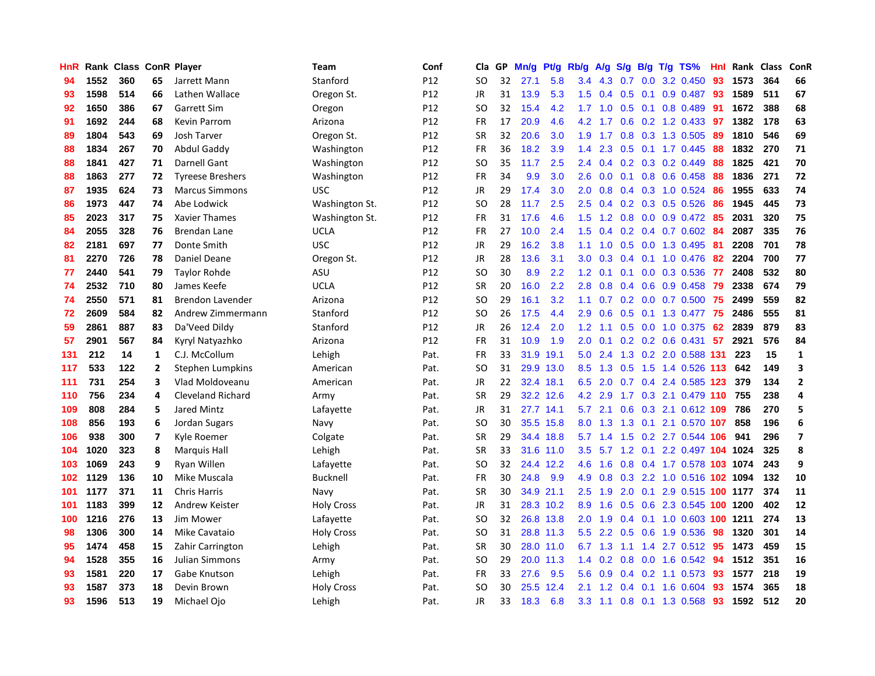| HnR |      | Rank Class ConR Player |    |                          | Team              | Conf | Cla       | GP | Mn/g | Pt/g      | Rb/g             | A/g       | S/g              |     | B/g T/g TS%                    | Hnl | Rank | <b>Class</b> | <b>ConR</b>             |
|-----|------|------------------------|----|--------------------------|-------------------|------|-----------|----|------|-----------|------------------|-----------|------------------|-----|--------------------------------|-----|------|--------------|-------------------------|
| 94  | 1552 | 360                    | 65 | Jarrett Mann             | Stanford          | P12  | <b>SO</b> | 32 | 27.1 | 5.8       | 3.4              | 4.3       | 0.7              |     | $0.0$ 3.2 $0.450$              | 93  | 1573 | 364          | 66                      |
| 93  | 1598 | 514                    | 66 | Lathen Wallace           | Oregon St.        | P12  | JR.       | 31 | 13.9 | 5.3       | 1.5              |           |                  |     | $0.4$ 0.5 0.1 0.9 0.487        | -93 | 1589 | 511          | 67                      |
| 92  | 1650 | 386                    | 67 | <b>Garrett Sim</b>       | Oregon            | P12  | SO        | 32 | 15.4 | 4.2       | 1.7              | 1.0       |                  |     | $0.5$ 0.1 0.8 0.489            | 91  | 1672 | 388          | 68                      |
| 91  | 1692 | 244                    | 68 | <b>Kevin Parrom</b>      | Arizona           | P12  | FR        | 17 | 20.9 | 4.6       | 4.2              | 1.7       |                  |     | $0.6$ $0.2$ 1.2 0.433          | 97  | 1382 | 178          | 63                      |
| 89  | 1804 | 543                    | 69 | Josh Tarver              | Oregon St.        | P12  | <b>SR</b> | 32 | 20.6 | 3.0       | 1.9              | 1.7       | 0.8              |     | 0.3 1.3 0.505                  | 89  | 1810 | 546          | 69                      |
| 88  | 1834 | 267                    | 70 | Abdul Gaddy              | Washington        | P12  | FR        | 36 | 18.2 | 3.9       | 1.4              | 2.3       |                  |     | $0.5$ 0.1 1.7 0.445            | 88  | 1832 | 270          | ${\bf 71}$              |
| 88  | 1841 | 427                    | 71 | Darnell Gant             | Washington        | P12  | <b>SO</b> | 35 | 11.7 | 2.5       | $2.4^{\circ}$    | 0.4       |                  |     | $0.2$ $0.3$ $0.2$ $0.449$      | 88  | 1825 | 421          | 70                      |
| 88  | 1863 | 277                    | 72 | <b>Tyreese Breshers</b>  | Washington        | P12  | <b>FR</b> | 34 | 9.9  | 3.0       | 2.6              | 0.0       | 0.1              |     | 0.8 0.6 0.458                  | -88 | 1836 | 271          | 72                      |
| 87  | 1935 | 624                    | 73 | <b>Marcus Simmons</b>    | <b>USC</b>        | P12  | JR        | 29 | 17.4 | 3.0       | 2.0 <sub>1</sub> | 0.8       |                  |     | $0.4$ 0.3 1.0 0.524            | -86 | 1955 | 633          | 74                      |
| 86  | 1973 | 447                    | 74 | Abe Lodwick              | Washington St.    | P12  | <b>SO</b> | 28 | 11.7 | 2.5       |                  |           |                  |     | 2.5 0.4 0.2 0.3 0.5 0.526      | -86 | 1945 | 445          | 73                      |
| 85  | 2023 | 317                    | 75 | Xavier Thames            | Washington St.    | P12  | <b>FR</b> | 31 | 17.6 | 4.6       | 1.5              | 1.2       |                  |     | 0.8 0.0 0.9 0.472 85           |     | 2031 | 320          | 75                      |
| 84  | 2055 | 328                    | 76 | Brendan Lane             | UCLA              | P12  | <b>FR</b> | 27 | 10.0 | 2.4       | 1.5              | 0.4       |                  |     | 0.2 0.4 0.7 0.602 84           |     | 2087 | 335          | 76                      |
| 82  | 2181 | 697                    | 77 | Donte Smith              | <b>USC</b>        | P12  | JR        | 29 | 16.2 | 3.8       | 1.1              | 1.0       | 0.5              |     | 0.0 1.3 0.495                  | -81 | 2208 | 701          | 78                      |
| 81  | 2270 | 726                    | 78 | Daniel Deane             | Oregon St.        | P12  | JR        | 28 | 13.6 | 3.1       | 3.0 <sub>1</sub> | 0.3       |                  |     | $0.4$ 0.1 1.0 0.476            | 82  | 2204 | 700          | 77                      |
| 77  | 2440 | 541                    | 79 | <b>Taylor Rohde</b>      | ASU               | P12  | <b>SO</b> | 30 | 8.9  | 2.2       | 1.2              | 0.1       | 0.1              |     | $0.0$ $0.3$ $0.536$            | -77 | 2408 | 532          | 80                      |
| 74  | 2532 | 710                    | 80 | James Keefe              | <b>UCLA</b>       | P12  | <b>SR</b> | 20 | 16.0 | 2.2       | 2.8              | 0.8       |                  |     | 0.4 0.6 0.9 0.458              | 79  | 2338 | 674          | 79                      |
| 74  | 2550 | 571                    | 81 | <b>Brendon Lavender</b>  | Arizona           | P12  | <b>SO</b> | 29 | 16.1 | 3.2       | 1.1              | 0.7       |                  |     | $0.2$ 0.0 0.7 0.500            | 75  | 2499 | 559          | 82                      |
| 72  | 2609 | 584                    | 82 | Andrew Zimmermann        | Stanford          | P12  | <b>SO</b> | 26 | 17.5 | 4.4       | 2.9              | 0.6       |                  |     | $0.5$ 0.1 1.3 0.477            | -75 | 2486 | 555          | 81                      |
| 59  | 2861 | 887                    | 83 | Da'Veed Dildy            | Stanford          | P12  | JR        | 26 | 12.4 | 2.0       | 1.2              | 1.1       |                  |     | 0.5 0.0 1.0 0.375              | 62  | 2839 | 879          | 83                      |
| 57  | 2901 | 567                    | 84 | Kyryl Natyazhko          | Arizona           | P12  | <b>FR</b> | 31 | 10.9 | 1.9       | 2.0 <sub>1</sub> | 0.1       |                  |     | $0.2$ 0.2 0.6 0.431 57         |     | 2921 | 576          | 84                      |
| 131 | 212  | 14                     | 1  | C.J. McCollum            | Lehigh            | Pat. | <b>FR</b> | 33 | 31.9 | 19.1      | 5.0              | 2.4       |                  |     | 1.3 0.2 2.0 0.588 131          |     | 223  | 15           | $\mathbf{1}$            |
| 117 | 533  | 122                    | 2  | Stephen Lumpkins         | American          | Pat. | <b>SO</b> | 31 |      | 29.9 13.0 | 8.5              | 1.3       | 0.5              |     | 1.5 1.4 0.526                  | 113 | 642  | 149          | 3                       |
| 111 | 731  | 254                    | 3  | Vlad Moldoveanu          | American          | Pat. | JR        | 22 | 32.4 | 18.1      | 6.5              | 2.0       | 0.7              |     | 0.4 2.4 0.585                  | 123 | 379  | 134          | $\mathbf{2}$            |
| 110 | 756  | 234                    | 4  | <b>Cleveland Richard</b> | Army              | Pat. | <b>SR</b> | 29 |      | 32.2 12.6 | 4.2              | 2.9       | 1.7 <sup>2</sup> |     | 0.3 2.1 0.479 110              |     | 755  | 238          | 4                       |
| 109 | 808  | 284                    | 5  | Jared Mintz              | Lafayette         | Pat. | JR        | 31 |      | 27.7 14.1 | 5.7              | 2.1       | 0.6              |     | 0.3 2.1 0.612 109              |     | 786  | 270          | 5                       |
| 108 | 856  | 193                    | 6  | Jordan Sugars            | Navy              | Pat. | <b>SO</b> | 30 |      | 35.5 15.8 |                  | 8.0 1.3   |                  |     | 1.3 0.1 2.1 0.570 107          |     | 858  | 196          | 6                       |
| 106 | 938  | 300                    | 7  | Kyle Roemer              | Colgate           | Pat. | <b>SR</b> | 29 |      | 34.4 18.8 | 5.7              | 1.4       |                  |     | 1.5 0.2 2.7 0.544 106          |     | 941  | 296          | $\overline{\mathbf{z}}$ |
| 104 | 1020 | 323                    | 8  | <b>Marquis Hall</b>      | Lehigh            | Pat. | <b>SR</b> | 33 |      | 31.6 11.0 | 3.5              |           |                  |     | 5.7 1.2 0.1 2.2 0.497 104 1024 |     |      | 325          | 8                       |
| 103 | 1069 | 243                    | 9  | Ryan Willen              | Lafayette         | Pat. | <b>SO</b> | 32 |      | 24.4 12.2 | 4.6              | 1.6       | 0.8              |     | 0.4 1.7 0.578 103 1074         |     |      | 243          | 9                       |
| 102 | 1129 | 136                    | 10 | Mike Muscala             | <b>Bucknell</b>   | Pat. | FR        | 30 | 24.8 | 9.9       | 4.9              | 0.8       | 0.3              |     | 2.2 1.0 0.516 102 1094         |     |      | 132          | 10                      |
| 101 | 1177 | 371                    | 11 | <b>Chris Harris</b>      | Navy              | Pat. | <b>SR</b> | 30 |      | 34.9 21.1 | $2.5\,$          | 1.9       | 2.0              | 0.1 | 2.9 0.515 100 1177             |     |      | 374          | ${\bf 11}$              |
| 101 | 1183 | 399                    | 12 | Andrew Keister           | <b>Holy Cross</b> | Pat. | <b>JR</b> | 31 |      | 28.3 10.2 | 8.9              | 1.6       | 0.5              |     | 0.6 2.3 0.545 100 1200         |     |      | 402          | 12                      |
| 100 | 1216 | 276                    | 13 | Jim Mower                | Lafayette         | Pat. | <b>SO</b> | 32 |      | 26.8 13.8 | 2.0 <sub>1</sub> | 1.9       | 0.4              |     | 0.1 1.0 0.603 100 1211         |     |      | 274          | 13                      |
| 98  | 1306 | 300                    | 14 | Mike Cavataio            | <b>Holy Cross</b> | Pat. | <b>SO</b> | 31 |      | 28.8 11.3 |                  | $5.5$ 2.2 | 0.5              |     | 0.6 1.9 0.536                  | 98  | 1320 | 301          | 14                      |
| 95  | 1474 | 458                    | 15 | Zahir Carrington         | Lehigh            | Pat. | <b>SR</b> | 30 |      | 28.0 11.0 |                  | 6.7 1.3   |                  |     | 1.1 1.4 2.7 0.512 95           |     | 1473 | 459          | 15                      |
| 94  | 1528 | 355                    | 16 | Julian Simmons           | Army              | Pat. | <b>SO</b> | 29 |      | 20.0 11.3 | $1.4^{\circ}$    | 0.2       | 0.8              |     | $0.0$ 1.6 0.542                | -94 | 1512 | 351          | 16                      |
| 93  | 1581 | 220                    | 17 | Gabe Knutson             | Lehigh            | Pat. | FR        | 33 | 27.6 | 9.5       | 5.6              | 0.9       |                  |     | $0.4$ 0.2 1.1 0.573            | 93  | 1577 | 218          | 19                      |
| 93  | 1587 | 373                    | 18 | Devin Brown              | <b>Holy Cross</b> | Pat. | <b>SO</b> | 30 | 25.5 | 12.4      | 2.1              | 1.2       | 0.4              | 0.1 | 1.6 0.604                      | 93  | 1574 | 365          | 18                      |
| 93  | 1596 | 513                    | 19 | Michael Ojo              | Lehigh            | Pat. | <b>JR</b> | 33 | 18.3 | 6.8       | 3.3              | 1.1       |                  |     | 0.8 0.1 1.3 0.568              | 93  | 1592 | 512          | 20                      |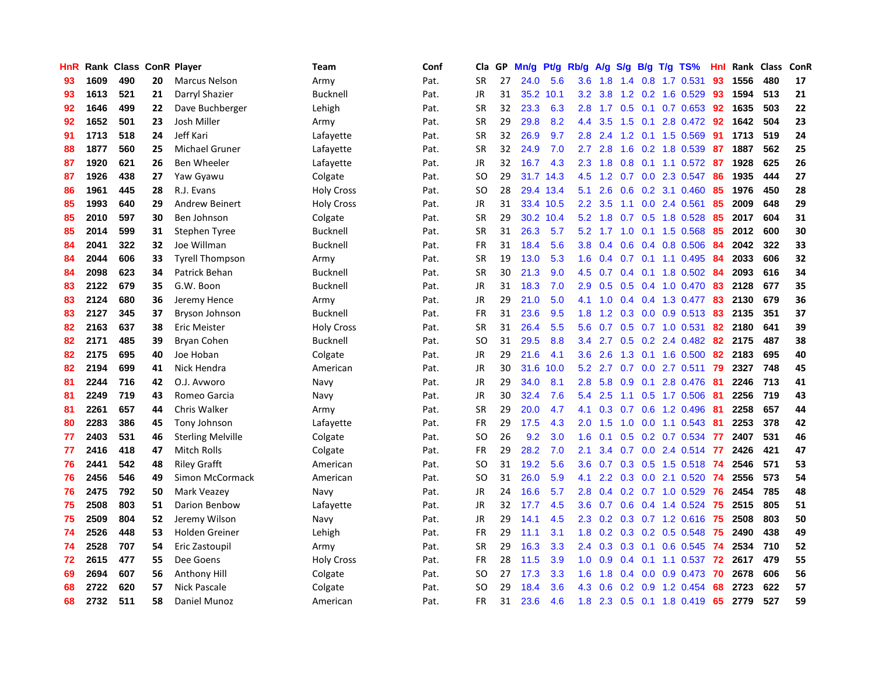| HnR |      | Rank Class |    | <b>ConR Player</b>       | Team              | Conf | Cla       | <b>GP</b> | Mn/g | Pt/g      | Rb/g             | A/g             | S/g |     | B/g T/g TS%              | Hnl | Rank | <b>Class</b> | ConR |
|-----|------|------------|----|--------------------------|-------------------|------|-----------|-----------|------|-----------|------------------|-----------------|-----|-----|--------------------------|-----|------|--------------|------|
| 93  | 1609 | 490        | 20 | <b>Marcus Nelson</b>     | Army              | Pat. | <b>SR</b> | 27        | 24.0 | 5.6       | 3.6 <sub>2</sub> | 1.8             |     |     | 1.4 0.8 1.7 0.531        | 93  | 1556 | 480          | 17   |
| 93  | 1613 | 521        | 21 | Darryl Shazier           | Bucknell          | Pat. | JR        | 31        | 35.2 | 10.1      | 3.2              | 3.8             |     |     | 1.2 0.2 1.6 0.529        | -93 | 1594 | 513          | 21   |
| 92  | 1646 | 499        | 22 | Dave Buchberger          | Lehigh            | Pat. | <b>SR</b> | 32        | 23.3 | 6.3       | 2.8              | 1.7             |     |     | $0.5$ 0.1 0.7 0.653      | 92  | 1635 | 503          | 22   |
| 92  | 1652 | 501        | 23 | Josh Miller              | Army              | Pat. | <b>SR</b> | 29        | 29.8 | 8.2       | 4.4              | 3.5             | 1.5 | 0.1 | 2.8 0.472 92             |     | 1642 | 504          | 23   |
| 91  | 1713 | 518        | 24 | Jeff Kari                | Lafayette         | Pat. | <b>SR</b> | 32        | 26.9 | 9.7       | 2.8              | 2.4             | 1.2 |     | $0.1$ 1.5 0.569          | 91  | 1713 | 519          | 24   |
| 88  | 1877 | 560        | 25 | Michael Gruner           | Lafayette         | Pat. | <b>SR</b> | 32        | 24.9 | 7.0       | 2.7              | 2.8             | 1.6 |     | 0.2 1.8 0.539            | 87  | 1887 | 562          | 25   |
| 87  | 1920 | 621        | 26 | Ben Wheeler              | Lafayette         | Pat. | JR        | 32        | 16.7 | 4.3       | 2.3              | 1.8             | 0.8 |     | $0.1$ 1.1 0.572          | -87 | 1928 | 625          | 26   |
| 87  | 1926 | 438        | 27 | Yaw Gyawu                | Colgate           | Pat. | <b>SO</b> | 29        |      | 31.7 14.3 | 4.5              | 1.2             | 0.7 |     | 0.0 2.3 0.547            | 86  | 1935 | 444          | 27   |
| 86  | 1961 | 445        | 28 | R.J. Evans               | <b>Holy Cross</b> | Pat. | <b>SO</b> | 28        |      | 29.4 13.4 | 5.1              | 2.6             | 0.6 |     | $0.2$ 3.1 $0.460$        | -85 | 1976 | 450          | 28   |
| 85  | 1993 | 640        | 29 | <b>Andrew Beinert</b>    | <b>Holy Cross</b> | Pat. | JR        | 31        |      | 33.4 10.5 | 2.2 <sub>2</sub> | 3.5             |     |     | 1.1 0.0 2.4 0.561        | 85  | 2009 | 648          | 29   |
| 85  | 2010 | 597        | 30 | Ben Johnson              | Colgate           | Pat. | <b>SR</b> | 29        |      | 30.2 10.4 | 5.2              | 1.8             |     |     | 0.7 0.5 1.8 0.528        | -85 | 2017 | 604          | 31   |
| 85  | 2014 | 599        | 31 | <b>Stephen Tyree</b>     | Bucknell          | Pat. | <b>SR</b> | 31        | 26.3 | 5.7       | 5.2              | $1.7 \quad 1.0$ |     |     | $0.1$ 1.5 0.568          | 85  | 2012 | 600          | 30   |
| 84  | 2041 | 322        | 32 | Joe Willman              | <b>Bucknell</b>   | Pat. | <b>FR</b> | 31        | 18.4 | 5.6       | 3.8              | 0.4             | 0.6 |     | 0.4 0.8 0.506            | -84 | 2042 | 322          | 33   |
| 84  | 2044 | 606        | 33 | <b>Tyrell Thompson</b>   | Army              | Pat. | <b>SR</b> | 19        | 13.0 | 5.3       | 1.6              | 0.4             |     |     | $0.7$ 0.1 1.1 0.495      | 84  | 2033 | 606          | 32   |
| 84  | 2098 | 623        | 34 | Patrick Behan            | <b>Bucknell</b>   | Pat. | <b>SR</b> | 30        | 21.3 | 9.0       | 4.5              | 0.7             | 0.4 |     | 0.1 1.8 0.502 84         |     | 2093 | 616          | 34   |
| 83  | 2122 | 679        | 35 | G.W. Boon                | <b>Bucknell</b>   | Pat. | JR        | 31        | 18.3 | 7.0       | 2.9              | 0.5             | 0.5 |     | 0.4 1.0 0.470            | 83  | 2128 | 677          | 35   |
| 83  | 2124 | 680        | 36 | Jeremy Hence             | Army              | Pat. | <b>JR</b> | 29        | 21.0 | 5.0       | 4.1              | 1.0             |     |     | 0.4 0.4 1.3 0.477        | 83  | 2130 | 679          | 36   |
| 83  | 2127 | 345        | 37 | Bryson Johnson           | <b>Bucknell</b>   | Pat. | FR        | 31        | 23.6 | 9.5       | 1.8              | 1.2             |     |     | $0.3$ 0.0 0.9 0.513      | -83 | 2135 | 351          | 37   |
| 82  | 2163 | 637        | 38 | <b>Eric Meister</b>      | <b>Holy Cross</b> | Pat. | <b>SR</b> | 31        | 26.4 | 5.5       | 5.6              |                 |     |     | 0.7 0.5 0.7 1.0 0.531    | -82 | 2180 | 641          | 39   |
| 82  | 2171 | 485        | 39 | Bryan Cohen              | <b>Bucknell</b>   | Pat. | SO        | 31        | 29.5 | 8.8       | $3.4^{\circ}$    | 2.7             |     |     | $0.5$ 0.2 2.4 0.482      | -82 | 2175 | 487          | 38   |
| 82  | 2175 | 695        | 40 | Joe Hoban                | Colgate           | Pat. | JR        | 29        | 21.6 | 4.1       | 3.6 <sup>°</sup> | 2.6             | 1.3 |     | $0.1$ 1.6 0.500          | 82  | 2183 | 695          | 40   |
| 82  | 2194 | 699        | 41 | Nick Hendra              | American          | Pat. | JR        | 30        | 31.6 | 10.0      | 5.2              | 2.7             | 0.7 |     | $0.0$ 2.7 $0.511$        | 79  | 2327 | 748          | 45   |
| 81  | 2244 | 716        | 42 | O.J. Avworo              | Navy              | Pat. | JR        | 29        | 34.0 | 8.1       | 2.8              | 5.8             | 0.9 | 0.1 | 2.8 0.476                | -81 | 2246 | 713          | 41   |
| 81  | 2249 | 719        | 43 | Romeo Garcia             | Navy              | Pat. | JR        | 30        | 32.4 | 7.6       | 5.4              | 2.5             | 1.1 |     | $0.5$ 1.7 0.506          | -81 | 2256 | 719          | 43   |
| 81  | 2261 | 657        | 44 | Chris Walker             | Army              | Pat. | <b>SR</b> | 29        | 20.0 | 4.7       | 4.1              | 0.3             | 0.7 |     | 0.6 1.2 0.496            | -81 | 2258 | 657          | 44   |
| 80  | 2283 | 386        | 45 | Tony Johnson             | Lafayette         | Pat. | FR        | 29        | 17.5 | 4.3       | 2.0 <sub>1</sub> | 1.5             | 1.0 |     | $0.0$ 1.1 0.543          | -81 | 2253 | 378          | 42   |
| 77  | 2403 | 531        | 46 | <b>Sterling Melville</b> | Colgate           | Pat. | <b>SO</b> | 26        | 9.2  | 3.0       | 1.6              | 0.1             |     |     | 0.5 0.2 0.7 0.534 77     |     | 2407 | 531          | 46   |
| 77  | 2416 | 418        | 47 | Mitch Rolls              | Colgate           | Pat. | FR        | 29        | 28.2 | 7.0       | 2.1              | $3.4^{\circ}$   |     |     | 0.7 0.0 2.4 0.514 77     |     | 2426 | 421          | 47   |
| 76  | 2441 | 542        | 48 | <b>Riley Grafft</b>      | American          | Pat. | <b>SO</b> | 31        | 19.2 | 5.6       | 3.6 <sup>°</sup> | 0.7             |     |     | 0.3 0.5 1.5 0.518 74     |     | 2546 | 571          | 53   |
| 76  | 2456 | 546        | 49 | Simon McCormack          | American          | Pat. | <b>SO</b> | 31        | 26.0 | 5.9       | 4.1              | 2.2             |     |     | $0.3$ 0.0 2.1 0.520      | -74 | 2556 | 573          | 54   |
| 76  | 2475 | 792        | 50 | Mark Veazey              | Navy              | Pat. | JR        | 24        | 16.6 | 5.7       | 2.8              | 0.4             |     |     | $0.2$ 0.7 1.0 0.529      | 76  | 2454 | 785          | 48   |
| 75  | 2508 | 803        | 51 | Darion Benbow            | Lafayette         | Pat. | JR        | 32        | 17.7 | 4.5       | 3.6 <sup>°</sup> | 0.7             | 0.6 |     | $0.4$ 1.4 0.524          | 75  | 2515 | 805          | 51   |
| 75  | 2509 | 804        | 52 | Jeremy Wilson            | Navy              | Pat. | <b>JR</b> | 29        | 14.1 | 4.5       | 2.3              | 0.2             |     |     | $0.3$ 0.7 1.2 0.616      | -75 | 2508 | 803          | 50   |
| 74  | 2526 | 448        | 53 | Holden Greiner           | Lehigh            | Pat. | <b>FR</b> | 29        | 11.1 | 3.1       | 1.8              | 0.2             |     |     | 0.3 0.2 0.5 0.548 75     |     | 2490 | 438          | 49   |
| 74  | 2528 | 707        | 54 | Eric Zastoupil           | Army              | Pat. | <b>SR</b> | 29        | 16.3 | 3.3       | 2.4              |                 |     |     | 0.3 0.3 0.1 0.6 0.545 74 |     | 2534 | 710          | 52   |
| 72  | 2615 | 477        | 55 | Dee Goens                | <b>Holy Cross</b> | Pat. | <b>FR</b> | 28        | 11.5 | 3.9       | 1.0              | 0.9             |     |     | 0.4 0.1 1.1 0.537 72     |     | 2617 | 479          | 55   |
| 69  | 2694 | 607        | 56 | Anthony Hill             | Colgate           | Pat. | <b>SO</b> | 27        | 17.3 | 3.3       | 1.6              | 1.8             |     |     | $0.4$ 0.0 0.9 0.473      | 70  | 2678 | 606          | 56   |
| 68  | 2722 | 620        | 57 | <b>Nick Pascale</b>      | Colgate           | Pat. | <b>SO</b> | 29        | 18.4 | 3.6       | 4.3              | 0.6             | 0.2 |     | 0.9 1.2 0.454            | 68  | 2723 | 622          | 57   |
| 68  | 2732 | 511        | 58 | Daniel Munoz             | American          | Pat. | <b>FR</b> | 31        | 23.6 | 4.6       | 1.8              | 2.3             |     |     | $0.5$ 0.1 1.8 0.419      | 65  | 2779 | 527          | 59   |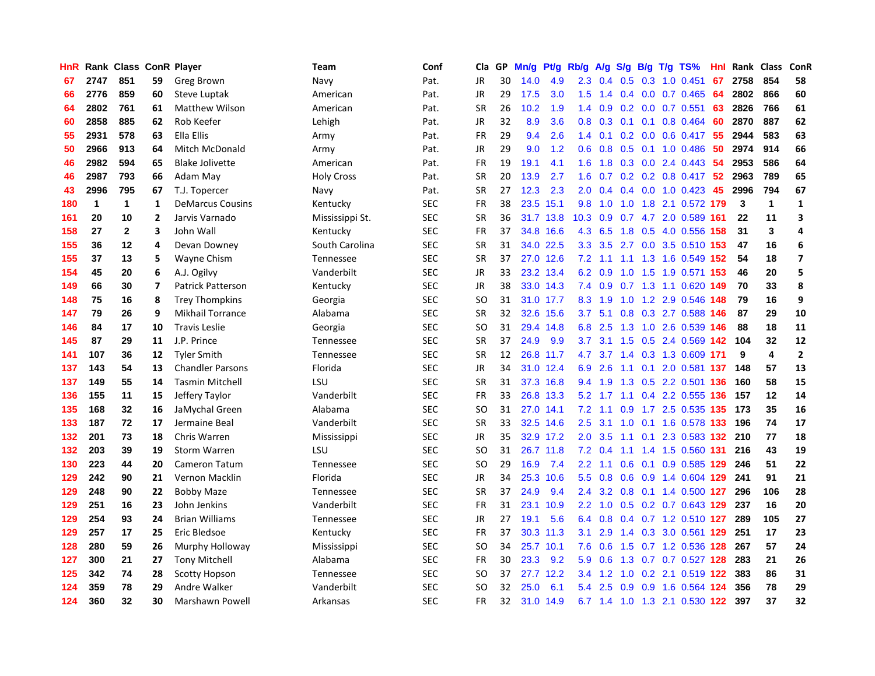| HnR |              | Rank Class ConR Player |                |                         | Team              | Conf       | Cla       | <b>GP</b> | Mn/g | <b>Pt/g</b> | Rb/g             | A/g | S/g              | B/g | $T/g$ TS%                     | Hnl | Rank | Class | <b>ConR</b>             |
|-----|--------------|------------------------|----------------|-------------------------|-------------------|------------|-----------|-----------|------|-------------|------------------|-----|------------------|-----|-------------------------------|-----|------|-------|-------------------------|
| 67  | 2747         | 851                    | 59             | Greg Brown              | Navy              | Pat.       | <b>JR</b> | 30        | 14.0 | 4.9         | 2.3              | 0.4 | 0.5              |     | $0.3$ 1.0 0.451               | 67  | 2758 | 854   | 58                      |
| 66  | 2776         | 859                    | 60             | Steve Luptak            | American          | Pat.       | JR        | 29        | 17.5 | 3.0         | 1.5              | 1.4 |                  |     | $0.4$ 0.0 0.7 0.465           | -64 | 2802 | 866   | 60                      |
| 64  | 2802         | 761                    | 61             | <b>Matthew Wilson</b>   | American          | Pat.       | <b>SR</b> | 26        | 10.2 | 1.9         | $1.4^{\circ}$    | 0.9 |                  |     | $0.2$ 0.0 0.7 0.551           | 63  | 2826 | 766   | 61                      |
| 60  | 2858         | 885                    | 62             | Rob Keefer              | Lehigh            | Pat.       | JR        | 32        | 8.9  | 3.6         | 0.8              | 0.3 |                  |     | $0.1$ 0.1 0.8 0.464           | 60  | 2870 | 887   | 62                      |
| 55  | 2931         | 578                    | 63             | Ella Ellis              | Army              | Pat.       | <b>FR</b> | 29        | 9.4  | 2.6         | 1.4              | 0.1 |                  |     | $0.2$ 0.0 0.6 0.417           | 55  | 2944 | 583   | 63                      |
| 50  | 2966         | 913                    | 64             | <b>Mitch McDonald</b>   | Army              | Pat.       | JR        | 29        | 9.0  | 1.2         | 0.6              | 0.8 |                  |     | $0.5$ 0.1 1.0 0.486           | 50  | 2974 | 914   | 66                      |
| 46  | 2982         | 594                    | 65             | <b>Blake Jolivette</b>  | American          | Pat.       | <b>FR</b> | 19        | 19.1 | 4.1         | 1.6              | 1.8 |                  |     | $0.3$ 0.0 2.4 0.443           | -54 | 2953 | 586   | 64                      |
| 46  | 2987         | 793                    | 66             | Adam May                | <b>Holy Cross</b> | Pat.       | <b>SR</b> | 20        | 13.9 | 2.7         | 1.6              | 0.7 |                  |     | 0.2 0.2 0.8 0.417 52          |     | 2963 | 789   | 65                      |
| 43  | 2996         | 795                    | 67             | T.J. Topercer           | Navy              | Pat.       | <b>SR</b> | 27        | 12.3 | 2.3         | 2.0              | 0.4 |                  |     | $0.4$ 0.0 1.0 0.423           | 45  | 2996 | 794   | 67                      |
| 180 | $\mathbf{1}$ | 1                      | 1              | <b>DeMarcus Cousins</b> | Kentucky          | <b>SEC</b> | <b>FR</b> | 38        |      | 23.5 15.1   | 9.8              | 1.0 |                  |     | 1.0 1.8 2.1 0.572 179         |     | 3    | 1     | 1                       |
| 161 | 20           | 10                     | 2              | Jarvis Varnado          | Mississippi St.   | <b>SEC</b> | <b>SR</b> | 36        |      | 31.7 13.8   | 10.3             | 0.9 |                  |     | 0.7 4.7 2.0 0.589 161         |     | 22   | 11    | 3                       |
| 158 | 27           | $\mathbf{2}$           | 3              | John Wall               | Kentucky          | <b>SEC</b> | FR        | 37        | 34.8 | 16.6        | 4.3              | 6.5 |                  |     | 1.8 0.5 4.0 0.556 158         |     | 31   | 3     | 4                       |
| 155 | 36           | 12                     | 4              | Devan Downey            | South Carolina    | <b>SEC</b> | <b>SR</b> | 31        |      | 34.0 22.5   | 3.3 <sub>2</sub> | 3.5 |                  |     | 2.7 0.0 3.5 0.510 153         |     | 47   | 16    | 6                       |
| 155 | 37           | 13                     | 5              | Wayne Chism             | Tennessee         | <b>SEC</b> | <b>SR</b> | 37        |      | 27.0 12.6   | 7.2              | 1.1 |                  |     | 1.1 1.3 1.6 0.549             | 152 | 54   | 18    | $\overline{\mathbf{z}}$ |
| 154 | 45           | 20                     | 6              | A.J. Ogilvy             | Vanderbilt        | <b>SEC</b> | JR        | 33        | 23.2 | 13.4        | 6.2              | 0.9 | 1.0              |     | 1.5 1.9 0.571                 | 153 | 46   | 20    | 5                       |
| 149 | 66           | 30                     | $\overline{7}$ | Patrick Patterson       | Kentucky          | <b>SEC</b> | JR        | 38        |      | 33.0 14.3   | 7.4              | 0.9 |                  |     | 0.7 1.3 1.1 0.620             | 149 | 70   | 33    | 8                       |
| 148 | 75           | 16                     | 8              | <b>Trey Thompkins</b>   | Georgia           | <b>SEC</b> | <b>SO</b> | 31        |      | 31.0 17.7   | 8.3              | 1.9 | 1.0              |     | 1.2 2.9 0.546                 | 148 | 79   | 16    | 9                       |
| 147 | 79           | 26                     | 9              | <b>Mikhail Torrance</b> | Alabama           | <b>SEC</b> | <b>SR</b> | 32        |      | 32.6 15.6   | 3.7              | 5.1 |                  |     | 0.8 0.3 2.7 0.588 146         |     | 87   | 29    | 10                      |
| 146 | 84           | 17                     | 10             | <b>Travis Leslie</b>    | Georgia           | <b>SEC</b> | SO        | 31        |      | 29.4 14.8   | 6.8              | 2.5 |                  |     | 1.3 1.0 2.6 0.539 146         |     | 88   | 18    | 11                      |
| 145 | 87           | 29                     | 11             | J.P. Prince             | Tennessee         | <b>SEC</b> | <b>SR</b> | 37        | 24.9 | 9.9         | 3.7 <sub>2</sub> | 3.1 |                  |     | 1.5 0.5 2.4 0.569 142         |     | 104  | 32    | 12                      |
| 141 | 107          | 36                     | 12             | <b>Tyler Smith</b>      | Tennessee         | <b>SEC</b> | <b>SR</b> | 12        |      | 26.8 11.7   | 4.7              |     |                  |     | 3.7 1.4 0.3 1.3 0.609 171     |     | 9    | 4     | $\overline{2}$          |
| 137 | 143          | 54                     | 13             | <b>Chandler Parsons</b> | Florida           | <b>SEC</b> | JR        | 34        |      | 31.0 12.4   | 6.9              | 2.6 | 1.1              |     | 0.1 2.0 0.581 137             |     | 148  | 57    | 13                      |
| 137 | 149          | 55                     | 14             | <b>Tasmin Mitchell</b>  | LSU               | <b>SEC</b> | <b>SR</b> | 31        |      | 37.3 16.8   | 9.4              | 1.9 |                  |     | 1.3 0.5 2.2 0.501 136         |     | 160  | 58    | 15                      |
| 136 | 155          | 11                     | 15             | Jeffery Taylor          | Vanderbilt        | <b>SEC</b> | <b>FR</b> | 33        | 26.8 | 13.3        | 5.2              | 1.7 |                  |     | 1.1 0.4 2.2 0.555 136         |     | 157  | 12    | 14                      |
| 135 | 168          | 32                     | 16             | JaMychal Green          | Alabama           | <b>SEC</b> | <b>SO</b> | 31        | 27.0 | 14.1        | 7.2              | 1.1 | 0.9 <sup>°</sup> |     | 1.7 2.5 0.535 135             |     | 173  | 35    | 16                      |
| 133 | 187          | 72                     | 17             | Jermaine Beal           | Vanderbilt        | <b>SEC</b> | <b>SR</b> | 33        |      | 32.5 14.6   | $2.5^{\circ}$    | 3.1 | 1.0              |     | 0.1 1.6 0.578 133             |     | 196  | 74    | 17                      |
| 132 | 201          | 73                     | 18             | Chris Warren            | Mississippi       | <b>SEC</b> | <b>JR</b> | 35        |      | 32.9 17.2   | 2.0 <sub>1</sub> | 3.5 |                  |     | 1.1 0.1 2.3 0.583 132 210     |     |      | 77    | 18                      |
| 132 | 203          | 39                     | 19             | <b>Storm Warren</b>     | LSU               | <b>SEC</b> | <b>SO</b> | 31        |      | 26.7 11.8   | 7.2              | 0.4 |                  |     | 1.1 1.4 1.5 0.560 131         |     | 216  | 43    | 19                      |
| 130 | 223          | 44                     | 20             | Cameron Tatum           | Tennessee         | <b>SEC</b> | <b>SO</b> | 29        | 16.9 | 7.4         | 2.2              | 1.1 |                  |     | 0.6 0.1 0.9 0.585 129 246     |     |      | 51    | 22                      |
| 129 | 242          | 90                     | 21             | Vernon Macklin          | Florida           | <b>SEC</b> | <b>JR</b> | 34        | 25.3 | 10.6        | 5.5 <sub>1</sub> | 0.8 | 0.6              |     | 0.9 1.4 0.604 129             |     | 241  | 91    | 21                      |
| 129 | 248          | 90                     | 22             | <b>Bobby Maze</b>       | Tennessee         | <b>SEC</b> | <b>SR</b> | 37        | 24.9 | 9.4         | 2.4              | 3.2 |                  |     | 0.8 0.1 1.4 0.500 127         |     | 296  | 106   | 28                      |
| 129 | 251          | 16                     | 23             | John Jenkins            | Vanderbilt        | <b>SEC</b> | <b>FR</b> | 31        | 23.1 | 10.9        | 2.2              | 1.0 |                  |     | 0.5 0.2 0.7 0.643 129         |     | 237  | 16    | 20                      |
| 129 | 254          | 93                     | 24             | <b>Brian Williams</b>   | Tennessee         | SEC        | JR        | 27        | 19.1 | 5.6         | 6.4              | 0.8 |                  |     | 0.4 0.7 1.2 0.510 127         |     | 289  | 105   | 27                      |
| 129 | 257          | 17                     | 25             | Eric Bledsoe            | Kentucky          | <b>SEC</b> | <b>FR</b> | 37        | 30.3 | 11.3        | 3.1              | 2.9 | 1.4              |     | 0.3 3.0 0.561 129             |     | 251  | 17    | 23                      |
| 128 | 280          | 59                     | 26             | Murphy Holloway         | Mississippi       | <b>SEC</b> | <b>SO</b> | 34        |      | 25.7 10.1   | 7.6              | 0.6 |                  |     | 1.5 0.7 1.2 0.536 128         |     | 267  | 57    | 24                      |
| 127 | 300          | 21                     | 27             | <b>Tony Mitchell</b>    | Alabama           | <b>SEC</b> | <b>FR</b> | 30        | 23.3 | 9.2         | 5.9              | 0.6 |                  |     | 1.3 0.7 0.7 0.527 128         |     | 283  | 21    | 26                      |
| 125 | 342          | 74                     | 28             | <b>Scotty Hopson</b>    | Tennessee         | <b>SEC</b> | <b>SO</b> | 37        | 27.7 | 12.2        | $3.4^{\circ}$    | 1.2 | 1.0              |     | 0.2 2.1 0.519 122             |     | 383  | 86    | 31                      |
| 124 | 359          | 78                     | 29             | Andre Walker            | Vanderbilt        | <b>SEC</b> | <b>SO</b> | 32        | 25.0 | 6.1         | 5.4              | 2.5 | 0.9              |     | 0.9 1.6 0.564 124             |     | 356  | 78    | 29                      |
| 124 | 360          | 32                     | 30             | <b>Marshawn Powell</b>  | Arkansas          | <b>SEC</b> | <b>FR</b> | 32        |      | 31.0 14.9   |                  |     |                  |     | 6.7 1.4 1.0 1.3 2.1 0.530 122 |     | 397  | 37    | 32                      |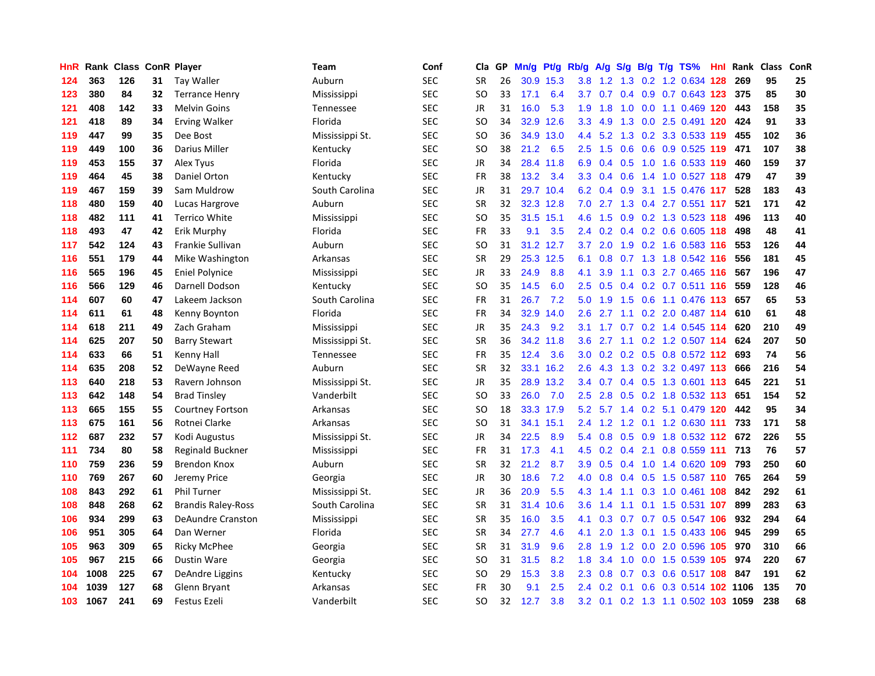| HnR | Rank | <b>Class</b> |    | <b>ConR Player</b>        | Team             | Conf       | Cla           | <b>GP</b> | Mn/g | Pt/g      | Rb/g             | A/g | S/g              |  | B/g T/g TS%                   | Hnl | Rank | <b>Class</b> | ConR |
|-----|------|--------------|----|---------------------------|------------------|------------|---------------|-----------|------|-----------|------------------|-----|------------------|--|-------------------------------|-----|------|--------------|------|
| 124 | 363  | 126          | 31 | Tay Waller                | Auburn           | SEC        | <b>SR</b>     | 26        | 30.9 | 15.3      | 3.8 <sub>2</sub> |     |                  |  | 1.2 1.3 0.2 1.2 0.634 128     |     | 269  | 95           | 25   |
| 123 | 380  | 84           | 32 | <b>Terrance Henry</b>     | Mississippi      | SEC        | SO.           | 33        | 17.1 | 6.4       | 3.7              | 0.7 |                  |  | $0.4$ 0.9 0.7 0.643 123       |     | 375  | 85           | 30   |
| 121 | 408  | 142          | 33 | <b>Melvin Goins</b>       | <b>Tennessee</b> | <b>SEC</b> | <b>JR</b>     | 31        | 16.0 | 5.3       | 1.9              | 1.8 |                  |  | 1.0 0.0 1.1 0.469 120         |     | 443  | 158          | 35   |
| 121 | 418  | 89           | 34 | <b>Erving Walker</b>      | Florida          | <b>SEC</b> | <b>SO</b>     | 34        | 32.9 | 12.6      | 3.3 <sub>2</sub> | 4.9 | 1.3              |  | 0.0 2.5 0.491 120             |     | 424  | 91           | 33   |
| 119 | 447  | 99           | 35 | Dee Bost                  | Mississippi St.  | <b>SEC</b> | <b>SO</b>     | 36        | 34.9 | 13.0      | 4.4              | 5.2 | 1.3              |  | 0.2 3.3 0.533 119             |     | 455  | 102          | 36   |
| 119 | 449  | 100          | 36 | Darius Miller             | Kentucky         | SEC        | SO            | 38        | 21.2 | 6.5       | 2.5              | 1.5 |                  |  | 0.6 0.6 0.9 0.525 119         |     | 471  | 107          | 38   |
| 119 | 453  | 155          | 37 | Alex Tyus                 | Florida          | SEC        | JR            | 34        | 28.4 | 11.8      | 6.9              | 0.4 |                  |  | 0.5 1.0 1.6 0.533 119         |     | 460  | 159          | 37   |
| 119 | 464  | 45           | 38 | Daniel Orton              | Kentucky         | <b>SEC</b> | FR            | 38        | 13.2 | 3.4       | 3.3 <sub>2</sub> | 0.4 | 0.6              |  | 1.4 1.0 0.527 118             |     | 479  | 47           | 39   |
| 119 | 467  | 159          | 39 | Sam Muldrow               | South Carolina   | <b>SEC</b> | JR            | 31        | 29.7 | 10.4      | 6.2              | 0.4 | 0.9 <sub>0</sub> |  | 3.1 1.5 0.476 117             |     | 528  | 183          | 43   |
| 118 | 480  | 159          | 40 | Lucas Hargrove            | Auburn           | SEC        | <b>SR</b>     | 32        |      | 32.3 12.8 | 7.0              |     |                  |  | 2.7 1.3 0.4 2.7 0.551 117     |     | 521  | 171          | 42   |
| 118 | 482  | 111          | 41 | Terrico White             | Mississippi      | <b>SEC</b> | SO            | 35        |      | 31.5 15.1 | 4.6              |     |                  |  | 1.5 0.9 0.2 1.3 0.523 118     |     | 496  | 113          | 40   |
| 118 | 493  | 47           | 42 | Erik Murphy               | Florida          | SEC        | FR            | 33        | 9.1  | 3.5       | $2.4^{\circ}$    | 0.2 |                  |  | 0.4 0.2 0.6 0.605 118         |     | 498  | 48           | 41   |
| 117 | 542  | 124          | 43 | Frankie Sullivan          | Auburn           | <b>SEC</b> | <b>SO</b>     | 31        | 31.2 | 12.7      | 3.7              | 2.0 | 1.9              |  | 0.2 1.6 0.583 116             |     | 553  | 126          | 44   |
| 116 | 551  | 179          | 44 | Mike Washington           | Arkansas         | SEC        | <b>SR</b>     | 29        |      | 25.3 12.5 | 6.1              | 0.8 |                  |  | 0.7 1.3 1.8 0.542 116         |     | 556  | 181          | 45   |
| 116 | 565  | 196          | 45 | <b>Eniel Polynice</b>     | Mississippi      | <b>SEC</b> | JR            | 33        | 24.9 | 8.8       | 4.1              | 3.9 |                  |  | 1.1 0.3 2.7 0.465 116         |     | 567  | 196          | 47   |
| 116 | 566  | 129          | 46 | Darnell Dodson            | Kentucky         | SEC        | <sub>SO</sub> | 35        | 14.5 | 6.0       | 2.5              | 0.5 |                  |  | 0.4 0.2 0.7 0.511 116         |     | 559  | 128          | 46   |
| 114 | 607  | 60           | 47 | Lakeem Jackson            | South Carolina   | <b>SEC</b> | <b>FR</b>     | 31        | 26.7 | 7.2       | 5.0              | 1.9 | 1.5              |  | 0.6 1.1 0.476 113             |     | 657  | 65           | 53   |
| 114 | 611  | 61           | 48 | Kenny Boynton             | Florida          | <b>SEC</b> | <b>FR</b>     | 34        | 32.9 | 14.0      | 2.6              | 2.7 |                  |  | 1.1 0.2 2.0 0.487 114         |     | 610  | 61           | 48   |
| 114 | 618  | 211          | 49 | Zach Graham               | Mississippi      | SEC        | <b>JR</b>     | 35        | 24.3 | 9.2       | 3.1              |     |                  |  | 1.7 0.7 0.2 1.4 0.545 114     |     | 620  | 210          | 49   |
| 114 | 625  | 207          | 50 | <b>Barry Stewart</b>      | Mississippi St.  | <b>SEC</b> | <b>SR</b>     | 36        |      | 34.2 11.8 | 3.6              |     |                  |  | 2.7 1.1 0.2 1.2 0.507 114     |     | 624  | 207          | 50   |
| 114 | 633  | 66           | 51 | Kenny Hall                | Tennessee        | <b>SEC</b> | FR            | 35        | 12.4 | 3.6       | 3.0              | 0.2 |                  |  | 0.2 0.5 0.8 0.572 112         |     | 693  | 74           | 56   |
| 114 | 635  | 208          | 52 | DeWayne Reed              | Auburn           | <b>SEC</b> | <b>SR</b>     | 32        | 33.1 | 16.2      | 2.6              | 4.3 |                  |  | 1.3 0.2 3.2 0.497 113         |     | 666  | 216          | 54   |
| 113 | 640  | 218          | 53 | Ravern Johnson            | Mississippi St.  | <b>SEC</b> | JR            | 35        | 28.9 | 13.2      | 3.4              | 0.7 |                  |  | 0.4 0.5 1.3 0.601 113         |     | 645  | 221          | 51   |
| 113 | 642  | 148          | 54 | <b>Brad Tinsley</b>       | Vanderbilt       | SEC        | <b>SO</b>     | 33        | 26.0 | 7.0       | 2.5              | 2.8 |                  |  | 0.5 0.2 1.8 0.532 113         |     | 651  | 154          | 52   |
| 113 | 665  | 155          | 55 | <b>Courtney Fortson</b>   | Arkansas         | SEC        | SO            | 18        | 33.3 | 17.9      | 5.2              |     |                  |  | 5.7 1.4 0.2 5.1 0.479 120     |     | 442  | 95           | 34   |
| 113 | 675  | 161          | 56 | Rotnei Clarke             | Arkansas         | <b>SEC</b> | <b>SO</b>     | 31        | 34.1 | 15.1      | $2.4^{\circ}$    | 1.2 |                  |  | 1.2 0.1 1.2 0.630 111         |     | 733  | 171          | 58   |
| 112 | 687  | 232          | 57 | Kodi Augustus             | Mississippi St.  | <b>SEC</b> | <b>JR</b>     | 34        | 22.5 | 8.9       | 5.4              |     |                  |  | 0.8 0.5 0.9 1.8 0.532 112 672 |     |      | 226          | 55   |
| 111 | 734  | 80           | 58 | <b>Reginald Buckner</b>   | Mississippi      | <b>SEC</b> | <b>FR</b>     | 31        | 17.3 | 4.1       | 4.5              |     |                  |  | 0.2 0.4 2.1 0.8 0.559 111 713 |     |      | 76           | 57   |
| 110 | 759  | 236          | 59 | <b>Brendon Knox</b>       | Auburn           | <b>SEC</b> | <b>SR</b>     | 32        | 21.2 | 8.7       | 3.9 <sup>°</sup> | 0.5 |                  |  | 0.4 1.0 1.4 0.620 109         |     | 793  | 250          | 60   |
| 110 | 769  | 267          | 60 | Jeremy Price              | Georgia          | <b>SEC</b> | JR            | 30        | 18.6 | 7.2       | 4.0              | 0.8 |                  |  | 0.4 0.5 1.5 0.587 110 765     |     |      | 264          | 59   |
| 108 | 843  | 292          | 61 | <b>Phil Turner</b>        | Mississippi St.  | <b>SEC</b> | JR            | 36        | 20.9 | 5.5       | 4.3              | 1.4 |                  |  | 1.1 0.3 1.0 0.461 108         |     | 842  | 292          | 61   |
| 108 | 848  | 268          | 62 | <b>Brandis Raley-Ross</b> | South Carolina   | <b>SEC</b> | <b>SR</b>     | 31        | 31.4 | 10.6      | 3.6              | 1.4 |                  |  | 1.1 0.1 1.5 0.531 107         |     | 899  | 283          | 63   |
| 106 | 934  | 299          | 63 | <b>DeAundre Cranston</b>  | Mississippi      | <b>SEC</b> | <b>SR</b>     | 35        | 16.0 | 3.5       | 4.1              | 0.3 | 0.7              |  | 0.7 0.5 0.547 106             |     | 932  | 294          | 64   |
| 106 | 951  | 305          | 64 | Dan Werner                | Florida          | <b>SEC</b> | <b>SR</b>     | 34        | 27.7 | 4.6       | 4.1              | 2.0 | 1.3              |  | 0.1 1.5 0.433 106             |     | 945  | 299          | 65   |
| 105 | 963  | 309          | 65 | <b>Ricky McPhee</b>       | Georgia          | <b>SEC</b> | <b>SR</b>     | 31        | 31.9 | 9.6       | 2.8              | 1.9 |                  |  | 1.2 0.0 2.0 0.596 105         |     | 970  | 310          | 66   |
| 105 | 967  | 215          | 66 | <b>Dustin Ware</b>        | Georgia          | SEC        | SO            | 31        | 31.5 | 8.2       | 1.8              | 3.4 |                  |  | 1.0 0.0 1.5 0.539 105         |     | 974  | 220          | 67   |
| 104 | 1008 | 225          | 67 | DeAndre Liggins           | Kentucky         | <b>SEC</b> | SO            | 29        | 15.3 | 3.8       | $2.3^{\circ}$    | 0.8 |                  |  | $0.7$ $0.3$ $0.6$ $0.517$ 108 |     | 847  | 191          | 62   |
| 104 | 1039 | 127          | 68 | Glenn Bryant              | Arkansas         | <b>SEC</b> | <b>FR</b>     | 30        | 9.1  | 2.5       | 2.4              | 0.2 | 0.1              |  | 0.6 0.3 0.514 102 1106        |     |      | 135          | 70   |
| 103 | 1067 | 241          | 69 | Festus Ezeli              | Vanderbilt       | <b>SEC</b> | SO            | 32        | 12.7 | 3.8       | 3.2              | 0.1 |                  |  | 0.2 1.3 1.1 0.502 103 1059    |     |      | 238          | 68   |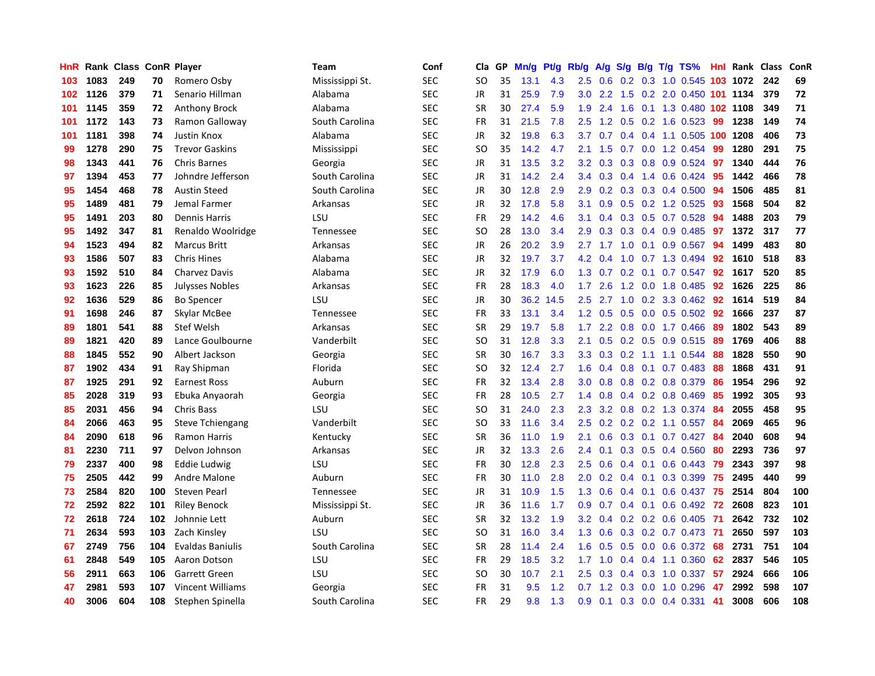| <b>HnR</b> |      | Rank Class ConR Player |     |                         | Team            | Conf       | Cla       | GP | Mn/g | <b>Pt/g</b> | Rb/g             | A/g             | S/g |                 | B/g T/g TS%                |     | <b>Hnl</b> Rank | <b>Class</b> | <b>ConR</b> |
|------------|------|------------------------|-----|-------------------------|-----------------|------------|-----------|----|------|-------------|------------------|-----------------|-----|-----------------|----------------------------|-----|-----------------|--------------|-------------|
| 103        | 1083 | 249                    | 70  | Romero Osby             | Mississippi St. | <b>SEC</b> | SO        | 35 | 13.1 | 4.3         | 2.5              | 0.6             |     |                 | 0.2 0.3 1.0 0.545 103 1072 |     |                 | 242          | 69          |
| 102        | 1126 | 379                    | 71  | Senario Hillman         | Alabama         | <b>SEC</b> | JR        | 31 | 25.9 | 7.9         |                  | $3.0$ 2.2       |     |                 | 1.5 0.2 2.0 0.450 101 1134 |     |                 | 379          | 72          |
| 101        | 1145 | 359                    | 72  | <b>Anthony Brock</b>    | Alabama         | <b>SEC</b> | <b>SR</b> | 30 | 27.4 | 5.9         | 1.9              | 2.4             |     |                 | 1.6 0.1 1.3 0.480 102 1108 |     |                 | 349          | 71          |
| 101        | 1172 | 143                    | 73  | Ramon Galloway          | South Carolina  | <b>SEC</b> | <b>FR</b> | 31 | 21.5 | 7.8         | 2.5              | 1.2             |     |                 | $0.5$ 0.2 1.6 0.523        | -99 | 1238            | 149          | 74          |
| 101        | 1181 | 398                    | 74  | <b>Justin Knox</b>      | Alabama         | <b>SEC</b> | JR        | 32 | 19.8 | 6.3         | 3.7              | 0.7             |     |                 | $0.4$ 0.4 1.1 0.505        |     | 100 1208        | 406          | 73          |
| 99         | 1278 | 290                    | 75  | <b>Trevor Gaskins</b>   | Mississippi     | <b>SEC</b> | SO        | 35 | 14.2 | 4.7         | 2.1              | 1.5             |     |                 | 0.7 0.0 1.2 0.454          | -99 | 1280            | 291          | 75          |
| 98         | 1343 | 441                    | 76  | Chris Barnes            | Georgia         | <b>SEC</b> | JR        | 31 | 13.5 | 3.2         | 3.2              | 0.3             | 0.3 |                 | $0.8$ 0.9 0.524            | 97  | 1340            | 444          | 76          |
| 97         | 1394 | 453                    | 77  | Johndre Jefferson       | South Carolina  | <b>SEC</b> | JR        | 31 | 14.2 | 2.4         | $3.4^{\circ}$    | 0.3             |     |                 | $0.4$ 1.4 0.6 0.424        | -95 | 1442            | 466          | 78          |
| 95         | 1454 | 468                    | 78  | Austin Steed            | South Carolina  | <b>SEC</b> | JR        | 30 | 12.8 | 2.9         | 2.9 <sup>°</sup> | 0.2             |     |                 | 0.3 0.3 0.4 0.500 94       |     | 1506            | 485          | 81          |
| 95         | 1489 | 481                    | 79  | Jemal Farmer            | Arkansas        | <b>SEC</b> | JR        | 32 | 17.8 | 5.8         | 3.1              | 0.9             |     |                 | 0.5 0.2 1.2 0.525 93       |     | 1568            | 504          | 82          |
| 95         | 1491 | 203                    | 80  | <b>Dennis Harris</b>    | LSU             | <b>SEC</b> | <b>FR</b> | 29 | 14.2 | 4.6         | 3.1              | 0.4             |     |                 | 0.3 0.5 0.7 0.528 94       |     | 1488            | 203          | 79          |
| 95         | 1492 | 347                    | 81  | Renaldo Woolridge       | Tennessee       | <b>SEC</b> | SO        | 28 | 13.0 | 3.4         | 2.9              | 0.3             |     |                 | $0.3$ 0.4 0.9 0.485        | 97  | 1372            | 317          | 77          |
| 94         | 1523 | 494                    | 82  | <b>Marcus Britt</b>     | Arkansas        | <b>SEC</b> | JR        | 26 | 20.2 | 3.9         | 2.7              | 1.7             | 1.0 |                 | $0.1$ 0.9 0.567            | -94 | 1499            | 483          | 80          |
| 93         | 1586 | 507                    | 83  | <b>Chris Hines</b>      | Alabama         | <b>SEC</b> | JR        | 32 | 19.7 | 3.7         | 4.2              | 0.4             | 1.0 |                 | $0.7$ 1.3 0.494            | 92  | 1610            | 518          | 83          |
| 93         | 1592 | 510                    | 84  | Charvez Davis           | Alabama         | <b>SEC</b> | JR        | 32 | 17.9 | 6.0         | 1.3              | 0.7             | 0.2 |                 | $0.1$ 0.7 0.547            | 92  | 1617            | 520          | 85          |
| 93         | 1623 | 226                    | 85  | Julysses Nobles         | Arkansas        | <b>SEC</b> | <b>FR</b> | 28 | 18.3 | 4.0         | 1.7 <sub>z</sub> | 2.6             | 1.2 |                 | 0.0 1.8 0.485              | 92  | 1626            | 225          | 86          |
| 92         | 1636 | 529                    | 86  | <b>Bo Spencer</b>       | LSU             | <b>SEC</b> | JR        | 30 | 36.2 | 14.5        | 2.5              | 2.7             | 1.0 |                 | 0.2 3.3 0.462              | -92 | 1614            | 519          | 84          |
| 91         | 1698 | 246                    | 87  | Skylar McBee            | Tennessee       | <b>SEC</b> | <b>FR</b> | 33 | 13.1 | 3.4         |                  | $1.2 \quad 0.5$ | 0.5 |                 | 0.0 0.5 0.502 92           |     | 1666            | 237          | 87          |
| 89         | 1801 | 541                    | 88  | <b>Stef Welsh</b>       | Arkansas        | <b>SEC</b> | <b>SR</b> | 29 | 19.7 | 5.8         | 1.7 <sub>1</sub> |                 |     |                 | 2.2 0.8 0.0 1.7 0.466 89   |     | 1802            | 543          | 89          |
| 89         | 1821 | 420                    | 89  | Lance Goulbourne        | Vanderbilt      | <b>SEC</b> | SO        | 31 | 12.8 | 3.3         | 2.1              | 0.5             |     |                 | 0.2 0.5 0.9 0.515 89       |     | 1769            | 406          | 88          |
| 88         | 1845 | 552                    | 90  | Albert Jackson          | Georgia         | <b>SEC</b> | <b>SR</b> | 30 | 16.7 | 3.3         | 3.3 <sub>1</sub> | 0.3             |     |                 | $0.2$ 1.1 1.1 0.544        | 88  | 1828            | 550          | 90          |
| 87         | 1902 | 434                    | 91  | Ray Shipman             | Florida         | <b>SEC</b> | SO        | 32 | 12.4 | 2.7         | 1.6              | 0.4             | 0.8 |                 | $0.1$ 0.7 0.483            | -88 | 1868            | 431          | 91          |
| 87         | 1925 | 291                    | 92  | <b>Earnest Ross</b>     | Auburn          | <b>SEC</b> | FR.       | 32 | 13.4 | 2.8         | 3.0 <sub>1</sub> | 0.8             |     |                 | $0.8$ 0.2 0.8 0.379        | -86 | 1954            | 296          | 92          |
| 85         | 2028 | 319                    | 93  | Ebuka Anyaorah          | Georgia         | <b>SEC</b> | FR.       | 28 | 10.5 | 2.7         | $1.4^{\circ}$    | 0.8             |     |                 | $0.4$ 0.2 0.8 0.469        | 85  | 1992            | 305          | 93          |
| 85         | 2031 | 456                    | 94  | Chris Bass              | LSU             | <b>SEC</b> | SO        | 31 | 24.0 | 2.3         | $2.3^{\circ}$    | 3.2             | 0.8 |                 | 0.2 1.3 0.374              | -84 | 2055            | 458          | 95          |
| 84         | 2066 | 463                    | 95  | <b>Steve Tchiengang</b> | Vanderbilt      | <b>SEC</b> | SO        | 33 | 11.6 | 3.4         | 2.5              | 0.2             |     |                 | 0.2 0.2 1.1 0.557 84       |     | 2069            | 465          | 96          |
| 84         | 2090 | 618                    | 96  | <b>Ramon Harris</b>     | Kentucky        | <b>SEC</b> | <b>SR</b> | 36 | 11.0 | 1.9         | 2.1              | 0.6             |     |                 | 0.3 0.1 0.7 0.427 84       |     | 2040            | 608          | 94          |
| 81         | 2230 | 711                    | 97  | Delvon Johnson          | Arkansas        | <b>SEC</b> | <b>JR</b> | 32 | 13.3 | 2.6         | $2.4^{\circ}$    | 0.1             |     |                 | $0.3$ 0.5 0.4 0.560        | -80 | 2293            | 736          | 97          |
| 79         | 2337 | 400                    | 98  | <b>Eddie Ludwig</b>     | LSU             | <b>SEC</b> | <b>FR</b> | 30 | 12.8 | 2.3         | 2.5              | 0.6             |     |                 | 0.4 0.1 0.6 0.443 79       |     | 2343            | 397          | 98          |
| 75         | 2505 | 442                    | 99  | Andre Malone            | Auburn          | <b>SEC</b> | <b>FR</b> | 30 | 11.0 | 2.8         | 2.0 <sub>1</sub> | 0.2             |     | $0.4 \quad 0.1$ | 0.3 0.399                  | 75  | 2495            | 440          | 99          |
| 73         | 2584 | 820                    | 100 | Steven Pearl            | Tennessee       | <b>SEC</b> | JR        | 31 | 10.9 | 1.5         | 1.3              | 0.6             |     |                 | 0.4 0.1 0.6 0.437          | -75 | 2514            | 804          | 100         |
| 72         | 2592 | 822                    | 101 | <b>Riley Benock</b>     | Mississippi St. | <b>SEC</b> | <b>JR</b> | 36 | 11.6 | 1.7         | 0.9              | 0.7             | 0.4 |                 | $0.1$ 0.6 0.492            | 72  | 2608            | 823          | 101         |
| 72         | 2618 | 724                    | 102 | Johnnie Lett            | Auburn          | <b>SEC</b> | <b>SR</b> | 32 | 13.2 | 1.9         | 3.2              | 0.4             |     |                 | $0.2$ 0.2 0.6 0.405        | -71 | 2642            | 732          | 102         |
| 71         | 2634 | 593                    | 103 | Zach Kinsley            | LSU             | <b>SEC</b> | <b>SO</b> | 31 | 16.0 | 3.4         | 1.3              | 0.6             |     |                 | $0.3$ 0.2 0.7 0.473        | -71 | 2650            | 597          | 103         |
| 67         | 2749 | 756                    | 104 | <b>Evaldas Baniulis</b> | South Carolina  | <b>SEC</b> | <b>SR</b> | 28 | 11.4 | 2.4         | 1.6              | 0.5             |     |                 | 0.5 0.0 0.6 0.372 68       |     | 2731            | 751          | 104         |
| 61         | 2848 | 549                    | 105 | Aaron Dotson            | LSU             | <b>SEC</b> | <b>FR</b> | 29 | 18.5 | 3.2         | 1.7 <sub>2</sub> | 1.0             |     |                 | $0.4$ 0.4 1.1 0.360        | 62  | 2837            | 546          | 105         |
| 56         | 2911 | 663                    | 106 | <b>Garrett Green</b>    | LSU             | <b>SEC</b> | <b>SO</b> | 30 | 10.7 | 2.1         | $2.5\,$          | 0.3             |     |                 | $0.4$ 0.3 1.0 0.337        | 57  | 2924            | 666          | 106         |
| 47         | 2981 | 593                    | 107 | <b>Vincent Williams</b> | Georgia         | <b>SEC</b> | <b>FR</b> | 31 | 9.5  | 1.2         | 0.7              | 1.2             | 0.3 |                 | $0.0$ 1.0 $0.296$          | 47  | 2992            | 598          | 107         |
| 40         | 3006 | 604                    | 108 | Stephen Spinella        | South Carolina  | <b>SEC</b> | FR        | 29 | 9.8  | 1.3         | 0.9 <sub>0</sub> | 0.1             |     |                 | $0.3$ 0.0 0.4 0.331        | 41  | 3008            | 606          | 108         |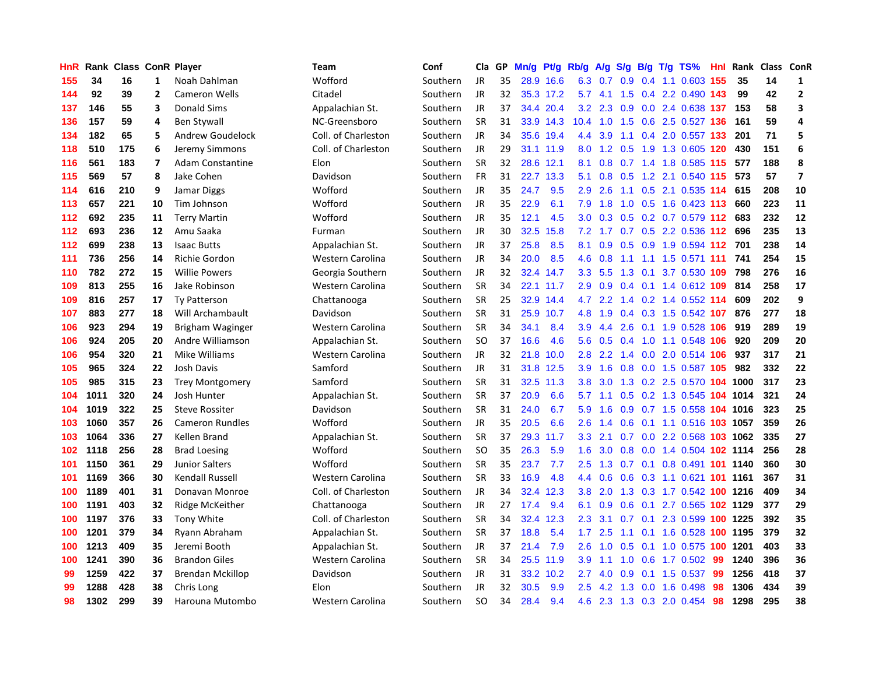| <b>HnR</b> | Rank | <b>Class ConR Player</b> |    |                         | <b>Team</b>             | Conf     | Cla       | GP. | Mn/g | Pt/g Rb/g |                  | A/g           | S/g           |     | $B/g$ T/g TS%                  | Hnl | Rank     | Class | <b>ConR</b>             |
|------------|------|--------------------------|----|-------------------------|-------------------------|----------|-----------|-----|------|-----------|------------------|---------------|---------------|-----|--------------------------------|-----|----------|-------|-------------------------|
| 155        | 34   | 16                       | 1  | Noah Dahlman            | Wofford                 | Southern | <b>JR</b> | 35  | 28.9 | 16.6      | 6.3              | 0.7           | 0.9           |     | $0.4$ 1.1 0.603                | 155 | 35       | 14    | 1                       |
| 144        | 92   | 39                       | 2  | <b>Cameron Wells</b>    | Citadel                 | Southern | <b>JR</b> | 32  |      | 35.3 17.2 | 5.7              | 4.1           | 1.5           |     | 0.4 2.2 0.490 143              |     | 99       | 42    | $\overline{\mathbf{2}}$ |
| 137        | 146  | 55                       | 3  | <b>Donald Sims</b>      | Appalachian St.         | Southern | <b>JR</b> | 37  |      | 34.4 20.4 | 3.2              | 2.3           |               |     | 0.9 0.0 2.4 0.638 137          |     | 153      | 58    | 3                       |
| 136        | 157  | 59                       | 4  | <b>Ben Stywall</b>      | NC-Greensboro           | Southern | <b>SR</b> | 31  |      | 33.9 14.3 | 10.4             | 1.0           | 1.5           |     | 0.6 2.5 0.527 136              |     | 161      | 59    | $\overline{a}$          |
| 134        | 182  | 65                       | 5  | Andrew Goudelock        | Coll. of Charleston     | Southern | <b>JR</b> | 34  |      | 35.6 19.4 | 4.4              | 3.9           | 1.1           |     | 0.4 2.0 0.557 133              |     | 201      | 71    | 5                       |
| 118        | 510  | 175                      | 6  | Jeremy Simmons          | Coll. of Charleston     | Southern | JR        | 29  | 31.1 | 11.9      | 8.0              | 1.2           | 0.5           |     | 1.9 1.3 0.605                  | 120 | 430      | 151   | 6                       |
| 116        | 561  | 183                      | 7  | <b>Adam Constantine</b> | Elon                    | Southern | <b>SR</b> | 32  |      | 28.6 12.1 | 8.1              | 0.8           |               |     | 0.7 1.4 1.8 0.585 115          |     | 577      | 188   | 8                       |
| 115        | 569  | 57                       | 8  | Jake Cohen              | Davidson                | Southern | <b>FR</b> | 31  | 22.7 | 13.3      | 5.1              | 0.8           | 0.5           |     | 1.2 2.1 0.540                  | 115 | 573      | 57    | $\overline{\mathbf{z}}$ |
| 114        | 616  | 210                      | 9  | Jamar Diggs             | Wofford                 | Southern | JR        | 35  | 24.7 | 9.5       | 2.9              | 2.6           | 1.1           |     | 0.5 2.1 0.535 114              |     | 615      | 208   | 10                      |
| 113        | 657  | 221                      | 10 | Tim Johnson             | Wofford                 | Southern | <b>JR</b> | 35  | 22.9 | 6.1       | 7.9              | 1.8           | 1.0           |     | 0.5 1.6 0.423 113              |     | 660      | 223   | 11                      |
| 112        | 692  | 235                      | 11 | <b>Terry Martin</b>     | Wofford                 | Southern | <b>JR</b> | 35  | 12.1 | 4.5       | 3.0              |               |               |     | 0.3 0.5 0.2 0.7 0.579 112 683  |     |          | 232   | 12                      |
| 112        | 693  | 236                      | 12 | Amu Saaka               | Furman                  | Southern | JR        | 30  | 32.5 | 15.8      | 7.2              |               |               |     | 1.7 0.7 0.5 2.2 0.536 112      |     | 696      | 235   | 13                      |
| 112        | 699  | 238                      | 13 | <b>Isaac Butts</b>      | Appalachian St.         | Southern | JR        | 37  | 25.8 | 8.5       | 8.1              | 0.9           |               |     | $0.5$ 0.9 1.9 0.594 112        |     | 701      | 238   | 14                      |
| 111        | 736  | 256                      | 14 | <b>Richie Gordon</b>    | Western Carolina        | Southern | <b>JR</b> | 34  | 20.0 | 8.5       | 4.6              | 0.8           | 1.1           |     | 1.1 1.5 0.571 111              |     | 741      | 254   | 15                      |
| 110        | 782  | 272                      | 15 | <b>Willie Powers</b>    | Georgia Southern        | Southern | JR        | 32  | 32.4 | 14.7      | 3.3              | 5.5           | 1.3           |     | $0.1$ 3.7 $0.530$ 109          |     | 798      | 276   | 16                      |
| 109        | 813  | 255                      | 16 | Jake Robinson           | Western Carolina        | Southern | <b>SR</b> | 34  | 22.1 | 11.7      | 2.9              | 0.9           | $0.4^{\circ}$ |     | $0.1$ 1.4 0.612 109            |     | 814      | 258   | 17                      |
| 109        | 816  | 257                      | 17 | <b>Tv Patterson</b>     | Chattanooga             | Southern | <b>SR</b> | 25  | 32.9 | 14.4      | 4.7              | $2.2^{\circ}$ | 1.4           |     | $0.2$ 1.4 $0.552$ 114          |     | 609      | 202   | 9                       |
| 107        | 883  | 277                      | 18 | Will Archambault        | Davidson                | Southern | <b>SR</b> | 31  | 25.9 | 10.7      | 4.8              | 1.9           | 0.4           |     | 0.3 1.5 0.542 107              |     | 876      | 277   | 18                      |
| 106        | 923  | 294                      | 19 | Brigham Waginger        | <b>Western Carolina</b> | Southern | <b>SR</b> | 34  | 34.1 | 8.4       | 3.9              | 4.4           | 2.6           |     | 0.1 1.9 0.528 106              |     | 919      | 289   | 19                      |
| 106        | 924  | 205                      | 20 | Andre Williamson        | Appalachian St.         | Southern | <b>SO</b> | 37  | 16.6 | 4.6       | 5.6              | 0.5           |               |     | 0.4 1.0 1.1 0.548 106          |     | 920      | 209   | 20                      |
| 106        | 954  | 320                      | 21 | Mike Williams           | Western Carolina        | Southern | JR.       | 32  | 21.8 | 10.0      | 2.8              | $2.2^{\circ}$ |               |     | 1.4 0.0 2.0 0.514 106          |     | 937      | 317   | 21                      |
| 105        | 965  | 324                      | 22 | Josh Davis              | Samford                 | Southern | <b>JR</b> | 31  | 31.8 | 12.5      | 3.9              | 1.6           | 0.8           |     | 0.0 1.5 0.587 105              |     | 982      | 332   | 22                      |
| 105        | 985  | 315                      | 23 | <b>Trey Montgomery</b>  | Samford                 | Southern | <b>SR</b> | 31  | 32.5 | 11.3      | 3.8              | 3.0           | 1.3           |     | $0.2$ 2.5 0.570 104            |     | 1000     | 317   | 23                      |
| 104        | 1011 | 320                      | 24 | Josh Hunter             | Appalachian St.         | Southern | <b>SR</b> | 37  | 20.9 | 6.6       | 5.7              | 1.1           | 0.5           |     | 0.2 1.3 0.545 104              |     | 1014     | 321   | 24                      |
| 104        | 1019 | 322                      | 25 | <b>Steve Rossiter</b>   | Davidson                | Southern | <b>SR</b> | 31  | 24.0 | 6.7       | 5.9              | 1.6           | 0.9           |     | 0.7 1.5 0.558 104 1016         |     |          | 323   | 25                      |
| 103        | 1060 | 357                      | 26 | <b>Cameron Rundles</b>  | Wofford                 | Southern | <b>JR</b> | 35  | 20.5 | 6.6       | 2.6              | 1.4           | 0.6           |     | 0.1 1.1 0.516 103 1057         |     |          | 359   | 26                      |
| 103        | 1064 | 336                      | 27 | Kellen Brand            | Appalachian St.         | Southern | <b>SR</b> | 37  | 29.3 | 11.7      | 3.3 <sub>2</sub> | 2.1           |               |     | 0.7 0.0 2.2 0.568 103 1062     |     |          | 335   | 27                      |
| 102        | 1118 | 256                      | 28 | <b>Brad Loesing</b>     | Wofford                 | Southern | <b>SO</b> | 35  | 26.3 | 5.9       | 1.6              |               |               |     | 3.0 0.8 0.0 1.4 0.504 102 1114 |     |          | 256   | 28                      |
| 101        | 1150 | 361                      | 29 | <b>Junior Salters</b>   | Wofford                 | Southern | <b>SR</b> | 35  | 23.7 | 7.7       | 2.5              | 1.3           |               |     | 0.7 0.1 0.8 0.491 101 1140     |     |          | 360   | 30                      |
| 101        | 1169 | 366                      | 30 | Kendall Russell         | Western Carolina        | Southern | <b>SR</b> | 33  | 16.9 | 4.8       | 4.4              | 0.6           | 0.6           |     | 0.3 1.1 0.621 101 1161         |     |          | 367   | 31                      |
| 100        | 1189 | 401                      | 31 | Donavan Monroe          | Coll. of Charleston     | Southern | <b>JR</b> | 34  | 32.4 | 12.3      | 3.8              | 2.0           | 1.3           |     | 0.3 1.7 0.542 100 1216         |     |          | 409   | 34                      |
| 100        | 1191 | 403                      | 32 | Ridge McKeither         | Chattanooga             | Southern | JR        | 27  | 17.4 | 9.4       | 6.1              | 0.9           | 0.6           |     | 0.1 2.7 0.565 102 1129         |     |          | 377   | 29                      |
| 100        | 1197 | 376                      | 33 | Tony White              | Coll. of Charleston     | Southern | <b>SR</b> | 34  | 32.4 | 12.3      | 2.3              | 3.1           | 0.7           | 0.1 | 2.3 0.599                      |     | 100 1225 | 392   | 35                      |
| 100        | 1201 | 379                      | 34 | Ryann Abraham           | Appalachian St.         | Southern | <b>SR</b> | 37  | 18.8 | 5.4       | 1.7 <sub>2</sub> | 2.5           | 1.1           |     | 0.1 1.6 0.528 100 1195         |     |          | 379   | 32                      |
| 100        | 1213 | 409                      | 35 | Jeremi Booth            | Appalachian St.         | Southern | <b>JR</b> | 37  | 21.4 | 7.9       | 2.6              | 1.0           | 0.5           |     | 0.1 1.0 0.575 100 1201         |     |          | 403   | 33                      |
| 100        | 1241 | 390                      | 36 | <b>Brandon Giles</b>    | Western Carolina        | Southern | <b>SR</b> | 34  |      | 25.5 11.9 | 3.9 <sub>2</sub> | 1.1           | 1.0           |     | 0.6 1.7 0.502 99               |     | 1240     | 396   | 36                      |
| 99         | 1259 | 422                      | 37 | Brendan Mckillop        | Davidson                | Southern | <b>JR</b> | 31  |      | 33.2 10.2 | 2.7              | 4.0           | 0.9           |     | $0.1$ 1.5 0.537                | -99 | 1256     | 418   | 37                      |
| 99         | 1288 | 428                      | 38 | Chris Long              | Elon                    | Southern | JR        | 32  | 30.5 | 9.9       | 2.5              | 4.2           | 1.3           |     | $0.0$ 1.6 0.498                | 98  | 1306     | 434   | 39                      |
| 98         | 1302 | 299                      | 39 | Harouna Mutombo         | Western Carolina        | Southern | <b>SO</b> | 34  | 28.4 | 9.4       | 4.6              |               |               |     | 2.3 1.3 0.3 2.0 0.454          | 98  | 1298     | 295   | 38                      |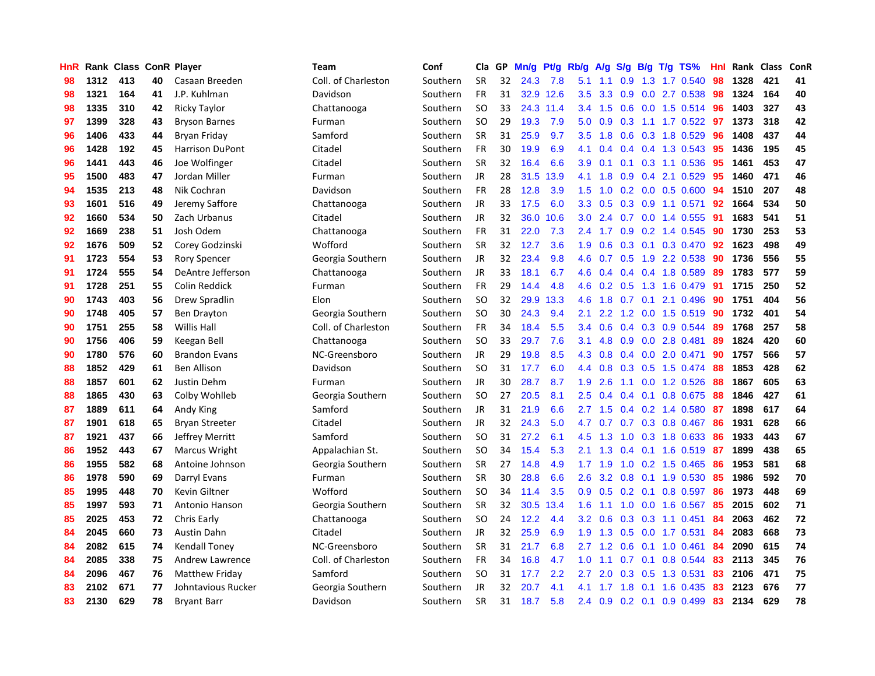| HnR |      | Rank Class ConR Player |    |                        | Team                | Conf     | Cla       | <b>GP</b> | Mn/g | <b>Pt/g</b> | Rb/g             | A/g |                  |                 | S/g B/g T/g TS%           | Hnl | Rank | <b>Class</b> | ConR |
|-----|------|------------------------|----|------------------------|---------------------|----------|-----------|-----------|------|-------------|------------------|-----|------------------|-----------------|---------------------------|-----|------|--------------|------|
| 98  | 1312 | 413                    | 40 | Casaan Breeden         | Coll. of Charleston | Southern | <b>SR</b> | 32        | 24.3 | 7.8         | 5.1              | 1.1 | 0.9              | 1.3             | 1.7 0.540                 | 98  | 1328 | 421          | 41   |
| 98  | 1321 | 164                    | 41 | J.P. Kuhlman           | Davidson            | Southern | <b>FR</b> | 31        |      | 32.9 12.6   | 3.5              | 3.3 | 0.9              |                 | 0.0 2.7 0.538 98          |     | 1324 | 164          | 40   |
| 98  | 1335 | 310                    | 42 | <b>Ricky Taylor</b>    | Chattanooga         | Southern | <b>SO</b> | 33        |      | 24.3 11.4   | 3.4              | 1.5 |                  |                 | $0.6$ $0.0$ 1.5 $0.514$   | -96 | 1403 | 327          | 43   |
| 97  | 1399 | 328                    | 43 | <b>Bryson Barnes</b>   | Furman              | Southern | <b>SO</b> | 29        | 19.3 | 7.9         | 5.0              | 0.9 | 0.3              |                 | $1.1$ 1.7 0.522           | 97  | 1373 | 318          | 42   |
| 96  | 1406 | 433                    | 44 | Bryan Friday           | Samford             | Southern | <b>SR</b> | 31        | 25.9 | 9.7         | 3.5              | 1.8 | 0.6              |                 | 0.3 1.8 0.529             | 96  | 1408 | 437          | 44   |
| 96  | 1428 | 192                    | 45 | <b>Harrison DuPont</b> | Citadel             | Southern | <b>FR</b> | 30        | 19.9 | 6.9         | 4.1              | 0.4 |                  |                 | 0.4 0.4 1.3 0.543         | 95  | 1436 | 195          | 45   |
| 96  | 1441 | 443                    | 46 | Joe Wolfinger          | Citadel             | Southern | <b>SR</b> | 32        | 16.4 | 6.6         | 3.9 <sup>°</sup> | 0.1 |                  |                 | $0.1$ $0.3$ $1.1$ $0.536$ | 95  | 1461 | 453          | 47   |
| 95  | 1500 | 483                    | 47 | Jordan Miller          | Furman              | Southern | JR        | 28        | 31.5 | 13.9        | 4.1              | 1.8 | 0.9 <sup>°</sup> | 0.4             | 2.1 0.529                 | 95  | 1460 | 471          | 46   |
| 94  | 1535 | 213                    | 48 | Nik Cochran            | Davidson            | Southern | <b>FR</b> | 28        | 12.8 | 3.9         | 1.5              | 1.0 |                  |                 | $0.2$ 0.0 0.5 0.600       | 94  | 1510 | 207          | 48   |
| 93  | 1601 | 516                    | 49 | Jeremy Saffore         | Chattanooga         | Southern | JR        | 33        | 17.5 | 6.0         | 3.3 <sub>2</sub> | 0.5 |                  |                 | $0.3$ 0.9 1.1 0.571       | 92  | 1664 | 534          | 50   |
| 92  | 1660 | 534                    | 50 | Zach Urbanus           | Citadel             | Southern | JR        | 32        | 36.0 | 10.6        | 3.0 <sub>2</sub> | 2.4 |                  |                 | $0.7$ 0.0 1.4 0.555       | -91 | 1683 | 541          | 51   |
| 92  | 1669 | 238                    | 51 | Josh Odem              | Chattanooga         | Southern | <b>FR</b> | 31        | 22.0 | 7.3         | $2.4^{\circ}$    | 1.7 |                  |                 | $0.9$ $0.2$ 1.4 $0.545$   | -90 | 1730 | 253          | 53   |
| 92  | 1676 | 509                    | 52 | Corey Godzinski        | Wofford             | Southern | SR        | 32        | 12.7 | 3.6         | 1.9              | 0.6 |                  |                 | 0.3 0.1 0.3 0.470         | 92  | 1623 | 498          | 49   |
| 91  | 1723 | 554                    | 53 | <b>Rory Spencer</b>    | Georgia Southern    | Southern | <b>JR</b> | 32        | 23.4 | 9.8         | 4.6              | 0.7 | 0.5              |                 | 1.9 2.2 0.538             | 90  | 1736 | 556          | 55   |
| 91  | 1724 | 555                    | 54 | DeAntre Jefferson      | Chattanooga         | Southern | <b>JR</b> | 33        | 18.1 | 6.7         | 4.6              | 0.4 |                  |                 | 0.4 0.4 1.8 0.589         | 89  | 1783 | 577          | 59   |
| 91  | 1728 | 251                    | 55 | Colin Reddick          | Furman              | Southern | <b>FR</b> | 29        | 14.4 | 4.8         | 4.6              | 0.2 | 0.5              |                 | 1.3 1.6 0.479             | 91  | 1715 | 250          | 52   |
| 90  | 1743 | 403                    | 56 | Drew Spradlin          | Elon                | Southern | <b>SO</b> | 32        | 29.9 | 13.3        | 4.6              | 1.8 | 0.7              | 0.1             | 2.1 0.496                 | 90  | 1751 | 404          | 56   |
| 90  | 1748 | 405                    | 57 | Ben Drayton            | Georgia Southern    | Southern | <b>SO</b> | 30        | 24.3 | 9.4         | 2.1              | 2.2 | 1.2              |                 | $0.0$ 1.5 $0.519$         | 90  | 1732 | 401          | 54   |
| 90  | 1751 | 255                    | 58 | <b>Willis Hall</b>     | Coll. of Charleston | Southern | FR        | 34        | 18.4 | 5.5         | 3.4              | 0.6 |                  |                 | 0.4 0.3 0.9 0.544         | 89  | 1768 | 257          | 58   |
| 90  | 1756 | 406                    | 59 | Keegan Bell            | Chattanooga         | Southern | <b>SO</b> | 33        | 29.7 | 7.6         | 3.1              | 4.8 |                  |                 | 0.9 0.0 2.8 0.481         | 89  | 1824 | 420          | 60   |
| 90  | 1780 | 576                    | 60 | <b>Brandon Evans</b>   | NC-Greensboro       | Southern | <b>JR</b> | 29        | 19.8 | 8.5         | 4.3              | 0.8 |                  |                 | 0.4 0.0 2.0 0.471         | 90  | 1757 | 566          | 57   |
| 88  | 1852 | 429                    | 61 | <b>Ben Allison</b>     | Davidson            | Southern | <b>SO</b> | 31        | 17.7 | 6.0         | 4.4              | 0.8 | 0.3              |                 | 0.5 1.5 0.474             | 88  | 1853 | 428          | 62   |
| 88  | 1857 | 601                    | 62 | Justin Dehm            | Furman              | Southern | JR        | 30        | 28.7 | 8.7         | 1.9              | 2.6 |                  |                 | 1.1 0.0 1.2 0.526         | 88  | 1867 | 605          | 63   |
| 88  | 1865 | 430                    | 63 | Colby Wohlleb          | Georgia Southern    | Southern | <b>SO</b> | 27        | 20.5 | 8.1         | 2.5              | 0.4 |                  |                 | 0.4 0.1 0.8 0.675         | 88  | 1846 | 427          | 61   |
| 87  | 1889 | 611                    | 64 | Andy King              | Samford             | Southern | JR        | 31        | 21.9 | 6.6         | 2.7              | 1.5 |                  |                 | $0.4$ 0.2 1.4 0.580       | -87 | 1898 | 617          | 64   |
| 87  | 1901 | 618                    | 65 | <b>Bryan Streeter</b>  | Citadel             | Southern | <b>JR</b> | 32        | 24.3 | 5.0         | 4.7              | 0.7 |                  |                 | 0.7 0.3 0.8 0.467         | 86  | 1931 | 628          | 66   |
| 87  | 1921 | 437                    | 66 | Jeffrey Merritt        | Samford             | Southern | <b>SO</b> | 31        | 27.2 | 6.1         | 4.5              | 1.3 |                  |                 | 1.0 0.3 1.8 0.633         | -86 | 1933 | 443          | 67   |
| 86  | 1952 | 443                    | 67 | Marcus Wright          | Appalachian St.     | Southern | <b>SO</b> | 34        | 15.4 | 5.3         | 2.1              | 1.3 |                  |                 | 0.4 0.1 1.6 0.519 87      |     | 1899 | 438          | 65   |
| 86  | 1955 | 582                    | 68 | Antoine Johnson        | Georgia Southern    | Southern | <b>SR</b> | 27        | 14.8 | 4.9         | $1.7^{\circ}$    | 1.9 |                  |                 | $1.0$ 0.2 1.5 0.465       | -86 | 1953 | 581          | 68   |
| 86  | 1978 | 590                    | 69 | Darryl Evans           | Furman              | Southern | <b>SR</b> | 30        | 28.8 | 6.6         | 2.6              | 3.2 | 0.8              |                 | 0.1 1.9 0.530             | 85  | 1986 | 592          | 70   |
| 85  | 1995 | 448                    | 70 | Kevin Giltner          | Wofford             | Southern | <b>SO</b> | 34        | 11.4 | 3.5         | 0.9 <sub>0</sub> | 0.5 | 0.2              | 0.1             | 0.8 0.597                 | 86  | 1973 | 448          | 69   |
| 85  | 1997 | 593                    | 71 | Antonio Hanson         | Georgia Southern    | Southern | <b>SR</b> | 32        | 30.5 | 13.4        | 1.6              | 1.1 | 1.0              |                 | $0.0$ 1.6 $0.567$         | 85  | 2015 | 602          | 71   |
| 85  | 2025 | 453                    | 72 | Chris Early            | Chattanooga         | Southern | <b>SO</b> | 24        | 12.2 | 4.4         | 3.2              | 0.6 | 0.3              |                 | $0.3$ 1.1 $0.451$         | 84  | 2063 | 462          | 72   |
| 84  | 2045 | 660                    | 73 | Austin Dahn            | Citadel             | Southern | <b>JR</b> | 32        | 25.9 | 6.9         | 1.9              | 1.3 | 0.5              |                 | $0.0$ 1.7 $0.531$         | 84  | 2083 | 668          | 73   |
| 84  | 2082 | 615                    | 74 | <b>Kendall Toney</b>   | NC-Greensboro       | Southern | <b>SR</b> | 31        | 21.7 | 6.8         | 2.7              | 1.2 | 0.6              | 0.1             | 1.0 0.461                 | 84  | 2090 | 615          | 74   |
| 84  | 2085 | 338                    | 75 | Andrew Lawrence        | Coll. of Charleston | Southern | <b>FR</b> | 34        | 16.8 | 4.7         | 1.0              | 1.1 |                  |                 | $0.7$ 0.1 0.8 0.544       | 83  | 2113 | 345          | 76   |
| 84  | 2096 | 467                    | 76 | <b>Matthew Friday</b>  | Samford             | Southern | SO.       | 31        | 17.7 | 2.2         | 2.7              | 2.0 |                  |                 | $0.3$ $0.5$ 1.3 $0.531$   | -83 | 2106 | 471          | 75   |
| 83  | 2102 | 671                    | 77 | Johntavious Rucker     | Georgia Southern    | Southern | <b>JR</b> | 32        | 20.7 | 4.1         | 4.1              | 1.7 | 1.8              |                 | $0.1$ 1.6 0.435           | -83 | 2123 | 676          | 77   |
| 83  | 2130 | 629                    | 78 | <b>Bryant Barr</b>     | Davidson            | Southern | <b>SR</b> | 31        | 18.7 | 5.8         | 2.4              | 0.9 |                  | $0.2 \quad 0.1$ | 0.9 0.499                 | 83  | 2134 | 629          | 78   |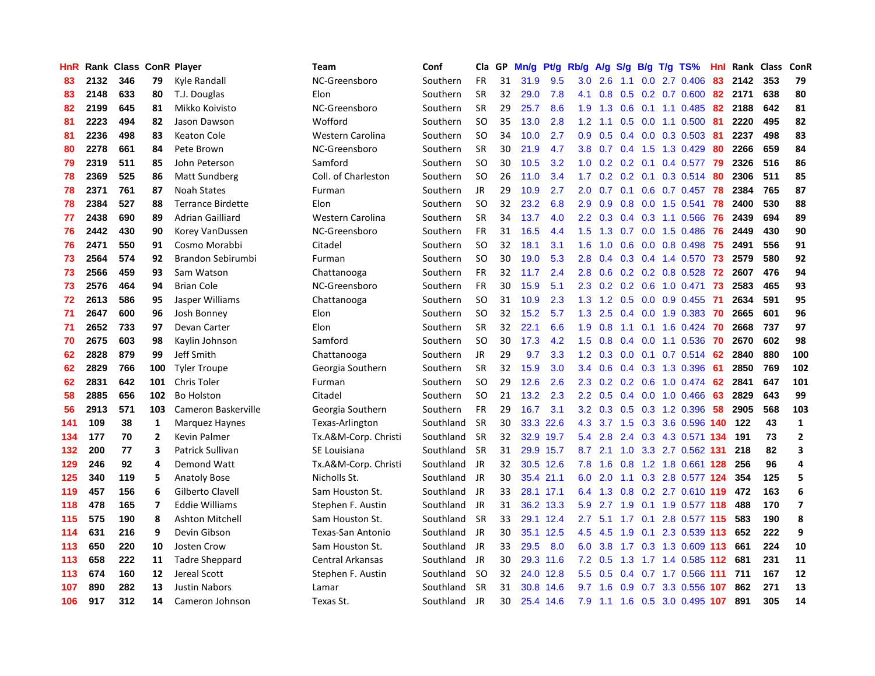| HnR |      | Rank Class ConR Player |                |                          | <b>Team</b>          | Conf      | Cla           | GP. | Mn/g | Pt/g Rb/g |                  | A/g     |                 |     | $S/g$ B/g T/g TS%         | Hnl |         | Rank Class | <b>ConR</b>             |
|-----|------|------------------------|----------------|--------------------------|----------------------|-----------|---------------|-----|------|-----------|------------------|---------|-----------------|-----|---------------------------|-----|---------|------------|-------------------------|
| 83  | 2132 | 346                    | 79             | Kyle Randall             | NC-Greensboro        | Southern  | <b>FR</b>     | 31  | 31.9 | 9.5       | 3.0              | 2.6     | 1.1             | 0.0 | 2.7 0.406                 | 83  | 2142    | 353        | 79                      |
| 83  | 2148 | 633                    | 80             | T.J. Douglas             | Elon                 | Southern  | <b>SR</b>     | 32  | 29.0 | 7.8       | 4.1              | 0.8     | 0.5             |     | $0.2$ 0.7 0.600           |     | 82 2171 | 638        | 80                      |
| 82  | 2199 | 645                    | 81             | Mikko Koivisto           | NC-Greensboro        | Southern  | <b>SR</b>     | 29  | 25.7 | 8.6       | 1.9              | 1.3     |                 |     | 0.6 0.1 1.1 0.485         | 82  | 2188    | 642        | 81                      |
| 81  | 2223 | 494                    | 82             | Jason Dawson             | Wofford              | Southern  | <b>SO</b>     | 35  | 13.0 | 2.8       | 1.2              | 1.1     |                 |     | $0.5$ 0.0 1.1 0.500       | -81 | 2220    | 495        | 82                      |
| 81  | 2236 | 498                    | 83             | Keaton Cole              | Western Carolina     | Southern  | <b>SO</b>     | 34  | 10.0 | 2.7       | 0.9 <sub>0</sub> | 0.5     |                 |     | $0.4$ 0.0 0.3 0.503       | -81 | 2237    | 498        | 83                      |
| 80  | 2278 | 661                    | 84             | Pete Brown               | NC-Greensboro        | Southern  | <b>SR</b>     | 30  | 21.9 | 4.7       | 3.8              | 0.7     |                 |     | 0.4 1.5 1.3 0.429         | 80  | 2266    | 659        | 84                      |
| 79  | 2319 | 511                    | 85             | John Peterson            | Samford              | Southern  | <b>SO</b>     | 30  | 10.5 | 3.2       | 1.0              | 0.2     |                 |     | $0.2$ 0.1 0.4 0.577       | 79  | 2326    | 516        | 86                      |
| 78  | 2369 | 525                    | 86             | <b>Matt Sundberg</b>     | Coll. of Charleston  | Southern  | <b>SO</b>     | 26  | 11.0 | 3.4       | 1.7              | 0.2     | 0.2             |     | $0.1$ 0.3 0.514           | 80  | 2306    | 511        | 85                      |
| 78  | 2371 | 761                    | 87             | <b>Noah States</b>       | Furman               | Southern  | <b>JR</b>     | 29  | 10.9 | 2.7       | 2.0              | 0.7     | 0.1             |     | $0.6$ 0.7 0.457           | 78  | 2384    | 765        | 87                      |
| 78  | 2384 | 527                    | 88             | <b>Terrance Birdette</b> | Elon                 | Southern  | <b>SO</b>     | 32  | 23.2 | 6.8       | 2.9              | 0.9     | 0.8             |     | $0.0$ 1.5 $0.541$         | 78  | 2400    | 530        | 88                      |
| 77  | 2438 | 690                    | 89             | Adrian Gailliard         | Western Carolina     | Southern  | <b>SR</b>     | 34  | 13.7 | 4.0       | $2.2\phantom{0}$ | 0.3     |                 |     | $0.4$ 0.3 1.1 0.566       | 76  | 2439    | 694        | 89                      |
| 76  | 2442 | 430                    | 90             | Korey VanDussen          | NC-Greensboro        | Southern  | FR            | 31  | 16.5 | 4.4       | 1.5              |         |                 |     | 1.3 0.7 0.0 1.5 0.486 76  |     | 2449    | 430        | 90                      |
| 76  | 2471 | 550                    | 91             | Cosmo Morabbi            | Citadel              | Southern  | <b>SO</b>     | 32  | 18.1 | 3.1       | 1.6              | 1.0     |                 |     | $0.6$ 0.0 0.8 0.498       | 75  | 2491    | 556        | 91                      |
| 73  | 2564 | 574                    | 92             | Brandon Sebirumbi        | Furman               | Southern  | <b>SO</b>     | 30  | 19.0 | 5.3       | 2.8              | 0.4     | 0.3             |     | 0.4 1.4 0.570             | 73  | 2579    | 580        | 92                      |
| 73  | 2566 | 459                    | 93             | Sam Watson               | Chattanooga          | Southern  | FR            | 32  | 11.7 | 2.4       | 2.8              | 0.6     |                 |     | $0.2$ 0.2 0.8 0.528       | 72  | 2607    | 476        | 94                      |
| 73  | 2576 | 464                    | 94             | <b>Brian Cole</b>        | NC-Greensboro        | Southern  | <b>FR</b>     | 30  | 15.9 | 5.1       | 2.3              | 0.2     | 0.2             |     | 0.6 1.0 0.471             | 73  | 2583    | 465        | 93                      |
| 72  | 2613 | 586                    | 95             | Jasper Williams          | Chattanooga          | Southern  | <b>SO</b>     | 31  | 10.9 | 2.3       | 1.3              | 1.2     | 0.5             |     | $0.0$ $0.9$ $0.455$       | -71 | 2634    | 591        | 95                      |
| 71  | 2647 | 600                    | 96             | Josh Bonney              | Elon                 | Southern  | <b>SO</b>     | 32  | 15.2 | 5.7       | 1.3              | 2.5     | 0.4             |     | $0.0$ 1.9 0.383           | 70  | 2665    | 601        | 96                      |
| 71  | 2652 | 733                    | 97             | Devan Carter             | Elon                 | Southern  | <b>SR</b>     | 32  | 22.1 | 6.6       | 1.9              | 0.8     |                 |     | 1.1 0.1 1.6 0.424 70      |     | 2668    | 737        | 97                      |
| 70  | 2675 | 603                    | 98             | Kaylin Johnson           | Samford              | Southern  | <b>SO</b>     | 30  | 17.3 | 4.2       | 1.5              | 0.8     |                 |     | 0.4 0.0 1.1 0.536 70      |     | 2670    | 602        | 98                      |
| 62  | 2828 | 879                    | 99             | Jeff Smith               | Chattanooga          | Southern  | <b>JR</b>     | 29  | 9.7  | 3.3       | 1.2              | 0.3     |                 |     | $0.0$ 0.1 0.7 0.514 62    |     | 2840    | 880        | 100                     |
| 62  | 2829 | 766                    | 100            | <b>Tyler Troupe</b>      | Georgia Southern     | Southern  | <b>SR</b>     | 32  | 15.9 | 3.0       | 3.4              | 0.6     |                 |     | 0.4 0.3 1.3 0.396         | -61 | 2850    | 769        | 102                     |
| 62  | 2831 | 642                    | 101            | <b>Chris Toler</b>       | Furman               | Southern  | <sub>SO</sub> | 29  | 12.6 | 2.6       | 2.3              | 0.2     |                 |     | 0.2 0.6 1.0 0.474         | 62  | 2841    | 647        | 101                     |
| 58  | 2885 | 656                    | 102            | <b>Bo Holston</b>        | Citadel              | Southern  | <b>SO</b>     | 21  | 13.2 | 2.3       | 2.2              | 0.5     |                 |     | 0.4 0.0 1.0 0.466         | 63  | 2829    | 643        | 99                      |
| 56  | 2913 | 571                    | 103            | Cameron Baskerville      | Georgia Southern     | Southern  | <b>FR</b>     | 29  | 16.7 | 3.1       | 3.2              | 0.3     | 0.5             |     | 0.3 1.2 0.396             | 58  | 2905    | 568        | 103                     |
| 141 | 109  | 38                     | 1              | Marquez Haynes           | Texas-Arlington      | Southland | <b>SR</b>     | 30  | 33.3 | 22.6      | 4.3              |         | $3.7 \quad 1.5$ |     | 0.3 3.6 0.596 140         |     | 122     | 43         | $\mathbf{1}$            |
| 134 | 177  | 70                     | $\overline{2}$ | Kevin Palmer             | Tx.A&M-Corp. Christi | Southland | <b>SR</b>     | 32  | 32.9 | 19.7      | 5.4              | 2.8     |                 |     | 2.4 0.3 4.3 0.571 134     |     | 191     | 73         | $\overline{2}$          |
| 132 | 200  | 77                     | 3              | Patrick Sullivan         | SE Louisiana         | Southland | <b>SR</b>     | 31  |      | 29.9 15.7 |                  | 8.7 2.1 |                 |     | 1.0 3.3 2.7 0.562 131     |     | 218     | 82         | $\overline{\mathbf{3}}$ |
| 129 | 246  | 92                     | 4              | Demond Watt              | Tx.A&M-Corp. Christi | Southland | <b>JR</b>     | 32  |      | 30.5 12.6 | 7.8              | 1.6     |                 |     | 0.8 1.2 1.8 0.661 128     |     | 256     | 96         | $\overline{a}$          |
| 125 | 340  | 119                    | 5              | <b>Anatoly Bose</b>      | Nicholls St.         | Southland | <b>JR</b>     | 30  |      | 35.4 21.1 | 6.0              | 2.0     |                 |     | 1.1 0.3 2.8 0.577 124     |     | 354     | 125        | 5                       |
| 119 | 457  | 156                    | 6              | Gilberto Clavell         | Sam Houston St.      | Southland | <b>JR</b>     | 33  | 28.1 | 17.1      | 6.4              | 1.3     | 0.8             |     | 0.2 2.7 0.610 119         |     | 472     | 163        | 6                       |
| 118 | 478  | 165                    | $\overline{7}$ | <b>Eddie Williams</b>    | Stephen F. Austin    | Southland | JR            | 31  | 36.2 | 13.3      | 5.9              | 2.7     | 1.9             |     | 0.1 1.9 0.577 118         |     | 488     | 170        | $\overline{\mathbf{z}}$ |
| 115 | 575  | 190                    | 8              | <b>Ashton Mitchell</b>   | Sam Houston St.      | Southland | <b>SR</b>     | 33  | 29.1 | 12.4      | 2.7              | 5.1     | 1.7             | 0.1 | 2.8 0.577 115             |     | 583     | 190        | 8                       |
| 114 | 631  | 216                    | 9              | Devin Gibson             | Texas-San Antonio    | Southland | <b>JR</b>     | 30  | 35.1 | 12.5      | 4.5              | 4.5     | 1.9             | 0.1 | 2.3 0.539 113             |     | 652     | 222        | 9                       |
| 113 | 650  | 220                    | 10             | Josten Crow              | Sam Houston St.      | Southland | <b>JR</b>     | 33  | 29.5 | 8.0       | 6.0              | 3.8     | 1.7             |     | 0.3 1.3 0.609 113         |     | 661     | 224        | 10                      |
| 113 | 658  | 222                    | 11             | <b>Tadre Sheppard</b>    | Central Arkansas     | Southland | <b>JR</b>     | 30  |      | 29.3 11.6 |                  | 7.2 0.5 | 1.3             |     | 1.7 1.4 0.585 112 681     |     |         | 231        | 11                      |
| 113 | 674  | 160                    | 12             | Jereal Scott             | Stephen F. Austin    | Southland | -SO           | 32  |      | 24.0 12.8 | 5.5 <sub>1</sub> | 0.5     |                 |     | 0.4 0.7 1.7 0.566 111     |     | 711     | 167        | 12                      |
| 107 | 890  | 282                    | 13             | <b>Justin Nabors</b>     | Lamar                | Southland | -SR           | 31  | 30.8 | 14.6      | 9.7              | 1.6     | 0.9             |     | 0.7 3.3 0.556 107         |     | 862     | 271        | 13                      |
| 106 | 917  | 312                    | 14             | Cameron Johnson          | Texas St.            | Southland | <b>JR</b>     | 30  |      | 25.4 14.6 | 7.9              |         |                 |     | 1.1 1.6 0.5 3.0 0.495 107 |     | 891     | 305        | 14                      |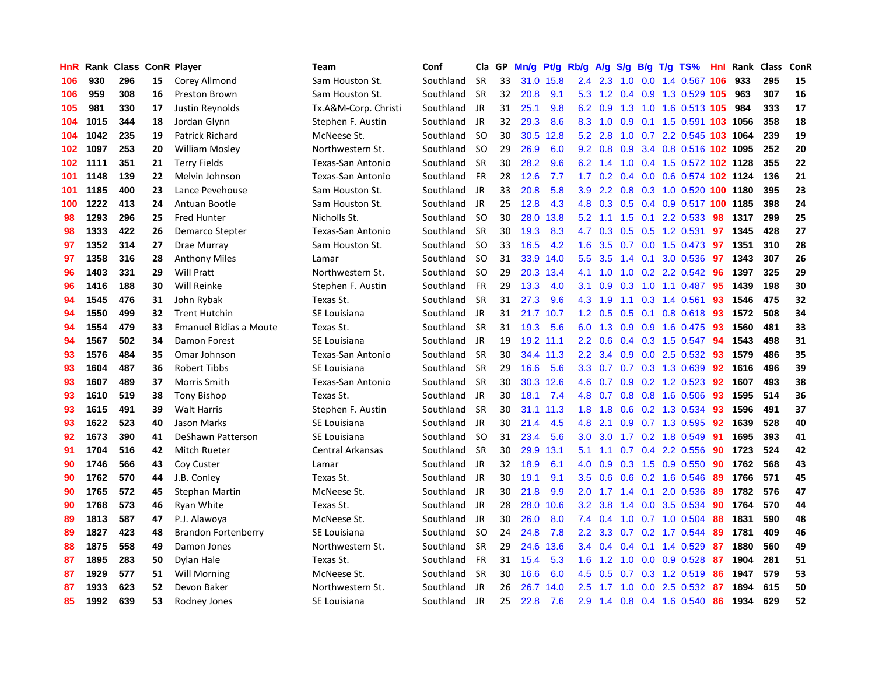| HnR | Rank |     |    | <b>Class ConR Player</b>   | <b>Team</b>             | Conf      | Cla       | <b>GP</b> | Mn/g | Pt/g      | Rb/g             | A/g         |               |     | S/g B/g T/g TS%                   | Hnl | Rank   | <b>Class</b> | ConR |
|-----|------|-----|----|----------------------------|-------------------------|-----------|-----------|-----------|------|-----------|------------------|-------------|---------------|-----|-----------------------------------|-----|--------|--------------|------|
| 106 | 930  | 296 | 15 | Corey Allmond              | Sam Houston St.         | Southland | <b>SR</b> | 33        |      | 31.0 15.8 | 2.4              | 2.3         | 1.0           |     | 0.0 1.4 0.567 106                 |     | 933    | 295          | 15   |
| 106 | 959  | 308 | 16 | <b>Preston Brown</b>       | Sam Houston St.         | Southland | <b>SR</b> | 32        | 20.8 | 9.1       |                  |             |               |     | 5.3 1.2 0.4 0.9 1.3 0.529 105 963 |     |        | 307          | 16   |
| 105 | 981  | 330 | 17 | Justin Reynolds            | Tx.A&M-Corp. Christi    | Southland | JR        | 31        | 25.1 | 9.8       |                  | 6.2 0.9     |               |     | 1.3 1.0 1.6 0.513 105 984         |     |        | 333          | 17   |
| 104 | 1015 | 344 | 18 | Jordan Glynn               | Stephen F. Austin       | Southland | JR        | 32        | 29.3 | 8.6       | 8.3              | $-1.0$      |               |     | 0.9 0.1 1.5 0.591 103 1056        |     |        | 358          | 18   |
| 104 | 1042 | 235 | 19 | <b>Patrick Richard</b>     | McNeese St.             | Southland | -SO       | 30        | 30.5 | 12.8      | 5.2              | 2.8         | 1.0           |     | 0.7 2.2 0.545 103 1064            |     |        | 239          | 19   |
| 102 | 1097 | 253 | 20 | William Mosley             | Northwestern St.        | Southland | <b>SO</b> | 29        | 26.9 | 6.0       | 9.2              | 0.8         |               |     | 0.9 3.4 0.8 0.516 102 1095        |     |        | 252          | 20   |
| 102 | 1111 | 351 | 21 | <b>Terry Fields</b>        | Texas-San Antonio       | Southland | <b>SR</b> | 30        | 28.2 | 9.6       | 6.2              | 1.4         |               |     | 1.0 0.4 1.5 0.572 102 1128        |     |        | 355          | 22   |
| 101 | 1148 | 139 | 22 | Melvin Johnson             | Texas-San Antonio       | Southland | <b>FR</b> | 28        | 12.6 | 7.7       | 1.7 <sup>2</sup> | 0.2         |               |     | 0.4 0.0 0.6 0.574 102 1124        |     |        | 136          | 21   |
| 101 | 1185 | 400 | 23 | Lance Pevehouse            | Sam Houston St.         | Southland | JR        | 33        | 20.8 | 5.8       | 3.9 <sup>°</sup> | 2.2         | 0.8           |     | 0.3 1.0 0.520 100 1180            |     |        | 395          | 23   |
| 100 | 1222 | 413 | 24 | Antuan Bootle              | Sam Houston St.         | Southland | JR        | 25        | 12.8 | 4.3       | 4.8              | 0.3         |               |     | 0.5 0.4 0.9 0.517 100 1185        |     |        | 398          | 24   |
| 98  | 1293 | 296 | 25 | <b>Fred Hunter</b>         | Nicholls St.            | Southland | -SO       | 30        | 28.0 | 13.8      | 5.2              |             |               |     | 1.1 1.5 0.1 2.2 0.533 98          |     | 1317   | 299          | 25   |
| 98  | 1333 | 422 | 26 | Demarco Stepter            | Texas-San Antonio       | Southland | <b>SR</b> | 30        | 19.3 | 8.3       | 4.7              | 0.3         |               |     | 0.5 0.5 1.2 0.531 97              |     | - 1345 | 428          | 27   |
| 97  | 1352 | 314 | 27 | Drae Murray                | Sam Houston St.         | Southland | <b>SO</b> | 33        | 16.5 | 4.2       | 1.6              | 3.5         |               |     | 0.7 0.0 1.5 0.473 97              |     | 1351   | 310          | 28   |
| 97  | 1358 | 316 | 28 | <b>Anthony Miles</b>       | Lamar                   | Southland | <b>SO</b> | 31        | 33.9 | 14.0      | 5.5              | 3.5         | $1.4^{\circ}$ |     | 0.1 3.0 0.536                     | 97  | 1343   | 307          | 26   |
| 96  | 1403 | 331 | 29 | <b>Will Pratt</b>          | Northwestern St.        | Southland | -SO       | 29        | 20.3 | 13.4      | 4.1              | 1.0         |               |     | 1.0 0.2 2.2 0.542 96              |     | 1397   | 325          | 29   |
| 96  | 1416 | 188 | 30 | Will Reinke                | Stephen F. Austin       | Southland | <b>FR</b> | 29        | 13.3 | 4.0       | 3.1              | 0.9         | 0.3           |     | 1.0 1.1 0.487                     | 95  | 1439   | 198          | 30   |
| 94  | 1545 | 476 | 31 | John Rybak                 | Texas St.               | Southland | <b>SR</b> | 31        | 27.3 | 9.6       |                  | 4.3 1.9     |               |     | 1.1 0.3 1.4 0.561                 | -93 | 1546   | 475          | 32   |
| 94  | 1550 | 499 | 32 | <b>Trent Hutchin</b>       | SE Louisiana            | Southland | <b>JR</b> | 31        | 21.7 | 10.7      | 1.2              | 0.5         | 0.5           | 0.1 | $0.8$ 0.618                       | -93 | 1572   | 508          | 34   |
| 94  | 1554 | 479 | 33 | Emanuel Bidias a Moute     | Texas St.               | Southland | <b>SR</b> | 31        | 19.3 | 5.6       |                  | 6.0 1.3     |               |     | 0.9 0.9 1.6 0.475 93              |     | 1560   | 481          | 33   |
| 94  | 1567 | 502 | 34 | Damon Forest               | SE Louisiana            | Southland | <b>JR</b> | 19        |      | 19.2 11.1 | 2.2              | 0.6         |               |     | 0.4 0.3 1.5 0.547 94              |     | 1543   | 498          | 31   |
| 93  | 1576 | 484 | 35 | Omar Johnson               | Texas-San Antonio       | Southland | <b>SR</b> | 30        |      | 34.4 11.3 | 2.2              | 3.4         |               |     | $0.9$ 0.0 2.5 0.532               | -93 | 1579   | 486          | 35   |
| 93  | 1604 | 487 | 36 | Robert Tibbs               | SE Louisiana            | Southland | <b>SR</b> | 29        | 16.6 | 5.6       | 3.3              | 0.7         |               |     | 0.7 0.3 1.3 0.639                 | 92  | 1616   | 496          | 39   |
| 93  | 1607 | 489 | 37 | Morris Smith               | Texas-San Antonio       | Southland | <b>SR</b> | 30        | 30.3 | 12.6      | 4.6              | 0.7         |               |     | 0.9 0.2 1.2 0.523                 | 92  | 1607   | 493          | 38   |
| 93  | 1610 | 519 | 38 | <b>Tony Bishop</b>         | Texas St.               | Southland | JR        | 30        | 18.1 | 7.4       | 4.8              | 0.7         |               |     | 0.8 0.8 1.6 0.506                 | -93 | 1595   | 514          | 36   |
| 93  | 1615 | 491 | 39 | <b>Walt Harris</b>         | Stephen F. Austin       | Southland | <b>SR</b> | 30        | 31.1 | 11.3      | 1.8              | 1.8         |               |     | $0.6$ 0.2 1.3 0.534               | -93 | 1596   | 491          | 37   |
| 93  | 1622 | 523 | 40 | Jason Marks                | SE Louisiana            | Southland | JR        | 30        | 21.4 | 4.5       | 4.8              | 2.1         |               |     | 0.9 0.7 1.3 0.595                 | 92  | 1639   | 528          | 40   |
| 92  | 1673 | 390 | 41 | DeShawn Patterson          | SE Louisiana            | Southland | -SO       | 31        | 23.4 | 5.6       | 3.0 <sub>2</sub> | 3.0         |               |     | 1.7 0.2 1.8 0.549                 | -91 | 1695   | 393          | 41   |
| 91  | 1704 | 516 | 42 | <b>Mitch Rueter</b>        | <b>Central Arkansas</b> | Southland | <b>SR</b> | 30        | 29.9 | 13.1      | 5.1              |             |               |     | 1.1 0.7 0.4 2.2 0.556 90          |     | 1723   | 524          | 42   |
| 90  | 1746 | 566 | 43 | Coy Custer                 | Lamar                   | Southland | JR        | 32        | 18.9 | 6.1       | 4.0              | 0.9         |               |     | $0.3$ 1.5 0.9 0.550               | -90 | 1762   | 568          | 43   |
| 90  | 1762 | 570 | 44 | J.B. Conley                | Texas St.               | Southland | JR        | 30        | 19.1 | 9.1       | 3.5              | 0.6         |               |     | $0.6$ $0.2$ 1.6 $0.546$           | -89 | 1766   | 571          | 45   |
| 90  | 1765 | 572 | 45 | Stephan Martin             | McNeese St.             | Southland | JR        | 30        | 21.8 | 9.9       | 2.0              | 1.7         | $1.4^{\circ}$ | 0.1 | 2.0 0.536                         | -89 | 1782   | 576          | 47   |
| 90  | 1768 | 573 | 46 | Ryan White                 | Texas St.               | Southland | - JR      | 28        | 28.0 | 10.6      | 3.2              | 3.8         | 1.4           |     | 0.0 3.5 0.534                     | -90 | 1764   | 570          | 44   |
| 89  | 1813 | 587 | 47 | P.J. Alawoya               | McNeese St.             | Southland | JR        | 30        | 26.0 | 8.0       | 7.4              | 0.4         | 1.0           |     | $0.7$ 1.0 0.504                   | -88 | 1831   | 590          | 48   |
| 89  | 1827 | 423 | 48 | <b>Brandon Fortenberry</b> | <b>SE Louisiana</b>     | Southland | -SO       | 24        | 24.8 | 7.8       | $2.2^{\circ}$    | 3.3         | 0.7           |     | $0.2$ 1.7 $0.544$                 | -89 | 1781   | 409          | 46   |
| 88  | 1875 | 558 | 49 | Damon Jones                | Northwestern St.        | Southland | <b>SR</b> | 29        | 24.6 | 13.6      | $3.4^{\circ}$    | 0.4         | 0.4           |     | $0.1$ 1.4 0.529                   | -87 | 1880   | 560          | 49   |
| 87  | 1895 | 283 | 50 | Dylan Hale                 | Texas St.               | Southland | <b>FR</b> | 31        | 15.4 | 5.3       | 1.6              | 1.2         | 1.0           |     | $0.0$ $0.9$ $0.528$               | -87 | 1904   | 281          | 51   |
| 87  | 1929 | 577 | 51 | Will Morning               | McNeese St.             | Southland | -SR       | 30        | 16.6 | 6.0       | 4.5              | 0.5         |               |     | 0.7 0.3 1.2 0.519 86              |     | 1947   | 579          | 53   |
| 87  | 1933 | 623 | 52 | Devon Baker                | Northwestern St.        | Southland | JR        | 26        | 26.7 | 14.0      | $2.5^{\circ}$    | $1.7$ $1.0$ |               |     | $0.0$ 2.5 0.532                   | -87 | 1894   | 615          | 50   |
| 85  | 1992 | 639 | 53 | Rodney Jones               | <b>SE Louisiana</b>     | Southland | JR        | 25        | 22.8 | 7.6       | 2.9              |             |               |     | 1.4 0.8 0.4 1.6 0.540             | 86  | 1934   | 629          | 52   |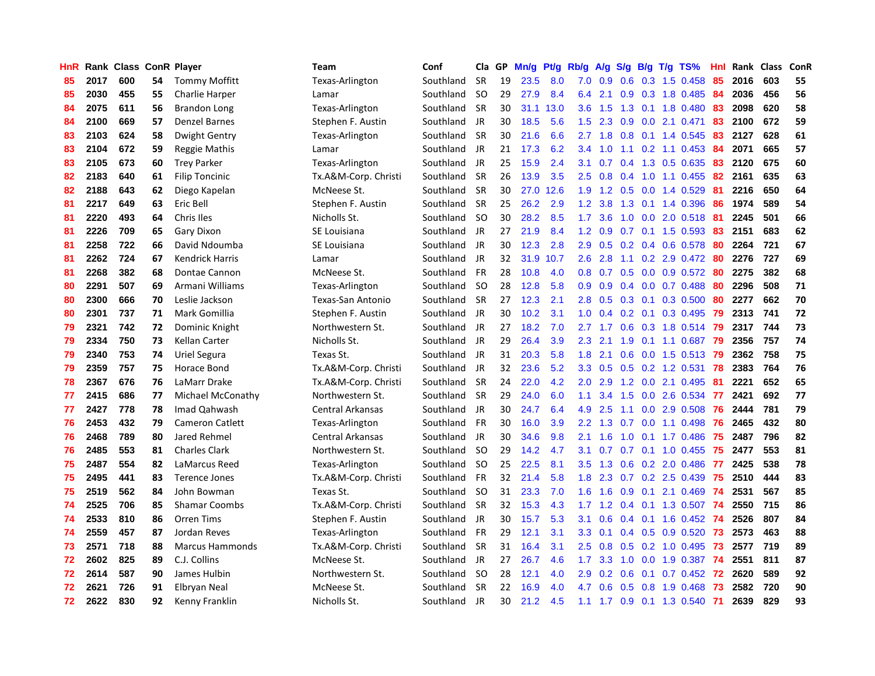| HnR |      | Rank Class ConR Player |    |                        | Team                     | Conf      | Cla       | GP. | Mn/g | <b>Pt/g</b> | Rb/g             | A/g       | S/g              |     | $B/g$ T/g TS%             | Hnl |      | Rank Class | ConR |
|-----|------|------------------------|----|------------------------|--------------------------|-----------|-----------|-----|------|-------------|------------------|-----------|------------------|-----|---------------------------|-----|------|------------|------|
| 85  | 2017 | 600                    | 54 | <b>Tommy Moffitt</b>   | Texas-Arlington          | Southland | <b>SR</b> | 19  | 23.5 | 8.0         | 7.0              | 0.9       | 0.6              |     | 0.3 1.5 0.458             | 85  | 2016 | 603        | 55   |
| 85  | 2030 | 455                    | 55 | Charlie Harper         | Lamar                    | Southland | <b>SO</b> | 29  | 27.9 | 8.4         | 6.4              | 2.1       |                  |     | $0.9$ 0.3 1.8 0.485       | -84 | 2036 | 456        | 56   |
| 84  | 2075 | 611                    | 56 | Brandon Long           | Texas-Arlington          | Southland | <b>SR</b> | 30  | 31.1 | 13.0        | 3.6              | 1.5       |                  |     | 1.3 0.1 1.8 0.480         | -83 | 2098 | 620        | 58   |
| 84  | 2100 | 669                    | 57 | <b>Denzel Barnes</b>   | Stephen F. Austin        | Southland | JR        | 30  | 18.5 | 5.6         | 1.5              | 2.3       |                  |     | $0.9$ $0.0$ 2.1 $0.471$   | 83  | 2100 | 672        | 59   |
| 83  | 2103 | 624                    | 58 | Dwight Gentry          | Texas-Arlington          | Southland | <b>SR</b> | 30  | 21.6 | 6.6         |                  | $2.7$ 1.8 | 0.8              |     | 0.1 1.4 0.545             | 83  | 2127 | 628        | 61   |
| 83  | 2104 | 672                    | 59 | Reggie Mathis          | Lamar                    | Southland | JR        | 21  | 17.3 | 6.2         | 3.4              | 1.0       | 1.1              |     | $0.2$ 1.1 0.453           | -84 | 2071 | 665        | 57   |
| 83  | 2105 | 673                    | 60 | <b>Trey Parker</b>     | Texas-Arlington          | Southland | JR        | 25  | 15.9 | 2.4         | 3.1              | 0.7       | 0.4              |     | 1.3 0.5 0.635             | 83  | 2120 | 675        | 60   |
| 82  | 2183 | 640                    | 61 | <b>Filip Toncinic</b>  | Tx.A&M-Corp. Christi     | Southland | <b>SR</b> | 26  | 13.9 | 3.5         | 2.5              | 0.8       | 0.4              |     | 1.0 1.1 0.455             | 82  | 2161 | 635        | 63   |
| 82  | 2188 | 643                    | 62 | Diego Kapelan          | McNeese St.              | Southland | <b>SR</b> | 30  | 27.0 | 12.6        | 1.9              | 1.2       | 0.5              |     | 0.0 1.4 0.529             | -81 | 2216 | 650        | 64   |
| 81  | 2217 | 649                    | 63 | Eric Bell              | Stephen F. Austin        | Southland | <b>SR</b> | 25  | 26.2 | 2.9         | 1.2              | 3.8       | 1.3              |     | 0.1 1.4 0.396             | -86 | 1974 | 589        | 54   |
| 81  | 2220 | 493                    | 64 | Chris Iles             | Nicholls St.             | Southland | <b>SO</b> | 30  | 28.2 | 8.5         | 1.7 <sub>z</sub> | 3.6       |                  |     | 1.0 0.0 2.0 0.518 81      |     | 2245 | 501        | 66   |
| 81  | 2226 | 709                    | 65 | Gary Dixon             | SE Louisiana             | Southland | JR.       | 27  | 21.9 | 8.4         | 1.2              | 0.9       |                  |     | 0.7 0.1 1.5 0.593 83      |     | 2151 | 683        | 62   |
| 81  | 2258 | 722                    | 66 | David Ndoumba          | SE Louisiana             | Southland | JR        | 30  | 12.3 | 2.8         | 2.9              | 0.5       |                  |     | $0.2$ 0.4 0.6 0.578       | -80 | 2264 | 721        | 67   |
| 81  | 2262 | 724                    | 67 | <b>Kendrick Harris</b> | Lamar                    | Southland | JR        | 32  | 31.9 | 10.7        | 2.6              | 2.8       |                  |     | 1.1 0.2 2.9 0.472 80      |     | 2276 | 727        | 69   |
| 81  | 2268 | 382                    | 68 | Dontae Cannon          | McNeese St.              | Southland | <b>FR</b> | 28  | 10.8 | 4.0         | 0.8              | 0.7       | 0.5              |     | $0.0\quad 0.9\ 0.572$     | -80 | 2275 | 382        | 68   |
| 80  | 2291 | 507                    | 69 | Armani Williams        | Texas-Arlington          | Southland | -SO       | 28  | 12.8 | 5.8         | 0.9 <sub>0</sub> | 0.9       | 0.4              |     | $0.0$ 0.7 0.488           | -80 | 2296 | 508        | 71   |
| 80  | 2300 | 666                    | 70 | Leslie Jackson         | <b>Texas-San Antonio</b> | Southland | <b>SR</b> | 27  | 12.3 | 2.1         | 2.8              | 0.5       | 0.3              |     | $0.1$ 0.3 0.500           | 80  | 2277 | 662        | 70   |
| 80  | 2301 | 737                    | 71 | Mark Gomillia          | Stephen F. Austin        | Southland | <b>JR</b> | 30  | 10.2 | 3.1         | 1.0              | 0.4       | 0.2 <sub>0</sub> | 0.1 | 0.3 0.495                 | 79  | 2313 | 741        | 72   |
| 79  | 2321 | 742                    | 72 | Dominic Knight         | Northwestern St.         | Southland | JR        | 27  | 18.2 | 7.0         | $2.7^{\circ}$    | 1.7       |                  |     | 0.6 0.3 1.8 0.514 79      |     | 2317 | 744        | 73   |
| 79  | 2334 | 750                    | 73 | <b>Kellan Carter</b>   | Nicholls St.             | Southland | JR        | 29  | 26.4 | 3.9         | 2.3              | 2.1       |                  |     | 1.9 0.1 1.1 0.687 79      |     | 2356 | 757        | 74   |
| 79  | 2340 | 753                    | 74 | Uriel Segura           | Texas St.                | Southland | JR        | 31  | 20.3 | 5.8         | 1.8              | 2.1       |                  |     | $0.6$ $0.0$ 1.5 $0.513$   | -79 | 2362 | 758        | 75   |
| 79  | 2359 | 757                    | 75 | Horace Bond            | Tx.A&M-Corp. Christi     | Southland | JR        | 32  | 23.6 | 5.2         | 3.3 <sub>2</sub> | 0.5       |                  |     | $0.5$ 0.2 1.2 0.531       | 78  | 2383 | 764        | 76   |
| 78  | 2367 | 676                    | 76 | LaMarr Drake           | Tx.A&M-Corp. Christi     | Southland | <b>SR</b> | 24  | 22.0 | 4.2         | 2.0              | 2.9       |                  |     | 1.2 0.0 2.1 0.495         | 81  | 2221 | 652        | 65   |
| 77  | 2415 | 686                    | 77 | Michael McConathy      | Northwestern St.         | Southland | <b>SR</b> | 29  | 24.0 | 6.0         | 1.1              | 3.4       | 1.5              |     | 0.0 2.6 0.534             | 77  | 2421 | 692        | 77   |
| 77  | 2427 | 778                    | 78 | Imad Qahwash           | <b>Central Arkansas</b>  | Southland | JR        | 30  | 24.7 | 6.4         | 4.9              | 2.5       | 1.1              |     | $0.0$ 2.9 0.508           | 76  | 2444 | 781        | 79   |
| 76  | 2453 | 432                    | 79 | <b>Cameron Catlett</b> | Texas-Arlington          | Southland | <b>FR</b> | 30  | 16.0 | 3.9         | 2.2              | 1.3       |                  |     | $0.7$ 0.0 1.1 0.498       | 76  | 2465 | 432        | 80   |
| 76  | 2468 | 789                    | 80 | Jared Rehmel           | <b>Central Arkansas</b>  | Southland | JR        | 30  | 34.6 | 9.8         | 2.1              | 1.6       |                  |     | 1.0 0.1 1.7 0.486         | -75 | 2487 | 796        | 82   |
| 76  | 2485 | 553                    | 81 | <b>Charles Clark</b>   | Northwestern St.         | Southland | -SO       | 29  | 14.2 | 4.7         | 3.1              | 0.7       |                  |     | 0.7 0.1 1.0 0.455 75      |     | 2477 | 553        | 81   |
| 75  | 2487 | 554                    | 82 | LaMarcus Reed          | Texas-Arlington          | Southland | -SO       | 25  | 22.5 | 8.1         | 3.5              | 1.3       |                  |     | 0.6 0.2 2.0 0.486 77      |     | 2425 | 538        | 78   |
| 75  | 2495 | 441                    | 83 | Terence Jones          | Tx.A&M-Corp. Christi     | Southland | <b>FR</b> | 32  | 21.4 | 5.8         | 1.8              | 2.3       |                  |     | $0.7$ $0.2$ $2.5$ $0.439$ | -75 | 2510 | 444        | 83   |
| 75  | 2519 | 562                    | 84 | John Bowman            | Texas St.                | Southland | -SO       | 31  | 23.3 | 7.0         | 1.6              | 1.6       | 0.9              | 0.1 | 2.1 0.469                 | -74 | 2531 | 567        | 85   |
| 74  | 2525 | 706                    | 85 | <b>Shamar Coombs</b>   | Tx.A&M-Corp. Christi     | Southland | -SR       | 32  | 15.3 | 4.3         | 1.7              | 1.2       | 0.4              |     | 0.1 1.3 0.507             | -74 | 2550 | 715        | 86   |
| 74  | 2533 | 810                    | 86 | Orren Tims             | Stephen F. Austin        | Southland | JR        | 30  | 15.7 | 5.3         | 3.1              | 0.6       | $0.4^{\circ}$    |     | $0.1$ 1.6 0.452           | -74 | 2526 | 807        | 84   |
| 74  | 2559 | 457                    | 87 | Jordan Reves           | Texas-Arlington          | Southland | <b>FR</b> | 29  | 12.1 | 3.1         | 3.3 <sub>2</sub> | 0.1       | 0.4              |     | $0.5$ 0.9 0.520           | 73  | 2573 | 463        | 88   |
| 73  | 2571 | 718                    | 88 | <b>Marcus Hammonds</b> | Tx.A&M-Corp. Christi     | Southland | <b>SR</b> | 31  | 16.4 | 3.1         | $2.5^{\circ}$    | 0.8       | 0.5              |     | 0.2 1.0 0.495             | -73 | 2577 | 719        | 89   |
| 72  | 2602 | 825                    | 89 | C.J. Collins           | McNeese St.              | Southland | JR        | 27  | 26.7 | 4.6         | $1.7^{\circ}$    | 3.3       | 1.0              |     | $0.0$ 1.9 0.387           | -74 | 2551 | 811        | 87   |
| 72  | 2614 | 587                    | 90 | James Hulbin           | Northwestern St.         | Southland | -SO       | 28  | 12.1 | 4.0         | 2.9 <sup>°</sup> | 0.2       | 0.6              |     | $0.1$ 0.7 0.452 72        |     | 2620 | 589        | 92   |
| 72  | 2621 | 726                    | 91 | Elbryan Neal           | McNeese St.              | Southland | -SR       | 22  | 16.9 | 4.0         | 4.7              | 0.6       |                  |     | $0.5$ 0.8 1.9 0.468       | -73 | 2582 | 720        | 90   |
| 72  | 2622 | 830                    | 92 | Kenny Franklin         | Nicholls St.             | Southland | <b>JR</b> | 30  | 21.2 | 4.5         | 1.1              | 1.7       |                  |     | 0.9 0.1 1.3 0.540         | 71  | 2639 | 829        | 93   |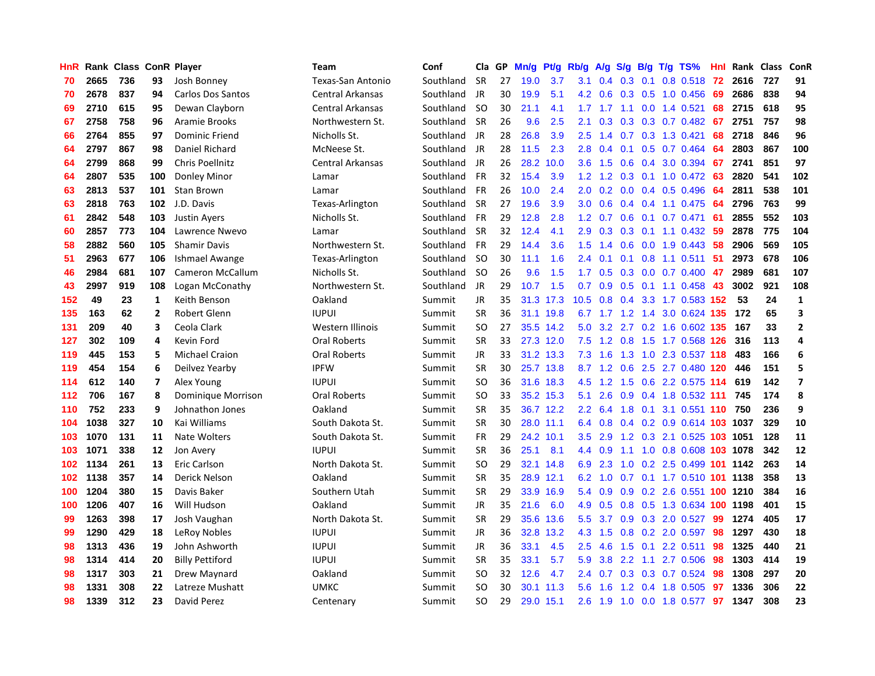| HnR |      | Rank Class ConR Player |                |                          | <b>Team</b>             | Conf      | Cla       | GP | Mn/g | <b>Pt/g</b> | Rb/g             | A/g             | S/g              |     | $B/g$ T/g TS%                 | Hnl |      | Rank Class | ConR                    |
|-----|------|------------------------|----------------|--------------------------|-------------------------|-----------|-----------|----|------|-------------|------------------|-----------------|------------------|-----|-------------------------------|-----|------|------------|-------------------------|
| 70  | 2665 | 736                    | 93             | Josh Bonney              | Texas-San Antonio       | Southland | <b>SR</b> | 27 | 19.0 | 3.7         | 3.1              | 0.4             | 0.3              | 0.1 | 0.8 0.518                     | 72  | 2616 | 727        | 91                      |
| 70  | 2678 | 837                    | 94             | <b>Carlos Dos Santos</b> | <b>Central Arkansas</b> | Southland | <b>JR</b> | 30 | 19.9 | 5.1         |                  | 4.2 0.6         |                  |     | $0.3$ $0.5$ 1.0 $0.456$       | 69  | 2686 | 838        | 94                      |
| 69  | 2710 | 615                    | 95             | Dewan Clayborn           | Central Arkansas        | Southland | -SO       | 30 | 21.1 | 4.1         |                  |                 |                  |     | 1.7 1.7 1.1 0.0 1.4 0.521     | 68  | 2715 | 618        | 95                      |
| 67  | 2758 | 758                    | 96             | Aramie Brooks            | Northwestern St.        | Southland | <b>SR</b> | 26 | 9.6  | 2.5         | 2.1              | 0.3             |                  |     | $0.3$ $0.3$ $0.7$ $0.482$     | 67  | 2751 | 757        | 98                      |
| 66  | 2764 | 855                    | 97             | Dominic Friend           | Nicholls St.            | Southland | JR        | 28 | 26.8 | 3.9         | 2.5              | 1.4             |                  |     | 0.7 0.3 1.3 0.421             | 68  | 2718 | 846        | 96                      |
| 64  | 2797 | 867                    | 98             | Daniel Richard           | McNeese St.             | Southland | JR        | 28 | 11.5 | 2.3         | 2.8              | 0.4             | 0.1              |     | $0.5$ 0.7 0.464               | 64  | 2803 | 867        | 100                     |
| 64  | 2799 | 868                    | 99             | Chris Poellnitz          | <b>Central Arkansas</b> | Southland | JR        | 26 | 28.2 | 10.0        | 3.6              | 1.5             |                  |     | 0.6 0.4 3.0 0.394             | 67  | 2741 | 851        | 97                      |
| 64  | 2807 | 535                    | 100            | Donley Minor             | Lamar                   | Southland | <b>FR</b> | 32 | 15.4 | 3.9         | 1.2              | 1.2             | 0.3              |     | $0.1$ 1.0 0.472               | -63 | 2820 | 541        | 102                     |
| 63  | 2813 | 537                    | 101            | Stan Brown               | Lamar                   | Southland | <b>FR</b> | 26 | 10.0 | 2.4         | 2.0              | 0.2             | 0.0              |     | 0.4 0.5 0.496                 | 64  | 2811 | 538        | 101                     |
| 63  | 2818 | 763                    | 102            | J.D. Davis               | Texas-Arlington         | Southland | <b>SR</b> | 27 | 19.6 | 3.9         | 3.0 <sub>2</sub> | 0.6             |                  |     | $0.4$ 0.4 1.1 0.475           | -64 | 2796 | 763        | 99                      |
| 61  | 2842 | 548                    | 103            | <b>Justin Ayers</b>      | Nicholls St.            | Southland | FR        | 29 | 12.8 | 2.8         |                  | $1.2 \quad 0.7$ |                  |     | $0.6$ 0.1 0.7 0.471           | -61 | 2855 | 552        | 103                     |
| 60  | 2857 | 773                    | 104            | Lawrence Nwevo           | Lamar                   | Southland | <b>SR</b> | 32 | 12.4 | 4.1         | 2.9              | 0.3             |                  |     | 0.3 0.1 1.1 0.432 59          |     | 2878 | 775        | 104                     |
| 58  | 2882 | 560                    | 105            | <b>Shamir Davis</b>      | Northwestern St.        | Southland | <b>FR</b> | 29 | 14.4 | 3.6         | 1.5              | 1.4             |                  |     | $0.6$ 0.0 1.9 0.443           | 58  | 2906 | 569        | 105                     |
| 51  | 2963 | 677                    | 106            | Ishmael Awange           | Texas-Arlington         | Southland | -SO       | 30 | 11.1 | 1.6         | 2.4              | 0.1             | 0.1              |     | $0.8$ 1.1 0.511               | -51 | 2973 | 678        | 106                     |
| 46  | 2984 | 681                    | 107            | Cameron McCallum         | Nicholls St.            | Southland | -SO       | 26 | 9.6  | 1.5         | 1.7              | 0.5             | 0.3              |     | $0.0$ 0.7 0.400               | 47  | 2989 | 681        | 107                     |
| 43  | 2997 | 919                    | 108            | Logan McConathy          | Northwestern St.        | Southland | JR        | 29 | 10.7 | 1.5         | 0.7              | 0.9             | 0.5              |     | $0.1$ 1.1 0.458               | 43  | 3002 | 921        | 108                     |
| 152 | 49   | 23                     | 1              | Keith Benson             | Oakland                 | Summit    | JR        | 35 | 31.3 | 17.3        | 10.5             | 0.8             | 0.4              |     | 3.3 1.7 0.583 152             |     | 53   | 24         | $\mathbf{1}$            |
| 135 | 163  | 62                     | $\overline{2}$ | Robert Glenn             | <b>IUPUI</b>            | Summit    | <b>SR</b> | 36 | 31.1 | 19.8        | 6.7              | $1.7$ 1.2       |                  | 1.4 | 3.0 0.624 135                 |     | 172  | 65         | 3                       |
| 131 | 209  | 40                     | 3              | Ceola Clark              | <b>Western Illinois</b> | Summit    | <b>SO</b> | 27 |      | 35.5 14.2   |                  |                 |                  |     | 5.0 3.2 2.7 0.2 1.6 0.602 135 |     | 167  | 33         | $\overline{\mathbf{2}}$ |
| 127 | 302  | 109                    | 4              | Kevin Ford               | Oral Roberts            | Summit    | <b>SR</b> | 33 |      | 27.3 12.0   |                  |                 |                  |     | 7.5 1.2 0.8 1.5 1.7 0.568 126 |     | 316  | 113        | $\overline{a}$          |
| 119 | 445  | 153                    | 5              | <b>Michael Craion</b>    | Oral Roberts            | Summit    | JR        | 33 |      | 31.2 13.3   |                  | $7.3 \quad 1.6$ |                  |     | 1.3 1.0 2.3 0.537 118         |     | 483  | 166        | 6                       |
| 119 | 454  | 154                    | 6              | Deilvez Yearby           | <b>IPFW</b>             | Summit    | <b>SR</b> | 30 |      | 25.7 13.8   |                  | $8.7 \quad 1.2$ | 0.6              |     | 2.5 2.7 0.480 120             |     | 446  | 151        | 5                       |
| 114 | 612  | 140                    | $\overline{7}$ | Alex Young               | <b>IUPUI</b>            | Summit    | <b>SO</b> | 36 | 31.6 | 18.3        | 4.5              | 1.2             | 1.5              |     | 0.6 2.2 0.575 114             |     | 619  | 142        | $\overline{7}$          |
| 112 | 706  | 167                    | 8              | Dominique Morrison       | Oral Roberts            | Summit    | <b>SO</b> | 33 |      | 35.2 15.3   | 5.1              | 2.6             |                  |     | 0.9 0.4 1.8 0.532 111         |     | 745  | 174        | 8                       |
| 110 | 752  | 233                    | 9              | Johnathon Jones          | Oakland                 | Summit    | <b>SR</b> | 35 |      | 36.7 12.2   | $2.2^{\circ}$    | 6.4             | 1.8              | 0.1 | 3.1 0.551 110                 |     | 750  | 236        | 9                       |
| 104 | 1038 | 327                    | 10             | Kai Williams             | South Dakota St.        | Summit    | <b>SR</b> | 30 |      | 28.0 11.1   | 6.4              | 0.8             |                  |     | 0.4 0.2 0.9 0.614 103 1037    |     |      | 329        | 10                      |
| 103 | 1070 | 131                    | 11             | Nate Wolters             | South Dakota St.        | Summit    | <b>FR</b> | 29 |      | 24.2 10.1   | 3.5              | 2.9             |                  |     | 1.2 0.3 2.1 0.525 103 1051    |     |      | 128        | 11                      |
| 103 | 1071 | 338                    | 12             | Jon Avery                | <b>IUPUI</b>            | Summit    | <b>SR</b> | 36 | 25.1 | 8.1         | 4.4              | 0.9             |                  |     | 1.1 1.0 0.8 0.608 103 1078    |     |      | 342        | 12                      |
| 102 | 1134 | 261                    | 13             | Eric Carlson             | North Dakota St.        | Summit    | SO.       | 29 |      | 32.1 14.8   | 6.9              | 2.3             |                  |     | 1.0 0.2 2.5 0.499 101 1142    |     |      | 263        | 14                      |
| 102 | 1138 | 357                    | 14             | Derick Nelson            | Oakland                 | Summit    | <b>SR</b> | 35 | 28.9 | 12.1        | 6.2              | 1.0             |                  |     | 0.7 0.1 1.7 0.510 101 1138    |     |      | 358        | 13                      |
| 100 | 1204 | 380                    | 15             | Davis Baker              | Southern Utah           | Summit    | <b>SR</b> | 29 | 33.9 | 16.9        | 5.4              | 0.9             | 0.9              |     | 0.2 2.6 0.551 100 1210        |     |      | 384        | 16                      |
| 100 | 1206 | 407                    | 16             | Will Hudson              | Oakland                 | Summit    | JR        | 35 | 21.6 | 6.0         | 4.9              | 0.5             |                  |     | 0.8 0.5 1.3 0.634 100 1198    |     |      | 401        | 15                      |
| 99  | 1263 | 398                    | 17             | Josh Vaughan             | North Dakota St.        | Summit    | <b>SR</b> | 29 | 35.6 | 13.6        | 5.5              | 3.7             | 0.9              |     | $0.3$ 2.0 $0.527$             | 99  | 1274 | 405        | 17                      |
| 99  | 1290 | 429                    | 18             | LeRoy Nobles             | <b>IUPUI</b>            | Summit    | JR        | 36 | 32.8 | 13.2        | 4.3              | $-1.5$          | 0.8 <sub>0</sub> |     | 0.2 2.0 0.597                 | 98  | 1297 | 430        | 18                      |
| 98  | 1313 | 436                    | 19             | John Ashworth            | <b>IUPUI</b>            | Summit    | JR        | 36 | 33.1 | 4.5         | $2.5^{\circ}$    | 4.6             | $1.5^{\circ}$    | 0.1 | 2.2 0.511                     | 98  | 1325 | 440        | 21                      |
| 98  | 1314 | 414                    | 20             | <b>Billy Pettiford</b>   | <b>IUPUI</b>            | Summit    | <b>SR</b> | 35 | 33.1 | 5.7         | 5.9              | 3.8             |                  |     | 2.2 1.1 2.7 0.506 98          |     | 1303 | 414        | 19                      |
| 98  | 1317 | 303                    | 21             | Drew Maynard             | Oakland                 | Summit    | SO.       | 32 | 12.6 | 4.7         | $2.4^{\circ}$    | 0.7             |                  |     | $0.3$ $0.3$ $0.7$ $0.524$     | -98 | 1308 | 297        | 20                      |
| 98  | 1331 | 308                    | 22             | Latreze Mushatt          | UMKC                    | Summit    | SO        | 30 | 30.1 | 11.3        | 5.6              | 1.6             |                  |     | 1.2 0.4 1.8 0.505             | -97 | 1336 | 306        | 22                      |
| 98  | 1339 | 312                    | 23             | David Perez              | Centenary               | Summit    | SO.       | 29 |      | 29.0 15.1   | 2.6              | 1.9             |                  |     | 1.0 0.0 1.8 0.577             | 97  | 1347 | 308        | 23                      |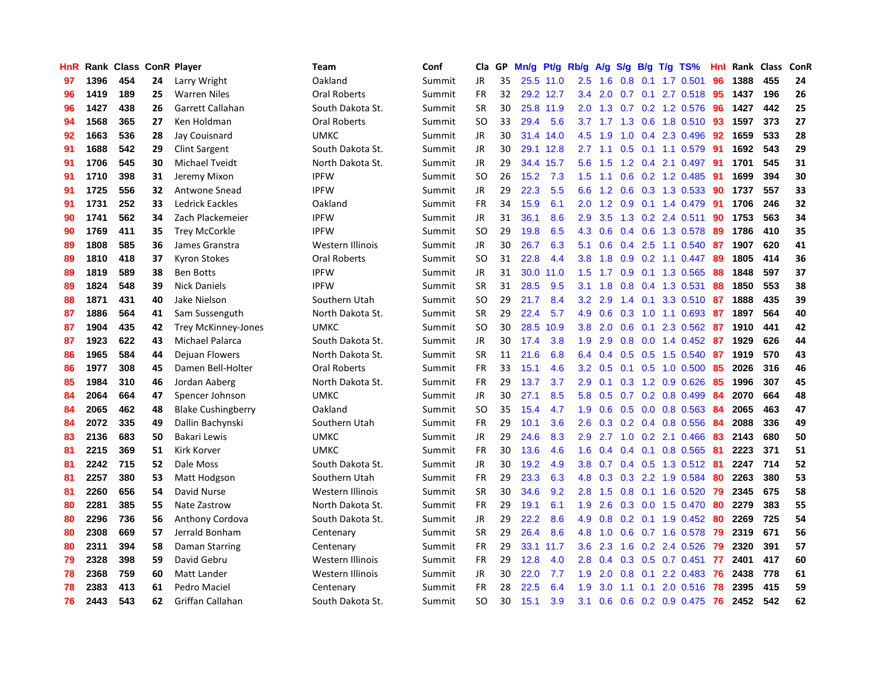| HnR |      | Rank Class ConR Player |    |                           | Team             | Conf   | Cla           | GP | Mn/g | Pt/g      | Rb/g             | A/g | S/g              |     | $B/g$ T/g TS%             | Hnl |      | Rank Class | ConR |
|-----|------|------------------------|----|---------------------------|------------------|--------|---------------|----|------|-----------|------------------|-----|------------------|-----|---------------------------|-----|------|------------|------|
| 97  | 1396 | 454                    | 24 | Larry Wright              | Oakland          | Summit | <b>JR</b>     | 35 |      | 25.5 11.0 | 2.5              | 1.6 | 0.8              | 0.1 | 1.7 0.501                 | 96  | 1388 | 455        | 24   |
| 96  | 1419 | 189                    | 25 | <b>Warren Niles</b>       | Oral Roberts     | Summit | FR            | 32 |      | 29.2 12.7 | $3.4^{\circ}$    | 2.0 |                  |     | 0.7 0.1 2.7 0.518 95      |     | 1437 | 196        | 26   |
| 96  | 1427 | 438                    | 26 | Garrett Callahan          | South Dakota St. | Summit | <b>SR</b>     | 30 |      | 25.8 11.9 | 2.0 <sub>1</sub> |     |                  |     | 1.3 0.7 0.2 1.2 0.576 96  |     | 1427 | 442        | 25   |
| 94  | 1568 | 365                    | 27 | Ken Holdman               | Oral Roberts     | Summit | <sub>SO</sub> | 33 | 29.4 | 5.6       |                  |     |                  |     | 3.7 1.7 1.3 0.6 1.8 0.510 | -93 | 1597 | 373        | 27   |
| 92  | 1663 | 536                    | 28 | Jay Couisnard             | <b>UMKC</b>      | Summit | JR            | 30 | 31.4 | 14.0      | 4.5              | 1.9 | 1.0              |     | 0.4 2.3 0.496             | 92  | 1659 | 533        | 28   |
| 91  | 1688 | 542                    | 29 | <b>Clint Sargent</b>      | South Dakota St. | Summit | JR            | 30 | 29.1 | 12.8      | 2.7              | 1.1 | 0.5              |     | $0.1$ 1.1 0.579           | 91  | 1692 | 543        | 29   |
| 91  | 1706 | 545                    | 30 | Michael Tveidt            | North Dakota St. | Summit | JR            | 29 | 34.4 | 15.7      | 5.6              | 1.5 |                  |     | 1.2 0.4 2.1 0.497         | -91 | 1701 | 545        | 31   |
| 91  | 1710 | 398                    | 31 | Jeremy Mixon              | <b>IPFW</b>      | Summit | <b>SO</b>     | 26 | 15.2 | 7.3       | 1.5              | 1.1 | 0.6              |     | $0.2$ 1.2 0.485           | 91  | 1699 | 394        | 30   |
| 91  | 1725 | 556                    | 32 | Antwone Snead             | <b>IPFW</b>      | Summit | JR            | 29 | 22.3 | 5.5       | 6.6              | 1.2 | 0.6              |     | 0.3 1.3 0.533             | -90 | 1737 | 557        | 33   |
| 91  | 1731 | 252                    | 33 | Ledrick Eackles           | Oakland          | Summit | <b>FR</b>     | 34 | 15.9 | 6.1       | 2.0              | 1.2 | 0.9              |     | $0.1$ 1.4 0.479           | -91 | 1706 | 246        | 32   |
| 90  | 1741 | 562                    | 34 | Zach Plackemeier          | <b>IPFW</b>      | Summit | JR            | 31 | 36.1 | 8.6       | 2.9              | 3.5 |                  |     | 1.3 0.2 2.4 0.511         | 90  | 1753 | 563        | 34   |
| 90  | 1769 | 411                    | 35 | <b>Trey McCorkle</b>      | <b>IPFW</b>      | Summit | <b>SO</b>     | 29 | 19.8 | 6.5       | 4.3              | 0.6 |                  |     | $0.4$ 0.6 1.3 0.578       | -89 | 1786 | 410        | 35   |
| 89  | 1808 | 585                    | 36 | James Granstra            | Western Illinois | Summit | <b>JR</b>     | 30 | 26.7 | 6.3       | 5.1              | 0.6 | 0.4              |     | 2.5 1.1 0.540             | -87 | 1907 | 620        | 41   |
| 89  | 1810 | 418                    | 37 | <b>Kyron Stokes</b>       | Oral Roberts     | Summit | <b>SO</b>     | 31 | 22.8 | 4.4       | 3.8              | 1.8 | 0.9 <sub>0</sub> |     | $0.2$ 1.1 $0.447$         | -89 | 1805 | 414        | 36   |
| 89  | 1819 | 589                    | 38 | <b>Ben Botts</b>          | <b>IPFW</b>      | Summit | <b>JR</b>     | 31 | 30.0 | 11.0      | 1.5              | 1.7 | 0.9              |     | 0.1 1.3 0.565             | 88  | 1848 | 597        | 37   |
| 89  | 1824 | 548                    | 39 | <b>Nick Daniels</b>       | <b>IPFW</b>      | Summit | <b>SR</b>     | 31 | 28.5 | 9.5       | 3.1              | 1.8 | 0.8              |     | 0.4 1.3 0.531             | -88 | 1850 | 553        | 38   |
| 88  | 1871 | 431                    | 40 | Jake Nielson              | Southern Utah    | Summit | <sub>SO</sub> | 29 | 21.7 | 8.4       | 3.2              | 2.9 | 1.4              | 0.1 | 3.3 0.510                 | -87 | 1888 | 435        | 39   |
| 87  | 1886 | 564                    | 41 | Sam Sussenguth            | North Dakota St. | Summit | <b>SR</b>     | 29 | 22.4 | 5.7       | 4.9              | 0.6 | 0.3              |     | 1.0 1.1 0.693             | -87 | 1897 | 564        | 40   |
| 87  | 1904 | 435                    | 42 | Trey McKinney-Jones       | <b>UMKC</b>      | Summit | <b>SO</b>     | 30 | 28.5 | 10.9      | 3.8 <sub>2</sub> | 2.0 | 0.6              |     | 0.1 2.3 0.562 87          |     | 1910 | 441        | 42   |
| 87  | 1923 | 622                    | 43 | Michael Palarca           | South Dakota St. | Summit | <b>JR</b>     | 30 | 17.4 | 3.8       | 1.9              | 2.9 |                  |     | 0.8 0.0 1.4 0.452 87      |     | 1929 | 626        | 44   |
| 86  | 1965 | 584                    | 44 | Dejuan Flowers            | North Dakota St. | Summit | <b>SR</b>     | 11 | 21.6 | 6.8       | 6.4              | 0.4 |                  |     | $0.5$ $0.5$ 1.5 $0.540$   | -87 | 1919 | 570        | 43   |
| 86  | 1977 | 308                    | 45 | Damen Bell-Holter         | Oral Roberts     | Summit | <b>FR</b>     | 33 | 15.1 | 4.6       | 3.2              | 0.5 |                  |     | $0.1$ $0.5$ $1.0$ $0.500$ | 85  | 2026 | 316        | 46   |
| 85  | 1984 | 310                    | 46 | Jordan Aaberg             | North Dakota St. | Summit | <b>FR</b>     | 29 | 13.7 | 3.7       | 2.9              | 0.1 |                  |     | $0.3$ 1.2 0.9 0.626       | 85  | 1996 | 307        | 45   |
| 84  | 2064 | 664                    | 47 | Spencer Johnson           | <b>UMKC</b>      | Summit | <b>JR</b>     | 30 | 27.1 | 8.5       | 5.8              | 0.5 |                  |     | 0.7 0.2 0.8 0.499         | 84  | 2070 | 664        | 48   |
| 84  | 2065 | 462                    | 48 | <b>Blake Cushingberry</b> | Oakland          | Summit | SO.           | 35 | 15.4 | 4.7       | 1.9              | 0.6 | 0.5              |     | $0.0$ 0.8 0.563           | -84 | 2065 | 463        | 47   |
| 84  | 2072 | 335                    | 49 | Dallin Bachynski          | Southern Utah    | Summit | <b>FR</b>     | 29 | 10.1 | 3.6       | 2.6              | 0.3 |                  |     | $0.2$ 0.4 0.8 0.556       | 84  | 2088 | 336        | 49   |
| 83  | 2136 | 683                    | 50 | Bakari Lewis              | <b>UMKC</b>      | Summit | <b>JR</b>     | 29 | 24.6 | 8.3       | 2.9 <sup>°</sup> | 2.7 |                  |     | $1.0$ $0.2$ $2.1$ $0.466$ | -83 | 2143 | 680        | 50   |
| 81  | 2215 | 369                    | 51 | Kirk Korver               | <b>UMKC</b>      | Summit | <b>FR</b>     | 30 | 13.6 | 4.6       | 1.6              |     |                  |     | 0.4 0.4 0.1 0.8 0.565 81  |     | 2223 | 371        | 51   |
| 81  | 2242 | 715                    | 52 | Dale Moss                 | South Dakota St. | Summit | JR            | 30 | 19.2 | 4.9       | 3.8 <sub>1</sub> | 0.7 |                  |     | 0.4 0.5 1.3 0.512 81      |     | 2247 | 714        | 52   |
| 81  | 2257 | 380                    | 53 | Matt Hodgson              | Southern Utah    | Summit | <b>FR</b>     | 29 | 23.3 | 6.3       | 4.8              | 0.3 |                  |     | 0.3 2.2 1.9 0.584         | -80 | 2263 | 380        | 53   |
| 81  | 2260 | 656                    | 54 | David Nurse               | Western Illinois | Summit | <b>SR</b>     | 30 | 34.6 | 9.2       | 2.8              | 1.5 | 0.8              |     | $0.1$ 1.6 0.520           | 79  | 2345 | 675        | 58   |
| 80  | 2281 | 385                    | 55 | Nate Zastrow              | North Dakota St. | Summit | <b>FR</b>     | 29 | 19.1 | 6.1       | 1.9              | 2.6 |                  |     | $0.3$ 0.0 1.5 0.470       | 80  | 2279 | 383        | 55   |
| 80  | 2296 | 736                    | 56 | Anthony Cordova           | South Dakota St. | Summit | <b>JR</b>     | 29 | 22.2 | 8.6       | 4.9              | 0.8 |                  |     | $0.2$ 0.1 1.9 0.452       | -80 | 2269 | 725        | 54   |
| 80  | 2308 | 669                    | 57 | Jerrald Bonham            | Centenary        | Summit | <b>SR</b>     | 29 | 26.4 | 8.6       | 4.8              | 1.0 | 0.6              |     | $0.7$ 1.6 0.578           | 79  | 2319 | 671        | 56   |
| 80  | 2311 | 394                    | 58 | Daman Starring            | Centenary        | Summit | <b>FR</b>     | 29 | 33.1 | 11.7      | 3.6              | 2.3 | 1.6              |     | $0.2$ 2.4 $0.526$         | -79 | 2320 | 391        | 57   |
| 79  | 2328 | 398                    | 59 | David Gebru               | Western Illinois | Summit | <b>FR</b>     | 29 | 12.8 | 4.0       | 2.8              | 0.4 |                  |     | 0.3 0.5 0.7 0.451         | 77  | 2401 | 417        | 60   |
| 78  | 2368 | 759                    | 60 | Matt Lander               | Western Illinois | Summit | JR            | 30 | 22.0 | 7.7       | 1.9              | 2.0 |                  |     | $0.8$ 0.1 2.2 0.483       | -76 | 2438 | 778        | 61   |
| 78  | 2383 | 413                    | 61 | Pedro Maciel              | Centenary        | Summit | FR            | 28 | 22.5 | 6.4       | 1.9              | 3.0 | 1.1              |     | $0.1$ 2.0 0.516           | -78 | 2395 | 415        | 59   |
| 76  | 2443 | 543                    | 62 | Griffan Callahan          | South Dakota St. | Summit | <b>SO</b>     | 30 | 15.1 | 3.9       | 3.1              | 0.6 |                  |     | $0.6$ $0.2$ $0.9$ $0.475$ | 76  | 2452 | 542        | 62   |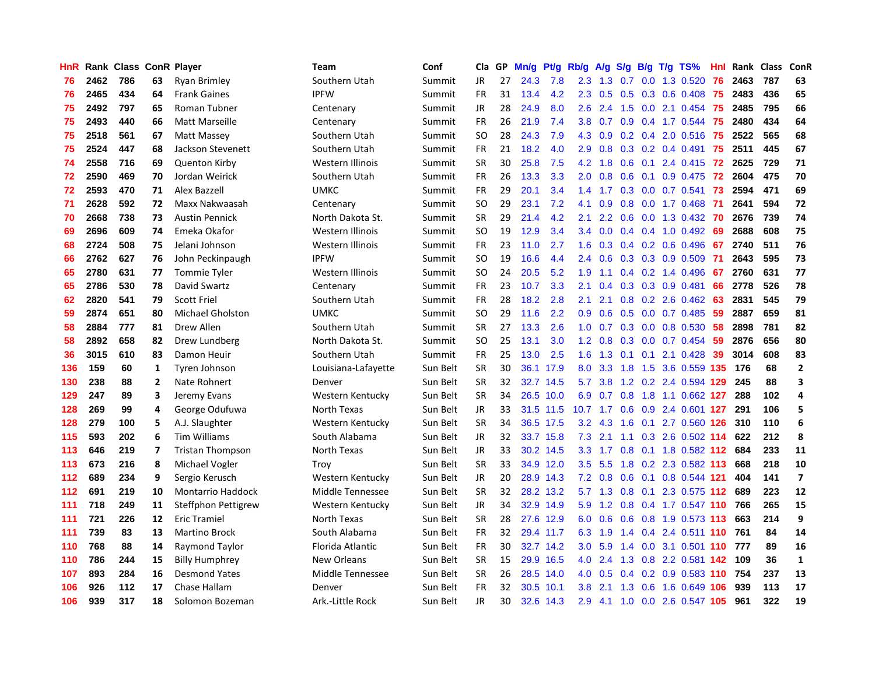| HnR |      | Rank Class ConR Player |                |                          | <b>Team</b>             | Conf     | Cla       | GP | Mn/g | <b>Pt/g</b> | Rb/g             | A/g       | S/g           |     | $B/g$ T/g TS%                 | Hnl |      | Rank Class | ConR                    |
|-----|------|------------------------|----------------|--------------------------|-------------------------|----------|-----------|----|------|-------------|------------------|-----------|---------------|-----|-------------------------------|-----|------|------------|-------------------------|
| 76  | 2462 | 786                    | 63             | <b>Ryan Brimley</b>      | Southern Utah           | Summit   | <b>JR</b> | 27 | 24.3 | 7.8         | 2.3              | 1.3       | 0.7           |     | 0.0 1.3 0.520                 | 76  | 2463 | 787        | 63                      |
| 76  | 2465 | 434                    | 64             | <b>Frank Gaines</b>      | <b>IPFW</b>             | Summit   | FR        | 31 | 13.4 | 4.2         | 2.3              | 0.5       |               |     | $0.5$ 0.3 0.6 0.408           | 75  | 2483 | 436        | 65                      |
| 75  | 2492 | 797                    | 65             | Roman Tubner             | Centenary               | Summit   | JR        | 28 | 24.9 | 8.0         | 2.6              | 2.4       |               |     | 1.5 0.0 2.1 0.454             | 75  | 2485 | 795        | 66                      |
| 75  | 2493 | 440                    | 66             | <b>Matt Marseille</b>    | Centenary               | Summit   | FR        | 26 | 21.9 | 7.4         | 3.8              | 0.7       |               |     | $0.9$ 0.4 1.7 0.544           | -75 | 2480 | 434        | 64                      |
| 75  | 2518 | 561                    | 67             | Matt Massey              | Southern Utah           | Summit   | <b>SO</b> | 28 | 24.3 | 7.9         | 4.3              | 0.9       |               |     | $0.2$ 0.4 2.0 0.516           | 75  | 2522 | 565        | 68                      |
| 75  | 2524 | 447                    | 68             | Jackson Stevenett        | Southern Utah           | Summit   | FR        | 21 | 18.2 | 4.0         | 2.9              | 0.8       |               |     | $0.3$ 0.2 0.4 0.491           | 75  | 2511 | 445        | 67                      |
| 74  | 2558 | 716                    | 69             | <b>Quenton Kirby</b>     | Western Illinois        | Summit   | <b>SR</b> | 30 | 25.8 | 7.5         | 4.2              | 1.8       | 0.6           |     | $0.1$ 2.4 $0.415$             | 72  | 2625 | 729        | ${\bf 71}$              |
| 72  | 2590 | 469                    | 70             | Jordan Weirick           | Southern Utah           | Summit   | FR        | 26 | 13.3 | 3.3         | 2.0              | 0.8       | 0.6           |     | $0.1$ 0.9 0.475               | 72  | 2604 | 475        | 70                      |
| 72  | 2593 | 470                    | 71             | Alex Bazzell             | <b>UMKC</b>             | Summit   | FR        | 29 | 20.1 | 3.4         | 1.4              | 1.7       | 0.3           |     | $0.0$ 0.7 0.541               | 73  | 2594 | 471        | 69                      |
| 71  | 2628 | 592                    | 72             | Maxx Nakwaasah           | Centenary               | Summit   | <b>SO</b> | 29 | 23.1 | 7.2         | 4.1              | 0.9       | 0.8           |     | $0.0$ 1.7 $0.468$             | -71 | 2641 | 594        | 72                      |
| 70  | 2668 | 738                    | 73             | <b>Austin Pennick</b>    | North Dakota St.        | Summit   | <b>SR</b> | 29 | 21.4 | 4.2         | 2.1              | 2.2       |               |     | 0.6 0.0 1.3 0.432 70          |     | 2676 | 739        | 74                      |
| 69  | 2696 | 609                    | 74             | Emeka Okafor             | <b>Western Illinois</b> | Summit   | <b>SO</b> | 19 | 12.9 | 3.4         | 3.4              | 0.0       |               |     | 0.4 0.4 1.0 0.492 69          |     | 2688 | 608        | 75                      |
| 68  | 2724 | 508                    | 75             | Jelani Johnson           | Western Illinois        | Summit   | FR        | 23 | 11.0 | 2.7         | 1.6              | 0.3       |               |     | $0.4$ 0.2 0.6 0.496           | 67  | 2740 | 511        | 76                      |
| 66  | 2762 | 627                    | 76             | John Peckinpaugh         | <b>IPFW</b>             | Summit   | <b>SO</b> | 19 | 16.6 | 4.4         | 2.4              | 0.6       |               |     | $0.3$ 0.3 0.9 0.509           | -71 | 2643 | 595        | 73                      |
| 65  | 2780 | 631                    | 77             | <b>Tommie Tyler</b>      | Western Illinois        | Summit   | <b>SO</b> | 24 | 20.5 | 5.2         | 1.9              | 1.1       |               |     | 0.4 0.2 1.4 0.496             | 67  | 2760 | 631        | 77                      |
| 65  | 2786 | 530                    | 78             | David Swartz             | Centenary               | Summit   | <b>FR</b> | 23 | 10.7 | 3.3         | 2.1              | 0.4       | 0.3           |     | 0.3 0.9 0.481                 | 66  | 2778 | 526        | 78                      |
| 62  | 2820 | 541                    | 79             | <b>Scott Friel</b>       | Southern Utah           | Summit   | <b>FR</b> | 28 | 18.2 | 2.8         | 2.1              | 2.1       | 0.8           |     | $0.2$ 2.6 $0.462$             | -63 | 2831 | 545        | 79                      |
| 59  | 2874 | 651                    | 80             | <b>Michael Gholston</b>  | <b>UMKC</b>             | Summit   | <b>SO</b> | 29 | 11.6 | 2.2         | 0.9 <sub>0</sub> | 0.6       | 0.5           |     | $0.0$ 0.7 0.485               | 59  | 2887 | 659        | 81                      |
| 58  | 2884 | 777                    | 81             | Drew Allen               | Southern Utah           | Summit   | <b>SR</b> | 27 | 13.3 | 2.6         | 1.0              | 0.7       |               |     | $0.3$ 0.0 0.8 0.530           | 58  | 2898 | 781        | 82                      |
| 58  | 2892 | 658                    | 82             | Drew Lundberg            | North Dakota St.        | Summit   | <b>SO</b> | 25 | 13.1 | 3.0         | 1.2              | 0.8       |               |     | $0.3$ 0.0 0.7 0.454           | -59 | 2876 | 656        | 80                      |
| 36  | 3015 | 610                    | 83             | Damon Heuir              | Southern Utah           | Summit   | FR.       | 25 | 13.0 | 2.5         | 1.6              | 1.3       |               |     | $0.1$ $0.1$ $2.1$ $0.428$     | 39  | 3014 | 608        | 83                      |
| 136 | 159  | 60                     | 1              | Tyren Johnson            | Louisiana-Lafayette     | Sun Belt | SR        | 30 | 36.1 | 17.9        | 8.0              | 3.3       | 1.8           |     | 1.5 3.6 0.559 135             |     | 176  | 68         | $\overline{2}$          |
| 130 | 238  | 88                     | $\overline{2}$ | Nate Rohnert             | Denver                  | Sun Belt | <b>SR</b> | 32 | 32.7 | 14.5        | 5.7              | 3.8       |               |     | 1.2 0.2 2.4 0.594 129         |     | 245  | 88         | $\overline{\mathbf{3}}$ |
| 129 | 247  | 89                     | 3              | Jeremy Evans             | Western Kentucky        | Sun Belt | <b>SR</b> | 34 |      | 26.5 10.0   | 6.9              | 0.7       | 0.8           |     | 1.8 1.1 0.662 127             |     | 288  | 102        | 4                       |
| 128 | 269  | 99                     | 4              | George Odufuwa           | North Texas             | Sun Belt | JR        | 33 | 31.5 | 11.5        | 10.7             | 1.7       | 0.6           | 0.9 | 2.4 0.601 127                 |     | 291  | 106        | 5                       |
| 128 | 279  | 100                    | 5              | A.J. Slaughter           | Western Kentucky        | Sun Belt | <b>SR</b> | 34 |      | 36.5 17.5   | 3.2              | 4.3       | 1.6           |     | 0.1 2.7 0.560 126             |     | 310  | 110        | $\boldsymbol{6}$        |
| 115 | 593  | 202                    | 6              | <b>Tim Williams</b>      | South Alabama           | Sun Belt | JR        | 32 |      | 33.7 15.8   |                  | $7.3$ 2.1 |               |     | 1.1 0.3 2.6 0.502 114         |     | 622  | 212        | 8                       |
| 113 | 646  | 219                    | 7              | <b>Tristan Thompson</b>  | North Texas             | Sun Belt | JR        | 33 |      | 30.2 14.5   |                  |           |               |     | 3.3 1.7 0.8 0.1 1.8 0.582 112 |     | 684  | 233        | 11                      |
| 113 | 673  | 216                    | 8              | Michael Vogler           | Trov                    | Sun Belt | <b>SR</b> | 33 |      | 34.9 12.0   | $3.5^{\circ}$    | 5.5       |               |     | 1.8 0.2 2.3 0.582 113         |     | 668  | 218        | 10                      |
| 112 | 689  | 234                    | 9              | Sergio Kerusch           | Western Kentucky        | Sun Belt | JR        | 20 |      | 28.9 14.3   | 7.2              | 0.8       |               |     | 0.6 0.1 0.8 0.544 121         |     | 404  | 141        | $\overline{\mathbf{z}}$ |
| 112 | 691  | 219                    | 10             | <b>Montarrio Haddock</b> | Middle Tennessee        | Sun Belt | <b>SR</b> | 32 | 28.2 | 13.2        | 5.7              | 1.3       | 0.8           | 0.1 | 2.3 0.575 112                 |     | 689  | 223        | 12                      |
| 111 | 718  | 249                    | 11             | Steffphon Pettigrew      | Western Kentucky        | Sun Belt | JR        | 34 |      | 32.9 14.9   | 5.9              | 1.2       | 0.8           |     | 0.4 1.7 0.547 110             |     | 766  | 265        | 15                      |
| 111 | 721  | 226                    | 12             | <b>Eric Tramiel</b>      | North Texas             | Sun Belt | <b>SR</b> | 28 | 27.6 | 12.9        | 6.0              | 0.6       | 0.6           |     | 0.8 1.9 0.573 113             |     | 663  | 214        | 9                       |
| 111 | 739  | 83                     | 13             | <b>Martino Brock</b>     | South Alabama           | Sun Belt | <b>FR</b> | 32 |      | 29.4 11.7   | 6.3              | 1.9       | $1.4^{\circ}$ |     | 0.4 2.4 0.511 110             |     | 761  | 84         | 14                      |
| 110 | 768  | 88                     | 14             | Raymond Taylor           | Florida Atlantic        | Sun Belt | <b>FR</b> | 30 |      | 32.7 14.2   | 3.0 <sub>2</sub> | 5.9       | 1.4           |     | 0.0 3.1 0.501 110 777         |     |      | 89         | 16                      |
| 110 | 786  | 244                    | 15             | <b>Billy Humphrey</b>    | New Orleans             | Sun Belt | <b>SR</b> | 15 |      | 29.9 16.5   | 4.0              | 2.4       |               |     | 1.3 0.8 2.2 0.581 142 109     |     |      | 36         | $\mathbf{1}$            |
| 107 | 893  | 284                    | 16             | <b>Desmond Yates</b>     | Middle Tennessee        | Sun Belt | <b>SR</b> | 26 |      | 28.5 14.0   | 4.0              | 0.5       |               |     | 0.4 0.2 0.9 0.583 110 754     |     |      | 237        | 13                      |
| 106 | 926  | 112                    | 17             | Chase Hallam             | Denver                  | Sun Belt | FR        | 32 | 30.5 | 10.1        | 3.8 <sub>2</sub> | 2.1       | 1.3           |     | 0.6 1.6 0.649 106             |     | 939  | 113        | 17                      |
| 106 | 939  | 317                    | 18             | Solomon Bozeman          | Ark.-Little Rock        | Sun Belt | <b>JR</b> | 30 |      | 32.6 14.3   | 2.9              |           |               |     | 4.1 1.0 0.0 2.6 0.547 105     |     | 961  | 322        | 19                      |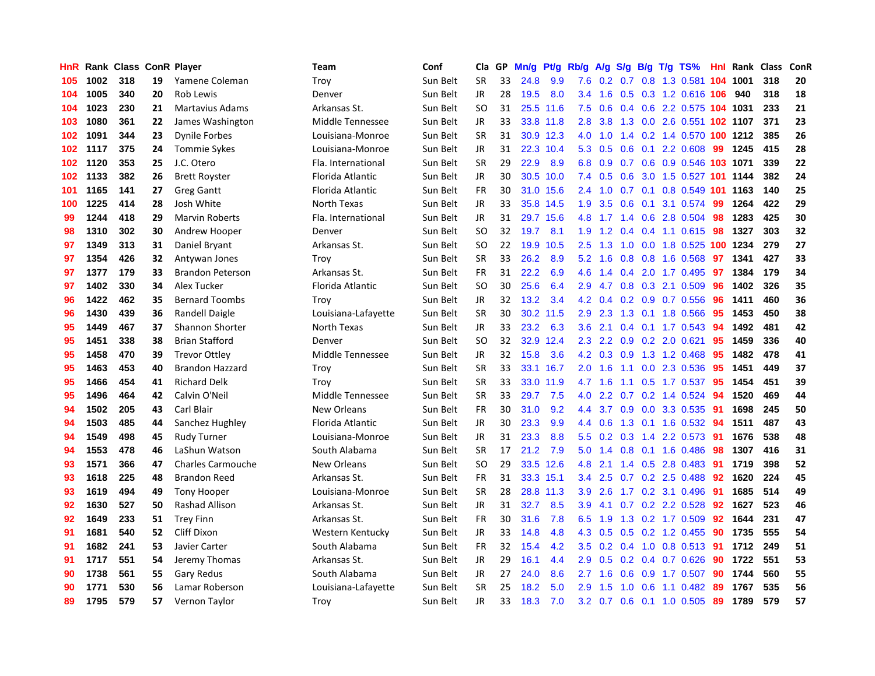| HnR |      | Rank Class ConR Player |    |                          | Team                | Conf     | Cla       | <b>GP</b> | Mn/g | <b>Pt/g</b> | Rb/g             | A/g |     |                 | $S/g$ B/g T/g TS%          | Hnl | Rank | <b>Class</b> | ConR |
|-----|------|------------------------|----|--------------------------|---------------------|----------|-----------|-----------|------|-------------|------------------|-----|-----|-----------------|----------------------------|-----|------|--------------|------|
| 105 | 1002 | 318                    | 19 | Yamene Coleman           | Troy                | Sun Belt | <b>SR</b> | 33        | 24.8 | 9.9         | 7.6              | 0.2 | 0.7 |                 | 0.8 1.3 0.581 104 1001     |     |      | 318          | 20   |
| 104 | 1005 | 340                    | 20 | Rob Lewis                | Denver              | Sun Belt | JR        | 28        | 19.5 | 8.0         | $3.4^{\circ}$    | 1.6 |     |                 | 0.5 0.3 1.2 0.616 106 940  |     |      | 318          | 18   |
| 104 | 1023 | 230                    | 21 | <b>Martavius Adams</b>   | Arkansas St.        | Sun Belt | SO.       | 31        |      | 25.5 11.6   | 7.5              | 0.6 |     |                 | 0.4 0.6 2.2 0.575 104 1031 |     |      | 233          | 21   |
| 103 | 1080 | 361                    | 22 | James Washington         | Middle Tennessee    | Sun Belt | JR        | 33        |      | 33.8 11.8   | 2.8              | 3.8 |     |                 | 1.3 0.0 2.6 0.551 102 1107 |     |      | 371          | 23   |
| 102 | 1091 | 344                    | 23 | <b>Dynile Forbes</b>     | Louisiana-Monroe    | Sun Belt | <b>SR</b> | 31        |      | 30.9 12.3   | 4.0              | 1.0 |     |                 | 1.4 0.2 1.4 0.570 100 1212 |     |      | 385          | 26   |
| 102 | 1117 | 375                    | 24 | <b>Tommie Sykes</b>      | Louisiana-Monroe    | Sun Belt | JR        | 31        | 22.3 | 10.4        | 5.3              | 0.5 | 0.6 |                 | $0.1$ 2.2 0.608            | 99  | 1245 | 415          | 28   |
| 102 | 1120 | 353                    | 25 | J.C. Otero               | Fla. International  | Sun Belt | <b>SR</b> | 29        | 22.9 | 8.9         | 6.8              | 0.9 |     |                 | 0.7 0.6 0.9 0.546 103 1071 |     |      | 339          | 22   |
| 102 | 1133 | 382                    | 26 | <b>Brett Royster</b>     | Florida Atlantic    | Sun Belt | JR        | 30        | 30.5 | 10.0        | 7.4              | 0.5 | 0.6 |                 | 3.0 1.5 0.527 101 1144     |     |      | 382          | 24   |
| 101 | 1165 | 141                    | 27 | <b>Greg Gantt</b>        | Florida Atlantic    | Sun Belt | <b>FR</b> | 30        | 31.0 | 15.6        | 2.4              | 1.0 |     | $0.7 \quad 0.1$ | 0.8 0.549 101 1163         |     |      | 140          | 25   |
| 100 | 1225 | 414                    | 28 | Josh White               | North Texas         | Sun Belt | JR        | 33        | 35.8 | 14.5        | 1.9              | 3.5 | 0.6 |                 | 0.1 3.1 0.574 99           |     | 1264 | 422          | 29   |
| 99  | 1244 | 418                    | 29 | <b>Marvin Roberts</b>    | Fla. International  | Sun Belt | JR.       | 31        |      | 29.7 15.6   | 4.8              |     |     |                 | 1.7 1.4 0.6 2.8 0.504 98   |     | 1283 | 425          | 30   |
| 98  | 1310 | 302                    | 30 | Andrew Hooper            | Denver              | Sun Belt | SO.       | 32        | 19.7 | 8.1         | 1.9              | 1.2 |     |                 | 0.4 0.4 1.1 0.615 98       |     | 1327 | 303          | 32   |
| 97  | 1349 | 313                    | 31 | Daniel Bryant            | Arkansas St.        | Sun Belt | SO.       | 22        | 19.9 | 10.5        | $2.5\,$          | 1.3 | 1.0 |                 | 0.0 1.8 0.525 100 1234     |     |      | 279          | 27   |
| 97  | 1354 | 426                    | 32 | Antywan Jones            | Troy                | Sun Belt | <b>SR</b> | 33        | 26.2 | 8.9         | 5.2              | 1.6 | 0.8 |                 | 0.8 1.6 0.568              | 97  | 1341 | 427          | 33   |
| 97  | 1377 | 179                    | 33 | <b>Brandon Peterson</b>  | Arkansas St.        | Sun Belt | <b>FR</b> | 31        | 22.2 | 6.9         | 4.6              | 1.4 | 0.4 |                 | 2.0 1.7 0.495              | 97  | 1384 | 179          | 34   |
| 97  | 1402 | 330                    | 34 | Alex Tucker              | Florida Atlantic    | Sun Belt | <b>SO</b> | 30        | 25.6 | 6.4         | 2.9              | 4.7 | 0.8 |                 | 0.3 2.1 0.509              | 96  | 1402 | 326          | 35   |
| 96  | 1422 | 462                    | 35 | <b>Bernard Toombs</b>    | Troy                | Sun Belt | <b>JR</b> | 32        | 13.2 | 3.4         | 4.2              | 0.4 |     |                 | 0.2 0.9 0.7 0.556          | 96  | 1411 | 460          | 36   |
| 96  | 1430 | 439                    | 36 | <b>Randell Daigle</b>    | Louisiana-Lafayette | Sun Belt | <b>SR</b> | 30        | 30.2 | 11.5        | 2.9              | 2.3 | 1.3 |                 | 0.1 1.8 0.566              | 95  | 1453 | 450          | 38   |
| 95  | 1449 | 467                    | 37 | Shannon Shorter          | North Texas         | Sun Belt | JR        | 33        | 23.2 | 6.3         | 3.6              | 2.1 |     |                 | 0.4 0.1 1.7 0.543          | 94  | 1492 | 481          | 42   |
| 95  | 1451 | 338                    | 38 | <b>Brian Stafford</b>    | Denver              | Sun Belt | <b>SO</b> | 32        | 32.9 | 12.4        | 2.3              | 2.2 |     |                 | $0.9$ $0.2$ $2.0$ $0.621$  | 95  | 1459 | 336          | 40   |
| 95  | 1458 | 470                    | 39 | <b>Trevor Ottley</b>     | Middle Tennessee    | Sun Belt | JR        | 32        | 15.8 | 3.6         | 4.2              | 0.3 |     |                 | 0.9 1.3 1.2 0.468          | -95 | 1482 | 478          | 41   |
| 95  | 1463 | 453                    | 40 | <b>Brandon Hazzard</b>   | Troy                | Sun Belt | <b>SR</b> | 33        | 33.1 | 16.7        | 2.0              | 1.6 | 1.1 |                 | 0.0 2.3 0.536              | 95  | 1451 | 449          | 37   |
| 95  | 1466 | 454                    | 41 | <b>Richard Delk</b>      | Troy                | Sun Belt | <b>SR</b> | 33        | 33.0 | 11.9        | 4.7              | 1.6 |     |                 | 1.1 0.5 1.7 0.537          | 95  | 1454 | 451          | 39   |
| 95  | 1496 | 464                    | 42 | Calvin O'Neil            | Middle Tennessee    | Sun Belt | <b>SR</b> | 33        | 29.7 | 7.5         | 4.0              | 2.2 |     |                 | 0.7 0.2 1.4 0.524          | 94  | 1520 | 469          | 44   |
| 94  | 1502 | 205                    | 43 | Carl Blair               | New Orleans         | Sun Belt | FR        | 30        | 31.0 | 9.2         | 4.4              | 3.7 | 0.9 |                 | 0.0 3.3 0.535              | -91 | 1698 | 245          | 50   |
| 94  | 1503 | 485                    | 44 | Sanchez Hughley          | Florida Atlantic    | Sun Belt | <b>JR</b> | 30        | 23.3 | 9.9         | 4.4              | 0.6 | 1.3 |                 | $0.1$ 1.6 0.532            | -94 | 1511 | 487          | 43   |
| 94  | 1549 | 498                    | 45 | <b>Rudy Turner</b>       | Louisiana-Monroe    | Sun Belt | JR        | 31        | 23.3 | 8.8         | 5.5 <sub>1</sub> | 0.2 |     |                 | 0.3 1.4 2.2 0.573 91       |     | 1676 | 538          | 48   |
| 94  | 1553 | 478                    | 46 | LaShun Watson            | South Alabama       | Sun Belt | <b>SR</b> | 17        | 21.2 | 7.9         | 5.0              |     |     |                 | 1.4 0.8 0.1 1.6 0.486 98   |     | 1307 | 416          | 31   |
| 93  | 1571 | 366                    | 47 | <b>Charles Carmouche</b> | New Orleans         | Sun Belt | <b>SO</b> | 29        | 33.5 | 12.6        | 4.8              | 2.1 |     |                 | 1.4 0.5 2.8 0.483          | -91 | 1719 | 398          | 52   |
| 93  | 1618 | 225                    | 48 | <b>Brandon Reed</b>      | Arkansas St.        | Sun Belt | <b>FR</b> | 31        | 33.3 | 15.1        | $3.4^{\circ}$    | 2.5 |     |                 | 0.7 0.2 2.5 0.488 92       |     | 1620 | 224          | 45   |
| 93  | 1619 | 494                    | 49 | <b>Tony Hooper</b>       | Louisiana-Monroe    | Sun Belt | <b>SR</b> | 28        | 28.8 | 11.3        | 3.9              | 2.6 |     |                 | 1.7 0.2 3.1 0.496          | 91  | 1685 | 514          | 49   |
| 92  | 1630 | 527                    | 50 | Rashad Allison           | Arkansas St.        | Sun Belt | JR        | 31        | 32.7 | 8.5         | 3.9 <sup>°</sup> | 4.1 |     |                 | 0.7 0.2 2.2 0.528          | 92  | 1627 | 523          | 46   |
| 92  | 1649 | 233                    | 51 | <b>Trey Finn</b>         | Arkansas St.        | Sun Belt | <b>FR</b> | 30        | 31.6 | 7.8         | 6.5              | 1.9 | 1.3 |                 | $0.2$ 1.7 $0.509$          | 92  | 1644 | 231          | 47   |
| 91  | 1681 | 540                    | 52 | Cliff Dixon              | Western Kentucky    | Sun Belt | JR        | 33        | 14.8 | 4.8         | 4.3              | 0.5 | 0.5 |                 | 0.2 1.2 0.455              | 90  | 1735 | 555          | 54   |
| 91  | 1682 | 241                    | 53 | Javier Carter            | South Alabama       | Sun Belt | <b>FR</b> | 32        | 15.4 | 4.2         | 3.5              | 0.2 | 0.4 |                 | $1.0\quad0.8\ 0.513$       | -91 | 1712 | 249          | 51   |
| 91  | 1717 | 551                    | 54 | Jeremy Thomas            | Arkansas St.        | Sun Belt | JR        | 29        | 16.1 | 4.4         | 2.9 <sup>°</sup> | 0.5 |     |                 | $0.2$ 0.4 0.7 0.626        | 90  | 1722 | 551          | 53   |
| 90  | 1738 | 561                    | 55 | Gary Redus               | South Alabama       | Sun Belt | JR        | 27        | 24.0 | 8.6         | 2.7              | 1.6 |     |                 | $0.6$ $0.9$ 1.7 $0.507$    | 90  | 1744 | 560          | 55   |
| 90  | 1771 | 530                    | 56 | Lamar Roberson           | Louisiana-Lafayette | Sun Belt | <b>SR</b> | 25        | 18.2 | 5.0         | 2.9              | 1.5 | 1.0 |                 | 0.6 1.1 0.482              | -89 | 1767 | 535          | 56   |
| 89  | 1795 | 579                    | 57 | Vernon Tavlor            | Trov                | Sun Belt | <b>JR</b> | 33        | 18.3 | 7.0         |                  |     |     |                 | 3.2 0.7 0.6 0.1 1.0 0.505  | -89 | 1789 | 579          | 57   |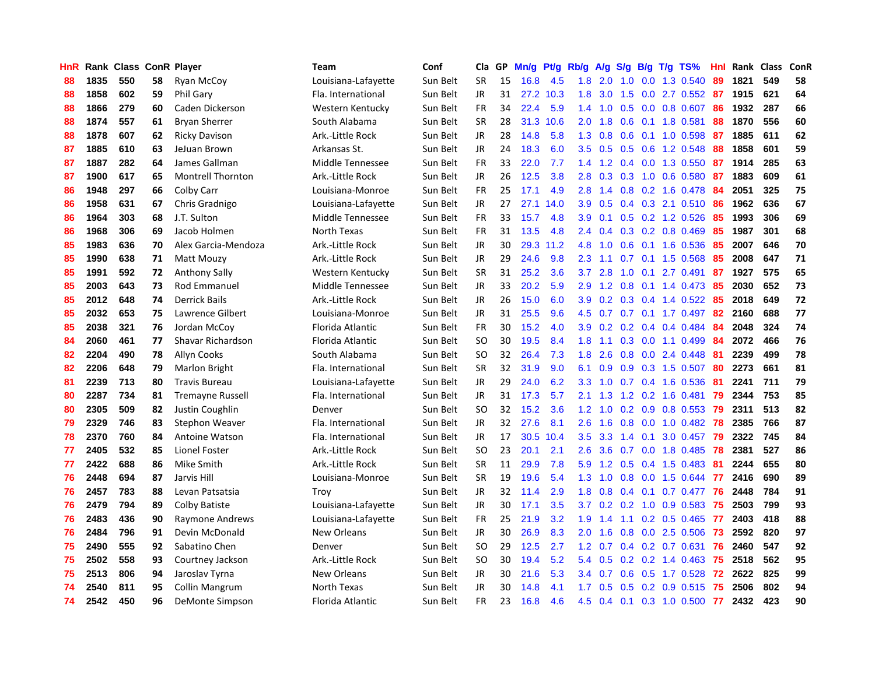| HnR | Rank | Class ConR |    | Player                   | Team                | Conf     | Cla       | GP | Mn/g | <b>Pt/g</b> | Rb/g             | A/g |               |  | $S/g$ B/g T/g TS%        | Hnl | Rank | <b>Class</b> | ConR |
|-----|------|------------|----|--------------------------|---------------------|----------|-----------|----|------|-------------|------------------|-----|---------------|--|--------------------------|-----|------|--------------|------|
| 88  | 1835 | 550        | 58 | <b>Ryan McCoy</b>        | Louisiana-Lafayette | Sun Belt | <b>SR</b> | 15 | 16.8 | 4.5         | 1.8              | 2.0 | 1.0           |  | $0.0$ 1.3 $0.540$        | 89  | 1821 | 549          | 58   |
| 88  | 1858 | 602        | 59 | Phil Gary                | Fla. International  | Sun Belt | JR        | 31 | 27.2 | 10.3        | 1.8              |     |               |  | 3.0 1.5 0.0 2.7 0.552 87 |     | 1915 | 621          | 64   |
| 88  | 1866 | 279        | 60 | Caden Dickerson          | Western Kentucky    | Sun Belt | <b>FR</b> | 34 | 22.4 | 5.9         | 1.4              |     |               |  | 1.0 0.5 0.0 0.8 0.607    | -86 | 1932 | 287          | 66   |
| 88  | 1874 | 557        | 61 | <b>Bryan Sherrer</b>     | South Alabama       | Sun Belt | <b>SR</b> | 28 | 31.3 | 10.6        | 2.0 <sub>2</sub> | 1.8 |               |  | $0.6$ 0.1 1.8 0.581      | 88  | 1870 | 556          | 60   |
| 88  | 1878 | 607        | 62 | <b>Ricky Davison</b>     | Ark.-Little Rock    | Sun Belt | JR        | 28 | 14.8 | 5.8         | 1.3              | 0.8 | 0.6           |  | $0.1$ 1.0 0.598          | 87  | 1885 | 611          | 62   |
| 87  | 1885 | 610        | 63 | JeJuan Brown             | Arkansas St.        | Sun Belt | JR        | 24 | 18.3 | 6.0         | 3.5              | 0.5 |               |  | $0.5$ 0.6 1.2 0.548      | 88  | 1858 | 601          | 59   |
| 87  | 1887 | 282        | 64 | James Gallman            | Middle Tennessee    | Sun Belt | <b>FR</b> | 33 | 22.0 | 7.7         | 1.4              | 1.2 |               |  | 0.4 0.0 1.3 0.550        | 87  | 1914 | 285          | 63   |
| 87  | 1900 | 617        | 65 | <b>Montrell Thornton</b> | Ark.-Little Rock    | Sun Belt | JR        | 26 | 12.5 | 3.8         | 2.8              | 0.3 |               |  | $0.3$ 1.0 0.6 0.580      | -87 | 1883 | 609          | 61   |
| 86  | 1948 | 297        | 66 | Colby Carr               | Louisiana-Monroe    | Sun Belt | <b>FR</b> | 25 | 17.1 | 4.9         | 2.8              | 1.4 | 0.8           |  | 0.2 1.6 0.478            | -84 | 2051 | 325          | 75   |
| 86  | 1958 | 631        | 67 | Chris Gradnigo           | Louisiana-Lafayette | Sun Belt | JR.       | 27 | 27.1 | 14.0        | 3.9 <sup>°</sup> | 0.5 |               |  | 0.4 0.3 2.1 0.510 86     |     | 1962 | 636          | 67   |
| 86  | 1964 | 303        | 68 | J.T. Sulton              | Middle Tennessee    | Sun Belt | <b>FR</b> | 33 | 15.7 | 4.8         | 3.9 <sup>°</sup> | 0.1 |               |  | 0.5 0.2 1.2 0.526 85     |     | 1993 | 306          | 69   |
| 86  | 1968 | 306        | 69 | Jacob Holmen             | North Texas         | Sun Belt | FR.       | 31 | 13.5 | 4.8         | $2.4^{\circ}$    | 0.4 |               |  | $0.3$ 0.2 0.8 0.469      | -85 | 1987 | 301          | 68   |
| 85  | 1983 | 636        | 70 | Alex Garcia-Mendoza      | Ark.-Little Rock    | Sun Belt | <b>JR</b> | 30 | 29.3 | 11.2        | 4.8              | 1.0 | 0.6           |  | 0.1 1.6 0.536            | -85 | 2007 | 646          | 70   |
| 85  | 1990 | 638        | 71 | <b>Matt Mouzy</b>        | Ark.-Little Rock    | Sun Belt | <b>JR</b> | 29 | 24.6 | 9.8         | 2.3              | 1.1 | 0.7           |  | $0.1$ 1.5 0.568          | 85  | 2008 | 647          | 71   |
| 85  | 1991 | 592        | 72 | <b>Anthony Sally</b>     | Western Kentucky    | Sun Belt | <b>SR</b> | 31 | 25.2 | 3.6         | 3.7              | 2.8 | 1.0           |  | $0.1$ 2.7 $0.491$        | 87  | 1927 | 575          | 65   |
| 85  | 2003 | 643        | 73 | Rod Emmanuel             | Middle Tennessee    | Sun Belt | <b>JR</b> | 33 | 20.2 | 5.9         | 2.9              | 1.2 | 0.8           |  | $0.1$ 1.4 0.473          | 85  | 2030 | 652          | 73   |
| 85  | 2012 | 648        | 74 | <b>Derrick Bails</b>     | Ark.-Little Rock    | Sun Belt | <b>JR</b> | 26 | 15.0 | 6.0         | 3.9              | 0.2 | 0.3           |  | 0.4 1.4 0.522            | -85 | 2018 | 649          | 72   |
| 85  | 2032 | 653        | 75 | Lawrence Gilbert         | Louisiana-Monroe    | Sun Belt | <b>JR</b> | 31 | 25.5 | 9.6         | 4.5              | 0.7 | 0.7           |  | $0.1$ 1.7 0.497          | 82  | 2160 | 688          | 77   |
| 85  | 2038 | 321        | 76 | Jordan McCov             | Florida Atlantic    | Sun Belt | FR        | 30 | 15.2 | 4.0         | 3.9              | 0.2 |               |  | $0.2$ 0.4 0.4 0.484      | -84 | 2048 | 324          | 74   |
| 84  | 2060 | 461        | 77 | Shavar Richardson        | Florida Atlantic    | Sun Belt | SO        | 30 | 19.5 | 8.4         | 1.8              | 1.1 |               |  | 0.3 0.0 1.1 0.499        | -84 | 2072 | 466          | 76   |
| 82  | 2204 | 490        | 78 | Allyn Cooks              | South Alabama       | Sun Belt | <b>SO</b> | 32 | 26.4 | 7.3         | 1.8              | 2.6 |               |  | 0.8 0.0 2.4 0.448        | 81  | 2239 | 499          | 78   |
| 82  | 2206 | 648        | 79 | <b>Marlon Bright</b>     | Fla. International  | Sun Belt | <b>SR</b> | 32 | 31.9 | 9.0         | 6.1              | 0.9 | 0.9           |  | $0.3$ 1.5 0.507          | 80  | 2273 | 661          | 81   |
| 81  | 2239 | 713        | 80 | <b>Travis Bureau</b>     | Louisiana-Lafayette | Sun Belt | JR        | 29 | 24.0 | 6.2         | 3.3              | 1.0 |               |  | $0.7$ 0.4 1.6 0.536      | -81 | 2241 | 711          | 79   |
| 80  | 2287 | 734        | 81 | <b>Tremayne Russell</b>  | Fla. International  | Sun Belt | JR        | 31 | 17.3 | 5.7         | 2.1              | 1.3 | 1.2           |  | 0.2 1.6 0.481            | 79  | 2344 | 753          | 85   |
| 80  | 2305 | 509        | 82 | Justin Coughlin          | Denver              | Sun Belt | <b>SO</b> | 32 | 15.2 | 3.6         | 1.2              | 1.0 |               |  | $0.2$ 0.9 0.8 0.553      | 79  | 2311 | 513          | 82   |
| 79  | 2329 | 746        | 83 | Stephon Weaver           | Fla. International  | Sun Belt | <b>JR</b> | 32 | 27.6 | 8.1         | 2.6              | 1.6 | 0.8           |  | $0.0$ 1.0 $0.482$        | 78  | 2385 | 766          | 87   |
| 78  | 2370 | 760        | 84 | Antoine Watson           | Fla. International  | Sun Belt | JR        | 17 | 30.5 | 10.4        | 3.5              | 3.3 |               |  | 1.4 0.1 3.0 0.457        | -79 | 2322 | 745          | 84   |
| 77  | 2405 | 532        | 85 | Lionel Foster            | Ark.-Little Rock    | Sun Belt | SO.       | 23 | 20.1 | 2.1         | 2.6              |     |               |  | 3.6 0.7 0.0 1.8 0.485 78 |     | 2381 | 527          | 86   |
| 77  | 2422 | 688        | 86 | Mike Smith               | Ark.-Little Rock    | Sun Belt | <b>SR</b> | 11 | 29.9 | 7.8         | 5.9              |     |               |  | 1.2 0.5 0.4 1.5 0.483    | -81 | 2244 | 655          | 80   |
| 76  | 2448 | 694        | 87 | Jarvis Hill              | Louisiana-Monroe    | Sun Belt | <b>SR</b> | 19 | 19.6 | 5.4         | 1.3              | 1.0 | 0.8           |  | 0.0 1.5 0.644            | -77 | 2416 | 690          | 89   |
| 76  | 2457 | 783        | 88 | Levan Patsatsia          | Troy                | Sun Belt | JR        | 32 | 11.4 | 2.9         | 1.8              | 0.8 | $0.4^{\circ}$ |  | $0.1$ 0.7 0.477          | 76  | 2448 | 784          | 91   |
| 76  | 2479 | 794        | 89 | Colby Batiste            | Louisiana-Lafayette | Sun Belt | JR        | 30 | 17.1 | 3.5         | 3.7              | 0.2 |               |  | 0.2 1.0 0.9 0.583        | -75 | 2503 | 799          | 93   |
| 76  | 2483 | 436        | 90 | Raymone Andrews          | Louisiana-Lafayette | Sun Belt | <b>FR</b> | 25 | 21.9 | 3.2         | 1.9              | 1.4 | 1.1           |  | $0.2$ 0.5 0.465          | 77  | 2403 | 418          | 88   |
| 76  | 2484 | 796        | 91 | Devin McDonald           | New Orleans         | Sun Belt | <b>JR</b> | 30 | 26.9 | 8.3         | 2.0 <sub>1</sub> | 1.6 | 0.8           |  | 0.0 2.5 0.506            | 73  | 2592 | 820          | 97   |
| 75  | 2490 | 555        | 92 | Sabatino Chen            | Denver              | Sun Belt | <b>SO</b> | 29 | 12.5 | 2.7         | 1.2              | 0.7 | 0.4           |  | 0.2 0.7 0.631            | 76  | 2460 | 547          | 92   |
| 75  | 2502 | 558        | 93 | Courtney Jackson         | Ark.-Little Rock    | Sun Belt | SO        | 30 | 19.4 | 5.2         | 5.4              | 0.5 |               |  | $0.2$ 0.2 1.4 0.463      | -75 | 2518 | 562          | 95   |
| 75  | 2513 | 806        | 94 | Jaroslav Tyrna           | New Orleans         | Sun Belt | JR        | 30 | 21.6 | 5.3         | 3.4              | 0.7 |               |  | $0.6$ $0.5$ 1.7 $0.528$  | -72 | 2622 | 825          | 99   |
| 74  | 2540 | 811        | 95 | Collin Mangrum           | North Texas         | Sun Belt | JR        | 30 | 14.8 | 4.1         | 1.7 <sub>2</sub> | 0.5 |               |  | $0.5$ 0.2 0.9 0.515      | -75 | 2506 | 802          | 94   |
| 74  | 2542 | 450        | 96 | DeMonte Simpson          | Florida Atlantic    | Sun Belt | <b>FR</b> | 23 | 16.8 | 4.6         | 4.5              |     |               |  | 0.4 0.1 0.3 1.0 0.500    | 77  | 2432 | 423          | 90   |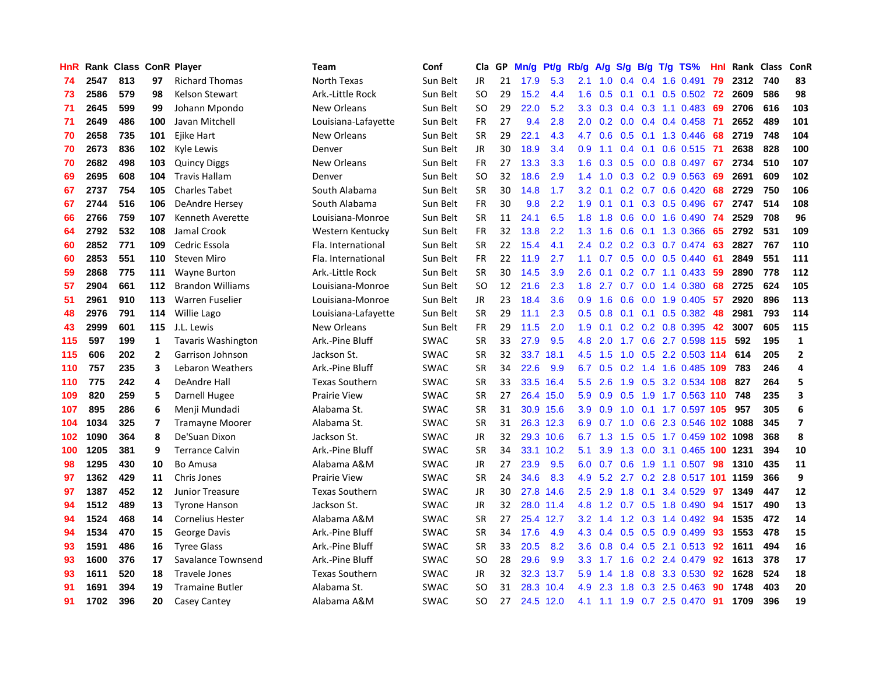| HnR |      | Rank Class ConR Player |              |                           | <b>Team</b>           | Conf        | Cla           | GP | Mn/g | <b>Pt/g</b> | Rb/g             | A/g             | S/g |     | $B/g$ T/g TS%                | Hnl |      | Rank Class | ConR                    |
|-----|------|------------------------|--------------|---------------------------|-----------------------|-------------|---------------|----|------|-------------|------------------|-----------------|-----|-----|------------------------------|-----|------|------------|-------------------------|
| 74  | 2547 | 813                    | 97           | <b>Richard Thomas</b>     | North Texas           | Sun Belt    | <b>JR</b>     | 21 | 17.9 | 5.3         | 2.1              | 1.0             | 0.4 |     | 0.4 1.6 0.491                | 79  | 2312 | 740        | 83                      |
| 73  | 2586 | 579                    | 98           | <b>Kelson Stewart</b>     | Ark.-Little Rock      | Sun Belt    | <b>SO</b>     | 29 | 15.2 | 4.4         | 1.6              | 0.5             |     |     | $0.1$ 0.1 0.5 0.502 72       |     | 2609 | 586        | 98                      |
| 71  | 2645 | 599                    | 99           | Johann Mpondo             | New Orleans           | Sun Belt    | <sub>SO</sub> | 29 | 22.0 | 5.2         | 3.3              | 0.3             |     |     | 0.4 0.3 1.1 0.483 69         |     | 2706 | 616        | 103                     |
| 71  | 2649 | 486                    | 100          | Javan Mitchell            | Louisiana-Lafayette   | Sun Belt    | <b>FR</b>     | 27 | 9.4  | 2.8         | $2.0^{\circ}$    | 0.2             |     |     | $0.0$ 0.4 0.4 0.458          | -71 | 2652 | 489        | 101                     |
| 70  | 2658 | 735                    | 101          | Ejike Hart                | New Orleans           | Sun Belt    | <b>SR</b>     | 29 | 22.1 | 4.3         | 4.7              | 0.6             |     |     | 0.5 0.1 1.3 0.446            | 68  | 2719 | 748        | 104                     |
| 70  | 2673 | 836                    | 102          | Kyle Lewis                | Denver                | Sun Belt    | JR            | 30 | 18.9 | 3.4         | 0.9              | 1.1             | 0.4 |     | $0.1$ 0.6 0.515              | -71 | 2638 | 828        | 100                     |
| 70  | 2682 | 498                    | 103          | <b>Quincy Diggs</b>       | New Orleans           | Sun Belt    | FR            | 27 | 13.3 | 3.3         | 1.6              | 0.3             |     |     | 0.5 0.0 0.8 0.497            | 67  | 2734 | 510        | 107                     |
| 69  | 2695 | 608                    | 104          | <b>Travis Hallam</b>      | Denver                | Sun Belt    | SO.           | 32 | 18.6 | 2.9         | 1.4              | 1.0             |     |     | $0.3$ 0.2 0.9 0.563          | 69  | 2691 | 609        | 102                     |
| 67  | 2737 | 754                    | 105          | <b>Charles Tabet</b>      | South Alabama         | Sun Belt    | <b>SR</b>     | 30 | 14.8 | 1.7         | 3.2              | 0.1             |     |     | 0.2 0.7 0.6 0.420            | 68  | 2729 | 750        | 106                     |
| 67  | 2744 | 516                    | 106          | <b>DeAndre Hersey</b>     | South Alabama         | Sun Belt    | <b>FR</b>     | 30 | 9.8  | 2.2         | 1.9              | 0.1             |     |     | $0.1$ $0.3$ $0.5$ $0.496$    | 67  | 2747 | 514        | 108                     |
| 66  | 2766 | 759                    | 107          | Kenneth Averette          | Louisiana-Monroe      | Sun Belt    | SR            | 11 | 24.1 | 6.5         | 1.8              | 1.8             |     |     | 0.6 0.0 1.6 0.490 74         |     | 2529 | 708        | 96                      |
| 64  | 2792 | 532                    | 108          | Jamal Crook               | Western Kentucky      | Sun Belt    | <b>FR</b>     | 32 | 13.8 | 2.2         | 1.3              | 1.6             |     |     | $0.6$ $0.1$ 1.3 0.366        | -65 | 2792 | 531        | 109                     |
| 60  | 2852 | 771                    | 109          | Cedric Essola             | Fla. International    | Sun Belt    | <b>SR</b>     | 22 | 15.4 | 4.1         | $2.4^{\circ}$    | 0.2             |     |     | $0.2$ $0.3$ $0.7$ $0.474$ 63 |     | 2827 | 767        | 110                     |
| 60  | 2853 | 551                    | 110          | <b>Steven Miro</b>        | Fla. International    | Sun Belt    | <b>FR</b>     | 22 | 11.9 | 2.7         | 1.1              | 0.7             | 0.5 |     | $0.0$ 0.5 0.440              | -61 | 2849 | 551        | 111                     |
| 59  | 2868 | 775                    | 111          | <b>Wayne Burton</b>       | Ark.-Little Rock      | Sun Belt    | <b>SR</b>     | 30 | 14.5 | 3.9         | 2.6              | 0.1             |     |     | $0.2$ 0.7 1.1 0.433          | -59 | 2890 | 778        | 112                     |
| 57  | 2904 | 661                    | 112          | <b>Brandon Williams</b>   | Louisiana-Monroe      | Sun Belt    | SO.           | 12 | 21.6 | 2.3         | 1.8              | 2.7             | 0.7 |     | $0.0$ 1.4 0.380              | 68  | 2725 | 624        | 105                     |
| 51  | 2961 | 910                    | 113          | <b>Warren Fuselier</b>    | Louisiana-Monroe      | Sun Belt    | JR.           | 23 | 18.4 | 3.6         | 0.9 <sup>°</sup> | 1.6             | 0.6 |     | $0.0$ 1.9 $0.405$            | -57 | 2920 | 896        | 113                     |
| 48  | 2976 | 791                    | 114          | Willie Lago               | Louisiana-Lafayette   | Sun Belt    | <b>SR</b>     | 29 | 11.1 | 2.3         | 0.5              | 0.8             | 0.1 | 0.1 | $0.5$ 0.382                  | 48  | 2981 | 793        | 114                     |
| 43  | 2999 | 601                    | 115          | J.L. Lewis                | New Orleans           | Sun Belt    | <b>FR</b>     | 29 | 11.5 | 2.0         | 1.9              | 0.1             |     |     | $0.2$ 0.2 0.8 0.395          | 42  | 3007 | 605        | 115                     |
| 115 | 597  | 199                    | 1            | <b>Tavaris Washington</b> | Ark.-Pine Bluff       | <b>SWAC</b> | <b>SR</b>     | 33 | 27.9 | 9.5         | 4.8              | 2.0             |     |     | 1.7 0.6 2.7 0.598 115        |     | 592  | 195        | $\mathbf{1}$            |
| 115 | 606  | 202                    | $\mathbf{2}$ | Garrison Johnson          | Jackson St.           | <b>SWAC</b> | <b>SR</b>     | 32 | 33.7 | 18.1        | 4.5              | 1.5             |     |     | 1.0 0.5 2.2 0.503 114        |     | 614  | 205        | $\overline{2}$          |
| 110 | 757  | 235                    | 3            | Lebaron Weathers          | Ark.-Pine Bluff       | <b>SWAC</b> | <b>SR</b>     | 34 | 22.6 | 9.9         | 6.7              | 0.5             |     |     | 0.2 1.4 1.6 0.485 109 783    |     |      | 246        | $\overline{a}$          |
| 110 | 775  | 242                    | 4            | DeAndre Hall              | <b>Texas Southern</b> | <b>SWAC</b> | <b>SR</b>     | 33 | 33.5 | 16.4        | 5.5              | 2.6             | 1.9 |     | 0.5 3.2 0.534 108            |     | 827  | 264        | 5                       |
| 109 | 820  | 259                    | 5            | Darnell Hugee             | <b>Prairie View</b>   | <b>SWAC</b> | <b>SR</b>     | 27 | 26.4 | 15.0        | 5.9              | 0.9             | 0.5 |     | 1.9 1.7 0.563 110            |     | 748  | 235        | $\overline{\mathbf{3}}$ |
| 107 | 895  | 286                    | 6            | Menji Mundadi             | Alabama St.           | <b>SWAC</b> | <b>SR</b>     | 31 | 30.9 | 15.6        | 3.9 <sup>°</sup> | 0.9             | 1.0 |     | $0.1$ 1.7 0.597 105          |     | 957  | 305        | 6                       |
| 104 | 1034 | 325                    | 7            | <b>Tramayne Moorer</b>    | Alabama St.           | <b>SWAC</b> | <b>SR</b>     | 31 | 26.3 | 12.3        | 6.9              | 0.7             | 1.0 |     | 0.6 2.3 0.546 102 1088       |     |      | 345        | $\overline{7}$          |
| 102 | 1090 | 364                    | 8            | De'Suan Dixon             | Jackson St.           | <b>SWAC</b> | JR            | 32 |      | 29.3 10.6   |                  | 6.7 1.3         |     |     | 1.5 0.5 1.7 0.459 102 1098   |     |      | 368        | 8                       |
| 100 | 1205 | 381                    | 9            | <b>Terrance Calvin</b>    | Ark.-Pine Bluff       | <b>SWAC</b> | <b>SR</b>     | 34 |      | 33.1 10.2   | 5.1              | 3.9             |     |     | 1.3 0.0 3.1 0.465 100 1231   |     |      | 394        | 10                      |
| 98  | 1295 | 430                    | 10           | <b>Bo Amusa</b>           | Alabama A&M           | <b>SWAC</b> | JR            | 27 | 23.9 | 9.5         | 6.0              | 0.7             |     |     | 0.6 1.9 1.1 0.507 98         |     | 1310 | 435        | 11                      |
| 97  | 1362 | 429                    | 11           | Chris Jones               | <b>Prairie View</b>   | <b>SWAC</b> | <b>SR</b>     | 24 | 34.6 | 8.3         | 4.9              | 5.2             |     |     | 2.7 0.2 2.8 0.517 101 1159   |     |      | 366        | 9                       |
| 97  | 1387 | 452                    | 12           | Junior Treasure           | <b>Texas Southern</b> | <b>SWAC</b> | JR            | 30 | 27.8 | 14.6        | $2.5^{\circ}$    | 2.9             | 1.8 | 0.1 | 3.4 0.529                    | 97  | 1349 | 447        | 12                      |
| 94  | 1512 | 489                    | 13           | <b>Tyrone Hanson</b>      | Jackson St.           | SWAC        | JR            | 32 | 28.0 | 11.4        | 4.8              | 1.2             |     |     | $0.7$ $0.5$ 1.8 $0.490$      | 94  | 1517 | 490        | 13                      |
| 94  | 1524 | 468                    | 14           | <b>Cornelius Hester</b>   | Alabama A&M           | <b>SWAC</b> | <b>SR</b>     | 27 | 25.4 | 12.7        | 3.2              | 1.4             | 1.2 |     | 0.3 1.4 0.492                | -94 | 1535 | 472        | 14                      |
| 94  | 1534 | 470                    | 15           | George Davis              | Ark.-Pine Bluff       | SWAC        | <b>SR</b>     | 34 | 17.6 | 4.9         | 4.3              | 0.4             | 0.5 |     | 0.5 0.9 0.499                | -93 | 1553 | 478        | 15                      |
| 93  | 1591 | 486                    | 16           | <b>Tyree Glass</b>        | Ark.-Pine Bluff       | <b>SWAC</b> | <b>SR</b>     | 33 | 20.5 | 8.2         | 3.6              | 0.8             | 0.4 |     | 0.5 2.1 0.513 92             |     | 1611 | 494        | 16                      |
| 93  | 1600 | 376                    | 17           | Savalance Townsend        | Ark.-Pine Bluff       | <b>SWAC</b> | SO            | 28 | 29.6 | 9.9         |                  | $3.3 \quad 1.7$ |     |     | 1.6 0.2 2.4 0.479            | 92  | 1613 | 378        | 17                      |
| 93  | 1611 | 520                    | 18           | <b>Travele Jones</b>      | <b>Texas Southern</b> | <b>SWAC</b> | JR            | 32 |      | 32.3 13.7   | 5.9              | 1.4             |     |     | 1.8 0.8 3.3 0.530            | -92 | 1628 | 524        | 18                      |
| 91  | 1691 | 394                    | 19           | <b>Tramaine Butler</b>    | Alabama St.           | SWAC        | SO            | 31 | 28.3 | 10.4        | 4.9              | 2.3             | 1.8 |     | $0.3$ 2.5 0.463              | 90  | 1748 | 403        | 20                      |
| 91  | 1702 | 396                    | 20           | Casey Cantey              | Alabama A&M           | <b>SWAC</b> | SO.           | 27 |      | 24.5 12.0   |                  |                 |     |     | 4.1 1.1 1.9 0.7 2.5 0.470    | 91  | 1709 | 396        | 19                      |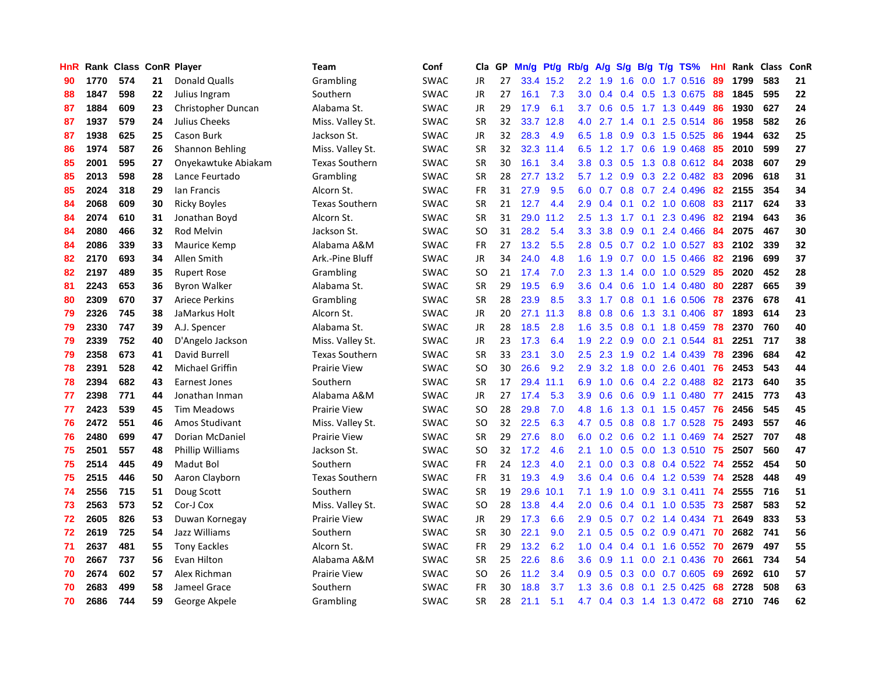| <b>HnR</b> |      | Rank Class ConR Player |    |                       | Team                  | Conf        | Cla       | GP. | Mn/g | <b>Pt/g</b> | Rb/g             | A/g             |     |     | S/g B/g T/g TS%              | Hnl | Rank | Class | ConR |
|------------|------|------------------------|----|-----------------------|-----------------------|-------------|-----------|-----|------|-------------|------------------|-----------------|-----|-----|------------------------------|-----|------|-------|------|
| 90         | 1770 | 574                    | 21 | <b>Donald Qualls</b>  | Grambling             | <b>SWAC</b> | JR        | 27  |      | 33.4 15.2   | $2.2\phantom{0}$ | 1.9             | 1.6 |     | $0.0$ 1.7 $0.516$            | -89 | 1799 | 583   | 21   |
| 88         | 1847 | 598                    | 22 | Julius Ingram         | Southern              | <b>SWAC</b> | JR        | 27  | 16.1 | 7.3         |                  |                 |     |     | 3.0 0.4 0.4 0.5 1.3 0.675 88 |     | 1845 | 595   | 22   |
| 87         | 1884 | 609                    | 23 | Christopher Duncan    | Alabama St.           | <b>SWAC</b> | JR        | 29  | 17.9 | 6.1         |                  | $3.7 \quad 0.6$ |     |     | 0.5 1.7 1.3 0.449            | -86 | 1930 | 627   | 24   |
| 87         | 1937 | 579                    | 24 | Julius Cheeks         | Miss. Valley St.      | <b>SWAC</b> | <b>SR</b> | 32  | 33.7 | 12.8        | 4.0              | 2.7             |     |     | 1.4 0.1 2.5 0.514            | -86 | 1958 | 582   | 26   |
| 87         | 1938 | 625                    | 25 | Cason Burk            | Jackson St.           | SWAC        | <b>JR</b> | 32  | 28.3 | 4.9         |                  | $6.5$ 1.8       | 0.9 |     | 0.3 1.5 0.525                | 86  | 1944 | 632   | 25   |
| 86         | 1974 | 587                    | 26 | Shannon Behling       | Miss. Valley St.      | <b>SWAC</b> | <b>SR</b> | 32  |      | 32.3 11.4   | 6.5              | 1.2             |     |     | 1.7 0.6 1.9 0.468            | 85  | 2010 | 599   | 27   |
| 85         | 2001 | 595                    | 27 | Onyekawtuke Abiakam   | <b>Texas Southern</b> | <b>SWAC</b> | <b>SR</b> | 30  | 16.1 | 3.4         | 3.8 <sub>1</sub> | 0.3             | 0.5 |     | 1.3 0.8 0.612 84             |     | 2038 | 607   | 29   |
| 85         | 2013 | 598                    | 28 | Lance Feurtado        | Grambling             | <b>SWAC</b> | <b>SR</b> | 28  | 27.7 | 13.2        |                  | $5.7 \quad 1.2$ | 0.9 |     | $0.3$ 2.2 0.482              | -83 | 2096 | 618   | 31   |
| 85         | 2024 | 318                    | 29 | lan Francis           | Alcorn St.            | <b>SWAC</b> | <b>FR</b> | 31  | 27.9 | 9.5         | 6.0              | 0.7             |     |     | 0.8 0.7 2.4 0.496            | 82  | 2155 | 354   | 34   |
| 84         | 2068 | 609                    | 30 | <b>Ricky Boyles</b>   | <b>Texas Southern</b> | <b>SWAC</b> | <b>SR</b> | 21  | 12.7 | 4.4         | 2.9              | 0.4             |     |     | $0.1$ $0.2$ $1.0$ $0.608$    | 83  | 2117 | 624   | 33   |
| 84         | 2074 | 610                    | 31 | Jonathan Boyd         | Alcorn St.            | <b>SWAC</b> | <b>SR</b> | 31  |      | 29.0 11.2   | $2.5\,$          | 1.3             |     |     | 1.7 0.1 2.3 0.496 82         |     | 2194 | 643   | 36   |
| 84         | 2080 | 466                    | 32 | Rod Melvin            | Jackson St.           | <b>SWAC</b> | <b>SO</b> | 31  | 28.2 | 5.4         | 3.3              | 3.8             |     |     | 0.9 0.1 2.4 0.466 84         |     | 2075 | 467   | 30   |
| 84         | 2086 | 339                    | 33 | Maurice Kemp          | Alabama A&M           | <b>SWAC</b> | <b>FR</b> | 27  | 13.2 | 5.5         | 2.8              | 0.5             |     |     | 0.7 0.2 1.0 0.527 83         |     | 2102 | 339   | 32   |
| 82         | 2170 | 693                    | 34 | Allen Smith           | Ark.-Pine Bluff       | <b>SWAC</b> | JR        | 34  | 24.0 | 4.8         | 1.6              | 1.9             |     |     | 0.7 0.0 1.5 0.466            | 82  | 2196 | 699   | 37   |
| 82         | 2197 | 489                    | 35 | <b>Rupert Rose</b>    | Grambling             | <b>SWAC</b> | <b>SO</b> | 21  | 17.4 | 7.0         | 2.3              | 1.3             |     |     | 1.4 0.0 1.0 0.529            | 85  | 2020 | 452   | 28   |
| 81         | 2243 | 653                    | 36 | <b>Byron Walker</b>   | Alabama St.           | <b>SWAC</b> | <b>SR</b> | 29  | 19.5 | 6.9         | 3.6              | 0.4             |     |     | $0.6$ 1.0 1.4 0.480          | 80  | 2287 | 665   | 39   |
| 80         | 2309 | 670                    | 37 | <b>Ariece Perkins</b> | Grambling             | <b>SWAC</b> | <b>SR</b> | 28  | 23.9 | 8.5         | 3.3              | 1.7             | 0.8 |     | $0.1$ 1.6 0.506              | 78  | 2376 | 678   | 41   |
| 79         | 2326 | 745                    | 38 | JaMarkus Holt         | Alcorn St.            | <b>SWAC</b> | JR        | 20  | 27.1 | 11.3        | 8.8              | 0.8             | 0.6 |     | 1.3 3.1 0.406                | 87  | 1893 | 614   | 23   |
| 79         | 2330 | 747                    | 39 | A.J. Spencer          | Alabama St.           | <b>SWAC</b> | <b>JR</b> | 28  | 18.5 | 2.8         |                  | $1.6$ 3.5       |     |     | 0.8 0.1 1.8 0.459 78         |     | 2370 | 760   | 40   |
| 79         | 2339 | 752                    | 40 | D'Angelo Jackson      | Miss. Valley St.      | <b>SWAC</b> | JR        | 23  | 17.3 | 6.4         | 1.9              | $2.2^{\circ}$   |     |     | 0.9 0.0 2.1 0.544            | -81 | 2251 | 717   | 38   |
| 79         | 2358 | 673                    | 41 | David Burrell         | <b>Texas Southern</b> | <b>SWAC</b> | <b>SR</b> | 33  | 23.1 | 3.0         | $2.5\,$          | 2.3             |     |     | 1.9 0.2 1.4 0.439            | 78  | 2396 | 684   | 42   |
| 78         | 2391 | 528                    | 42 | Michael Griffin       | <b>Prairie View</b>   | <b>SWAC</b> | <b>SO</b> | 30  | 26.6 | 9.2         | 2.9              | 3.2             | 1.8 |     | $0.0$ 2.6 0.401              | 76  | 2453 | 543   | 44   |
| 78         | 2394 | 682                    | 43 | <b>Earnest Jones</b>  | Southern              | <b>SWAC</b> | <b>SR</b> | 17  | 29.4 | 11.1        | 6.9              | 1.0             |     |     | 0.6 0.4 2.2 0.488            | 82  | 2173 | 640   | 35   |
| 77         | 2398 | 771                    | 44 | Jonathan Inman        | Alabama A&M           | <b>SWAC</b> | JR        | 27  | 17.4 | 5.3         | 3.9 <sup>°</sup> | 0.6             | 0.6 |     | $0.9$ 1.1 0.480              | 77  | 2415 | 773   | 43   |
| 77         | 2423 | 539                    | 45 | <b>Tim Meadows</b>    | <b>Prairie View</b>   | <b>SWAC</b> | <b>SO</b> | 28  | 29.8 | 7.0         | 4.8              | 1.6             | 1.3 |     | $0.1$ 1.5 0.457              | -76 | 2456 | 545   | 45   |
| 76         | 2472 | 551                    | 46 | Amos Studivant        | Miss. Valley St.      | <b>SWAC</b> | <b>SO</b> | 32  | 22.5 | 6.3         | 4.7              | 0.5             |     |     | 0.8 0.8 1.7 0.528 75         |     | 2493 | 557   | 46   |
| 76         | 2480 | 699                    | 47 | Dorian McDaniel       | <b>Prairie View</b>   | <b>SWAC</b> | <b>SR</b> | 29  | 27.6 | 8.0         |                  |                 |     |     | 6.0 0.2 0.6 0.2 1.1 0.469 74 |     | 2527 | 707   | 48   |
| 75         | 2501 | 557                    | 48 | Phillip Williams      | Jackson St.           | <b>SWAC</b> | <b>SO</b> | 32  | 17.2 | 4.6         | 2.1              | 1.0             |     |     | 0.5 0.0 1.3 0.510 75         |     | 2507 | 560   | 47   |
| 75         | 2514 | 445                    | 49 | Madut Bol             | Southern              | <b>SWAC</b> | <b>FR</b> | 24  | 12.3 | 4.0         | 2.1              | 0.0             |     |     | 0.3 0.8 0.4 0.522 74         |     | 2552 | 454   | 50   |
| 75         | 2515 | 446                    | 50 | Aaron Clayborn        | <b>Texas Southern</b> | <b>SWAC</b> | <b>FR</b> | 31  | 19.3 | 4.9         | 3.6 <sup>°</sup> | 0.4             |     |     | 0.6 0.4 1.2 0.539            | -74 | 2528 | 448   | 49   |
| 74         | 2556 | 715                    | 51 | Doug Scott            | Southern              | <b>SWAC</b> | <b>SR</b> | 19  | 29.6 | 10.1        | 7.1              | 1.9             | 1.0 |     | 0.9 3.1 0.411                | 74  | 2555 | 716   | 51   |
| 73         | 2563 | 573                    | 52 | Cor-J Cox             | Miss. Valley St.      | <b>SWAC</b> | <b>SO</b> | 28  | 13.8 | 4.4         | 2.0 <sub>1</sub> | 0.6             |     |     | 0.4 0.1 1.0 0.535            | 73  | 2587 | 583   | 52   |
| 72         | 2605 | 826                    | 53 | Duwan Kornegay        | <b>Prairie View</b>   | <b>SWAC</b> | JR        | 29  | 17.3 | 6.6         | 2.9              | 0.5             |     |     | $0.7$ $0.2$ 1.4 $0.434$      | 71  | 2649 | 833   | 53   |
| 72         | 2619 | 725                    | 54 | Jazz Williams         | Southern              | <b>SWAC</b> | <b>SR</b> | 30  | 22.1 | 9.0         | 2.1              | 0.5             | 0.5 |     | $0.2$ 0.9 0.471              | 70  | 2682 | 741   | 56   |
| 71         | 2637 | 481                    | 55 | <b>Tony Eackles</b>   | Alcorn St.            | <b>SWAC</b> | FR        | 29  | 13.2 | 6.2         | 1.0              | 0.4             |     |     | 0.4 0.1 1.6 0.552 70         |     | 2679 | 497   | 55   |
| 70         | 2667 | 737                    | 56 | Evan Hilton           | Alabama A&M           | <b>SWAC</b> | <b>SR</b> | 25  | 22.6 | 8.6         | 3.6 <sup>°</sup> | 0.9             |     |     | 1.1 0.0 2.1 0.436 70         |     | 2661 | 734   | 54   |
| 70         | 2674 | 602                    | 57 | Alex Richman          | <b>Prairie View</b>   | <b>SWAC</b> | <b>SO</b> | 26  | 11.2 | 3.4         | 0.9              | 0.5             |     |     | $0.3$ 0.0 0.7 0.605          | -69 | 2692 | 610   | 57   |
| 70         | 2683 | 499                    | 58 | Jameel Grace          | Southern              | <b>SWAC</b> | <b>FR</b> | 30  | 18.8 | 3.7         | 1.3              | 3.6             | 0.8 | 0.1 | 2.5 0.425                    | 68  | 2728 | 508   | 63   |
| 70         | 2686 | 744                    | 59 | George Akpele         | Grambling             | <b>SWAC</b> | <b>SR</b> | 28  | 21.1 | 5.1         |                  |                 |     |     | 4.7 0.4 0.3 1.4 1.3 0.472 68 |     | 2710 | 746   | 62   |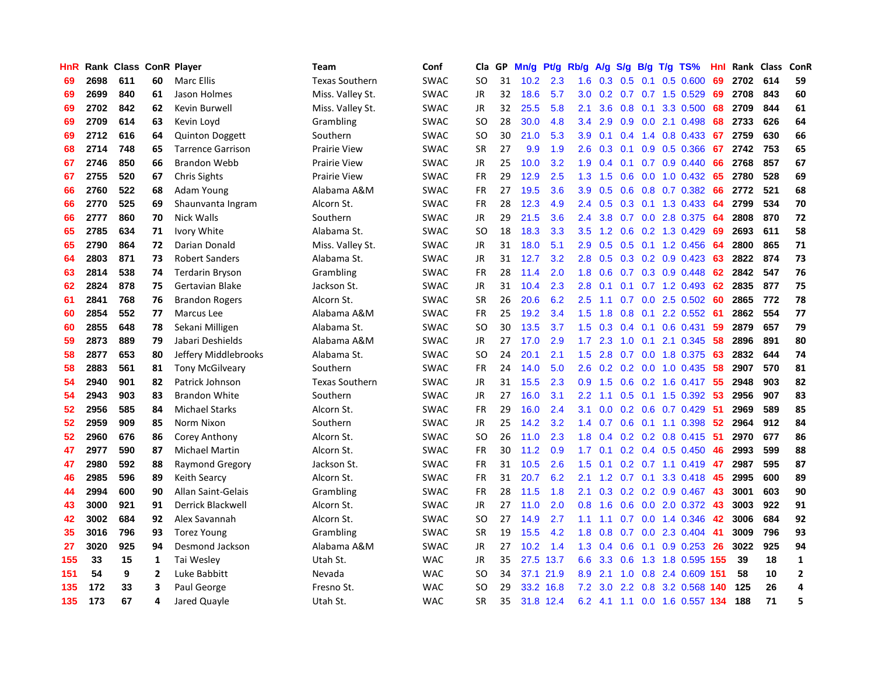| HnR |      |     |    | Rank Class ConR Player   | <b>Team</b>           | Conf        | Cla       | <b>GP</b> | Mn/g | <b>Pt/g</b> | Rb/g             | A/g |     |     | S/g B/g T/g TS%           | Hnl | Rank | Class | ConR           |
|-----|------|-----|----|--------------------------|-----------------------|-------------|-----------|-----------|------|-------------|------------------|-----|-----|-----|---------------------------|-----|------|-------|----------------|
| 69  | 2698 | 611 | 60 | Marc Ellis               | <b>Texas Southern</b> | SWAC        | <b>SO</b> | 31        | 10.2 | 2.3         | 1.6              | 0.3 | 0.5 | 0.1 | $0.5$ 0.600               | 69  | 2702 | 614   | 59             |
| 69  | 2699 | 840 | 61 | Jason Holmes             | Miss. Valley St.      | SWAC        | JR        | 32        | 18.6 | 5.7         | 3.0 <sub>1</sub> |     |     |     | 0.2 0.7 0.7 1.5 0.529     | 69  | 2708 | 843   | 60             |
| 69  | 2702 | 842 | 62 | Kevin Burwell            | Miss. Valley St.      | <b>SWAC</b> | JR        | 32        | 25.5 | 5.8         | 2.1              | 3.6 |     |     | 0.8 0.1 3.3 0.500         | 68  | 2709 | 844   | 61             |
| 69  | 2709 | 614 | 63 | Kevin Loyd               | Grambling             | SWAC        | <b>SO</b> | 28        | 30.0 | 4.8         | $3.4^{\circ}$    | 2.9 |     |     | 0.9 0.0 2.1 0.498         | 68  | 2733 | 626   | 64             |
| 69  | 2712 | 616 | 64 | <b>Quinton Doggett</b>   | Southern              | <b>SWAC</b> | <b>SO</b> | 30        | 21.0 | 5.3         | 3.9              | 0.1 |     |     | 0.4 1.4 0.8 0.433         | 67  | 2759 | 630   | 66             |
| 68  | 2714 | 748 | 65 | <b>Tarrence Garrison</b> | <b>Prairie View</b>   | <b>SWAC</b> | <b>SR</b> | 27        | 9.9  | 1.9         | 2.6              | 0.3 |     |     | $0.1$ 0.9 0.5 0.366       | 67  | 2742 | 753   | 65             |
| 67  | 2746 | 850 | 66 | <b>Brandon Webb</b>      | <b>Prairie View</b>   | <b>SWAC</b> | JR        | 25        | 10.0 | 3.2         | 1.9              | 0.4 |     |     | 0.1 0.7 0.9 0.440         | 66  | 2768 | 857   | 67             |
| 67  | 2755 | 520 | 67 | <b>Chris Sights</b>      | <b>Prairie View</b>   | <b>SWAC</b> | FR        | 29        | 12.9 | 2.5         | 1.3              | 1.5 | 0.6 |     | $0.0$ 1.0 0.432           | -65 | 2780 | 528   | 69             |
| 66  | 2760 | 522 | 68 | Adam Young               | Alabama A&M           | <b>SWAC</b> | FR        | 27        | 19.5 | 3.6         | 3.9              | 0.5 | 0.6 |     | $0.8$ 0.7 0.382           | -66 | 2772 | 521   | 68             |
| 66  | 2770 | 525 | 69 | Shaunvanta Ingram        | Alcorn St.            | <b>SWAC</b> | FR        | 28        | 12.3 | 4.9         | 2.4              | 0.5 |     |     | 0.3 0.1 1.3 0.433 64      |     | 2799 | 534   | 70             |
| 66  | 2777 | 860 | 70 | Nick Walls               | Southern              | <b>SWAC</b> | JR        | 29        | 21.5 | 3.6         | $2.4^{\circ}$    | 3.8 |     |     | 0.7 0.0 2.8 0.375 64      |     | 2808 | 870   | 72             |
| 65  | 2785 | 634 | 71 | Ivory White              | Alabama St.           | <b>SWAC</b> | <b>SO</b> | 18        | 18.3 | 3.3         | 3.5              | 1.2 |     |     | $0.6$ $0.2$ 1.3 $0.429$   | -69 | 2693 | 611   | 58             |
| 65  | 2790 | 864 | 72 | Darian Donald            | Miss. Valley St.      | SWAC        | JR        | 31        | 18.0 | 5.1         | 2.9              | 0.5 | 0.5 |     | 0.1 1.2 0.456             | 64  | 2800 | 865   | 71             |
| 64  | 2803 | 871 | 73 | <b>Robert Sanders</b>    | Alabama St.           | SWAC        | JR        | 31        | 12.7 | 3.2         | 2.8              | 0.5 |     |     | $0.3$ 0.2 0.9 0.423       | 63  | 2822 | 874   | 73             |
| 63  | 2814 | 538 | 74 | Terdarin Bryson          | Grambling             | <b>SWAC</b> | FR        | 28        | 11.4 | 2.0         | 1.8              | 0.6 |     |     | 0.7 0.3 0.9 0.448         | 62  | 2842 | 547   | 76             |
| 62  | 2824 | 878 | 75 | Gertavian Blake          | Jackson St.           | <b>SWAC</b> | JR        | 31        | 10.4 | 2.3         | 2.8              | 0.1 |     |     | $0.1$ 0.7 1.2 0.493       | 62  | 2835 | 877   | 75             |
| 61  | 2841 | 768 | 76 | <b>Brandon Rogers</b>    | Alcorn St.            | <b>SWAC</b> | <b>SR</b> | 26        | 20.6 | 6.2         | 2.5              | 1.1 |     |     | $0.7$ $0.0$ 2.5 $0.502$   | -60 | 2865 | 772   | 78             |
| 60  | 2854 | 552 | 77 | Marcus Lee               | Alabama A&M           | SWAC        | <b>FR</b> | 25        | 19.2 | 3.4         | 1.5              | 1.8 | 0.8 |     | 0.1 2.2 0.552 61          |     | 2862 | 554   | 77             |
| 60  | 2855 | 648 | 78 | Sekani Milligen          | Alabama St.           | <b>SWAC</b> | <b>SO</b> | 30        | 13.5 | 3.7         | 1.5              |     |     |     | 0.3 0.4 0.1 0.6 0.431     | 59  | 2879 | 657   | 79             |
| 59  | 2873 | 889 | 79 | Jabari Deshields         | Alabama A&M           | <b>SWAC</b> | JR        | 27        | 17.0 | 2.9         | 1.7              | 2.3 |     |     | 1.0 0.1 2.1 0.345         | -58 | 2896 | 891   | 80             |
| 58  | 2877 | 653 | 80 | Jeffery Middlebrooks     | Alabama St.           | <b>SWAC</b> | <b>SO</b> | 24        | 20.1 | 2.1         | 1.5              | 2.8 |     |     | 0.7 0.0 1.8 0.375         | 63  | 2832 | 644   | 74             |
| 58  | 2883 | 561 | 81 | <b>Tony McGilveary</b>   | Southern              | <b>SWAC</b> | FR        | 24        | 14.0 | 5.0         | 2.6              | 0.2 |     |     | $0.2$ 0.0 1.0 0.435       | 58  | 2907 | 570   | 81             |
| 54  | 2940 | 901 | 82 | Patrick Johnson          | <b>Texas Southern</b> | <b>SWAC</b> | JR        | 31        | 15.5 | 2.3         | 0.9              | 1.5 |     |     | $0.6$ $0.2$ 1.6 $0.417$   | 55  | 2948 | 903   | 82             |
| 54  | 2943 | 903 | 83 | <b>Brandon White</b>     | Southern              | <b>SWAC</b> | JR        | 27        | 16.0 | 3.1         | 2.2              | 1.1 |     |     | $0.5$ 0.1 1.5 0.392       | -53 | 2956 | 907   | 83             |
| 52  | 2956 | 585 | 84 | <b>Michael Starks</b>    | Alcorn St.            | <b>SWAC</b> | FR        | 29        | 16.0 | 2.4         | 3.1              | 0.0 |     |     | 0.2 0.6 0.7 0.429         | -51 | 2969 | 589   | 85             |
| 52  | 2959 | 909 | 85 | Norm Nixon               | Southern              | <b>SWAC</b> | JR        | 25        | 14.2 | 3.2         | 1.4              | 0.7 |     |     | $0.6$ 0.1 1.1 0.398       | -52 | 2964 | 912   | 84             |
| 52  | 2960 | 676 | 86 | Corey Anthony            | Alcorn St.            | <b>SWAC</b> | <b>SO</b> | 26        | 11.0 | 2.3         | 1.8              |     |     |     | 0.4 0.2 0.2 0.8 0.415 51  |     | 2970 | 677   | 86             |
| 47  | 2977 | 590 | 87 | <b>Michael Martin</b>    | Alcorn St.            | <b>SWAC</b> | FR        | 30        | 11.2 | 0.9         | 1.7              | 0.1 |     |     | $0.2$ 0.4 0.5 0.450       | -46 | 2993 | 599   | 88             |
| 47  | 2980 | 592 | 88 | <b>Raymond Gregory</b>   | Jackson St.           | <b>SWAC</b> | FR        | 31        | 10.5 | 2.6         | 1.5              | 0.1 |     |     | $0.2$ 0.7 1.1 0.419 47    |     | 2987 | 595   | 87             |
| 46  | 2985 | 596 | 89 | Keith Searcy             | Alcorn St.            | <b>SWAC</b> | <b>FR</b> | 31        | 20.7 | 6.2         | 2.1              | 1.2 |     |     | 0.7 0.1 3.3 0.418         | 45  | 2995 | 600   | 89             |
| 44  | 2994 | 600 | 90 | Allan Saint-Gelais       | Grambling             | <b>SWAC</b> | FR        | 28        | 11.5 | 1.8         | 2.1              | 0.3 |     |     | $0.2$ 0.2 0.9 0.467       | -43 | 3001 | 603   | 90             |
| 43  | 3000 | 921 | 91 | <b>Derrick Blackwell</b> | Alcorn St.            | <b>SWAC</b> | JR        | 27        | 11.0 | 2.0         | 0.8              | 1.6 | 0.6 |     | $0.0$ 2.0 $0.372$         | -43 | 3003 | 922   | 91             |
| 42  | 3002 | 684 | 92 | Alex Savannah            | Alcorn St.            | <b>SWAC</b> | <b>SO</b> | 27        | 14.9 | 2.7         | 1.1              | 1.1 |     |     | 0.7 0.0 1.4 0.346         | 42  | 3006 | 684   | 92             |
| 35  | 3016 | 796 | 93 | <b>Torez Young</b>       | Grambling             | <b>SWAC</b> | <b>SR</b> | 19        | 15.5 | 4.2         | 1.8              | 0.8 |     |     | 0.7 0.0 2.3 0.404         | -41 | 3009 | 796   | 93             |
| 27  | 3020 | 925 | 94 | Desmond Jackson          | Alabama A&M           | SWAC        | JR        | 27        | 10.2 | 1.4         | 1.3              | 0.4 |     |     | 0.6 0.1 0.9 0.253 26      |     | 3022 | 925   | 94             |
| 155 | 33   | 15  | 1  | Tai Wesley               | Utah St.              | <b>WAC</b>  | <b>JR</b> | 35        |      | 27.5 13.7   | 6.6              | 3.3 |     |     | 0.6 1.3 1.8 0.595 155     |     | 39   | 18    | $\mathbf{1}$   |
| 151 | 54   | 9   | 2  | Luke Babbitt             | Nevada                | <b>WAC</b>  | SO        | 34        | 37.1 | 21.9        | 8.9              | 2.1 |     |     | 1.0 0.8 2.4 0.609 151     |     | 58   | 10    | $\overline{2}$ |
| 135 | 172  | 33  | 3  | Paul George              | Fresno St.            | <b>WAC</b>  | <b>SO</b> | 29        | 33.2 | 16.8        | 7.2              | 3.0 |     |     | 2.2 0.8 3.2 0.568 140     |     | 125  | 26    | $\overline{4}$ |
| 135 | 173  | 67  | 4  | Jared Quayle             | Utah St.              | <b>WAC</b>  | SR        | 35        |      | 31.8 12.4   | 6.2              |     |     |     | 4.1 1.1 0.0 1.6 0.557 134 |     | 188  | 71    | 5              |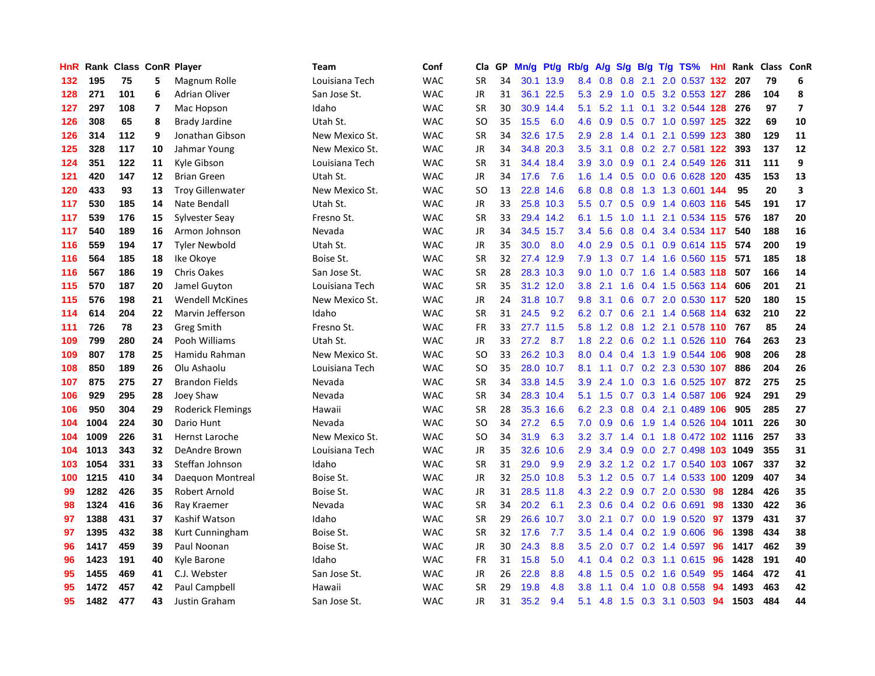| HnR |      | Rank Class ConR Player |    |                          | <b>Team</b>    | Conf       | Cla       | GP. | Mn/g | <b>Pt/g</b> | Rb/g             | A/g             |     |                 | S/g B/g T/g TS%                    |    | <b>Hnl</b> Rank | Class ConR |                |
|-----|------|------------------------|----|--------------------------|----------------|------------|-----------|-----|------|-------------|------------------|-----------------|-----|-----------------|------------------------------------|----|-----------------|------------|----------------|
| 132 | 195  | 75                     | 5  | Magnum Rolle             | Louisiana Tech | <b>WAC</b> | <b>SR</b> | 34  | 30.1 | 13.9        | 8.4              | 0.8             | 0.8 | 2.1             | 2.0 0.537 132                      |    | 207             | 79         | 6              |
| 128 | 271  | 101                    | 6  | <b>Adrian Oliver</b>     | San Jose St.   | <b>WAC</b> | JR        | 31  |      | 36.1 22.5   |                  | 5.3 2.9         |     |                 | 1.0 0.5 3.2 0.553 127              |    | 286             | 104        | $\pmb{8}$      |
| 127 | 297  | 108                    | 7  | Mac Hopson               | Idaho          | <b>WAC</b> | <b>SR</b> | 30  |      | 30.9 14.4   | 5.1              |                 |     |                 | 5.2 1.1 0.1 3.2 0.544 128 276      |    |                 | 97         | $\overline{7}$ |
| 126 | 308  | 65                     | 8  | <b>Brady Jardine</b>     | Utah St.       | <b>WAC</b> | SO        | 35  | 15.5 | 6.0         | 4.6              | 0.9             |     |                 | $0.5$ 0.7 1.0 0.597 125            |    | 322             | 69         | 10             |
| 126 | 314  | 112                    | 9  | Jonathan Gibson          | New Mexico St. | <b>WAC</b> | <b>SR</b> | 34  |      | 32.6 17.5   | 2.9              | 2.8             |     | $1.4 \quad 0.1$ | 2.1 0.599 123                      |    | 380             | 129        | 11             |
| 125 | 328  | 117                    | 10 | Jahmar Young             | New Mexico St. | <b>WAC</b> | JR        | 34  |      | 34.8 20.3   | 3.5              | 3.1             |     |                 | 0.8 0.2 2.7 0.581 122              |    | 393             | 137        | 12             |
| 124 | 351  | 122                    | 11 | Kyle Gibson              | Louisiana Tech | <b>WAC</b> | <b>SR</b> | 31  | 34.4 | 18.4        | 3.9              | 3.0             | 0.9 |                 | 0.1 2.4 0.549 126                  |    | 311             | 111        | 9              |
| 121 | 420  | 147                    | 12 | <b>Brian Green</b>       | Utah St.       | <b>WAC</b> | JR        | 34  | 17.6 | 7.6         | 1.6              | 1.4             |     |                 | $0.5$ 0.0 0.6 0.628 120            |    | 435             | 153        | 13             |
| 120 | 433  | 93                     | 13 | <b>Troy Gillenwater</b>  | New Mexico St. | <b>WAC</b> | <b>SO</b> | 13  | 22.8 | 14.6        | 6.8              | 0.8             | 0.8 |                 | 1.3 1.3 0.601 144                  |    | 95              | 20         | 3              |
| 117 | 530  | 185                    | 14 | Nate Bendall             | Utah St.       | <b>WAC</b> | JR        | 33  |      | 25.8 10.3   | 5.5              | 0.7             |     |                 | $0.5$ $0.9$ 1.4 $0.603$ 116        |    | 545             | 191        | 17             |
| 117 | 539  | 176                    | 15 | Sylvester Seay           | Fresno St.     | <b>WAC</b> | <b>SR</b> | 33  |      | 29.4 14.2   | 6.1              | 1.5             |     |                 | 1.0 1.1 2.1 0.534 115 576          |    |                 | 187        | 20             |
| 117 | 540  | 189                    | 16 | Armon Johnson            | Nevada         | <b>WAC</b> | JR        | 34  | 34.5 | 15.7        | $3.4^{\circ}$    | 5.6             |     |                 | 0.8 0.4 3.4 0.534 117              |    | 540             | 188        | 16             |
| 116 | 559  | 194                    | 17 | <b>Tyler Newbold</b>     | Utah St.       | <b>WAC</b> | <b>JR</b> | 35  | 30.0 | 8.0         | 4.0              | 2.9             | 0.5 |                 | 0.1 0.9 0.614 115                  |    | 574             | 200        | 19             |
| 116 | 564  | 185                    | 18 | Ike Okoye                | Boise St.      | <b>WAC</b> | <b>SR</b> | 32  | 27.4 | 12.9        | 7.9              | 1.3             |     |                 | 0.7 1.4 1.6 0.560 115              |    | 571             | 185        | 18             |
| 116 | 567  | 186                    | 19 | Chris Oakes              | San Jose St.   | <b>WAC</b> | <b>SR</b> | 28  |      | 28.3 10.3   | 9.0              | 1.0             |     |                 | 0.7 1.6 1.4 0.583 118              |    | 507             | 166        | 14             |
| 115 | 570  | 187                    | 20 | Jamel Guyton             | Louisiana Tech | <b>WAC</b> | <b>SR</b> | 35  | 31.2 | 12.0        | 3.8              | 2.1             | 1.6 |                 | 0.4 1.5 0.563 114                  |    | 606             | 201        | 21             |
| 115 | 576  | 198                    | 21 | <b>Wendell McKines</b>   | New Mexico St. | <b>WAC</b> | <b>JR</b> | 24  | 31.8 | 10.7        | 9.8              | 3.1             | 0.6 |                 | 0.7 2.0 0.530 117                  |    | 520             | 180        | 15             |
| 114 | 614  | 204                    | 22 | Marvin Jefferson         | Idaho          | <b>WAC</b> | <b>SR</b> | 31  | 24.5 | 9.2         | 6.2              | 0.7             |     |                 | 0.6 2.1 1.4 0.568 114              |    | 632             | 210        | 22             |
| 111 | 726  | 78                     | 23 | Greg Smith               | Fresno St.     | <b>WAC</b> | FR        | 33  |      | 27.7 11.5   |                  |                 |     |                 | 5.8 1.2 0.8 1.2 2.1 0.578 110 767  |    |                 | 85         | 24             |
| 109 | 799  | 280                    | 24 | Pooh Williams            | Utah St.       | <b>WAC</b> | JR        | 33  | 27.2 | 8.7         | 1.8              |                 |     |                 | 2.2 0.6 0.2 1.1 0.526 110 764      |    |                 | 263        | 23             |
| 109 | 807  | 178                    | 25 | Hamidu Rahman            | New Mexico St. | <b>WAC</b> | <b>SO</b> | 33  |      | 26.2 10.3   | 8.0              | 0.4             |     |                 | 0.4 1.3 1.9 0.544 106              |    | 908             | 206        | 28             |
| 108 | 850  | 189                    | 26 | Olu Ashaolu              | Louisiana Tech | <b>WAC</b> | <b>SO</b> | 35  |      | 28.0 10.7   | 8.1              | 1.1             |     |                 | 0.7 0.2 2.3 0.530 107              |    | 886             | 204        | 26             |
| 107 | 875  | 275                    | 27 | <b>Brandon Fields</b>    | Nevada         | <b>WAC</b> | <b>SR</b> | 34  |      | 33.8 14.5   | 3.9              | 2.4             | 1.0 |                 | 0.3 1.6 0.525 107                  |    | 872             | 275        | 25             |
| 106 | 929  | 295                    | 28 | Joey Shaw                | Nevada         | <b>WAC</b> | <b>SR</b> | 34  | 28.3 | 10.4        |                  | $5.1 \quad 1.5$ | 0.7 |                 | 0.3 1.4 0.587 106                  |    | 924             | 291        | 29             |
| 106 | 950  | 304                    | 29 | <b>Roderick Flemings</b> | Hawaii         | <b>WAC</b> | <b>SR</b> | 28  | 35.3 | 16.6        | 6.2              | 2.3             | 0.8 |                 | 0.4 2.1 0.489 106                  |    | 905             | 285        | 27             |
| 104 | 1004 | 224                    | 30 | Dario Hunt               | Nevada         | <b>WAC</b> | <b>SO</b> | 34  | 27.2 | 6.5         | 7.0              | 0.9             | 0.6 |                 | 1.9 1.4 0.526 104 1011             |    |                 | 226        | 30             |
| 104 | 1009 | 226                    | 31 | Hernst Laroche           | New Mexico St. | <b>WAC</b> | <b>SO</b> | 34  | 31.9 | 6.3         |                  |                 |     |                 | 3.2 3.7 1.4 0.1 1.8 0.472 102 1116 |    |                 | 257        | 33             |
| 104 | 1013 | 343                    | 32 | DeAndre Brown            | Louisiana Tech | <b>WAC</b> | JR        | 35  | 32.6 | 10.6        | 2.9              | 3.4             |     |                 | 0.9 0.0 2.7 0.498 103 1049         |    |                 | 355        | 31             |
| 103 | 1054 | 331                    | 33 | Steffan Johnson          | Idaho          | <b>WAC</b> | <b>SR</b> | 31  | 29.0 | 9.9         | 2.9              |                 |     |                 | 3.2 1.2 0.2 1.7 0.540 103 1067     |    |                 | 337        | 32             |
| 100 | 1215 | 410                    | 34 | Daequon Montreal         | Boise St.      | <b>WAC</b> | <b>JR</b> | 32  | 25.0 | 10.8        | 5.3              | 1.2             | 0.5 |                 | 0.7 1.4 0.533 100 1209             |    |                 | 407        | 34             |
| 99  | 1282 | 426                    | 35 | Robert Arnold            | Boise St.      | <b>WAC</b> | JR        | 31  | 28.5 | 11.8        | 4.3              | 2.2             |     |                 | $0.9$ 0.7 2.0 0.530                | 98 | 1284            | 426        | 35             |
| 98  | 1324 | 416                    | 36 | Ray Kraemer              | Nevada         | <b>WAC</b> | <b>SR</b> | 34  | 20.2 | 6.1         | 2.3              | 0.6             |     |                 | $0.4$ 0.2 0.6 0.691                | 98 | 1330            | 422        | 36             |
| 97  | 1388 | 431                    | 37 | Kashif Watson            | Idaho          | <b>WAC</b> | <b>SR</b> | 29  | 26.6 | 10.7        | 3.0 <sub>2</sub> | 2.1             |     |                 | 0.7 0.0 1.9 0.520                  | 97 | 1379            | 431        | 37             |
| 97  | 1395 | 432                    | 38 | Kurt Cunningham          | Boise St.      | <b>WAC</b> | <b>SR</b> | 32  | 17.6 | 7.7         | 3.5              | 1.4             |     |                 | 0.4 0.2 1.9 0.606                  | 96 | 1398            | 434        | 38             |
| 96  | 1417 | 459                    | 39 | Paul Noonan              | Boise St.      | <b>WAC</b> | JR        | 30  | 24.3 | 8.8         | 3.5              | 2.0             |     |                 | $0.7$ $0.2$ 1.4 $0.597$            | 96 | 1417            | 462        | 39             |
| 96  | 1423 | 191                    | 40 | Kyle Barone              | Idaho          | <b>WAC</b> | FR        | 31  | 15.8 | 5.0         | 4.1              | 0.4             |     |                 | 0.2 0.3 1.1 0.615 96               |    | 1428            | 191        | 40             |
| 95  | 1455 | 469                    | 41 | C.J. Webster             | San Jose St.   | <b>WAC</b> | JR        | 26  | 22.8 | 8.8         | 4.8              | 1.5             |     |                 | $0.5$ 0.2 1.6 0.549                | 95 | 1464            | 472        | 41             |
| 95  | 1472 | 457                    | 42 | Paul Campbell            | Hawaii         | <b>WAC</b> | <b>SR</b> | 29  | 19.8 | 4.8         | 3.8              | 1.1             | 0.4 |                 | 1.0 0.8 0.558                      | 94 | 1493            | 463        | 42             |
| 95  | 1482 | 477                    | 43 | Justin Graham            | San Jose St.   | <b>WAC</b> | <b>JR</b> | 31  | 35.2 | 9.4         | 5.1              |                 |     |                 | 4.8 1.5 0.3 3.1 0.503 94           |    | 1503            | 484        | 44             |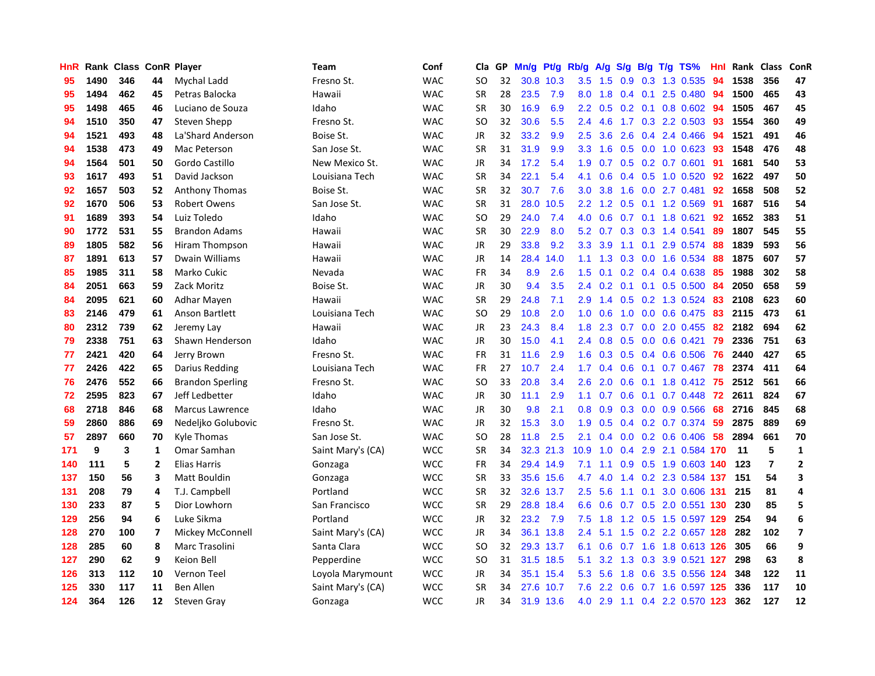| HnR |      | Rank Class ConR Player |                          |                         | Team              | Conf       | Cla           | <b>GP</b> | Mn/g | <b>Pt/g</b> | Rb/g             | A/g |     |     | S/g B/g T/g TS%              | Hnl | Rank | <b>Class</b>   | ConR           |
|-----|------|------------------------|--------------------------|-------------------------|-------------------|------------|---------------|-----------|------|-------------|------------------|-----|-----|-----|------------------------------|-----|------|----------------|----------------|
| 95  | 1490 | 346                    | 44                       | Mychal Ladd             | Fresno St.        | <b>WAC</b> | SO            | 32        |      | 30.8 10.3   | 3.5              | 1.5 | 0.9 |     | 0.3 1.3 0.535                | 94  | 1538 | 356            | 47             |
| 95  | 1494 | 462                    | 45                       | Petras Balocka          | Hawaii            | <b>WAC</b> | <b>SR</b>     | 28        | 23.5 | 7.9         | 8.0              | 1.8 |     |     | 0.4 0.1 2.5 0.480 94         |     | 1500 | 465            | 43             |
| 95  | 1498 | 465                    | 46                       | Luciano de Souza        | Idaho             | <b>WAC</b> | <b>SR</b>     | 30        | 16.9 | 6.9         | 2.2              | 0.5 |     |     | 0.2 0.1 0.8 0.602 94         |     | 1505 | 467            | 45             |
| 94  | 1510 | 350                    | 47                       | Steven Shepp            | Fresno St.        | <b>WAC</b> | SO            | 32        | 30.6 | 5.5         | $2.4^{\circ}$    | 4.6 |     |     | 1.7 0.3 2.2 0.503            | -93 | 1554 | 360            | 49             |
| 94  | 1521 | 493                    | 48                       | La'Shard Anderson       | Boise St.         | <b>WAC</b> | <b>JR</b>     | 32        | 33.2 | 9.9         | 2.5              | 3.6 | 2.6 |     | 0.4 2.4 0.466                | 94  | 1521 | 491            | 46             |
| 94  | 1538 | 473                    | 49                       | Mac Peterson            | San Jose St.      | <b>WAC</b> | <b>SR</b>     | 31        | 31.9 | 9.9         | 3.3 <sub>2</sub> | 1.6 |     |     | $0.5$ 0.0 1.0 0.623          | -93 | 1548 | 476            | 48             |
| 94  | 1564 | 501                    | 50                       | Gordo Castillo          | New Mexico St.    | <b>WAC</b> | <b>JR</b>     | 34        | 17.2 | 5.4         | 1.9              | 0.7 |     |     | $0.5$ 0.2 0.7 0.601          | -91 | 1681 | 540            | 53             |
| 93  | 1617 | 493                    | 51                       | David Jackson           | Louisiana Tech    | <b>WAC</b> | <b>SR</b>     | 34        | 22.1 | 5.4         | 4.1              | 0.6 |     |     | $0.4$ 0.5 1.0 0.520          | 92  | 1622 | 497            | 50             |
| 92  | 1657 | 503                    | 52                       | <b>Anthony Thomas</b>   | Boise St.         | <b>WAC</b> | <b>SR</b>     | 32        | 30.7 | 7.6         | 3.0 <sub>2</sub> | 3.8 | 1.6 |     | $0.0$ 2.7 $0.481$            | 92  | 1658 | 508            | 52             |
| 92  | 1670 | 506                    | 53                       | <b>Robert Owens</b>     | San Jose St.      | <b>WAC</b> | <b>SR</b>     | 31        | 28.0 | 10.5        | $2.2^{\circ}$    | 1.2 |     |     | $0.5$ 0.1 1.2 0.569          | -91 | 1687 | 516            | 54             |
| 91  | 1689 | 393                    | 54                       | Luiz Toledo             | Idaho             | <b>WAC</b> | <b>SO</b>     | 29        | 24.0 | 7.4         | 4.0              | 0.6 |     |     | 0.7 0.1 1.8 0.621            | 92  | 1652 | 383            | 51             |
| 90  | 1772 | 531                    | 55                       | <b>Brandon Adams</b>    | Hawaii            | <b>WAC</b> | <b>SR</b>     | 30        | 22.9 | 8.0         | 5.2              | 0.7 |     |     | $0.3$ $0.3$ 1.4 $0.541$      | -89 | 1807 | 545            | 55             |
| 89  | 1805 | 582                    | 56                       | Hiram Thompson          | Hawaii            | <b>WAC</b> | <b>JR</b>     | 29        | 33.8 | 9.2         | 3.3 <sub>2</sub> | 3.9 |     |     | 1.1 0.1 2.9 0.574 88         |     | 1839 | 593            | 56             |
| 87  | 1891 | 613                    | 57                       | Dwain Williams          | Hawaii            | <b>WAC</b> | <b>JR</b>     | 14        | 28.4 | 14.0        | 1.1              | 1.3 | 0.3 |     | 0.0 1.6 0.534                | 88  | 1875 | 607            | 57             |
| 85  | 1985 | 311                    | 58                       | Marko Cukic             | Nevada            | <b>WAC</b> | <b>FR</b>     | 34        | 8.9  | 2.6         | 1.5              | 0.1 |     |     | $0.2$ 0.4 0.4 0.638          | 85  | 1988 | 302            | 58             |
| 84  | 2051 | 663                    | 59                       | Zack Moritz             | Boise St.         | <b>WAC</b> | <b>JR</b>     | 30        | 9.4  | 3.5         | 2.4              | 0.2 |     |     | $0.1$ 0.1 0.5 0.500          | -84 | 2050 | 658            | 59             |
| 84  | 2095 | 621                    | 60                       | Adhar Mayen             | Hawaii            | <b>WAC</b> | <b>SR</b>     | 29        | 24.8 | 7.1         | 2.9              | 1.4 |     |     | 0.5 0.2 1.3 0.524            | -83 | 2108 | 623            | 60             |
| 83  | 2146 | 479                    | 61                       | Anson Bartlett          | Louisiana Tech    | <b>WAC</b> | <sub>SO</sub> | 29        | 10.8 | 2.0         | 1.0              | 0.6 | 1.0 |     | $0.0$ 0.6 0.475              | -83 | 2115 | 473            | 61             |
| 80  | 2312 | 739                    | 62                       | Jeremy Lay              | Hawaii            | <b>WAC</b> | JR            | 23        | 24.3 | 8.4         | 1.8              | 2.3 |     |     | 0.7 0.0 2.0 0.455 82         |     | 2182 | 694            | 62             |
| 79  | 2338 | 751                    | 63                       | Shawn Henderson         | Idaho             | <b>WAC</b> | <b>JR</b>     | 30        | 15.0 | 4.1         | $2.4^{\circ}$    | 0.8 |     |     | $0.5$ 0.0 0.6 0.421          | 79  | 2336 | 751            | 63             |
| 77  | 2421 | 420                    | 64                       | Jerry Brown             | Fresno St.        | <b>WAC</b> | <b>FR</b>     | 31        | 11.6 | 2.9         | 1.6              | 0.3 |     |     | $0.5$ 0.4 0.6 0.506          | -76 | 2440 | 427            | 65             |
| 77  | 2426 | 422                    | 65                       | Darius Redding          | Louisiana Tech    | <b>WAC</b> | <b>FR</b>     | 27        | 10.7 | 2.4         | 1.7              | 0.4 | 0.6 |     | 0.1 0.7 0.467 78             |     | 2374 | 411            | 64             |
| 76  | 2476 | 552                    | 66                       | <b>Brandon Sperling</b> | Fresno St.        | <b>WAC</b> | <b>SO</b>     | 33        | 20.8 | 3.4         | 2.6              | 2.0 | 0.6 |     | $0.1$ 1.8 $0.412$            | -75 | 2512 | 561            | 66             |
| 72  | 2595 | 823                    | 67                       | Jeff Ledbetter          | Idaho             | <b>WAC</b> | JR            | 30        | 11.1 | 2.9         | 1.1              | 0.7 | 0.6 |     | $0.1$ 0.7 0.448              | 72  | 2611 | 824            | 67             |
| 68  | 2718 | 846                    | 68                       | <b>Marcus Lawrence</b>  | Idaho             | <b>WAC</b> | JR            | 30        | 9.8  | 2.1         | 0.8              | 0.9 | 0.3 |     | $0.0$ 0.9 0.566              | 68  | 2716 | 845            | 68             |
| 59  | 2860 | 886                    | 69                       | Nedeljko Golubovic      | Fresno St.        | <b>WAC</b> | JR            | 32        | 15.3 | 3.0         | 1.9              | 0.5 |     |     | $0.4$ 0.2 0.7 0.374          | -59 | 2875 | 889            | 69             |
| 57  | 2897 | 660                    | 70                       | Kyle Thomas             | San Jose St.      | <b>WAC</b> | <sub>SO</sub> | 28        | 11.8 | 2.5         | 2.1              | 0.4 |     |     | $0.0$ $0.2$ $0.6$ $0.406$ 58 |     | 2894 | 661            | 70             |
| 171 | 9    | 3                      | 1                        | Omar Samhan             | Saint Mary's (CA) | <b>WCC</b> | <b>SR</b>     | 34        |      | 32.3 21.3   | 10.9             | 1.0 |     |     | 0.4 2.9 2.1 0.584 170        |     | 11   | 5              | $\mathbf{1}$   |
| 140 | 111  | 5                      | $\mathbf{2}$             | <b>Elias Harris</b>     | Gonzaga           | <b>WCC</b> | <b>FR</b>     | 34        |      | 29.4 14.9   | 7.1              | 1.1 |     |     | 0.9 0.5 1.9 0.603 140        |     | 123  | $\overline{7}$ | $\overline{2}$ |
| 137 | 150  | 56                     | 3                        | <b>Matt Bouldin</b>     | Gonzaga           | WCC        | <b>SR</b>     | 33        |      | 35.6 15.6   | 4.7              | 4.0 |     |     | 1.4 0.2 2.3 0.584 137        |     | 151  | 54             | 3              |
| 131 | 208  | 79                     | 4                        | T.J. Campbell           | Portland          | <b>WCC</b> | <b>SR</b>     | 32        |      | 32.6 13.7   | $2.5^{\circ}$    | 5.6 | 1.1 | 0.1 | 3.0 0.606                    | 131 | 215  | 81             | $\overline{a}$ |
| 130 | 233  | 87                     | 5                        | Dior Lowhorn            | San Francisco     | <b>WCC</b> | <b>SR</b>     | 29        |      | 28.8 18.4   | 6.6              | 0.6 |     |     | 0.7 0.5 2.0 0.551 130        |     | 230  | 85             | 5              |
| 129 | 256  | 94                     | 6                        | Luke Sikma              | Portland          | <b>WCC</b> | <b>JR</b>     | 32        | 23.2 | 7.9         | 7.5              | 1.8 | 1.2 |     | 0.5 1.5 0.597 129            |     | 254  | 94             | 6              |
| 128 | 270  | 100                    | $\overline{\phantom{a}}$ | Mickey McConnell        | Saint Mary's (CA) | <b>WCC</b> | <b>JR</b>     | 34        |      | 36.1 13.8   | $2.4^{\circ}$    | 5.1 | 1.5 |     | 0.2 2.2 0.657 128            |     | 282  | 102            | $\overline{7}$ |
| 128 | 285  | 60                     | 8                        | Marc Trasolini          | Santa Clara       | <b>WCC</b> | <sub>SO</sub> | 32        |      | 29.3 13.7   | 6.1              | 0.6 | 0.7 |     | 1.6 1.8 0.613 126            |     | 305  | 66             | 9              |
| 127 | 290  | 62                     | 9                        | Keion Bell              | Pepperdine        | <b>WCC</b> | SO            | 31        |      | 31.5 18.5   | 5.1              |     |     |     | 3.2 1.3 0.3 3.9 0.521 127    |     | 298  | 63             | 8              |
| 126 | 313  | 112                    | 10                       | <b>Vernon Teel</b>      | Loyola Marymount  | <b>WCC</b> | JR            | 34        |      | 35.1 15.4   | 5.3              | 5.6 |     |     | 1.8 0.6 3.5 0.556 124        |     | 348  | 122            | 11             |
| 125 | 330  | 117                    | 11                       | <b>Ben Allen</b>        | Saint Mary's (CA) | <b>WCC</b> | SR            | 34        | 27.6 | 10.7        | 7.6              | 2.2 |     |     | 0.6 0.7 1.6 0.597 125        |     | 336  | 117            | 10             |
| 124 | 364  | 126                    | 12                       | <b>Steven Gray</b>      | Gonzaga           | <b>WCC</b> | <b>JR</b>     | 34        |      | 31.9 13.6   | 4.0              | 2.9 |     |     | 1.1 0.4 2.2 0.570 123        |     | 362  | 127            | 12             |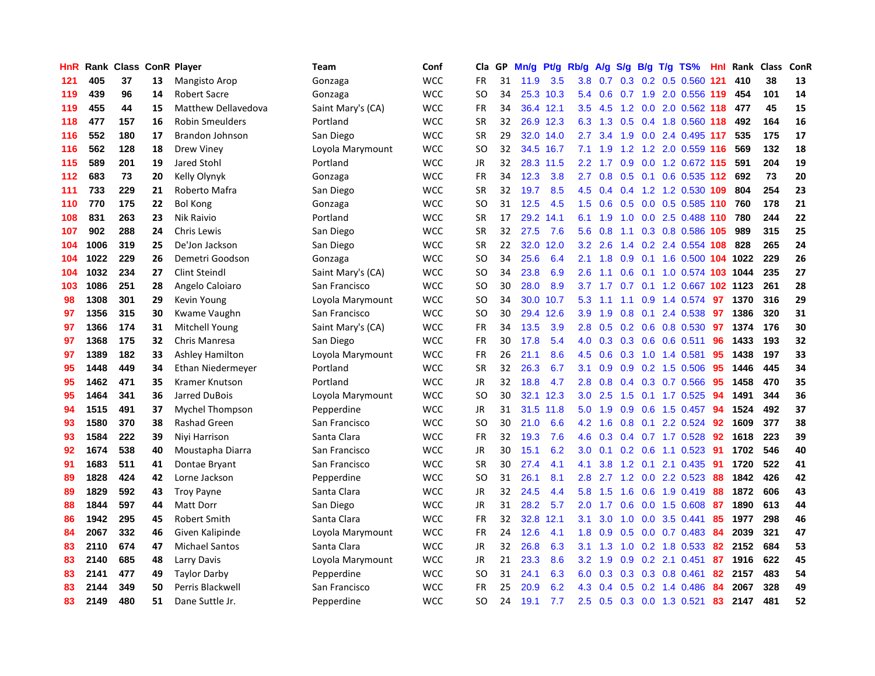| HnR | Rank | <b>Class ConR Player</b> |    |                            | Team              | Conf       | Cla           | <b>GP</b> | Mn/g | Pt/g Rb/g |                  | A/g             |     |     | S/g B/g T/g TS%            | <b>Hnl</b> | Rank | <b>Class</b> | ConR |
|-----|------|--------------------------|----|----------------------------|-------------------|------------|---------------|-----------|------|-----------|------------------|-----------------|-----|-----|----------------------------|------------|------|--------------|------|
| 121 | 405  | 37                       | 13 | Mangisto Arop              | Gonzaga           | <b>WCC</b> | <b>FR</b>     | 31        | 11.9 | 3.5       | 3.8              | 0.7             |     |     | $0.3$ 0.2 0.5 0.560        | 121        | 410  | 38           | 13   |
| 119 | 439  | 96                       | 14 | <b>Robert Sacre</b>        | Gonzaga           | <b>WCC</b> | SO            | 34        |      | 25.3 10.3 | 5.4              | 0.6             |     |     | 0.7 1.9 2.0 0.556 119      |            | 454  | 101          | 14   |
| 119 | 455  | 44                       | 15 | <b>Matthew Dellavedova</b> | Saint Mary's (CA) | <b>WCC</b> | <b>FR</b>     | 34        |      | 36.4 12.1 | 3.5              | 4.5             |     |     | 1.2 0.0 2.0 0.562 118 477  |            |      | 45           | 15   |
| 118 | 477  | 157                      | 16 | <b>Robin Smeulders</b>     | Portland          | <b>WCC</b> | <b>SR</b>     | 32        |      | 26.9 12.3 |                  | 6.3 1.3         |     |     | 0.5 0.4 1.8 0.560 118      |            | 492  | 164          | 16   |
| 116 | 552  | 180                      | 17 | <b>Brandon Johnson</b>     | San Diego         | <b>WCC</b> | <b>SR</b>     | 29        | 32.0 | 14.0      | $2.7^{\circ}$    | 3.4             | 1.9 |     | $0.0$ 2.4 0.495 117        |            | 535  | 175          | 17   |
| 116 | 562  | 128                      | 18 | Drew Viney                 | Loyola Marymount  | <b>WCC</b> | SO.           | 32        | 34.5 | 16.7      | 7.1              | 1.9             | 1.2 |     | 1.2 2.0 0.559 116          |            | 569  | 132          | 18   |
| 115 | 589  | 201                      | 19 | Jared Stohl                | Portland          | <b>WCC</b> | JR            | 32        |      | 28.3 11.5 | $2.2\phantom{0}$ | 1.7             |     |     | 0.9 0.0 1.2 0.672 115      |            | 591  | 204          | 19   |
| 112 | 683  | 73                       | 20 | Kelly Olynyk               | Gonzaga           | <b>WCC</b> | <b>FR</b>     | 34        | 12.3 | 3.8       | 2.7              | 0.8             |     |     | $0.5$ 0.1 0.6 0.535 112    |            | 692  | 73           | 20   |
| 111 | 733  | 229                      | 21 | Roberto Mafra              | San Diego         | <b>WCC</b> | <b>SR</b>     | 32        | 19.7 | 8.5       | 4.5              | 0.4             |     |     | 0.4 1.2 1.2 0.530          | 109        | 804  | 254          | 23   |
| 110 | 770  | 175                      | 22 | <b>Bol Kong</b>            | Gonzaga           | <b>WCC</b> | SO.           | 31        | 12.5 | 4.5       | $1.5^{\circ}$    | 0.6             |     |     | $0.5$ 0.0 0.5 0.585 110    |            | 760  | 178          | 21   |
| 108 | 831  | 263                      | 23 | Nik Raivio                 | Portland          | <b>WCC</b> | <b>SR</b>     | 17        | 29.2 | 14.1      | 6.1              | 1.9             |     |     | 1.0 0.0 2.5 0.488 110 780  |            |      | 244          | 22   |
| 107 | 902  | 288                      | 24 | Chris Lewis                | San Diego         | <b>WCC</b> | <b>SR</b>     | 32        | 27.5 | 7.6       | 5.6              | 0.8             |     |     | 1.1 0.3 0.8 0.586 105      |            | 989  | 315          | 25   |
| 104 | 1006 | 319                      | 25 | De'Jon Jackson             | San Diego         | <b>WCC</b> | <b>SR</b>     | 22        | 32.0 | 12.0      | 3.2 <sub>2</sub> | 2.6             |     |     | 1.4 0.2 2.4 0.554 108      |            | 828  | 265          | 24   |
| 104 | 1022 | 229                      | 26 | Demetri Goodson            | Gonzaga           | <b>WCC</b> | <b>SO</b>     | 34        | 25.6 | 6.4       | 2.1              | 1.8             | 0.9 |     | 0.1 1.6 0.500 104 1022     |            |      | 229          | 26   |
| 104 | 1032 | 234                      | 27 | Clint Steindl              | Saint Mary's (CA) | <b>WCC</b> | <b>SO</b>     | 34        | 23.8 | 6.9       | 2.6              | 1.1             | 0.6 |     | 0.1 1.0 0.574 103 1044     |            |      | 235          | 27   |
| 103 | 1086 | 251                      | 28 | Angelo Caloiaro            | San Francisco     | <b>WCC</b> | <b>SO</b>     | 30        | 28.0 | 8.9       |                  | $3.7 \quad 1.7$ |     |     | 0.7 0.1 1.2 0.667 102 1123 |            |      | 261          | 28   |
| 98  | 1308 | 301                      | 29 | Kevin Young                | Loyola Marymount  | <b>WCC</b> | <b>SO</b>     | 34        | 30.0 | 10.7      | 5.3              | 1.1             |     |     | 1.1 0.9 1.4 0.574          | -97        | 1370 | 316          | 29   |
| 97  | 1356 | 315                      | 30 | Kwame Vaughn               | San Francisco     | <b>WCC</b> | <b>SO</b>     | 30        | 29.4 | 12.6      | 3.9              | 1.9             | 0.8 | 0.1 | 2.4 0.538                  | 97         | 1386 | 320          | 31   |
| 97  | 1366 | 174                      | 31 | Mitchell Young             | Saint Mary's (CA) | <b>WCC</b> | FR            | 34        | 13.5 | 3.9       | 2.8              | 0.5             |     |     | $0.2$ 0.6 0.8 0.530        | 97         | 1374 | 176          | 30   |
| 97  | 1368 | 175                      | 32 | Chris Manresa              | San Diego         | <b>WCC</b> | FR            | 30        | 17.8 | 5.4       | 4.0              | 0.3             |     |     | $0.3$ 0.6 0.6 0.511        | 96         | 1433 | 193          | 32   |
| 97  | 1389 | 182                      | 33 | <b>Ashley Hamilton</b>     | Loyola Marymount  | <b>WCC</b> | FR            | 26        | 21.1 | 8.6       | 4.5              | 0.6             |     |     | $0.3$ 1.0 1.4 0.581        | 95         | 1438 | 197          | 33   |
| 95  | 1448 | 449                      | 34 | Ethan Niedermeyer          | Portland          | <b>WCC</b> | <b>SR</b>     | 32        | 26.3 | 6.7       | 3.1              | 0.9             | 0.9 |     | $0.2$ 1.5 0.506            | 95         | 1446 | 445          | 34   |
| 95  | 1462 | 471                      | 35 | Kramer Knutson             | Portland          | <b>WCC</b> | JR            | 32        | 18.8 | 4.7       | 2.8              | 0.8             |     |     | $0.4$ 0.3 0.7 0.566        | 95         | 1458 | 470          | 35   |
| 95  | 1464 | 341                      | 36 | Jarred DuBois              | Loyola Marymount  | <b>WCC</b> | <b>SO</b>     | 30        | 32.1 | 12.3      | 3.0              | 2.5             | 1.5 |     | $0.1$ 1.7 0.525            | 94         | 1491 | 344          | 36   |
| 94  | 1515 | 491                      | 37 | Mychel Thompson            | Pepperdine        | <b>WCC</b> | JR            | 31        | 31.5 | 11.8      | 5.0              | 1.9             | 0.9 |     | $0.6$ 1.5 0.457            | 94         | 1524 | 492          | 37   |
| 93  | 1580 | 370                      | 38 | <b>Rashad Green</b>        | San Francisco     | <b>WCC</b> | <sub>SO</sub> | 30        | 21.0 | 6.6       | 4.2              | 1.6             | 0.8 |     | $0.1$ 2.2 0.524            | 92         | 1609 | 377          | 38   |
| 93  | 1584 | 222                      | 39 | Niyi Harrison              | Santa Clara       | <b>WCC</b> | FR            | 32        | 19.3 | 7.6       | 4.6              | 0.3             |     |     | 0.4 0.7 1.7 0.528          | 92         | 1618 | 223          | 39   |
| 92  | 1674 | 538                      | 40 | Moustapha Diarra           | San Francisco     | <b>WCC</b> | JR            | 30        | 15.1 | 6.2       | 3.0 <sub>2</sub> | 0.1             |     |     | 0.2 0.6 1.1 0.523 91       |            | 1702 | 546          | 40   |
| 91  | 1683 | 511                      | 41 | Dontae Bryant              | San Francisco     | <b>WCC</b> | <b>SR</b>     | 30        | 27.4 | 4.1       | 4.1              | 3.8             |     |     | 1.2 0.1 2.1 0.435          | -91        | 1720 | 522          | 41   |
| 89  | 1828 | 424                      | 42 | Lorne Jackson              | Pepperdine        | <b>WCC</b> | SO            | 31        | 26.1 | 8.1       | 2.8              | 2.7             |     |     | 1.2 0.0 2.2 0.523          | -88        | 1842 | 426          | 42   |
| 89  | 1829 | 592                      | 43 | <b>Troy Payne</b>          | Santa Clara       | <b>WCC</b> | JR            | 32        | 24.5 | 4.4       | 5.8              | 1.5             | 1.6 |     | 0.6 1.9 0.419              | 88         | 1872 | 606          | 43   |
| 88  | 1844 | 597                      | 44 | <b>Matt Dorr</b>           | San Diego         | <b>WCC</b> | JR            | 31        | 28.2 | 5.7       | 2.0              | 1.7             | 0.6 |     | $0.0$ 1.5 $0.608$          | -87        | 1890 | 613          | 44   |
| 86  | 1942 | 295                      | 45 | <b>Robert Smith</b>        | Santa Clara       | <b>WCC</b> | <b>FR</b>     | 32        | 32.8 | 12.1      | 3.1              | 3.0             | 1.0 |     | $0.0$ 3.5 $0.441$          | 85         | 1977 | 298          | 46   |
| 84  | 2067 | 332                      | 46 | Given Kalipinde            | Loyola Marymount  | <b>WCC</b> | <b>FR</b>     | 24        | 12.6 | 4.1       | 1.8              | 0.9             | 0.5 |     | $0.0$ 0.7 0.483            | 84         | 2039 | 321          | 47   |
| 83  | 2110 | 674                      | 47 | <b>Michael Santos</b>      | Santa Clara       | <b>WCC</b> | JR            | 32        | 26.8 | 6.3       | 3.1              | 1.3             | 1.0 |     | 0.2 1.8 0.533              | -82        | 2152 | 684          | 53   |
| 83  | 2140 | 685                      | 48 | Larry Davis                | Loyola Marymount  | <b>WCC</b> | JR            | 21        | 23.3 | 8.6       | 3.2              | 1.9             |     |     | 0.9 0.2 2.1 0.451          | 87         | 1916 | 622          | 45   |
| 83  | 2141 | 477                      | 49 | <b>Taylor Darby</b>        | Pepperdine        | <b>WCC</b> | SO            | 31        | 24.1 | 6.3       | 6.0              | 0.3             |     |     | $0.3$ 0.3 0.8 0.461        | 82         | 2157 | 483          | 54   |
| 83  | 2144 | 349                      | 50 | Perris Blackwell           | San Francisco     | <b>WCC</b> | FR            | 25        | 20.9 | 6.2       | 4.3              | 0.4             |     |     | 0.5 0.2 1.4 0.486          | -84        | 2067 | 328          | 49   |
| 83  | 2149 | 480                      | 51 | Dane Suttle Jr.            | Pepperdine        | <b>WCC</b> | SO.           | 24        | 19.1 | 7.7       | 2.5              | 0.5             |     |     | 0.3 0.0 1.3 0.521          | 83         | 2147 | 481          | 52   |